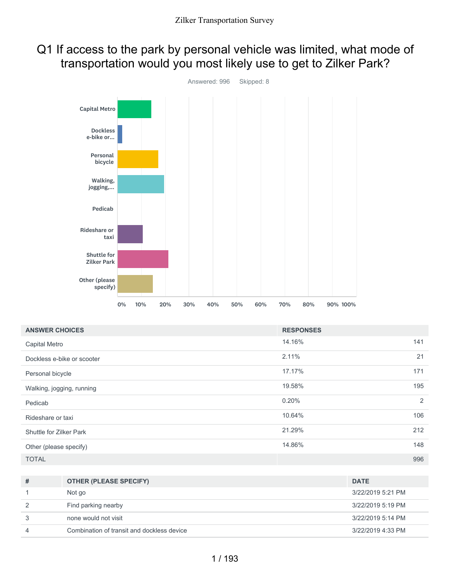## Q1 If access to the park by personal vehicle was limited, what mode of transportation would you most likely use to get to Zilker Park?



| <b>ANSWER CHOICES</b>      | <b>RESPONSES</b> |     |
|----------------------------|------------------|-----|
| Capital Metro              | 14.16%           | 141 |
| Dockless e-bike or scooter | 2.11%            | 21  |
| Personal bicycle           | 17.17%           | 171 |
| Walking, jogging, running  | 19.58%           | 195 |
| Pedicab                    | 0.20%            | 2   |
| Rideshare or taxi          | 10.64%           | 106 |
| Shuttle for Zilker Park    | 21.29%           | 212 |
| Other (please specify)     | 14.86%           | 148 |
| <b>TOTAL</b>               |                  | 996 |

| # | <b>OTHER (PLEASE SPECIFY)</b>              | <b>DATE</b>       |
|---|--------------------------------------------|-------------------|
|   | Not go                                     | 3/22/2019 5:21 PM |
| 2 | Find parking nearby                        | 3/22/2019 5:19 PM |
| 3 | none would not visit                       | 3/22/2019 5:14 PM |
| 4 | Combination of transit and dockless device | 3/22/2019 4:33 PM |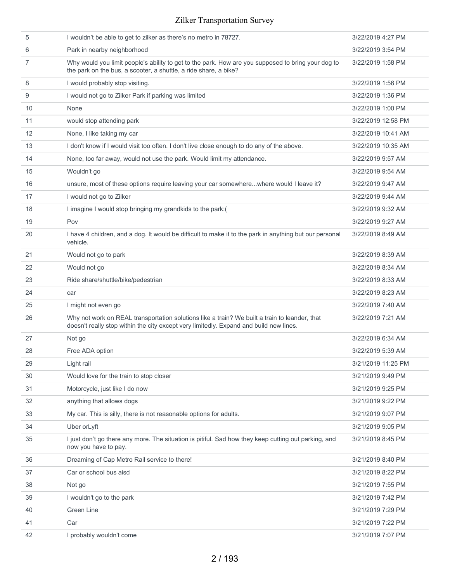| 5  | I wouldn't be able to get to zilker as there's no metro in 78727.                                                                                                                       | 3/22/2019 4:27 PM  |
|----|-----------------------------------------------------------------------------------------------------------------------------------------------------------------------------------------|--------------------|
| 6  | Park in nearby neighborhood                                                                                                                                                             | 3/22/2019 3:54 PM  |
| 7  | Why would you limit people's ability to get to the park. How are you supposed to bring your dog to<br>the park on the bus, a scooter, a shuttle, a ride share, a bike?                  | 3/22/2019 1:58 PM  |
| 8  | I would probably stop visiting.                                                                                                                                                         | 3/22/2019 1:56 PM  |
| 9  | I would not go to Zilker Park if parking was limited                                                                                                                                    | 3/22/2019 1:36 PM  |
| 10 | None                                                                                                                                                                                    | 3/22/2019 1:00 PM  |
| 11 | would stop attending park                                                                                                                                                               | 3/22/2019 12:58 PM |
| 12 | None, I like taking my car                                                                                                                                                              | 3/22/2019 10:41 AM |
| 13 | I don't know if I would visit too often. I don't live close enough to do any of the above.                                                                                              | 3/22/2019 10:35 AM |
| 14 | None, too far away, would not use the park. Would limit my attendance.                                                                                                                  | 3/22/2019 9:57 AM  |
| 15 | Wouldn't go                                                                                                                                                                             | 3/22/2019 9:54 AM  |
| 16 | unsure, most of these options require leaving your car somewherewhere would I leave it?                                                                                                 | 3/22/2019 9:47 AM  |
| 17 | I would not go to Zilker                                                                                                                                                                | 3/22/2019 9:44 AM  |
| 18 | I imagine I would stop bringing my grandkids to the park:(                                                                                                                              | 3/22/2019 9:32 AM  |
| 19 | Pov                                                                                                                                                                                     | 3/22/2019 9:27 AM  |
| 20 | I have 4 children, and a dog. It would be difficult to make it to the park in anything but our personal<br>vehicle.                                                                     | 3/22/2019 8:49 AM  |
| 21 | Would not go to park                                                                                                                                                                    | 3/22/2019 8:39 AM  |
| 22 | Would not go                                                                                                                                                                            | 3/22/2019 8:34 AM  |
| 23 | Ride share/shuttle/bike/pedestrian                                                                                                                                                      | 3/22/2019 8:33 AM  |
| 24 | car                                                                                                                                                                                     | 3/22/2019 8:23 AM  |
| 25 | I might not even go                                                                                                                                                                     | 3/22/2019 7:40 AM  |
| 26 | Why not work on REAL transportation solutions like a train? We built a train to leander, that<br>doesn't really stop within the city except very limitedly. Expand and build new lines. | 3/22/2019 7:21 AM  |
| 27 | Not go                                                                                                                                                                                  | 3/22/2019 6:34 AM  |
| 28 | Free ADA option                                                                                                                                                                         | 3/22/2019 5:39 AM  |
| 29 | Light rail                                                                                                                                                                              | 3/21/2019 11:25 PM |
| 30 | Would love for the train to stop closer                                                                                                                                                 | 3/21/2019 9:49 PM  |
| 31 | Motorcycle, just like I do now                                                                                                                                                          | 3/21/2019 9:25 PM  |
| 32 | anything that allows dogs                                                                                                                                                               | 3/21/2019 9:22 PM  |
| 33 | My car. This is silly, there is not reasonable options for adults.                                                                                                                      | 3/21/2019 9:07 PM  |
| 34 | Uber or Lyft                                                                                                                                                                            | 3/21/2019 9:05 PM  |
| 35 | I just don't go there any more. The situation is pitiful. Sad how they keep cutting out parking, and<br>now you have to pay.                                                            | 3/21/2019 8:45 PM  |
| 36 | Dreaming of Cap Metro Rail service to there!                                                                                                                                            | 3/21/2019 8:40 PM  |
| 37 | Car or school bus aisd                                                                                                                                                                  | 3/21/2019 8:22 PM  |
| 38 | Not go                                                                                                                                                                                  | 3/21/2019 7:55 PM  |
| 39 | I wouldn't go to the park                                                                                                                                                               | 3/21/2019 7:42 PM  |
| 40 | Green Line                                                                                                                                                                              | 3/21/2019 7:29 PM  |
| 41 | Car                                                                                                                                                                                     | 3/21/2019 7:22 PM  |
| 42 | I probably wouldn't come                                                                                                                                                                | 3/21/2019 7:07 PM  |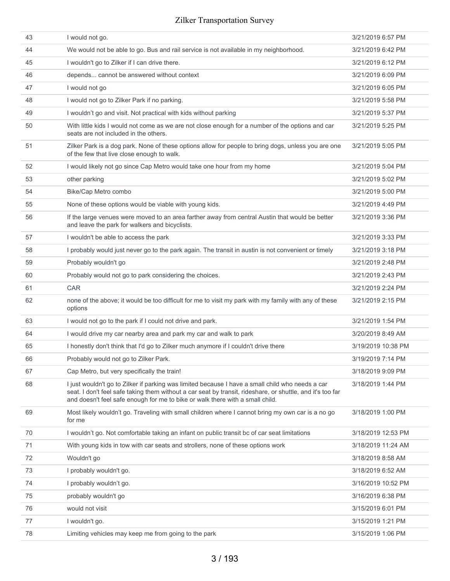| 43 | I would not go.                                                                                                                                                                                                                                                                                 | 3/21/2019 6:57 PM  |
|----|-------------------------------------------------------------------------------------------------------------------------------------------------------------------------------------------------------------------------------------------------------------------------------------------------|--------------------|
| 44 | We would not be able to go. Bus and rail service is not available in my neighborhood.                                                                                                                                                                                                           | 3/21/2019 6:42 PM  |
| 45 | I wouldn't go to Zilker if I can drive there.                                                                                                                                                                                                                                                   | 3/21/2019 6:12 PM  |
| 46 | depends cannot be answered without context                                                                                                                                                                                                                                                      | 3/21/2019 6:09 PM  |
| 47 | I would not go                                                                                                                                                                                                                                                                                  | 3/21/2019 6:05 PM  |
| 48 | I would not go to Zilker Park if no parking.                                                                                                                                                                                                                                                    | 3/21/2019 5:58 PM  |
| 49 | I wouldn't go and visit. Not practical with kids without parking                                                                                                                                                                                                                                | 3/21/2019 5:37 PM  |
| 50 | With little kids I would not come as we are not close enough for a number of the options and car<br>seats are not included in the others.                                                                                                                                                       | 3/21/2019 5:25 PM  |
| 51 | Zilker Park is a dog park. None of these options allow for people to bring dogs, unless you are one<br>of the few that live close enough to walk.                                                                                                                                               | 3/21/2019 5:05 PM  |
| 52 | I would likely not go since Cap Metro would take one hour from my home                                                                                                                                                                                                                          | 3/21/2019 5:04 PM  |
| 53 | other parking                                                                                                                                                                                                                                                                                   | 3/21/2019 5:02 PM  |
| 54 | Bike/Cap Metro combo                                                                                                                                                                                                                                                                            | 3/21/2019 5:00 PM  |
| 55 | None of these options would be viable with young kids.                                                                                                                                                                                                                                          | 3/21/2019 4:49 PM  |
| 56 | If the large venues were moved to an area farther away from central Austin that would be better<br>and leave the park for walkers and bicyclists.                                                                                                                                               | 3/21/2019 3:36 PM  |
| 57 | I wouldn't be able to access the park                                                                                                                                                                                                                                                           | 3/21/2019 3:33 PM  |
| 58 | I probably would just never go to the park again. The transit in austin is not convenient or timely                                                                                                                                                                                             | 3/21/2019 3:18 PM  |
| 59 | Probably wouldn't go                                                                                                                                                                                                                                                                            | 3/21/2019 2:48 PM  |
| 60 | Probably would not go to park considering the choices.                                                                                                                                                                                                                                          | 3/21/2019 2:43 PM  |
| 61 | CAR                                                                                                                                                                                                                                                                                             | 3/21/2019 2:24 PM  |
| 62 | none of the above; it would be too difficult for me to visit my park with my family with any of these<br>options                                                                                                                                                                                | 3/21/2019 2:15 PM  |
| 63 | I would not go to the park if I could not drive and park.                                                                                                                                                                                                                                       | 3/21/2019 1:54 PM  |
| 64 | I would drive my car nearby area and park my car and walk to park                                                                                                                                                                                                                               | 3/20/2019 8:49 AM  |
| 65 | I honestly don't think that I'd go to Zilker much anymore if I couldn't drive there                                                                                                                                                                                                             | 3/19/2019 10:38 PM |
| 66 | Probably would not go to Zilker Park.                                                                                                                                                                                                                                                           | 3/19/2019 7:14 PM  |
| 67 | Cap Metro, but very specifically the train!                                                                                                                                                                                                                                                     | 3/18/2019 9:09 PM  |
| 68 | I just wouldn't go to Zilker if parking was limited because I have a small child who needs a car<br>seat. I don't feel safe taking them without a car seat by transit, rideshare, or shuttle, and it's too far<br>and doesn't feel safe enough for me to bike or walk there with a small child. | 3/18/2019 1:44 PM  |
| 69 | Most likely wouldn't go. Traveling with small children where I cannot bring my own car is a no go<br>for me                                                                                                                                                                                     | 3/18/2019 1:00 PM  |
| 70 | I wouldn't go. Not comfortable taking an infant on public transit bc of car seat limitations                                                                                                                                                                                                    | 3/18/2019 12:53 PM |
| 71 | With young kids in tow with car seats and strollers, none of these options work                                                                                                                                                                                                                 | 3/18/2019 11:24 AM |
| 72 | Wouldn't go                                                                                                                                                                                                                                                                                     | 3/18/2019 8:58 AM  |
| 73 | I probably wouldn't go.                                                                                                                                                                                                                                                                         | 3/18/2019 6:52 AM  |
| 74 | I probably wouldn't go.                                                                                                                                                                                                                                                                         | 3/16/2019 10:52 PM |
| 75 | probably wouldn't go                                                                                                                                                                                                                                                                            | 3/16/2019 6:38 PM  |
| 76 | would not visit                                                                                                                                                                                                                                                                                 | 3/15/2019 6:01 PM  |
| 77 | I wouldn't go.                                                                                                                                                                                                                                                                                  | 3/15/2019 1:21 PM  |
| 78 | Limiting vehicles may keep me from going to the park                                                                                                                                                                                                                                            | 3/15/2019 1:06 PM  |
|    |                                                                                                                                                                                                                                                                                                 |                    |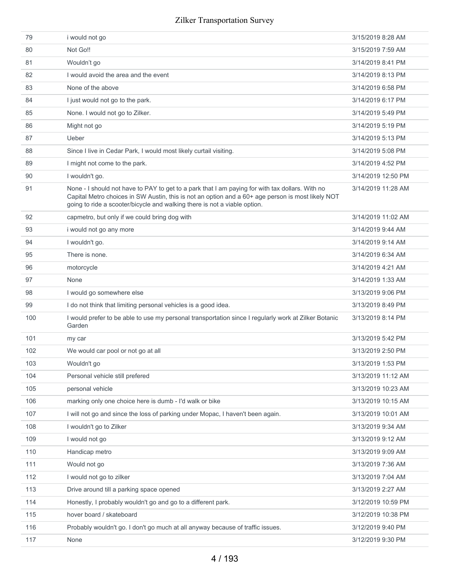| 79  | i would not go                                                                                                                                                                                                                                                                    | 3/15/2019 8:28 AM  |
|-----|-----------------------------------------------------------------------------------------------------------------------------------------------------------------------------------------------------------------------------------------------------------------------------------|--------------------|
| 80  | Not Go!!                                                                                                                                                                                                                                                                          | 3/15/2019 7:59 AM  |
| 81  | Wouldn't go                                                                                                                                                                                                                                                                       | 3/14/2019 8:41 PM  |
| 82  | I would avoid the area and the event                                                                                                                                                                                                                                              | 3/14/2019 8:13 PM  |
| 83  | None of the above                                                                                                                                                                                                                                                                 | 3/14/2019 6:58 PM  |
| 84  | I just would not go to the park.                                                                                                                                                                                                                                                  | 3/14/2019 6:17 PM  |
| 85  | None. I would not go to Zilker.                                                                                                                                                                                                                                                   | 3/14/2019 5:49 PM  |
| 86  | Might not go                                                                                                                                                                                                                                                                      | 3/14/2019 5:19 PM  |
| 87  | Ueber                                                                                                                                                                                                                                                                             | 3/14/2019 5:13 PM  |
| 88  | Since I live in Cedar Park, I would most likely curtail visiting.                                                                                                                                                                                                                 | 3/14/2019 5:08 PM  |
| 89  | I might not come to the park.                                                                                                                                                                                                                                                     | 3/14/2019 4:52 PM  |
| 90  | I wouldn't go.                                                                                                                                                                                                                                                                    | 3/14/2019 12:50 PM |
| 91  | None - I should not have to PAY to get to a park that I am paying for with tax dollars. With no<br>Capital Metro choices in SW Austin, this is not an option and a 60+ age person is most likely NOT<br>going to ride a scooter/bicycle and walking there is not a viable option. | 3/14/2019 11:28 AM |
| 92  | capmetro, but only if we could bring dog with                                                                                                                                                                                                                                     | 3/14/2019 11:02 AM |
| 93  | i would not go any more                                                                                                                                                                                                                                                           | 3/14/2019 9:44 AM  |
| 94  | I wouldn't go.                                                                                                                                                                                                                                                                    | 3/14/2019 9:14 AM  |
| 95  | There is none.                                                                                                                                                                                                                                                                    | 3/14/2019 6:34 AM  |
| 96  | motorcycle                                                                                                                                                                                                                                                                        | 3/14/2019 4:21 AM  |
| 97  | None                                                                                                                                                                                                                                                                              | 3/14/2019 1:33 AM  |
| 98  | I would go somewhere else                                                                                                                                                                                                                                                         | 3/13/2019 9:06 PM  |
| 99  | I do not think that limiting personal vehicles is a good idea.                                                                                                                                                                                                                    | 3/13/2019 8:49 PM  |
| 100 | I would prefer to be able to use my personal transportation since I regularly work at Zilker Botanic<br>Garden                                                                                                                                                                    | 3/13/2019 8:14 PM  |
| 101 | my car                                                                                                                                                                                                                                                                            | 3/13/2019 5:42 PM  |
| 102 | We would car pool or not go at all                                                                                                                                                                                                                                                | 3/13/2019 2:50 PM  |
| 103 | Wouldn't go                                                                                                                                                                                                                                                                       | 3/13/2019 1:53 PM  |
| 104 | Personal vehicle still prefered                                                                                                                                                                                                                                                   | 3/13/2019 11:12 AM |
| 105 | personal vehicle                                                                                                                                                                                                                                                                  | 3/13/2019 10:23 AM |
| 106 | marking only one choice here is dumb - I'd walk or bike                                                                                                                                                                                                                           | 3/13/2019 10:15 AM |
| 107 | I will not go and since the loss of parking under Mopac, I haven't been again.                                                                                                                                                                                                    | 3/13/2019 10:01 AM |
| 108 | I wouldn't go to Zilker                                                                                                                                                                                                                                                           | 3/13/2019 9:34 AM  |
| 109 | I would not go                                                                                                                                                                                                                                                                    | 3/13/2019 9:12 AM  |
| 110 | Handicap metro                                                                                                                                                                                                                                                                    | 3/13/2019 9:09 AM  |
| 111 | Would not go                                                                                                                                                                                                                                                                      | 3/13/2019 7:36 AM  |
| 112 | I would not go to zilker                                                                                                                                                                                                                                                          | 3/13/2019 7:04 AM  |
| 113 | Drive around till a parking space opened                                                                                                                                                                                                                                          | 3/13/2019 2:27 AM  |
| 114 | Honestly, I probably wouldn't go and go to a different park.                                                                                                                                                                                                                      | 3/12/2019 10:59 PM |
| 115 | hover board / skateboard                                                                                                                                                                                                                                                          | 3/12/2019 10:38 PM |
| 116 | Probably wouldn't go. I don't go much at all anyway because of traffic issues.                                                                                                                                                                                                    | 3/12/2019 9:40 PM  |
| 117 | None                                                                                                                                                                                                                                                                              | 3/12/2019 9:30 PM  |
|     |                                                                                                                                                                                                                                                                                   |                    |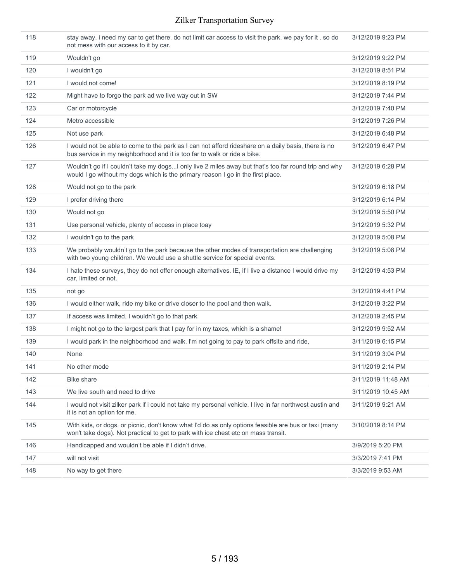| 118 | stay away. i need my car to get there. do not limit car access to visit the park. we pay for it . so do<br>not mess with our access to it by car.                                          | 3/12/2019 9:23 PM  |
|-----|--------------------------------------------------------------------------------------------------------------------------------------------------------------------------------------------|--------------------|
| 119 | Wouldn't go                                                                                                                                                                                | 3/12/2019 9:22 PM  |
| 120 | I wouldn't go                                                                                                                                                                              | 3/12/2019 8:51 PM  |
| 121 | I would not come!                                                                                                                                                                          | 3/12/2019 8:19 PM  |
| 122 | Might have to forgo the park ad we live way out in SW                                                                                                                                      | 3/12/2019 7:44 PM  |
| 123 | Car or motorcycle                                                                                                                                                                          | 3/12/2019 7:40 PM  |
| 124 | Metro accessible                                                                                                                                                                           | 3/12/2019 7:26 PM  |
| 125 | Not use park                                                                                                                                                                               | 3/12/2019 6:48 PM  |
| 126 | I would not be able to come to the park as I can not afford rideshare on a daily basis, there is no<br>bus service in my neighborhood and it is too far to walk or ride a bike.            | 3/12/2019 6:47 PM  |
| 127 | Wouldn't go if I couldn't take my dogsI only live 2 miles away but that's too far round trip and why<br>would I go without my dogs which is the primary reason I go in the first place.    | 3/12/2019 6:28 PM  |
| 128 | Would not go to the park                                                                                                                                                                   | 3/12/2019 6:18 PM  |
| 129 | I prefer driving there                                                                                                                                                                     | 3/12/2019 6:14 PM  |
| 130 | Would not go                                                                                                                                                                               | 3/12/2019 5:50 PM  |
| 131 | Use personal vehicle, plenty of access in place toay                                                                                                                                       | 3/12/2019 5:32 PM  |
| 132 | I wouldn't go to the park                                                                                                                                                                  | 3/12/2019 5:08 PM  |
| 133 | We probably wouldn't go to the park because the other modes of transportation are challenging<br>with two young children. We would use a shuttle service for special events.               | 3/12/2019 5:08 PM  |
| 134 | I hate these surveys, they do not offer enough alternatives. IE, if I live a distance I would drive my<br>car, limited or not.                                                             | 3/12/2019 4:53 PM  |
| 135 | not go                                                                                                                                                                                     | 3/12/2019 4:41 PM  |
| 136 | I would either walk, ride my bike or drive closer to the pool and then walk.                                                                                                               | 3/12/2019 3:22 PM  |
| 137 | If access was limited, I wouldn't go to that park.                                                                                                                                         | 3/12/2019 2:45 PM  |
| 138 | I might not go to the largest park that I pay for in my taxes, which is a shame!                                                                                                           | 3/12/2019 9:52 AM  |
| 139 | I would park in the neighborhood and walk. I'm not going to pay to park offsite and ride,                                                                                                  | 3/11/2019 6:15 PM  |
| 140 | None                                                                                                                                                                                       | 3/11/2019 3:04 PM  |
| 141 | No other mode                                                                                                                                                                              | 3/11/2019 2:14 PM  |
| 142 | <b>Bike share</b>                                                                                                                                                                          | 3/11/2019 11:48 AM |
| 143 | We live south and need to drive                                                                                                                                                            | 3/11/2019 10:45 AM |
| 144 | I would not visit zilker park if i could not take my personal vehicle. I live in far northwest austin and<br>it is not an option for me.                                                   | 3/11/2019 9:21 AM  |
| 145 | With kids, or dogs, or picnic, don't know what I'd do as only options feasible are bus or taxi (many<br>won't take dogs). Not practical to get to park with ice chest etc on mass transit. | 3/10/2019 8:14 PM  |
| 146 | Handicapped and wouldn't be able if I didn't drive.                                                                                                                                        | 3/9/2019 5:20 PM   |
| 147 | will not visit                                                                                                                                                                             | 3/3/2019 7:41 PM   |
| 148 | No way to get there                                                                                                                                                                        | 3/3/2019 9:53 AM   |
|     |                                                                                                                                                                                            |                    |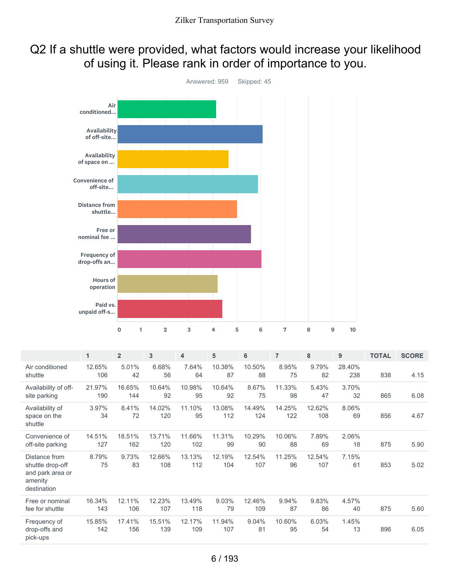## Q2 If a shuttle were provided, what factors would increase your likelihood of using it. Please rank in order of importance to you.



|                                                                                 | 1             | $\overline{2}$ | 3             | $\overline{4}$ | 5             | 6             | $\overline{7}$ | 8             | 9             | <b>TOTAL</b> | <b>SCORE</b> |
|---------------------------------------------------------------------------------|---------------|----------------|---------------|----------------|---------------|---------------|----------------|---------------|---------------|--------------|--------------|
| Air conditioned<br>shuttle                                                      | 12.65%<br>106 | 5.01%<br>42    | 6.68%<br>56   | 7.64%<br>64    | 10.38%<br>87  | 10.50%<br>88  | 8.95%<br>75    | 9.79%<br>82   | 28.40%<br>238 | 838          | 4.15         |
| Availability of off-<br>site parking                                            | 21.97%<br>190 | 16.65%<br>144  | 10.64%<br>92  | 10.98%<br>95   | 10.64%<br>92  | 8.67%<br>75   | 11.33%<br>98   | 5.43%<br>47   | 3.70%<br>32   | 865          | 6.08         |
| Availability of<br>space on the<br>shuttle                                      | 3.97%<br>34   | 8.41%<br>72    | 14.02%<br>120 | 11.10%<br>95   | 13.08%<br>112 | 14.49%<br>124 | 14.25%<br>122  | 12.62%<br>108 | 8.06%<br>69   | 856          | 4.67         |
| Convenience of<br>off-site parking                                              | 14.51%<br>127 | 18.51%<br>162  | 13.71%<br>120 | 11.66%<br>102  | 11.31%<br>99  | 10.29%<br>90  | 10.06%<br>88   | 7.89%<br>69   | 2.06%<br>18   | 875          | 5.90         |
| Distance from<br>shuttle drop-off<br>and park area or<br>amenity<br>destination | 8.79%<br>75   | 9.73%<br>83    | 12.66%<br>108 | 13.13%<br>112  | 12.19%<br>104 | 12.54%<br>107 | 11.25%<br>96   | 12.54%<br>107 | 7.15%<br>61   | 853          | 5.02         |
| Free or nominal<br>fee for shuttle                                              | 16.34%<br>143 | 12.11%<br>106  | 12.23%<br>107 | 13.49%<br>118  | 9.03%<br>79   | 12.46%<br>109 | 9.94%<br>87    | 9.83%<br>86   | 4.57%<br>40   | 875          | 5.60         |
| Frequency of<br>drop-offs and<br>pick-ups                                       | 15.85%<br>142 | 17.41%<br>156  | 15.51%<br>139 | 12.17%<br>109  | 11.94%<br>107 | 9.04%<br>81   | 10.60%<br>95   | 6.03%<br>54   | 1.45%<br>13   | 896          | 6.05         |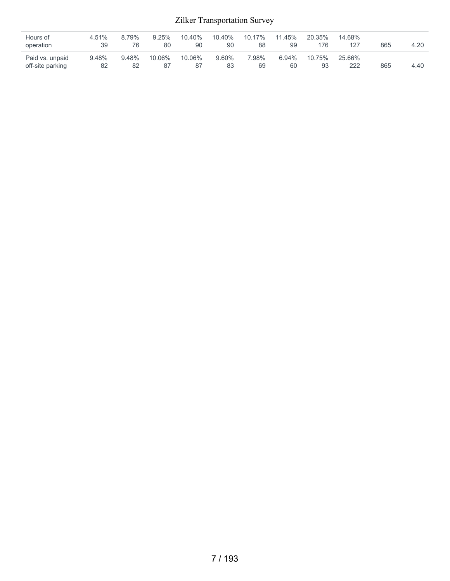| Hours of<br>operation               | 4.51%<br>39 | 8.79%<br>76 | 9.25%<br>80  | 10.40%<br>90 | 10.40%<br>90 | 10.17%<br>88 | 11.45%<br>99   | 20.35%<br>176 | 14.68%<br>127 | 865 | 4.20 |
|-------------------------------------|-------------|-------------|--------------|--------------|--------------|--------------|----------------|---------------|---------------|-----|------|
| Paid vs. unpaid<br>off-site parking | 9.48%<br>82 | 9.48%<br>82 | 10.06%<br>87 | 10.06%<br>87 | 9.60%<br>83  | 7.98%<br>69  | $6.94\%$<br>60 | 10.75%<br>93  | 25.66%<br>222 | 865 | 4.40 |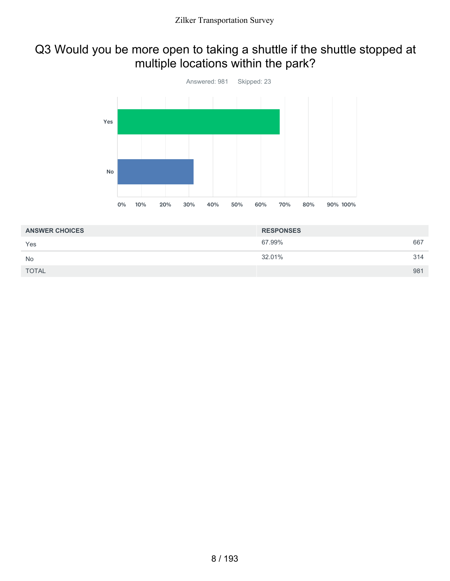# Q3 Would you be more open to taking a shuttle if the shuttle stopped at multiple locations within the park?



| <b>ANSWER CHOICES</b> | <b>RESPONSES</b> |     |
|-----------------------|------------------|-----|
| Yes                   | 67.99%           | 667 |
| <b>No</b>             | 32.01%           | 314 |
| <b>TOTAL</b>          |                  | 981 |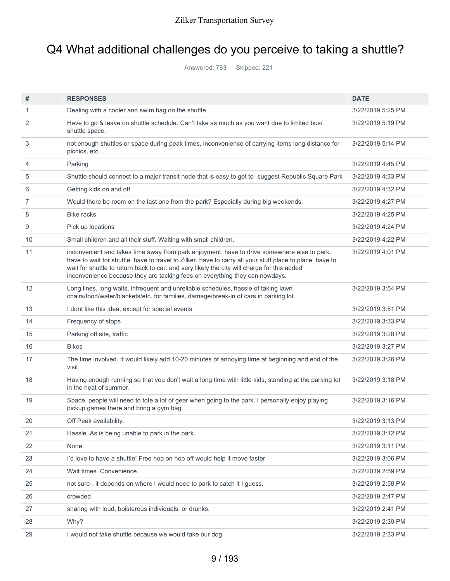# Q4 What additional challenges do you perceive to taking a shuttle?

Answered: 783 Skipped: 221

| #  | <b>RESPONSES</b>                                                                                                                                                                                                                                                                                                                                                                      | <b>DATE</b>       |
|----|---------------------------------------------------------------------------------------------------------------------------------------------------------------------------------------------------------------------------------------------------------------------------------------------------------------------------------------------------------------------------------------|-------------------|
| 1  | Dealing with a cooler and swim bag on the shuttle                                                                                                                                                                                                                                                                                                                                     | 3/22/2019 5:25 PM |
| 2  | Have to go & leave on shuttle schedule. Can't take as much as you want due to limited bus/<br>shuttle space.                                                                                                                                                                                                                                                                          | 3/22/2019 5:19 PM |
| 3  | not enough shuttles or space during peak times, inconvenience of carrying items long distance for<br>picnics, etc                                                                                                                                                                                                                                                                     | 3/22/2019 5:14 PM |
| 4  | Parking                                                                                                                                                                                                                                                                                                                                                                               | 3/22/2019 4:45 PM |
| 5  | Shuttle should connect to a major transit node that is easy to get to- suggest Republic Square Park                                                                                                                                                                                                                                                                                   | 3/22/2019 4:33 PM |
| 6  | Getting kids on and off                                                                                                                                                                                                                                                                                                                                                               | 3/22/2019 4:32 PM |
| 7  | Would there be room on the last one from the park? Especially during big weekends.                                                                                                                                                                                                                                                                                                    | 3/22/2019 4:27 PM |
| 8  | <b>Bike racks</b>                                                                                                                                                                                                                                                                                                                                                                     | 3/22/2019 4:25 PM |
| 9  | Pick up locations                                                                                                                                                                                                                                                                                                                                                                     | 3/22/2019 4:24 PM |
| 10 | Small children and all their stuff. Waiting with small children.                                                                                                                                                                                                                                                                                                                      | 3/22/2019 4:22 PM |
| 11 | inconvenient and takes time away from park enjoyment. have to drive somewhere else to park.<br>have to wait for shuttle. have to travel to Zilker. have to carry all your stuff place to place. have to<br>wait for shuttle to return back to car. and very likely the city will charge for this added<br>inconvenience because they are tacking fees on everything they can nowdays. | 3/22/2019 4:01 PM |
| 12 | Long lines, long waits, infrequent and unreliable schedules, hassle of taking lawn<br>chairs/food/water/blankets/etc. for families, damage/break-in of cars in parking lot.                                                                                                                                                                                                           | 3/22/2019 3:54 PM |
| 13 | I dont like this idea, except for special events                                                                                                                                                                                                                                                                                                                                      | 3/22/2019 3:51 PM |
| 14 | Frequency of stops                                                                                                                                                                                                                                                                                                                                                                    | 3/22/2019 3:33 PM |
| 15 | Parking off site, traffic                                                                                                                                                                                                                                                                                                                                                             | 3/22/2019 3:28 PM |
| 16 | <b>Bikes</b>                                                                                                                                                                                                                                                                                                                                                                          | 3/22/2019 3:27 PM |
| 17 | The time involved. It would likely add 10-20 minutes of annoying time at beginning and end of the<br>visit                                                                                                                                                                                                                                                                            | 3/22/2019 3:26 PM |
| 18 | Having enough running so that you don't wait a long time with little kids, standing at the parking lot<br>in the heat of summer.                                                                                                                                                                                                                                                      | 3/22/2019 3:18 PM |
| 19 | Space, people will need to tote a lot of gear when going to the park. I personally enjoy playing<br>pickup games there and bring a gym bag.                                                                                                                                                                                                                                           | 3/22/2019 3:16 PM |
| 20 | Off Peak availability.                                                                                                                                                                                                                                                                                                                                                                | 3/22/2019 3:13 PM |
| 21 | Hassle. As is being unable to park in the park.                                                                                                                                                                                                                                                                                                                                       | 3/22/2019 3:12 PM |
| 22 | None                                                                                                                                                                                                                                                                                                                                                                                  | 3/22/2019 3:11 PM |
| 23 | I'd love to have a shuttle! Free hop on hop off would help it move faster                                                                                                                                                                                                                                                                                                             | 3/22/2019 3:06 PM |
| 24 | Wait times. Convenience.                                                                                                                                                                                                                                                                                                                                                              | 3/22/2019 2:59 PM |
| 25 | not sure - it depends on where I would need to park to catch it I guess.                                                                                                                                                                                                                                                                                                              | 3/22/2019 2:58 PM |
| 26 | crowded                                                                                                                                                                                                                                                                                                                                                                               | 3/22/2019 2:47 PM |
| 27 | sharing with loud, boisterous individuals, or drunks.                                                                                                                                                                                                                                                                                                                                 | 3/22/2019 2:41 PM |
| 28 | Why?                                                                                                                                                                                                                                                                                                                                                                                  | 3/22/2019 2:39 PM |
| 29 | I would not take shuttle because we would take our dog                                                                                                                                                                                                                                                                                                                                | 3/22/2019 2:33 PM |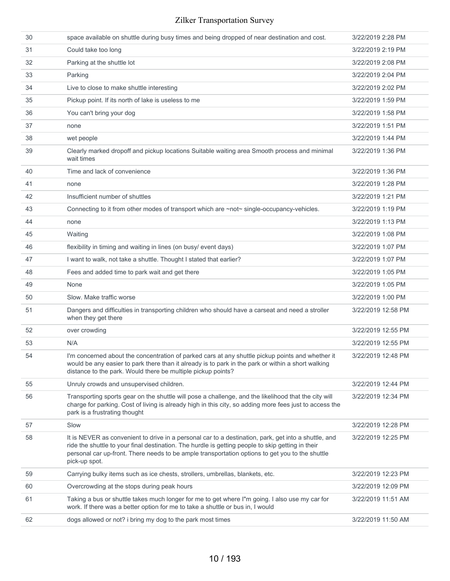| 30 | space available on shuttle during busy times and being dropped of near destination and cost.                                                                                                                                                                                                                                  | 3/22/2019 2:28 PM  |
|----|-------------------------------------------------------------------------------------------------------------------------------------------------------------------------------------------------------------------------------------------------------------------------------------------------------------------------------|--------------------|
| 31 | Could take too long                                                                                                                                                                                                                                                                                                           | 3/22/2019 2:19 PM  |
| 32 | Parking at the shuttle lot                                                                                                                                                                                                                                                                                                    | 3/22/2019 2:08 PM  |
| 33 | Parking                                                                                                                                                                                                                                                                                                                       | 3/22/2019 2:04 PM  |
| 34 | Live to close to make shuttle interesting                                                                                                                                                                                                                                                                                     | 3/22/2019 2:02 PM  |
| 35 | Pickup point. If its north of lake is useless to me                                                                                                                                                                                                                                                                           | 3/22/2019 1:59 PM  |
| 36 | You can't bring your dog                                                                                                                                                                                                                                                                                                      | 3/22/2019 1:58 PM  |
| 37 | none                                                                                                                                                                                                                                                                                                                          | 3/22/2019 1:51 PM  |
| 38 | wet people                                                                                                                                                                                                                                                                                                                    | 3/22/2019 1:44 PM  |
| 39 | Clearly marked dropoff and pickup locations Suitable waiting area Smooth process and minimal<br>wait times                                                                                                                                                                                                                    | 3/22/2019 1:36 PM  |
| 40 | Time and lack of convenience                                                                                                                                                                                                                                                                                                  | 3/22/2019 1:36 PM  |
| 41 | none                                                                                                                                                                                                                                                                                                                          | 3/22/2019 1:28 PM  |
| 42 | Insufficient number of shuttles                                                                                                                                                                                                                                                                                               | 3/22/2019 1:21 PM  |
| 43 | Connecting to it from other modes of transport which are ~not~ single-occupancy-vehicles.                                                                                                                                                                                                                                     | 3/22/2019 1:19 PM  |
| 44 | none                                                                                                                                                                                                                                                                                                                          | 3/22/2019 1:13 PM  |
| 45 | Waiting                                                                                                                                                                                                                                                                                                                       | 3/22/2019 1:08 PM  |
| 46 | flexibility in timing and waiting in lines (on busy/ event days)                                                                                                                                                                                                                                                              | 3/22/2019 1:07 PM  |
| 47 | I want to walk, not take a shuttle. Thought I stated that earlier?                                                                                                                                                                                                                                                            | 3/22/2019 1:07 PM  |
| 48 | Fees and added time to park wait and get there                                                                                                                                                                                                                                                                                | 3/22/2019 1:05 PM  |
| 49 | None                                                                                                                                                                                                                                                                                                                          | 3/22/2019 1:05 PM  |
| 50 | Slow. Make traffic worse                                                                                                                                                                                                                                                                                                      | 3/22/2019 1:00 PM  |
| 51 | Dangers and difficulties in transporting children who should have a carseat and need a stroller<br>when they get there                                                                                                                                                                                                        | 3/22/2019 12:58 PM |
| 52 | over crowding                                                                                                                                                                                                                                                                                                                 | 3/22/2019 12:55 PM |
| 53 | N/A                                                                                                                                                                                                                                                                                                                           | 3/22/2019 12:55 PM |
| 54 | I'm concerned about the concentration of parked cars at any shuttle pickup points and whether it<br>would be any easier to park there than it already is to park in the park or within a short walking<br>distance to the park. Would there be multiple pickup points?                                                        | 3/22/2019 12:48 PM |
| 55 | Unruly crowds and unsupervised children.                                                                                                                                                                                                                                                                                      | 3/22/2019 12:44 PM |
| 56 | Transporting sports gear on the shuttle will pose a challenge, and the likelihood that the city will<br>charge for parking. Cost of living is already high in this city, so adding more fees just to access the<br>park is a frustrating thought                                                                              | 3/22/2019 12:34 PM |
| 57 | Slow                                                                                                                                                                                                                                                                                                                          | 3/22/2019 12:28 PM |
| 58 | It is NEVER as convenient to drive in a personal car to a destination, park, get into a shuttle, and<br>ride the shuttle to your final destination. The hurdle is getting people to skip getting in their<br>personal car up-front. There needs to be ample transportation options to get you to the shuttle<br>pick-up spot. | 3/22/2019 12:25 PM |
| 59 | Carrying bulky items such as ice chests, strollers, umbrellas, blankets, etc.                                                                                                                                                                                                                                                 | 3/22/2019 12:23 PM |
| 60 | Overcrowding at the stops during peak hours                                                                                                                                                                                                                                                                                   | 3/22/2019 12:09 PM |
| 61 | Taking a bus or shuttle takes much longer for me to get where I"m going. I also use my car for<br>work. If there was a better option for me to take a shuttle or bus in, I would                                                                                                                                              | 3/22/2019 11:51 AM |
| 62 | dogs allowed or not? i bring my dog to the park most times                                                                                                                                                                                                                                                                    | 3/22/2019 11:50 AM |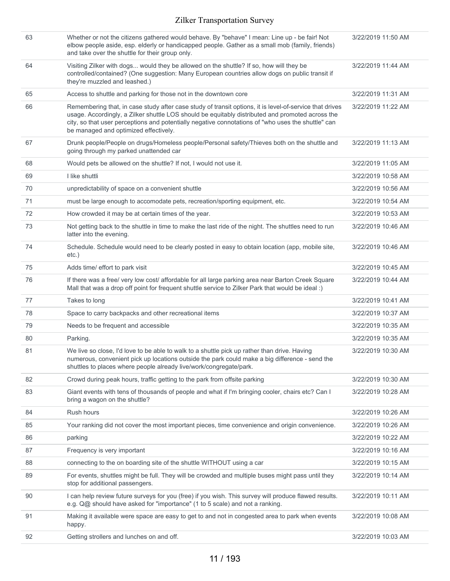| 63 | Whether or not the citizens gathered would behave. By "behave" I mean: Line up - be fair! Not<br>elbow people aside, esp. elderly or handicapped people. Gather as a small mob (family, friends)<br>and take over the shuttle for their group only.                                                                                                        | 3/22/2019 11:50 AM |
|----|------------------------------------------------------------------------------------------------------------------------------------------------------------------------------------------------------------------------------------------------------------------------------------------------------------------------------------------------------------|--------------------|
| 64 | Visiting Zilker with dogs would they be allowed on the shuttle? If so, how will they be<br>controlled/contained? (One suggestion: Many European countries allow dogs on public transit if<br>they're muzzled and leashed.)                                                                                                                                 | 3/22/2019 11:44 AM |
| 65 | Access to shuttle and parking for those not in the downtown core                                                                                                                                                                                                                                                                                           | 3/22/2019 11:31 AM |
| 66 | Remembering that, in case study after case study of transit options, it is level-of-service that drives<br>usage. Accordingly, a Zilker shuttle LOS should be equitably distributed and promoted across the<br>city, so that user perceptions and potentially negative connotations of "who uses the shuttle" can<br>be managed and optimized effectively. | 3/22/2019 11:22 AM |
| 67 | Drunk people/People on drugs/Homeless people/Personal safety/Thieves both on the shuttle and<br>going through my parked unattended car                                                                                                                                                                                                                     | 3/22/2019 11:13 AM |
| 68 | Would pets be allowed on the shuttle? If not, I would not use it.                                                                                                                                                                                                                                                                                          | 3/22/2019 11:05 AM |
| 69 | I like shuttli                                                                                                                                                                                                                                                                                                                                             | 3/22/2019 10:58 AM |
| 70 | unpredictability of space on a convenient shuttle                                                                                                                                                                                                                                                                                                          | 3/22/2019 10:56 AM |
| 71 | must be large enough to accomodate pets, recreation/sporting equipment, etc.                                                                                                                                                                                                                                                                               | 3/22/2019 10:54 AM |
| 72 | How crowded it may be at certain times of the year.                                                                                                                                                                                                                                                                                                        | 3/22/2019 10:53 AM |
| 73 | Not getting back to the shuttle in time to make the last ride of the night. The shuttles need to run<br>latter into the evening.                                                                                                                                                                                                                           | 3/22/2019 10:46 AM |
| 74 | Schedule. Schedule would need to be clearly posted in easy to obtain location (app, mobile site,<br>etc.)                                                                                                                                                                                                                                                  | 3/22/2019 10:46 AM |
| 75 | Adds time/ effort to park visit                                                                                                                                                                                                                                                                                                                            | 3/22/2019 10:45 AM |
| 76 | If there was a free/ very low cost/ affordable for all large parking area near Barton Creek Square<br>Mall that was a drop off point for frequent shuttle service to Zilker Park that would be ideal :)                                                                                                                                                    | 3/22/2019 10:44 AM |
| 77 | Takes to long                                                                                                                                                                                                                                                                                                                                              | 3/22/2019 10:41 AM |
| 78 | Space to carry backpacks and other recreational items                                                                                                                                                                                                                                                                                                      | 3/22/2019 10:37 AM |
| 79 | Needs to be frequent and accessible                                                                                                                                                                                                                                                                                                                        | 3/22/2019 10:35 AM |
| 80 | Parking.                                                                                                                                                                                                                                                                                                                                                   | 3/22/2019 10:35 AM |
| 81 | We live so close, I'd love to be able to walk to a shuttle pick up rather than drive. Having<br>numerous, convenient pick up locations outside the park could make a big difference - send the<br>shuttles to places where people already live/work/congregate/park.                                                                                       | 3/22/2019 10:30 AM |
| 82 | Crowd during peak hours, traffic getting to the park from offsite parking                                                                                                                                                                                                                                                                                  | 3/22/2019 10:30 AM |
| 83 | Giant events with tens of thousands of people and what if I'm bringing cooler, chairs etc? Can I<br>bring a wagon on the shuttle?                                                                                                                                                                                                                          | 3/22/2019 10:28 AM |
| 84 | Rush hours                                                                                                                                                                                                                                                                                                                                                 | 3/22/2019 10:26 AM |
| 85 | Your ranking did not cover the most important pieces, time convenience and origin convenience.                                                                                                                                                                                                                                                             | 3/22/2019 10:26 AM |
| 86 | parking                                                                                                                                                                                                                                                                                                                                                    | 3/22/2019 10:22 AM |
| 87 | Frequency is very important                                                                                                                                                                                                                                                                                                                                | 3/22/2019 10:16 AM |
| 88 | connecting to the on boarding site of the shuttle WITHOUT using a car                                                                                                                                                                                                                                                                                      | 3/22/2019 10:15 AM |
| 89 | For events, shuttles might be full. They will be crowded and multiple buses might pass until they<br>stop for additional passengers.                                                                                                                                                                                                                       | 3/22/2019 10:14 AM |
| 90 | I can help review future surveys for you (free) if you wish. This survey will produce flawed results.<br>e.g. Q@ should have asked for "importance" (1 to 5 scale) and not a ranking.                                                                                                                                                                      | 3/22/2019 10:11 AM |
| 91 | Making it available were space are easy to get to and not in congested area to park when events<br>happy.                                                                                                                                                                                                                                                  | 3/22/2019 10:08 AM |
| 92 | Getting strollers and lunches on and off.                                                                                                                                                                                                                                                                                                                  | 3/22/2019 10:03 AM |
|    |                                                                                                                                                                                                                                                                                                                                                            |                    |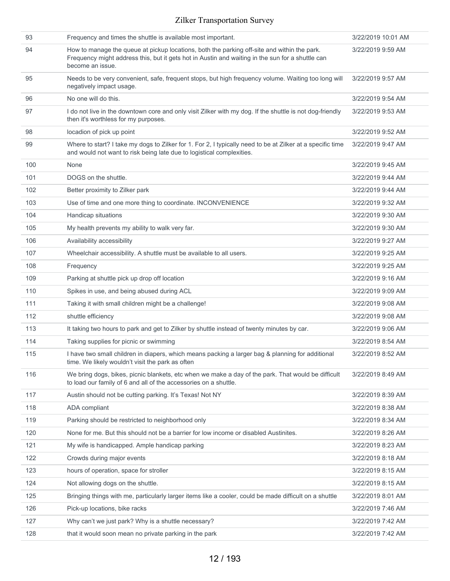| 93  | Frequency and times the shuttle is available most important.                                                                                                                                                        | 3/22/2019 10:01 AM |
|-----|---------------------------------------------------------------------------------------------------------------------------------------------------------------------------------------------------------------------|--------------------|
| 94  | How to manage the queue at pickup locations, both the parking off-site and within the park.<br>Frequency might address this, but it gets hot in Austin and waiting in the sun for a shuttle can<br>become an issue. | 3/22/2019 9:59 AM  |
| 95  | Needs to be very convenient, safe, frequent stops, but high frequency volume. Waiting too long will<br>negatively impact usage.                                                                                     | 3/22/2019 9:57 AM  |
| 96  | No one will do this.                                                                                                                                                                                                | 3/22/2019 9:54 AM  |
| 97  | I do not live in the downtown core and only visit Zilker with my dog. If the shuttle is not dog-friendly<br>then it's worthless for my purposes.                                                                    | 3/22/2019 9:53 AM  |
| 98  | locadion of pick up point                                                                                                                                                                                           | 3/22/2019 9:52 AM  |
| 99  | Where to start? I take my dogs to Zilker for 1. For 2, I typically need to be at Zilker at a specific time<br>and would not want to risk being late due to logistical complexities.                                 | 3/22/2019 9:47 AM  |
| 100 | None                                                                                                                                                                                                                | 3/22/2019 9:45 AM  |
| 101 | DOGS on the shuttle.                                                                                                                                                                                                | 3/22/2019 9:44 AM  |
| 102 | Better proximity to Zilker park                                                                                                                                                                                     | 3/22/2019 9:44 AM  |
| 103 | Use of time and one more thing to coordinate. INCONVENIENCE                                                                                                                                                         | 3/22/2019 9:32 AM  |
| 104 | Handicap situations                                                                                                                                                                                                 | 3/22/2019 9:30 AM  |
| 105 | My health prevents my ability to walk very far.                                                                                                                                                                     | 3/22/2019 9:30 AM  |
| 106 | Availability accessibility                                                                                                                                                                                          | 3/22/2019 9:27 AM  |
| 107 | Wheelchair accessibility. A shuttle must be available to all users.                                                                                                                                                 | 3/22/2019 9:25 AM  |
| 108 | Frequency                                                                                                                                                                                                           | 3/22/2019 9:25 AM  |
| 109 | Parking at shuttle pick up drop off location                                                                                                                                                                        | 3/22/2019 9:16 AM  |
| 110 | Spikes in use, and being abused during ACL                                                                                                                                                                          | 3/22/2019 9:09 AM  |
| 111 | Taking it with small children might be a challenge!                                                                                                                                                                 | 3/22/2019 9:08 AM  |
| 112 | shuttle efficiency                                                                                                                                                                                                  | 3/22/2019 9:08 AM  |
| 113 | It taking two hours to park and get to Zilker by shuttle instead of twenty minutes by car.                                                                                                                          | 3/22/2019 9:06 AM  |
| 114 | Taking supplies for picnic or swimming                                                                                                                                                                              | 3/22/2019 8:54 AM  |
| 115 | I have two small children in diapers, which means packing a larger bag & planning for additional<br>time. We likely wouldn't visit the park as often                                                                | 3/22/2019 8:52 AM  |
| 116 | We bring dogs, bikes, picnic blankets, etc when we make a day of the park. That would be difficult<br>to load our family of 6 and all of the accessories on a shuttle.                                              | 3/22/2019 8:49 AM  |
| 117 | Austin should not be cutting parking. It's Texas! Not NY                                                                                                                                                            | 3/22/2019 8:39 AM  |
| 118 | ADA compliant                                                                                                                                                                                                       | 3/22/2019 8:38 AM  |
| 119 | Parking should be restricted to neighborhood only                                                                                                                                                                   | 3/22/2019 8:34 AM  |
| 120 | None for me. But this should not be a barrier for low income or disabled Austinites.                                                                                                                                | 3/22/2019 8:26 AM  |
| 121 | My wife is handicapped. Ample handicap parking                                                                                                                                                                      | 3/22/2019 8:23 AM  |
| 122 | Crowds during major events                                                                                                                                                                                          | 3/22/2019 8:18 AM  |
| 123 | hours of operation, space for stroller                                                                                                                                                                              | 3/22/2019 8:15 AM  |
| 124 | Not allowing dogs on the shuttle.                                                                                                                                                                                   | 3/22/2019 8:15 AM  |
| 125 | Bringing things with me, particularly larger items like a cooler, could be made difficult on a shuttle                                                                                                              | 3/22/2019 8:01 AM  |
| 126 | Pick-up locations, bike racks                                                                                                                                                                                       | 3/22/2019 7:46 AM  |
| 127 | Why can't we just park? Why is a shuttle necessary?                                                                                                                                                                 | 3/22/2019 7:42 AM  |
| 128 | that it would soon mean no private parking in the park                                                                                                                                                              | 3/22/2019 7:42 AM  |
|     |                                                                                                                                                                                                                     |                    |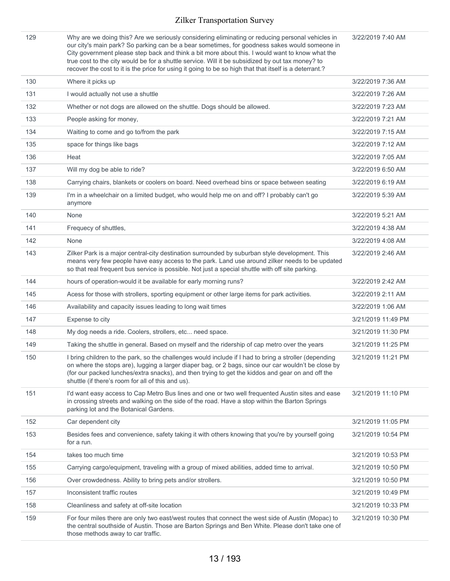129 Why are we doing this? Are we seriously considering eliminating or reducing personal vehicles in our city's main park? So parking can be a bear sometimes, for goodness sakes would someone in City government please step back and think a bit more about this. I would want to know what the true cost to the city would be for a shuttle service. Will it be subsidized by out tax money? to recover the cost to it is the price for using it going to be so high that that itself is a deterrant.

3/22/2019 7:40 AM

|     | TECOVET THE COST TO IT IS THE PHICE TOF USING IT GOING TO DE SO HIGH THAT THAT ITSELF IS A GETERING.                                                                                                                                                                                                                                                                  |                    |
|-----|-----------------------------------------------------------------------------------------------------------------------------------------------------------------------------------------------------------------------------------------------------------------------------------------------------------------------------------------------------------------------|--------------------|
| 130 | Where it picks up                                                                                                                                                                                                                                                                                                                                                     | 3/22/2019 7:36 AM  |
| 131 | I would actually not use a shuttle                                                                                                                                                                                                                                                                                                                                    | 3/22/2019 7:26 AM  |
| 132 | Whether or not dogs are allowed on the shuttle. Dogs should be allowed.                                                                                                                                                                                                                                                                                               | 3/22/2019 7:23 AM  |
| 133 | People asking for money,                                                                                                                                                                                                                                                                                                                                              | 3/22/2019 7:21 AM  |
| 134 | Waiting to come and go to/from the park                                                                                                                                                                                                                                                                                                                               | 3/22/2019 7:15 AM  |
| 135 | space for things like bags                                                                                                                                                                                                                                                                                                                                            | 3/22/2019 7:12 AM  |
| 136 | Heat                                                                                                                                                                                                                                                                                                                                                                  | 3/22/2019 7:05 AM  |
| 137 | Will my dog be able to ride?                                                                                                                                                                                                                                                                                                                                          | 3/22/2019 6:50 AM  |
| 138 | Carrying chairs, blankets or coolers on board. Need overhead bins or space between seating                                                                                                                                                                                                                                                                            | 3/22/2019 6:19 AM  |
| 139 | I'm in a wheelchair on a limited budget, who would help me on and off? I probably can't go<br>anymore                                                                                                                                                                                                                                                                 | 3/22/2019 5:39 AM  |
| 140 | None                                                                                                                                                                                                                                                                                                                                                                  | 3/22/2019 5:21 AM  |
| 141 | Frequecy of shuttles,                                                                                                                                                                                                                                                                                                                                                 | 3/22/2019 4:38 AM  |
| 142 | None                                                                                                                                                                                                                                                                                                                                                                  | 3/22/2019 4:08 AM  |
| 143 | Zilker Park is a major central-city destination surrounded by suburban style development. This<br>means very few people have easy access to the park. Land use around zilker needs to be updated<br>so that real frequent bus service is possible. Not just a special shuttle with off site parking.                                                                  | 3/22/2019 2:46 AM  |
| 144 | hours of operation-would it be available for early morning runs?                                                                                                                                                                                                                                                                                                      | 3/22/2019 2:42 AM  |
| 145 | Acess for those with strollers, sporting equipment or other large items for park activities.                                                                                                                                                                                                                                                                          | 3/22/2019 2:11 AM  |
| 146 | Availability and capacity issues leading to long wait times                                                                                                                                                                                                                                                                                                           | 3/22/2019 1:06 AM  |
| 147 | Expense to city                                                                                                                                                                                                                                                                                                                                                       | 3/21/2019 11:49 PM |
| 148 | My dog needs a ride. Coolers, strollers, etc need space.                                                                                                                                                                                                                                                                                                              | 3/21/2019 11:30 PM |
| 149 | Taking the shuttle in general. Based on myself and the ridership of cap metro over the years                                                                                                                                                                                                                                                                          | 3/21/2019 11:25 PM |
| 150 | I bring children to the park, so the challenges would include if I had to bring a stroller (depending<br>on where the stops are), lugging a larger diaper bag, or 2 bags, since our car wouldn't be close by<br>(for our packed lunches/extra snacks), and then trying to get the kiddos and gear on and off the<br>shuttle (if there's room for all of this and us). | 3/21/2019 11:21 PM |
| 151 | I'd want easy access to Cap Metro Bus lines and one or two well frequented Austin sites and ease<br>in crossing streets and walking on the side of the road. Have a stop within the Barton Springs<br>parking lot and the Botanical Gardens.                                                                                                                          | 3/21/2019 11:10 PM |
| 152 | Car dependent city                                                                                                                                                                                                                                                                                                                                                    | 3/21/2019 11:05 PM |
| 153 | Besides fees and convenience, safety taking it with others knowing that you're by yourself going<br>for a run.                                                                                                                                                                                                                                                        | 3/21/2019 10:54 PM |
| 154 | takes too much time                                                                                                                                                                                                                                                                                                                                                   | 3/21/2019 10:53 PM |
| 155 | Carrying cargo/equipment, traveling with a group of mixed abilities, added time to arrival.                                                                                                                                                                                                                                                                           | 3/21/2019 10:50 PM |
| 156 | Over crowdedness. Ability to bring pets and/or strollers.                                                                                                                                                                                                                                                                                                             | 3/21/2019 10:50 PM |
| 157 | Inconsistent traffic routes                                                                                                                                                                                                                                                                                                                                           | 3/21/2019 10:49 PM |
| 158 | Cleanliness and safety at off-site location                                                                                                                                                                                                                                                                                                                           | 3/21/2019 10:33 PM |
| 159 | For four miles there are only two east/west routes that connect the west side of Austin (Mopac) to<br>the central southside of Austin. Those are Barton Springs and Ben White. Please don't take one of<br>those methods away to car traffic.                                                                                                                         | 3/21/2019 10:30 PM |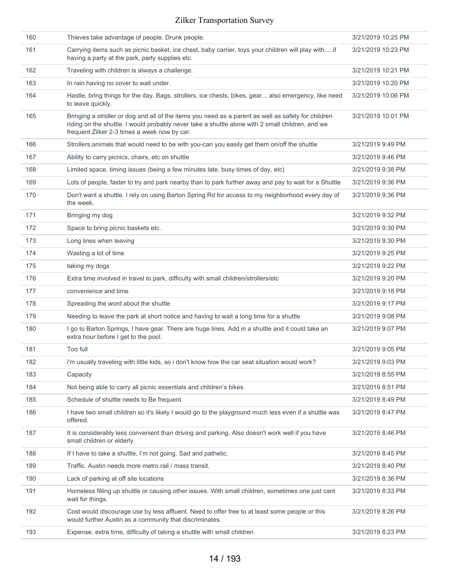| 160 | Thieves take advantage of people. Drunk people.                                                                                                                                                                                                         | 3/21/2019 10:25 PM |
|-----|---------------------------------------------------------------------------------------------------------------------------------------------------------------------------------------------------------------------------------------------------------|--------------------|
| 161 | Carrying items such as picnic basket, ice chest, baby carrier, toys your children will play withif<br>having a party at the park, party supplies etc.                                                                                                   | 3/21/2019 10:23 PM |
| 162 | Traveling with children is always a challenge.                                                                                                                                                                                                          | 3/21/2019 10:21 PM |
| 163 | In rain having no cover to wait under.                                                                                                                                                                                                                  | 3/21/2019 10:20 PM |
| 164 | Hastle, bring things for the day. Bags, strollers, ice chests, bikes, gear also emergency, like need<br>to leave quickly.                                                                                                                               | 3/21/2019 10:06 PM |
| 165 | Bringing a stroller or dog and all of the items you need as a parent as well as safety for children<br>riding on the shuttle. I would probably never take a shuttle alone with 2 small children, and we<br>frequent Zilker 2-3 times a week now by car. | 3/21/2019 10:01 PM |
| 166 | Strollers, animals that would need to be with you-can you easily get them on/off the shuttle                                                                                                                                                            | 3/21/2019 9:49 PM  |
| 167 | Ability to carry picnics, chairs, etc on shuttle                                                                                                                                                                                                        | 3/21/2019 9:46 PM  |
| 168 | Limited space, timing issues (being a few minutes late, busy times of day, etc)                                                                                                                                                                         | 3/21/2019 9:38 PM  |
| 169 | Lots of people, faster to try and park nearby than to park further away and pay to wait for a Shuttle                                                                                                                                                   | 3/21/2019 9:36 PM  |
| 170 | Don't want a shuttle. I rely on using Barton Spring Rd for access to my neighborhood every day of<br>the week.                                                                                                                                          | 3/21/2019 9:36 PM  |
| 171 | Bringing my dog                                                                                                                                                                                                                                         | 3/21/2019 9:32 PM  |
| 172 | Space to bring picnic baskets etc.                                                                                                                                                                                                                      | 3/21/2019 9:30 PM  |
| 173 | Long lines when leaving                                                                                                                                                                                                                                 | 3/21/2019 9:30 PM  |
| 174 | Wasting a lot of time                                                                                                                                                                                                                                   | 3/21/2019 9:25 PM  |
| 175 | taking my dogs                                                                                                                                                                                                                                          | 3/21/2019 9:22 PM  |
| 176 | Extra time involved in travel to park, difficulty with small children/strollers/etc                                                                                                                                                                     | 3/21/2019 9:20 PM  |
| 177 | convenience and time                                                                                                                                                                                                                                    | 3/21/2019 9:18 PM  |
| 178 | Spreading the word about the shuttle                                                                                                                                                                                                                    | 3/21/2019 9:17 PM  |
| 179 | Needing to leave the park at short notice and having to wait a long time for a shuttle                                                                                                                                                                  | 3/21/2019 9:08 PM  |
| 180 | I go to Barton Springs, I have gear. There are huge lines. Add in a shuttle and it could take an<br>extra hour before I get to the pool.                                                                                                                | 3/21/2019 9:07 PM  |
| 181 | Too full                                                                                                                                                                                                                                                | 3/21/2019 9:05 PM  |
| 182 | i'm usually traveling with little kids, so i don't know how the car seat situation would work?                                                                                                                                                          | 3/21/2019 9:03 PM  |
| 183 | Capacity                                                                                                                                                                                                                                                | 3/21/2019 8:55 PM  |
| 184 | Not being able to carry all picnic essentials and children's bikes.                                                                                                                                                                                     | 3/21/2019 8:51 PM  |
| 185 | Schedule of shuttle needs to Be frequent                                                                                                                                                                                                                | 3/21/2019 8:49 PM  |
| 186 | I have two small children so it's likely I would go to the playground much less even if a shuttle was<br>offered.                                                                                                                                       | 3/21/2019 8:47 PM  |
| 187 | It is considerably less convenient than driving and parking. Also doesn't work well if you have<br>small children or elderly.                                                                                                                           | 3/21/2019 8:46 PM  |
| 188 | If I have to take a shuttle, I'm not going. Sad and pathetic.                                                                                                                                                                                           | 3/21/2019 8:45 PM  |
| 189 | Traffic. Austin needs more metro rail / mass transit.                                                                                                                                                                                                   | 3/21/2019 8:40 PM  |
| 190 | Lack of parking at off site locations                                                                                                                                                                                                                   | 3/21/2019 8:36 PM  |
| 191 | Homeless filling up shuttle or causing other issues. With small children, sometimes one just cant<br>wait for things.                                                                                                                                   | 3/21/2019 8:33 PM  |
| 192 | Cost would discourage use by less affluent. Need to offer free to at least some people or this<br>would further Austin as a community that discriminates.                                                                                               | 3/21/2019 8:26 PM  |
| 193 | Expense, extra time, difficulty of taking a shuttle with small children                                                                                                                                                                                 | 3/21/2019 8:23 PM  |
|     |                                                                                                                                                                                                                                                         |                    |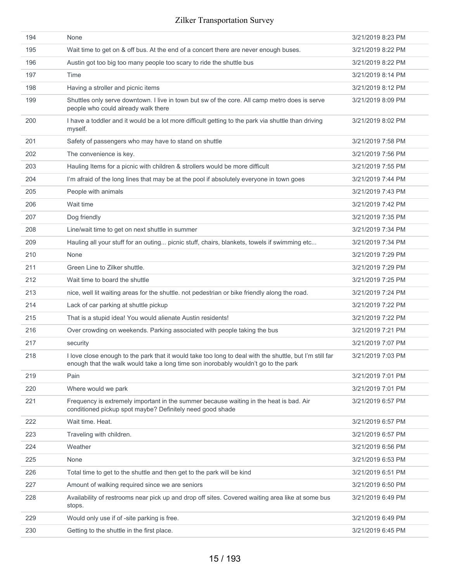| 194 | None                                                                                                                                                                                          | 3/21/2019 8:23 PM |
|-----|-----------------------------------------------------------------------------------------------------------------------------------------------------------------------------------------------|-------------------|
| 195 | Wait time to get on & off bus. At the end of a concert there are never enough buses.                                                                                                          | 3/21/2019 8:22 PM |
| 196 | Austin got too big too many people too scary to ride the shuttle bus                                                                                                                          | 3/21/2019 8:22 PM |
| 197 | Time                                                                                                                                                                                          | 3/21/2019 8:14 PM |
| 198 | Having a stroller and picnic items                                                                                                                                                            | 3/21/2019 8:12 PM |
| 199 | Shuttles only serve downtown. I live in town but sw of the core. All camp metro does is serve<br>people who could already walk there                                                          | 3/21/2019 8:09 PM |
| 200 | I have a toddler and it would be a lot more difficult getting to the park via shuttle than driving<br>myself.                                                                                 | 3/21/2019 8:02 PM |
| 201 | Safety of passengers who may have to stand on shuttle                                                                                                                                         | 3/21/2019 7:58 PM |
| 202 | The convenience is key.                                                                                                                                                                       | 3/21/2019 7:56 PM |
| 203 | Hauling Items for a picnic with children & strollers would be more difficult                                                                                                                  | 3/21/2019 7:55 PM |
| 204 | I'm afraid of the long lines that may be at the pool if absolutely everyone in town goes                                                                                                      | 3/21/2019 7:44 PM |
| 205 | People with animals                                                                                                                                                                           | 3/21/2019 7:43 PM |
| 206 | Wait time                                                                                                                                                                                     | 3/21/2019 7:42 PM |
| 207 | Dog friendly                                                                                                                                                                                  | 3/21/2019 7:35 PM |
| 208 | Line/wait time to get on next shuttle in summer                                                                                                                                               | 3/21/2019 7:34 PM |
| 209 | Hauling all your stuff for an outing picnic stuff, chairs, blankets, towels if swimming etc                                                                                                   | 3/21/2019 7:34 PM |
| 210 | None                                                                                                                                                                                          | 3/21/2019 7:29 PM |
| 211 | Green Line to Zilker shuttle.                                                                                                                                                                 | 3/21/2019 7:29 PM |
| 212 | Wait time to board the shuttle                                                                                                                                                                | 3/21/2019 7:25 PM |
| 213 | nice, well lit waiting areas for the shuttle. not pedestrian or bike friendly along the road.                                                                                                 | 3/21/2019 7:24 PM |
| 214 | Lack of car parking at shuttle pickup                                                                                                                                                         | 3/21/2019 7:22 PM |
| 215 | That is a stupid idea! You would alienate Austin residents!                                                                                                                                   | 3/21/2019 7:22 PM |
| 216 | Over crowding on weekends. Parking associated with people taking the bus                                                                                                                      | 3/21/2019 7:21 PM |
| 217 | security                                                                                                                                                                                      | 3/21/2019 7:07 PM |
| 218 | I love close enough to the park that it would take too long to deal with the shuttle, but I'm still far<br>enough that the walk would take a long time son inorobably wouldn't go to the park | 3/21/2019 7:03 PM |
| 219 | Pain                                                                                                                                                                                          | 3/21/2019 7:01 PM |
| 220 | Where would we park                                                                                                                                                                           | 3/21/2019 7:01 PM |
| 221 | Frequency is extremely important in the summer because waiting in the heat is bad. Air<br>conditioned pickup spot maybe? Definitely need good shade                                           | 3/21/2019 6:57 PM |
| 222 | Wait time. Heat.                                                                                                                                                                              | 3/21/2019 6:57 PM |
| 223 | Traveling with children.                                                                                                                                                                      | 3/21/2019 6:57 PM |
| 224 | Weather                                                                                                                                                                                       | 3/21/2019 6:56 PM |
| 225 | None                                                                                                                                                                                          | 3/21/2019 6:53 PM |
| 226 | Total time to get to the shuttle and then get to the park will be kind                                                                                                                        | 3/21/2019 6:51 PM |
| 227 | Amount of walking required since we are seniors                                                                                                                                               | 3/21/2019 6:50 PM |
| 228 | Availability of restrooms near pick up and drop off sites. Covered waiting area like at some bus<br>stops.                                                                                    | 3/21/2019 6:49 PM |
| 229 | Would only use if of -site parking is free.                                                                                                                                                   | 3/21/2019 6:49 PM |
| 230 | Getting to the shuttle in the first place.                                                                                                                                                    | 3/21/2019 6:45 PM |
|     |                                                                                                                                                                                               |                   |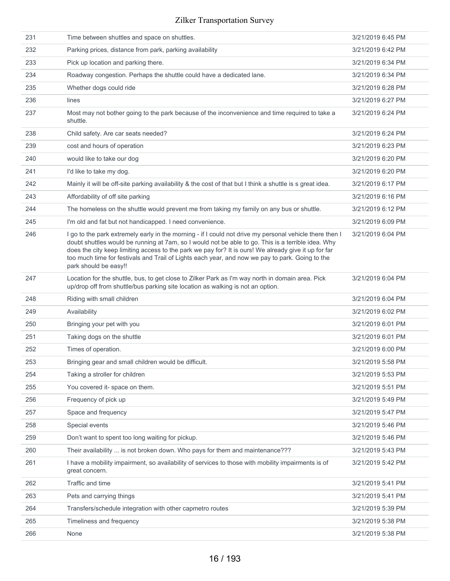| 231 | Time between shuttles and space on shuttles.                                                                                                                                                                                                                                                                                                                                                                                                      | 3/21/2019 6:45 PM |
|-----|---------------------------------------------------------------------------------------------------------------------------------------------------------------------------------------------------------------------------------------------------------------------------------------------------------------------------------------------------------------------------------------------------------------------------------------------------|-------------------|
| 232 | Parking prices, distance from park, parking availability                                                                                                                                                                                                                                                                                                                                                                                          | 3/21/2019 6:42 PM |
| 233 | Pick up location and parking there.                                                                                                                                                                                                                                                                                                                                                                                                               | 3/21/2019 6:34 PM |
| 234 | Roadway congestion. Perhaps the shuttle could have a dedicated lane.                                                                                                                                                                                                                                                                                                                                                                              | 3/21/2019 6:34 PM |
| 235 | Whether dogs could ride                                                                                                                                                                                                                                                                                                                                                                                                                           | 3/21/2019 6:28 PM |
| 236 | lines                                                                                                                                                                                                                                                                                                                                                                                                                                             | 3/21/2019 6:27 PM |
| 237 | Most may not bother going to the park because of the inconvenience and time required to take a<br>shuttle.                                                                                                                                                                                                                                                                                                                                        | 3/21/2019 6:24 PM |
| 238 | Child safety. Are car seats needed?                                                                                                                                                                                                                                                                                                                                                                                                               | 3/21/2019 6:24 PM |
| 239 | cost and hours of operation                                                                                                                                                                                                                                                                                                                                                                                                                       | 3/21/2019 6:23 PM |
| 240 | would like to take our dog                                                                                                                                                                                                                                                                                                                                                                                                                        | 3/21/2019 6:20 PM |
| 241 | I'd like to take my dog.                                                                                                                                                                                                                                                                                                                                                                                                                          | 3/21/2019 6:20 PM |
| 242 | Mainly it will be off-site parking availability & the cost of that but I think a shuttle is s great idea.                                                                                                                                                                                                                                                                                                                                         | 3/21/2019 6:17 PM |
| 243 | Affordability of off site parking                                                                                                                                                                                                                                                                                                                                                                                                                 | 3/21/2019 6:16 PM |
| 244 | The homeless on the shuttle would prevent me from taking my family on any bus or shuttle.                                                                                                                                                                                                                                                                                                                                                         | 3/21/2019 6:12 PM |
| 245 | I'm old and fat but not handicapped. I need convenience.                                                                                                                                                                                                                                                                                                                                                                                          | 3/21/2019 6:09 PM |
| 246 | I go to the park extremely early in the morning - if I could not drive my personal vehicle there then I<br>doubt shuttles would be running at 7am, so I would not be able to go. This is a terrible idea. Why<br>does the city keep limiting access to the park we pay for? It is ours! We already give it up for far<br>too much time for festivals and Trail of Lights each year, and now we pay to park. Going to the<br>park should be easy!! | 3/21/2019 6:04 PM |
| 247 | Location for the shuttle, bus, to get close to Zilker Park as I'm way north in domain area. Pick<br>up/drop off from shuttle/bus parking site location as walking is not an option.                                                                                                                                                                                                                                                               | 3/21/2019 6:04 PM |
| 248 | Riding with small children                                                                                                                                                                                                                                                                                                                                                                                                                        | 3/21/2019 6:04 PM |
| 249 | Availability                                                                                                                                                                                                                                                                                                                                                                                                                                      | 3/21/2019 6:02 PM |
| 250 | Bringing your pet with you                                                                                                                                                                                                                                                                                                                                                                                                                        | 3/21/2019 6:01 PM |
| 251 | Taking dogs on the shuttle                                                                                                                                                                                                                                                                                                                                                                                                                        | 3/21/2019 6:01 PM |
| 252 | Times of operation.                                                                                                                                                                                                                                                                                                                                                                                                                               | 3/21/2019 6:00 PM |
| 253 | Bringing gear and small children would be difficult.                                                                                                                                                                                                                                                                                                                                                                                              | 3/21/2019 5:58 PM |
| 254 | Taking a stroller for children                                                                                                                                                                                                                                                                                                                                                                                                                    | 3/21/2019 5:53 PM |
| 255 | You covered it- space on them.                                                                                                                                                                                                                                                                                                                                                                                                                    | 3/21/2019 5:51 PM |
| 256 | Frequency of pick up                                                                                                                                                                                                                                                                                                                                                                                                                              | 3/21/2019 5:49 PM |
| 257 | Space and frequency                                                                                                                                                                                                                                                                                                                                                                                                                               | 3/21/2019 5:47 PM |
| 258 | Special events                                                                                                                                                                                                                                                                                                                                                                                                                                    | 3/21/2019 5:46 PM |
| 259 | Don't want to spent too long waiting for pickup.                                                                                                                                                                                                                                                                                                                                                                                                  | 3/21/2019 5:46 PM |
| 260 | Their availability  is not broken down. Who pays for them and maintenance???                                                                                                                                                                                                                                                                                                                                                                      | 3/21/2019 5:43 PM |
| 261 | I have a mobility impairment, so availability of services to those with mobility impairments is of<br>great concern.                                                                                                                                                                                                                                                                                                                              | 3/21/2019 5:42 PM |
| 262 | Traffic and time                                                                                                                                                                                                                                                                                                                                                                                                                                  | 3/21/2019 5:41 PM |
| 263 | Pets and carrying things                                                                                                                                                                                                                                                                                                                                                                                                                          | 3/21/2019 5:41 PM |
| 264 | Transfers/schedule integration with other capmetro routes                                                                                                                                                                                                                                                                                                                                                                                         | 3/21/2019 5:39 PM |
| 265 | Timeliness and frequency                                                                                                                                                                                                                                                                                                                                                                                                                          | 3/21/2019 5:38 PM |
| 266 | None                                                                                                                                                                                                                                                                                                                                                                                                                                              | 3/21/2019 5:38 PM |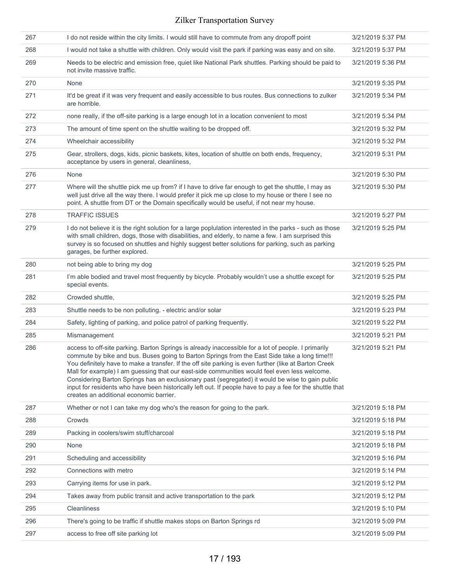| 267 | I do not reside within the city limits. I would still have to commute from any dropoff point                                                                                                                                                                                                                                                                                                                                                                                                                                                                                                                                                                              | 3/21/2019 5:37 PM |
|-----|---------------------------------------------------------------------------------------------------------------------------------------------------------------------------------------------------------------------------------------------------------------------------------------------------------------------------------------------------------------------------------------------------------------------------------------------------------------------------------------------------------------------------------------------------------------------------------------------------------------------------------------------------------------------------|-------------------|
| 268 | I would not take a shuttle with children. Only would visit the park if parking was easy and on site.                                                                                                                                                                                                                                                                                                                                                                                                                                                                                                                                                                      | 3/21/2019 5:37 PM |
| 269 | Needs to be electric and emission free, quiet like National Park shuttles. Parking should be paid to<br>not invite massive traffic.                                                                                                                                                                                                                                                                                                                                                                                                                                                                                                                                       | 3/21/2019 5:36 PM |
| 270 | None                                                                                                                                                                                                                                                                                                                                                                                                                                                                                                                                                                                                                                                                      | 3/21/2019 5:35 PM |
| 271 | It'd be great if it was very frequent and easily accessible to bus routes. Bus connections to zulker<br>are horrible.                                                                                                                                                                                                                                                                                                                                                                                                                                                                                                                                                     | 3/21/2019 5:34 PM |
| 272 | none really, if the off-site parking is a large enough lot in a location convenient to most                                                                                                                                                                                                                                                                                                                                                                                                                                                                                                                                                                               | 3/21/2019 5:34 PM |
| 273 | The amount of time spent on the shuttle waiting to be dropped off.                                                                                                                                                                                                                                                                                                                                                                                                                                                                                                                                                                                                        | 3/21/2019 5:32 PM |
| 274 | Wheelchair accessibility                                                                                                                                                                                                                                                                                                                                                                                                                                                                                                                                                                                                                                                  | 3/21/2019 5:32 PM |
| 275 | Gear, strollers, dogs, kids, picnic baskets, kites, location of shuttle on both ends, frequency,<br>acceptance by users in general, cleanliness,                                                                                                                                                                                                                                                                                                                                                                                                                                                                                                                          | 3/21/2019 5:31 PM |
| 276 | None                                                                                                                                                                                                                                                                                                                                                                                                                                                                                                                                                                                                                                                                      | 3/21/2019 5:30 PM |
| 277 | Where will the shuttle pick me up from? if I have to drive far enough to get the shuttle, I may as<br>well just drive all the way there. I would prefer it pick me up close to my house or there I see no<br>point. A shuttle from DT or the Domain specifically would be useful, if not near my house.                                                                                                                                                                                                                                                                                                                                                                   | 3/21/2019 5:30 PM |
| 278 | <b>TRAFFIC ISSUES</b>                                                                                                                                                                                                                                                                                                                                                                                                                                                                                                                                                                                                                                                     | 3/21/2019 5:27 PM |
| 279 | I do not believe it is the right solution for a large poplulation interested in the parks - such as those<br>with small children, dogs, those with disabilities, and elderly, to name a few. I am surprised this<br>survey is so focused on shuttles and highly suggest better solutions for parking, such as parking<br>garages, be further explored.                                                                                                                                                                                                                                                                                                                    | 3/21/2019 5:25 PM |
| 280 | not being able to bring my dog                                                                                                                                                                                                                                                                                                                                                                                                                                                                                                                                                                                                                                            | 3/21/2019 5:25 PM |
| 281 | I'm able bodied and travel most frequently by bicycle. Probably wouldn't use a shuttle except for<br>special events.                                                                                                                                                                                                                                                                                                                                                                                                                                                                                                                                                      | 3/21/2019 5:25 PM |
| 282 | Crowded shuttle,                                                                                                                                                                                                                                                                                                                                                                                                                                                                                                                                                                                                                                                          | 3/21/2019 5:25 PM |
| 283 | Shuttle needs to be non polluting. - electric and/or solar                                                                                                                                                                                                                                                                                                                                                                                                                                                                                                                                                                                                                | 3/21/2019 5:23 PM |
| 284 | Safety, lighting of parking, and police patrol of parking frequently.                                                                                                                                                                                                                                                                                                                                                                                                                                                                                                                                                                                                     | 3/21/2019 5:22 PM |
| 285 | Mismanagement                                                                                                                                                                                                                                                                                                                                                                                                                                                                                                                                                                                                                                                             | 3/21/2019 5:21 PM |
| 286 | access to off-site parking. Barton Springs is already inaccessible for a lot of people. I primarily<br>commute by bike and bus. Buses going to Barton Springs from the East Side take a long time!!!<br>You definitely have to make a transfer. If the off site parking is even further (like at Barton Creek<br>Mall for example) I am guessing that our east-side communities would feel even less welcome.<br>Considering Barton Springs has an exclusionary past (segregated) it would be wise to gain public<br>input for residents who have been historically left out. If people have to pay a fee for the shuttle that<br>creates an additional economic barrier. | 3/21/2019 5:21 PM |
| 287 | Whether or not I can take my dog who's the reason for going to the park.                                                                                                                                                                                                                                                                                                                                                                                                                                                                                                                                                                                                  | 3/21/2019 5:18 PM |
| 288 | Crowds                                                                                                                                                                                                                                                                                                                                                                                                                                                                                                                                                                                                                                                                    | 3/21/2019 5:18 PM |
| 289 | Packing in coolers/swim stuff/charcoal                                                                                                                                                                                                                                                                                                                                                                                                                                                                                                                                                                                                                                    | 3/21/2019 5:18 PM |
| 290 | None                                                                                                                                                                                                                                                                                                                                                                                                                                                                                                                                                                                                                                                                      | 3/21/2019 5:18 PM |
| 291 | Scheduling and accessibility                                                                                                                                                                                                                                                                                                                                                                                                                                                                                                                                                                                                                                              | 3/21/2019 5:16 PM |
| 292 | Connections with metro                                                                                                                                                                                                                                                                                                                                                                                                                                                                                                                                                                                                                                                    | 3/21/2019 5:14 PM |
| 293 | Carrying items for use in park.                                                                                                                                                                                                                                                                                                                                                                                                                                                                                                                                                                                                                                           | 3/21/2019 5:12 PM |
| 294 | Takes away from public transit and active transportation to the park                                                                                                                                                                                                                                                                                                                                                                                                                                                                                                                                                                                                      | 3/21/2019 5:12 PM |
| 295 | Cleanliness                                                                                                                                                                                                                                                                                                                                                                                                                                                                                                                                                                                                                                                               | 3/21/2019 5:10 PM |
| 296 | There's going to be traffic if shuttle makes stops on Barton Springs rd                                                                                                                                                                                                                                                                                                                                                                                                                                                                                                                                                                                                   | 3/21/2019 5:09 PM |
| 297 | access to free off site parking lot                                                                                                                                                                                                                                                                                                                                                                                                                                                                                                                                                                                                                                       | 3/21/2019 5:09 PM |
|     |                                                                                                                                                                                                                                                                                                                                                                                                                                                                                                                                                                                                                                                                           |                   |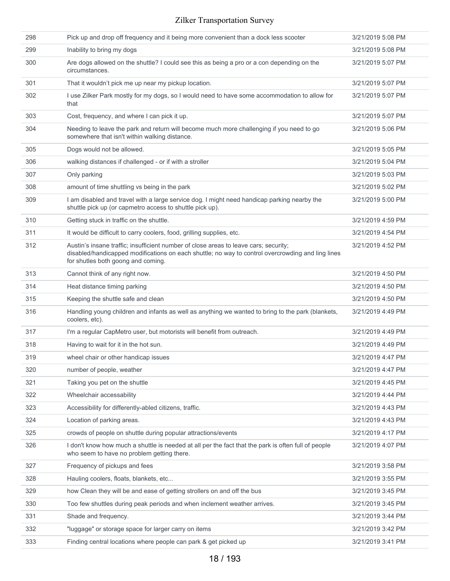| 298 | Pick up and drop off frequency and it being more convenient than a dock less scooter                                                                                                                                            | 3/21/2019 5:08 PM |
|-----|---------------------------------------------------------------------------------------------------------------------------------------------------------------------------------------------------------------------------------|-------------------|
| 299 | Inability to bring my dogs                                                                                                                                                                                                      | 3/21/2019 5:08 PM |
| 300 | Are dogs allowed on the shuttle? I could see this as being a pro or a con depending on the<br>circumstances.                                                                                                                    | 3/21/2019 5:07 PM |
| 301 | That it wouldn't pick me up near my pickup location.                                                                                                                                                                            | 3/21/2019 5:07 PM |
| 302 | I use Zilker Park mostly for my dogs, so I would need to have some accommodation to allow for<br>that                                                                                                                           | 3/21/2019 5:07 PM |
| 303 | Cost, frequency, and where I can pick it up.                                                                                                                                                                                    | 3/21/2019 5:07 PM |
| 304 | Needing to leave the park and return will become much more challenging if you need to go<br>somewhere that isn't within walking distance.                                                                                       | 3/21/2019 5:06 PM |
| 305 | Dogs would not be allowed.                                                                                                                                                                                                      | 3/21/2019 5:05 PM |
| 306 | walking distances if challenged - or if with a stroller                                                                                                                                                                         | 3/21/2019 5:04 PM |
| 307 | Only parking                                                                                                                                                                                                                    | 3/21/2019 5:03 PM |
| 308 | amount of time shuttling vs being in the park                                                                                                                                                                                   | 3/21/2019 5:02 PM |
| 309 | I am disabled and travel with a large service dog. I might need handicap parking nearby the<br>shuttle pick up (or capmetro access to shuttle pick up).                                                                         | 3/21/2019 5:00 PM |
| 310 | Getting stuck in traffic on the shuttle.                                                                                                                                                                                        | 3/21/2019 4:59 PM |
| 311 | It would be difficult to carry coolers, food, grilling supplies, etc.                                                                                                                                                           | 3/21/2019 4:54 PM |
| 312 | Austin's insane traffic; insufficient number of close areas to leave cars; security;<br>disabled/handicapped modifications on each shuttle; no way to control overcrowding and ling lines<br>for shutles both goong and coming. | 3/21/2019 4:52 PM |
| 313 | Cannot think of any right now.                                                                                                                                                                                                  | 3/21/2019 4:50 PM |
| 314 | Heat distance timing parking                                                                                                                                                                                                    | 3/21/2019 4:50 PM |
| 315 | Keeping the shuttle safe and clean                                                                                                                                                                                              | 3/21/2019 4:50 PM |
| 316 | Handling young children and infants as well as anything we wanted to bring to the park (blankets,<br>coolers, etc).                                                                                                             | 3/21/2019 4:49 PM |
| 317 | I'm a regular CapMetro user, but motorists will benefit from outreach.                                                                                                                                                          | 3/21/2019 4:49 PM |
| 318 | Having to wait for it in the hot sun.                                                                                                                                                                                           | 3/21/2019 4:49 PM |
| 319 | wheel chair or other handicap issues                                                                                                                                                                                            | 3/21/2019 4:47 PM |
| 320 | number of people, weather                                                                                                                                                                                                       | 3/21/2019 4:47 PM |
| 321 | Taking you pet on the shuttle                                                                                                                                                                                                   | 3/21/2019 4:45 PM |
| 322 | Wheelchair accessability                                                                                                                                                                                                        | 3/21/2019 4:44 PM |
| 323 | Accessibility for differently-abled citizens, traffic.                                                                                                                                                                          | 3/21/2019 4:43 PM |
| 324 | Location of parking areas.                                                                                                                                                                                                      | 3/21/2019 4:43 PM |
| 325 | crowds of people on shuttle during popular attractions/events                                                                                                                                                                   | 3/21/2019 4:17 PM |
| 326 | I don't know how much a shuttle is needed at all per the fact that the park is often full of people<br>who seem to have no problem getting there.                                                                               | 3/21/2019 4:07 PM |
| 327 | Frequency of pickups and fees                                                                                                                                                                                                   | 3/21/2019 3:58 PM |
| 328 | Hauling coolers, floats, blankets, etc                                                                                                                                                                                          | 3/21/2019 3:55 PM |
| 329 | how Clean they will be and ease of getting strollers on and off the bus                                                                                                                                                         | 3/21/2019 3:45 PM |
| 330 | Too few shuttles during peak periods and when inclement weather arrives.                                                                                                                                                        | 3/21/2019 3:45 PM |
| 331 | Shade and frequency.                                                                                                                                                                                                            | 3/21/2019 3:44 PM |
| 332 | "luggage" or storage space for larger carry on items                                                                                                                                                                            | 3/21/2019 3:42 PM |
| 333 | Finding central locations where people can park & get picked up                                                                                                                                                                 | 3/21/2019 3:41 PM |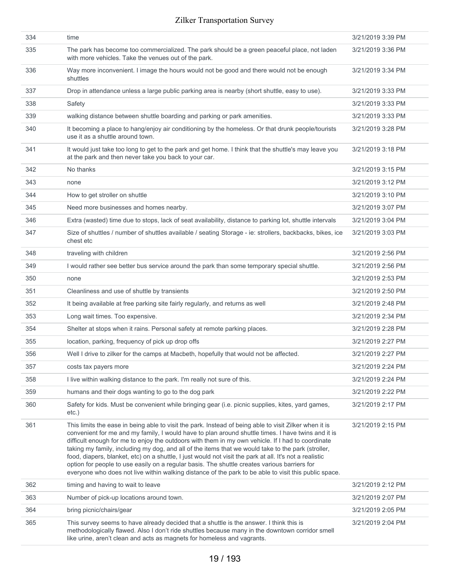| 334 | time                                                                                                                                                                                                                                                                                                                                                                                                                                                                                                                                                                                                                                                                                                                                        | 3/21/2019 3:39 PM |
|-----|---------------------------------------------------------------------------------------------------------------------------------------------------------------------------------------------------------------------------------------------------------------------------------------------------------------------------------------------------------------------------------------------------------------------------------------------------------------------------------------------------------------------------------------------------------------------------------------------------------------------------------------------------------------------------------------------------------------------------------------------|-------------------|
| 335 | The park has become too commercialized. The park should be a green peaceful place, not laden<br>with more vehicles. Take the venues out of the park.                                                                                                                                                                                                                                                                                                                                                                                                                                                                                                                                                                                        | 3/21/2019 3:36 PM |
| 336 | Way more inconvenient. I image the hours would not be good and there would not be enough<br>shuttles                                                                                                                                                                                                                                                                                                                                                                                                                                                                                                                                                                                                                                        | 3/21/2019 3:34 PM |
| 337 | Drop in attendance unless a large public parking area is nearby (short shuttle, easy to use).                                                                                                                                                                                                                                                                                                                                                                                                                                                                                                                                                                                                                                               | 3/21/2019 3:33 PM |
| 338 | Safety                                                                                                                                                                                                                                                                                                                                                                                                                                                                                                                                                                                                                                                                                                                                      | 3/21/2019 3:33 PM |
| 339 | walking distance between shuttle boarding and parking or park amenities.                                                                                                                                                                                                                                                                                                                                                                                                                                                                                                                                                                                                                                                                    | 3/21/2019 3:33 PM |
| 340 | It becoming a place to hang/enjoy air conditioning by the homeless. Or that drunk people/tourists<br>use it as a shuttle around town.                                                                                                                                                                                                                                                                                                                                                                                                                                                                                                                                                                                                       | 3/21/2019 3:28 PM |
| 341 | It would just take too long to get to the park and get home. I think that the shuttle's may leave you<br>at the park and then never take you back to your car.                                                                                                                                                                                                                                                                                                                                                                                                                                                                                                                                                                              | 3/21/2019 3:18 PM |
| 342 | No thanks                                                                                                                                                                                                                                                                                                                                                                                                                                                                                                                                                                                                                                                                                                                                   | 3/21/2019 3:15 PM |
| 343 | none                                                                                                                                                                                                                                                                                                                                                                                                                                                                                                                                                                                                                                                                                                                                        | 3/21/2019 3:12 PM |
| 344 | How to get stroller on shuttle                                                                                                                                                                                                                                                                                                                                                                                                                                                                                                                                                                                                                                                                                                              | 3/21/2019 3:10 PM |
| 345 | Need more businesses and homes nearby.                                                                                                                                                                                                                                                                                                                                                                                                                                                                                                                                                                                                                                                                                                      | 3/21/2019 3:07 PM |
| 346 | Extra (wasted) time due to stops, lack of seat availability, distance to parking lot, shuttle intervals                                                                                                                                                                                                                                                                                                                                                                                                                                                                                                                                                                                                                                     | 3/21/2019 3:04 PM |
| 347 | Size of shuttles / number of shuttles available / seating Storage - ie: strollers, backbacks, bikes, ice<br>chest etc                                                                                                                                                                                                                                                                                                                                                                                                                                                                                                                                                                                                                       | 3/21/2019 3:03 PM |
| 348 | traveling with children                                                                                                                                                                                                                                                                                                                                                                                                                                                                                                                                                                                                                                                                                                                     | 3/21/2019 2:56 PM |
| 349 | I would rather see better bus service around the park than some temporary special shuttle.                                                                                                                                                                                                                                                                                                                                                                                                                                                                                                                                                                                                                                                  | 3/21/2019 2:56 PM |
| 350 | none                                                                                                                                                                                                                                                                                                                                                                                                                                                                                                                                                                                                                                                                                                                                        | 3/21/2019 2:53 PM |
| 351 | Cleanliness and use of shuttle by transients                                                                                                                                                                                                                                                                                                                                                                                                                                                                                                                                                                                                                                                                                                | 3/21/2019 2:50 PM |
| 352 | It being available at free parking site fairly regularly, and returns as well                                                                                                                                                                                                                                                                                                                                                                                                                                                                                                                                                                                                                                                               | 3/21/2019 2:48 PM |
| 353 | Long wait times. Too expensive.                                                                                                                                                                                                                                                                                                                                                                                                                                                                                                                                                                                                                                                                                                             | 3/21/2019 2:34 PM |
| 354 | Shelter at stops when it rains. Personal safety at remote parking places.                                                                                                                                                                                                                                                                                                                                                                                                                                                                                                                                                                                                                                                                   | 3/21/2019 2:28 PM |
| 355 | location, parking, frequency of pick up drop offs                                                                                                                                                                                                                                                                                                                                                                                                                                                                                                                                                                                                                                                                                           | 3/21/2019 2:27 PM |
| 356 | Well I drive to zilker for the camps at Macbeth, hopefully that would not be affected.                                                                                                                                                                                                                                                                                                                                                                                                                                                                                                                                                                                                                                                      | 3/21/2019 2:27 PM |
| 357 | costs tax payers more                                                                                                                                                                                                                                                                                                                                                                                                                                                                                                                                                                                                                                                                                                                       | 3/21/2019 2:24 PM |
| 358 | I live within walking distance to the park. I'm really not sure of this.                                                                                                                                                                                                                                                                                                                                                                                                                                                                                                                                                                                                                                                                    | 3/21/2019 2:24 PM |
| 359 | humans and their dogs wanting to go to the dog park                                                                                                                                                                                                                                                                                                                                                                                                                                                                                                                                                                                                                                                                                         | 3/21/2019 2:22 PM |
| 360 | Safety for kids. Must be convenient while bringing gear (i.e. picnic supplies, kites, yard games,<br>etc.)                                                                                                                                                                                                                                                                                                                                                                                                                                                                                                                                                                                                                                  | 3/21/2019 2:17 PM |
| 361 | This limits the ease in being able to visit the park. Instead of being able to visit Zilker when it is<br>convenient for me and my family, I would have to plan around shuttle times. I have twins and it is<br>difficult enough for me to enjoy the outdoors with them in my own vehicle. If I had to coordinate<br>taking my family, including my dog, and all of the items that we would take to the park (stroller,<br>food, diapers, blanket, etc) on a shuttle, I just would not visit the park at all. It's not a realistic<br>option for people to use easily on a regular basis. The shuttle creates various barriers for<br>everyone who does not live within walking distance of the park to be able to visit this public space. | 3/21/2019 2:15 PM |
| 362 | timing and having to wait to leave                                                                                                                                                                                                                                                                                                                                                                                                                                                                                                                                                                                                                                                                                                          | 3/21/2019 2:12 PM |
| 363 | Number of pick-up locations around town.                                                                                                                                                                                                                                                                                                                                                                                                                                                                                                                                                                                                                                                                                                    | 3/21/2019 2:07 PM |
| 364 | bring picnic/chairs/gear                                                                                                                                                                                                                                                                                                                                                                                                                                                                                                                                                                                                                                                                                                                    | 3/21/2019 2:05 PM |
| 365 | This survey seems to have already decided that a shuttle is the answer. I think this is<br>methodologically flawed. Also I don't ride shuttles because many in the downtown corridor smell<br>like urine, aren't clean and acts as magnets for homeless and vagrants.                                                                                                                                                                                                                                                                                                                                                                                                                                                                       | 3/21/2019 2:04 PM |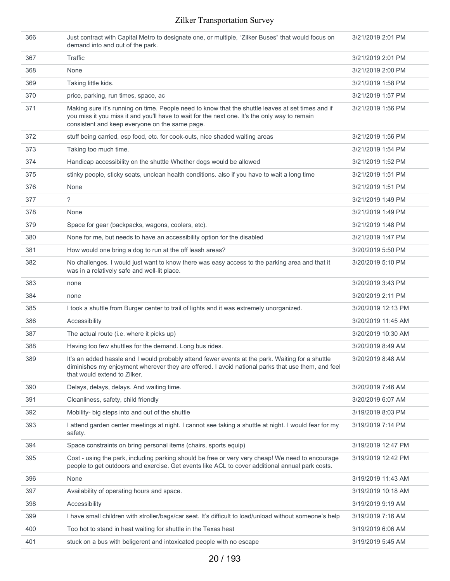| 366 | Just contract with Capital Metro to designate one, or multiple, "Zilker Buses" that would focus on<br>demand into and out of the park.                                                                                                               | 3/21/2019 2:01 PM  |
|-----|------------------------------------------------------------------------------------------------------------------------------------------------------------------------------------------------------------------------------------------------------|--------------------|
| 367 | Traffic                                                                                                                                                                                                                                              | 3/21/2019 2:01 PM  |
| 368 | None                                                                                                                                                                                                                                                 | 3/21/2019 2:00 PM  |
| 369 | Taking little kids.                                                                                                                                                                                                                                  | 3/21/2019 1:58 PM  |
| 370 | price, parking, run times, space, ac                                                                                                                                                                                                                 | 3/21/2019 1:57 PM  |
| 371 | Making sure it's running on time. People need to know that the shuttle leaves at set times and if<br>you miss it you miss it and you'll have to wait for the next one. It's the only way to remain<br>consistent and keep everyone on the same page. | 3/21/2019 1:56 PM  |
| 372 | stuff being carried, esp food, etc. for cook-outs, nice shaded waiting areas                                                                                                                                                                         | 3/21/2019 1:56 PM  |
| 373 | Taking too much time.                                                                                                                                                                                                                                | 3/21/2019 1:54 PM  |
| 374 | Handicap accessibility on the shuttle Whether dogs would be allowed                                                                                                                                                                                  | 3/21/2019 1:52 PM  |
| 375 | stinky people, sticky seats, unclean health conditions. also if you have to wait a long time                                                                                                                                                         | 3/21/2019 1:51 PM  |
| 376 | None                                                                                                                                                                                                                                                 | 3/21/2019 1:51 PM  |
| 377 | ?                                                                                                                                                                                                                                                    | 3/21/2019 1:49 PM  |
| 378 | None                                                                                                                                                                                                                                                 | 3/21/2019 1:49 PM  |
| 379 | Space for gear (backpacks, wagons, coolers, etc).                                                                                                                                                                                                    | 3/21/2019 1:48 PM  |
| 380 | None for me, but needs to have an accessibility option for the disabled                                                                                                                                                                              | 3/21/2019 1:47 PM  |
| 381 | How would one bring a dog to run at the off leash areas?                                                                                                                                                                                             | 3/20/2019 5:50 PM  |
| 382 | No challenges. I would just want to know there was easy access to the parking area and that it<br>was in a relatively safe and well-lit place.                                                                                                       | 3/20/2019 5:10 PM  |
| 383 | none                                                                                                                                                                                                                                                 | 3/20/2019 3:43 PM  |
| 384 | none                                                                                                                                                                                                                                                 | 3/20/2019 2:11 PM  |
| 385 | I took a shuttle from Burger center to trail of lights and it was extremely unorganized.                                                                                                                                                             | 3/20/2019 12:13 PM |
| 386 | Accessibility                                                                                                                                                                                                                                        | 3/20/2019 11:45 AM |
| 387 | The actual route (i.e. where it picks up)                                                                                                                                                                                                            | 3/20/2019 10:30 AM |
| 388 | Having too few shuttles for the demand. Long bus rides.                                                                                                                                                                                              | 3/20/2019 8:49 AM  |
| 389 | It's an added hassle and I would probably attend fewer events at the park. Waiting for a shuttle<br>diminishes my enjoyment wherever they are offered. I avoid national parks that use them, and feel<br>that would extend to Zilker.                | 3/20/2019 8:48 AM  |
| 390 | Delays, delays, delays. And waiting time.                                                                                                                                                                                                            | 3/20/2019 7:46 AM  |
| 391 | Cleanliness, safety, child friendly                                                                                                                                                                                                                  | 3/20/2019 6:07 AM  |
| 392 | Mobility- big steps into and out of the shuttle                                                                                                                                                                                                      | 3/19/2019 8:03 PM  |
| 393 | I attend garden center meetings at night. I cannot see taking a shuttle at night. I would fear for my<br>safety.                                                                                                                                     | 3/19/2019 7:14 PM  |
| 394 | Space constraints on bring personal items (chairs, sports equip)                                                                                                                                                                                     | 3/19/2019 12:47 PM |
| 395 | Cost - using the park, including parking should be free or very very cheap! We need to encourage<br>people to get outdoors and exercise. Get events like ACL to cover additional annual park costs.                                                  | 3/19/2019 12:42 PM |
| 396 | None                                                                                                                                                                                                                                                 | 3/19/2019 11:43 AM |
| 397 | Availability of operating hours and space.                                                                                                                                                                                                           | 3/19/2019 10:18 AM |
| 398 | Accessibility                                                                                                                                                                                                                                        | 3/19/2019 9:19 AM  |
| 399 | I have small children with stroller/bags/car seat. It's difficult to load/unload without someone's help                                                                                                                                              | 3/19/2019 7:16 AM  |
| 400 | Too hot to stand in heat waiting for shuttle in the Texas heat                                                                                                                                                                                       | 3/19/2019 6:06 AM  |
| 401 | stuck on a bus with beligerent and intoxicated people with no escape                                                                                                                                                                                 | 3/19/2019 5:45 AM  |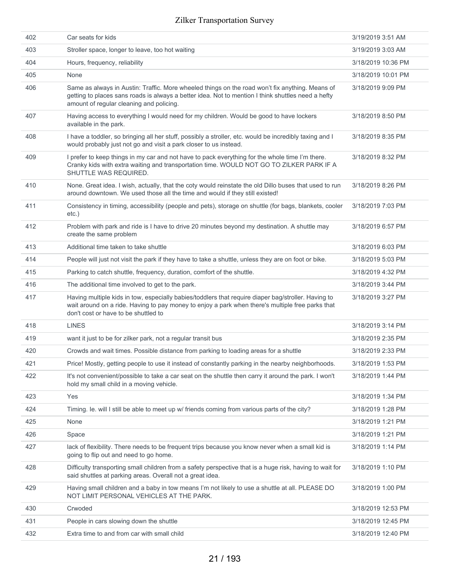| 402 | Car seats for kids                                                                                                                                                                                                                                | 3/19/2019 3:51 AM  |
|-----|---------------------------------------------------------------------------------------------------------------------------------------------------------------------------------------------------------------------------------------------------|--------------------|
| 403 | Stroller space, longer to leave, too hot waiting                                                                                                                                                                                                  | 3/19/2019 3:03 AM  |
| 404 | Hours, frequency, reliability                                                                                                                                                                                                                     | 3/18/2019 10:36 PM |
| 405 | None                                                                                                                                                                                                                                              | 3/18/2019 10:01 PM |
| 406 | Same as always in Austin: Traffic. More wheeled things on the road won't fix anything. Means of<br>getting to places sans roads is always a better idea. Not to mention I think shuttles need a hefty<br>amount of regular cleaning and policing. | 3/18/2019 9:09 PM  |
| 407 | Having access to everything I would need for my children. Would be good to have lockers<br>available in the park.                                                                                                                                 | 3/18/2019 8:50 PM  |
| 408 | I have a toddler, so bringing all her stuff, possibly a stroller, etc. would be incredibly taxing and I<br>would probably just not go and visit a park closer to us instead.                                                                      | 3/18/2019 8:35 PM  |
| 409 | I prefer to keep things in my car and not have to pack everything for the whole time I'm there.<br>Cranky kids with extra waiting and transportation time. WOULD NOT GO TO ZILKER PARK IF A<br>SHUTTLE WAS REQUIRED.                              | 3/18/2019 8:32 PM  |
| 410 | None. Great idea. I wish, actually, that the coty would reinstate the old Dillo buses that used to run<br>around downtown. We used those all the time and would if they still existed!                                                            | 3/18/2019 8:26 PM  |
| 411 | Consistency in timing, accessibility (people and pets), storage on shuttle (for bags, blankets, cooler<br>$etc.$ )                                                                                                                                | 3/18/2019 7:03 PM  |
| 412 | Problem with park and ride is I have to drive 20 minutes beyond my destination. A shuttle may<br>create the same problem                                                                                                                          | 3/18/2019 6:57 PM  |
| 413 | Additional time taken to take shuttle                                                                                                                                                                                                             | 3/18/2019 6:03 PM  |
| 414 | People will just not visit the park if they have to take a shuttle, unless they are on foot or bike.                                                                                                                                              | 3/18/2019 5:03 PM  |
| 415 | Parking to catch shuttle, frequency, duration, comfort of the shuttle.                                                                                                                                                                            | 3/18/2019 4:32 PM  |
| 416 | The additional time involved to get to the park.                                                                                                                                                                                                  | 3/18/2019 3:44 PM  |
| 417 | Having multiple kids in tow, especially babies/toddlers that require diaper bag/stroller. Having to<br>wait around on a ride. Having to pay money to enjoy a park when there's multiple free parks that<br>don't cost or have to be shuttled to   | 3/18/2019 3:27 PM  |
| 418 | <b>LINES</b>                                                                                                                                                                                                                                      | 3/18/2019 3:14 PM  |
| 419 | want it just to be for zilker park, not a regular transit bus                                                                                                                                                                                     | 3/18/2019 2:35 PM  |
| 420 | Crowds and wait times. Possible distance from parking to loading areas for a shuttle                                                                                                                                                              | 3/18/2019 2:33 PM  |
| 421 | Price! Mostly, getting people to use it instead of constantly parking in the nearby neighborhoods.                                                                                                                                                | 3/18/2019 1:53 PM  |
| 422 | It's not convenient/possible to take a car seat on the shuttle then carry it around the park. I won't<br>hold my small child in a moving vehicle.                                                                                                 | 3/18/2019 1:44 PM  |
| 423 | Yes                                                                                                                                                                                                                                               | 3/18/2019 1:34 PM  |
| 424 | Timing. le. will I still be able to meet up w/ friends coming from various parts of the city?                                                                                                                                                     | 3/18/2019 1:28 PM  |
| 425 | None                                                                                                                                                                                                                                              | 3/18/2019 1:21 PM  |
| 426 | Space                                                                                                                                                                                                                                             | 3/18/2019 1:21 PM  |
| 427 | lack of flexibility. There needs to be frequent trips because you know never when a small kid is<br>going to flip out and need to go home.                                                                                                        | 3/18/2019 1:14 PM  |
| 428 | Difficulty transporting small children from a safety perspective that is a huge risk, having to wait for<br>said shuttles at parking areas. Overall not a great idea.                                                                             | 3/18/2019 1:10 PM  |
| 429 | Having small children and a baby in tow means I'm not likely to use a shuttle at all. PLEASE DO<br>NOT LIMIT PERSONAL VEHICLES AT THE PARK.                                                                                                       | 3/18/2019 1:00 PM  |
| 430 | Crwoded                                                                                                                                                                                                                                           | 3/18/2019 12:53 PM |
| 431 | People in cars slowing down the shuttle                                                                                                                                                                                                           | 3/18/2019 12:45 PM |
| 432 | Extra time to and from car with small child                                                                                                                                                                                                       | 3/18/2019 12:40 PM |
|     |                                                                                                                                                                                                                                                   |                    |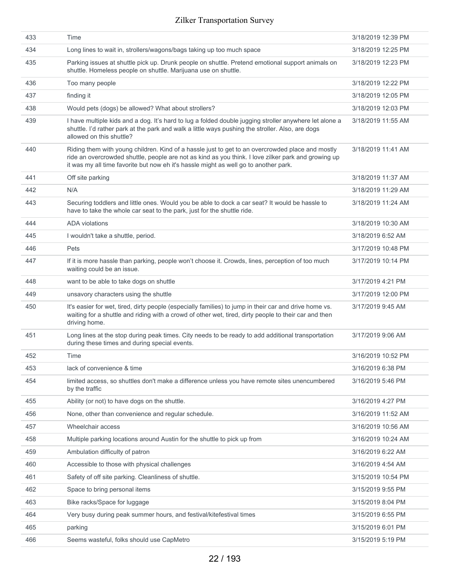| 433 | Time                                                                                                                                                                                                                                                                                            | 3/18/2019 12:39 PM |
|-----|-------------------------------------------------------------------------------------------------------------------------------------------------------------------------------------------------------------------------------------------------------------------------------------------------|--------------------|
| 434 | Long lines to wait in, strollers/wagons/bags taking up too much space                                                                                                                                                                                                                           | 3/18/2019 12:25 PM |
| 435 | Parking issues at shuttle pick up. Drunk people on shuttle. Pretend emotional support animals on<br>shuttle. Homeless people on shuttle. Marijuana use on shuttle.                                                                                                                              | 3/18/2019 12:23 PM |
| 436 | Too many people                                                                                                                                                                                                                                                                                 | 3/18/2019 12:22 PM |
| 437 | finding it                                                                                                                                                                                                                                                                                      | 3/18/2019 12:05 PM |
| 438 | Would pets (dogs) be allowed? What about strollers?                                                                                                                                                                                                                                             | 3/18/2019 12:03 PM |
| 439 | I have multiple kids and a dog. It's hard to lug a folded double jugging stroller anywhere let alone a<br>shuttle. I'd rather park at the park and walk a little ways pushing the stroller. Also, are dogs<br>allowed on this shuttle?                                                          | 3/18/2019 11:55 AM |
| 440 | Riding them with young children. Kind of a hassle just to get to an overcrowded place and mostly<br>ride an overcrowded shuttle, people are not as kind as you think. I love zilker park and growing up<br>it was my all time favorite but now eh it's hassle might as well go to another park. | 3/18/2019 11:41 AM |
| 441 | Off site parking                                                                                                                                                                                                                                                                                | 3/18/2019 11:37 AM |
| 442 | N/A                                                                                                                                                                                                                                                                                             | 3/18/2019 11:29 AM |
| 443 | Securing toddlers and little ones. Would you be able to dock a car seat? It would be hassle to<br>have to take the whole car seat to the park, just for the shuttle ride.                                                                                                                       | 3/18/2019 11:24 AM |
| 444 | <b>ADA</b> violations                                                                                                                                                                                                                                                                           | 3/18/2019 10:30 AM |
| 445 | I wouldn't take a shuttle, period.                                                                                                                                                                                                                                                              | 3/18/2019 6:52 AM  |
| 446 | Pets                                                                                                                                                                                                                                                                                            | 3/17/2019 10:48 PM |
| 447 | If it is more hassle than parking, people won't choose it. Crowds, lines, perception of too much<br>waiting could be an issue.                                                                                                                                                                  | 3/17/2019 10:14 PM |
| 448 | want to be able to take dogs on shuttle                                                                                                                                                                                                                                                         | 3/17/2019 4:21 PM  |
| 449 | unsavory characters using the shuttle                                                                                                                                                                                                                                                           | 3/17/2019 12:00 PM |
| 450 | It's easier for wet, tired, dirty people (especially families) to jump in their car and drive home vs.<br>waiting for a shuttle and riding with a crowd of other wet, tired, dirty people to their car and then<br>driving home.                                                                | 3/17/2019 9:45 AM  |
| 451 | Long lines at the stop during peak times. City needs to be ready to add additional transportation<br>during these times and during special events.                                                                                                                                              | 3/17/2019 9:06 AM  |
| 452 | Time                                                                                                                                                                                                                                                                                            | 3/16/2019 10:52 PM |
| 453 | lack of convenience & time                                                                                                                                                                                                                                                                      | 3/16/2019 6:38 PM  |
| 454 | limited access, so shuttles don't make a difference unless you have remote sites unencumbered<br>by the traffic                                                                                                                                                                                 | 3/16/2019 5:46 PM  |
| 455 | Ability (or not) to have dogs on the shuttle.                                                                                                                                                                                                                                                   | 3/16/2019 4:27 PM  |
| 456 | None, other than convenience and regular schedule.                                                                                                                                                                                                                                              | 3/16/2019 11:52 AM |
| 457 | Wheelchair access                                                                                                                                                                                                                                                                               | 3/16/2019 10:56 AM |
| 458 | Multiple parking locations around Austin for the shuttle to pick up from                                                                                                                                                                                                                        | 3/16/2019 10:24 AM |
| 459 | Ambulation difficulty of patron                                                                                                                                                                                                                                                                 | 3/16/2019 6:22 AM  |
| 460 | Accessible to those with physical challenges                                                                                                                                                                                                                                                    | 3/16/2019 4:54 AM  |
| 461 | Safety of off site parking. Cleanliness of shuttle.                                                                                                                                                                                                                                             | 3/15/2019 10:54 PM |
| 462 | Space to bring personal items                                                                                                                                                                                                                                                                   | 3/15/2019 9:55 PM  |
| 463 | Bike racks/Space for luggage                                                                                                                                                                                                                                                                    | 3/15/2019 8:04 PM  |
| 464 | Very busy during peak summer hours, and festival/kitefestival times                                                                                                                                                                                                                             | 3/15/2019 6:55 PM  |
| 465 | parking                                                                                                                                                                                                                                                                                         | 3/15/2019 6:01 PM  |
| 466 | Seems wasteful, folks should use CapMetro                                                                                                                                                                                                                                                       | 3/15/2019 5:19 PM  |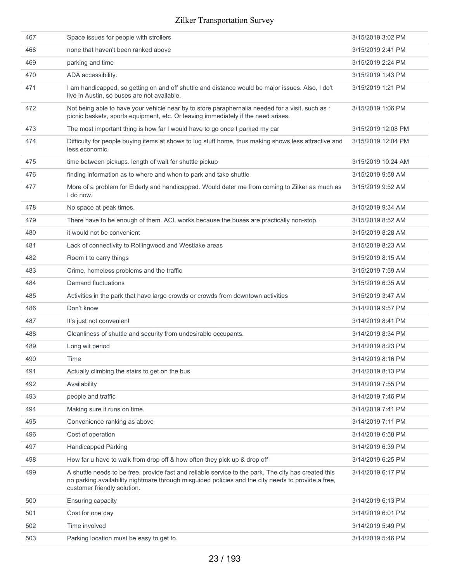| 467 | Space issues for people with strollers                                                                                                                                                                                                    | 3/15/2019 3:02 PM  |
|-----|-------------------------------------------------------------------------------------------------------------------------------------------------------------------------------------------------------------------------------------------|--------------------|
| 468 | none that haven't been ranked above                                                                                                                                                                                                       | 3/15/2019 2:41 PM  |
| 469 | parking and time                                                                                                                                                                                                                          | 3/15/2019 2:24 PM  |
| 470 | ADA accessibility.                                                                                                                                                                                                                        | 3/15/2019 1:43 PM  |
| 471 | I am handicapped, so getting on and off shuttle and distance would be major issues. Also, I do't<br>live in Austin, so buses are not available.                                                                                           | 3/15/2019 1:21 PM  |
| 472 | Not being able to have your vehicle near by to store paraphernalia needed for a visit, such as :<br>picnic baskets, sports equipment, etc. Or leaving immediately if the need arises.                                                     | 3/15/2019 1:06 PM  |
| 473 | The most important thing is how far I would have to go once I parked my car                                                                                                                                                               | 3/15/2019 12:08 PM |
| 474 | Difficulty for people buying items at shows to lug stuff home, thus making shows less attractive and<br>less economic.                                                                                                                    | 3/15/2019 12:04 PM |
| 475 | time between pickups. length of wait for shuttle pickup                                                                                                                                                                                   | 3/15/2019 10:24 AM |
| 476 | finding information as to where and when to park and take shuttle                                                                                                                                                                         | 3/15/2019 9:58 AM  |
| 477 | More of a problem for Elderly and handicapped. Would deter me from coming to Zilker as much as<br>I do now.                                                                                                                               | 3/15/2019 9:52 AM  |
| 478 | No space at peak times.                                                                                                                                                                                                                   | 3/15/2019 9:34 AM  |
| 479 | There have to be enough of them. ACL works because the buses are practically non-stop.                                                                                                                                                    | 3/15/2019 8:52 AM  |
| 480 | it would not be convenient                                                                                                                                                                                                                | 3/15/2019 8:28 AM  |
| 481 | Lack of connectivity to Rollingwood and Westlake areas                                                                                                                                                                                    | 3/15/2019 8:23 AM  |
| 482 | Room t to carry things                                                                                                                                                                                                                    | 3/15/2019 8:15 AM  |
| 483 | Crime, homeless problems and the traffic                                                                                                                                                                                                  | 3/15/2019 7:59 AM  |
| 484 | <b>Demand fluctuations</b>                                                                                                                                                                                                                | 3/15/2019 6:35 AM  |
| 485 | Activities in the park that have large crowds or crowds from downtown activities                                                                                                                                                          | 3/15/2019 3:47 AM  |
| 486 | Don't know                                                                                                                                                                                                                                | 3/14/2019 9:57 PM  |
| 487 | It's just not convenient                                                                                                                                                                                                                  | 3/14/2019 8:41 PM  |
| 488 | Cleanliness of shuttle and security from undesirable occupants.                                                                                                                                                                           | 3/14/2019 8:34 PM  |
| 489 | Long wit period                                                                                                                                                                                                                           | 3/14/2019 8:23 PM  |
| 490 | Time                                                                                                                                                                                                                                      | 3/14/2019 8:16 PM  |
| 491 | Actually climbing the stairs to get on the bus                                                                                                                                                                                            | 3/14/2019 8:13 PM  |
| 492 | Availability                                                                                                                                                                                                                              | 3/14/2019 7:55 PM  |
| 493 | people and traffic                                                                                                                                                                                                                        | 3/14/2019 7:46 PM  |
| 494 | Making sure it runs on time.                                                                                                                                                                                                              | 3/14/2019 7:41 PM  |
| 495 | Convenience ranking as above                                                                                                                                                                                                              | 3/14/2019 7:11 PM  |
| 496 | Cost of operation                                                                                                                                                                                                                         | 3/14/2019 6:58 PM  |
| 497 | <b>Handicapped Parking</b>                                                                                                                                                                                                                | 3/14/2019 6:39 PM  |
| 498 | How far u have to walk from drop off & how often they pick up & drop off                                                                                                                                                                  | 3/14/2019 6:25 PM  |
| 499 | A shuttle needs to be free, provide fast and reliable service to the park. The city has created this<br>no parking availability nightmare through misguided policies and the city needs to provide a free,<br>customer friendly solution. | 3/14/2019 6:17 PM  |
| 500 | <b>Ensuring capacity</b>                                                                                                                                                                                                                  | 3/14/2019 6:13 PM  |
| 501 | Cost for one day                                                                                                                                                                                                                          | 3/14/2019 6:01 PM  |
| 502 | Time involved                                                                                                                                                                                                                             | 3/14/2019 5:49 PM  |
| 503 | Parking location must be easy to get to.                                                                                                                                                                                                  | 3/14/2019 5:46 PM  |
|     |                                                                                                                                                                                                                                           |                    |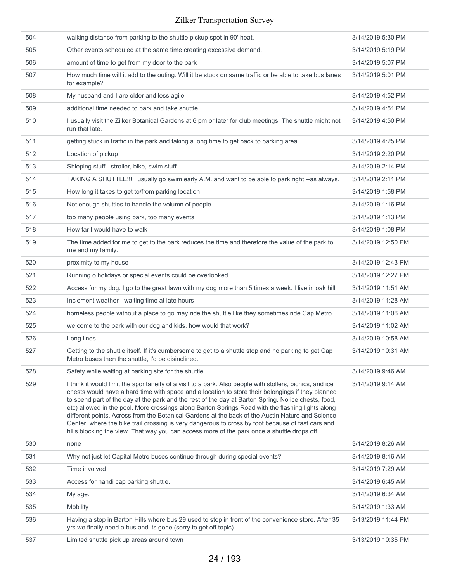| 504 | walking distance from parking to the shuttle pickup spot in 90' heat.                                                                                                                                                                                                                                                                                                                                                                                                                                                                                                                                                                                                                                                             | 3/14/2019 5:30 PM  |
|-----|-----------------------------------------------------------------------------------------------------------------------------------------------------------------------------------------------------------------------------------------------------------------------------------------------------------------------------------------------------------------------------------------------------------------------------------------------------------------------------------------------------------------------------------------------------------------------------------------------------------------------------------------------------------------------------------------------------------------------------------|--------------------|
| 505 | Other events scheduled at the same time creating excessive demand.                                                                                                                                                                                                                                                                                                                                                                                                                                                                                                                                                                                                                                                                | 3/14/2019 5:19 PM  |
| 506 | amount of time to get from my door to the park                                                                                                                                                                                                                                                                                                                                                                                                                                                                                                                                                                                                                                                                                    | 3/14/2019 5:07 PM  |
| 507 | How much time will it add to the outing. Will it be stuck on same traffic or be able to take bus lanes<br>for example?                                                                                                                                                                                                                                                                                                                                                                                                                                                                                                                                                                                                            | 3/14/2019 5:01 PM  |
| 508 | My husband and I are older and less agile.                                                                                                                                                                                                                                                                                                                                                                                                                                                                                                                                                                                                                                                                                        | 3/14/2019 4:52 PM  |
| 509 | additional time needed to park and take shuttle                                                                                                                                                                                                                                                                                                                                                                                                                                                                                                                                                                                                                                                                                   | 3/14/2019 4:51 PM  |
| 510 | I usually visit the Zilker Botanical Gardens at 6 pm or later for club meetings. The shuttle might not<br>run that late.                                                                                                                                                                                                                                                                                                                                                                                                                                                                                                                                                                                                          | 3/14/2019 4:50 PM  |
| 511 | getting stuck in traffic in the park and taking a long time to get back to parking area                                                                                                                                                                                                                                                                                                                                                                                                                                                                                                                                                                                                                                           | 3/14/2019 4:25 PM  |
| 512 | Location of pickup                                                                                                                                                                                                                                                                                                                                                                                                                                                                                                                                                                                                                                                                                                                | 3/14/2019 2:20 PM  |
| 513 | Shleping stuff - stroller, bike, swim stuff                                                                                                                                                                                                                                                                                                                                                                                                                                                                                                                                                                                                                                                                                       | 3/14/2019 2:14 PM  |
| 514 | TAKING A SHUTTLE!!! I usually go swim early A.M. and want to be able to park right --as always.                                                                                                                                                                                                                                                                                                                                                                                                                                                                                                                                                                                                                                   | 3/14/2019 2:11 PM  |
| 515 | How long it takes to get to/from parking location                                                                                                                                                                                                                                                                                                                                                                                                                                                                                                                                                                                                                                                                                 | 3/14/2019 1:58 PM  |
| 516 | Not enough shuttles to handle the volumn of people                                                                                                                                                                                                                                                                                                                                                                                                                                                                                                                                                                                                                                                                                | 3/14/2019 1:16 PM  |
| 517 | too many people using park, too many events                                                                                                                                                                                                                                                                                                                                                                                                                                                                                                                                                                                                                                                                                       | 3/14/2019 1:13 PM  |
| 518 | How far I would have to walk                                                                                                                                                                                                                                                                                                                                                                                                                                                                                                                                                                                                                                                                                                      | 3/14/2019 1:08 PM  |
| 519 | The time added for me to get to the park reduces the time and therefore the value of the park to<br>me and my family.                                                                                                                                                                                                                                                                                                                                                                                                                                                                                                                                                                                                             | 3/14/2019 12:50 PM |
| 520 | proximity to my house                                                                                                                                                                                                                                                                                                                                                                                                                                                                                                                                                                                                                                                                                                             | 3/14/2019 12:43 PM |
| 521 | Running o holidays or special events could be overlooked                                                                                                                                                                                                                                                                                                                                                                                                                                                                                                                                                                                                                                                                          | 3/14/2019 12:27 PM |
| 522 | Access for my dog. I go to the great lawn with my dog more than 5 times a week. I live in oak hill                                                                                                                                                                                                                                                                                                                                                                                                                                                                                                                                                                                                                                | 3/14/2019 11:51 AM |
| 523 | Inclement weather - waiting time at late hours                                                                                                                                                                                                                                                                                                                                                                                                                                                                                                                                                                                                                                                                                    | 3/14/2019 11:28 AM |
| 524 | homeless people without a place to go may ride the shuttle like they sometimes ride Cap Metro                                                                                                                                                                                                                                                                                                                                                                                                                                                                                                                                                                                                                                     | 3/14/2019 11:06 AM |
| 525 | we come to the park with our dog and kids. how would that work?                                                                                                                                                                                                                                                                                                                                                                                                                                                                                                                                                                                                                                                                   | 3/14/2019 11:02 AM |
| 526 | Long lines                                                                                                                                                                                                                                                                                                                                                                                                                                                                                                                                                                                                                                                                                                                        | 3/14/2019 10:58 AM |
| 527 | Getting to the shuttle itself. If it's cumbersome to get to a shuttle stop and no parking to get Cap<br>Metro buses then the shuttle, I'd be disinclined.                                                                                                                                                                                                                                                                                                                                                                                                                                                                                                                                                                         | 3/14/2019 10:31 AM |
| 528 | Safety while waiting at parking site for the shuttle.                                                                                                                                                                                                                                                                                                                                                                                                                                                                                                                                                                                                                                                                             | 3/14/2019 9:46 AM  |
| 529 | I think it would limit the spontaneity of a visit to a park. Also people with stollers, picnics, and ice<br>chests would have a hard time with space and a location to store their belongings if they planned<br>to spend part of the day at the park and the rest of the day at Barton Spring. No ice chests, food,<br>etc) allowed in the pool. More crossings along Barton Springs Road with the flashing lights along<br>different points. Across from the Botanical Gardens at the back of the Austin Nature and Science<br>Center, where the bike trail crossing is very dangerous to cross by foot because of fast cars and<br>hills blocking the view. That way you can access more of the park once a shuttle drops off. | 3/14/2019 9:14 AM  |
| 530 | none                                                                                                                                                                                                                                                                                                                                                                                                                                                                                                                                                                                                                                                                                                                              | 3/14/2019 8:26 AM  |
| 531 | Why not just let Capital Metro buses continue through during special events?                                                                                                                                                                                                                                                                                                                                                                                                                                                                                                                                                                                                                                                      | 3/14/2019 8:16 AM  |
| 532 | Time involved                                                                                                                                                                                                                                                                                                                                                                                                                                                                                                                                                                                                                                                                                                                     | 3/14/2019 7:29 AM  |
| 533 | Access for handi cap parking, shuttle.                                                                                                                                                                                                                                                                                                                                                                                                                                                                                                                                                                                                                                                                                            | 3/14/2019 6:45 AM  |
| 534 | My age.                                                                                                                                                                                                                                                                                                                                                                                                                                                                                                                                                                                                                                                                                                                           | 3/14/2019 6:34 AM  |
| 535 | <b>Mobility</b>                                                                                                                                                                                                                                                                                                                                                                                                                                                                                                                                                                                                                                                                                                                   | 3/14/2019 1:33 AM  |
| 536 | Having a stop in Barton Hills where bus 29 used to stop in front of the convenience store. After 35<br>yrs we finally need a bus and its gone (sorry to get off topic)                                                                                                                                                                                                                                                                                                                                                                                                                                                                                                                                                            | 3/13/2019 11:44 PM |
| 537 | Limited shuttle pick up areas around town                                                                                                                                                                                                                                                                                                                                                                                                                                                                                                                                                                                                                                                                                         | 3/13/2019 10:35 PM |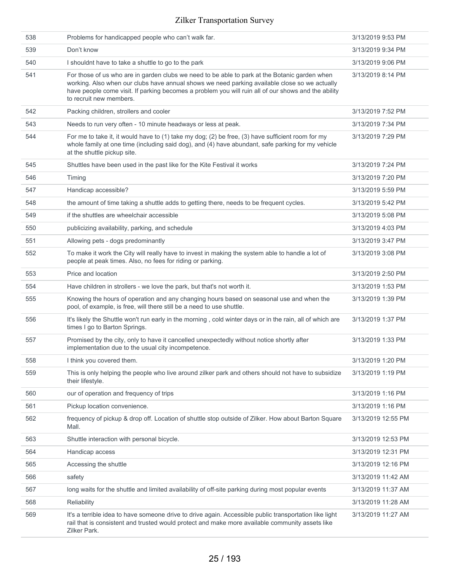| 538 | Problems for handicapped people who can't walk far.                                                                                                                                                                                                                                                                              | 3/13/2019 9:53 PM  |
|-----|----------------------------------------------------------------------------------------------------------------------------------------------------------------------------------------------------------------------------------------------------------------------------------------------------------------------------------|--------------------|
| 539 | Don't know                                                                                                                                                                                                                                                                                                                       | 3/13/2019 9:34 PM  |
| 540 | I shouldnt have to take a shuttle to go to the park                                                                                                                                                                                                                                                                              | 3/13/2019 9:06 PM  |
| 541 | For those of us who are in garden clubs we need to be able to park at the Botanic garden when<br>working. Also when our clubs have annual shows we need parking available close so we actually<br>have people come visit. If parking becomes a problem you will ruin all of our shows and the ability<br>to recruit new members. | 3/13/2019 8:14 PM  |
| 542 | Packing children, strollers and cooler                                                                                                                                                                                                                                                                                           | 3/13/2019 7:52 PM  |
| 543 | Needs to run very often - 10 minute headways or less at peak.                                                                                                                                                                                                                                                                    | 3/13/2019 7:34 PM  |
| 544 | For me to take it, it would have to (1) take my dog; (2) be free, (3) have sufficient room for my<br>whole family at one time (including said dog), and (4) have abundant, safe parking for my vehicle<br>at the shuttle pickup site.                                                                                            | 3/13/2019 7:29 PM  |
| 545 | Shuttles have been used in the past like for the Kite Festival it works                                                                                                                                                                                                                                                          | 3/13/2019 7:24 PM  |
| 546 | Timing                                                                                                                                                                                                                                                                                                                           | 3/13/2019 7:20 PM  |
| 547 | Handicap accessible?                                                                                                                                                                                                                                                                                                             | 3/13/2019 5:59 PM  |
| 548 | the amount of time taking a shuttle adds to getting there, needs to be frequent cycles.                                                                                                                                                                                                                                          | 3/13/2019 5:42 PM  |
| 549 | if the shuttles are wheelchair accessible                                                                                                                                                                                                                                                                                        | 3/13/2019 5:08 PM  |
| 550 | publicizing availability, parking, and schedule                                                                                                                                                                                                                                                                                  | 3/13/2019 4:03 PM  |
| 551 | Allowing pets - dogs predominantly                                                                                                                                                                                                                                                                                               | 3/13/2019 3:47 PM  |
| 552 | To make it work the City will really have to invest in making the system able to handle a lot of<br>people at peak times. Also, no fees for riding or parking.                                                                                                                                                                   | 3/13/2019 3:08 PM  |
| 553 | Price and location                                                                                                                                                                                                                                                                                                               | 3/13/2019 2:50 PM  |
| 554 | Have children in strollers - we love the park, but that's not worth it.                                                                                                                                                                                                                                                          | 3/13/2019 1:53 PM  |
| 555 | Knowing the hours of operation and any changing hours based on seasonal use and when the<br>pool, of example, is free, will there still be a need to use shuttle.                                                                                                                                                                | 3/13/2019 1:39 PM  |
| 556 | It's likely the Shuttle won't run early in the morning, cold winter days or in the rain, all of which are<br>times I go to Barton Springs.                                                                                                                                                                                       | 3/13/2019 1:37 PM  |
| 557 | Promised by the city, only to have it cancelled unexpectedly without notice shortly after<br>implementation due to the usual city incompetence.                                                                                                                                                                                  | 3/13/2019 1:33 PM  |
| 558 | I think you covered them.                                                                                                                                                                                                                                                                                                        | 3/13/2019 1:20 PM  |
| 559 | This is only helping the people who live around zilker park and others should not have to subsidize<br>their lifestyle.                                                                                                                                                                                                          | 3/13/2019 1:19 PM  |
| 560 | our of operation and frequency of trips                                                                                                                                                                                                                                                                                          | 3/13/2019 1:16 PM  |
| 561 | Pickup location convenience.                                                                                                                                                                                                                                                                                                     | 3/13/2019 1:16 PM  |
| 562 | frequency of pickup & drop off. Location of shuttle stop outside of Zilker. How about Barton Square<br>Mall.                                                                                                                                                                                                                     | 3/13/2019 12:55 PM |
| 563 | Shuttle interaction with personal bicycle.                                                                                                                                                                                                                                                                                       | 3/13/2019 12:53 PM |
| 564 | Handicap access                                                                                                                                                                                                                                                                                                                  | 3/13/2019 12:31 PM |
| 565 | Accessing the shuttle                                                                                                                                                                                                                                                                                                            | 3/13/2019 12:16 PM |
| 566 | safety                                                                                                                                                                                                                                                                                                                           | 3/13/2019 11:42 AM |
| 567 | long waits for the shuttle and limited availability of off-site parking during most popular events                                                                                                                                                                                                                               | 3/13/2019 11:37 AM |
| 568 | Reliability                                                                                                                                                                                                                                                                                                                      | 3/13/2019 11:28 AM |
| 569 | It's a terrible idea to have someone drive to drive again. Accessible public transportation like light<br>rail that is consistent and trusted would protect and make more available community assets like<br>Zilker Park.                                                                                                        | 3/13/2019 11:27 AM |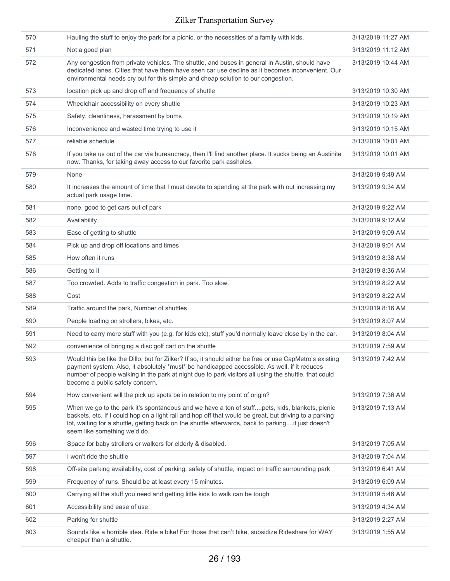| 570 | Hauling the stuff to enjoy the park for a picnic, or the necessities of a family with kids.                                                                                                                                                                                                                                                         | 3/13/2019 11:27 AM |
|-----|-----------------------------------------------------------------------------------------------------------------------------------------------------------------------------------------------------------------------------------------------------------------------------------------------------------------------------------------------------|--------------------|
| 571 | Not a good plan                                                                                                                                                                                                                                                                                                                                     | 3/13/2019 11:12 AM |
| 572 | Any congestion from private vehicles. The shuttle, and buses in general in Austin, should have<br>dedicated lanes. Cities that have them have seen car use decline as it becomes inconvenient. Our<br>environmental needs cry out for this simple and cheap solution to our congestion.                                                             | 3/13/2019 10:44 AM |
| 573 | location pick up and drop off and frequency of shuttle                                                                                                                                                                                                                                                                                              | 3/13/2019 10:30 AM |
| 574 | Wheelchair accessibility on every shuttle                                                                                                                                                                                                                                                                                                           | 3/13/2019 10:23 AM |
| 575 | Safety, cleanliness, harassment by bums                                                                                                                                                                                                                                                                                                             | 3/13/2019 10:19 AM |
| 576 | Inconvenience and wasted time trying to use it                                                                                                                                                                                                                                                                                                      | 3/13/2019 10:15 AM |
| 577 | reliable schedule                                                                                                                                                                                                                                                                                                                                   | 3/13/2019 10:01 AM |
| 578 | If you take us out of the car via bureaucracy, then I'll find another place. It sucks being an Austinite<br>now. Thanks, for taking away access to our favorite park assholes.                                                                                                                                                                      | 3/13/2019 10:01 AM |
| 579 | None                                                                                                                                                                                                                                                                                                                                                | 3/13/2019 9:49 AM  |
| 580 | It increases the amount of time that I must devote to spending at the park with out increasing my<br>actual park usage time.                                                                                                                                                                                                                        | 3/13/2019 9:34 AM  |
| 581 | none, good to get cars out of park                                                                                                                                                                                                                                                                                                                  | 3/13/2019 9:22 AM  |
| 582 | Availability                                                                                                                                                                                                                                                                                                                                        | 3/13/2019 9:12 AM  |
| 583 | Ease of getting to shuttle                                                                                                                                                                                                                                                                                                                          | 3/13/2019 9:09 AM  |
| 584 | Pick up and drop off locations and times                                                                                                                                                                                                                                                                                                            | 3/13/2019 9:01 AM  |
| 585 | How often it runs                                                                                                                                                                                                                                                                                                                                   | 3/13/2019 8:38 AM  |
| 586 | Getting to it                                                                                                                                                                                                                                                                                                                                       | 3/13/2019 8:36 AM  |
| 587 | Too crowded. Adds to traffic congestion in park. Too slow.                                                                                                                                                                                                                                                                                          | 3/13/2019 8:22 AM  |
| 588 | Cost                                                                                                                                                                                                                                                                                                                                                | 3/13/2019 8:22 AM  |
| 589 | Traffic around the park, Number of shuttles                                                                                                                                                                                                                                                                                                         | 3/13/2019 8:16 AM  |
| 590 | People loading on strollers, bikes, etc.                                                                                                                                                                                                                                                                                                            | 3/13/2019 8:07 AM  |
| 591 | Need to carry more stuff with you (e.g. for kids etc), stuff you'd normally leave close by in the car.                                                                                                                                                                                                                                              | 3/13/2019 8:04 AM  |
| 592 | convenience of bringing a disc golf cart on the shuttle                                                                                                                                                                                                                                                                                             | 3/13/2019 7:59 AM  |
| 593 | Would this be like the Dillo, but for Zilker? If so, it should either be free or use CapMetro's existing<br>payment system. Also, it absolutely *must* be handicapped accessible. As well, if it reduces<br>number of people walking in the park at night due to park visitors all using the shuttle, that could<br>become a public safety concern. | 3/13/2019 7:42 AM  |
| 594 | How convenient will the pick up spots be in relation to my point of origin?                                                                                                                                                                                                                                                                         | 3/13/2019 7:36 AM  |
| 595 | When we go to the park it's spontaneous and we have a ton of stuffpets, kids, blankets, picnic<br>baskets, etc. If I could hop on a light rail and hop off that would be great, but driving to a parking<br>lot, waiting for a shuttle, getting back on the shuttle afterwards, back to parkingit just doesn't<br>seem like something we'd do.      | 3/13/2019 7:13 AM  |
| 596 | Space for baby strollers or walkers for elderly & disabled.                                                                                                                                                                                                                                                                                         | 3/13/2019 7:05 AM  |
| 597 | I won't ride the shuttle                                                                                                                                                                                                                                                                                                                            | 3/13/2019 7:04 AM  |
| 598 | Off-site parking availability, cost of parking, safety of shuttle, impact on traffic surrounding park                                                                                                                                                                                                                                               | 3/13/2019 6:41 AM  |
| 599 | Frequency of runs. Should be at least every 15 minutes.                                                                                                                                                                                                                                                                                             | 3/13/2019 6:09 AM  |
| 600 | Carrying all the stuff you need and getting little kids to walk can be tough                                                                                                                                                                                                                                                                        | 3/13/2019 5:46 AM  |
| 601 | Accessibility and ease of use.                                                                                                                                                                                                                                                                                                                      | 3/13/2019 4:34 AM  |
| 602 | Parking for shuttle                                                                                                                                                                                                                                                                                                                                 | 3/13/2019 2:27 AM  |
| 603 | Sounds like a horrible idea. Ride a bike! For those that can't bike, subsidize Rideshare for WAY<br>cheaper than a shuttle.                                                                                                                                                                                                                         | 3/13/2019 1:55 AM  |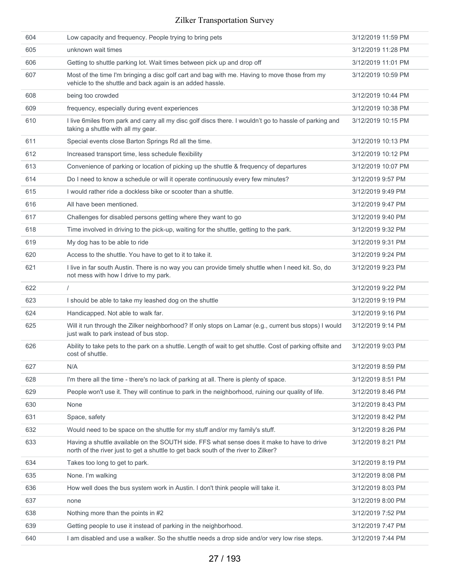| 604 | Low capacity and frequency. People trying to bring pets                                                                                                                          | 3/12/2019 11:59 PM |
|-----|----------------------------------------------------------------------------------------------------------------------------------------------------------------------------------|--------------------|
| 605 | unknown wait times                                                                                                                                                               | 3/12/2019 11:28 PM |
| 606 | Getting to shuttle parking lot. Wait times between pick up and drop off                                                                                                          | 3/12/2019 11:01 PM |
| 607 | Most of the time I'm bringing a disc golf cart and bag with me. Having to move those from my<br>vehicle to the shuttle and back again is an added hassle.                        | 3/12/2019 10:59 PM |
| 608 | being too crowded                                                                                                                                                                | 3/12/2019 10:44 PM |
| 609 | frequency, especially during event experiences                                                                                                                                   | 3/12/2019 10:38 PM |
| 610 | I live 6 miles from park and carry all my disc golf discs there. I wouldn't go to hassle of parking and<br>taking a shuttle with all my gear.                                    | 3/12/2019 10:15 PM |
| 611 | Special events close Barton Springs Rd all the time.                                                                                                                             | 3/12/2019 10:13 PM |
| 612 | Increased transport time, less schedule flexibility                                                                                                                              | 3/12/2019 10:12 PM |
| 613 | Convenience of parking or location of picking up the shuttle & frequency of departures                                                                                           | 3/12/2019 10:07 PM |
| 614 | Do I need to know a schedule or will it operate continuously every few minutes?                                                                                                  | 3/12/2019 9:57 PM  |
| 615 | I would rather ride a dockless bike or scooter than a shuttle.                                                                                                                   | 3/12/2019 9:49 PM  |
| 616 | All have been mentioned.                                                                                                                                                         | 3/12/2019 9:47 PM  |
| 617 | Challenges for disabled persons getting where they want to go                                                                                                                    | 3/12/2019 9:40 PM  |
| 618 | Time involved in driving to the pick-up, waiting for the shuttle, getting to the park.                                                                                           | 3/12/2019 9:32 PM  |
| 619 | My dog has to be able to ride                                                                                                                                                    | 3/12/2019 9:31 PM  |
| 620 | Access to the shuttle. You have to get to it to take it.                                                                                                                         | 3/12/2019 9:24 PM  |
| 621 | I live in far south Austin. There is no way you can provide timely shuttle when I need kit. So, do<br>not mess with how I drive to my park.                                      | 3/12/2019 9:23 PM  |
| 622 | $\prime$                                                                                                                                                                         | 3/12/2019 9:22 PM  |
| 623 | I should be able to take my leashed dog on the shuttle                                                                                                                           | 3/12/2019 9:19 PM  |
| 624 | Handicapped. Not able to walk far.                                                                                                                                               | 3/12/2019 9:16 PM  |
| 625 | Will it run through the Zilker neighborhood? If only stops on Lamar (e.g., current bus stops) I would<br>just walk to park instead of bus stop.                                  | 3/12/2019 9:14 PM  |
| 626 | Ability to take pets to the park on a shuttle. Length of wait to get shuttle. Cost of parking offsite and<br>cost of shuttle.                                                    | 3/12/2019 9:03 PM  |
| 627 | N/A                                                                                                                                                                              | 3/12/2019 8:59 PM  |
| 628 | I'm there all the time - there's no lack of parking at all. There is plenty of space.                                                                                            | 3/12/2019 8:51 PM  |
| 629 | People won't use it. They will continue to park in the neighborhood, ruining our quality of life.                                                                                | 3/12/2019 8:46 PM  |
| 630 | None                                                                                                                                                                             | 3/12/2019 8:43 PM  |
| 631 | Space, safety                                                                                                                                                                    | 3/12/2019 8:42 PM  |
| 632 | Would need to be space on the shuttle for my stuff and/or my family's stuff.                                                                                                     | 3/12/2019 8:26 PM  |
| 633 | Having a shuttle available on the SOUTH side. FFS what sense does it make to have to drive<br>north of the river just to get a shuttle to get back south of the river to Zilker? | 3/12/2019 8:21 PM  |
| 634 | Takes too long to get to park.                                                                                                                                                   | 3/12/2019 8:19 PM  |
| 635 | None. I'm walking                                                                                                                                                                | 3/12/2019 8:08 PM  |
| 636 | How well does the bus system work in Austin. I don't think people will take it.                                                                                                  | 3/12/2019 8:03 PM  |
| 637 | none                                                                                                                                                                             | 3/12/2019 8:00 PM  |
| 638 | Nothing more than the points in #2                                                                                                                                               | 3/12/2019 7:52 PM  |
| 639 | Getting people to use it instead of parking in the neighborhood.                                                                                                                 | 3/12/2019 7:47 PM  |
| 640 | I am disabled and use a walker. So the shuttle needs a drop side and/or very low rise steps.                                                                                     | 3/12/2019 7:44 PM  |
|     |                                                                                                                                                                                  |                    |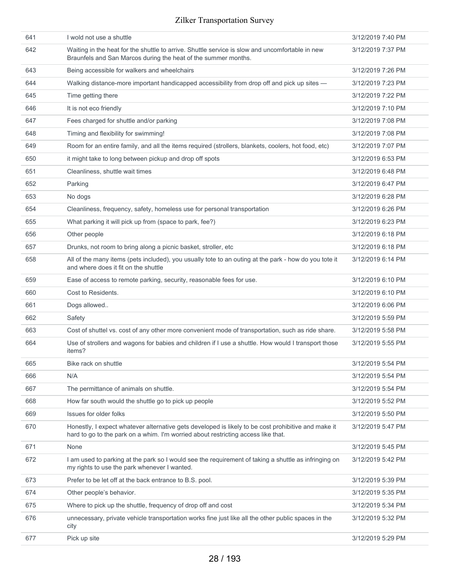| 641 | I wold not use a shuttle                                                                                                                                                                 | 3/12/2019 7:40 PM |
|-----|------------------------------------------------------------------------------------------------------------------------------------------------------------------------------------------|-------------------|
| 642 | Waiting in the heat for the shuttle to arrive. Shuttle service is slow and uncomfortable in new<br>Braunfels and San Marcos during the heat of the summer months.                        | 3/12/2019 7:37 PM |
| 643 | Being accessible for walkers and wheelchairs                                                                                                                                             | 3/12/2019 7:26 PM |
| 644 | Walking distance-more important handicapped accessibility from drop off and pick up sites -                                                                                              | 3/12/2019 7:23 PM |
| 645 | Time getting there                                                                                                                                                                       | 3/12/2019 7:22 PM |
| 646 | It is not eco friendly                                                                                                                                                                   | 3/12/2019 7:10 PM |
| 647 | Fees charged for shuttle and/or parking                                                                                                                                                  | 3/12/2019 7:08 PM |
| 648 | Timing and flexibility for swimming!                                                                                                                                                     | 3/12/2019 7:08 PM |
| 649 | Room for an entire family, and all the items required (strollers, blankets, coolers, hot food, etc)                                                                                      | 3/12/2019 7:07 PM |
| 650 | it might take to long between pickup and drop off spots                                                                                                                                  | 3/12/2019 6:53 PM |
| 651 | Cleanliness, shuttle wait times                                                                                                                                                          | 3/12/2019 6:48 PM |
| 652 | Parking                                                                                                                                                                                  | 3/12/2019 6:47 PM |
| 653 | No dogs                                                                                                                                                                                  | 3/12/2019 6:28 PM |
| 654 | Cleanliness, frequency, safety, homeless use for personal transportation                                                                                                                 | 3/12/2019 6:26 PM |
| 655 | What parking it will pick up from (space to park, fee?)                                                                                                                                  | 3/12/2019 6:23 PM |
| 656 | Other people                                                                                                                                                                             | 3/12/2019 6:18 PM |
| 657 | Drunks, not room to bring along a picnic basket, stroller, etc                                                                                                                           | 3/12/2019 6:18 PM |
| 658 | All of the many items (pets included), you usually tote to an outing at the park - how do you tote it<br>and where does it fit on the shuttle                                            | 3/12/2019 6:14 PM |
| 659 | Ease of access to remote parking, security, reasonable fees for use.                                                                                                                     | 3/12/2019 6:10 PM |
| 660 | Cost to Residents.                                                                                                                                                                       | 3/12/2019 6:10 PM |
| 661 | Dogs allowed                                                                                                                                                                             | 3/12/2019 6:06 PM |
| 662 | Safety                                                                                                                                                                                   | 3/12/2019 5:59 PM |
| 663 | Cost of shuttel vs. cost of any other more convenient mode of transportation, such as ride share.                                                                                        | 3/12/2019 5:58 PM |
| 664 | Use of strollers and wagons for babies and children if I use a shuttle. How would I transport those<br>items?                                                                            | 3/12/2019 5:55 PM |
| 665 | Bike rack on shuttle                                                                                                                                                                     | 3/12/2019 5:54 PM |
| 666 | N/A                                                                                                                                                                                      | 3/12/2019 5:54 PM |
| 667 | The permittance of animals on shuttle.                                                                                                                                                   | 3/12/2019 5:54 PM |
| 668 | How far south would the shuttle go to pick up people                                                                                                                                     | 3/12/2019 5:52 PM |
| 669 | Issues for older folks                                                                                                                                                                   | 3/12/2019 5:50 PM |
| 670 | Honestly, I expect whatever alternative gets developed is likely to be cost prohibitive and make it<br>hard to go to the park on a whim. I'm worried about restricting access like that. | 3/12/2019 5:47 PM |
| 671 | None                                                                                                                                                                                     | 3/12/2019 5:45 PM |
| 672 | I am used to parking at the park so I would see the requirement of taking a shuttle as infringing on<br>my rights to use the park whenever I wanted.                                     | 3/12/2019 5:42 PM |
| 673 | Prefer to be let off at the back entrance to B.S. pool.                                                                                                                                  | 3/12/2019 5:39 PM |
| 674 | Other people's behavior.                                                                                                                                                                 | 3/12/2019 5:35 PM |
| 675 | Where to pick up the shuttle, frequency of drop off and cost                                                                                                                             | 3/12/2019 5:34 PM |
| 676 | unnecessary, private vehicle transportation works fine just like all the other public spaces in the<br>city                                                                              | 3/12/2019 5:32 PM |
| 677 | Pick up site                                                                                                                                                                             | 3/12/2019 5:29 PM |
|     |                                                                                                                                                                                          |                   |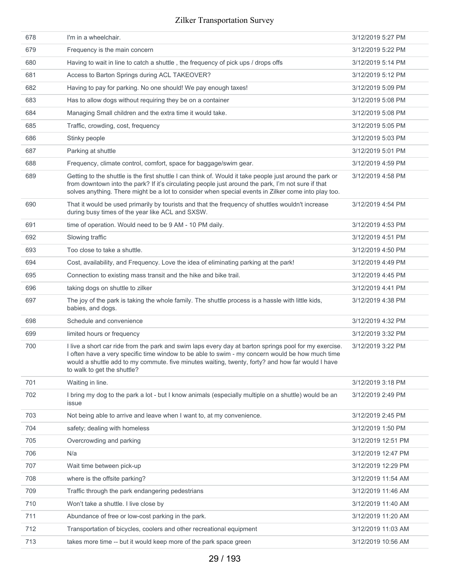| 678 | I'm in a wheelchair.                                                                                                                                                                                                                                                                                                                        | 3/12/2019 5:27 PM  |
|-----|---------------------------------------------------------------------------------------------------------------------------------------------------------------------------------------------------------------------------------------------------------------------------------------------------------------------------------------------|--------------------|
| 679 | Frequency is the main concern                                                                                                                                                                                                                                                                                                               | 3/12/2019 5:22 PM  |
| 680 | Having to wait in line to catch a shuttle, the frequency of pick ups / drops offs                                                                                                                                                                                                                                                           | 3/12/2019 5:14 PM  |
| 681 | Access to Barton Springs during ACL TAKEOVER?                                                                                                                                                                                                                                                                                               | 3/12/2019 5:12 PM  |
| 682 | Having to pay for parking. No one should! We pay enough taxes!                                                                                                                                                                                                                                                                              | 3/12/2019 5:09 PM  |
| 683 | Has to allow dogs without requiring they be on a container                                                                                                                                                                                                                                                                                  | 3/12/2019 5:08 PM  |
| 684 | Managing Small children and the extra time it would take.                                                                                                                                                                                                                                                                                   | 3/12/2019 5:08 PM  |
| 685 | Traffic, crowding, cost, frequency                                                                                                                                                                                                                                                                                                          | 3/12/2019 5:05 PM  |
| 686 | Stinky people                                                                                                                                                                                                                                                                                                                               | 3/12/2019 5:03 PM  |
| 687 | Parking at shuttle                                                                                                                                                                                                                                                                                                                          | 3/12/2019 5:01 PM  |
| 688 | Frequency, climate control, comfort, space for baggage/swim gear.                                                                                                                                                                                                                                                                           | 3/12/2019 4:59 PM  |
| 689 | Getting to the shuttle is the first shuttle I can think of. Would it take people just around the park or<br>from downtown into the park? If it's circulating people just around the park, I'm not sure if that<br>solves anything. There might be a lot to consider when special events in Zilker come into play too.                       | 3/12/2019 4:58 PM  |
| 690 | That it would be used primarily by tourists and that the frequency of shuttles wouldn't increase<br>during busy times of the year like ACL and SXSW.                                                                                                                                                                                        | 3/12/2019 4:54 PM  |
| 691 | time of operation. Would need to be 9 AM - 10 PM daily.                                                                                                                                                                                                                                                                                     | 3/12/2019 4:53 PM  |
| 692 | Slowing traffic                                                                                                                                                                                                                                                                                                                             | 3/12/2019 4:51 PM  |
| 693 | Too close to take a shuttle.                                                                                                                                                                                                                                                                                                                | 3/12/2019 4:50 PM  |
| 694 | Cost, availability, and Frequency. Love the idea of eliminating parking at the park!                                                                                                                                                                                                                                                        | 3/12/2019 4:49 PM  |
| 695 | Connection to existing mass transit and the hike and bike trail.                                                                                                                                                                                                                                                                            | 3/12/2019 4:45 PM  |
| 696 | taking dogs on shuttle to zilker                                                                                                                                                                                                                                                                                                            | 3/12/2019 4:41 PM  |
| 697 | The joy of the park is taking the whole family. The shuttle process is a hassle with little kids,<br>babies, and dogs.                                                                                                                                                                                                                      | 3/12/2019 4:38 PM  |
| 698 | Schedule and convenience                                                                                                                                                                                                                                                                                                                    | 3/12/2019 4:32 PM  |
| 699 | limited hours or frequency                                                                                                                                                                                                                                                                                                                  | 3/12/2019 3:32 PM  |
| 700 | I live a short car ride from the park and swim laps every day at barton springs pool for my exercise.<br>I often have a very specific time window to be able to swim - my concern would be how much time<br>would a shuttle add to my commute. five minutes waiting, twenty, forty? and how far would I have<br>to walk to get the shuttle? | 3/12/2019 3:22 PM  |
| 701 | Waiting in line.                                                                                                                                                                                                                                                                                                                            | 3/12/2019 3:18 PM  |
| 702 | I bring my dog to the park a lot - but I know animals (especially multiple on a shuttle) would be an<br>issue                                                                                                                                                                                                                               | 3/12/2019 2:49 PM  |
| 703 | Not being able to arrive and leave when I want to, at my convenience.                                                                                                                                                                                                                                                                       | 3/12/2019 2:45 PM  |
| 704 | safety; dealing with homeless                                                                                                                                                                                                                                                                                                               | 3/12/2019 1:50 PM  |
| 705 | Overcrowding and parking                                                                                                                                                                                                                                                                                                                    | 3/12/2019 12:51 PM |
| 706 | N/a                                                                                                                                                                                                                                                                                                                                         | 3/12/2019 12:47 PM |
| 707 | Wait time between pick-up                                                                                                                                                                                                                                                                                                                   | 3/12/2019 12:29 PM |
| 708 | where is the offsite parking?                                                                                                                                                                                                                                                                                                               | 3/12/2019 11:54 AM |
| 709 | Traffic through the park endangering pedestrians                                                                                                                                                                                                                                                                                            | 3/12/2019 11:46 AM |
| 710 | Won't take a shuttle. I live close by                                                                                                                                                                                                                                                                                                       | 3/12/2019 11:40 AM |
| 711 | Abundance of free or low-cost parking in the park.                                                                                                                                                                                                                                                                                          | 3/12/2019 11:20 AM |
| 712 | Transportation of bicycles, coolers and other recreational equipment                                                                                                                                                                                                                                                                        | 3/12/2019 11:03 AM |
| 713 | takes more time -- but it would keep more of the park space green                                                                                                                                                                                                                                                                           | 3/12/2019 10:56 AM |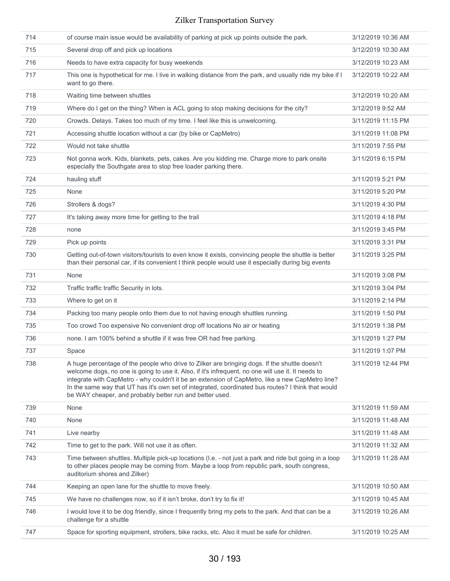| 714 | of course main issue would be availability of parking at pick up points outside the park.                                                                                                                                                                                                                                                                                                                                                                                 | 3/12/2019 10:36 AM |
|-----|---------------------------------------------------------------------------------------------------------------------------------------------------------------------------------------------------------------------------------------------------------------------------------------------------------------------------------------------------------------------------------------------------------------------------------------------------------------------------|--------------------|
| 715 | Several drop off and pick up locations                                                                                                                                                                                                                                                                                                                                                                                                                                    | 3/12/2019 10:30 AM |
| 716 | Needs to have extra capacity for busy weekends                                                                                                                                                                                                                                                                                                                                                                                                                            | 3/12/2019 10:23 AM |
| 717 | This one is hypothetical for me. I live in walking distance from the park, and usually ride my bike if I<br>want to go there.                                                                                                                                                                                                                                                                                                                                             | 3/12/2019 10:22 AM |
| 718 | Waiting time between shuttles                                                                                                                                                                                                                                                                                                                                                                                                                                             | 3/12/2019 10:20 AM |
| 719 | Where do I get on the thing? When is ACL going to stop making decisions for the city?                                                                                                                                                                                                                                                                                                                                                                                     | 3/12/2019 9:52 AM  |
| 720 | Crowds. Delays. Takes too much of my time. I feel like this is unwelcoming.                                                                                                                                                                                                                                                                                                                                                                                               | 3/11/2019 11:15 PM |
| 721 | Accessing shuttle location without a car (by bike or CapMetro)                                                                                                                                                                                                                                                                                                                                                                                                            | 3/11/2019 11:08 PM |
| 722 | Would not take shuttle                                                                                                                                                                                                                                                                                                                                                                                                                                                    | 3/11/2019 7:55 PM  |
| 723 | Not gonna work. Kids, blankets, pets, cakes. Are you kidding me. Charge more to park onsite<br>especially the Southgate area to stop free loader parking there.                                                                                                                                                                                                                                                                                                           | 3/11/2019 6:15 PM  |
| 724 | hauling stuff                                                                                                                                                                                                                                                                                                                                                                                                                                                             | 3/11/2019 5:21 PM  |
| 725 | None                                                                                                                                                                                                                                                                                                                                                                                                                                                                      | 3/11/2019 5:20 PM  |
| 726 | Strollers & dogs?                                                                                                                                                                                                                                                                                                                                                                                                                                                         | 3/11/2019 4:30 PM  |
| 727 | It's taking away more time for getting to the trail                                                                                                                                                                                                                                                                                                                                                                                                                       | 3/11/2019 4:18 PM  |
| 728 | none                                                                                                                                                                                                                                                                                                                                                                                                                                                                      | 3/11/2019 3:45 PM  |
| 729 | Pick up points                                                                                                                                                                                                                                                                                                                                                                                                                                                            | 3/11/2019 3:31 PM  |
| 730 | Getting out-of-town visitors/tourists to even know it exists, convincing people the shuttle is better<br>than their personal car, if its convenient I think people would use it especially during big events                                                                                                                                                                                                                                                              | 3/11/2019 3:25 PM  |
| 731 | None                                                                                                                                                                                                                                                                                                                                                                                                                                                                      | 3/11/2019 3:08 PM  |
| 732 | Traffic traffic traffic Security in lots.                                                                                                                                                                                                                                                                                                                                                                                                                                 | 3/11/2019 3:04 PM  |
| 733 | Where to get on it                                                                                                                                                                                                                                                                                                                                                                                                                                                        | 3/11/2019 2:14 PM  |
| 734 | Packing too many people onto them due to not having enough shuttles running.                                                                                                                                                                                                                                                                                                                                                                                              | 3/11/2019 1:50 PM  |
| 735 | Too crowd Too expensive No convenient drop off locations No air or heating                                                                                                                                                                                                                                                                                                                                                                                                | 3/11/2019 1:38 PM  |
| 736 | none. I am 100% behind a shuttle if it was free OR had free parking.                                                                                                                                                                                                                                                                                                                                                                                                      | 3/11/2019 1:27 PM  |
| 737 | Space                                                                                                                                                                                                                                                                                                                                                                                                                                                                     | 3/11/2019 1:07 PM  |
| 738 | A huge percentage of the people who drive to Zilker are bringing dogs. If the shuttle doesn't<br>welcome dogs, no one is going to use it. Also, if it's infrequent, no one will use it. It needs to<br>integrate with CapMetro - why couldn't it be an extension of CapMetro, like a new CapMetro line?<br>In the same way that UT has it's own set of integrated, coordinated bus routes? I think that would<br>be WAY cheaper, and probably better run and better used. | 3/11/2019 12:44 PM |
| 739 | None                                                                                                                                                                                                                                                                                                                                                                                                                                                                      | 3/11/2019 11:59 AM |
| 740 | None                                                                                                                                                                                                                                                                                                                                                                                                                                                                      | 3/11/2019 11:48 AM |
| 741 | Live nearby                                                                                                                                                                                                                                                                                                                                                                                                                                                               | 3/11/2019 11:48 AM |
| 742 | Time to get to the park. Will not use it as often.                                                                                                                                                                                                                                                                                                                                                                                                                        | 3/11/2019 11:32 AM |
| 743 | Time between shuttles. Multiple pick-up locations (I.e. - not just a park and ride but going in a loop<br>to other places people may be coming from. Maybe a loop from republic park, south congress,<br>auditorium shores and Zilker)                                                                                                                                                                                                                                    | 3/11/2019 11:28 AM |
| 744 | Keeping an open lane for the shuttle to move freely.                                                                                                                                                                                                                                                                                                                                                                                                                      | 3/11/2019 10:50 AM |
| 745 | We have no challenges now, so if it isn't broke, don't try to fix it!                                                                                                                                                                                                                                                                                                                                                                                                     | 3/11/2019 10:45 AM |
| 746 | I would love it to be dog friendly, since I frequently bring my pets to the park. And that can be a<br>challenge for a shuttle                                                                                                                                                                                                                                                                                                                                            | 3/11/2019 10:26 AM |
| 747 | Space for sporting equipment, strollers, bike racks, etc. Also it must be safe for children.                                                                                                                                                                                                                                                                                                                                                                              | 3/11/2019 10:25 AM |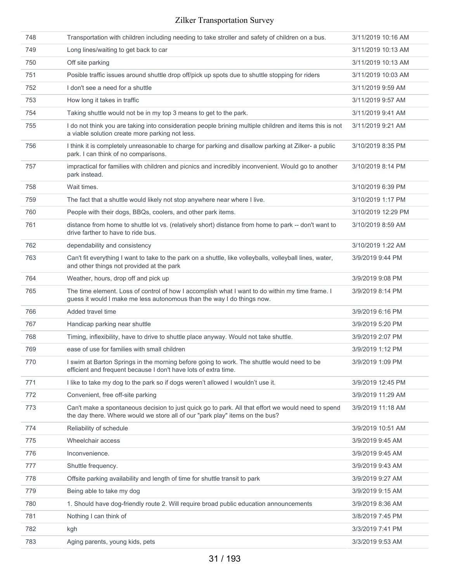| 748 | Transportation with children including needing to take stroller and safety of children on a bus.                                                                                   | 3/11/2019 10:16 AM |
|-----|------------------------------------------------------------------------------------------------------------------------------------------------------------------------------------|--------------------|
| 749 | Long lines/waiting to get back to car                                                                                                                                              | 3/11/2019 10:13 AM |
| 750 | Off site parking                                                                                                                                                                   | 3/11/2019 10:13 AM |
| 751 | Posible traffic issues around shuttle drop off/pick up spots due to shuttle stopping for riders                                                                                    | 3/11/2019 10:03 AM |
| 752 | I don't see a need for a shuttle                                                                                                                                                   | 3/11/2019 9:59 AM  |
| 753 | How long it takes in traffic                                                                                                                                                       | 3/11/2019 9:57 AM  |
| 754 | Taking shuttle would not be in my top 3 means to get to the park.                                                                                                                  | 3/11/2019 9:41 AM  |
| 755 | I do not think you are taking into consideration people brining multiple children and items this is not<br>a viable solution create more parking not less.                         | 3/11/2019 9:21 AM  |
| 756 | I think it is completely unreasonable to charge for parking and disallow parking at Zilker- a public<br>park. I can think of no comparisons.                                       | 3/10/2019 8:35 PM  |
| 757 | impractical for families with children and picnics and incredibly inconvenient. Would go to another<br>park instead.                                                               | 3/10/2019 8:14 PM  |
| 758 | Wait times.                                                                                                                                                                        | 3/10/2019 6:39 PM  |
| 759 | The fact that a shuttle would likely not stop anywhere near where I live.                                                                                                          | 3/10/2019 1:17 PM  |
| 760 | People with their dogs, BBQs, coolers, and other park items.                                                                                                                       | 3/10/2019 12:29 PM |
| 761 | distance from home to shuttle lot vs. (relatively short) distance from home to park -- don't want to<br>drive farther to have to ride bus.                                         | 3/10/2019 8:59 AM  |
| 762 | dependability and consistency                                                                                                                                                      | 3/10/2019 1:22 AM  |
| 763 | Can't fit everything I want to take to the park on a shuttle, like volleyballs, volleyball lines, water,<br>and other things not provided at the park                              | 3/9/2019 9:44 PM   |
| 764 | Weather, hours, drop off and pick up                                                                                                                                               | 3/9/2019 9:08 PM   |
| 765 | The time element. Loss of control of how I accomplish what I want to do within my time frame. I<br>guess it would I make me less autonomous than the way I do things now.          | 3/9/2019 8:14 PM   |
| 766 | Added travel time                                                                                                                                                                  | 3/9/2019 6:16 PM   |
| 767 | Handicap parking near shuttle                                                                                                                                                      | 3/9/2019 5:20 PM   |
| 768 | Timing, inflexibility, have to drive to shuttle place anyway. Would not take shuttle.                                                                                              | 3/9/2019 2:07 PM   |
| 769 | ease of use for families with small children                                                                                                                                       | 3/9/2019 1:12 PM   |
| 770 | I swim at Barton Springs in the morning before going to work. The shuttle would need to be<br>efficient and frequent because I don't have lots of extra time.                      | 3/9/2019 1:09 PM   |
| 771 | I like to take my dog to the park so if dogs weren't allowed I wouldn't use it.                                                                                                    | 3/9/2019 12:45 PM  |
| 772 | Convenient, free off-site parking                                                                                                                                                  | 3/9/2019 11:29 AM  |
| 773 | Can't make a spontaneous decision to just quick go to park. All that effort we would need to spend<br>the day there. Where would we store all of our "park play" items on the bus? | 3/9/2019 11:18 AM  |
| 774 | Reliability of schedule                                                                                                                                                            | 3/9/2019 10:51 AM  |
| 775 | Wheelchair access                                                                                                                                                                  | 3/9/2019 9:45 AM   |
| 776 | Inconvenience.                                                                                                                                                                     | 3/9/2019 9:45 AM   |
| 777 | Shuttle frequency.                                                                                                                                                                 | 3/9/2019 9:43 AM   |
| 778 | Offsite parking availability and length of time for shuttle transit to park                                                                                                        | 3/9/2019 9:27 AM   |
| 779 | Being able to take my dog                                                                                                                                                          | 3/9/2019 9:15 AM   |
| 780 | 1. Should have dog-friendly route 2. Will require broad public education announcements                                                                                             | 3/9/2019 8:36 AM   |
| 781 | Nothing I can think of                                                                                                                                                             | 3/8/2019 7:45 PM   |
| 782 | kgh                                                                                                                                                                                | 3/3/2019 7:41 PM   |
| 783 | Aging parents, young kids, pets                                                                                                                                                    | 3/3/2019 9:53 AM   |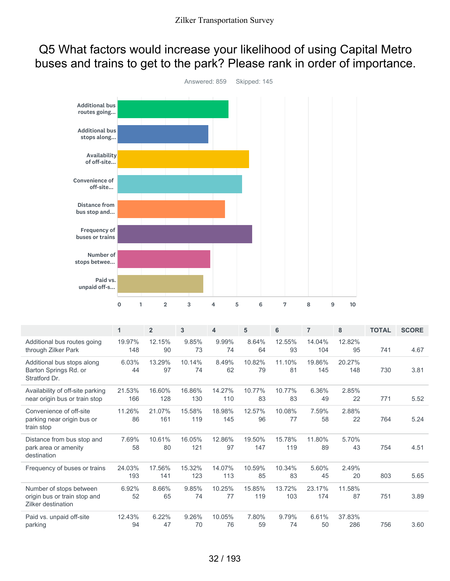## Q5 What factors would increase your likelihood of using Capital Metro buses and trains to get to the park? Please rank in order of importance.



|                                                                               | 1             | $\overline{2}$ | 3             | 4             | 5             | 6             | $\overline{7}$ | 8             | <b>TOTAL</b> | <b>SCORE</b> |
|-------------------------------------------------------------------------------|---------------|----------------|---------------|---------------|---------------|---------------|----------------|---------------|--------------|--------------|
| Additional bus routes going<br>through Zilker Park                            | 19.97%<br>148 | 12.15%<br>90   | 9.85%<br>73   | 9.99%<br>74   | 8.64%<br>64   | 12.55%<br>93  | 14.04%<br>104  | 12.82%<br>95  | 741          | 4.67         |
| Additional bus stops along<br>Barton Springs Rd. or<br>Stratford Dr.          | 6.03%<br>44   | 13.29%<br>97   | 10.14%<br>74  | 8.49%<br>62   | 10.82%<br>79  | 11.10%<br>81  | 19.86%<br>145  | 20.27%<br>148 | 730          | 3.81         |
| Availability of off-site parking<br>near origin bus or train stop             | 21.53%<br>166 | 16.60%<br>128  | 16.86%<br>130 | 14.27%<br>110 | 10.77%<br>83  | 10.77%<br>83  | 6.36%<br>49    | 2.85%<br>22   | 771          | 5.52         |
| Convenience of off-site<br>parking near origin bus or<br>train stop           | 11.26%<br>86  | 21.07%<br>161  | 15.58%<br>119 | 18.98%<br>145 | 12.57%<br>96  | 10.08%<br>77  | 7.59%<br>58    | 2.88%<br>22   | 764          | 5.24         |
| Distance from bus stop and<br>park area or amenity<br>destination             | 7.69%<br>58   | 10.61%<br>80   | 16.05%<br>121 | 12.86%<br>97  | 19.50%<br>147 | 15.78%<br>119 | 11.80%<br>89   | 5.70%<br>43   | 754          | 4.51         |
| Frequency of buses or trains                                                  | 24.03%<br>193 | 17.56%<br>141  | 15.32%<br>123 | 14.07%<br>113 | 10.59%<br>85  | 10.34%<br>83  | 5.60%<br>45    | 2.49%<br>20   | 803          | 5.65         |
| Number of stops between<br>origin bus or train stop and<br>Zilker destination | 6.92%<br>52   | 8.66%<br>65    | 9.85%<br>74   | 10.25%<br>77  | 15.85%<br>119 | 13.72%<br>103 | 23.17%<br>174  | 11.58%<br>87  | 751          | 3.89         |
| Paid vs. unpaid off-site<br>parking                                           | 12.43%<br>94  | 6.22%<br>47    | 9.26%<br>70   | 10.05%<br>76  | 7.80%<br>59   | 9.79%<br>74   | 6.61%<br>50    | 37.83%<br>286 | 756          | 3.60         |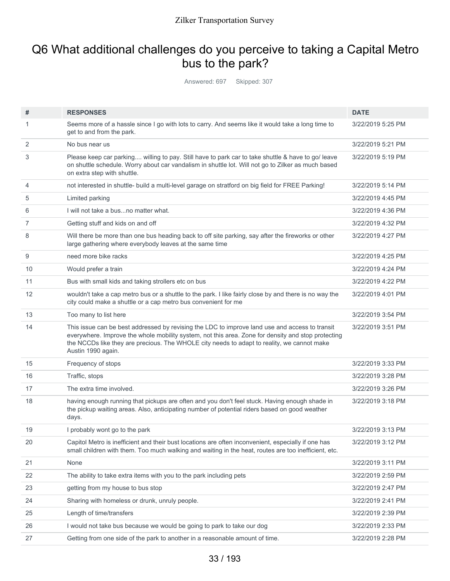## Q6 What additional challenges do you perceive to taking a Capital Metro bus to the park?

Answered: 697 Skipped: 307

| #  | <b>RESPONSES</b>                                                                                                                                                                                                                                                                                                         | <b>DATE</b>       |
|----|--------------------------------------------------------------------------------------------------------------------------------------------------------------------------------------------------------------------------------------------------------------------------------------------------------------------------|-------------------|
| 1  | Seems more of a hassle since I go with lots to carry. And seems like it would take a long time to<br>get to and from the park.                                                                                                                                                                                           | 3/22/2019 5:25 PM |
| 2  | No bus near us                                                                                                                                                                                                                                                                                                           | 3/22/2019 5:21 PM |
| 3  | Please keep car parking willing to pay. Still have to park car to take shuttle & have to go/ leave<br>on shuttle schedule. Worry about car vandalism in shuttle lot. Will not go to Zilker as much based<br>on extra step with shuttle.                                                                                  | 3/22/2019 5:19 PM |
| 4  | not interested in shuttle- build a multi-level garage on stratford on big field for FREE Parking!                                                                                                                                                                                                                        | 3/22/2019 5:14 PM |
| 5  | Limited parking                                                                                                                                                                                                                                                                                                          | 3/22/2019 4:45 PM |
| 6  | I will not take a busno matter what.                                                                                                                                                                                                                                                                                     | 3/22/2019 4:36 PM |
| 7  | Getting stuff and kids on and off                                                                                                                                                                                                                                                                                        | 3/22/2019 4:32 PM |
| 8  | Will there be more than one bus heading back to off site parking, say after the fireworks or other<br>large gathering where everybody leaves at the same time                                                                                                                                                            | 3/22/2019 4:27 PM |
| 9  | need more bike racks                                                                                                                                                                                                                                                                                                     | 3/22/2019 4:25 PM |
| 10 | Would prefer a train                                                                                                                                                                                                                                                                                                     | 3/22/2019 4:24 PM |
| 11 | Bus with small kids and taking strollers etc on bus                                                                                                                                                                                                                                                                      | 3/22/2019 4:22 PM |
| 12 | wouldn't take a cap metro bus or a shuttle to the park. I like fairly close by and there is no way the<br>city could make a shuttle or a cap metro bus convenient for me                                                                                                                                                 | 3/22/2019 4:01 PM |
| 13 | Too many to list here                                                                                                                                                                                                                                                                                                    | 3/22/2019 3:54 PM |
| 14 | This issue can be best addressed by revising the LDC to improve land use and access to transit<br>everywhere. Improve the whole mobility system, not this area. Zone for density and stop protecting<br>the NCCDs like they are precious. The WHOLE city needs to adapt to reality, we cannot make<br>Austin 1990 again. | 3/22/2019 3:51 PM |
| 15 | Frequency of stops                                                                                                                                                                                                                                                                                                       | 3/22/2019 3:33 PM |
| 16 | Traffic, stops                                                                                                                                                                                                                                                                                                           | 3/22/2019 3:28 PM |
| 17 | The extra time involved.                                                                                                                                                                                                                                                                                                 | 3/22/2019 3:26 PM |
| 18 | having enough running that pickups are often and you don't feel stuck. Having enough shade in<br>the pickup waiting areas. Also, anticipating number of potential riders based on good weather<br>days.                                                                                                                  | 3/22/2019 3:18 PM |
| 19 | I probably wont go to the park                                                                                                                                                                                                                                                                                           | 3/22/2019 3:13 PM |
| 20 | Capitol Metro is inefficient and their bust locations are often inconvenient, especially if one has<br>small children with them. Too much walking and waiting in the heat, routes are too inefficient, etc.                                                                                                              | 3/22/2019 3:12 PM |
| 21 | None                                                                                                                                                                                                                                                                                                                     | 3/22/2019 3:11 PM |
| 22 | The ability to take extra items with you to the park including pets                                                                                                                                                                                                                                                      | 3/22/2019 2:59 PM |
| 23 | getting from my house to bus stop                                                                                                                                                                                                                                                                                        | 3/22/2019 2:47 PM |
| 24 | Sharing with homeless or drunk, unruly people.                                                                                                                                                                                                                                                                           | 3/22/2019 2:41 PM |
| 25 | Length of time/transfers                                                                                                                                                                                                                                                                                                 | 3/22/2019 2:39 PM |
| 26 | I would not take bus because we would be going to park to take our dog                                                                                                                                                                                                                                                   | 3/22/2019 2:33 PM |
| 27 | Getting from one side of the park to another in a reasonable amount of time.                                                                                                                                                                                                                                             | 3/22/2019 2:28 PM |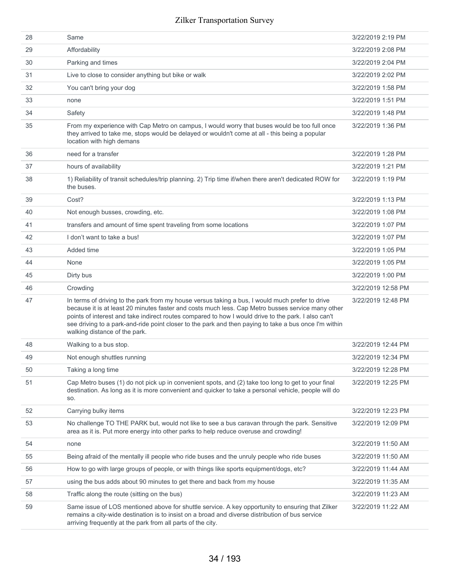| 28 | Same                                                                                                                                                                                                                                                                                                                                                                                                                                                  | 3/22/2019 2:19 PM  |
|----|-------------------------------------------------------------------------------------------------------------------------------------------------------------------------------------------------------------------------------------------------------------------------------------------------------------------------------------------------------------------------------------------------------------------------------------------------------|--------------------|
| 29 | Affordability                                                                                                                                                                                                                                                                                                                                                                                                                                         | 3/22/2019 2:08 PM  |
| 30 | Parking and times                                                                                                                                                                                                                                                                                                                                                                                                                                     | 3/22/2019 2:04 PM  |
| 31 | Live to close to consider anything but bike or walk                                                                                                                                                                                                                                                                                                                                                                                                   | 3/22/2019 2:02 PM  |
| 32 | You can't bring your dog                                                                                                                                                                                                                                                                                                                                                                                                                              | 3/22/2019 1:58 PM  |
| 33 | none                                                                                                                                                                                                                                                                                                                                                                                                                                                  | 3/22/2019 1:51 PM  |
| 34 | Safety                                                                                                                                                                                                                                                                                                                                                                                                                                                | 3/22/2019 1:48 PM  |
| 35 | From my experience with Cap Metro on campus, I would worry that buses would be too full once<br>they arrived to take me, stops would be delayed or wouldn't come at all - this being a popular<br>location with high demans                                                                                                                                                                                                                           | 3/22/2019 1:36 PM  |
| 36 | need for a transfer                                                                                                                                                                                                                                                                                                                                                                                                                                   | 3/22/2019 1:28 PM  |
| 37 | hours of availability                                                                                                                                                                                                                                                                                                                                                                                                                                 | 3/22/2019 1:21 PM  |
| 38 | 1) Reliability of transit schedules/trip planning. 2) Trip time if/when there aren't dedicated ROW for<br>the buses.                                                                                                                                                                                                                                                                                                                                  | 3/22/2019 1:19 PM  |
| 39 | Cost?                                                                                                                                                                                                                                                                                                                                                                                                                                                 | 3/22/2019 1:13 PM  |
| 40 | Not enough busses, crowding, etc.                                                                                                                                                                                                                                                                                                                                                                                                                     | 3/22/2019 1:08 PM  |
| 41 | transfers and amount of time spent traveling from some locations                                                                                                                                                                                                                                                                                                                                                                                      | 3/22/2019 1:07 PM  |
| 42 | I don't want to take a bus!                                                                                                                                                                                                                                                                                                                                                                                                                           | 3/22/2019 1:07 PM  |
| 43 | Added time                                                                                                                                                                                                                                                                                                                                                                                                                                            | 3/22/2019 1:05 PM  |
| 44 | None                                                                                                                                                                                                                                                                                                                                                                                                                                                  | 3/22/2019 1:05 PM  |
| 45 | Dirty bus                                                                                                                                                                                                                                                                                                                                                                                                                                             | 3/22/2019 1:00 PM  |
| 46 | Crowding                                                                                                                                                                                                                                                                                                                                                                                                                                              | 3/22/2019 12:58 PM |
| 47 | In terms of driving to the park from my house versus taking a bus, I would much prefer to drive<br>because it is at least 20 minutes faster and costs much less. Cap Metro busses service many other<br>points of interest and take indirect routes compared to how I would drive to the park. I also can't<br>see driving to a park-and-ride point closer to the park and then paying to take a bus once I'm within<br>walking distance of the park. | 3/22/2019 12:48 PM |
| 48 | Walking to a bus stop.                                                                                                                                                                                                                                                                                                                                                                                                                                | 3/22/2019 12:44 PM |
| 49 | Not enough shuttles running                                                                                                                                                                                                                                                                                                                                                                                                                           | 3/22/2019 12:34 PM |
| 50 | Taking a long time                                                                                                                                                                                                                                                                                                                                                                                                                                    | 3/22/2019 12:28 PM |
| 51 | Cap Metro buses (1) do not pick up in convenient spots, and (2) take too long to get to your final<br>destination. As long as it is more convenient and quicker to take a personal vehicle, people will do<br>SO.                                                                                                                                                                                                                                     | 3/22/2019 12:25 PM |
| 52 | Carrying bulky items                                                                                                                                                                                                                                                                                                                                                                                                                                  | 3/22/2019 12:23 PM |
| 53 | No challenge TO THE PARK but, would not like to see a bus caravan through the park. Sensitive<br>area as it is. Put more energy into other parks to help reduce overuse and crowding!                                                                                                                                                                                                                                                                 | 3/22/2019 12:09 PM |
| 54 | none                                                                                                                                                                                                                                                                                                                                                                                                                                                  | 3/22/2019 11:50 AM |
| 55 | Being afraid of the mentally ill people who ride buses and the unruly people who ride buses                                                                                                                                                                                                                                                                                                                                                           | 3/22/2019 11:50 AM |
| 56 | How to go with large groups of people, or with things like sports equipment/dogs, etc?                                                                                                                                                                                                                                                                                                                                                                | 3/22/2019 11:44 AM |
| 57 | using the bus adds about 90 minutes to get there and back from my house                                                                                                                                                                                                                                                                                                                                                                               | 3/22/2019 11:35 AM |
| 58 | Traffic along the route (sitting on the bus)                                                                                                                                                                                                                                                                                                                                                                                                          | 3/22/2019 11:23 AM |
| 59 | Same issue of LOS mentioned above for shuttle service. A key opportunity to ensuring that Zilker<br>remains a city-wide destination is to insist on a broad and diverse distribution of bus service<br>arriving frequently at the park from all parts of the city.                                                                                                                                                                                    | 3/22/2019 11:22 AM |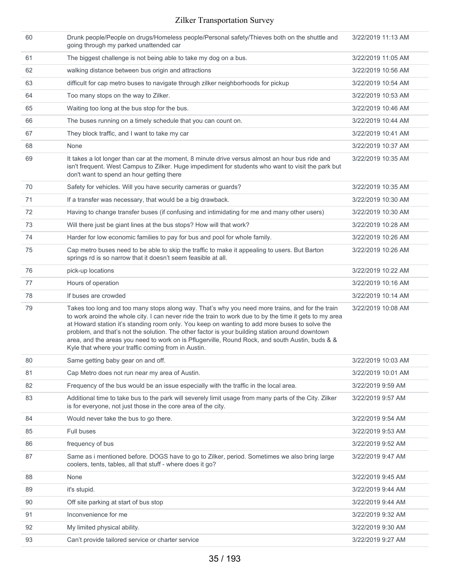| 60 | Drunk people/People on drugs/Homeless people/Personal safety/Thieves both on the shuttle and<br>going through my parked unattended car                                                                                                                                                                                                                                                                                                                                                                                                                                   | 3/22/2019 11:13 AM |
|----|--------------------------------------------------------------------------------------------------------------------------------------------------------------------------------------------------------------------------------------------------------------------------------------------------------------------------------------------------------------------------------------------------------------------------------------------------------------------------------------------------------------------------------------------------------------------------|--------------------|
| 61 | The biggest challenge is not being able to take my dog on a bus.                                                                                                                                                                                                                                                                                                                                                                                                                                                                                                         | 3/22/2019 11:05 AM |
| 62 | walking distance between bus origin and attractions                                                                                                                                                                                                                                                                                                                                                                                                                                                                                                                      | 3/22/2019 10:56 AM |
| 63 | difficult for cap metro buses to navigate through zilker neighborhoods for pickup                                                                                                                                                                                                                                                                                                                                                                                                                                                                                        | 3/22/2019 10:54 AM |
| 64 | Too many stops on the way to Zilker.                                                                                                                                                                                                                                                                                                                                                                                                                                                                                                                                     | 3/22/2019 10:53 AM |
| 65 | Waiting too long at the bus stop for the bus.                                                                                                                                                                                                                                                                                                                                                                                                                                                                                                                            | 3/22/2019 10:46 AM |
| 66 | The buses running on a timely schedule that you can count on.                                                                                                                                                                                                                                                                                                                                                                                                                                                                                                            | 3/22/2019 10:44 AM |
| 67 | They block traffic, and I want to take my car                                                                                                                                                                                                                                                                                                                                                                                                                                                                                                                            | 3/22/2019 10:41 AM |
| 68 | None                                                                                                                                                                                                                                                                                                                                                                                                                                                                                                                                                                     | 3/22/2019 10:37 AM |
| 69 | It takes a lot longer than car at the moment, 8 minute drive versus almost an hour bus ride and<br>isn't frequent. West Campus to Zilker. Huge impediment for students who want to visit the park but<br>don't want to spend an hour getting there                                                                                                                                                                                                                                                                                                                       | 3/22/2019 10:35 AM |
| 70 | Safety for vehicles. Will you have security cameras or guards?                                                                                                                                                                                                                                                                                                                                                                                                                                                                                                           | 3/22/2019 10:35 AM |
| 71 | If a transfer was necessary, that would be a big drawback.                                                                                                                                                                                                                                                                                                                                                                                                                                                                                                               | 3/22/2019 10:30 AM |
| 72 | Having to change transfer buses (if confusing and intimidating for me and many other users)                                                                                                                                                                                                                                                                                                                                                                                                                                                                              | 3/22/2019 10:30 AM |
| 73 | Will there just be giant lines at the bus stops? How will that work?                                                                                                                                                                                                                                                                                                                                                                                                                                                                                                     | 3/22/2019 10:28 AM |
| 74 | Harder for low economic families to pay for bus and pool for whole family.                                                                                                                                                                                                                                                                                                                                                                                                                                                                                               | 3/22/2019 10:26 AM |
| 75 | Cap metro buses need to be able to skip the traffic to make it appealing to users. But Barton<br>springs rd is so narrow that it doesn't seem feasible at all.                                                                                                                                                                                                                                                                                                                                                                                                           | 3/22/2019 10:26 AM |
| 76 | pick-up locations                                                                                                                                                                                                                                                                                                                                                                                                                                                                                                                                                        | 3/22/2019 10:22 AM |
| 77 | Hours of operation                                                                                                                                                                                                                                                                                                                                                                                                                                                                                                                                                       | 3/22/2019 10:16 AM |
| 78 | If buses are crowded                                                                                                                                                                                                                                                                                                                                                                                                                                                                                                                                                     | 3/22/2019 10:14 AM |
| 79 | Takes too long and too many stops along way. That's why you need more trains, and for the train<br>to work aroind the whole city. I can never ride the train to work due to by the time it gets to my area<br>at Howard station it's standing room only. You keep on wanting to add more buses to solve the<br>problem, and that's not the solution. The other factor is your building station around downtown<br>area, and the areas you need to work on is Pflugerville, Round Rock, and south Austin, buds & &<br>Kyle that where your traffic coming from in Austin. | 3/22/2019 10:08 AM |
| 80 | Same getting baby gear on and off.                                                                                                                                                                                                                                                                                                                                                                                                                                                                                                                                       | 3/22/2019 10:03 AM |
| 81 | Cap Metro does not run near my area of Austin.                                                                                                                                                                                                                                                                                                                                                                                                                                                                                                                           | 3/22/2019 10:01 AM |
| 82 | Frequency of the bus would be an issue especially with the traffic in the local area.                                                                                                                                                                                                                                                                                                                                                                                                                                                                                    | 3/22/2019 9:59 AM  |
| 83 | Additional time to take bus to the park will severely limit usage from many parts of the City. Zilker<br>is for everyone, not just those in the core area of the city.                                                                                                                                                                                                                                                                                                                                                                                                   | 3/22/2019 9:57 AM  |
| 84 | Would never take the bus to go there.                                                                                                                                                                                                                                                                                                                                                                                                                                                                                                                                    | 3/22/2019 9:54 AM  |
| 85 | Full buses                                                                                                                                                                                                                                                                                                                                                                                                                                                                                                                                                               | 3/22/2019 9:53 AM  |
| 86 | frequency of bus                                                                                                                                                                                                                                                                                                                                                                                                                                                                                                                                                         | 3/22/2019 9:52 AM  |
| 87 | Same as i mentioned before. DOGS have to go to Zilker, period. Sometimes we also bring large<br>coolers, tents, tables, all that stuff - where does it go?                                                                                                                                                                                                                                                                                                                                                                                                               | 3/22/2019 9:47 AM  |
| 88 | None                                                                                                                                                                                                                                                                                                                                                                                                                                                                                                                                                                     | 3/22/2019 9:45 AM  |
| 89 | it's stupid.                                                                                                                                                                                                                                                                                                                                                                                                                                                                                                                                                             | 3/22/2019 9:44 AM  |
| 90 | Off site parking at start of bus stop                                                                                                                                                                                                                                                                                                                                                                                                                                                                                                                                    | 3/22/2019 9:44 AM  |
| 91 | Inconvenience for me                                                                                                                                                                                                                                                                                                                                                                                                                                                                                                                                                     | 3/22/2019 9:32 AM  |
| 92 | My limited physical ability.                                                                                                                                                                                                                                                                                                                                                                                                                                                                                                                                             | 3/22/2019 9:30 AM  |
| 93 | Can't provide tailored service or charter service                                                                                                                                                                                                                                                                                                                                                                                                                                                                                                                        | 3/22/2019 9:27 AM  |
|    |                                                                                                                                                                                                                                                                                                                                                                                                                                                                                                                                                                          |                    |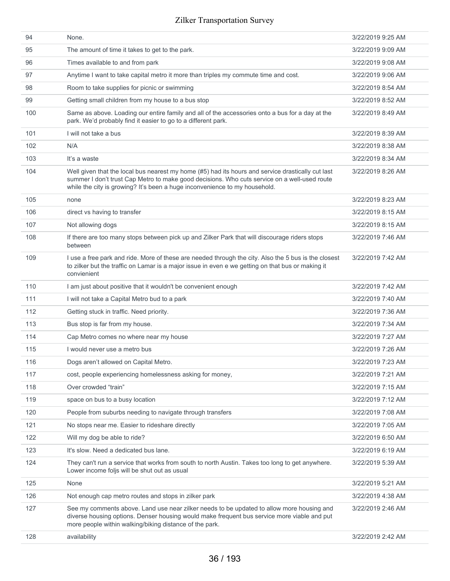| 94  | None.                                                                                                                                                                                                                                                                           | 3/22/2019 9:25 AM |
|-----|---------------------------------------------------------------------------------------------------------------------------------------------------------------------------------------------------------------------------------------------------------------------------------|-------------------|
| 95  | The amount of time it takes to get to the park.                                                                                                                                                                                                                                 | 3/22/2019 9:09 AM |
| 96  | Times available to and from park                                                                                                                                                                                                                                                | 3/22/2019 9:08 AM |
| 97  | Anytime I want to take capital metro it more than triples my commute time and cost.                                                                                                                                                                                             | 3/22/2019 9:06 AM |
| 98  | Room to take supplies for picnic or swimming                                                                                                                                                                                                                                    | 3/22/2019 8:54 AM |
| 99  | Getting small children from my house to a bus stop                                                                                                                                                                                                                              | 3/22/2019 8:52 AM |
| 100 | Same as above. Loading our entire family and all of the accessories onto a bus for a day at the<br>park. We'd probably find it easier to go to a different park.                                                                                                                | 3/22/2019 8:49 AM |
| 101 | I will not take a bus                                                                                                                                                                                                                                                           | 3/22/2019 8:39 AM |
| 102 | N/A                                                                                                                                                                                                                                                                             | 3/22/2019 8:38 AM |
| 103 | It's a waste                                                                                                                                                                                                                                                                    | 3/22/2019 8:34 AM |
| 104 | Well given that the local bus nearest my home (#5) had its hours and service drastically cut last<br>summer I don't trust Cap Metro to make good decisions. Who cuts service on a well-used route<br>while the city is growing? It's been a huge inconvenience to my household. | 3/22/2019 8:26 AM |
| 105 | none                                                                                                                                                                                                                                                                            | 3/22/2019 8:23 AM |
| 106 | direct vs having to transfer                                                                                                                                                                                                                                                    | 3/22/2019 8:15 AM |
| 107 | Not allowing dogs                                                                                                                                                                                                                                                               | 3/22/2019 8:15 AM |
| 108 | If there are too many stops between pick up and Zilker Park that will discourage riders stops<br>between                                                                                                                                                                        | 3/22/2019 7:46 AM |
| 109 | I use a free park and ride. More of these are needed through the city. Also the 5 bus is the closest<br>to zilker but the traffic on Lamar is a major issue in even e we getting on that bus or making it<br>convienient                                                        | 3/22/2019 7:42 AM |
| 110 | I am just about positive that it wouldn't be convenient enough                                                                                                                                                                                                                  | 3/22/2019 7:42 AM |
| 111 | I will not take a Capital Metro bud to a park                                                                                                                                                                                                                                   | 3/22/2019 7:40 AM |
| 112 | Getting stuck in traffic. Need priority.                                                                                                                                                                                                                                        | 3/22/2019 7:36 AM |
| 113 | Bus stop is far from my house.                                                                                                                                                                                                                                                  | 3/22/2019 7:34 AM |
| 114 | Cap Metro comes no where near my house                                                                                                                                                                                                                                          | 3/22/2019 7:27 AM |
| 115 | I would never use a metro bus                                                                                                                                                                                                                                                   | 3/22/2019 7:26 AM |
| 116 | Dogs aren't allowed on Capital Metro.                                                                                                                                                                                                                                           | 3/22/2019 7:23 AM |
| 117 | cost, people experiencing homelessness asking for money,                                                                                                                                                                                                                        | 3/22/2019 7:21 AM |
| 118 | Over crowded "train"                                                                                                                                                                                                                                                            | 3/22/2019 7:15 AM |
| 119 | space on bus to a busy location                                                                                                                                                                                                                                                 | 3/22/2019 7:12 AM |
| 120 | People from suburbs needing to navigate through transfers                                                                                                                                                                                                                       | 3/22/2019 7:08 AM |
| 121 | No stops near me. Easier to rideshare directly                                                                                                                                                                                                                                  | 3/22/2019 7:05 AM |
| 122 | Will my dog be able to ride?                                                                                                                                                                                                                                                    | 3/22/2019 6:50 AM |
| 123 | It's slow. Need a dedicated bus lane.                                                                                                                                                                                                                                           | 3/22/2019 6:19 AM |
| 124 | They can't run a service that works from south to north Austin. Takes too long to get anywhere.<br>Lower income foljs will be shut out as usual                                                                                                                                 | 3/22/2019 5:39 AM |
| 125 | None                                                                                                                                                                                                                                                                            | 3/22/2019 5:21 AM |
| 126 | Not enough cap metro routes and stops in zilker park                                                                                                                                                                                                                            | 3/22/2019 4:38 AM |
| 127 | See my comments above. Land use near zilker needs to be updated to allow more housing and<br>diverse housing options. Denser housing would make frequent bus service more viable and put<br>more people within walking/biking distance of the park.                             | 3/22/2019 2:46 AM |
| 128 | availability                                                                                                                                                                                                                                                                    | 3/22/2019 2:42 AM |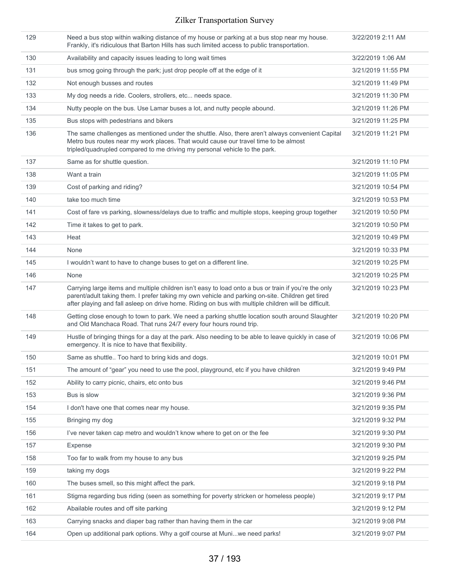| 129 | Need a bus stop within walking distance of my house or parking at a bus stop near my house.<br>Frankly, it's ridiculous that Barton Hills has such limited access to public transportation.                                                                                                                      | 3/22/2019 2:11 AM  |
|-----|------------------------------------------------------------------------------------------------------------------------------------------------------------------------------------------------------------------------------------------------------------------------------------------------------------------|--------------------|
| 130 | Availability and capacity issues leading to long wait times                                                                                                                                                                                                                                                      | 3/22/2019 1:06 AM  |
| 131 | bus smog going through the park; just drop people off at the edge of it                                                                                                                                                                                                                                          | 3/21/2019 11:55 PM |
| 132 | Not enough busses and routes                                                                                                                                                                                                                                                                                     | 3/21/2019 11:49 PM |
| 133 | My dog needs a ride. Coolers, strollers, etc needs space.                                                                                                                                                                                                                                                        | 3/21/2019 11:30 PM |
| 134 | Nutty people on the bus. Use Lamar buses a lot, and nutty people abound.                                                                                                                                                                                                                                         | 3/21/2019 11:26 PM |
| 135 | Bus stops with pedestrians and bikers                                                                                                                                                                                                                                                                            | 3/21/2019 11:25 PM |
| 136 | The same challenges as mentioned under the shuttle. Also, there aren't always convenient Capital<br>Metro bus routes near my work places. That would cause our travel time to be almost<br>tripled/quadrupled compared to me driving my personal vehicle to the park.                                            | 3/21/2019 11:21 PM |
| 137 | Same as for shuttle question.                                                                                                                                                                                                                                                                                    | 3/21/2019 11:10 PM |
| 138 | Want a train                                                                                                                                                                                                                                                                                                     | 3/21/2019 11:05 PM |
| 139 | Cost of parking and riding?                                                                                                                                                                                                                                                                                      | 3/21/2019 10:54 PM |
| 140 | take too much time                                                                                                                                                                                                                                                                                               | 3/21/2019 10:53 PM |
| 141 | Cost of fare vs parking, slowness/delays due to traffic and multiple stops, keeping group together                                                                                                                                                                                                               | 3/21/2019 10:50 PM |
| 142 | Time it takes to get to park.                                                                                                                                                                                                                                                                                    | 3/21/2019 10:50 PM |
| 143 | Heat                                                                                                                                                                                                                                                                                                             | 3/21/2019 10:49 PM |
| 144 | None                                                                                                                                                                                                                                                                                                             | 3/21/2019 10:33 PM |
| 145 | I wouldn't want to have to change buses to get on a different line.                                                                                                                                                                                                                                              | 3/21/2019 10:25 PM |
| 146 | None                                                                                                                                                                                                                                                                                                             | 3/21/2019 10:25 PM |
| 147 | Carrying large items and multiple children isn't easy to load onto a bus or train if you're the only<br>parent/adult taking them. I prefer taking my own vehicle and parking on-site. Children get tired<br>after playing and fall asleep on drive home. Riding on bus with multiple children will be difficult. | 3/21/2019 10:23 PM |
| 148 | Getting close enough to town to park. We need a parking shuttle location south around Slaughter<br>and Old Manchaca Road. That runs 24/7 every four hours round trip.                                                                                                                                            | 3/21/2019 10:20 PM |
| 149 | Hustle of bringing things for a day at the park. Also needing to be able to leave quickly in case of<br>emergency. It is nice to have that flexibility.                                                                                                                                                          | 3/21/2019 10:06 PM |
| 150 | Same as shuttle Too hard to bring kids and dogs.                                                                                                                                                                                                                                                                 | 3/21/2019 10:01 PM |
| 151 | The amount of "gear" you need to use the pool, playground, etc if you have children                                                                                                                                                                                                                              | 3/21/2019 9:49 PM  |
| 152 | Ability to carry picnic, chairs, etc onto bus                                                                                                                                                                                                                                                                    | 3/21/2019 9:46 PM  |
| 153 | Bus is slow                                                                                                                                                                                                                                                                                                      | 3/21/2019 9:36 PM  |
| 154 | I don't have one that comes near my house.                                                                                                                                                                                                                                                                       | 3/21/2019 9:35 PM  |
| 155 | Bringing my dog                                                                                                                                                                                                                                                                                                  | 3/21/2019 9:32 PM  |
| 156 | I've never taken cap metro and wouldn't know where to get on or the fee                                                                                                                                                                                                                                          | 3/21/2019 9:30 PM  |
| 157 | Expense                                                                                                                                                                                                                                                                                                          | 3/21/2019 9:30 PM  |
| 158 | Too far to walk from my house to any bus                                                                                                                                                                                                                                                                         | 3/21/2019 9:25 PM  |
| 159 | taking my dogs                                                                                                                                                                                                                                                                                                   | 3/21/2019 9:22 PM  |
| 160 | The buses smell, so this might affect the park.                                                                                                                                                                                                                                                                  | 3/21/2019 9:18 PM  |
| 161 | Stigma regarding bus riding (seen as something for poverty stricken or homeless people)                                                                                                                                                                                                                          | 3/21/2019 9:17 PM  |
| 162 | Abailable routes and off site parking                                                                                                                                                                                                                                                                            | 3/21/2019 9:12 PM  |
| 163 | Carrying snacks and diaper bag rather than having them in the car                                                                                                                                                                                                                                                | 3/21/2019 9:08 PM  |
| 164 | Open up additional park options. Why a golf course at Muniwe need parks!                                                                                                                                                                                                                                         | 3/21/2019 9:07 PM  |
|     |                                                                                                                                                                                                                                                                                                                  |                    |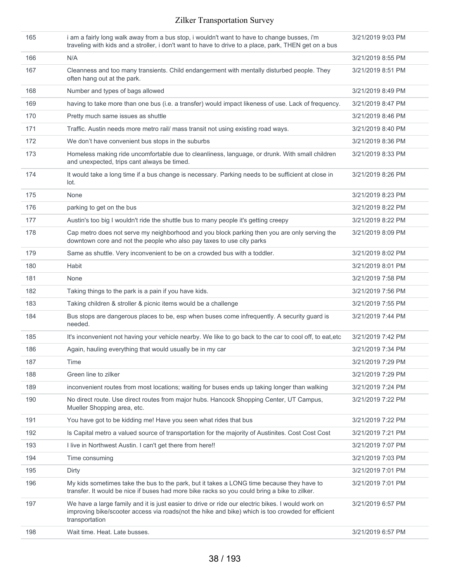| 165 | i am a fairly long walk away from a bus stop, i wouldn't want to have to change busses, i'm<br>traveling with kids and a stroller, i don't want to have to drive to a place, park, THEN get on a bus                     | 3/21/2019 9:03 PM |
|-----|--------------------------------------------------------------------------------------------------------------------------------------------------------------------------------------------------------------------------|-------------------|
| 166 | N/A                                                                                                                                                                                                                      | 3/21/2019 8:55 PM |
| 167 | Cleanness and too many transients. Child endangerment with mentally disturbed people. They<br>often hang out at the park.                                                                                                | 3/21/2019 8:51 PM |
| 168 | Number and types of bags allowed                                                                                                                                                                                         | 3/21/2019 8:49 PM |
| 169 | having to take more than one bus (i.e. a transfer) would impact likeness of use. Lack of frequency.                                                                                                                      | 3/21/2019 8:47 PM |
| 170 | Pretty much same issues as shuttle                                                                                                                                                                                       | 3/21/2019 8:46 PM |
| 171 | Traffic. Austin needs more metro rail/ mass transit not using existing road ways.                                                                                                                                        | 3/21/2019 8:40 PM |
| 172 | We don't have convenient bus stops in the suburbs                                                                                                                                                                        | 3/21/2019 8:36 PM |
| 173 | Homeless making ride uncomfortable due to cleanliness, language, or drunk. With small children<br>and unexpected, trips cant always be timed.                                                                            | 3/21/2019 8:33 PM |
| 174 | It would take a long time if a bus change is necessary. Parking needs to be sufficient at close in<br>lot.                                                                                                               | 3/21/2019 8:26 PM |
| 175 | None                                                                                                                                                                                                                     | 3/21/2019 8:23 PM |
| 176 | parking to get on the bus                                                                                                                                                                                                | 3/21/2019 8:22 PM |
| 177 | Austin's too big I wouldn't ride the shuttle bus to many people it's getting creepy                                                                                                                                      | 3/21/2019 8:22 PM |
| 178 | Cap metro does not serve my neighborhood and you block parking then you are only serving the<br>downtown core and not the people who also pay taxes to use city parks                                                    | 3/21/2019 8:09 PM |
| 179 | Same as shuttle. Very inconvenient to be on a crowded bus with a toddler.                                                                                                                                                | 3/21/2019 8:02 PM |
| 180 | Habit                                                                                                                                                                                                                    | 3/21/2019 8:01 PM |
| 181 | None                                                                                                                                                                                                                     | 3/21/2019 7:58 PM |
| 182 | Taking things to the park is a pain if you have kids.                                                                                                                                                                    | 3/21/2019 7:56 PM |
| 183 | Taking children & stroller & picnic items would be a challenge                                                                                                                                                           | 3/21/2019 7:55 PM |
| 184 | Bus stops are dangerous places to be, esp when buses come infrequently. A security guard is<br>needed.                                                                                                                   | 3/21/2019 7:44 PM |
| 185 | It's inconvenient not having your vehicle nearby. We like to go back to the car to cool off, to eat, etc                                                                                                                 | 3/21/2019 7:42 PM |
| 186 | Again, hauling everything that would usually be in my car                                                                                                                                                                | 3/21/2019 7:34 PM |
| 187 | Time                                                                                                                                                                                                                     | 3/21/2019 7:29 PM |
| 188 | Green line to zilker                                                                                                                                                                                                     | 3/21/2019 7:29 PM |
| 189 | inconvenient routes from most locations; waiting for buses ends up taking longer than walking                                                                                                                            | 3/21/2019 7:24 PM |
| 190 | No direct route. Use direct routes from major hubs. Hancock Shopping Center, UT Campus,<br>Mueller Shopping area, etc.                                                                                                   | 3/21/2019 7:22 PM |
| 191 | You have got to be kidding me! Have you seen what rides that bus                                                                                                                                                         | 3/21/2019 7:22 PM |
| 192 | Is Capital metro a valued source of transportation for the majority of Austinites. Cost Cost Cost                                                                                                                        | 3/21/2019 7:21 PM |
| 193 | I live in Northwest Austin. I can't get there from here!!                                                                                                                                                                | 3/21/2019 7:07 PM |
| 194 | Time consuming                                                                                                                                                                                                           | 3/21/2019 7:03 PM |
| 195 | Dirty                                                                                                                                                                                                                    | 3/21/2019 7:01 PM |
| 196 | My kids sometimes take the bus to the park, but it takes a LONG time because they have to<br>transfer. It would be nice if buses had more bike racks so you could bring a bike to zilker.                                | 3/21/2019 7:01 PM |
| 197 | We have a large family and it is just easier to drive or ride our electric bikes. I would work on<br>improving bike/scooter access via roads(not the hike and bike) which is too crowded for efficient<br>transportation | 3/21/2019 6:57 PM |
| 198 | Wait time. Heat. Late busses.                                                                                                                                                                                            | 3/21/2019 6:57 PM |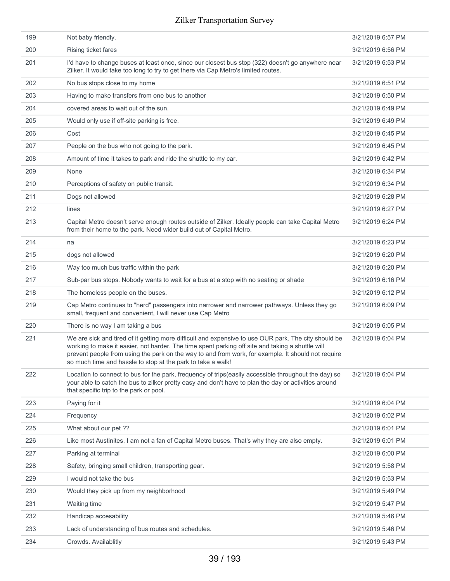| 199 | Not baby friendly.                                                                                                                                                                                                                                                                                                                                                            | 3/21/2019 6:57 PM |
|-----|-------------------------------------------------------------------------------------------------------------------------------------------------------------------------------------------------------------------------------------------------------------------------------------------------------------------------------------------------------------------------------|-------------------|
| 200 | Rising ticket fares                                                                                                                                                                                                                                                                                                                                                           | 3/21/2019 6:56 PM |
| 201 | I'd have to change buses at least once, since our closest bus stop (322) doesn't go anywhere near<br>Zilker. It would take too long to try to get there via Cap Metro's limited routes.                                                                                                                                                                                       | 3/21/2019 6:53 PM |
| 202 | No bus stops close to my home                                                                                                                                                                                                                                                                                                                                                 | 3/21/2019 6:51 PM |
| 203 | Having to make transfers from one bus to another                                                                                                                                                                                                                                                                                                                              | 3/21/2019 6:50 PM |
| 204 | covered areas to wait out of the sun.                                                                                                                                                                                                                                                                                                                                         | 3/21/2019 6:49 PM |
| 205 | Would only use if off-site parking is free.                                                                                                                                                                                                                                                                                                                                   | 3/21/2019 6:49 PM |
| 206 | Cost                                                                                                                                                                                                                                                                                                                                                                          | 3/21/2019 6:45 PM |
| 207 | People on the bus who not going to the park.                                                                                                                                                                                                                                                                                                                                  | 3/21/2019 6:45 PM |
| 208 | Amount of time it takes to park and ride the shuttle to my car.                                                                                                                                                                                                                                                                                                               | 3/21/2019 6:42 PM |
| 209 | None                                                                                                                                                                                                                                                                                                                                                                          | 3/21/2019 6:34 PM |
| 210 | Perceptions of safety on public transit.                                                                                                                                                                                                                                                                                                                                      | 3/21/2019 6:34 PM |
| 211 | Dogs not allowed                                                                                                                                                                                                                                                                                                                                                              | 3/21/2019 6:28 PM |
| 212 | lines                                                                                                                                                                                                                                                                                                                                                                         | 3/21/2019 6:27 PM |
| 213 | Capital Metro doesn't serve enough routes outside of Zilker. Ideally people can take Capital Metro<br>from their home to the park. Need wider build out of Capital Metro.                                                                                                                                                                                                     | 3/21/2019 6:24 PM |
| 214 | na                                                                                                                                                                                                                                                                                                                                                                            | 3/21/2019 6:23 PM |
| 215 | dogs not allowed                                                                                                                                                                                                                                                                                                                                                              | 3/21/2019 6:20 PM |
| 216 | Way too much bus traffic within the park                                                                                                                                                                                                                                                                                                                                      | 3/21/2019 6:20 PM |
| 217 | Sub-par bus stops. Nobody wants to wait for a bus at a stop with no seating or shade                                                                                                                                                                                                                                                                                          | 3/21/2019 6:16 PM |
| 218 | The homeless people on the buses.                                                                                                                                                                                                                                                                                                                                             | 3/21/2019 6:12 PM |
| 219 | Cap Metro continues to "herd" passengers into narrower and narrower pathways. Unless they go<br>small, frequent and convenient, I will never use Cap Metro                                                                                                                                                                                                                    | 3/21/2019 6:09 PM |
| 220 | There is no way I am taking a bus                                                                                                                                                                                                                                                                                                                                             | 3/21/2019 6:05 PM |
| 221 | We are sick and tired of it getting more difficult and expensive to use OUR park. The city should be<br>working to make it easier, not harder. The time spent parking off site and taking a shuttle will<br>prevent people from using the park on the way to and from work, for example. It should not require<br>so much time and hassle to stop at the park to take a walk! | 3/21/2019 6:04 PM |
| 222 | Location to connect to bus for the park, frequency of trips (easily accessible throughout the day) so<br>your able to catch the bus to zilker pretty easy and don't have to plan the day or activities around<br>that specific trip to the park or pool.                                                                                                                      | 3/21/2019 6:04 PM |
| 223 | Paying for it                                                                                                                                                                                                                                                                                                                                                                 | 3/21/2019 6:04 PM |
| 224 | Frequency                                                                                                                                                                                                                                                                                                                                                                     | 3/21/2019 6:02 PM |
| 225 | What about our pet ??                                                                                                                                                                                                                                                                                                                                                         | 3/21/2019 6:01 PM |
| 226 | Like most Austinites, I am not a fan of Capital Metro buses. That's why they are also empty.                                                                                                                                                                                                                                                                                  | 3/21/2019 6:01 PM |
| 227 | Parking at terminal                                                                                                                                                                                                                                                                                                                                                           | 3/21/2019 6:00 PM |
| 228 | Safety, bringing small children, transporting gear.                                                                                                                                                                                                                                                                                                                           | 3/21/2019 5:58 PM |
| 229 | I would not take the bus                                                                                                                                                                                                                                                                                                                                                      | 3/21/2019 5:53 PM |
| 230 | Would they pick up from my neighborhood                                                                                                                                                                                                                                                                                                                                       | 3/21/2019 5:49 PM |
| 231 | Waiting time                                                                                                                                                                                                                                                                                                                                                                  | 3/21/2019 5:47 PM |
| 232 | Handicap accesability                                                                                                                                                                                                                                                                                                                                                         | 3/21/2019 5:46 PM |
| 233 | Lack of understanding of bus routes and schedules.                                                                                                                                                                                                                                                                                                                            | 3/21/2019 5:46 PM |
| 234 | Crowds. Availablitly                                                                                                                                                                                                                                                                                                                                                          | 3/21/2019 5:43 PM |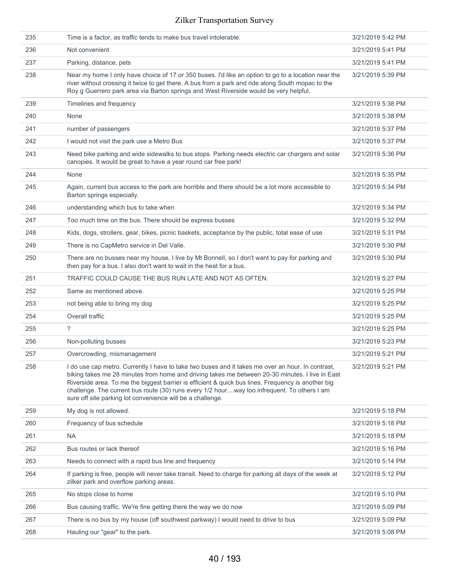| 235 | Time is a factor, as traffic tends to make bus travel intolerable.                                                                                                                                                                                                                                                                                                                                                                                                      | 3/21/2019 5:42 PM |
|-----|-------------------------------------------------------------------------------------------------------------------------------------------------------------------------------------------------------------------------------------------------------------------------------------------------------------------------------------------------------------------------------------------------------------------------------------------------------------------------|-------------------|
| 236 | Not convenient                                                                                                                                                                                                                                                                                                                                                                                                                                                          | 3/21/2019 5:41 PM |
| 237 | Parking, distance, pets                                                                                                                                                                                                                                                                                                                                                                                                                                                 | 3/21/2019 5:41 PM |
| 238 | Near my home I only have choice of 17 or 350 buses. I'd like an option to go to a location near the<br>river without crossing it twice to get there. A bus from a park and ride along South mopac to the<br>Roy g Guerrero park area via Barton springs and West Riverside would be very helpful.                                                                                                                                                                       | 3/21/2019 5:39 PM |
| 239 | Timelines and frequency                                                                                                                                                                                                                                                                                                                                                                                                                                                 | 3/21/2019 5:38 PM |
| 240 | None                                                                                                                                                                                                                                                                                                                                                                                                                                                                    | 3/21/2019 5:38 PM |
| 241 | number of passengers                                                                                                                                                                                                                                                                                                                                                                                                                                                    | 3/21/2019 5:37 PM |
| 242 | I would not visit the park use a Metro Bus                                                                                                                                                                                                                                                                                                                                                                                                                              | 3/21/2019 5:37 PM |
| 243 | Need bike parking and wide sidewalks to bus stops. Parking needs electric car chargers and solar<br>canopies. It would be great to have a year round car free park!                                                                                                                                                                                                                                                                                                     | 3/21/2019 5:36 PM |
| 244 | None                                                                                                                                                                                                                                                                                                                                                                                                                                                                    | 3/21/2019 5:35 PM |
| 245 | Again, current bus access to the park are horrible and there should be a lot more accessible to<br>Barton springs especially.                                                                                                                                                                                                                                                                                                                                           | 3/21/2019 5:34 PM |
| 246 | understanding which bus to take when                                                                                                                                                                                                                                                                                                                                                                                                                                    | 3/21/2019 5:34 PM |
| 247 | Too much time on the bus. There should be express busses                                                                                                                                                                                                                                                                                                                                                                                                                | 3/21/2019 5:32 PM |
| 248 | Kids, dogs, strollers, gear, bikes, picnic baskets, acceptance by the public, total ease of use                                                                                                                                                                                                                                                                                                                                                                         | 3/21/2019 5:31 PM |
| 249 | There is no CapMetro service in Del Valle.                                                                                                                                                                                                                                                                                                                                                                                                                              | 3/21/2019 5:30 PM |
| 250 | There are no busses near my house, I live by Mt Bonnell, so I don't want to pay for parking and<br>then pay for a bus. I also don't want to wait in the heat for a bus.                                                                                                                                                                                                                                                                                                 | 3/21/2019 5:30 PM |
| 251 | TRAFFIC COULD CAUSE THE BUS RUN LATE AND NOT AS OFTEN.                                                                                                                                                                                                                                                                                                                                                                                                                  | 3/21/2019 5:27 PM |
| 252 | Same as mentioned above.                                                                                                                                                                                                                                                                                                                                                                                                                                                | 3/21/2019 5:25 PM |
| 253 | not being able to bring my dog                                                                                                                                                                                                                                                                                                                                                                                                                                          | 3/21/2019 5:25 PM |
| 254 | Overall traffic                                                                                                                                                                                                                                                                                                                                                                                                                                                         | 3/21/2019 5:25 PM |
| 255 | $\overline{\phantom{0}}$                                                                                                                                                                                                                                                                                                                                                                                                                                                | 3/21/2019 5:25 PM |
| 256 | Non-polluting busses                                                                                                                                                                                                                                                                                                                                                                                                                                                    | 3/21/2019 5:23 PM |
| 257 | Overcrowding, mismanagement                                                                                                                                                                                                                                                                                                                                                                                                                                             | 3/21/2019 5:21 PM |
| 258 | I do use cap metro. Currently I have to take two buses and it takes me over an hour. In contrast,<br>biking takes me 28 minutes from home and driving takes me between 20-30 minutes. I live in East<br>Riverside area. To me the biggest barrier is efficient & quick bus lines. Frequency is another big<br>challenge. The current bus route (30) runs every 1/2 hourway too infrequent. To others I am<br>sure off site parking lot convenience will be a challenge. | 3/21/2019 5:21 PM |
| 259 | My dog is not allowed.                                                                                                                                                                                                                                                                                                                                                                                                                                                  | 3/21/2019 5:18 PM |
| 260 | Frequency of bus schedule                                                                                                                                                                                                                                                                                                                                                                                                                                               | 3/21/2019 5:18 PM |
| 261 | NA                                                                                                                                                                                                                                                                                                                                                                                                                                                                      | 3/21/2019 5:18 PM |
| 262 | Bus routes or lack thereof                                                                                                                                                                                                                                                                                                                                                                                                                                              | 3/21/2019 5:16 PM |
| 263 | Needs to connect with a rapid bus line and frequency                                                                                                                                                                                                                                                                                                                                                                                                                    | 3/21/2019 5:14 PM |
| 264 | If parking is free, people will never take transit. Need to charge for parking all days of the week at<br>zilker park and overflow parking areas.                                                                                                                                                                                                                                                                                                                       | 3/21/2019 5:12 PM |
| 265 | No stops close to home                                                                                                                                                                                                                                                                                                                                                                                                                                                  | 3/21/2019 5:10 PM |
| 266 | Bus causing traffic. We're fine getting there the way we do now                                                                                                                                                                                                                                                                                                                                                                                                         | 3/21/2019 5:09 PM |
| 267 | There is no bus by my house (off southwest parkway) I would need to drive to bus                                                                                                                                                                                                                                                                                                                                                                                        | 3/21/2019 5:09 PM |
| 268 | Hauling our "gear" to the park.                                                                                                                                                                                                                                                                                                                                                                                                                                         | 3/21/2019 5:08 PM |
|     |                                                                                                                                                                                                                                                                                                                                                                                                                                                                         |                   |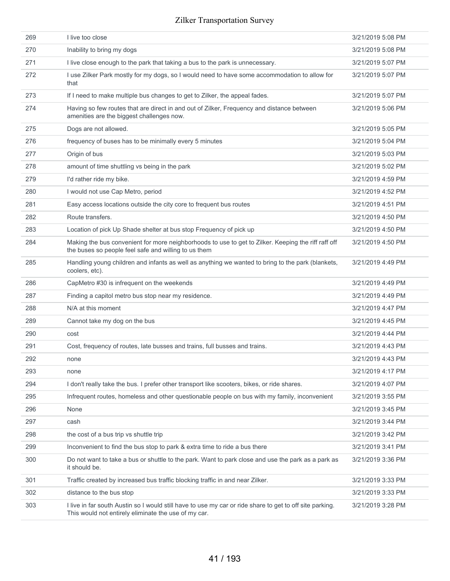| 269 | I live too close                                                                                                                                                 | 3/21/2019 5:08 PM |
|-----|------------------------------------------------------------------------------------------------------------------------------------------------------------------|-------------------|
| 270 | Inability to bring my dogs                                                                                                                                       | 3/21/2019 5:08 PM |
| 271 | I live close enough to the park that taking a bus to the park is unnecessary.                                                                                    | 3/21/2019 5:07 PM |
| 272 | I use Zilker Park mostly for my dogs, so I would need to have some accommodation to allow for<br>that                                                            | 3/21/2019 5:07 PM |
| 273 | If I need to make multiple bus changes to get to Zilker, the appeal fades.                                                                                       | 3/21/2019 5:07 PM |
| 274 | Having so few routes that are direct in and out of Zilker, Frequency and distance between<br>amenities are the biggest challenges now.                           | 3/21/2019 5:06 PM |
| 275 | Dogs are not allowed.                                                                                                                                            | 3/21/2019 5:05 PM |
| 276 | frequency of buses has to be minimally every 5 minutes                                                                                                           | 3/21/2019 5:04 PM |
| 277 | Origin of bus                                                                                                                                                    | 3/21/2019 5:03 PM |
| 278 | amount of time shuttling vs being in the park                                                                                                                    | 3/21/2019 5:02 PM |
| 279 | I'd rather ride my bike.                                                                                                                                         | 3/21/2019 4:59 PM |
| 280 | I would not use Cap Metro, period                                                                                                                                | 3/21/2019 4:52 PM |
| 281 | Easy access locations outside the city core to frequent bus routes                                                                                               | 3/21/2019 4:51 PM |
| 282 | Route transfers.                                                                                                                                                 | 3/21/2019 4:50 PM |
| 283 | Location of pick Up Shade shelter at bus stop Frequency of pick up                                                                                               | 3/21/2019 4:50 PM |
| 284 | Making the bus convenient for more neighborhoods to use to get to Zilker. Keeping the riff raff off<br>the buses so people feel safe and willing to us them      | 3/21/2019 4:50 PM |
| 285 | Handling young children and infants as well as anything we wanted to bring to the park (blankets,<br>coolers, etc).                                              | 3/21/2019 4:49 PM |
| 286 | CapMetro #30 is infrequent on the weekends                                                                                                                       | 3/21/2019 4:49 PM |
| 287 | Finding a capitol metro bus stop near my residence.                                                                                                              | 3/21/2019 4:49 PM |
| 288 | N/A at this moment                                                                                                                                               | 3/21/2019 4:47 PM |
| 289 | Cannot take my dog on the bus                                                                                                                                    | 3/21/2019 4:45 PM |
| 290 | cost                                                                                                                                                             | 3/21/2019 4:44 PM |
| 291 | Cost, frequency of routes, late busses and trains, full busses and trains.                                                                                       | 3/21/2019 4:43 PM |
| 292 | none                                                                                                                                                             | 3/21/2019 4:43 PM |
| 293 | none                                                                                                                                                             | 3/21/2019 4:17 PM |
| 294 | I don't really take the bus. I prefer other transport like scooters, bikes, or ride shares.                                                                      | 3/21/2019 4:07 PM |
| 295 | Infrequent routes, homeless and other questionable people on bus with my family, inconvenient                                                                    | 3/21/2019 3:55 PM |
| 296 | None                                                                                                                                                             | 3/21/2019 3:45 PM |
| 297 | cash                                                                                                                                                             | 3/21/2019 3:44 PM |
| 298 | the cost of a bus trip vs shuttle trip                                                                                                                           | 3/21/2019 3:42 PM |
| 299 | Inconvenient to find the bus stop to park & extra time to ride a bus there                                                                                       | 3/21/2019 3:41 PM |
| 300 | Do not want to take a bus or shuttle to the park. Want to park close and use the park as a park as<br>it should be.                                              | 3/21/2019 3:36 PM |
| 301 | Traffic created by increased bus traffic blocking traffic in and near Zilker.                                                                                    | 3/21/2019 3:33 PM |
| 302 | distance to the bus stop                                                                                                                                         | 3/21/2019 3:33 PM |
| 303 | I live in far south Austin so I would still have to use my car or ride share to get to off site parking.<br>This would not entirely eliminate the use of my car. | 3/21/2019 3:28 PM |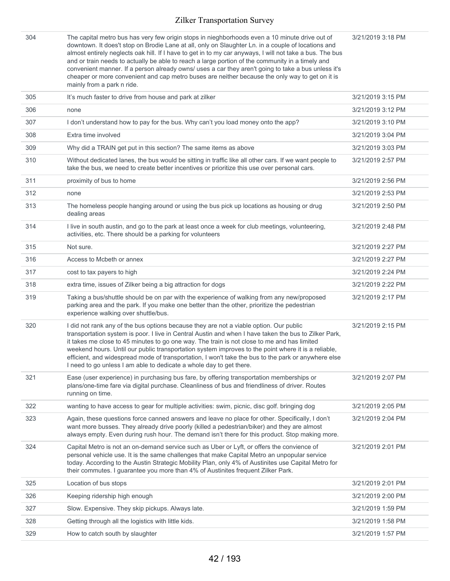| 304 | The capital metro bus has very few origin stops in nieghborhoods even a 10 minute drive out of<br>downtown. It does't stop on Brodie Lane at all, only on Slaughter Ln. in a couple of locations and<br>almost entirely neglects oak hill. If I have to get in to my car anyways, I will not take a bus. The bus<br>and or train needs to actually be able to reach a large portion of the community in a timely and<br>convenient manner. If a person already owns/ uses a car they aren't going to take a bus unless it's<br>cheaper or more convenient and cap metro buses are neither because the only way to get on it is<br>mainly from a park n ride. | 3/21/2019 3:18 PM |
|-----|--------------------------------------------------------------------------------------------------------------------------------------------------------------------------------------------------------------------------------------------------------------------------------------------------------------------------------------------------------------------------------------------------------------------------------------------------------------------------------------------------------------------------------------------------------------------------------------------------------------------------------------------------------------|-------------------|
| 305 | It's much faster to drive from house and park at zilker                                                                                                                                                                                                                                                                                                                                                                                                                                                                                                                                                                                                      | 3/21/2019 3:15 PM |
| 306 | none                                                                                                                                                                                                                                                                                                                                                                                                                                                                                                                                                                                                                                                         | 3/21/2019 3:12 PM |
| 307 | I don't understand how to pay for the bus. Why can't you load money onto the app?                                                                                                                                                                                                                                                                                                                                                                                                                                                                                                                                                                            | 3/21/2019 3:10 PM |
| 308 | Extra time involved                                                                                                                                                                                                                                                                                                                                                                                                                                                                                                                                                                                                                                          | 3/21/2019 3:04 PM |
| 309 | Why did a TRAIN get put in this section? The same items as above                                                                                                                                                                                                                                                                                                                                                                                                                                                                                                                                                                                             | 3/21/2019 3:03 PM |
| 310 | Without dedicated lanes, the bus would be sitting in traffic like all other cars. If we want people to<br>take the bus, we need to create better incentives or prioritize this use over personal cars.                                                                                                                                                                                                                                                                                                                                                                                                                                                       | 3/21/2019 2:57 PM |
| 311 | proximity of bus to home                                                                                                                                                                                                                                                                                                                                                                                                                                                                                                                                                                                                                                     | 3/21/2019 2:56 PM |
| 312 | none                                                                                                                                                                                                                                                                                                                                                                                                                                                                                                                                                                                                                                                         | 3/21/2019 2:53 PM |
| 313 | The homeless people hanging around or using the bus pick up locations as housing or drug<br>dealing areas                                                                                                                                                                                                                                                                                                                                                                                                                                                                                                                                                    | 3/21/2019 2:50 PM |
| 314 | I live in south austin, and go to the park at least once a week for club meetings, volunteering,<br>activities, etc. There should be a parking for volunteers                                                                                                                                                                                                                                                                                                                                                                                                                                                                                                | 3/21/2019 2:48 PM |
| 315 | Not sure.                                                                                                                                                                                                                                                                                                                                                                                                                                                                                                                                                                                                                                                    | 3/21/2019 2:27 PM |
| 316 | Access to Mcbeth or annex                                                                                                                                                                                                                                                                                                                                                                                                                                                                                                                                                                                                                                    | 3/21/2019 2:27 PM |
| 317 | cost to tax payers to high                                                                                                                                                                                                                                                                                                                                                                                                                                                                                                                                                                                                                                   | 3/21/2019 2:24 PM |
| 318 | extra time, issues of Zilker being a big attraction for dogs                                                                                                                                                                                                                                                                                                                                                                                                                                                                                                                                                                                                 | 3/21/2019 2:22 PM |
| 319 | Taking a bus/shuttle should be on par with the experience of walking from any new/proposed<br>parking area and the park. If you make one better than the other, prioritize the pedestrian<br>experience walking over shuttle/bus.                                                                                                                                                                                                                                                                                                                                                                                                                            | 3/21/2019 2:17 PM |
| 320 | I did not rank any of the bus options because they are not a viable option. Our public<br>transportation system is poor. I live in Central Austin and when I have taken the bus to Zilker Park,<br>it takes me close to 45 minutes to go one way. The train is not close to me and has limited<br>weekend hours. Until our public transportation system improves to the point where it is a reliable,<br>efficient, and widespread mode of transportation, I won't take the bus to the park or anywhere else<br>I need to go unless I am able to dedicate a whole day to get there.                                                                          | 3/21/2019 2:15 PM |
| 321 | Ease (user experience) in purchasing bus fare, by offering transportation memberships or<br>plans/one-time fare via digital purchase. Cleanliness of bus and friendliness of driver. Routes<br>running on time.                                                                                                                                                                                                                                                                                                                                                                                                                                              | 3/21/2019 2:07 PM |
| 322 | wanting to have access to gear for multiple activities: swim, picnic, disc golf. bringing dog                                                                                                                                                                                                                                                                                                                                                                                                                                                                                                                                                                | 3/21/2019 2:05 PM |
| 323 | Again, these questions force canned answers and leave no place for other. Specifically, I don't<br>want more busses. They already drive poorly (killed a pedestrian/biker) and they are almost<br>always empty. Even during rush hour. The demand isn't there for this product. Stop making more.                                                                                                                                                                                                                                                                                                                                                            | 3/21/2019 2:04 PM |
| 324 | Capital Metro is not an on-demand service such as Uber or Lyft, or offers the convience of<br>personal vehicle use. It is the same challenges that make Capital Metro an unpopular service<br>today. According to the Austin Strategic Mobility Plan, only 4% of Austinites use Capital Metro for<br>their commutes. I guarantee you more than 4% of Austinites frequent Zilker Park.                                                                                                                                                                                                                                                                        | 3/21/2019 2:01 PM |
| 325 | Location of bus stops                                                                                                                                                                                                                                                                                                                                                                                                                                                                                                                                                                                                                                        | 3/21/2019 2:01 PM |
| 326 | Keeping ridership high enough                                                                                                                                                                                                                                                                                                                                                                                                                                                                                                                                                                                                                                | 3/21/2019 2:00 PM |
| 327 | Slow. Expensive. They skip pickups. Always late.                                                                                                                                                                                                                                                                                                                                                                                                                                                                                                                                                                                                             | 3/21/2019 1:59 PM |
| 328 | Getting through all the logistics with little kids.                                                                                                                                                                                                                                                                                                                                                                                                                                                                                                                                                                                                          | 3/21/2019 1:58 PM |
| 329 | How to catch south by slaughter                                                                                                                                                                                                                                                                                                                                                                                                                                                                                                                                                                                                                              | 3/21/2019 1:57 PM |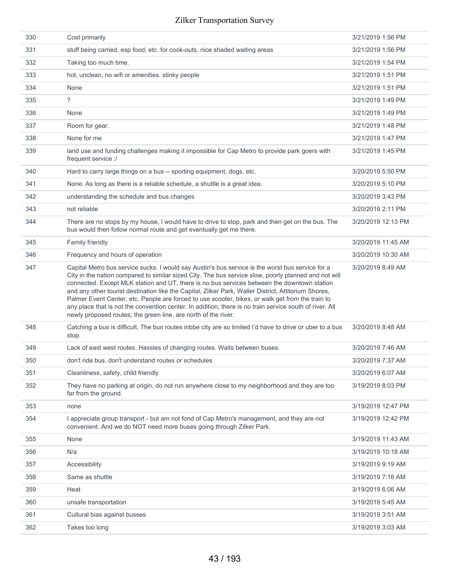| 330 | Cost primarily                                                                                                                                                                                                                                                                                                                                                                                                                                                                                                                                                                                                                                                                                   | 3/21/2019 1:56 PM  |
|-----|--------------------------------------------------------------------------------------------------------------------------------------------------------------------------------------------------------------------------------------------------------------------------------------------------------------------------------------------------------------------------------------------------------------------------------------------------------------------------------------------------------------------------------------------------------------------------------------------------------------------------------------------------------------------------------------------------|--------------------|
| 331 | stuff being carried, esp food, etc. for cook-outs, nice shaded waiting areas                                                                                                                                                                                                                                                                                                                                                                                                                                                                                                                                                                                                                     | 3/21/2019 1:56 PM  |
| 332 | Taking too much time.                                                                                                                                                                                                                                                                                                                                                                                                                                                                                                                                                                                                                                                                            | 3/21/2019 1:54 PM  |
| 333 | hot, unclean, no wifi or amenities. stinky people                                                                                                                                                                                                                                                                                                                                                                                                                                                                                                                                                                                                                                                | 3/21/2019 1:51 PM  |
| 334 | None                                                                                                                                                                                                                                                                                                                                                                                                                                                                                                                                                                                                                                                                                             | 3/21/2019 1:51 PM  |
| 335 | $\overline{\phantom{a}}$                                                                                                                                                                                                                                                                                                                                                                                                                                                                                                                                                                                                                                                                         | 3/21/2019 1:49 PM  |
| 336 | None                                                                                                                                                                                                                                                                                                                                                                                                                                                                                                                                                                                                                                                                                             | 3/21/2019 1:49 PM  |
| 337 | Room for gear.                                                                                                                                                                                                                                                                                                                                                                                                                                                                                                                                                                                                                                                                                   | 3/21/2019 1:48 PM  |
| 338 | None for me                                                                                                                                                                                                                                                                                                                                                                                                                                                                                                                                                                                                                                                                                      | 3/21/2019 1:47 PM  |
| 339 | land use and funding challenges making it impossible for Cap Metro to provide park goers with<br>frequent service :/                                                                                                                                                                                                                                                                                                                                                                                                                                                                                                                                                                             | 3/21/2019 1:45 PM  |
| 340 | Hard to carry large things on a bus -- sporting equipment, dogs, etc.                                                                                                                                                                                                                                                                                                                                                                                                                                                                                                                                                                                                                            | 3/20/2019 5:50 PM  |
| 341 | None. As long as there is a reliable schedule, a shuttle is a great idea.                                                                                                                                                                                                                                                                                                                                                                                                                                                                                                                                                                                                                        | 3/20/2019 5:10 PM  |
| 342 | understanding the schedule and bus changes                                                                                                                                                                                                                                                                                                                                                                                                                                                                                                                                                                                                                                                       | 3/20/2019 3:43 PM  |
| 343 | not reliable                                                                                                                                                                                                                                                                                                                                                                                                                                                                                                                                                                                                                                                                                     | 3/20/2019 2:11 PM  |
| 344 | There are no stops by my house, I would have to drive to stop, park and then get on the bus. The<br>bus would then follow normal route and get eventually get me there.                                                                                                                                                                                                                                                                                                                                                                                                                                                                                                                          | 3/20/2019 12:13 PM |
| 345 | Family friendly                                                                                                                                                                                                                                                                                                                                                                                                                                                                                                                                                                                                                                                                                  | 3/20/2019 11:45 AM |
| 346 | Frequency and hours of operation                                                                                                                                                                                                                                                                                                                                                                                                                                                                                                                                                                                                                                                                 | 3/20/2019 10:30 AM |
| 347 | Capital Metro bus service sucks. I would say Austin's bus service is the worst bus service for a<br>City in the nation compared to similar sized City. The bus service slow, poorly planned and not will<br>connected. Except MLK station and UT, there is no bus services between the downtown station<br>and any other tourist destination like the Capital, Zilker Park, Waller District, Attitorium Shores,<br>Palmer Event Center, etc. People are forced to use scooter, bikes, or walk get from the train to<br>any place that is not the convention center. In addition, there is no train service south of river. All<br>newly proposed routes; the green line, are north of the river. | 3/20/2019 8:49 AM  |
| 348 | Catching a bus is difficult. The bus routes inbbe city are so limited I'd have to drive or uber to a bus<br>stop.                                                                                                                                                                                                                                                                                                                                                                                                                                                                                                                                                                                | 3/20/2019 8:48 AM  |
| 349 | Lack of east west routes. Hassles of changing routes. Waits between buses.                                                                                                                                                                                                                                                                                                                                                                                                                                                                                                                                                                                                                       | 3/20/2019 7:46 AM  |
| 350 | don't ride bus. don't understand routes or schedules                                                                                                                                                                                                                                                                                                                                                                                                                                                                                                                                                                                                                                             | 3/20/2019 7:37 AM  |
| 351 | Cleanliness, safety, child friendly                                                                                                                                                                                                                                                                                                                                                                                                                                                                                                                                                                                                                                                              | 3/20/2019 6:07 AM  |
| 352 | They have no parking at origin, do not run anywhere close to my neighborhood and they are too<br>far from the ground.                                                                                                                                                                                                                                                                                                                                                                                                                                                                                                                                                                            | 3/19/2019 8:03 PM  |
| 353 | none                                                                                                                                                                                                                                                                                                                                                                                                                                                                                                                                                                                                                                                                                             | 3/19/2019 12:47 PM |
| 354 | I appreciate group transport - but am not fond of Cap Metro's management, and they are not<br>convenient. And we do NOT need more buses going through Zilker Park.                                                                                                                                                                                                                                                                                                                                                                                                                                                                                                                               | 3/19/2019 12:42 PM |
| 355 | None                                                                                                                                                                                                                                                                                                                                                                                                                                                                                                                                                                                                                                                                                             | 3/19/2019 11:43 AM |
| 356 | N/a                                                                                                                                                                                                                                                                                                                                                                                                                                                                                                                                                                                                                                                                                              | 3/19/2019 10:18 AM |
| 357 | Accessibility                                                                                                                                                                                                                                                                                                                                                                                                                                                                                                                                                                                                                                                                                    | 3/19/2019 9:19 AM  |
| 358 | Same as shuttle                                                                                                                                                                                                                                                                                                                                                                                                                                                                                                                                                                                                                                                                                  | 3/19/2019 7:16 AM  |
| 359 | Heat                                                                                                                                                                                                                                                                                                                                                                                                                                                                                                                                                                                                                                                                                             | 3/19/2019 6:06 AM  |
| 360 | unsafe transportation                                                                                                                                                                                                                                                                                                                                                                                                                                                                                                                                                                                                                                                                            | 3/19/2019 5:45 AM  |
| 361 | Cultural bias against busses                                                                                                                                                                                                                                                                                                                                                                                                                                                                                                                                                                                                                                                                     | 3/19/2019 3:51 AM  |
| 362 |                                                                                                                                                                                                                                                                                                                                                                                                                                                                                                                                                                                                                                                                                                  |                    |
|     | Takes too long                                                                                                                                                                                                                                                                                                                                                                                                                                                                                                                                                                                                                                                                                   | 3/19/2019 3:03 AM  |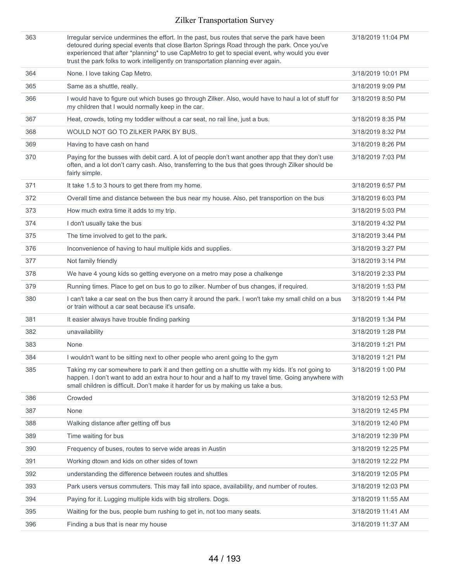| 363 | Irregular service undermines the effort. In the past, bus routes that serve the park have been<br>detoured during special events that close Barton Springs Road through the park. Once you've<br>experienced that after *planning* to use CapMetro to get to special event, why would you ever<br>trust the park folks to work intelligently on transportation planning ever again. | 3/18/2019 11:04 PM |
|-----|-------------------------------------------------------------------------------------------------------------------------------------------------------------------------------------------------------------------------------------------------------------------------------------------------------------------------------------------------------------------------------------|--------------------|
| 364 | None. I love taking Cap Metro.                                                                                                                                                                                                                                                                                                                                                      | 3/18/2019 10:01 PM |
| 365 | Same as a shuttle, really.                                                                                                                                                                                                                                                                                                                                                          | 3/18/2019 9:09 PM  |
| 366 | I would have to figure out which buses go through Zilker. Also, would have to haul a lot of stuff for<br>my children that I would normally keep in the car.                                                                                                                                                                                                                         | 3/18/2019 8:50 PM  |
| 367 | Heat, crowds, toting my toddler without a car seat, no rail line, just a bus.                                                                                                                                                                                                                                                                                                       | 3/18/2019 8:35 PM  |
| 368 | WOULD NOT GO TO ZILKER PARK BY BUS.                                                                                                                                                                                                                                                                                                                                                 | 3/18/2019 8:32 PM  |
| 369 | Having to have cash on hand                                                                                                                                                                                                                                                                                                                                                         | 3/18/2019 8:26 PM  |
| 370 | Paying for the busses with debit card. A lot of people don't want another app that they don't use<br>often, and a lot don't carry cash. Also, transferring to the bus that goes through Zilker should be<br>fairly simple.                                                                                                                                                          | 3/18/2019 7:03 PM  |
| 371 | It take 1.5 to 3 hours to get there from my home.                                                                                                                                                                                                                                                                                                                                   | 3/18/2019 6:57 PM  |
| 372 | Overall time and distance between the bus near my house. Also, pet transportion on the bus                                                                                                                                                                                                                                                                                          | 3/18/2019 6:03 PM  |
| 373 | How much extra time it adds to my trip.                                                                                                                                                                                                                                                                                                                                             | 3/18/2019 5:03 PM  |
| 374 | I don't usually take the bus                                                                                                                                                                                                                                                                                                                                                        | 3/18/2019 4:32 PM  |
| 375 | The time involved to get to the park.                                                                                                                                                                                                                                                                                                                                               | 3/18/2019 3:44 PM  |
| 376 | Inconvenience of having to haul multiple kids and supplies.                                                                                                                                                                                                                                                                                                                         | 3/18/2019 3:27 PM  |
| 377 | Not family friendly                                                                                                                                                                                                                                                                                                                                                                 | 3/18/2019 3:14 PM  |
| 378 | We have 4 young kids so getting everyone on a metro may pose a chalkenge                                                                                                                                                                                                                                                                                                            | 3/18/2019 2:33 PM  |
| 379 | Running times. Place to get on bus to go to zilker. Number of bus changes, if required.                                                                                                                                                                                                                                                                                             | 3/18/2019 1:53 PM  |
| 380 | I can't take a car seat on the bus then carry it around the park. I won't take my small child on a bus<br>or train without a car seat because it's unsafe.                                                                                                                                                                                                                          | 3/18/2019 1:44 PM  |
| 381 | It easier always have trouble finding parking                                                                                                                                                                                                                                                                                                                                       | 3/18/2019 1:34 PM  |
| 382 | unavailability                                                                                                                                                                                                                                                                                                                                                                      | 3/18/2019 1:28 PM  |
| 383 | None                                                                                                                                                                                                                                                                                                                                                                                | 3/18/2019 1:21 PM  |
| 384 | I wouldn't want to be sitting next to other people who arent going to the gym                                                                                                                                                                                                                                                                                                       | 3/18/2019 1:21 PM  |
| 385 | Taking my car somewhere to park it and then getting on a shuttle with my kids. It's not going to<br>happen. I don't want to add an extra hour to hour and a half to my travel time. Going anywhere with<br>small children is difficult. Don't make it harder for us by making us take a bus.                                                                                        | 3/18/2019 1:00 PM  |
| 386 | Crowded                                                                                                                                                                                                                                                                                                                                                                             | 3/18/2019 12:53 PM |
| 387 | None                                                                                                                                                                                                                                                                                                                                                                                | 3/18/2019 12:45 PM |
| 388 | Walking distance after getting off bus                                                                                                                                                                                                                                                                                                                                              | 3/18/2019 12:40 PM |
| 389 | Time waiting for bus                                                                                                                                                                                                                                                                                                                                                                | 3/18/2019 12:39 PM |
| 390 | Frequency of buses, routes to serve wide areas in Austin                                                                                                                                                                                                                                                                                                                            | 3/18/2019 12:25 PM |
| 391 | Working dtown and kids on other sides of town                                                                                                                                                                                                                                                                                                                                       | 3/18/2019 12:22 PM |
| 392 | understanding the difference between routes and shuttles                                                                                                                                                                                                                                                                                                                            | 3/18/2019 12:05 PM |
| 393 | Park users versus commuters. This may fall into space, availability, and number of routes.                                                                                                                                                                                                                                                                                          | 3/18/2019 12:03 PM |
| 394 | Paying for it. Lugging multiple kids with big strollers. Dogs.                                                                                                                                                                                                                                                                                                                      | 3/18/2019 11:55 AM |
| 395 | Waiting for the bus, people bum rushing to get in, not too many seats.                                                                                                                                                                                                                                                                                                              | 3/18/2019 11:41 AM |
| 396 | Finding a bus that is near my house                                                                                                                                                                                                                                                                                                                                                 | 3/18/2019 11:37 AM |
|     |                                                                                                                                                                                                                                                                                                                                                                                     |                    |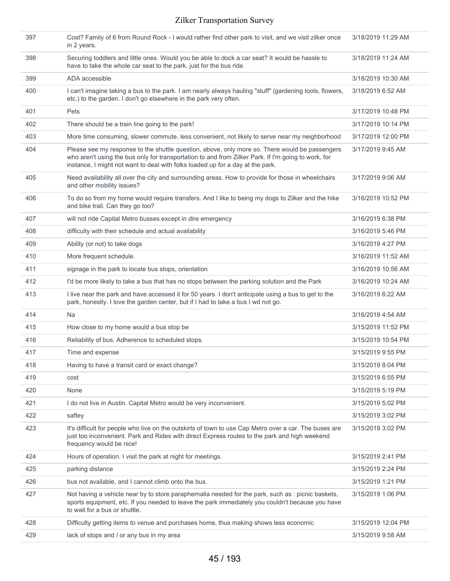| 397 | Cost? Family of 6 from Round Rock - I would rather find other park to visit, and we visit zilker once<br>in 2 years.                                                                                                                                                                    | 3/18/2019 11:29 AM |
|-----|-----------------------------------------------------------------------------------------------------------------------------------------------------------------------------------------------------------------------------------------------------------------------------------------|--------------------|
| 398 | Securing toddlers and little ones. Would you be able to dock a car seat? It would be hassle to<br>have to take the whole car seat to the park, just for the bus ride.                                                                                                                   | 3/18/2019 11:24 AM |
| 399 | ADA accessible                                                                                                                                                                                                                                                                          | 3/18/2019 10:30 AM |
| 400 | I can't imagine taking a bus to the park. I am nearly always hauling "stuff" (gardening tools, flowers,<br>etc.) to the garden. I don't go elsewhere in the park very often.                                                                                                            | 3/18/2019 6:52 AM  |
| 401 | <b>Pets</b>                                                                                                                                                                                                                                                                             | 3/17/2019 10:48 PM |
| 402 | There should be a train line going to the park!                                                                                                                                                                                                                                         | 3/17/2019 10:14 PM |
| 403 | More time consuming, slower commute, less convenient, not likely to serve near my neighborhood                                                                                                                                                                                          | 3/17/2019 12:00 PM |
| 404 | Please see my response to the shuttle question, above, only more so. There would be passengers<br>who aren't using the bus only for transportation to and from Zilker Park. If I'm going to work, for<br>instance, I might not want to deal with folks loaded up for a day at the park. | 3/17/2019 9:45 AM  |
| 405 | Need availability all over the city and surrounding areas. How to provide for those in wheelchairs<br>and other mobility issues?                                                                                                                                                        | 3/17/2019 9:06 AM  |
| 406 | To do so from my home would require transfers. And I like to being my dogs to Zilker and the hike<br>and bike trail. Can they go too?                                                                                                                                                   | 3/16/2019 10:52 PM |
| 407 | will not ride Capital Metro busses except in dire emergency                                                                                                                                                                                                                             | 3/16/2019 6:38 PM  |
| 408 | difficulty with their schedule and actual availability                                                                                                                                                                                                                                  | 3/16/2019 5:46 PM  |
| 409 | Ability (or not) to take dogs                                                                                                                                                                                                                                                           | 3/16/2019 4:27 PM  |
| 410 | More frequent schedule.                                                                                                                                                                                                                                                                 | 3/16/2019 11:52 AM |
| 411 | signage in the park to locate bus stops, orientation                                                                                                                                                                                                                                    | 3/16/2019 10:56 AM |
| 412 | I'd be more likely to take a bus that has no stops between the parking solution and the Park                                                                                                                                                                                            | 3/16/2019 10:24 AM |
| 413 | I live near the park and have accessed it for 50 years. I don't anticipate using a bus to get to the<br>park, honestly. I love the garden center, but if I had to take a bus I wd not go.                                                                                               | 3/16/2019 6:22 AM  |
| 414 | Na                                                                                                                                                                                                                                                                                      | 3/16/2019 4:54 AM  |
| 415 | How close to my home would a bus stop be                                                                                                                                                                                                                                                | 3/15/2019 11:52 PM |
| 416 | Reliability of bus. Adherence to scheduled stops.                                                                                                                                                                                                                                       | 3/15/2019 10:54 PM |
| 417 | Time and expense                                                                                                                                                                                                                                                                        | 3/15/2019 9:55 PM  |
| 418 | Having to have a transit card or exact change?                                                                                                                                                                                                                                          | 3/15/2019 8:04 PM  |
| 419 | cost                                                                                                                                                                                                                                                                                    | 3/15/2019 6:55 PM  |
| 420 | None                                                                                                                                                                                                                                                                                    | 3/15/2019 5:19 PM  |
| 421 | I do not live in Austin. Capital Metro would be very inconvenient.                                                                                                                                                                                                                      | 3/15/2019 5:02 PM  |
| 422 | saftey                                                                                                                                                                                                                                                                                  | 3/15/2019 3:02 PM  |
| 423 | It's difficult for people who live on the outskirts of town to use Cap Metro over a car. The buses are<br>just too inconvenient. Park and Rides with direct Express routes to the park and high weekend<br>frequency would be nice!                                                     | 3/15/2019 3:02 PM  |
| 424 | Hours of operation. I visit the park at night for meetings.                                                                                                                                                                                                                             | 3/15/2019 2:41 PM  |
| 425 | parking distance                                                                                                                                                                                                                                                                        | 3/15/2019 2:24 PM  |
| 426 | bus not available, and I cannot climb onto the bus.                                                                                                                                                                                                                                     | 3/15/2019 1:21 PM  |
| 427 | Not having a vehicle near by to store paraphernalia needed for the park, such as : picnic baskets,<br>sports equipment, etc. If you needed to leave the park immediately you couldn't because you have<br>to wait for a bus or shuttle.                                                 | 3/15/2019 1:06 PM  |
| 428 | Difficulty getting items to venue and purchases home, thus making shows less economic                                                                                                                                                                                                   | 3/15/2019 12:04 PM |
| 429 | lack of stops and / or any bus in my area                                                                                                                                                                                                                                               | 3/15/2019 9:58 AM  |
|     |                                                                                                                                                                                                                                                                                         |                    |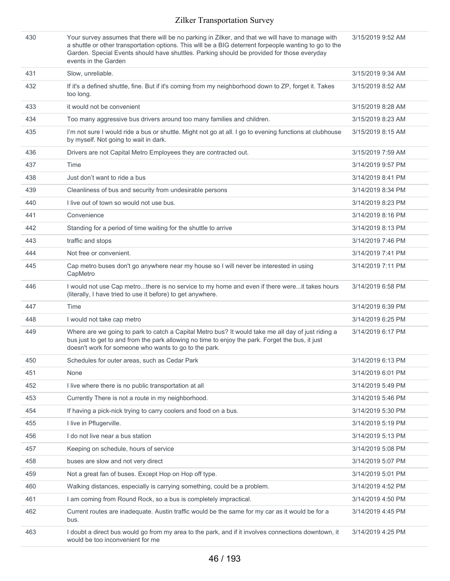| 430 | Your survey assumes that there will be no parking in Zilker, and that we will have to manage with<br>a shuttle or other transportation options. This wlll be a BIG deterrent forpeople wanting to go to the<br>Garden. Special Events should have shuttles. Parking should be provided for those everyday<br>events in the Garden | 3/15/2019 9:52 AM |
|-----|-----------------------------------------------------------------------------------------------------------------------------------------------------------------------------------------------------------------------------------------------------------------------------------------------------------------------------------|-------------------|
| 431 | Slow, unreliable.                                                                                                                                                                                                                                                                                                                 | 3/15/2019 9:34 AM |
| 432 | If it's a defined shuttle, fine. But if it's coming from my neighborhood down to ZP, forget it. Takes<br>too long.                                                                                                                                                                                                                | 3/15/2019 8:52 AM |
| 433 | it would not be convenient                                                                                                                                                                                                                                                                                                        | 3/15/2019 8:28 AM |
| 434 | Too many aggressive bus drivers around too many families and children.                                                                                                                                                                                                                                                            | 3/15/2019 8:23 AM |
| 435 | I'm not sure I would ride a bus or shuttle. Might not go at all. I go to evening functions at clubhouse<br>by myself. Not going to wait in dark.                                                                                                                                                                                  | 3/15/2019 8:15 AM |
| 436 | Drivers are not Capital Metro Employees they are contracted out.                                                                                                                                                                                                                                                                  | 3/15/2019 7:59 AM |
| 437 | Time                                                                                                                                                                                                                                                                                                                              | 3/14/2019 9:57 PM |
| 438 | Just don't want to ride a bus                                                                                                                                                                                                                                                                                                     | 3/14/2019 8:41 PM |
| 439 | Cleanliness of bus and security from undesirable persons                                                                                                                                                                                                                                                                          | 3/14/2019 8:34 PM |
| 440 | I live out of town so would not use bus.                                                                                                                                                                                                                                                                                          | 3/14/2019 8:23 PM |
| 441 | Convenience                                                                                                                                                                                                                                                                                                                       | 3/14/2019 8:16 PM |
| 442 | Standing for a period of time waiting for the shuttle to arrive                                                                                                                                                                                                                                                                   | 3/14/2019 8:13 PM |
| 443 | traffic and stops                                                                                                                                                                                                                                                                                                                 | 3/14/2019 7:46 PM |
| 444 | Not free or convenient.                                                                                                                                                                                                                                                                                                           | 3/14/2019 7:41 PM |
| 445 | Cap metro buses don't go anywhere near my house so I will never be interested in using<br>CapMetro                                                                                                                                                                                                                                | 3/14/2019 7:11 PM |
| 446 | I would not use Cap metrothere is no service to my home and even if there wereit takes hours<br>(literally, I have tried to use it before) to get anywhere.                                                                                                                                                                       | 3/14/2019 6:58 PM |
| 447 | Time                                                                                                                                                                                                                                                                                                                              | 3/14/2019 6:39 PM |
| 448 | I would not take cap metro                                                                                                                                                                                                                                                                                                        | 3/14/2019 6:25 PM |
| 449 | Where are we going to park to catch a Capital Metro bus? It would take me all day of just riding a<br>bus just to get to and from the park allowing no time to enjoy the park. Forget the bus, it just<br>doesn't work for someone who wants to go to the park.                                                                   | 3/14/2019 6:17 PM |
| 450 | Schedules for outer areas, such as Cedar Park                                                                                                                                                                                                                                                                                     | 3/14/2019 6:13 PM |
| 451 | None                                                                                                                                                                                                                                                                                                                              | 3/14/2019 6:01 PM |
| 452 | I live where there is no public transportation at all                                                                                                                                                                                                                                                                             | 3/14/2019 5:49 PM |
| 453 | Currently There is not a route in my neighborhood.                                                                                                                                                                                                                                                                                | 3/14/2019 5:46 PM |
| 454 | If having a pick-nick trying to carry coolers and food on a bus.                                                                                                                                                                                                                                                                  | 3/14/2019 5:30 PM |
| 455 | I live in Pflugerville.                                                                                                                                                                                                                                                                                                           | 3/14/2019 5:19 PM |
| 456 | I do not live near a bus station                                                                                                                                                                                                                                                                                                  | 3/14/2019 5:13 PM |
| 457 | Keeping on schedule, hours of service                                                                                                                                                                                                                                                                                             | 3/14/2019 5:08 PM |
| 458 | buses are slow and not very direct                                                                                                                                                                                                                                                                                                | 3/14/2019 5:07 PM |
| 459 | Not a great fan of buses. Except Hop on Hop off type.                                                                                                                                                                                                                                                                             | 3/14/2019 5:01 PM |
| 460 | Walking distances, especially is carrying something, could be a problem.                                                                                                                                                                                                                                                          | 3/14/2019 4:52 PM |
| 461 | I am coming from Round Rock, so a bus is completely impractical.                                                                                                                                                                                                                                                                  | 3/14/2019 4:50 PM |
| 462 | Current routes are inadequate. Austin traffic would be the same for my car as it would be for a<br>bus.                                                                                                                                                                                                                           | 3/14/2019 4:45 PM |
| 463 | I doubt a direct bus would go from my area to the park, and if it involves connections downtown, it<br>would be too inconvenient for me                                                                                                                                                                                           | 3/14/2019 4:25 PM |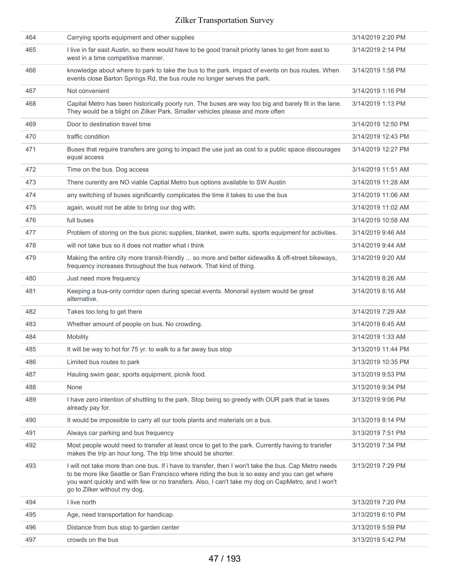| 464 | Carrying sports equipment and other supplies                                                                                                                                                                                                                                                                                                | 3/14/2019 2:20 PM  |
|-----|---------------------------------------------------------------------------------------------------------------------------------------------------------------------------------------------------------------------------------------------------------------------------------------------------------------------------------------------|--------------------|
| 465 | I live in far east Austin, so there would have to be good transit priority lanes to get from east to<br>west in a time competitive manner.                                                                                                                                                                                                  | 3/14/2019 2:14 PM  |
| 466 | knowledge about where to park to take the bus to the park. Impact of events on bus routes. When<br>events close Barton Springs Rd, the bus route no longer serves the park.                                                                                                                                                                 | 3/14/2019 1:58 PM  |
| 467 | Not convenient                                                                                                                                                                                                                                                                                                                              | 3/14/2019 1:16 PM  |
| 468 | Capital Metro has been historically poorly run. The buses are way too big and barely fit in the lane.<br>They would be a blight on Zilker Park. Smaller vehicles please and more often                                                                                                                                                      | 3/14/2019 1:13 PM  |
| 469 | Door to destination travel time                                                                                                                                                                                                                                                                                                             | 3/14/2019 12:50 PM |
| 470 | traffic condition                                                                                                                                                                                                                                                                                                                           | 3/14/2019 12:43 PM |
| 471 | Buses that require transfers are going to impact the use just as cost to a public space discourages<br>equal access                                                                                                                                                                                                                         | 3/14/2019 12:27 PM |
| 472 | Time on the bus. Dog access                                                                                                                                                                                                                                                                                                                 | 3/14/2019 11:51 AM |
| 473 | There curently are NO viable Captial Metro bus options available to SW Austin                                                                                                                                                                                                                                                               | 3/14/2019 11:28 AM |
| 474 | any switching of buses significantly complicates the time it takes to use the bus                                                                                                                                                                                                                                                           | 3/14/2019 11:06 AM |
| 475 | again, would not be able to bring our dog with.                                                                                                                                                                                                                                                                                             | 3/14/2019 11:02 AM |
| 476 | full buses                                                                                                                                                                                                                                                                                                                                  | 3/14/2019 10:58 AM |
| 477 | Problem of storing on the bus picnic supplies, blanket, swim suits, sports equipment for activities.                                                                                                                                                                                                                                        | 3/14/2019 9:46 AM  |
| 478 | will not take bus so it does not matter what i think                                                                                                                                                                                                                                                                                        | 3/14/2019 9:44 AM  |
| 479 | Making the entire city more transit-friendly  so more and better sidewalks & off-street bikeways,<br>frequency increases throughout the bus network. That kind of thing.                                                                                                                                                                    | 3/14/2019 9:20 AM  |
| 480 | Just need more frequency                                                                                                                                                                                                                                                                                                                    | 3/14/2019 8:26 AM  |
| 481 | Keeping a bus-only corridor open during special events. Monorail system would be great<br>alternative.                                                                                                                                                                                                                                      | 3/14/2019 8:16 AM  |
| 482 | Takes too long to get there                                                                                                                                                                                                                                                                                                                 | 3/14/2019 7:29 AM  |
| 483 | Whether amount of people on bus. No crowding.                                                                                                                                                                                                                                                                                               | 3/14/2019 6:45 AM  |
| 484 | Mobility                                                                                                                                                                                                                                                                                                                                    | 3/14/2019 1:33 AM  |
| 485 | It will be way to hot for 75 yr. to walk to a far away bus stop                                                                                                                                                                                                                                                                             | 3/13/2019 11:44 PM |
| 486 | Limited bus routes to park                                                                                                                                                                                                                                                                                                                  | 3/13/2019 10:35 PM |
| 487 | Hauling swim gear, sports equipment, picnik food.                                                                                                                                                                                                                                                                                           | 3/13/2019 9:53 PM  |
| 488 | None                                                                                                                                                                                                                                                                                                                                        | 3/13/2019 9:34 PM  |
| 489 | I have zero intention of shuttling to the park. Stop being so greedy with OUR park that ie taxes<br>already pay for.                                                                                                                                                                                                                        | 3/13/2019 9:06 PM  |
| 490 | It would be impossible to carry all our tools plants and materials on a bus.                                                                                                                                                                                                                                                                | 3/13/2019 8:14 PM  |
| 491 | Always car parking and bus frequency                                                                                                                                                                                                                                                                                                        | 3/13/2019 7:51 PM  |
| 492 | Most people would need to transfer at least once to get to the park. Currently having to transfer<br>makes the trip an hour long. The trip time should be shorter.                                                                                                                                                                          | 3/13/2019 7:34 PM  |
| 493 | I will not take more than one bus. If i have to transfer, then I won't take the bus. Cap Metro needs<br>to be more like Seattle or San Francisco where riding the bus is so easy and you can get where<br>you want quickly and with few or no transfers. Also, I can't take my dog on CapMetro, and I won't<br>go to Zilker without my dog. | 3/13/2019 7:29 PM  |
| 494 | I live north                                                                                                                                                                                                                                                                                                                                | 3/13/2019 7:20 PM  |
| 495 | Age, need transportation for handicap.                                                                                                                                                                                                                                                                                                      | 3/13/2019 6:10 PM  |
| 496 | Distance from bus stop to garden center                                                                                                                                                                                                                                                                                                     | 3/13/2019 5:59 PM  |
| 497 | crowds on the bus                                                                                                                                                                                                                                                                                                                           | 3/13/2019 5:42 PM  |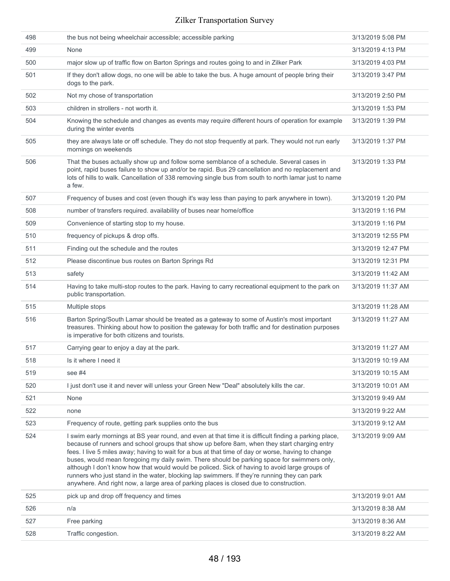| 498 | the bus not being wheelchair accessible; accessible parking                                                                                                                                                                                                                                                                                                                                                                                                                                                                                                                                                                                                                                             | 3/13/2019 5:08 PM  |
|-----|---------------------------------------------------------------------------------------------------------------------------------------------------------------------------------------------------------------------------------------------------------------------------------------------------------------------------------------------------------------------------------------------------------------------------------------------------------------------------------------------------------------------------------------------------------------------------------------------------------------------------------------------------------------------------------------------------------|--------------------|
| 499 | None                                                                                                                                                                                                                                                                                                                                                                                                                                                                                                                                                                                                                                                                                                    | 3/13/2019 4:13 PM  |
| 500 | major slow up of traffic flow on Barton Springs and routes going to and in Zilker Park                                                                                                                                                                                                                                                                                                                                                                                                                                                                                                                                                                                                                  | 3/13/2019 4:03 PM  |
| 501 | If they don't allow dogs, no one will be able to take the bus. A huge amount of people bring their<br>dogs to the park.                                                                                                                                                                                                                                                                                                                                                                                                                                                                                                                                                                                 | 3/13/2019 3:47 PM  |
| 502 | Not my chose of transportation                                                                                                                                                                                                                                                                                                                                                                                                                                                                                                                                                                                                                                                                          | 3/13/2019 2:50 PM  |
| 503 | children in strollers - not worth it.                                                                                                                                                                                                                                                                                                                                                                                                                                                                                                                                                                                                                                                                   | 3/13/2019 1:53 PM  |
| 504 | Knowing the schedule and changes as events may require different hours of operation for example<br>during the winter events                                                                                                                                                                                                                                                                                                                                                                                                                                                                                                                                                                             | 3/13/2019 1:39 PM  |
| 505 | they are always late or off schedule. They do not stop frequently at park. They would not run early<br>mornings on weekends                                                                                                                                                                                                                                                                                                                                                                                                                                                                                                                                                                             | 3/13/2019 1:37 PM  |
| 506 | That the buses actually show up and follow some semblance of a schedule. Several cases in<br>point, rapid buses failure to show up and/or be rapid. Bus 29 cancellation and no replacement and<br>lots of hills to walk. Cancellation of 338 removing single bus from south to north lamar just to name<br>a few.                                                                                                                                                                                                                                                                                                                                                                                       | 3/13/2019 1:33 PM  |
| 507 | Frequency of buses and cost (even though it's way less than paying to park anywhere in town).                                                                                                                                                                                                                                                                                                                                                                                                                                                                                                                                                                                                           | 3/13/2019 1:20 PM  |
| 508 | number of transfers required. availability of buses near home/office                                                                                                                                                                                                                                                                                                                                                                                                                                                                                                                                                                                                                                    | 3/13/2019 1:16 PM  |
| 509 | Convenience of starting stop to my house.                                                                                                                                                                                                                                                                                                                                                                                                                                                                                                                                                                                                                                                               | 3/13/2019 1:16 PM  |
| 510 | frequency of pickups & drop offs.                                                                                                                                                                                                                                                                                                                                                                                                                                                                                                                                                                                                                                                                       | 3/13/2019 12:55 PM |
| 511 | Finding out the schedule and the routes                                                                                                                                                                                                                                                                                                                                                                                                                                                                                                                                                                                                                                                                 | 3/13/2019 12:47 PM |
| 512 | Please discontinue bus routes on Barton Springs Rd                                                                                                                                                                                                                                                                                                                                                                                                                                                                                                                                                                                                                                                      | 3/13/2019 12:31 PM |
| 513 | safety                                                                                                                                                                                                                                                                                                                                                                                                                                                                                                                                                                                                                                                                                                  | 3/13/2019 11:42 AM |
| 514 | Having to take multi-stop routes to the park. Having to carry recreational equipment to the park on<br>public transportation.                                                                                                                                                                                                                                                                                                                                                                                                                                                                                                                                                                           | 3/13/2019 11:37 AM |
| 515 | Multiple stops                                                                                                                                                                                                                                                                                                                                                                                                                                                                                                                                                                                                                                                                                          | 3/13/2019 11:28 AM |
| 516 | Barton Spring/South Lamar should be treated as a gateway to some of Austin's most important<br>treasures. Thinking about how to position the gateway for both traffic and for destination purposes<br>is imperative for both citizens and tourists.                                                                                                                                                                                                                                                                                                                                                                                                                                                     | 3/13/2019 11:27 AM |
| 517 | Carrying gear to enjoy a day at the park.                                                                                                                                                                                                                                                                                                                                                                                                                                                                                                                                                                                                                                                               | 3/13/2019 11:27 AM |
| 518 | Is it where I need it                                                                                                                                                                                                                                                                                                                                                                                                                                                                                                                                                                                                                                                                                   | 3/13/2019 10:19 AM |
| 519 | see #4                                                                                                                                                                                                                                                                                                                                                                                                                                                                                                                                                                                                                                                                                                  | 3/13/2019 10:15 AM |
| 520 | I just don't use it and never will unless your Green New "Deal" absolutely kills the car.                                                                                                                                                                                                                                                                                                                                                                                                                                                                                                                                                                                                               | 3/13/2019 10:01 AM |
| 521 | None                                                                                                                                                                                                                                                                                                                                                                                                                                                                                                                                                                                                                                                                                                    | 3/13/2019 9:49 AM  |
| 522 | none                                                                                                                                                                                                                                                                                                                                                                                                                                                                                                                                                                                                                                                                                                    | 3/13/2019 9:22 AM  |
| 523 | Frequency of route, getting park supplies onto the bus                                                                                                                                                                                                                                                                                                                                                                                                                                                                                                                                                                                                                                                  | 3/13/2019 9:12 AM  |
| 524 | I swim early mornings at BS year round, and even at that time it is difficult finding a parking place,<br>because of runners and school groups that show up before 8am, when they start charging entry<br>fees. I live 5 miles away; having to wait for a bus at that time of day or worse, having to change<br>buses, would mean foregoing my daily swim. There should be parking space for swimmers only,<br>although I don't know how that would would be policed. Sick of having to avoid large groups of<br>runners who just stand in the water, blocking lap swimmers. If they're running they can park<br>anywhere. And right now, a large area of parking places is closed due to construction. | 3/13/2019 9:09 AM  |
| 525 | pick up and drop off frequency and times                                                                                                                                                                                                                                                                                                                                                                                                                                                                                                                                                                                                                                                                | 3/13/2019 9:01 AM  |
| 526 | n/a                                                                                                                                                                                                                                                                                                                                                                                                                                                                                                                                                                                                                                                                                                     | 3/13/2019 8:38 AM  |
| 527 | Free parking                                                                                                                                                                                                                                                                                                                                                                                                                                                                                                                                                                                                                                                                                            | 3/13/2019 8:36 AM  |
| 528 | Traffic congestion.                                                                                                                                                                                                                                                                                                                                                                                                                                                                                                                                                                                                                                                                                     | 3/13/2019 8:22 AM  |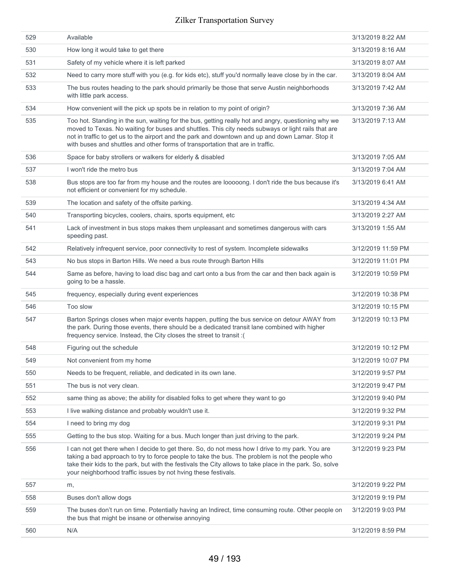| 529 | Available                                                                                                                                                                                                                                                                                                                                                                                       | 3/13/2019 8:22 AM  |
|-----|-------------------------------------------------------------------------------------------------------------------------------------------------------------------------------------------------------------------------------------------------------------------------------------------------------------------------------------------------------------------------------------------------|--------------------|
| 530 | How long it would take to get there                                                                                                                                                                                                                                                                                                                                                             | 3/13/2019 8:16 AM  |
| 531 | Safety of my vehicle where it is left parked                                                                                                                                                                                                                                                                                                                                                    | 3/13/2019 8:07 AM  |
| 532 | Need to carry more stuff with you (e.g. for kids etc), stuff you'd normally leave close by in the car.                                                                                                                                                                                                                                                                                          | 3/13/2019 8:04 AM  |
| 533 | The bus routes heading to the park should primarily be those that serve Austin neighborhoods<br>with little park access.                                                                                                                                                                                                                                                                        | 3/13/2019 7:42 AM  |
| 534 | How convenient will the pick up spots be in relation to my point of origin?                                                                                                                                                                                                                                                                                                                     | 3/13/2019 7:36 AM  |
| 535 | Too hot. Standing in the sun, waiting for the bus, getting really hot and angry, questioning why we<br>moved to Texas. No waiting for buses and shuttles. This city needs subways or light rails that are<br>not in traffic to get us to the airport and the park and downtown and up and down Lamar. Stop it<br>with buses and shuttles and other forms of transportation that are in traffic. | 3/13/2019 7:13 AM  |
| 536 | Space for baby strollers or walkers for elderly & disabled                                                                                                                                                                                                                                                                                                                                      | 3/13/2019 7:05 AM  |
| 537 | I won't ride the metro bus                                                                                                                                                                                                                                                                                                                                                                      | 3/13/2019 7:04 AM  |
| 538 | Bus stops are too far from my house and the routes are looooong. I don't ride the bus because it's<br>not efficient or convenient for my schedule.                                                                                                                                                                                                                                              | 3/13/2019 6:41 AM  |
| 539 | The location and safety of the offsite parking.                                                                                                                                                                                                                                                                                                                                                 | 3/13/2019 4:34 AM  |
| 540 | Transporting bicycles, coolers, chairs, sports equipment, etc                                                                                                                                                                                                                                                                                                                                   | 3/13/2019 2:27 AM  |
| 541 | Lack of investment in bus stops makes them unpleasant and sometimes dangerous with cars<br>speeding past.                                                                                                                                                                                                                                                                                       | 3/13/2019 1:55 AM  |
| 542 | Relatively infrequent service, poor connectivity to rest of system. Incomplete sidewalks                                                                                                                                                                                                                                                                                                        | 3/12/2019 11:59 PM |
| 543 | No bus stops in Barton Hills. We need a bus route through Barton Hills                                                                                                                                                                                                                                                                                                                          | 3/12/2019 11:01 PM |
| 544 | Same as before, having to load disc bag and cart onto a bus from the car and then back again is<br>going to be a hassle.                                                                                                                                                                                                                                                                        | 3/12/2019 10:59 PM |
| 545 | frequency, especially during event experiences                                                                                                                                                                                                                                                                                                                                                  | 3/12/2019 10:38 PM |
| 546 | Too slow                                                                                                                                                                                                                                                                                                                                                                                        | 3/12/2019 10:15 PM |
| 547 | Barton Springs closes when major events happen, putting the bus service on detour AWAY from<br>the park. During those events, there should be a dedicated transit lane combined with higher<br>frequency service. Instead, the City closes the street to transit :(                                                                                                                             | 3/12/2019 10:13 PM |
| 548 | Figuring out the schedule                                                                                                                                                                                                                                                                                                                                                                       | 3/12/2019 10:12 PM |
| 549 | Not convenient from my home                                                                                                                                                                                                                                                                                                                                                                     | 3/12/2019 10:07 PM |
| 550 | Needs to be frequent, reliable, and dedicated in its own lane.                                                                                                                                                                                                                                                                                                                                  | 3/12/2019 9:57 PM  |
| 551 | The bus is not very clean.                                                                                                                                                                                                                                                                                                                                                                      | 3/12/2019 9:47 PM  |
| 552 | same thing as above; the ability for disabled folks to get where they want to go                                                                                                                                                                                                                                                                                                                | 3/12/2019 9:40 PM  |
| 553 | I live walking distance and probably wouldn't use it.                                                                                                                                                                                                                                                                                                                                           | 3/12/2019 9:32 PM  |
| 554 | I need to bring my dog                                                                                                                                                                                                                                                                                                                                                                          | 3/12/2019 9:31 PM  |
| 555 | Getting to the bus stop. Waiting for a bus. Much longer than just driving to the park.                                                                                                                                                                                                                                                                                                          | 3/12/2019 9:24 PM  |
| 556 | I can not get there when I decide to get there. So, do not mess how I drive to my park. You are<br>taking a bad approach to try to force people to take the bus. The problem is not the people who<br>take their kids to the park, but with the festivals the City allows to take place in the park. So, solve<br>your neighborhood traffic issues by not hving these festivals.                | 3/12/2019 9:23 PM  |
| 557 | m,                                                                                                                                                                                                                                                                                                                                                                                              | 3/12/2019 9:22 PM  |
| 558 | Buses don't allow dogs                                                                                                                                                                                                                                                                                                                                                                          | 3/12/2019 9:19 PM  |
| 559 | The buses don't run on time. Potentially having an Indirect, time consuming route. Other people on<br>the bus that might be insane or otherwise annoying                                                                                                                                                                                                                                        | 3/12/2019 9:03 PM  |
| 560 | N/A                                                                                                                                                                                                                                                                                                                                                                                             | 3/12/2019 8:59 PM  |
|     |                                                                                                                                                                                                                                                                                                                                                                                                 |                    |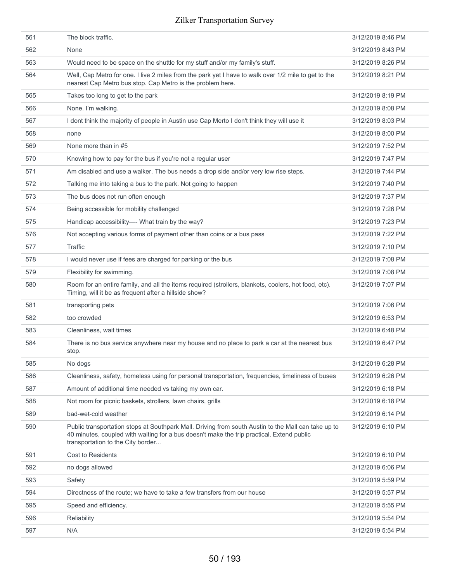| 561 | The block traffic.                                                                                                                                                                                                                    | 3/12/2019 8:46 PM |
|-----|---------------------------------------------------------------------------------------------------------------------------------------------------------------------------------------------------------------------------------------|-------------------|
| 562 | None                                                                                                                                                                                                                                  | 3/12/2019 8:43 PM |
| 563 | Would need to be space on the shuttle for my stuff and/or my family's stuff.                                                                                                                                                          | 3/12/2019 8:26 PM |
| 564 | Well, Cap Metro for one. I live 2 miles from the park yet I have to walk over 1/2 mile to get to the<br>nearest Cap Metro bus stop. Cap Metro is the problem here.                                                                    | 3/12/2019 8:21 PM |
| 565 | Takes too long to get to the park                                                                                                                                                                                                     | 3/12/2019 8:19 PM |
| 566 | None. I'm walking.                                                                                                                                                                                                                    | 3/12/2019 8:08 PM |
| 567 | I dont think the majority of people in Austin use Cap Merto I don't think they will use it                                                                                                                                            | 3/12/2019 8:03 PM |
| 568 | none                                                                                                                                                                                                                                  | 3/12/2019 8:00 PM |
| 569 | None more than in #5                                                                                                                                                                                                                  | 3/12/2019 7:52 PM |
| 570 | Knowing how to pay for the bus if you're not a regular user                                                                                                                                                                           | 3/12/2019 7:47 PM |
| 571 | Am disabled and use a walker. The bus needs a drop side and/or very low rise steps.                                                                                                                                                   | 3/12/2019 7:44 PM |
| 572 | Talking me into taking a bus to the park. Not going to happen                                                                                                                                                                         | 3/12/2019 7:40 PM |
| 573 | The bus does not run often enough                                                                                                                                                                                                     | 3/12/2019 7:37 PM |
| 574 | Being accessible for mobility challenged                                                                                                                                                                                              | 3/12/2019 7:26 PM |
| 575 | Handicap accessibility- What train by the way?                                                                                                                                                                                        | 3/12/2019 7:23 PM |
| 576 | Not accepting various forms of payment other than coins or a bus pass                                                                                                                                                                 | 3/12/2019 7:22 PM |
| 577 | Traffic                                                                                                                                                                                                                               | 3/12/2019 7:10 PM |
| 578 | I would never use if fees are charged for parking or the bus                                                                                                                                                                          | 3/12/2019 7:08 PM |
| 579 | Flexibility for swimming.                                                                                                                                                                                                             | 3/12/2019 7:08 PM |
| 580 | Room for an entire family, and all the items required (strollers, blankets, coolers, hot food, etc).<br>Timing, will it be as frequent after a hillside show?                                                                         | 3/12/2019 7:07 PM |
| 581 | transporting pets                                                                                                                                                                                                                     | 3/12/2019 7:06 PM |
| 582 | too crowded                                                                                                                                                                                                                           | 3/12/2019 6:53 PM |
| 583 | Cleanliness, wait times                                                                                                                                                                                                               | 3/12/2019 6:48 PM |
| 584 | There is no bus service anywhere near my house and no place to park a car at the nearest bus<br>stop.                                                                                                                                 | 3/12/2019 6:47 PM |
| 585 | No dogs                                                                                                                                                                                                                               | 3/12/2019 6:28 PM |
| 586 | Cleanliness, safety, homeless using for personal transportation, frequencies, timeliness of buses                                                                                                                                     | 3/12/2019 6:26 PM |
| 587 | Amount of additional time needed vs taking my own car.                                                                                                                                                                                | 3/12/2019 6:18 PM |
| 588 | Not room for picnic baskets, strollers, lawn chairs, grills                                                                                                                                                                           | 3/12/2019 6:18 PM |
| 589 | bad-wet-cold weather                                                                                                                                                                                                                  | 3/12/2019 6:14 PM |
| 590 | Public transportation stops at Southpark Mall. Driving from south Austin to the Mall can take up to<br>40 minutes, coupled with waiting for a bus doesn't make the trip practical. Extend public<br>transportation to the City border | 3/12/2019 6:10 PM |
| 591 | <b>Cost to Residents</b>                                                                                                                                                                                                              | 3/12/2019 6:10 PM |
| 592 | no dogs allowed                                                                                                                                                                                                                       | 3/12/2019 6:06 PM |
| 593 | Safety                                                                                                                                                                                                                                | 3/12/2019 5:59 PM |
| 594 | Directness of the route; we have to take a few transfers from our house                                                                                                                                                               | 3/12/2019 5:57 PM |
| 595 | Speed and efficiency.                                                                                                                                                                                                                 | 3/12/2019 5:55 PM |
| 596 | Reliability                                                                                                                                                                                                                           | 3/12/2019 5:54 PM |
| 597 | N/A                                                                                                                                                                                                                                   | 3/12/2019 5:54 PM |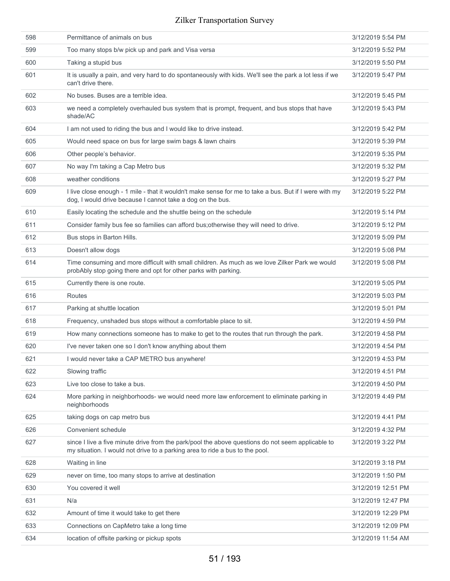| 598 | Permittance of animals on bus                                                                                                                                                     | 3/12/2019 5:54 PM  |
|-----|-----------------------------------------------------------------------------------------------------------------------------------------------------------------------------------|--------------------|
| 599 | Too many stops b/w pick up and park and Visa versa                                                                                                                                | 3/12/2019 5:52 PM  |
| 600 | Taking a stupid bus                                                                                                                                                               | 3/12/2019 5:50 PM  |
| 601 | It is usually a pain, and very hard to do spontaneously with kids. We'll see the park a lot less if we<br>can't drive there.                                                      | 3/12/2019 5:47 PM  |
| 602 | No buses. Buses are a terrible idea.                                                                                                                                              | 3/12/2019 5:45 PM  |
| 603 | we need a completely overhauled bus system that is prompt, frequent, and bus stops that have<br>shade/AC                                                                          | 3/12/2019 5:43 PM  |
| 604 | I am not used to riding the bus and I would like to drive instead.                                                                                                                | 3/12/2019 5:42 PM  |
| 605 | Would need space on bus for large swim bags & lawn chairs                                                                                                                         | 3/12/2019 5:39 PM  |
| 606 | Other people's behavior.                                                                                                                                                          | 3/12/2019 5:35 PM  |
| 607 | No way I'm taking a Cap Metro bus                                                                                                                                                 | 3/12/2019 5:32 PM  |
| 608 | weather conditions                                                                                                                                                                | 3/12/2019 5:27 PM  |
| 609 | I live close enough - 1 mile - that it wouldn't make sense for me to take a bus. But if I were with my<br>dog, I would drive because I cannot take a dog on the bus.              | 3/12/2019 5:22 PM  |
| 610 | Easily locating the schedule and the shuttle being on the schedule                                                                                                                | 3/12/2019 5:14 PM  |
| 611 | Consider family bus fee so families can afford bus; otherwise they will need to drive.                                                                                            | 3/12/2019 5:12 PM  |
| 612 | Bus stops in Barton Hills.                                                                                                                                                        | 3/12/2019 5:09 PM  |
| 613 | Doesn't allow dogs                                                                                                                                                                | 3/12/2019 5:08 PM  |
| 614 | Time consuming and more difficult with small children. As much as we love Zilker Park we would<br>probAbly stop going there and opt for other parks with parking.                 | 3/12/2019 5:08 PM  |
| 615 | Currently there is one route.                                                                                                                                                     | 3/12/2019 5:05 PM  |
| 616 | Routes                                                                                                                                                                            | 3/12/2019 5:03 PM  |
| 617 | Parking at shuttle location                                                                                                                                                       | 3/12/2019 5:01 PM  |
| 618 | Frequency, unshaded bus stops without a comfortable place to sit.                                                                                                                 | 3/12/2019 4:59 PM  |
| 619 | How many connections someone has to make to get to the routes that run through the park.                                                                                          | 3/12/2019 4:58 PM  |
| 620 | I've never taken one so I don't know anything about them                                                                                                                          | 3/12/2019 4:54 PM  |
| 621 | I would never take a CAP METRO bus anywhere!                                                                                                                                      | 3/12/2019 4:53 PM  |
| 622 | Slowing traffic                                                                                                                                                                   | 3/12/2019 4:51 PM  |
| 623 | Live too close to take a bus.                                                                                                                                                     | 3/12/2019 4:50 PM  |
| 624 | More parking in neighborhoods- we would need more law enforcement to eliminate parking in<br>neighborhoods                                                                        | 3/12/2019 4:49 PM  |
| 625 | taking dogs on cap metro bus                                                                                                                                                      | 3/12/2019 4:41 PM  |
| 626 | Convenient schedule                                                                                                                                                               | 3/12/2019 4:32 PM  |
| 627 | since I live a five minute drive from the park/pool the above questions do not seem applicable to<br>my situation. I would not drive to a parking area to ride a bus to the pool. | 3/12/2019 3:22 PM  |
| 628 | Waiting in line                                                                                                                                                                   | 3/12/2019 3:18 PM  |
| 629 | never on time, too many stops to arrive at destination                                                                                                                            | 3/12/2019 1:50 PM  |
| 630 | You covered it well                                                                                                                                                               | 3/12/2019 12:51 PM |
| 631 | N/a                                                                                                                                                                               | 3/12/2019 12:47 PM |
| 632 | Amount of time it would take to get there                                                                                                                                         | 3/12/2019 12:29 PM |
| 633 | Connections on CapMetro take a long time                                                                                                                                          | 3/12/2019 12:09 PM |
| 634 | location of offsite parking or pickup spots                                                                                                                                       | 3/12/2019 11:54 AM |
|     |                                                                                                                                                                                   |                    |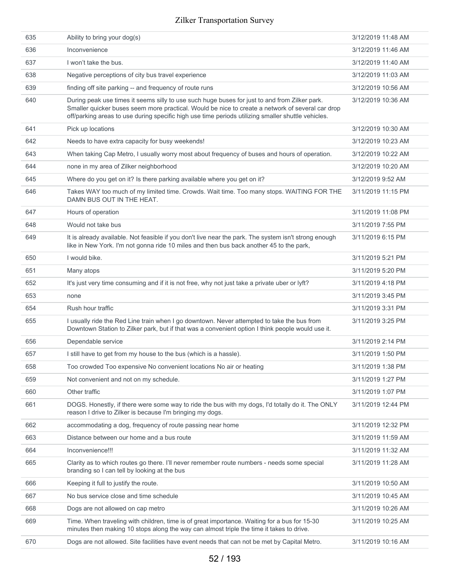| 635 | Ability to bring your dog(s)                                                                                                                                                                                                                                                                            | 3/12/2019 11:48 AM |
|-----|---------------------------------------------------------------------------------------------------------------------------------------------------------------------------------------------------------------------------------------------------------------------------------------------------------|--------------------|
| 636 | Inconvenience                                                                                                                                                                                                                                                                                           | 3/12/2019 11:46 AM |
| 637 | I won't take the bus.                                                                                                                                                                                                                                                                                   | 3/12/2019 11:40 AM |
| 638 | Negative perceptions of city bus travel experience                                                                                                                                                                                                                                                      | 3/12/2019 11:03 AM |
| 639 | finding off site parking -- and frequency of route runs                                                                                                                                                                                                                                                 | 3/12/2019 10:56 AM |
| 640 | During peak use times it seems silly to use such huge buses for just to and from Zilker park.<br>Smaller quicker buses seem more practical. Would be nice to create a network of several car drop<br>off/parking areas to use during specific high use time periods utilizing smaller shuttle vehicles. | 3/12/2019 10:36 AM |
| 641 | Pick up locations                                                                                                                                                                                                                                                                                       | 3/12/2019 10:30 AM |
| 642 | Needs to have extra capacity for busy weekends!                                                                                                                                                                                                                                                         | 3/12/2019 10:23 AM |
| 643 | When taking Cap Metro, I usually worry most about frequency of buses and hours of operation.                                                                                                                                                                                                            | 3/12/2019 10:22 AM |
| 644 | none in my area of Zilker neighborhood                                                                                                                                                                                                                                                                  | 3/12/2019 10:20 AM |
| 645 | Where do you get on it? Is there parking available where you get on it?                                                                                                                                                                                                                                 | 3/12/2019 9:52 AM  |
| 646 | Takes WAY too much of my limited time. Crowds. Wait time. Too many stops. WAITING FOR THE<br>DAMN BUS OUT IN THE HEAT.                                                                                                                                                                                  | 3/11/2019 11:15 PM |
| 647 | Hours of operation                                                                                                                                                                                                                                                                                      | 3/11/2019 11:08 PM |
| 648 | Would not take bus                                                                                                                                                                                                                                                                                      | 3/11/2019 7:55 PM  |
| 649 | It is already available. Not feasible if you don't live near the park. The system isn't strong enough<br>like in New York. I'm not gonna ride 10 miles and then bus back another 45 to the park,                                                                                                        | 3/11/2019 6:15 PM  |
| 650 | I would bike.                                                                                                                                                                                                                                                                                           | 3/11/2019 5:21 PM  |
| 651 | Many atops                                                                                                                                                                                                                                                                                              | 3/11/2019 5:20 PM  |
| 652 | It's just very time consuming and if it is not free, why not just take a private uber or lyft?                                                                                                                                                                                                          | 3/11/2019 4:18 PM  |
| 653 | none                                                                                                                                                                                                                                                                                                    | 3/11/2019 3:45 PM  |
| 654 | Rush hour traffic                                                                                                                                                                                                                                                                                       | 3/11/2019 3:31 PM  |
| 655 | I usually ride the Red Line train when I go downtown. Never attempted to take the bus from<br>Downtown Station to Zilker park, but if that was a convenient option I think people would use it.                                                                                                         | 3/11/2019 3:25 PM  |
| 656 | Dependable service                                                                                                                                                                                                                                                                                      | 3/11/2019 2:14 PM  |
| 657 | I still have to get from my house to the bus (which is a hassle).                                                                                                                                                                                                                                       | 3/11/2019 1:50 PM  |
| 658 | Too crowded Too expensive No convenient locations No air or heating                                                                                                                                                                                                                                     | 3/11/2019 1:38 PM  |
| 659 | Not convenient and not on my schedule.                                                                                                                                                                                                                                                                  | 3/11/2019 1:27 PM  |
| 660 | Other traffic                                                                                                                                                                                                                                                                                           | 3/11/2019 1:07 PM  |
| 661 | DOGS. Honestly, if there were some way to ride the bus with my dogs, I'd totally do it. The ONLY<br>reason I drive to Zilker is because I'm bringing my dogs.                                                                                                                                           | 3/11/2019 12:44 PM |
| 662 | accommodating a dog, frequency of route passing near home                                                                                                                                                                                                                                               | 3/11/2019 12:32 PM |
| 663 | Distance between our home and a bus route                                                                                                                                                                                                                                                               | 3/11/2019 11:59 AM |
| 664 | Inconvenience!!!                                                                                                                                                                                                                                                                                        | 3/11/2019 11:32 AM |
| 665 | Clarity as to which routes go there. I'll never remember route numbers - needs some special<br>branding so I can tell by looking at the bus                                                                                                                                                             | 3/11/2019 11:28 AM |
| 666 | Keeping it full to justify the route.                                                                                                                                                                                                                                                                   | 3/11/2019 10:50 AM |
| 667 | No bus service close and time schedule                                                                                                                                                                                                                                                                  | 3/11/2019 10:45 AM |
| 668 | Dogs are not allowed on cap metro                                                                                                                                                                                                                                                                       | 3/11/2019 10:26 AM |
| 669 | Time. When traveling with children, time is of great importance. Waiting for a bus for 15-30<br>minutes then making 10 stops along the way can almost triple the time it takes to drive.                                                                                                                | 3/11/2019 10:25 AM |
| 670 | Dogs are not allowed. Site facilities have event needs that can not be met by Capital Metro.                                                                                                                                                                                                            | 3/11/2019 10:16 AM |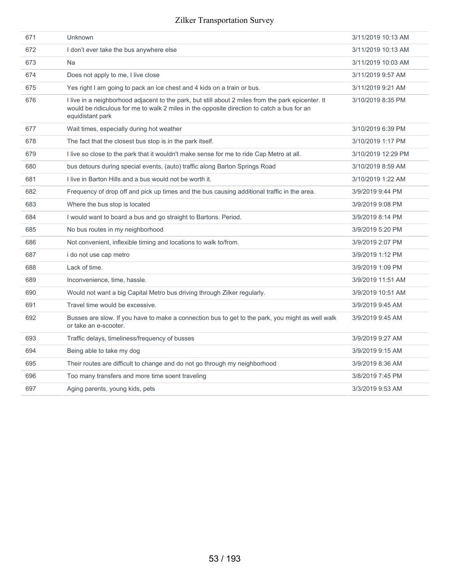| 671 | Unknown                                                                                                                                                                                                              | 3/11/2019 10:13 AM |
|-----|----------------------------------------------------------------------------------------------------------------------------------------------------------------------------------------------------------------------|--------------------|
| 672 | I don't ever take the bus anywhere else                                                                                                                                                                              | 3/11/2019 10:13 AM |
| 673 | <b>Na</b>                                                                                                                                                                                                            | 3/11/2019 10:03 AM |
| 674 | Does not apply to me, I live close                                                                                                                                                                                   | 3/11/2019 9:57 AM  |
| 675 | Yes right I am going to pack an ice chest and 4 kids on a train or bus.                                                                                                                                              | 3/11/2019 9:21 AM  |
| 676 | I live in a neighborhood adjacent to the park, but still about 2 miles from the park epicenter. It<br>would be ridiculous for me to walk 2 miles in the opposite direction to catch a bus for an<br>equidistant park | 3/10/2019 8:35 PM  |
| 677 | Wait times, especially during hot weather                                                                                                                                                                            | 3/10/2019 6:39 PM  |
| 678 | The fact that the closest bus stop is in the park itself.                                                                                                                                                            | 3/10/2019 1:17 PM  |
| 679 | I live so close to the park that it wouldn't make sense for me to ride Cap Metro at all.                                                                                                                             | 3/10/2019 12:29 PM |
| 680 | bus detours during special events, (auto) traffic along Barton Springs Road                                                                                                                                          | 3/10/2019 8:59 AM  |
| 681 | I live in Barton Hills and a bus would not be worth it.                                                                                                                                                              | 3/10/2019 1:22 AM  |
| 682 | Frequency of drop off and pick up times and the bus causing additional traffic in the area.                                                                                                                          | 3/9/2019 9:44 PM   |
| 683 | Where the bus stop is located                                                                                                                                                                                        | 3/9/2019 9:08 PM   |
| 684 | I would want to board a bus and go straight to Bartons. Period.                                                                                                                                                      | 3/9/2019 8:14 PM   |
| 685 | No bus routes in my neighborhood                                                                                                                                                                                     | 3/9/2019 5:20 PM   |
| 686 | Not convenient, inflexible timing and locations to walk to/from.                                                                                                                                                     | 3/9/2019 2:07 PM   |
| 687 | i do not use cap metro                                                                                                                                                                                               | 3/9/2019 1:12 PM   |
| 688 | Lack of time.                                                                                                                                                                                                        | 3/9/2019 1:09 PM   |
| 689 | Inconvenience, time, hassle.                                                                                                                                                                                         | 3/9/2019 11:51 AM  |
| 690 | Would not want a big Capital Metro bus driving through Zilker regularly.                                                                                                                                             | 3/9/2019 10:51 AM  |
| 691 | Travel time would be excessive.                                                                                                                                                                                      | 3/9/2019 9:45 AM   |
| 692 | Busses are slow. If you have to make a connection bus to get to the park, you might as well walk<br>or take an e-scooter.                                                                                            | 3/9/2019 9:45 AM   |
| 693 | Traffic delays, timeliness/frequency of busses                                                                                                                                                                       | 3/9/2019 9:27 AM   |
| 694 | Being able to take my dog                                                                                                                                                                                            | 3/9/2019 9:15 AM   |
| 695 | Their routes are difficult to change and do not go through my neighborhood                                                                                                                                           | 3/9/2019 8:36 AM   |
| 696 | Too many transfers and more time soent traveling                                                                                                                                                                     | 3/8/2019 7:45 PM   |
| 697 | Aging parents, young kids, pets                                                                                                                                                                                      | 3/3/2019 9:53 AM   |
|     |                                                                                                                                                                                                                      |                    |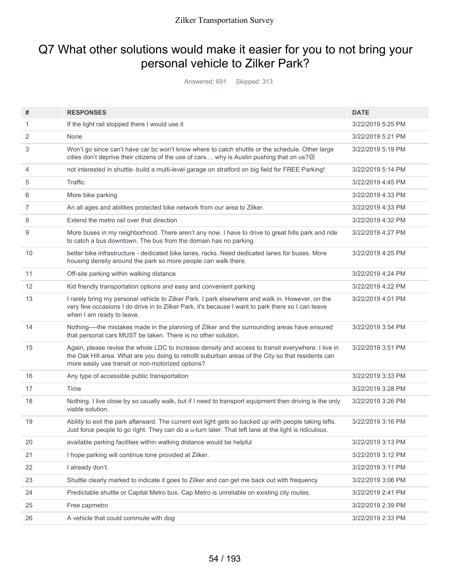# Q7 What other solutions would make it easier for you to not bring your personal vehicle to Zilker Park?

Answered: 691 Skipped: 313

| 3/22/2019 5:25 PM<br>3/22/2019 5:21 PM<br>3/22/2019 5:19 PM |
|-------------------------------------------------------------|
|                                                             |
|                                                             |
|                                                             |
| 3/22/2019 5:14 PM                                           |
| 3/22/2019 4:45 PM                                           |
| 3/22/2019 4:33 PM                                           |
| 3/22/2019 4:33 PM                                           |
| 3/22/2019 4:32 PM                                           |
| 3/22/2019 4:27 PM                                           |
| 3/22/2019 4:25 PM                                           |
| 3/22/2019 4:24 PM                                           |
| 3/22/2019 4:22 PM                                           |
| 3/22/2019 4:01 PM                                           |
| 3/22/2019 3:54 PM                                           |
| 3/22/2019 3:51 PM                                           |
| 3/22/2019 3:33 PM                                           |
| 3/22/2019 3:28 PM                                           |
| 3/22/2019 3:26 PM                                           |
| 3/22/2019 3:16 PM                                           |
| 3/22/2019 3:13 PM                                           |
| 3/22/2019 3:12 PM                                           |
| 3/22/2019 3:11 PM                                           |
| 3/22/2019 3:06 PM                                           |
| 3/22/2019 2:41 PM                                           |
| 3/22/2019 2:39 PM                                           |
|                                                             |
|                                                             |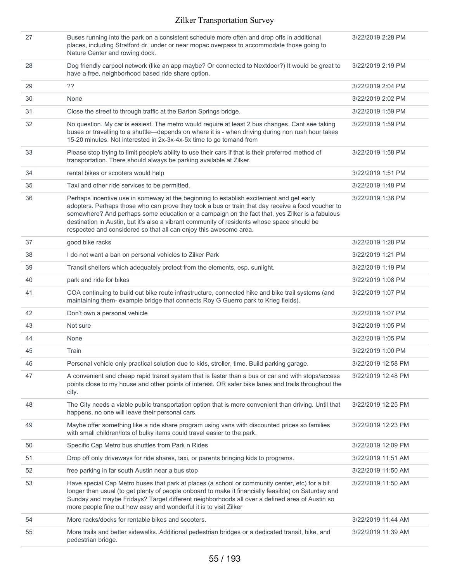| 27 | Buses running into the park on a consistent schedule more often and drop offs in additional<br>places, including Stratford dr. under or near mopac overpass to accommodate those going to<br>Nature Center and rowing dock.                                                                                                                                                                                                                                        | 3/22/2019 2:28 PM  |
|----|--------------------------------------------------------------------------------------------------------------------------------------------------------------------------------------------------------------------------------------------------------------------------------------------------------------------------------------------------------------------------------------------------------------------------------------------------------------------|--------------------|
| 28 | Dog friendly carpool network (like an app maybe? Or connected to Nextdoor?) It would be great to<br>have a free, neighborhood based ride share option.                                                                                                                                                                                                                                                                                                             | 3/22/2019 2:19 PM  |
| 29 | ??                                                                                                                                                                                                                                                                                                                                                                                                                                                                 | 3/22/2019 2:04 PM  |
| 30 | None                                                                                                                                                                                                                                                                                                                                                                                                                                                               | 3/22/2019 2:02 PM  |
| 31 | Close the street to through traffic at the Barton Springs bridge.                                                                                                                                                                                                                                                                                                                                                                                                  | 3/22/2019 1:59 PM  |
| 32 | No question. My car is easiest. The metro would require at least 2 bus changes. Cant see taking<br>buses or travelling to a shuttle—depends on where it is - when driving during non rush hour takes<br>15-20 minutes. Not interested in 2x-3x-4x-5x time to go tomand from                                                                                                                                                                                        | 3/22/2019 1:59 PM  |
| 33 | Please stop trying to limit people's ability to use their cars if that is their preferred method of<br>transportation. There should always be parking available at Zilker.                                                                                                                                                                                                                                                                                         | 3/22/2019 1:58 PM  |
| 34 | rental bikes or scooters would help                                                                                                                                                                                                                                                                                                                                                                                                                                | 3/22/2019 1:51 PM  |
| 35 | Taxi and other ride services to be permitted.                                                                                                                                                                                                                                                                                                                                                                                                                      | 3/22/2019 1:48 PM  |
| 36 | Perhaps incentive use in someway at the beginning to establish excitement and get early<br>adopters. Perhaps those who can prove they took a bus or train that day receive a food voucher to<br>somewhere? And perhaps some education or a campaign on the fact that, yes Zilker is a fabulous<br>destination in Austin, but it's also a vibrant community of residents whose space should be<br>respected and considered so that all can enjoy this awesome area. | 3/22/2019 1:36 PM  |
| 37 | good bike racks                                                                                                                                                                                                                                                                                                                                                                                                                                                    | 3/22/2019 1:28 PM  |
| 38 | I do not want a ban on personal vehicles to Zilker Park                                                                                                                                                                                                                                                                                                                                                                                                            | 3/22/2019 1:21 PM  |
| 39 | Transit shelters which adequately protect from the elements, esp. sunlight.                                                                                                                                                                                                                                                                                                                                                                                        | 3/22/2019 1:19 PM  |
| 40 | park and ride for bikes                                                                                                                                                                                                                                                                                                                                                                                                                                            | 3/22/2019 1:08 PM  |
| 41 | COA continuing to build out bike route infrastructure, connected hike and bike trail systems (and<br>maintaining them- example bridge that connects Roy G Guerro park to Krieg fields).                                                                                                                                                                                                                                                                            | 3/22/2019 1:07 PM  |
| 42 | Don't own a personal vehicle                                                                                                                                                                                                                                                                                                                                                                                                                                       | 3/22/2019 1:07 PM  |
| 43 | Not sure                                                                                                                                                                                                                                                                                                                                                                                                                                                           | 3/22/2019 1:05 PM  |
| 44 | None                                                                                                                                                                                                                                                                                                                                                                                                                                                               | 3/22/2019 1:05 PM  |
| 45 | Train                                                                                                                                                                                                                                                                                                                                                                                                                                                              | 3/22/2019 1:00 PM  |
| 46 | Personal vehicle only practical solution due to kids, stroller, time. Build parking garage.                                                                                                                                                                                                                                                                                                                                                                        | 3/22/2019 12:58 PM |
| 47 | A convenient and cheap rapid transit system that is faster than a bus or car and with stops/access<br>points close to my house and other points of interest. OR safer bike lanes and trails throughout the<br>city.                                                                                                                                                                                                                                                | 3/22/2019 12:48 PM |
| 48 | The City needs a viable public transportation option that is more convenient than driving. Until that<br>happens, no one will leave their personal cars.                                                                                                                                                                                                                                                                                                           | 3/22/2019 12:25 PM |
| 49 | Maybe offer something like a ride share program using vans with discounted prices so families<br>with small children/lots of bulky items could travel easier to the park.                                                                                                                                                                                                                                                                                          | 3/22/2019 12:23 PM |
| 50 | Specific Cap Metro bus shuttles from Park n Rides                                                                                                                                                                                                                                                                                                                                                                                                                  | 3/22/2019 12:09 PM |
| 51 | Drop off only driveways for ride shares, taxi, or parents bringing kids to programs.                                                                                                                                                                                                                                                                                                                                                                               | 3/22/2019 11:51 AM |
| 52 | free parking in far south Austin near a bus stop                                                                                                                                                                                                                                                                                                                                                                                                                   | 3/22/2019 11:50 AM |
| 53 | Have special Cap Metro buses that park at places (a school or community center, etc) for a bit<br>longer than usual (to get plenty of people onboard to make it financially feasible) on Saturday and<br>Sunday and maybe Fridays? Target different neighborhoods all over a defined area of Austin so<br>more people fine out how easy and wonderful it is to visit Zilker                                                                                        | 3/22/2019 11:50 AM |
| 54 | More racks/docks for rentable bikes and scooters.                                                                                                                                                                                                                                                                                                                                                                                                                  | 3/22/2019 11:44 AM |
| 55 | More trails and better sidewalks. Additional pedestrian bridges or a dedicated transit, bike, and<br>pedestrian bridge.                                                                                                                                                                                                                                                                                                                                            | 3/22/2019 11:39 AM |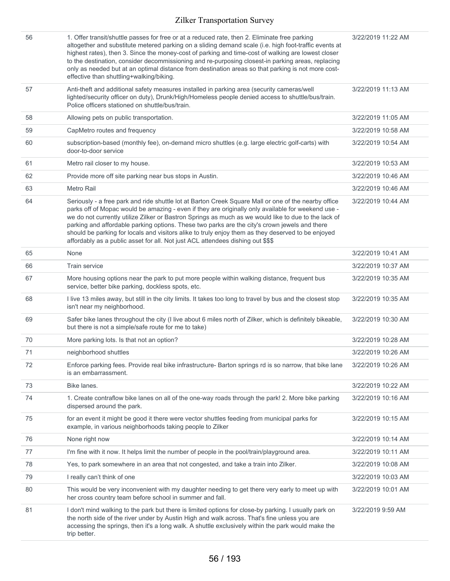| 56 | 1. Offer transit/shuttle passes for free or at a reduced rate, then 2. Eliminate free parking<br>altogether and substitute metered parking on a sliding demand scale (i.e. high foot-traffic events at<br>highest rates), then 3. Since the money-cost of parking and time-cost of walking are lowest closer<br>to the destination, consider decommissioning and re-purposing closest-in parking areas, replacing<br>only as needed but at an optimal distance from destination areas so that parking is not more cost-<br>effective than shuttling+walking/biking.                                          | 3/22/2019 11:22 AM |
|----|--------------------------------------------------------------------------------------------------------------------------------------------------------------------------------------------------------------------------------------------------------------------------------------------------------------------------------------------------------------------------------------------------------------------------------------------------------------------------------------------------------------------------------------------------------------------------------------------------------------|--------------------|
| 57 | Anti-theft and additional safety measures installed in parking area (security cameras/well<br>lighted/security officer on duty), Drunk/High/Homeless people denied access to shuttle/bus/train.<br>Police officers stationed on shuttle/bus/train.                                                                                                                                                                                                                                                                                                                                                           | 3/22/2019 11:13 AM |
| 58 | Allowing pets on public transportation.                                                                                                                                                                                                                                                                                                                                                                                                                                                                                                                                                                      | 3/22/2019 11:05 AM |
| 59 | CapMetro routes and frequency                                                                                                                                                                                                                                                                                                                                                                                                                                                                                                                                                                                | 3/22/2019 10:58 AM |
| 60 | subscription-based (monthly fee), on-demand micro shuttles (e.g. large electric golf-carts) with<br>door-to-door service                                                                                                                                                                                                                                                                                                                                                                                                                                                                                     | 3/22/2019 10:54 AM |
| 61 | Metro rail closer to my house.                                                                                                                                                                                                                                                                                                                                                                                                                                                                                                                                                                               | 3/22/2019 10:53 AM |
| 62 | Provide more off site parking near bus stops in Austin.                                                                                                                                                                                                                                                                                                                                                                                                                                                                                                                                                      | 3/22/2019 10:46 AM |
| 63 | Metro Rail                                                                                                                                                                                                                                                                                                                                                                                                                                                                                                                                                                                                   | 3/22/2019 10:46 AM |
| 64 | Seriously - a free park and ride shuttle lot at Barton Creek Square Mall or one of the nearby office<br>parks off of Mopac would be amazing - even if they are originally only available for weekend use -<br>we do not currently utilize Zilker or Bastron Springs as much as we would like to due to the lack of<br>parking and affordable parking options. These two parks are the city's crown jewels and there<br>should be parking for locals and visitors alike to truly enjoy them as they deserved to be enjoyed<br>affordably as a public asset for all. Not just ACL attendees dishing out \$\$\$ | 3/22/2019 10:44 AM |
| 65 | None                                                                                                                                                                                                                                                                                                                                                                                                                                                                                                                                                                                                         | 3/22/2019 10:41 AM |
| 66 | Train service                                                                                                                                                                                                                                                                                                                                                                                                                                                                                                                                                                                                | 3/22/2019 10:37 AM |
| 67 | More housing options near the park to put more people within walking distance, frequent bus<br>service, better bike parking, dockless spots, etc.                                                                                                                                                                                                                                                                                                                                                                                                                                                            | 3/22/2019 10:35 AM |
| 68 | I live 13 miles away, but still in the city limits. It takes too long to travel by bus and the closest stop<br>isn't near my neighborhood.                                                                                                                                                                                                                                                                                                                                                                                                                                                                   | 3/22/2019 10:35 AM |
| 69 | Safer bike lanes throughout the city (I live about 6 miles north of Zilker, which is definitely bikeable,<br>but there is not a simple/safe route for me to take)                                                                                                                                                                                                                                                                                                                                                                                                                                            | 3/22/2019 10:30 AM |
| 70 | More parking lots. Is that not an option?                                                                                                                                                                                                                                                                                                                                                                                                                                                                                                                                                                    | 3/22/2019 10:28 AM |
| 71 | neighborhood shuttles                                                                                                                                                                                                                                                                                                                                                                                                                                                                                                                                                                                        | 3/22/2019 10:26 AM |
| 72 | Enforce parking fees. Provide real bike infrastructure- Barton springs rd is so narrow, that bike lane<br>is an embarrassment.                                                                                                                                                                                                                                                                                                                                                                                                                                                                               | 3/22/2019 10:26 AM |
| 73 | Bike lanes.                                                                                                                                                                                                                                                                                                                                                                                                                                                                                                                                                                                                  | 3/22/2019 10:22 AM |
| 74 | 1. Create contraflow bike lanes on all of the one-way roads through the park! 2. More bike parking<br>dispersed around the park.                                                                                                                                                                                                                                                                                                                                                                                                                                                                             | 3/22/2019 10:16 AM |
| 75 | for an event it might be good it there were vector shuttles feeding from municipal parks for<br>example, in various neighborhoods taking people to Zilker                                                                                                                                                                                                                                                                                                                                                                                                                                                    | 3/22/2019 10:15 AM |
| 76 | None right now                                                                                                                                                                                                                                                                                                                                                                                                                                                                                                                                                                                               | 3/22/2019 10:14 AM |
| 77 | I'm fine with it now. It helps limit the number of people in the pool/train/playground area.                                                                                                                                                                                                                                                                                                                                                                                                                                                                                                                 | 3/22/2019 10:11 AM |
| 78 | Yes, to park somewhere in an area that not congested, and take a train into Zilker.                                                                                                                                                                                                                                                                                                                                                                                                                                                                                                                          | 3/22/2019 10:08 AM |
| 79 | I really can't think of one                                                                                                                                                                                                                                                                                                                                                                                                                                                                                                                                                                                  | 3/22/2019 10:03 AM |
| 80 | This would be very inconvenient with my daughter needing to get there very early to meet up with<br>her cross country team before school in summer and fall.                                                                                                                                                                                                                                                                                                                                                                                                                                                 | 3/22/2019 10:01 AM |
| 81 | I don't mind walking to the park but there is limited options for close-by parking. I usually park on<br>the north side of the river under by Austin High and walk across. That's fine unless you are<br>accessing the springs, then it's a long walk. A shuttle exclusively within the park would make the<br>trip better.                                                                                                                                                                                                                                                                                  | 3/22/2019 9:59 AM  |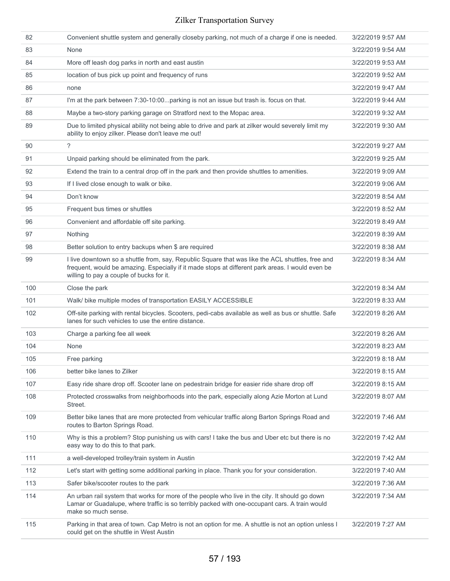| 82  | Convenient shuttle system and generally closeby parking, not much of a charge if one is needed.                                                                                                                                                  | 3/22/2019 9:57 AM |
|-----|--------------------------------------------------------------------------------------------------------------------------------------------------------------------------------------------------------------------------------------------------|-------------------|
| 83  | None                                                                                                                                                                                                                                             | 3/22/2019 9:54 AM |
| 84  | More off leash dog parks in north and east austin                                                                                                                                                                                                | 3/22/2019 9:53 AM |
| 85  | location of bus pick up point and frequency of runs                                                                                                                                                                                              | 3/22/2019 9:52 AM |
| 86  | none                                                                                                                                                                                                                                             | 3/22/2019 9:47 AM |
| 87  | I'm at the park between 7:30-10:00parking is not an issue but trash is. focus on that.                                                                                                                                                           | 3/22/2019 9:44 AM |
| 88  | Maybe a two-story parking garage on Stratford next to the Mopac area.                                                                                                                                                                            | 3/22/2019 9:32 AM |
| 89  | Due to limited physical ability not being able to drive and park at zilker would severely limit my<br>ability to enjoy zilker. Please don't leave me out!                                                                                        | 3/22/2019 9:30 AM |
| 90  | ?                                                                                                                                                                                                                                                | 3/22/2019 9:27 AM |
| 91  | Unpaid parking should be eliminated from the park.                                                                                                                                                                                               | 3/22/2019 9:25 AM |
| 92  | Extend the train to a central drop off in the park and then provide shuttles to amenities.                                                                                                                                                       | 3/22/2019 9:09 AM |
| 93  | If I lived close enough to walk or bike.                                                                                                                                                                                                         | 3/22/2019 9:06 AM |
| 94  | Don't know                                                                                                                                                                                                                                       | 3/22/2019 8:54 AM |
| 95  | Frequent bus times or shuttles                                                                                                                                                                                                                   | 3/22/2019 8:52 AM |
| 96  | Convenient and affordable off site parking.                                                                                                                                                                                                      | 3/22/2019 8:49 AM |
| 97  | Nothing                                                                                                                                                                                                                                          | 3/22/2019 8:39 AM |
| 98  | Better solution to entry backups when \$ are required                                                                                                                                                                                            | 3/22/2019 8:38 AM |
| 99  | I live downtown so a shuttle from, say, Republic Square that was like the ACL shuttles, free and<br>frequent, would be amazing. Especially if it made stops at different park areas. I would even be<br>willing to pay a couple of bucks for it. | 3/22/2019 8:34 AM |
| 100 | Close the park                                                                                                                                                                                                                                   | 3/22/2019 8:34 AM |
| 101 | Walk/ bike multiple modes of transportation EASILY ACCESSIBLE                                                                                                                                                                                    | 3/22/2019 8:33 AM |
| 102 | Off-site parking with rental bicycles. Scooters, pedi-cabs available as well as bus or shuttle. Safe<br>lanes for such vehicles to use the entire distance.                                                                                      | 3/22/2019 8:26 AM |
| 103 | Charge a parking fee all week                                                                                                                                                                                                                    | 3/22/2019 8:26 AM |
| 104 | None                                                                                                                                                                                                                                             | 3/22/2019 8:23 AM |
| 105 | Free parking                                                                                                                                                                                                                                     | 3/22/2019 8:18 AM |
| 106 | better bike lanes to Zilker                                                                                                                                                                                                                      | 3/22/2019 8:15 AM |
| 107 | Easy ride share drop off. Scooter lane on pedestrain bridge for easier ride share drop off                                                                                                                                                       | 3/22/2019 8:15 AM |
| 108 | Protected crosswalks from neighborhoods into the park, especially along Azie Morton at Lund<br>Street.                                                                                                                                           | 3/22/2019 8:07 AM |
| 109 | Better bike lanes that are more protected from vehicular traffic along Barton Springs Road and<br>routes to Barton Springs Road.                                                                                                                 | 3/22/2019 7:46 AM |
| 110 | Why is this a problem? Stop punishing us with cars! I take the bus and Uber etc but there is no<br>easy way to do this to that park.                                                                                                             | 3/22/2019 7:42 AM |
| 111 | a well-developed trolley/train system in Austin                                                                                                                                                                                                  | 3/22/2019 7:42 AM |
| 112 | Let's start with getting some additional parking in place. Thank you for your consideration.                                                                                                                                                     | 3/22/2019 7:40 AM |
| 113 | Safer bike/scooter routes to the park                                                                                                                                                                                                            | 3/22/2019 7:36 AM |
| 114 | An urban rail system that works for more of the people who live in the city. It should go down<br>Lamar or Guadalupe, where traffic is so terribly packed with one-occupant cars. A train would<br>make so much sense.                           | 3/22/2019 7:34 AM |
| 115 | Parking in that area of town. Cap Metro is not an option for me. A shuttle is not an option unless I<br>could get on the shuttle in West Austin                                                                                                  | 3/22/2019 7:27 AM |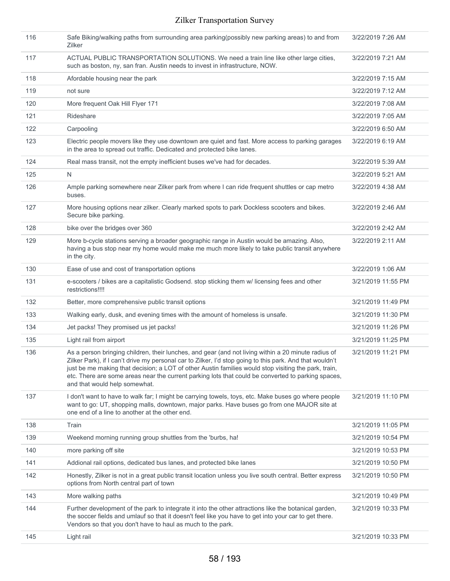| 116 | Safe Biking/walking paths from surrounding area parking(possibly new parking areas) to and from<br>Zilker                                                                                                                                                                                                                                                                                                                                                      | 3/22/2019 7:26 AM  |
|-----|----------------------------------------------------------------------------------------------------------------------------------------------------------------------------------------------------------------------------------------------------------------------------------------------------------------------------------------------------------------------------------------------------------------------------------------------------------------|--------------------|
| 117 | ACTUAL PUBLIC TRANSPORTATION SOLUTIONS. We need a train line like other large cities,<br>such as boston, ny, san fran. Austin needs to invest in infrastructure, NOW.                                                                                                                                                                                                                                                                                          | 3/22/2019 7:21 AM  |
| 118 | Afordable housing near the park                                                                                                                                                                                                                                                                                                                                                                                                                                | 3/22/2019 7:15 AM  |
| 119 | not sure                                                                                                                                                                                                                                                                                                                                                                                                                                                       | 3/22/2019 7:12 AM  |
| 120 | More frequent Oak Hill Flyer 171                                                                                                                                                                                                                                                                                                                                                                                                                               | 3/22/2019 7:08 AM  |
| 121 | Rideshare                                                                                                                                                                                                                                                                                                                                                                                                                                                      | 3/22/2019 7:05 AM  |
| 122 | Carpooling                                                                                                                                                                                                                                                                                                                                                                                                                                                     | 3/22/2019 6:50 AM  |
| 123 | Electric people movers like they use downtown are quiet and fast. More access to parking garages<br>in the area to spread out traffic. Dedicated and protected bike lanes.                                                                                                                                                                                                                                                                                     | 3/22/2019 6:19 AM  |
| 124 | Real mass transit, not the empty inefficient buses we've had for decades.                                                                                                                                                                                                                                                                                                                                                                                      | 3/22/2019 5:39 AM  |
| 125 | N                                                                                                                                                                                                                                                                                                                                                                                                                                                              | 3/22/2019 5:21 AM  |
| 126 | Ample parking somewhere near Zilker park from where I can ride frequent shuttles or cap metro<br>buses.                                                                                                                                                                                                                                                                                                                                                        | 3/22/2019 4:38 AM  |
| 127 | More housing options near zilker. Clearly marked spots to park Dockless scooters and bikes.<br>Secure bike parking.                                                                                                                                                                                                                                                                                                                                            | 3/22/2019 2:46 AM  |
| 128 | bike over the bridges over 360                                                                                                                                                                                                                                                                                                                                                                                                                                 | 3/22/2019 2:42 AM  |
| 129 | More b-cycle stations serving a broader geographic range in Austin would be amazing. Also,<br>having a bus stop near my home would make me much more likely to take public transit anywhere<br>in the city.                                                                                                                                                                                                                                                    | 3/22/2019 2:11 AM  |
| 130 | Ease of use and cost of transportation options                                                                                                                                                                                                                                                                                                                                                                                                                 | 3/22/2019 1:06 AM  |
| 131 | e-scooters / bikes are a capitalistic Godsend. stop sticking them w/ licensing fees and other<br>restrictions!!!!                                                                                                                                                                                                                                                                                                                                              | 3/21/2019 11:55 PM |
| 132 | Better, more comprehensive public transit options                                                                                                                                                                                                                                                                                                                                                                                                              | 3/21/2019 11:49 PM |
| 133 | Walking early, dusk, and evening times with the amount of homeless is unsafe.                                                                                                                                                                                                                                                                                                                                                                                  | 3/21/2019 11:30 PM |
| 134 | Jet packs! They promised us jet packs!                                                                                                                                                                                                                                                                                                                                                                                                                         | 3/21/2019 11:26 PM |
| 135 | Light rail from airport                                                                                                                                                                                                                                                                                                                                                                                                                                        | 3/21/2019 11:25 PM |
| 136 | As a person bringing children, their lunches, and gear (and not living within a 20 minute radius of<br>Zilker Park), if I can't drive my personal car to Zilker, I'd stop going to this park. And that wouldn't<br>just be me making that decision; a LOT of other Austin families would stop visiting the park, train,<br>etc. There are some areas near the current parking lots that could be converted to parking spaces,<br>and that would help somewhat. | 3/21/2019 11:21 PM |
| 137 | I don't want to have to walk far; I might be carrying towels, toys, etc. Make buses go where people<br>want to go: UT, shopping malls, downtown, major parks. Have buses go from one MAJOR site at<br>one end of a line to another at the other end.                                                                                                                                                                                                           | 3/21/2019 11:10 PM |
| 138 | Train                                                                                                                                                                                                                                                                                                                                                                                                                                                          | 3/21/2019 11:05 PM |
| 139 | Weekend morning running group shuttles from the 'burbs, ha!                                                                                                                                                                                                                                                                                                                                                                                                    | 3/21/2019 10:54 PM |
| 140 | more parking off site                                                                                                                                                                                                                                                                                                                                                                                                                                          | 3/21/2019 10:53 PM |
| 141 | Addional rail options, dedicated bus lanes, and protected bike lanes                                                                                                                                                                                                                                                                                                                                                                                           | 3/21/2019 10:50 PM |
| 142 | Honestly, Zilker is not in a great public transit location unless you live south central. Better express<br>options from North central part of town                                                                                                                                                                                                                                                                                                            | 3/21/2019 10:50 PM |
| 143 | More walking paths                                                                                                                                                                                                                                                                                                                                                                                                                                             | 3/21/2019 10:49 PM |
| 144 | Further development of the park to integrate it into the other attractions like the botanical garden,<br>the soccer fields and umlauf so that it doesn't feel like you have to get into your car to get there.<br>Vendors so that you don't have to haul as much to the park.                                                                                                                                                                                  | 3/21/2019 10:33 PM |
| 145 | Light rail                                                                                                                                                                                                                                                                                                                                                                                                                                                     | 3/21/2019 10:33 PM |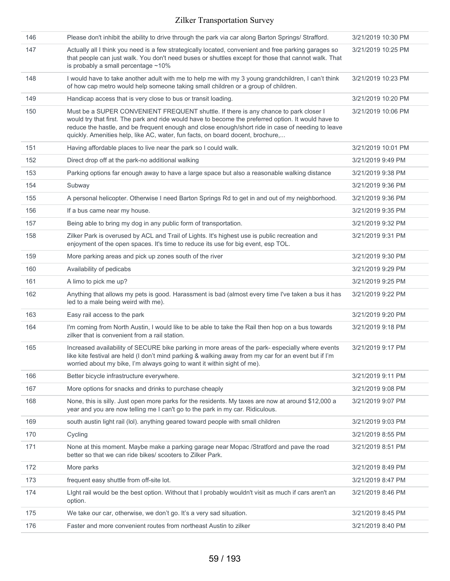| 146 | Please don't inhibit the ability to drive through the park via car along Barton Springs/ Strafford.                                                                                                                                                                                                                                                                                | 3/21/2019 10:30 PM |
|-----|------------------------------------------------------------------------------------------------------------------------------------------------------------------------------------------------------------------------------------------------------------------------------------------------------------------------------------------------------------------------------------|--------------------|
| 147 | Actually all I think you need is a few strategically located, convenient and free parking garages so<br>that people can just walk. You don't need buses or shuttles except for those that cannot walk. That<br>is probably a small percentage $~10\%$                                                                                                                              | 3/21/2019 10:25 PM |
| 148 | I would have to take another adult with me to help me with my 3 young grandchildren, I can't think<br>of how cap metro would help someone taking small children or a group of children.                                                                                                                                                                                            | 3/21/2019 10:23 PM |
| 149 | Handicap access that is very close to bus or transit loading.                                                                                                                                                                                                                                                                                                                      | 3/21/2019 10:20 PM |
| 150 | Must be a SUPER CONVENIENT FREQUENT shuttle. If there is any chance to park closer I<br>would try that first. The park and ride would have to become the preferred option. It would have to<br>reduce the hastle, and be frequent enough and close enough/short ride in case of needing to leave<br>quickly. Amenities help, like AC, water, fun facts, on board docent, brochure, | 3/21/2019 10:06 PM |
| 151 | Having affordable places to live near the park so I could walk.                                                                                                                                                                                                                                                                                                                    | 3/21/2019 10:01 PM |
| 152 | Direct drop off at the park-no additional walking                                                                                                                                                                                                                                                                                                                                  | 3/21/2019 9:49 PM  |
| 153 | Parking options far enough away to have a large space but also a reasonable walking distance                                                                                                                                                                                                                                                                                       | 3/21/2019 9:38 PM  |
| 154 | Subway                                                                                                                                                                                                                                                                                                                                                                             | 3/21/2019 9:36 PM  |
| 155 | A personal helicopter. Otherwise I need Barton Springs Rd to get in and out of my neighborhood.                                                                                                                                                                                                                                                                                    | 3/21/2019 9:36 PM  |
| 156 | If a bus came near my house.                                                                                                                                                                                                                                                                                                                                                       | 3/21/2019 9:35 PM  |
| 157 | Being able to bring my dog in any public form of transportation.                                                                                                                                                                                                                                                                                                                   | 3/21/2019 9:32 PM  |
| 158 | Zilker Park is overused by ACL and Trail of Lights. It's highest use is public recreation and<br>enjoyment of the open spaces. It's time to reduce its use for big event, esp TOL.                                                                                                                                                                                                 | 3/21/2019 9:31 PM  |
| 159 | More parking areas and pick up zones south of the river                                                                                                                                                                                                                                                                                                                            | 3/21/2019 9:30 PM  |
| 160 | Availability of pedicabs                                                                                                                                                                                                                                                                                                                                                           | 3/21/2019 9:29 PM  |
| 161 | A limo to pick me up?                                                                                                                                                                                                                                                                                                                                                              | 3/21/2019 9:25 PM  |
| 162 | Anything that allows my pets is good. Harassment is bad (almost every time I've taken a bus it has<br>led to a male being weird with me).                                                                                                                                                                                                                                          | 3/21/2019 9:22 PM  |
| 163 | Easy rail access to the park                                                                                                                                                                                                                                                                                                                                                       | 3/21/2019 9:20 PM  |
| 164 | I'm coming from North Austin, I would like to be able to take the Rail then hop on a bus towards<br>zilker that is convenient from a rail station.                                                                                                                                                                                                                                 | 3/21/2019 9:18 PM  |
| 165 | Increased availability of SECURE bike parking in more areas of the park- especially where events<br>like kite festival are held (I don't mind parking & walking away from my car for an event but if I'm<br>worried about my bike, I'm always going to want it within sight of me).                                                                                                | 3/21/2019 9:17 PM  |
| 166 | Better bicycle infrastructure everywhere.                                                                                                                                                                                                                                                                                                                                          | 3/21/2019 9:11 PM  |
| 167 | More options for snacks and drinks to purchase cheaply                                                                                                                                                                                                                                                                                                                             | 3/21/2019 9:08 PM  |
| 168 | None, this is silly. Just open more parks for the residents. My taxes are now at around \$12,000 a<br>year and you are now telling me I can't go to the park in my car. Ridiculous.                                                                                                                                                                                                | 3/21/2019 9:07 PM  |
| 169 | south austin light rail (lol). anything geared toward people with small children                                                                                                                                                                                                                                                                                                   | 3/21/2019 9:03 PM  |
| 170 | Cycling                                                                                                                                                                                                                                                                                                                                                                            | 3/21/2019 8:55 PM  |
| 171 | None at this moment. Maybe make a parking garage near Mopac /Stratford and pave the road<br>better so that we can ride bikes/ scooters to Zilker Park.                                                                                                                                                                                                                             | 3/21/2019 8:51 PM  |
| 172 | More parks                                                                                                                                                                                                                                                                                                                                                                         | 3/21/2019 8:49 PM  |
| 173 | frequent easy shuttle from off-site lot.                                                                                                                                                                                                                                                                                                                                           | 3/21/2019 8:47 PM  |
| 174 | Light rail would be the best option. Without that I probably wouldn't visit as much if cars aren't an<br>option.                                                                                                                                                                                                                                                                   | 3/21/2019 8:46 PM  |
| 175 | We take our car, otherwise, we don't go. It's a very sad situation.                                                                                                                                                                                                                                                                                                                | 3/21/2019 8:45 PM  |
| 176 | Faster and more convenient routes from northeast Austin to zilker                                                                                                                                                                                                                                                                                                                  | 3/21/2019 8:40 PM  |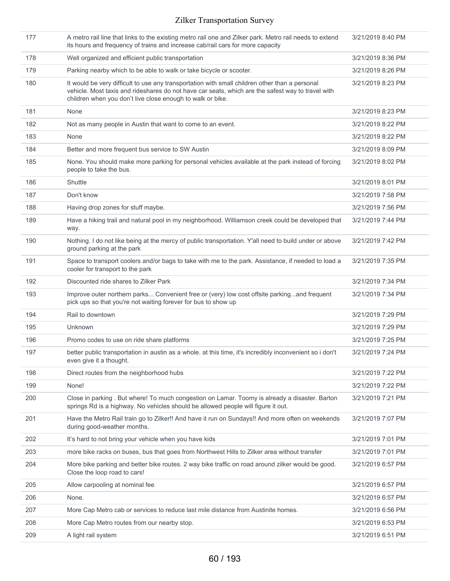| 177 | A metro rail line that links to the existing metro rail one and Zilker park. Metro rail needs to extend<br>its hours and frequency of trains and increase cab/rail cars for more capacity                                                                         | 3/21/2019 8:40 PM |
|-----|-------------------------------------------------------------------------------------------------------------------------------------------------------------------------------------------------------------------------------------------------------------------|-------------------|
| 178 | Well organized and efficient public transportation                                                                                                                                                                                                                | 3/21/2019 8:36 PM |
| 179 | Parking nearby which to be able to walk or take bicycle or scooter.                                                                                                                                                                                               | 3/21/2019 8:26 PM |
| 180 | It would be very difficult to use any transportation with small children other than a personal<br>vehicle. Most taxis and rideshares do not have car seats, which are the safest way to travel with<br>children when you don't live close enough to walk or bike. | 3/21/2019 8:23 PM |
| 181 | None                                                                                                                                                                                                                                                              | 3/21/2019 8:23 PM |
| 182 | Not as many people in Austin that want to come to an event.                                                                                                                                                                                                       | 3/21/2019 8:22 PM |
| 183 | None                                                                                                                                                                                                                                                              | 3/21/2019 8:22 PM |
| 184 | Better and more frequent bus service to SW Austin                                                                                                                                                                                                                 | 3/21/2019 8:09 PM |
| 185 | None. You should make more parking for personal vehicles available at the park instead of forcing<br>people to take the bus.                                                                                                                                      | 3/21/2019 8:02 PM |
| 186 | Shuttle                                                                                                                                                                                                                                                           | 3/21/2019 8:01 PM |
| 187 | Don't know                                                                                                                                                                                                                                                        | 3/21/2019 7:58 PM |
| 188 | Having drop zones for stuff maybe.                                                                                                                                                                                                                                | 3/21/2019 7:56 PM |
| 189 | Have a hiking trail and natural pool in my neighborhood. Williamson creek could be developed that<br>way.                                                                                                                                                         | 3/21/2019 7:44 PM |
| 190 | Nothing. I do not like being at the mercy of public transportation. Y'all need to build under or above<br>ground parking at the park                                                                                                                              | 3/21/2019 7:42 PM |
| 191 | Space to transport coolers and/or bags to take with me to the park. Assistance, if needed to load a<br>cooler for transport to the park                                                                                                                           | 3/21/2019 7:35 PM |
| 192 | Discounted ride shares to Zilker Park                                                                                                                                                                                                                             | 3/21/2019 7:34 PM |
| 193 | Improve outer northern parks Convenient free or (very) low cost offsite parkingand frequent<br>pick ups so that you're not waiting forever for bus to show up                                                                                                     | 3/21/2019 7:34 PM |
| 194 | Rail to downtown                                                                                                                                                                                                                                                  | 3/21/2019 7:29 PM |
| 195 | Unknown                                                                                                                                                                                                                                                           | 3/21/2019 7:29 PM |
| 196 | Promo codes to use on ride share platforms                                                                                                                                                                                                                        | 3/21/2019 7:25 PM |
| 197 | better public transportation in austin as a whole. at this time, it's incredibly inconvenient so i don't<br>even give it a thought.                                                                                                                               | 3/21/2019 7:24 PM |
| 198 | Direct routes from the neighborhood hubs                                                                                                                                                                                                                          | 3/21/2019 7:22 PM |
| 199 | None!                                                                                                                                                                                                                                                             | 3/21/2019 7:22 PM |
| 200 | Close in parking . But where! To much congestion on Lamar. Toomy is already a disaster. Barton<br>springs Rd is a highway. No vehicles should be allowed people will figure it out.                                                                               | 3/21/2019 7:21 PM |
| 201 | Have the Metro Rail train go to Zilker!! And have it run on Sundays!! And more often on weekends<br>during good-weather months.                                                                                                                                   | 3/21/2019 7:07 PM |
| 202 | It's hard to not bring your vehicle when you have kids                                                                                                                                                                                                            | 3/21/2019 7:01 PM |
| 203 | more bike racks on buses, bus that goes from Northwest Hills to Zilker area without transfer                                                                                                                                                                      | 3/21/2019 7:01 PM |
| 204 | More bike parking and better bike routes. 2 way bike traffic on road around zilker would be good.<br>Close the loop road to cars!                                                                                                                                 | 3/21/2019 6:57 PM |
| 205 | Allow carpooling at nominal fee                                                                                                                                                                                                                                   | 3/21/2019 6:57 PM |
| 206 | None.                                                                                                                                                                                                                                                             | 3/21/2019 6:57 PM |
| 207 | More Cap Metro cab or services to reduce last mile distance from Austinite homes.                                                                                                                                                                                 | 3/21/2019 6:56 PM |
| 208 | More Cap Metro routes from our nearby stop.                                                                                                                                                                                                                       | 3/21/2019 6:53 PM |
| 209 | A light rail system                                                                                                                                                                                                                                               | 3/21/2019 6:51 PM |
|     |                                                                                                                                                                                                                                                                   |                   |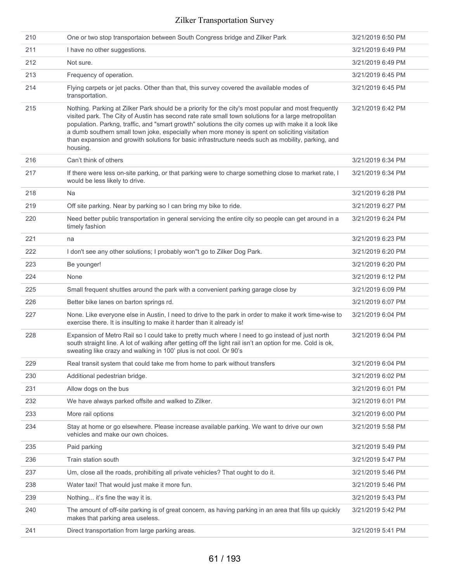| 210 | One or two stop transportaion between South Congress bridge and Zilker Park                                                                                                                                                                                                                                                                                                                                                                                                                                                            | 3/21/2019 6:50 PM |
|-----|----------------------------------------------------------------------------------------------------------------------------------------------------------------------------------------------------------------------------------------------------------------------------------------------------------------------------------------------------------------------------------------------------------------------------------------------------------------------------------------------------------------------------------------|-------------------|
| 211 | I have no other suggestions.                                                                                                                                                                                                                                                                                                                                                                                                                                                                                                           | 3/21/2019 6:49 PM |
| 212 | Not sure.                                                                                                                                                                                                                                                                                                                                                                                                                                                                                                                              | 3/21/2019 6:49 PM |
| 213 | Frequency of operation.                                                                                                                                                                                                                                                                                                                                                                                                                                                                                                                | 3/21/2019 6:45 PM |
| 214 | Flying carpets or jet packs. Other than that, this survey covered the available modes of<br>transportation.                                                                                                                                                                                                                                                                                                                                                                                                                            | 3/21/2019 6:45 PM |
| 215 | Nothing. Parking at Zilker Park should be a priority for the city's most popular and most frequently<br>visited park. The City of Austin has second rate rate small town solutions for a large metropolitan<br>population. Parkng, traffic, and "smart growth" solutions the city comes up with make it a look like<br>a dumb southern small town joke, especially when more money is spent on soliciting visitation<br>than expansion and growith solutions for basic infrastructure needs such as mobility, parking, and<br>housing. | 3/21/2019 6:42 PM |
| 216 | Can't think of others                                                                                                                                                                                                                                                                                                                                                                                                                                                                                                                  | 3/21/2019 6:34 PM |
| 217 | If there were less on-site parking, or that parking were to charge something close to market rate, I<br>would be less likely to drive.                                                                                                                                                                                                                                                                                                                                                                                                 | 3/21/2019 6:34 PM |
| 218 | Na                                                                                                                                                                                                                                                                                                                                                                                                                                                                                                                                     | 3/21/2019 6:28 PM |
| 219 | Off site parking. Near by parking so I can bring my bike to ride.                                                                                                                                                                                                                                                                                                                                                                                                                                                                      | 3/21/2019 6:27 PM |
| 220 | Need better public transportation in general servicing the entire city so people can get around in a<br>timely fashion                                                                                                                                                                                                                                                                                                                                                                                                                 | 3/21/2019 6:24 PM |
| 221 | na                                                                                                                                                                                                                                                                                                                                                                                                                                                                                                                                     | 3/21/2019 6:23 PM |
| 222 | I don't see any other solutions; I probably won"t go to Zilker Dog Park.                                                                                                                                                                                                                                                                                                                                                                                                                                                               | 3/21/2019 6:20 PM |
| 223 | Be younger!                                                                                                                                                                                                                                                                                                                                                                                                                                                                                                                            | 3/21/2019 6:20 PM |
| 224 | None                                                                                                                                                                                                                                                                                                                                                                                                                                                                                                                                   | 3/21/2019 6:12 PM |
| 225 | Small frequent shuttles around the park with a convenient parking garage close by                                                                                                                                                                                                                                                                                                                                                                                                                                                      | 3/21/2019 6:09 PM |
| 226 | Better bike lanes on barton springs rd.                                                                                                                                                                                                                                                                                                                                                                                                                                                                                                | 3/21/2019 6:07 PM |
| 227 | None. Like everyone else in Austin, I need to drive to the park in order to make it work time-wise to<br>exercise there. It is insulting to make it harder than it already is!                                                                                                                                                                                                                                                                                                                                                         | 3/21/2019 6:04 PM |
| 228 | Expansion of Metro Rail so I could take to pretty much where I need to go instead of just north<br>south straight line. A lot of walking after getting off the light rail isn't an option for me. Cold is ok,<br>sweating like crazy and walking in 100' plus is not cool. Or 90's                                                                                                                                                                                                                                                     | 3/21/2019 6:04 PM |
| 229 | Real transit system that could take me from home to park without transfers                                                                                                                                                                                                                                                                                                                                                                                                                                                             | 3/21/2019 6:04 PM |
| 230 | Additional pedestrian bridge.                                                                                                                                                                                                                                                                                                                                                                                                                                                                                                          | 3/21/2019 6:02 PM |
| 231 | Allow dogs on the bus                                                                                                                                                                                                                                                                                                                                                                                                                                                                                                                  | 3/21/2019 6:01 PM |
| 232 | We have always parked offsite and walked to Zilker.                                                                                                                                                                                                                                                                                                                                                                                                                                                                                    | 3/21/2019 6:01 PM |
| 233 | More rail options                                                                                                                                                                                                                                                                                                                                                                                                                                                                                                                      | 3/21/2019 6:00 PM |
| 234 | Stay at home or go elsewhere. Please increase available parking. We want to drive our own<br>vehicles and make our own choices.                                                                                                                                                                                                                                                                                                                                                                                                        | 3/21/2019 5:58 PM |
| 235 | Paid parking                                                                                                                                                                                                                                                                                                                                                                                                                                                                                                                           | 3/21/2019 5:49 PM |
| 236 | Train station south                                                                                                                                                                                                                                                                                                                                                                                                                                                                                                                    | 3/21/2019 5:47 PM |
| 237 | Um, close all the roads, prohibiting all private vehicles? That ought to do it.                                                                                                                                                                                                                                                                                                                                                                                                                                                        | 3/21/2019 5:46 PM |
| 238 | Water taxi! That would just make it more fun.                                                                                                                                                                                                                                                                                                                                                                                                                                                                                          | 3/21/2019 5:46 PM |
| 239 | Nothing it's fine the way it is.                                                                                                                                                                                                                                                                                                                                                                                                                                                                                                       | 3/21/2019 5:43 PM |
| 240 | The amount of off-site parking is of great concern, as having parking in an area that fills up quickly                                                                                                                                                                                                                                                                                                                                                                                                                                 | 3/21/2019 5:42 PM |
|     | makes that parking area useless.                                                                                                                                                                                                                                                                                                                                                                                                                                                                                                       |                   |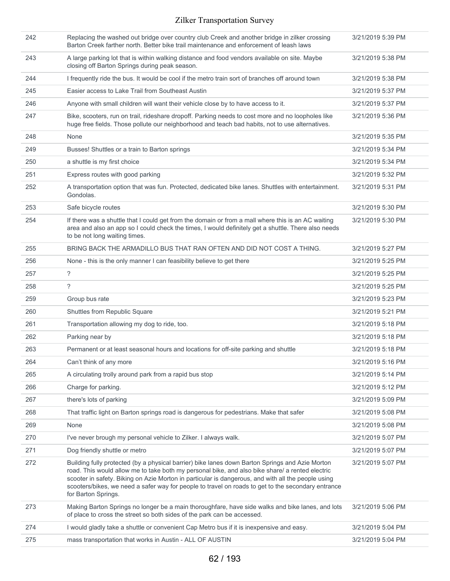| 242 | Replacing the washed out bridge over country club Creek and another bridge in zilker crossing<br>Barton Creek farther north. Better bike trail maintenance and enforcement of leash laws                                                                                                                                                                                                                                              | 3/21/2019 5:39 PM |
|-----|---------------------------------------------------------------------------------------------------------------------------------------------------------------------------------------------------------------------------------------------------------------------------------------------------------------------------------------------------------------------------------------------------------------------------------------|-------------------|
| 243 | A large parking lot that is within walking distance and food vendors available on site. Maybe<br>closing off Barton Springs during peak season.                                                                                                                                                                                                                                                                                       | 3/21/2019 5:38 PM |
| 244 | I frequently ride the bus. It would be cool if the metro train sort of branches off around town                                                                                                                                                                                                                                                                                                                                       | 3/21/2019 5:38 PM |
| 245 | Easier access to Lake Trail from Southeast Austin                                                                                                                                                                                                                                                                                                                                                                                     | 3/21/2019 5:37 PM |
| 246 | Anyone with small children will want their vehicle close by to have access to it.                                                                                                                                                                                                                                                                                                                                                     | 3/21/2019 5:37 PM |
| 247 | Bike, scooters, run on trail, rideshare dropoff. Parking needs to cost more and no loopholes like<br>huge free fields. Those pollute our neighborhood and teach bad habits, not to use alternatives.                                                                                                                                                                                                                                  | 3/21/2019 5:36 PM |
| 248 | None                                                                                                                                                                                                                                                                                                                                                                                                                                  | 3/21/2019 5:35 PM |
| 249 | Busses! Shuttles or a train to Barton springs                                                                                                                                                                                                                                                                                                                                                                                         | 3/21/2019 5:34 PM |
| 250 | a shuttle is my first choice                                                                                                                                                                                                                                                                                                                                                                                                          | 3/21/2019 5:34 PM |
| 251 | Express routes with good parking                                                                                                                                                                                                                                                                                                                                                                                                      | 3/21/2019 5:32 PM |
| 252 | A transportation option that was fun. Protected, dedicated bike lanes. Shuttles with entertainment.<br>Gondolas.                                                                                                                                                                                                                                                                                                                      | 3/21/2019 5:31 PM |
| 253 | Safe bicycle routes                                                                                                                                                                                                                                                                                                                                                                                                                   | 3/21/2019 5:30 PM |
| 254 | If there was a shuttle that I could get from the domain or from a mall where this is an AC waiting<br>area and also an app so I could check the times, I would definitely get a shuttle. There also needs<br>to be not long waiting times.                                                                                                                                                                                            | 3/21/2019 5:30 PM |
| 255 | BRING BACK THE ARMADILLO BUS THAT RAN OFTEN AND DID NOT COST A THING.                                                                                                                                                                                                                                                                                                                                                                 | 3/21/2019 5:27 PM |
| 256 | None - this is the only manner I can feasibility believe to get there                                                                                                                                                                                                                                                                                                                                                                 | 3/21/2019 5:25 PM |
| 257 | $\overline{\phantom{a}}$                                                                                                                                                                                                                                                                                                                                                                                                              | 3/21/2019 5:25 PM |
| 258 | ?                                                                                                                                                                                                                                                                                                                                                                                                                                     | 3/21/2019 5:25 PM |
| 259 | Group bus rate                                                                                                                                                                                                                                                                                                                                                                                                                        | 3/21/2019 5:23 PM |
| 260 | Shuttles from Republic Square                                                                                                                                                                                                                                                                                                                                                                                                         | 3/21/2019 5:21 PM |
| 261 | Transportation allowing my dog to ride, too.                                                                                                                                                                                                                                                                                                                                                                                          | 3/21/2019 5:18 PM |
| 262 | Parking near by                                                                                                                                                                                                                                                                                                                                                                                                                       | 3/21/2019 5:18 PM |
| 263 | Permanent or at least seasonal hours and locations for off-site parking and shuttle                                                                                                                                                                                                                                                                                                                                                   | 3/21/2019 5:18 PM |
| 264 | Can't think of any more                                                                                                                                                                                                                                                                                                                                                                                                               | 3/21/2019 5:16 PM |
| 265 | A circulating trolly around park from a rapid bus stop                                                                                                                                                                                                                                                                                                                                                                                | 3/21/2019 5:14 PM |
| 266 | Charge for parking.                                                                                                                                                                                                                                                                                                                                                                                                                   | 3/21/2019 5:12 PM |
| 267 | there's lots of parking                                                                                                                                                                                                                                                                                                                                                                                                               | 3/21/2019 5:09 PM |
| 268 | That traffic light on Barton springs road is dangerous for pedestrians. Make that safer                                                                                                                                                                                                                                                                                                                                               | 3/21/2019 5:08 PM |
| 269 | None                                                                                                                                                                                                                                                                                                                                                                                                                                  | 3/21/2019 5:08 PM |
| 270 | I've never brough my personal vehicle to Zilker. I always walk.                                                                                                                                                                                                                                                                                                                                                                       | 3/21/2019 5:07 PM |
| 271 | Dog friendly shuttle or metro                                                                                                                                                                                                                                                                                                                                                                                                         | 3/21/2019 5:07 PM |
| 272 | Building fully protected (by a physical barrier) bike lanes down Barton Springs and Azie Morton<br>road. This would allow me to take both my personal bike, and also bike share/ a rented electric<br>scooter in safety. Biking on Azie Morton in particular is dangerous, and with all the people using<br>scooters/bikes, we need a safer way for people to travel on roads to get to the secondary entrance<br>for Barton Springs. | 3/21/2019 5:07 PM |
| 273 | Making Barton Springs no longer be a main thoroughfare, have side walks and bike lanes, and lots<br>of place to cross the street so both sides of the park can be accessed.                                                                                                                                                                                                                                                           | 3/21/2019 5:06 PM |
| 274 | I would gladly take a shuttle or convenient Cap Metro bus if it is inexpensive and easy.                                                                                                                                                                                                                                                                                                                                              | 3/21/2019 5:04 PM |
| 275 | mass transportation that works in Austin - ALL OF AUSTIN                                                                                                                                                                                                                                                                                                                                                                              | 3/21/2019 5:04 PM |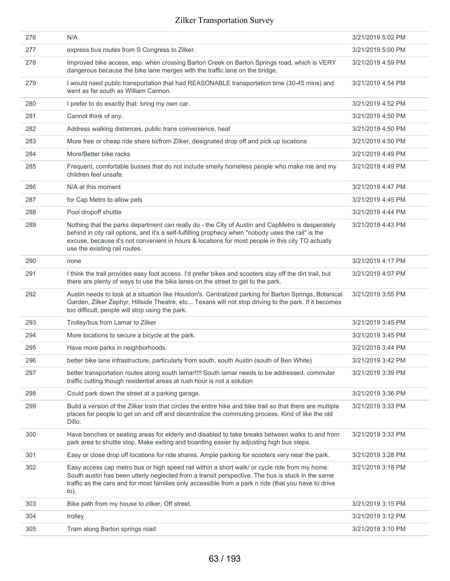| 276<br>N/A<br>3/21/2019 5:02 PM<br>277<br>express bus routes from S Congress to Zilker.<br>3/21/2019 5:00 PM<br>278<br>Improved bike access, esp. when crossing Barton Creek on Barton Springs road, which is VERY<br>3/21/2019 4:59 PM<br>dangerous because the bike lane merges with the traffic lane on the bridge.<br>I would need public transportation that had REASONABLE transportation time (30-45 mins) and<br>279<br>3/21/2019 4:54 PM<br>went as far south as William Cannon.<br>280<br>I prefer to do exactly that: bring my own car.<br>3/21/2019 4:52 PM<br>281<br>Cannot think of any.<br>3/21/2019 4:50 PM<br>282<br>Address walking distances, public trans convenience, heat<br>3/21/2019 4:50 PM<br>283<br>More free or cheap ride share to/from Zilker, designated drop off and pick up locations<br>3/21/2019 4:50 PM<br>More/Better bike racks<br>284<br>3/21/2019 4:49 PM<br>285<br>Frequent, comfortable busses that do not include smelly homeless people who make me and my<br>3/21/2019 4:49 PM<br>children feel unsafe.<br>286<br>N/A at this moment<br>3/21/2019 4:47 PM<br>287<br>3/21/2019 4:45 PM<br>for Cap Metro to allow pets<br>288<br>Pool dropoff shuttle<br>3/21/2019 4:44 PM<br>289<br>Nothing that the parks department can really do - the City of Austin and CapMetro is desperately<br>3/21/2019 4:43 PM<br>behind in city rail options, and it's a self-fulfilling prophecy when "nobody uses the rail" is the<br>excuse, because it's not convenient in hours & locations for most people in this city TO actually<br>use the existing rail routes.<br>290<br>3/21/2019 4:17 PM<br>none<br>291<br>I think the trail provides easy foot access. I'd prefer bikes and scooters stay off the dirt trail, but<br>3/21/2019 4:07 PM<br>there are plenty of ways to use the bike lanes on the street to get to the park.<br>292<br>Austin needs to look at a situation like Houston's. Centralized parking for Barton Springs, Botanical<br>3/21/2019 3:55 PM<br>Garden, Zilker Zephyr, Hillside Theatre, etc Texans will not stop driving to the park. If it becomes<br>too difficult, people will stop using the park.<br>293<br>Trolley/bus from Lamar to Zilker<br>3/21/2019 3:45 PM<br>294<br>More locations to secure a bicycle at the park.<br>3/21/2019 3:45 PM<br>295<br>3/21/2019 3:44 PM<br>Have more parks in neighborhoods.<br>296<br>better bike lane infrastructure, particularly from south, south Austin (south of Ben White)<br>3/21/2019 3:42 PM<br>297<br>better transportation routes along south lamar!!!! South lamar needs to be addressed. commuter<br>3/21/2019 3:39 PM<br>traffic cutting though residential areas at rush hour is not a solution<br>298<br>Could park down the street at a parking garage.<br>3/21/2019 3:36 PM<br>299<br>Build a version of the Zilker train that circles the entire hike and bike trail so that there are multiple<br>3/21/2019 3:33 PM<br>places for people to get on and off and decentralize the commuting process. Kind of like the old<br>Dillo.<br>300<br>Have benches or seating areas for elderly and disabled to take breaks between walks to and from<br>3/21/2019 3:33 PM<br>park area to shuttle stop. Make exiting and boarding easier by adjusting high bus steps.<br>301<br>Easy or close drop off locations for ride shares. Ample parking for scooters very near the park.<br>3/21/2019 3:28 PM<br>302<br>Easy access cap metro bus or high speed rail within a short walk/ or cycle ride from my home.<br>3/21/2019 3:18 PM<br>South austin has been utterly neglected from a transit perspective. The bus is stuck in the same<br>traffic as the cars and for most families only accessible from a park n ride (that you have to drive<br>$to)$ .<br>303<br>Bike path from my house to zilker. Off street.<br>3/21/2019 3:15 PM<br>304<br>trolley<br>3/21/2019 3:12 PM<br>305<br>Tram along Barton springs road<br>3/21/2019 3:10 PM |  |  |
|----------------------------------------------------------------------------------------------------------------------------------------------------------------------------------------------------------------------------------------------------------------------------------------------------------------------------------------------------------------------------------------------------------------------------------------------------------------------------------------------------------------------------------------------------------------------------------------------------------------------------------------------------------------------------------------------------------------------------------------------------------------------------------------------------------------------------------------------------------------------------------------------------------------------------------------------------------------------------------------------------------------------------------------------------------------------------------------------------------------------------------------------------------------------------------------------------------------------------------------------------------------------------------------------------------------------------------------------------------------------------------------------------------------------------------------------------------------------------------------------------------------------------------------------------------------------------------------------------------------------------------------------------------------------------------------------------------------------------------------------------------------------------------------------------------------------------------------------------------------------------------------------------------------------------------------------------------------------------------------------------------------------------------------------------------------------------------------------------------------------------------------------------------------------------------------------------------------------------------------------------------------------------------------------------------------------------------------------------------------------------------------------------------------------------------------------------------------------------------------------------------------------------------------------------------------------------------------------------------------------------------------------------------------------------------------------------------------------------------------------------------------------------------------------------------------------------------------------------------------------------------------------------------------------------------------------------------------------------------------------------------------------------------------------------------------------------------------------------------------------------------------------------------------------------------------------------------------------------------------------------------------------------------------------------------------------------------------------------------------------------------------------------------------------------------------------------------------------------------------------------------------------------------------------------------------------------------------------------------------------------------------------------------------------------------------------------------------------------------------------------------------------------------------------------------------------------------------------------------------------------------------------------------------------------------------------------------------|--|--|
|                                                                                                                                                                                                                                                                                                                                                                                                                                                                                                                                                                                                                                                                                                                                                                                                                                                                                                                                                                                                                                                                                                                                                                                                                                                                                                                                                                                                                                                                                                                                                                                                                                                                                                                                                                                                                                                                                                                                                                                                                                                                                                                                                                                                                                                                                                                                                                                                                                                                                                                                                                                                                                                                                                                                                                                                                                                                                                                                                                                                                                                                                                                                                                                                                                                                                                                                                                                                                                                                                                                                                                                                                                                                                                                                                                                                                                                                                                                                                                |  |  |
|                                                                                                                                                                                                                                                                                                                                                                                                                                                                                                                                                                                                                                                                                                                                                                                                                                                                                                                                                                                                                                                                                                                                                                                                                                                                                                                                                                                                                                                                                                                                                                                                                                                                                                                                                                                                                                                                                                                                                                                                                                                                                                                                                                                                                                                                                                                                                                                                                                                                                                                                                                                                                                                                                                                                                                                                                                                                                                                                                                                                                                                                                                                                                                                                                                                                                                                                                                                                                                                                                                                                                                                                                                                                                                                                                                                                                                                                                                                                                                |  |  |
|                                                                                                                                                                                                                                                                                                                                                                                                                                                                                                                                                                                                                                                                                                                                                                                                                                                                                                                                                                                                                                                                                                                                                                                                                                                                                                                                                                                                                                                                                                                                                                                                                                                                                                                                                                                                                                                                                                                                                                                                                                                                                                                                                                                                                                                                                                                                                                                                                                                                                                                                                                                                                                                                                                                                                                                                                                                                                                                                                                                                                                                                                                                                                                                                                                                                                                                                                                                                                                                                                                                                                                                                                                                                                                                                                                                                                                                                                                                                                                |  |  |
|                                                                                                                                                                                                                                                                                                                                                                                                                                                                                                                                                                                                                                                                                                                                                                                                                                                                                                                                                                                                                                                                                                                                                                                                                                                                                                                                                                                                                                                                                                                                                                                                                                                                                                                                                                                                                                                                                                                                                                                                                                                                                                                                                                                                                                                                                                                                                                                                                                                                                                                                                                                                                                                                                                                                                                                                                                                                                                                                                                                                                                                                                                                                                                                                                                                                                                                                                                                                                                                                                                                                                                                                                                                                                                                                                                                                                                                                                                                                                                |  |  |
|                                                                                                                                                                                                                                                                                                                                                                                                                                                                                                                                                                                                                                                                                                                                                                                                                                                                                                                                                                                                                                                                                                                                                                                                                                                                                                                                                                                                                                                                                                                                                                                                                                                                                                                                                                                                                                                                                                                                                                                                                                                                                                                                                                                                                                                                                                                                                                                                                                                                                                                                                                                                                                                                                                                                                                                                                                                                                                                                                                                                                                                                                                                                                                                                                                                                                                                                                                                                                                                                                                                                                                                                                                                                                                                                                                                                                                                                                                                                                                |  |  |
|                                                                                                                                                                                                                                                                                                                                                                                                                                                                                                                                                                                                                                                                                                                                                                                                                                                                                                                                                                                                                                                                                                                                                                                                                                                                                                                                                                                                                                                                                                                                                                                                                                                                                                                                                                                                                                                                                                                                                                                                                                                                                                                                                                                                                                                                                                                                                                                                                                                                                                                                                                                                                                                                                                                                                                                                                                                                                                                                                                                                                                                                                                                                                                                                                                                                                                                                                                                                                                                                                                                                                                                                                                                                                                                                                                                                                                                                                                                                                                |  |  |
|                                                                                                                                                                                                                                                                                                                                                                                                                                                                                                                                                                                                                                                                                                                                                                                                                                                                                                                                                                                                                                                                                                                                                                                                                                                                                                                                                                                                                                                                                                                                                                                                                                                                                                                                                                                                                                                                                                                                                                                                                                                                                                                                                                                                                                                                                                                                                                                                                                                                                                                                                                                                                                                                                                                                                                                                                                                                                                                                                                                                                                                                                                                                                                                                                                                                                                                                                                                                                                                                                                                                                                                                                                                                                                                                                                                                                                                                                                                                                                |  |  |
|                                                                                                                                                                                                                                                                                                                                                                                                                                                                                                                                                                                                                                                                                                                                                                                                                                                                                                                                                                                                                                                                                                                                                                                                                                                                                                                                                                                                                                                                                                                                                                                                                                                                                                                                                                                                                                                                                                                                                                                                                                                                                                                                                                                                                                                                                                                                                                                                                                                                                                                                                                                                                                                                                                                                                                                                                                                                                                                                                                                                                                                                                                                                                                                                                                                                                                                                                                                                                                                                                                                                                                                                                                                                                                                                                                                                                                                                                                                                                                |  |  |
|                                                                                                                                                                                                                                                                                                                                                                                                                                                                                                                                                                                                                                                                                                                                                                                                                                                                                                                                                                                                                                                                                                                                                                                                                                                                                                                                                                                                                                                                                                                                                                                                                                                                                                                                                                                                                                                                                                                                                                                                                                                                                                                                                                                                                                                                                                                                                                                                                                                                                                                                                                                                                                                                                                                                                                                                                                                                                                                                                                                                                                                                                                                                                                                                                                                                                                                                                                                                                                                                                                                                                                                                                                                                                                                                                                                                                                                                                                                                                                |  |  |
|                                                                                                                                                                                                                                                                                                                                                                                                                                                                                                                                                                                                                                                                                                                                                                                                                                                                                                                                                                                                                                                                                                                                                                                                                                                                                                                                                                                                                                                                                                                                                                                                                                                                                                                                                                                                                                                                                                                                                                                                                                                                                                                                                                                                                                                                                                                                                                                                                                                                                                                                                                                                                                                                                                                                                                                                                                                                                                                                                                                                                                                                                                                                                                                                                                                                                                                                                                                                                                                                                                                                                                                                                                                                                                                                                                                                                                                                                                                                                                |  |  |
|                                                                                                                                                                                                                                                                                                                                                                                                                                                                                                                                                                                                                                                                                                                                                                                                                                                                                                                                                                                                                                                                                                                                                                                                                                                                                                                                                                                                                                                                                                                                                                                                                                                                                                                                                                                                                                                                                                                                                                                                                                                                                                                                                                                                                                                                                                                                                                                                                                                                                                                                                                                                                                                                                                                                                                                                                                                                                                                                                                                                                                                                                                                                                                                                                                                                                                                                                                                                                                                                                                                                                                                                                                                                                                                                                                                                                                                                                                                                                                |  |  |
|                                                                                                                                                                                                                                                                                                                                                                                                                                                                                                                                                                                                                                                                                                                                                                                                                                                                                                                                                                                                                                                                                                                                                                                                                                                                                                                                                                                                                                                                                                                                                                                                                                                                                                                                                                                                                                                                                                                                                                                                                                                                                                                                                                                                                                                                                                                                                                                                                                                                                                                                                                                                                                                                                                                                                                                                                                                                                                                                                                                                                                                                                                                                                                                                                                                                                                                                                                                                                                                                                                                                                                                                                                                                                                                                                                                                                                                                                                                                                                |  |  |
|                                                                                                                                                                                                                                                                                                                                                                                                                                                                                                                                                                                                                                                                                                                                                                                                                                                                                                                                                                                                                                                                                                                                                                                                                                                                                                                                                                                                                                                                                                                                                                                                                                                                                                                                                                                                                                                                                                                                                                                                                                                                                                                                                                                                                                                                                                                                                                                                                                                                                                                                                                                                                                                                                                                                                                                                                                                                                                                                                                                                                                                                                                                                                                                                                                                                                                                                                                                                                                                                                                                                                                                                                                                                                                                                                                                                                                                                                                                                                                |  |  |
|                                                                                                                                                                                                                                                                                                                                                                                                                                                                                                                                                                                                                                                                                                                                                                                                                                                                                                                                                                                                                                                                                                                                                                                                                                                                                                                                                                                                                                                                                                                                                                                                                                                                                                                                                                                                                                                                                                                                                                                                                                                                                                                                                                                                                                                                                                                                                                                                                                                                                                                                                                                                                                                                                                                                                                                                                                                                                                                                                                                                                                                                                                                                                                                                                                                                                                                                                                                                                                                                                                                                                                                                                                                                                                                                                                                                                                                                                                                                                                |  |  |
|                                                                                                                                                                                                                                                                                                                                                                                                                                                                                                                                                                                                                                                                                                                                                                                                                                                                                                                                                                                                                                                                                                                                                                                                                                                                                                                                                                                                                                                                                                                                                                                                                                                                                                                                                                                                                                                                                                                                                                                                                                                                                                                                                                                                                                                                                                                                                                                                                                                                                                                                                                                                                                                                                                                                                                                                                                                                                                                                                                                                                                                                                                                                                                                                                                                                                                                                                                                                                                                                                                                                                                                                                                                                                                                                                                                                                                                                                                                                                                |  |  |
|                                                                                                                                                                                                                                                                                                                                                                                                                                                                                                                                                                                                                                                                                                                                                                                                                                                                                                                                                                                                                                                                                                                                                                                                                                                                                                                                                                                                                                                                                                                                                                                                                                                                                                                                                                                                                                                                                                                                                                                                                                                                                                                                                                                                                                                                                                                                                                                                                                                                                                                                                                                                                                                                                                                                                                                                                                                                                                                                                                                                                                                                                                                                                                                                                                                                                                                                                                                                                                                                                                                                                                                                                                                                                                                                                                                                                                                                                                                                                                |  |  |
|                                                                                                                                                                                                                                                                                                                                                                                                                                                                                                                                                                                                                                                                                                                                                                                                                                                                                                                                                                                                                                                                                                                                                                                                                                                                                                                                                                                                                                                                                                                                                                                                                                                                                                                                                                                                                                                                                                                                                                                                                                                                                                                                                                                                                                                                                                                                                                                                                                                                                                                                                                                                                                                                                                                                                                                                                                                                                                                                                                                                                                                                                                                                                                                                                                                                                                                                                                                                                                                                                                                                                                                                                                                                                                                                                                                                                                                                                                                                                                |  |  |
|                                                                                                                                                                                                                                                                                                                                                                                                                                                                                                                                                                                                                                                                                                                                                                                                                                                                                                                                                                                                                                                                                                                                                                                                                                                                                                                                                                                                                                                                                                                                                                                                                                                                                                                                                                                                                                                                                                                                                                                                                                                                                                                                                                                                                                                                                                                                                                                                                                                                                                                                                                                                                                                                                                                                                                                                                                                                                                                                                                                                                                                                                                                                                                                                                                                                                                                                                                                                                                                                                                                                                                                                                                                                                                                                                                                                                                                                                                                                                                |  |  |
|                                                                                                                                                                                                                                                                                                                                                                                                                                                                                                                                                                                                                                                                                                                                                                                                                                                                                                                                                                                                                                                                                                                                                                                                                                                                                                                                                                                                                                                                                                                                                                                                                                                                                                                                                                                                                                                                                                                                                                                                                                                                                                                                                                                                                                                                                                                                                                                                                                                                                                                                                                                                                                                                                                                                                                                                                                                                                                                                                                                                                                                                                                                                                                                                                                                                                                                                                                                                                                                                                                                                                                                                                                                                                                                                                                                                                                                                                                                                                                |  |  |
|                                                                                                                                                                                                                                                                                                                                                                                                                                                                                                                                                                                                                                                                                                                                                                                                                                                                                                                                                                                                                                                                                                                                                                                                                                                                                                                                                                                                                                                                                                                                                                                                                                                                                                                                                                                                                                                                                                                                                                                                                                                                                                                                                                                                                                                                                                                                                                                                                                                                                                                                                                                                                                                                                                                                                                                                                                                                                                                                                                                                                                                                                                                                                                                                                                                                                                                                                                                                                                                                                                                                                                                                                                                                                                                                                                                                                                                                                                                                                                |  |  |
|                                                                                                                                                                                                                                                                                                                                                                                                                                                                                                                                                                                                                                                                                                                                                                                                                                                                                                                                                                                                                                                                                                                                                                                                                                                                                                                                                                                                                                                                                                                                                                                                                                                                                                                                                                                                                                                                                                                                                                                                                                                                                                                                                                                                                                                                                                                                                                                                                                                                                                                                                                                                                                                                                                                                                                                                                                                                                                                                                                                                                                                                                                                                                                                                                                                                                                                                                                                                                                                                                                                                                                                                                                                                                                                                                                                                                                                                                                                                                                |  |  |
|                                                                                                                                                                                                                                                                                                                                                                                                                                                                                                                                                                                                                                                                                                                                                                                                                                                                                                                                                                                                                                                                                                                                                                                                                                                                                                                                                                                                                                                                                                                                                                                                                                                                                                                                                                                                                                                                                                                                                                                                                                                                                                                                                                                                                                                                                                                                                                                                                                                                                                                                                                                                                                                                                                                                                                                                                                                                                                                                                                                                                                                                                                                                                                                                                                                                                                                                                                                                                                                                                                                                                                                                                                                                                                                                                                                                                                                                                                                                                                |  |  |
|                                                                                                                                                                                                                                                                                                                                                                                                                                                                                                                                                                                                                                                                                                                                                                                                                                                                                                                                                                                                                                                                                                                                                                                                                                                                                                                                                                                                                                                                                                                                                                                                                                                                                                                                                                                                                                                                                                                                                                                                                                                                                                                                                                                                                                                                                                                                                                                                                                                                                                                                                                                                                                                                                                                                                                                                                                                                                                                                                                                                                                                                                                                                                                                                                                                                                                                                                                                                                                                                                                                                                                                                                                                                                                                                                                                                                                                                                                                                                                |  |  |
|                                                                                                                                                                                                                                                                                                                                                                                                                                                                                                                                                                                                                                                                                                                                                                                                                                                                                                                                                                                                                                                                                                                                                                                                                                                                                                                                                                                                                                                                                                                                                                                                                                                                                                                                                                                                                                                                                                                                                                                                                                                                                                                                                                                                                                                                                                                                                                                                                                                                                                                                                                                                                                                                                                                                                                                                                                                                                                                                                                                                                                                                                                                                                                                                                                                                                                                                                                                                                                                                                                                                                                                                                                                                                                                                                                                                                                                                                                                                                                |  |  |
|                                                                                                                                                                                                                                                                                                                                                                                                                                                                                                                                                                                                                                                                                                                                                                                                                                                                                                                                                                                                                                                                                                                                                                                                                                                                                                                                                                                                                                                                                                                                                                                                                                                                                                                                                                                                                                                                                                                                                                                                                                                                                                                                                                                                                                                                                                                                                                                                                                                                                                                                                                                                                                                                                                                                                                                                                                                                                                                                                                                                                                                                                                                                                                                                                                                                                                                                                                                                                                                                                                                                                                                                                                                                                                                                                                                                                                                                                                                                                                |  |  |
|                                                                                                                                                                                                                                                                                                                                                                                                                                                                                                                                                                                                                                                                                                                                                                                                                                                                                                                                                                                                                                                                                                                                                                                                                                                                                                                                                                                                                                                                                                                                                                                                                                                                                                                                                                                                                                                                                                                                                                                                                                                                                                                                                                                                                                                                                                                                                                                                                                                                                                                                                                                                                                                                                                                                                                                                                                                                                                                                                                                                                                                                                                                                                                                                                                                                                                                                                                                                                                                                                                                                                                                                                                                                                                                                                                                                                                                                                                                                                                |  |  |
|                                                                                                                                                                                                                                                                                                                                                                                                                                                                                                                                                                                                                                                                                                                                                                                                                                                                                                                                                                                                                                                                                                                                                                                                                                                                                                                                                                                                                                                                                                                                                                                                                                                                                                                                                                                                                                                                                                                                                                                                                                                                                                                                                                                                                                                                                                                                                                                                                                                                                                                                                                                                                                                                                                                                                                                                                                                                                                                                                                                                                                                                                                                                                                                                                                                                                                                                                                                                                                                                                                                                                                                                                                                                                                                                                                                                                                                                                                                                                                |  |  |
|                                                                                                                                                                                                                                                                                                                                                                                                                                                                                                                                                                                                                                                                                                                                                                                                                                                                                                                                                                                                                                                                                                                                                                                                                                                                                                                                                                                                                                                                                                                                                                                                                                                                                                                                                                                                                                                                                                                                                                                                                                                                                                                                                                                                                                                                                                                                                                                                                                                                                                                                                                                                                                                                                                                                                                                                                                                                                                                                                                                                                                                                                                                                                                                                                                                                                                                                                                                                                                                                                                                                                                                                                                                                                                                                                                                                                                                                                                                                                                |  |  |
|                                                                                                                                                                                                                                                                                                                                                                                                                                                                                                                                                                                                                                                                                                                                                                                                                                                                                                                                                                                                                                                                                                                                                                                                                                                                                                                                                                                                                                                                                                                                                                                                                                                                                                                                                                                                                                                                                                                                                                                                                                                                                                                                                                                                                                                                                                                                                                                                                                                                                                                                                                                                                                                                                                                                                                                                                                                                                                                                                                                                                                                                                                                                                                                                                                                                                                                                                                                                                                                                                                                                                                                                                                                                                                                                                                                                                                                                                                                                                                |  |  |
|                                                                                                                                                                                                                                                                                                                                                                                                                                                                                                                                                                                                                                                                                                                                                                                                                                                                                                                                                                                                                                                                                                                                                                                                                                                                                                                                                                                                                                                                                                                                                                                                                                                                                                                                                                                                                                                                                                                                                                                                                                                                                                                                                                                                                                                                                                                                                                                                                                                                                                                                                                                                                                                                                                                                                                                                                                                                                                                                                                                                                                                                                                                                                                                                                                                                                                                                                                                                                                                                                                                                                                                                                                                                                                                                                                                                                                                                                                                                                                |  |  |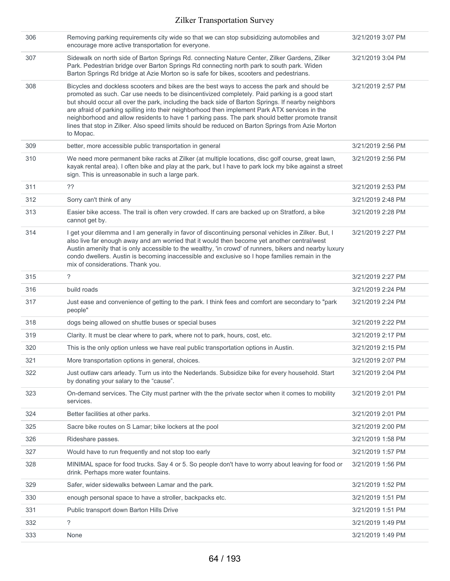| 306 | Removing parking requirements city wide so that we can stop subsidizing automobiles and<br>encourage more active transportation for everyone.                                                                                                                                                                                                                                                                                                                                                                                                                                                                              | 3/21/2019 3:07 PM |
|-----|----------------------------------------------------------------------------------------------------------------------------------------------------------------------------------------------------------------------------------------------------------------------------------------------------------------------------------------------------------------------------------------------------------------------------------------------------------------------------------------------------------------------------------------------------------------------------------------------------------------------------|-------------------|
| 307 | Sidewalk on north side of Barton Springs Rd. connecting Nature Center, Zilker Gardens, Zilker<br>Park. Pedestrian bridge over Barton Springs Rd connecting north park to south park. Widen<br>Barton Springs Rd bridge at Azie Morton so is safe for bikes, scooters and pedestrians.                                                                                                                                                                                                                                                                                                                                      | 3/21/2019 3:04 PM |
| 308 | Bicycles and dockless scooters and bikes are the best ways to access the park and should be<br>promoted as such. Car use needs to be disincentivized completely. Paid parking is a good start<br>but should occur all over the park, including the back side of Barton Springs. If nearby neighbors<br>are afraid of parking spilling into their neighborhood then implement Park ATX services in the<br>neighborhood and allow residents to have 1 parking pass. The park should better promote transit<br>lines that stop in Zilker. Also speed limits should be reduced on Barton Springs from Azie Morton<br>to Mopac. | 3/21/2019 2:57 PM |
| 309 | better, more accessible public transportation in general                                                                                                                                                                                                                                                                                                                                                                                                                                                                                                                                                                   | 3/21/2019 2:56 PM |
| 310 | We need more permanent bike racks at Zilker (at multiple locations, disc golf course, great lawn,<br>kayak rental area). I often bike and play at the park, but I have to park lock my bike against a street<br>sign. This is unreasonable in such a large park.                                                                                                                                                                                                                                                                                                                                                           | 3/21/2019 2:56 PM |
| 311 | ??                                                                                                                                                                                                                                                                                                                                                                                                                                                                                                                                                                                                                         | 3/21/2019 2:53 PM |
| 312 | Sorry can't think of any                                                                                                                                                                                                                                                                                                                                                                                                                                                                                                                                                                                                   | 3/21/2019 2:48 PM |
| 313 | Easier bike access. The trail is often very crowded. If cars are backed up on Stratford, a bike<br>cannot get by.                                                                                                                                                                                                                                                                                                                                                                                                                                                                                                          | 3/21/2019 2:28 PM |
| 314 | I get your dilemma and I am generally in favor of discontinuing personal vehicles in Zilker. But, I<br>also live far enough away and am worried that it would then become yet another central/west<br>Austin amenity that is only accessible to the wealthy, 'in crowd' of runners, bikers and nearby luxury<br>condo dwellers. Austin is becoming inaccessible and exclusive so I hope families remain in the<br>mix of considerations. Thank you.                                                                                                                                                                        | 3/21/2019 2:27 PM |
| 315 | ?                                                                                                                                                                                                                                                                                                                                                                                                                                                                                                                                                                                                                          | 3/21/2019 2:27 PM |
| 316 | build roads                                                                                                                                                                                                                                                                                                                                                                                                                                                                                                                                                                                                                | 3/21/2019 2:24 PM |
| 317 | Just ease and convenience of getting to the park. I think fees and comfort are secondary to "park<br>people"                                                                                                                                                                                                                                                                                                                                                                                                                                                                                                               | 3/21/2019 2:24 PM |
| 318 | dogs being allowed on shuttle buses or special buses                                                                                                                                                                                                                                                                                                                                                                                                                                                                                                                                                                       | 3/21/2019 2:22 PM |
| 319 | Clarity. It must be clear where to park, where not to park, hours, cost, etc.                                                                                                                                                                                                                                                                                                                                                                                                                                                                                                                                              | 3/21/2019 2:17 PM |
| 320 | This is the only option unless we have real public transportation options in Austin.                                                                                                                                                                                                                                                                                                                                                                                                                                                                                                                                       | 3/21/2019 2:15 PM |
| 321 | More transportation options in general, choices.                                                                                                                                                                                                                                                                                                                                                                                                                                                                                                                                                                           | 3/21/2019 2:07 PM |
| 322 | Just outlaw cars arleady. Turn us into the Nederlands. Subsidize bike for every household. Start<br>by donating your salary to the "cause".                                                                                                                                                                                                                                                                                                                                                                                                                                                                                | 3/21/2019 2:04 PM |
| 323 | On-demand services. The City must partner with the the private sector when it comes to mobility<br>services.                                                                                                                                                                                                                                                                                                                                                                                                                                                                                                               | 3/21/2019 2:01 PM |
| 324 | Better facilities at other parks.                                                                                                                                                                                                                                                                                                                                                                                                                                                                                                                                                                                          | 3/21/2019 2:01 PM |
| 325 | Sacre bike routes on S Lamar; bike lockers at the pool                                                                                                                                                                                                                                                                                                                                                                                                                                                                                                                                                                     | 3/21/2019 2:00 PM |
| 326 | Rideshare passes.                                                                                                                                                                                                                                                                                                                                                                                                                                                                                                                                                                                                          | 3/21/2019 1:58 PM |
| 327 | Would have to run frequently and not stop too early                                                                                                                                                                                                                                                                                                                                                                                                                                                                                                                                                                        | 3/21/2019 1:57 PM |
| 328 | MINIMAL space for food trucks. Say 4 or 5. So people don't have to worry about leaving for food or<br>drink. Perhaps more water fountains.                                                                                                                                                                                                                                                                                                                                                                                                                                                                                 | 3/21/2019 1:56 PM |
| 329 | Safer, wider sidewalks between Lamar and the park.                                                                                                                                                                                                                                                                                                                                                                                                                                                                                                                                                                         | 3/21/2019 1:52 PM |
| 330 | enough personal space to have a stroller, backpacks etc.                                                                                                                                                                                                                                                                                                                                                                                                                                                                                                                                                                   | 3/21/2019 1:51 PM |
| 331 | Public transport down Barton Hills Drive                                                                                                                                                                                                                                                                                                                                                                                                                                                                                                                                                                                   | 3/21/2019 1:51 PM |
| 332 | ?                                                                                                                                                                                                                                                                                                                                                                                                                                                                                                                                                                                                                          | 3/21/2019 1:49 PM |
| 333 | None                                                                                                                                                                                                                                                                                                                                                                                                                                                                                                                                                                                                                       | 3/21/2019 1:49 PM |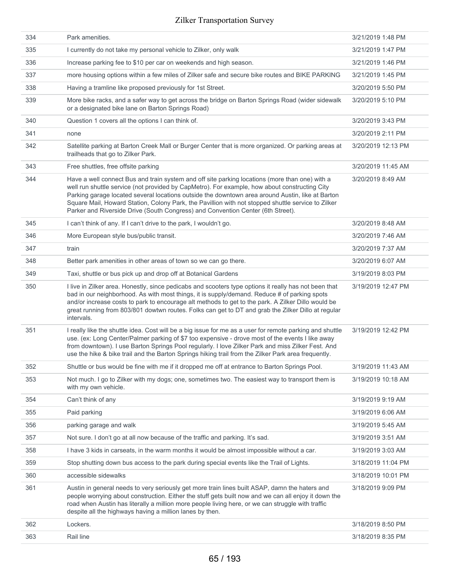| 334 | Park amenities.                                                                                                                                                                                                                                                                                                                                                                                                                                                                              | 3/21/2019 1:48 PM  |
|-----|----------------------------------------------------------------------------------------------------------------------------------------------------------------------------------------------------------------------------------------------------------------------------------------------------------------------------------------------------------------------------------------------------------------------------------------------------------------------------------------------|--------------------|
| 335 | I currently do not take my personal vehicle to Zilker, only walk                                                                                                                                                                                                                                                                                                                                                                                                                             | 3/21/2019 1:47 PM  |
| 336 | Increase parking fee to \$10 per car on weekends and high season.                                                                                                                                                                                                                                                                                                                                                                                                                            | 3/21/2019 1:46 PM  |
| 337 | more housing options within a few miles of Zilker safe and secure bike routes and BIKE PARKING                                                                                                                                                                                                                                                                                                                                                                                               | 3/21/2019 1:45 PM  |
| 338 | Having a tramline like proposed previously for 1st Street.                                                                                                                                                                                                                                                                                                                                                                                                                                   | 3/20/2019 5:50 PM  |
| 339 | More bike racks, and a safer way to get across the bridge on Barton Springs Road (wider sidewalk<br>or a designated bike lane on Barton Springs Road)                                                                                                                                                                                                                                                                                                                                        | 3/20/2019 5:10 PM  |
| 340 | Question 1 covers all the options I can think of.                                                                                                                                                                                                                                                                                                                                                                                                                                            | 3/20/2019 3:43 PM  |
| 341 | none                                                                                                                                                                                                                                                                                                                                                                                                                                                                                         | 3/20/2019 2:11 PM  |
| 342 | Satellite parking at Barton Creek Mall or Burger Center that is more organized. Or parking areas at<br>trailheads that go to Zilker Park.                                                                                                                                                                                                                                                                                                                                                    | 3/20/2019 12:13 PM |
| 343 | Free shuttles, free offsite parking                                                                                                                                                                                                                                                                                                                                                                                                                                                          | 3/20/2019 11:45 AM |
| 344 | Have a well connect Bus and train system and off site parking locations (more than one) with a<br>well run shuttle service (not provided by CapMetro). For example, how about constructing City<br>Parking garage located several locations outside the downtown area around Austin, like at Barton<br>Square Mail, Howard Station, Colony Park, the Pavillion with not stopped shuttle service to Zilker<br>Parker and Riverside Drive (South Congress) and Convention Center (6th Street). | 3/20/2019 8:49 AM  |
| 345 | I can't think of any. If I can't drive to the park, I wouldn't go.                                                                                                                                                                                                                                                                                                                                                                                                                           | 3/20/2019 8:48 AM  |
| 346 | More European style bus/public transit.                                                                                                                                                                                                                                                                                                                                                                                                                                                      | 3/20/2019 7:46 AM  |
| 347 | train                                                                                                                                                                                                                                                                                                                                                                                                                                                                                        | 3/20/2019 7:37 AM  |
| 348 | Better park amenities in other areas of town so we can go there.                                                                                                                                                                                                                                                                                                                                                                                                                             | 3/20/2019 6:07 AM  |
| 349 | Taxi, shuttle or bus pick up and drop off at Botanical Gardens                                                                                                                                                                                                                                                                                                                                                                                                                               | 3/19/2019 8:03 PM  |
| 350 | I live in Zilker area. Honestly, since pedicabs and scooters type options it really has not been that<br>bad in our neighborhood. As with most things, it is supply/demand. Reduce # of parking spots<br>and/or increase costs to park to encourage alt methods to get to the park. A Zilker Dillo would be<br>great running from 803/801 dowtwn routes. Folks can get to DT and grab the Zilker Dillo at regular<br>intervals.                                                              | 3/19/2019 12:47 PM |
| 351 | I really like the shuttle idea. Cost will be a big issue for me as a user for remote parking and shuttle<br>use. (ex: Long Center/Palmer parking of \$7 too expensive - drove most of the events I like away<br>from downtown). I use Barton Springs Pool regularly. I love Zilker Park and miss Zilker Fest. And<br>use the hike & bike trail and the Barton Springs hiking trail from the Zilker Park area frequently.                                                                     | 3/19/2019 12:42 PM |
| 352 | Shuttle or bus would be fine with me if it dropped me off at entrance to Barton Springs Pool.                                                                                                                                                                                                                                                                                                                                                                                                | 3/19/2019 11:43 AM |
| 353 | Not much. I go to Zilker with my dogs; one, sometimes two. The easiest way to transport them is<br>with my own vehicle.                                                                                                                                                                                                                                                                                                                                                                      | 3/19/2019 10:18 AM |
| 354 | Can't think of any                                                                                                                                                                                                                                                                                                                                                                                                                                                                           | 3/19/2019 9:19 AM  |
| 355 | Paid parking                                                                                                                                                                                                                                                                                                                                                                                                                                                                                 | 3/19/2019 6:06 AM  |
| 356 | parking garage and walk                                                                                                                                                                                                                                                                                                                                                                                                                                                                      | 3/19/2019 5:45 AM  |
| 357 | Not sure. I don't go at all now because of the traffic and parking. It's sad.                                                                                                                                                                                                                                                                                                                                                                                                                | 3/19/2019 3:51 AM  |
| 358 | I have 3 kids in carseats, in the warm months it would be almost impossible without a car.                                                                                                                                                                                                                                                                                                                                                                                                   | 3/19/2019 3:03 AM  |
| 359 | Stop shutting down bus access to the park during special events like the Trail of Lights.                                                                                                                                                                                                                                                                                                                                                                                                    | 3/18/2019 11:04 PM |
| 360 | accessible sidewalks                                                                                                                                                                                                                                                                                                                                                                                                                                                                         | 3/18/2019 10:01 PM |
| 361 | Austin in general needs to very seriously get more train lines built ASAP, damn the haters and<br>people worrying about construction. Either the stuff gets built now and we can all enjoy it down the<br>road when Austin has literally a million more people living here, or we can struggle with traffic<br>despite all the highways having a million lanes by then.                                                                                                                      | 3/18/2019 9:09 PM  |
| 362 | Lockers.                                                                                                                                                                                                                                                                                                                                                                                                                                                                                     | 3/18/2019 8:50 PM  |
| 363 | Rail line                                                                                                                                                                                                                                                                                                                                                                                                                                                                                    | 3/18/2019 8:35 PM  |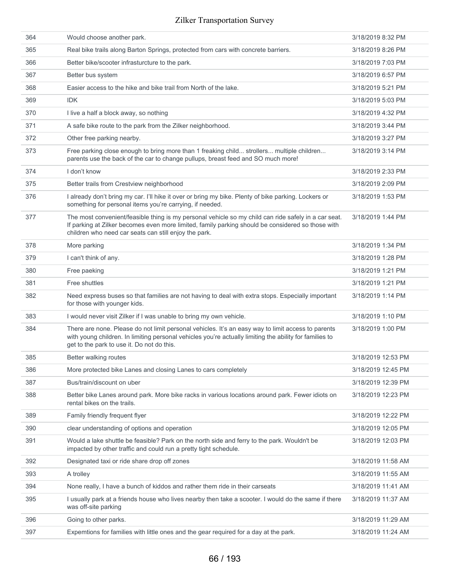| 364 | Would choose another park.                                                                                                                                                                                                                                         | 3/18/2019 8:32 PM  |
|-----|--------------------------------------------------------------------------------------------------------------------------------------------------------------------------------------------------------------------------------------------------------------------|--------------------|
| 365 | Real bike trails along Barton Springs, protected from cars with concrete barriers.                                                                                                                                                                                 | 3/18/2019 8:26 PM  |
| 366 | Better bike/scooter infrasturcture to the park.                                                                                                                                                                                                                    | 3/18/2019 7:03 PM  |
| 367 | Better bus system                                                                                                                                                                                                                                                  | 3/18/2019 6:57 PM  |
| 368 | Easier access to the hike and bike trail from North of the lake.                                                                                                                                                                                                   | 3/18/2019 5:21 PM  |
| 369 | <b>IDK</b>                                                                                                                                                                                                                                                         | 3/18/2019 5:03 PM  |
| 370 | I live a half a block away, so nothing                                                                                                                                                                                                                             | 3/18/2019 4:32 PM  |
| 371 | A safe bike route to the park from the Zilker neighborhood.                                                                                                                                                                                                        | 3/18/2019 3:44 PM  |
| 372 | Other free parking nearby.                                                                                                                                                                                                                                         | 3/18/2019 3:27 PM  |
| 373 | Free parking close enough to bring more than 1 freaking child strollers multiple children<br>parents use the back of the car to change pullups, breast feed and SO much more!                                                                                      | 3/18/2019 3:14 PM  |
| 374 | I don't know                                                                                                                                                                                                                                                       | 3/18/2019 2:33 PM  |
| 375 | Better trails from Crestview neighborhood                                                                                                                                                                                                                          | 3/18/2019 2:09 PM  |
| 376 | I already don't bring my car. I'll hike it over or bring my bike. Plenty of bike parking. Lockers or<br>something for personal items you're carrying, if needed.                                                                                                   | 3/18/2019 1:53 PM  |
| 377 | The most convenient/feasible thing is my personal vehicle so my child can ride safely in a car seat.<br>If parking at Zilker becomes even more limited, family parking should be considered so those with<br>children who need car seats can still enjoy the park. | 3/18/2019 1:44 PM  |
| 378 | More parking                                                                                                                                                                                                                                                       | 3/18/2019 1:34 PM  |
| 379 | I can't think of any.                                                                                                                                                                                                                                              | 3/18/2019 1:28 PM  |
| 380 | Free paeking                                                                                                                                                                                                                                                       | 3/18/2019 1:21 PM  |
| 381 | Free shuttles                                                                                                                                                                                                                                                      | 3/18/2019 1:21 PM  |
| 382 | Need express buses so that families are not having to deal with extra stops. Especially important<br>for those with younger kids.                                                                                                                                  | 3/18/2019 1:14 PM  |
| 383 | I would never visit Zilker if I was unable to bring my own vehicle.                                                                                                                                                                                                | 3/18/2019 1:10 PM  |
| 384 | There are none. Please do not limit personal vehicles. It's an easy way to limit access to parents<br>with young children. In limiting personal vehicles you're actually limiting the ability for families to<br>get to the park to use it. Do not do this.        | 3/18/2019 1:00 PM  |
| 385 | Better walking routes                                                                                                                                                                                                                                              | 3/18/2019 12:53 PM |
| 386 | More protected bike Lanes and closing Lanes to cars completely                                                                                                                                                                                                     | 3/18/2019 12:45 PM |
| 387 | Bus/train/discount on uber                                                                                                                                                                                                                                         | 3/18/2019 12:39 PM |
| 388 | Better bike Lanes around park. More bike racks in various locations around park. Fewer idiots on<br>rental bikes on the trails.                                                                                                                                    | 3/18/2019 12:23 PM |
| 389 | Family friendly frequent flyer                                                                                                                                                                                                                                     | 3/18/2019 12:22 PM |
| 390 | clear understanding of options and operation                                                                                                                                                                                                                       | 3/18/2019 12:05 PM |
| 391 | Would a lake shuttle be feasible? Park on the north side and ferry to the park. Wouldn't be<br>impacted by other traffic and could run a pretty tight schedule.                                                                                                    | 3/18/2019 12:03 PM |
| 392 | Designated taxi or ride share drop off zones                                                                                                                                                                                                                       | 3/18/2019 11:58 AM |
| 393 | A trolley                                                                                                                                                                                                                                                          | 3/18/2019 11:55 AM |
| 394 | None really, I have a bunch of kiddos and rather them ride in their carseats                                                                                                                                                                                       | 3/18/2019 11:41 AM |
| 395 | I usually park at a friends house who lives nearby then take a scooter. I would do the same if there<br>was off-site parking                                                                                                                                       | 3/18/2019 11:37 AM |
| 396 | Going to other parks.                                                                                                                                                                                                                                              | 3/18/2019 11:29 AM |
| 397 | Expemtions for families with little ones and the gear required for a day at the park.                                                                                                                                                                              | 3/18/2019 11:24 AM |
|     |                                                                                                                                                                                                                                                                    |                    |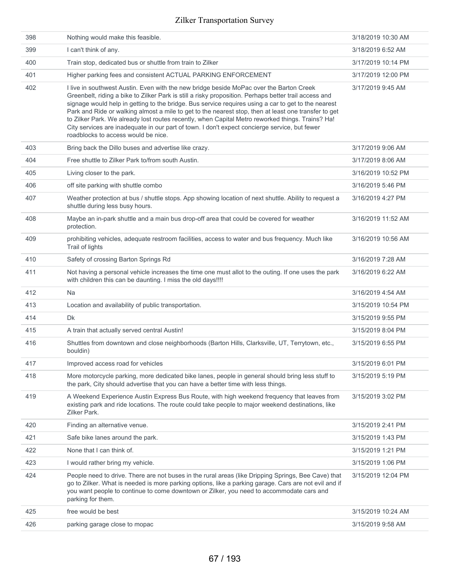| 398 | Nothing would make this feasible.                                                                                                                                                                                                                                                                                                                                                                                                                                                                                                                                                                                                                           | 3/18/2019 10:30 AM |
|-----|-------------------------------------------------------------------------------------------------------------------------------------------------------------------------------------------------------------------------------------------------------------------------------------------------------------------------------------------------------------------------------------------------------------------------------------------------------------------------------------------------------------------------------------------------------------------------------------------------------------------------------------------------------------|--------------------|
| 399 | I can't think of any.                                                                                                                                                                                                                                                                                                                                                                                                                                                                                                                                                                                                                                       | 3/18/2019 6:52 AM  |
| 400 | Train stop, dedicated bus or shuttle from train to Zilker                                                                                                                                                                                                                                                                                                                                                                                                                                                                                                                                                                                                   | 3/17/2019 10:14 PM |
| 401 | Higher parking fees and consistent ACTUAL PARKING ENFORCEMENT                                                                                                                                                                                                                                                                                                                                                                                                                                                                                                                                                                                               | 3/17/2019 12:00 PM |
| 402 | I live in southwest Austin. Even with the new bridge beside MoPac over the Barton Creek<br>Greenbelt, riding a bike to Zilker Park is still a risky proposition. Perhaps better trail access and<br>signage would help in getting to the bridge. Bus service requires using a car to get to the nearest<br>Park and Ride or walking almost a mile to get to the nearest stop, then at least one transfer to get<br>to Zilker Park. We already lost routes recently, when Capital Metro reworked things. Trains? Ha!<br>City services are inadequate in our part of town. I don't expect concierge service, but fewer<br>roadblocks to access would be nice. | 3/17/2019 9:45 AM  |
| 403 | Bring back the Dillo buses and advertise like crazy.                                                                                                                                                                                                                                                                                                                                                                                                                                                                                                                                                                                                        | 3/17/2019 9:06 AM  |
| 404 | Free shuttle to Zilker Park to/from south Austin.                                                                                                                                                                                                                                                                                                                                                                                                                                                                                                                                                                                                           | 3/17/2019 8:06 AM  |
| 405 | Living closer to the park.                                                                                                                                                                                                                                                                                                                                                                                                                                                                                                                                                                                                                                  | 3/16/2019 10:52 PM |
| 406 | off site parking with shuttle combo                                                                                                                                                                                                                                                                                                                                                                                                                                                                                                                                                                                                                         | 3/16/2019 5:46 PM  |
| 407 | Weather protection at bus / shuttle stops. App showing location of next shuttle. Ability to request a<br>shuttle during less busy hours.                                                                                                                                                                                                                                                                                                                                                                                                                                                                                                                    | 3/16/2019 4:27 PM  |
| 408 | Maybe an in-park shuttle and a main bus drop-off area that could be covered for weather<br>protection.                                                                                                                                                                                                                                                                                                                                                                                                                                                                                                                                                      | 3/16/2019 11:52 AM |
| 409 | prohibiting vehicles, adequate restroom facilities, access to water and bus frequency. Much like<br>Trail of lights                                                                                                                                                                                                                                                                                                                                                                                                                                                                                                                                         | 3/16/2019 10:56 AM |
| 410 | Safety of crossing Barton Springs Rd                                                                                                                                                                                                                                                                                                                                                                                                                                                                                                                                                                                                                        | 3/16/2019 7:28 AM  |
| 411 | Not having a personal vehicle increases the time one must allot to the outing. If one uses the park                                                                                                                                                                                                                                                                                                                                                                                                                                                                                                                                                         | 3/16/2019 6:22 AM  |
|     | with children this can be daunting. I miss the old days!!!!                                                                                                                                                                                                                                                                                                                                                                                                                                                                                                                                                                                                 |                    |
| 412 | <b>Na</b>                                                                                                                                                                                                                                                                                                                                                                                                                                                                                                                                                                                                                                                   | 3/16/2019 4:54 AM  |
| 413 | Location and availability of public transportation.                                                                                                                                                                                                                                                                                                                                                                                                                                                                                                                                                                                                         | 3/15/2019 10:54 PM |
| 414 | <b>Dk</b>                                                                                                                                                                                                                                                                                                                                                                                                                                                                                                                                                                                                                                                   | 3/15/2019 9:55 PM  |
| 415 | A train that actually served central Austin!                                                                                                                                                                                                                                                                                                                                                                                                                                                                                                                                                                                                                | 3/15/2019 8:04 PM  |
| 416 | Shuttles from downtown and close neighborhoods (Barton Hills, Clarksville, UT, Terrytown, etc.,<br>bouldin)                                                                                                                                                                                                                                                                                                                                                                                                                                                                                                                                                 | 3/15/2019 6:55 PM  |
| 417 | Improved access road for vehicles                                                                                                                                                                                                                                                                                                                                                                                                                                                                                                                                                                                                                           | 3/15/2019 6:01 PM  |
| 418 | More motorcycle parking, more dedicated bike lanes, people in general should bring less stuff to<br>the park, City should advertise that you can have a better time with less things.                                                                                                                                                                                                                                                                                                                                                                                                                                                                       | 3/15/2019 5:19 PM  |
| 419 | A Weekend Experience Austin Express Bus Route, with high weekend frequency that leaves from<br>existing park and ride locations. The route could take people to major weekend destinations, like<br>Zilker Park.                                                                                                                                                                                                                                                                                                                                                                                                                                            | 3/15/2019 3:02 PM  |
| 420 | Finding an alternative venue.                                                                                                                                                                                                                                                                                                                                                                                                                                                                                                                                                                                                                               | 3/15/2019 2:41 PM  |
| 421 | Safe bike lanes around the park.                                                                                                                                                                                                                                                                                                                                                                                                                                                                                                                                                                                                                            | 3/15/2019 1:43 PM  |
| 422 | None that I can think of.                                                                                                                                                                                                                                                                                                                                                                                                                                                                                                                                                                                                                                   | 3/15/2019 1:21 PM  |
| 423 | I would rather bring my vehicle.                                                                                                                                                                                                                                                                                                                                                                                                                                                                                                                                                                                                                            | 3/15/2019 1:06 PM  |
| 424 | People need to drive. There are not buses in the rural areas (like Dripping Springs, Bee Cave) that<br>go to Zilker. What is needed is more parking options, like a parking garage. Cars are not evil and if<br>you want people to continue to come downtown or Zilker, you need to accommodate cars and<br>parking for them.                                                                                                                                                                                                                                                                                                                               | 3/15/2019 12:04 PM |
| 425 | free would be best                                                                                                                                                                                                                                                                                                                                                                                                                                                                                                                                                                                                                                          | 3/15/2019 10:24 AM |
| 426 | parking garage close to mopac                                                                                                                                                                                                                                                                                                                                                                                                                                                                                                                                                                                                                               | 3/15/2019 9:58 AM  |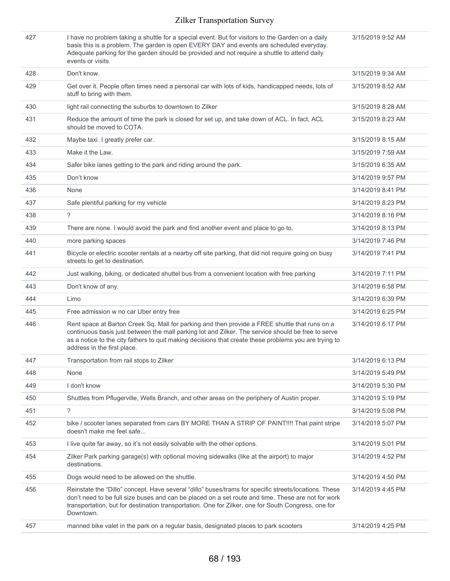| 427 | I have no problem taking a shuttle for a special event. But for visitors to the Garden on a daily<br>basis this is a problem. The garden is open EVERY DAY and events are scheduled everyday.<br>Adequate parking for the garden should be provided and not require a shuttle to attend daily<br>events or visits.                           | 3/15/2019 9:52 AM |
|-----|----------------------------------------------------------------------------------------------------------------------------------------------------------------------------------------------------------------------------------------------------------------------------------------------------------------------------------------------|-------------------|
| 428 | Don't know.                                                                                                                                                                                                                                                                                                                                  | 3/15/2019 9:34 AM |
| 429 | Get over it. People often times need a personal car with lots of kids, handicapped needs, lots of<br>stuff to bring with them.                                                                                                                                                                                                               | 3/15/2019 8:52 AM |
| 430 | light rail connecting the suburbs to downtown to Zilker                                                                                                                                                                                                                                                                                      | 3/15/2019 8:28 AM |
| 431 | Reduce the amount of time the park is closed for set up, and take down of ACL. In fact, ACL<br>should be moved to COTA.                                                                                                                                                                                                                      | 3/15/2019 8:23 AM |
| 432 | Maybe taxi. I greatly prefer car.                                                                                                                                                                                                                                                                                                            | 3/15/2019 8:15 AM |
| 433 | Make it the Law.                                                                                                                                                                                                                                                                                                                             | 3/15/2019 7:59 AM |
| 434 | Safer bike lanes getting to the park and riding around the park.                                                                                                                                                                                                                                                                             | 3/15/2019 6:35 AM |
| 435 | Don't know                                                                                                                                                                                                                                                                                                                                   | 3/14/2019 9:57 PM |
| 436 | None                                                                                                                                                                                                                                                                                                                                         | 3/14/2019 8:41 PM |
| 437 | Safe plentiful parking for my vehicle                                                                                                                                                                                                                                                                                                        | 3/14/2019 8:23 PM |
| 438 | ?                                                                                                                                                                                                                                                                                                                                            | 3/14/2019 8:16 PM |
| 439 | There are none. I would avoid the park and find another event and place to go to.                                                                                                                                                                                                                                                            | 3/14/2019 8:13 PM |
| 440 | more parking spaces                                                                                                                                                                                                                                                                                                                          | 3/14/2019 7:46 PM |
| 441 | Bicycle or electric scooter rentals at a nearby off site parking, that did not require going on busy<br>streets to get to destination.                                                                                                                                                                                                       | 3/14/2019 7:41 PM |
| 442 | Just walking, biking, or dedicated shuttel bus from a convenient location with free parking                                                                                                                                                                                                                                                  | 3/14/2019 7:11 PM |
| 443 | Don't know of any.                                                                                                                                                                                                                                                                                                                           | 3/14/2019 6:58 PM |
| 444 | Limo                                                                                                                                                                                                                                                                                                                                         | 3/14/2019 6:39 PM |
| 445 | Free admission w no car Uber entry free                                                                                                                                                                                                                                                                                                      | 3/14/2019 6:25 PM |
| 446 | Rent space at Barton Creek Sq. Mall for parking and then provide a FREE shuttle that runs on a<br>continuous basis just between the mall parking lot and Zilker. The service should be free to serve<br>as a notice to the city fathers to quit making decisions that create these problems you are trying to<br>address in the first place. | 3/14/2019 6:17 PM |
| 447 | Transportation from rail stops to Zilker                                                                                                                                                                                                                                                                                                     | 3/14/2019 6:13 PM |
| 448 | None                                                                                                                                                                                                                                                                                                                                         | 3/14/2019 5:49 PM |
| 449 | I don't know                                                                                                                                                                                                                                                                                                                                 | 3/14/2019 5:30 PM |
| 450 | Shuttles from Pflugerville, Wells Branch, and other areas on the periphery of Austin proper.                                                                                                                                                                                                                                                 | 3/14/2019 5:19 PM |
| 451 | ?                                                                                                                                                                                                                                                                                                                                            | 3/14/2019 5:08 PM |
| 452 | bike / scooter lanes separated from cars BY MORE THAN A STRIP OF PAINT!!!! That paint stripe<br>doesn't make me feel safe                                                                                                                                                                                                                    | 3/14/2019 5:07 PM |
| 453 | I live quite far away, so it's not easily solvable with the other options.                                                                                                                                                                                                                                                                   | 3/14/2019 5:01 PM |
| 454 | Zilker Park parking garage(s) with optional moving sidewalks (like at the airport) to major<br>destinations.                                                                                                                                                                                                                                 | 3/14/2019 4:52 PM |
| 455 | Dogs would need to be allowed on the shuttle.                                                                                                                                                                                                                                                                                                | 3/14/2019 4:50 PM |
| 456 | Reinstate the "Dillo" concept. Have several "dillo" buses/trams for specific streets/locations. These<br>don't need to be full size buses and can be placed on a set route and time. These are not for work<br>transportation, but for destination transportation. One for Zilker, one for South Congress, one for<br>Downtown.              | 3/14/2019 4:45 PM |
| 457 | manned bike valet in the park on a regular basis, designated places to park scooters                                                                                                                                                                                                                                                         | 3/14/2019 4:25 PM |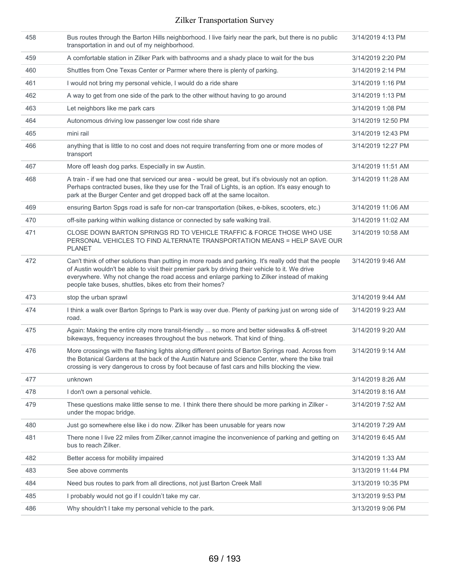| 458 | Bus routes through the Barton Hills neighborhood. I live fairly near the park, but there is no public<br>transportation in and out of my neighborhood.                                                                                                                                                                                                              | 3/14/2019 4:13 PM  |
|-----|---------------------------------------------------------------------------------------------------------------------------------------------------------------------------------------------------------------------------------------------------------------------------------------------------------------------------------------------------------------------|--------------------|
| 459 | A comfortable station in Zilker Park with bathrooms and a shady place to wait for the bus                                                                                                                                                                                                                                                                           | 3/14/2019 2:20 PM  |
| 460 | Shuttles from One Texas Center or Parmer where there is plenty of parking.                                                                                                                                                                                                                                                                                          | 3/14/2019 2:14 PM  |
| 461 | I would not bring my personal vehicle, I would do a ride share                                                                                                                                                                                                                                                                                                      | 3/14/2019 1:16 PM  |
| 462 | A way to get from one side of the park to the other without having to go around                                                                                                                                                                                                                                                                                     | 3/14/2019 1:13 PM  |
| 463 | Let neighbors like me park cars                                                                                                                                                                                                                                                                                                                                     | 3/14/2019 1:08 PM  |
| 464 | Autonomous driving low passenger low cost ride share                                                                                                                                                                                                                                                                                                                | 3/14/2019 12:50 PM |
| 465 | mini rail                                                                                                                                                                                                                                                                                                                                                           | 3/14/2019 12:43 PM |
| 466 | anything that is little to no cost and does not require transferring from one or more modes of<br>transport                                                                                                                                                                                                                                                         | 3/14/2019 12:27 PM |
| 467 | More off leash dog parks. Especially in sw Austin.                                                                                                                                                                                                                                                                                                                  | 3/14/2019 11:51 AM |
| 468 | A train - if we had one that serviced our area - would be great, but it's obviously not an option.<br>Perhaps contracted buses, like they use for the Trail of Lights, is an option. It's easy enough to<br>park at the Burger Center and get dropped back off at the same locaiton.                                                                                | 3/14/2019 11:28 AM |
| 469 | ensuring Barton Spgs road is safe for non-car transportation (bikes, e-bikes, scooters, etc.)                                                                                                                                                                                                                                                                       | 3/14/2019 11:06 AM |
| 470 | off-site parking within walking distance or connected by safe walking trail.                                                                                                                                                                                                                                                                                        | 3/14/2019 11:02 AM |
| 471 | CLOSE DOWN BARTON SPRINGS RD TO VEHICLE TRAFFIC & FORCE THOSE WHO USE<br>PERSONAL VEHICLES TO FIND ALTERNATE TRANSPORTATION MEANS = HELP SAVE OUR<br><b>PLANET</b>                                                                                                                                                                                                  | 3/14/2019 10:58 AM |
| 472 | Can't think of other solutions than putting in more roads and parking. It's really odd that the people<br>of Austin wouldn't be able to visit their premier park by driving their vehicle to it. We drive<br>everywhere. Why not change the road access and enlarge parking to Zilker instead of making<br>people take buses, shuttles, bikes etc from their homes? | 3/14/2019 9:46 AM  |
| 473 | stop the urban sprawl                                                                                                                                                                                                                                                                                                                                               | 3/14/2019 9:44 AM  |
| 474 | I think a walk over Barton Springs to Park is way over due. Plenty of parking just on wrong side of<br>road.                                                                                                                                                                                                                                                        | 3/14/2019 9:23 AM  |
| 475 | Again: Making the entire city more transit-friendly  so more and better sidewalks & off-street<br>bikeways, frequency increases throughout the bus network. That kind of thing.                                                                                                                                                                                     | 3/14/2019 9:20 AM  |
| 476 | More crossings with the flashing lights along different points of Barton Springs road. Across from<br>the Botanical Gardens at the back of the Austin Nature and Science Center, where the bike trail<br>crossing is very dangerous to cross by foot because of fast cars and hills blocking the view.                                                              | 3/14/2019 9:14 AM  |
| 477 | unknown                                                                                                                                                                                                                                                                                                                                                             | 3/14/2019 8:26 AM  |
| 478 | I don't own a personal vehicle.                                                                                                                                                                                                                                                                                                                                     | 3/14/2019 8:16 AM  |
| 479 | These questions make little sense to me. I think there there should be more parking in Zilker -<br>under the mopac bridge.                                                                                                                                                                                                                                          | 3/14/2019 7:52 AM  |
| 480 | Just go somewhere else like i do now. Zilker has been unusable for years now                                                                                                                                                                                                                                                                                        | 3/14/2019 7:29 AM  |
| 481 | There none I live 22 miles from Zilker, cannot imagine the inconvenience of parking and getting on<br>bus to reach Zilker.                                                                                                                                                                                                                                          | 3/14/2019 6:45 AM  |
| 482 | Better access for mobility impaired                                                                                                                                                                                                                                                                                                                                 | 3/14/2019 1:33 AM  |
| 483 | See above comments                                                                                                                                                                                                                                                                                                                                                  | 3/13/2019 11:44 PM |
| 484 | Need bus routes to park from all directions, not just Barton Creek Mall                                                                                                                                                                                                                                                                                             | 3/13/2019 10:35 PM |
| 485 | I probably would not go if I couldn't take my car.                                                                                                                                                                                                                                                                                                                  | 3/13/2019 9:53 PM  |
| 486 | Why shouldn't I take my personal vehicle to the park.                                                                                                                                                                                                                                                                                                               | 3/13/2019 9:06 PM  |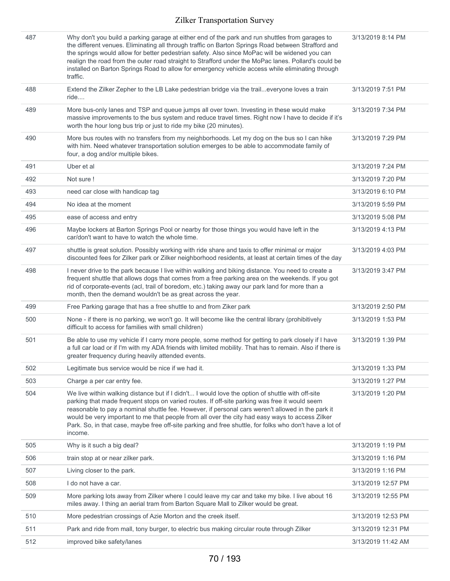| 487 | Why don't you build a parking garage at either end of the park and run shuttles from garages to<br>the different venues. Eliminating all through traffic on Barton Springs Road between Strafford and<br>the springs would allow for better pedestrian safety. Also since MoPac will be widened you can<br>realign the road from the outer road straight to Strafford under the MoPac lanes. Pollard's could be<br>installed on Barton Springs Road to allow for emergency vehicle access while eliminating through<br>traffic. | 3/13/2019 8:14 PM  |
|-----|---------------------------------------------------------------------------------------------------------------------------------------------------------------------------------------------------------------------------------------------------------------------------------------------------------------------------------------------------------------------------------------------------------------------------------------------------------------------------------------------------------------------------------|--------------------|
| 488 | Extend the Zilker Zepher to the LB Lake pedestrian bridge via the traileveryone loves a train<br>ride                                                                                                                                                                                                                                                                                                                                                                                                                           | 3/13/2019 7:51 PM  |
| 489 | More bus-only lanes and TSP and queue jumps all over town. Investing in these would make<br>massive improvements to the bus system and reduce travel times. Right now I have to decide if it's<br>worth the hour long bus trip or just to ride my bike (20 minutes).                                                                                                                                                                                                                                                            | 3/13/2019 7:34 PM  |
| 490 | More bus routes with no transfers from my neighborhoods. Let my dog on the bus so I can hike<br>with him. Need whatever transportation solution emerges to be able to accommodate family of<br>four, a dog and/or multiple bikes.                                                                                                                                                                                                                                                                                               | 3/13/2019 7:29 PM  |
| 491 | Uber et al                                                                                                                                                                                                                                                                                                                                                                                                                                                                                                                      | 3/13/2019 7:24 PM  |
| 492 | Not sure!                                                                                                                                                                                                                                                                                                                                                                                                                                                                                                                       | 3/13/2019 7:20 PM  |
| 493 | need car close with handicap tag                                                                                                                                                                                                                                                                                                                                                                                                                                                                                                | 3/13/2019 6:10 PM  |
| 494 | No idea at the moment                                                                                                                                                                                                                                                                                                                                                                                                                                                                                                           | 3/13/2019 5:59 PM  |
| 495 | ease of access and entry                                                                                                                                                                                                                                                                                                                                                                                                                                                                                                        | 3/13/2019 5:08 PM  |
| 496 | Maybe lockers at Barton Springs Pool or nearby for those things you would have left in the<br>car/don't want to have to watch the whole time.                                                                                                                                                                                                                                                                                                                                                                                   | 3/13/2019 4:13 PM  |
| 497 | shuttle is great solution. Possibly working with ride share and taxis to offer minimal or major<br>discounted fees for Zilker park or Zilker neighborhood residents, at least at certain times of the day                                                                                                                                                                                                                                                                                                                       | 3/13/2019 4:03 PM  |
| 498 | I never drive to the park because I live within walking and biking distance. You need to create a<br>frequent shuttle that allows dogs that comes from a free parking area on the weekends. If you got<br>rid of corporate-events (acl, trail of boredom, etc.) taking away our park land for more than a<br>month, then the demand wouldn't be as great across the year.                                                                                                                                                       | 3/13/2019 3:47 PM  |
| 499 | Free Parking garage that has a free shuttle to and from Ziker park                                                                                                                                                                                                                                                                                                                                                                                                                                                              | 3/13/2019 2:50 PM  |
| 500 | None - if there is no parking, we won't go. It will become like the central library (prohibitively<br>difficult to access for families with small children)                                                                                                                                                                                                                                                                                                                                                                     | 3/13/2019 1:53 PM  |
| 501 | Be able to use my vehicle if I carry more people, some method for getting to park closely if I have<br>a full car load or if I'm with my ADA friends with limited mobility. That has to remain. Also if there is<br>greater frequency during heavily attended events.                                                                                                                                                                                                                                                           | 3/13/2019 1:39 PM  |
| 502 | Legitimate bus service would be nice if we had it.                                                                                                                                                                                                                                                                                                                                                                                                                                                                              | 3/13/2019 1:33 PM  |
| 503 | Charge a per car entry fee.                                                                                                                                                                                                                                                                                                                                                                                                                                                                                                     | 3/13/2019 1:27 PM  |
| 504 | We live within walking distance but if I didn't I would love the option of shuttle with off-site<br>parking that made frequent stops on varied routes. If off-site parking was free it would seem<br>reasonable to pay a nominal shuttle fee. However, if personal cars weren't allowed in the park it<br>would be very important to me that people from all over the city had easy ways to access Zilker<br>Park. So, in that case, maybe free off-site parking and free shuttle, for folks who don't have a lot of<br>income. | 3/13/2019 1:20 PM  |
| 505 | Why is it such a big deal?                                                                                                                                                                                                                                                                                                                                                                                                                                                                                                      | 3/13/2019 1:19 PM  |
| 506 | train stop at or near zilker park.                                                                                                                                                                                                                                                                                                                                                                                                                                                                                              | 3/13/2019 1:16 PM  |
| 507 | Living closer to the park.                                                                                                                                                                                                                                                                                                                                                                                                                                                                                                      | 3/13/2019 1:16 PM  |
| 508 | I do not have a car.                                                                                                                                                                                                                                                                                                                                                                                                                                                                                                            | 3/13/2019 12:57 PM |
| 509 | More parking lots away from Zilker where I could leave my car and take my bike. I live about 16<br>miles away. I thing an aerial tram from Barton Square Mall to Zilker would be great.                                                                                                                                                                                                                                                                                                                                         | 3/13/2019 12:55 PM |
| 510 | More pedestrian crossings of Azie Morton and the creek itself.                                                                                                                                                                                                                                                                                                                                                                                                                                                                  | 3/13/2019 12:53 PM |
| 511 | Park and ride from mall, tony burger, to electric bus making circular route through Zilker                                                                                                                                                                                                                                                                                                                                                                                                                                      | 3/13/2019 12:31 PM |
| 512 | improved bike safety/lanes                                                                                                                                                                                                                                                                                                                                                                                                                                                                                                      | 3/13/2019 11:42 AM |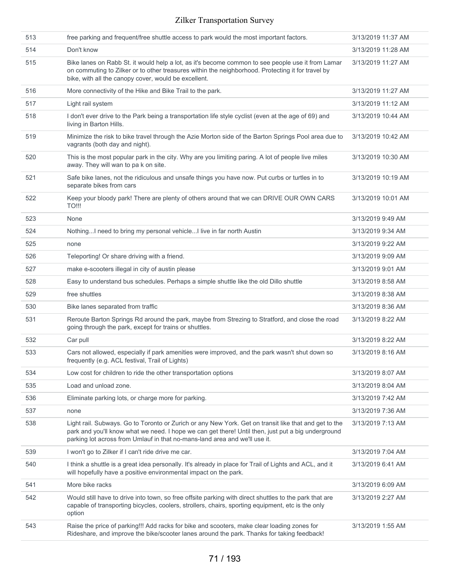| 513 | free parking and frequent/free shuttle access to park would the most important factors.                                                                                                                                                                                                   | 3/13/2019 11:37 AM |
|-----|-------------------------------------------------------------------------------------------------------------------------------------------------------------------------------------------------------------------------------------------------------------------------------------------|--------------------|
| 514 | Don't know                                                                                                                                                                                                                                                                                | 3/13/2019 11:28 AM |
| 515 | Bike lanes on Rabb St. it would help a lot, as it's become common to see people use it from Lamar<br>on commuting to Zilker or to other treasures within the neighborhood. Protecting it for travel by<br>bike, with all the canopy cover, would be excellent.                            | 3/13/2019 11:27 AM |
| 516 | More connectivity of the Hike and Bike Trail to the park.                                                                                                                                                                                                                                 | 3/13/2019 11:27 AM |
| 517 | Light rail system                                                                                                                                                                                                                                                                         | 3/13/2019 11:12 AM |
| 518 | I don't ever drive to the Park being a transportation life style cyclist (even at the age of 69) and<br>living in Barton Hills.                                                                                                                                                           | 3/13/2019 10:44 AM |
| 519 | Minimize the risk to bike travel through the Azie Morton side of the Barton Springs Pool area due to<br>vagrants (both day and night).                                                                                                                                                    | 3/13/2019 10:42 AM |
| 520 | This is the most popular park in the city. Why are you limiting paring. A lot of people live miles<br>away. They will wan to pa k on site.                                                                                                                                                | 3/13/2019 10:30 AM |
| 521 | Safe bike lanes, not the ridiculous and unsafe things you have now. Put curbs or turtles in to<br>separate bikes from cars                                                                                                                                                                | 3/13/2019 10:19 AM |
| 522 | Keep your bloody park! There are plenty of others around that we can DRIVE OUR OWN CARS<br><b>TO!!!</b>                                                                                                                                                                                   | 3/13/2019 10:01 AM |
| 523 | None                                                                                                                                                                                                                                                                                      | 3/13/2019 9:49 AM  |
| 524 | Nothing I need to bring my personal vehicle I live in far north Austin                                                                                                                                                                                                                    | 3/13/2019 9:34 AM  |
| 525 | none                                                                                                                                                                                                                                                                                      | 3/13/2019 9:22 AM  |
| 526 | Teleporting! Or share driving with a friend.                                                                                                                                                                                                                                              | 3/13/2019 9:09 AM  |
| 527 | make e-scooters illegal in city of austin please                                                                                                                                                                                                                                          | 3/13/2019 9:01 AM  |
| 528 | Easy to understand bus schedules. Perhaps a simple shuttle like the old Dillo shuttle                                                                                                                                                                                                     | 3/13/2019 8:58 AM  |
| 529 | free shuttles                                                                                                                                                                                                                                                                             | 3/13/2019 8:38 AM  |
| 530 | Bike lanes separated from traffic                                                                                                                                                                                                                                                         | 3/13/2019 8:36 AM  |
| 531 | Reroute Barton Springs Rd around the park, maybe from Strezing to Stratford, and close the road<br>going through the park, except for trains or shuttles.                                                                                                                                 | 3/13/2019 8:22 AM  |
| 532 | Car pull                                                                                                                                                                                                                                                                                  | 3/13/2019 8:22 AM  |
| 533 | Cars not allowed, especially if park amenities were improved, and the park wasn't shut down so<br>frequently (e.g. ACL festival, Trail of Lights)                                                                                                                                         | 3/13/2019 8:16 AM  |
| 534 | Low cost for children to ride the other transportation options                                                                                                                                                                                                                            | 3/13/2019 8:07 AM  |
| 535 | Load and unload zone.                                                                                                                                                                                                                                                                     | 3/13/2019 8:04 AM  |
| 536 | Eliminate parking lots, or charge more for parking.                                                                                                                                                                                                                                       | 3/13/2019 7:42 AM  |
| 537 | none                                                                                                                                                                                                                                                                                      | 3/13/2019 7:36 AM  |
| 538 | Light rail. Subways. Go to Toronto or Zurich or any New York. Get on transit like that and get to the<br>park and you'll know what we need. I hope we can get there! Until then, just put a big underground<br>parking lot across from Umlauf in that no-mans-land area and we'll use it. | 3/13/2019 7:13 AM  |
| 539 | I won't go to Zilker if I can't ride drive me car.                                                                                                                                                                                                                                        | 3/13/2019 7:04 AM  |
| 540 | I think a shuttle is a great idea personally. It's already in place for Trail of Lights and ACL, and it<br>will hopefully have a positive environmental impact on the park.                                                                                                               | 3/13/2019 6:41 AM  |
| 541 | More bike racks                                                                                                                                                                                                                                                                           | 3/13/2019 6:09 AM  |
| 542 | Would still have to drive into town, so free offsite parking with direct shuttles to the park that are<br>capable of transporting bicycles, coolers, strollers, chairs, sporting equipment, etc is the only<br>option                                                                     | 3/13/2019 2:27 AM  |
| 543 | Raise the price of parking!!! Add racks for bike and scooters, make clear loading zones for<br>Rideshare, and improve the bike/scooter lanes around the park. Thanks for taking feedback!                                                                                                 | 3/13/2019 1:55 AM  |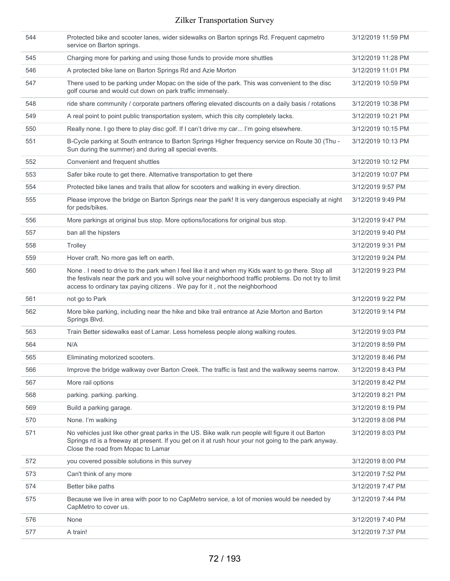| 544 | Protected bike and scooter lanes, wider sidewalks on Barton springs Rd. Frequent capmetro<br>service on Barton springs.                                                                                                                                                                      | 3/12/2019 11:59 PM |
|-----|----------------------------------------------------------------------------------------------------------------------------------------------------------------------------------------------------------------------------------------------------------------------------------------------|--------------------|
| 545 | Charging more for parking and using those funds to provide more shuttles                                                                                                                                                                                                                     | 3/12/2019 11:28 PM |
| 546 | A protected bike lane on Barton Springs Rd and Azie Morton                                                                                                                                                                                                                                   | 3/12/2019 11:01 PM |
| 547 | There used to be parking under Mopac on the side of the park. This was convenient to the disc<br>golf course and would cut down on park traffic immensely.                                                                                                                                   | 3/12/2019 10:59 PM |
| 548 | ride share community / corporate partners offering elevated discounts on a daily basis / rotations                                                                                                                                                                                           | 3/12/2019 10:38 PM |
| 549 | A real point to point public transportation system, which this city completely lacks.                                                                                                                                                                                                        | 3/12/2019 10:21 PM |
| 550 | Really none. I go there to play disc golf. If I can't drive my car I'm going elsewhere.                                                                                                                                                                                                      | 3/12/2019 10:15 PM |
| 551 | B-Cycle parking at South entrance to Barton Springs Higher frequency service on Route 30 (Thu -<br>Sun during the summer) and during all special events.                                                                                                                                     | 3/12/2019 10:13 PM |
| 552 | Convenient and frequent shuttles                                                                                                                                                                                                                                                             | 3/12/2019 10:12 PM |
| 553 | Safer bike route to get there. Alternative transportation to get there                                                                                                                                                                                                                       | 3/12/2019 10:07 PM |
| 554 | Protected bike lanes and trails that allow for scooters and walking in every direction.                                                                                                                                                                                                      | 3/12/2019 9:57 PM  |
| 555 | Please improve the bridge on Barton Springs near the park! It is very dangerous especially at night<br>for peds/bikes.                                                                                                                                                                       | 3/12/2019 9:49 PM  |
| 556 | More parkings at original bus stop. More options/locations for original bus stop.                                                                                                                                                                                                            | 3/12/2019 9:47 PM  |
| 557 | ban all the hipsters                                                                                                                                                                                                                                                                         | 3/12/2019 9:40 PM  |
| 558 | Trolley                                                                                                                                                                                                                                                                                      | 3/12/2019 9:31 PM  |
| 559 | Hover craft. No more gas left on earth.                                                                                                                                                                                                                                                      | 3/12/2019 9:24 PM  |
| 560 | None . I need to drive to the park when I feel like it and when my Kids want to go there. Stop all<br>the festivals near the park and you will solve your neighborhood traffic problems. Do not try to limit<br>access to ordinary tax paying citizens . We pay for it, not the neighborhood | 3/12/2019 9:23 PM  |
| 561 | not go to Park                                                                                                                                                                                                                                                                               | 3/12/2019 9:22 PM  |
| 562 | More bike parking, including near the hike and bike trail entrance at Azie Morton and Barton<br>Springs Blvd.                                                                                                                                                                                | 3/12/2019 9:14 PM  |
| 563 | Train Better sidewalks east of Lamar. Less homeless people along walking routes.                                                                                                                                                                                                             | 3/12/2019 9:03 PM  |
| 564 | N/A                                                                                                                                                                                                                                                                                          | 3/12/2019 8:59 PM  |
| 565 | Eliminating motorized scooters.                                                                                                                                                                                                                                                              | 3/12/2019 8:46 PM  |
| 566 | Improve the bridge walkway over Barton Creek. The traffic is fast and the walkway seems narrow.                                                                                                                                                                                              | 3/12/2019 8:43 PM  |
| 567 | More rail options                                                                                                                                                                                                                                                                            | 3/12/2019 8:42 PM  |
| 568 | parking. parking. parking.                                                                                                                                                                                                                                                                   | 3/12/2019 8:21 PM  |
| 569 | Build a parking garage.                                                                                                                                                                                                                                                                      | 3/12/2019 8:19 PM  |
| 570 | None. I'm walking                                                                                                                                                                                                                                                                            | 3/12/2019 8:08 PM  |
| 571 | No vehicles just like other great parks in the US. Bike walk run people will figure it out Barton<br>Springs rd is a freeway at present. If you get on it at rush hour your not going to the park anyway.<br>Close the road from Mopac to Lamar                                              | 3/12/2019 8:03 PM  |
| 572 | you covered possible solutions in this survey                                                                                                                                                                                                                                                | 3/12/2019 8:00 PM  |
| 573 | Can't think of any more                                                                                                                                                                                                                                                                      | 3/12/2019 7:52 PM  |
| 574 | Better bike paths                                                                                                                                                                                                                                                                            | 3/12/2019 7:47 PM  |
| 575 | Because we live in area with poor to no CapMetro service, a lot of monies would be needed by<br>CapMetro to cover us.                                                                                                                                                                        | 3/12/2019 7:44 PM  |
| 576 | None                                                                                                                                                                                                                                                                                         | 3/12/2019 7:40 PM  |
| 577 | A train!                                                                                                                                                                                                                                                                                     | 3/12/2019 7:37 PM  |
|     |                                                                                                                                                                                                                                                                                              |                    |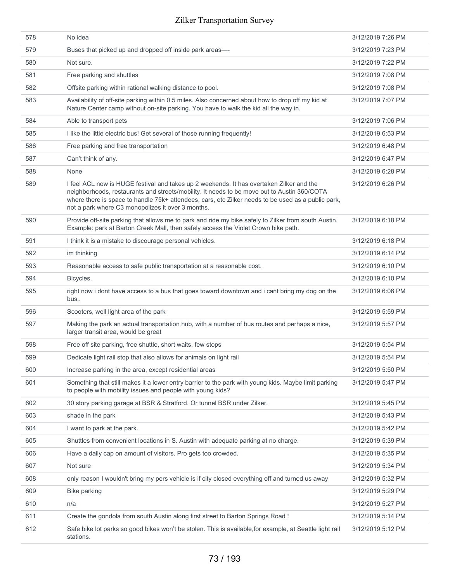| 578 | No idea                                                                                                                                                                                                                                                                                                                                            | 3/12/2019 7:26 PM |
|-----|----------------------------------------------------------------------------------------------------------------------------------------------------------------------------------------------------------------------------------------------------------------------------------------------------------------------------------------------------|-------------------|
| 579 | Buses that picked up and dropped off inside park areas-                                                                                                                                                                                                                                                                                            | 3/12/2019 7:23 PM |
| 580 | Not sure.                                                                                                                                                                                                                                                                                                                                          | 3/12/2019 7:22 PM |
| 581 | Free parking and shuttles                                                                                                                                                                                                                                                                                                                          | 3/12/2019 7:08 PM |
| 582 | Offsite parking within rational walking distance to pool.                                                                                                                                                                                                                                                                                          | 3/12/2019 7:08 PM |
| 583 | Availability of off-site parking within 0.5 miles. Also concerned about how to drop off my kid at<br>Nature Center camp without on-site parking. You have to walk the kid all the way in.                                                                                                                                                          | 3/12/2019 7:07 PM |
| 584 | Able to transport pets                                                                                                                                                                                                                                                                                                                             | 3/12/2019 7:06 PM |
| 585 | I like the little electric bus! Get several of those running frequently!                                                                                                                                                                                                                                                                           | 3/12/2019 6:53 PM |
| 586 | Free parking and free transportation                                                                                                                                                                                                                                                                                                               | 3/12/2019 6:48 PM |
| 587 | Can't think of any.                                                                                                                                                                                                                                                                                                                                | 3/12/2019 6:47 PM |
| 588 | None                                                                                                                                                                                                                                                                                                                                               | 3/12/2019 6:28 PM |
| 589 | I feel ACL now is HUGE festival and takes up 2 weekends. It has overtaken Zilker and the<br>neighborhoods, restaurants and streets/mobility. It needs to be move out to Austin 360/COTA<br>where there is space to handle 75k+ attendees, cars, etc Zilker needs to be used as a public park,<br>not a park where C3 monopolizes it over 3 months. | 3/12/2019 6:26 PM |
| 590 | Provide off-site parking that allows me to park and ride my bike safely to Zilker from south Austin.<br>Example: park at Barton Creek Mall, then safely access the Violet Crown bike path.                                                                                                                                                         | 3/12/2019 6:18 PM |
| 591 | I think it is a mistake to discourage personal vehicles.                                                                                                                                                                                                                                                                                           | 3/12/2019 6:18 PM |
| 592 | im thinking                                                                                                                                                                                                                                                                                                                                        | 3/12/2019 6:14 PM |
| 593 | Reasonable access to safe public transportation at a reasonable cost.                                                                                                                                                                                                                                                                              | 3/12/2019 6:10 PM |
| 594 | Bicycles.                                                                                                                                                                                                                                                                                                                                          | 3/12/2019 6:10 PM |
| 595 | right now i dont have access to a bus that goes toward downtown and i cant bring my dog on the<br>bus                                                                                                                                                                                                                                              | 3/12/2019 6:06 PM |
| 596 | Scooters, well light area of the park                                                                                                                                                                                                                                                                                                              | 3/12/2019 5:59 PM |
| 597 | Making the park an actual transportation hub, with a number of bus routes and perhaps a nice,<br>larger transit area, would be great                                                                                                                                                                                                               | 3/12/2019 5:57 PM |
| 598 | Free off site parking, free shuttle, short waits, few stops                                                                                                                                                                                                                                                                                        | 3/12/2019 5:54 PM |
| 599 | Dedicate light rail stop that also allows for animals on light rail                                                                                                                                                                                                                                                                                | 3/12/2019 5:54 PM |
| 600 | Increase parking in the area, except residential areas                                                                                                                                                                                                                                                                                             | 3/12/2019 5:50 PM |
| 601 | Something that still makes it a lower entry barrier to the park with young kids. Maybe limit parking<br>to people with mobility issues and people with young kids?                                                                                                                                                                                 | 3/12/2019 5:47 PM |
| 602 | 30 story parking garage at BSR & Stratford. Or tunnel BSR under Zilker.                                                                                                                                                                                                                                                                            | 3/12/2019 5:45 PM |
| 603 | shade in the park                                                                                                                                                                                                                                                                                                                                  | 3/12/2019 5:43 PM |
| 604 | I want to park at the park.                                                                                                                                                                                                                                                                                                                        | 3/12/2019 5:42 PM |
| 605 | Shuttles from convenient locations in S. Austin with adequate parking at no charge.                                                                                                                                                                                                                                                                | 3/12/2019 5:39 PM |
| 606 | Have a daily cap on amount of visitors. Pro gets too crowded.                                                                                                                                                                                                                                                                                      | 3/12/2019 5:35 PM |
| 607 | Not sure                                                                                                                                                                                                                                                                                                                                           | 3/12/2019 5:34 PM |
| 608 | only reason I wouldn't bring my pers vehicle is if city closed everything off and turned us away                                                                                                                                                                                                                                                   | 3/12/2019 5:32 PM |
| 609 | <b>Bike parking</b>                                                                                                                                                                                                                                                                                                                                | 3/12/2019 5:29 PM |
| 610 | n/a                                                                                                                                                                                                                                                                                                                                                | 3/12/2019 5:27 PM |
| 611 | Create the gondola from south Austin along first street to Barton Springs Road !                                                                                                                                                                                                                                                                   | 3/12/2019 5:14 PM |
| 612 | Safe bike lot parks so good bikes won't be stolen. This is available, for example, at Seattle light rail<br>stations.                                                                                                                                                                                                                              | 3/12/2019 5:12 PM |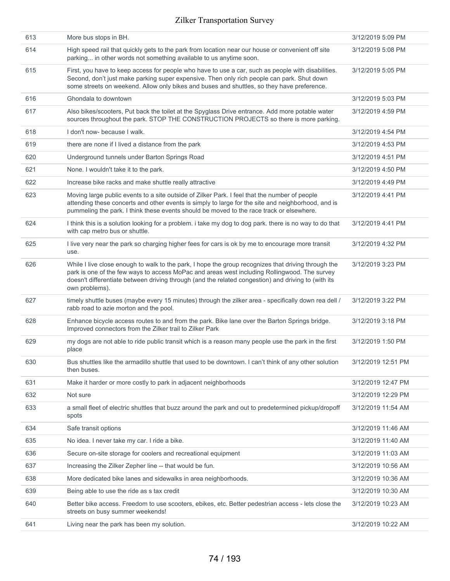| 613 | More bus stops in BH.                                                                                                                                                                                                                                                                                                        | 3/12/2019 5:09 PM  |
|-----|------------------------------------------------------------------------------------------------------------------------------------------------------------------------------------------------------------------------------------------------------------------------------------------------------------------------------|--------------------|
| 614 | High speed rail that quickly gets to the park from location near our house or convenient off site<br>parking in other words not something available to us anytime soon.                                                                                                                                                      | 3/12/2019 5:08 PM  |
| 615 | First, you have to keep access for people who have to use a car, such as people with disabilities.<br>Second, don't just make parking super expensive. Then only rich people can park. Shut down<br>some streets on weekend. Allow only bikes and buses and shuttles, so they have preference.                               | 3/12/2019 5:05 PM  |
| 616 | Ghondala to downtown                                                                                                                                                                                                                                                                                                         | 3/12/2019 5:03 PM  |
| 617 | Also bikes/scooters, Put back the toilet at the Spyglass Drive entrance. Add more potable water<br>sources throughout the park. STOP THE CONSTRUCTION PROJECTS so there is more parking.                                                                                                                                     | 3/12/2019 4:59 PM  |
| 618 | I don't now- because I walk.                                                                                                                                                                                                                                                                                                 | 3/12/2019 4:54 PM  |
| 619 | there are none if I lived a distance from the park                                                                                                                                                                                                                                                                           | 3/12/2019 4:53 PM  |
| 620 | Underground tunnels under Barton Springs Road                                                                                                                                                                                                                                                                                | 3/12/2019 4:51 PM  |
| 621 | None. I wouldn't take it to the park.                                                                                                                                                                                                                                                                                        | 3/12/2019 4:50 PM  |
| 622 | Increase bike racks and make shuttle really attractive                                                                                                                                                                                                                                                                       | 3/12/2019 4:49 PM  |
| 623 | Moving large public events to a site outside of Zilker Park. I feel that the number of people<br>attending these concerts and other events is simply to large for the site and neighborhood, and is<br>pummeling the park. I think these events should be moved to the race track or elsewhere.                              | 3/12/2019 4:41 PM  |
| 624 | I think this is a solution looking for a problem. i take my dog to dog park. there is no way to do that<br>with cap metro bus or shuttle.                                                                                                                                                                                    | 3/12/2019 4:41 PM  |
| 625 | I live very near the park so charging higher fees for cars is ok by me to encourage more transit<br>use.                                                                                                                                                                                                                     | 3/12/2019 4:32 PM  |
| 626 | While I live close enough to walk to the park, I hope the group recognizes that driving through the<br>park is one of the few ways to access MoPac and areas west including Rollingwood. The survey<br>doesn't differentiate between driving through (and the related congestion) and driving to (with its<br>own problems). | 3/12/2019 3:23 PM  |
| 627 | timely shuttle buses (maybe every 15 minutes) through the zilker area - specifically down rea dell /<br>rabb road to azie morton and the pool.                                                                                                                                                                               | 3/12/2019 3:22 PM  |
| 628 | Enhance bicycle access routes to and from the park. Bike lane over the Barton Springs bridge.<br>Improved connectors from the Zilker trail to Zilker Park                                                                                                                                                                    | 3/12/2019 3:18 PM  |
| 629 | my dogs are not able to ride public transit which is a reason many people use the park in the first<br>place                                                                                                                                                                                                                 | 3/12/2019 1:50 PM  |
| 630 | Bus shuttles like the armadillo shuttle that used to be downtown. I can't think of any other solution<br>then buses.                                                                                                                                                                                                         | 3/12/2019 12:51 PM |
| 631 | Make it harder or more costly to park in adjacent neighborhoods                                                                                                                                                                                                                                                              | 3/12/2019 12:47 PM |
| 632 | Not sure                                                                                                                                                                                                                                                                                                                     | 3/12/2019 12:29 PM |
| 633 | a small fleet of electric shuttles that buzz around the park and out to predetermined pickup/dropoff<br>spots                                                                                                                                                                                                                | 3/12/2019 11:54 AM |
| 634 | Safe transit options                                                                                                                                                                                                                                                                                                         | 3/12/2019 11:46 AM |
| 635 | No idea. I never take my car. I ride a bike.                                                                                                                                                                                                                                                                                 | 3/12/2019 11:40 AM |
| 636 | Secure on-site storage for coolers and recreational equipment                                                                                                                                                                                                                                                                | 3/12/2019 11:03 AM |
| 637 | Increasing the Zilker Zepher line -- that would be fun.                                                                                                                                                                                                                                                                      | 3/12/2019 10:56 AM |
| 638 | More dedicated bike lanes and sidewalks in area neighborhoods.                                                                                                                                                                                                                                                               | 3/12/2019 10:36 AM |
| 639 | Being able to use the ride as s tax credit                                                                                                                                                                                                                                                                                   | 3/12/2019 10:30 AM |
| 640 | Better bike access. Freedom to use scooters, ebikes, etc. Better pedestrian access - lets close the<br>streets on busy summer weekends!                                                                                                                                                                                      | 3/12/2019 10:23 AM |
| 641 | Living near the park has been my solution.                                                                                                                                                                                                                                                                                   | 3/12/2019 10:22 AM |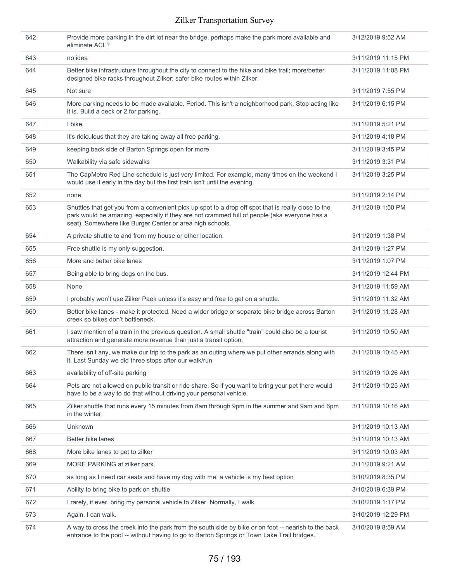| 642 | Provide more parking in the dirt lot near the bridge, perhaps make the park more available and<br>eliminate ACL?                                                                                                                                                 | 3/12/2019 9:52 AM  |
|-----|------------------------------------------------------------------------------------------------------------------------------------------------------------------------------------------------------------------------------------------------------------------|--------------------|
| 643 | no idea                                                                                                                                                                                                                                                          | 3/11/2019 11:15 PM |
| 644 | Better bike infrastructure throughout the city to connect to the hike and bike trail; more/better<br>designed bike racks throughout Zilker; safer bike routes within Zilker.                                                                                     | 3/11/2019 11:08 PM |
| 645 | Not sure                                                                                                                                                                                                                                                         | 3/11/2019 7:55 PM  |
| 646 | More parking needs to be made available. Period. This isn't a neighborhood park. Stop acting like<br>it is. Build a deck or 2 for parking.                                                                                                                       | 3/11/2019 6:15 PM  |
| 647 | I bike.                                                                                                                                                                                                                                                          | 3/11/2019 5:21 PM  |
| 648 | It's ridiculous that they are taking away all free parking.                                                                                                                                                                                                      | 3/11/2019 4:18 PM  |
| 649 | keeping back side of Barton Springs open for more                                                                                                                                                                                                                | 3/11/2019 3:45 PM  |
| 650 | Walkability via safe sidewalks                                                                                                                                                                                                                                   | 3/11/2019 3:31 PM  |
| 651 | The CapMetro Red Line schedule is just very limited. For example, many times on the weekend I<br>would use it early in the day but the first train isn't until the evening.                                                                                      | 3/11/2019 3:25 PM  |
| 652 | none                                                                                                                                                                                                                                                             | 3/11/2019 2:14 PM  |
| 653 | Shuttles that get you from a convenient pick up spot to a drop off spot that is really close to the<br>park would be amazing, especially if they are not crammed full of people (aka everyone has a<br>seat). Somewhere like Burger Center or area high schools. | 3/11/2019 1:50 PM  |
| 654 | A private shuttle to and from my house or other location.                                                                                                                                                                                                        | 3/11/2019 1:38 PM  |
| 655 | Free shuttle is my only suggestion.                                                                                                                                                                                                                              | 3/11/2019 1:27 PM  |
| 656 | More and better bike lanes                                                                                                                                                                                                                                       | 3/11/2019 1:07 PM  |
| 657 | Being able to bring dogs on the bus.                                                                                                                                                                                                                             | 3/11/2019 12:44 PM |
| 658 | None                                                                                                                                                                                                                                                             | 3/11/2019 11:59 AM |
| 659 | I probably won't use Zilker Paek unless it's easy and free to get on a shuttle.                                                                                                                                                                                  | 3/11/2019 11:32 AM |
| 660 | Better bike lanes - make it protected. Need a wider bridge or separate bike bridge across Barton<br>creek so bikes don't bottleneck.                                                                                                                             | 3/11/2019 11:28 AM |
| 661 | I saw mention of a train in the previous question. A small shuttle "train" could also be a tourist<br>attraction and generate more revenue than just a transit option.                                                                                           | 3/11/2019 10:50 AM |
| 662 | There isn't any, we make our trip to the park as an outing where we put other errands along with<br>it. Last Sunday we did three stops after our walk/run                                                                                                        | 3/11/2019 10:45 AM |
| 663 | availability of off-site parking                                                                                                                                                                                                                                 | 3/11/2019 10:26 AM |
| 664 | Pets are not allowed on public transit or ride share. So if you want to bring your pet there would<br>have to be a way to do that without driving your personal vehicle.                                                                                         | 3/11/2019 10:25 AM |
| 665 | Zilker shuttle that runs every 15 minutes from 8am through 9pm in the summer and 9am and 6pm<br>in the winter.                                                                                                                                                   | 3/11/2019 10:16 AM |
| 666 | Unknown                                                                                                                                                                                                                                                          | 3/11/2019 10:13 AM |
| 667 | Better bike lanes                                                                                                                                                                                                                                                | 3/11/2019 10:13 AM |
| 668 | More bike lanes to get to zilker                                                                                                                                                                                                                                 | 3/11/2019 10:03 AM |
| 669 | MORE PARKING at zilker park.                                                                                                                                                                                                                                     | 3/11/2019 9:21 AM  |
| 670 | as long as I need car seats and have my dog with me, a vehicle is my best option                                                                                                                                                                                 | 3/10/2019 8:35 PM  |
| 671 | Ability to bring bike to park on shuttle                                                                                                                                                                                                                         | 3/10/2019 6:39 PM  |
| 672 | I rarely, if ever, bring my personal vehicle to Zilker. Normally, I walk.                                                                                                                                                                                        | 3/10/2019 1:17 PM  |
| 673 | Again, I can walk.                                                                                                                                                                                                                                               | 3/10/2019 12:29 PM |
| 674 | A way to cross the creek into the park from the south side by bike or on foot -- nearish to the back<br>entrance to the pool -- without having to go to Barton Springs or Town Lake Trail bridges.                                                               | 3/10/2019 8:59 AM  |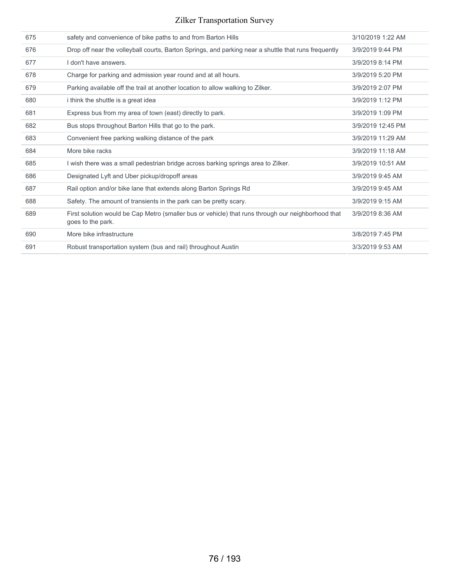| 675 | safety and convenience of bike paths to and from Barton Hills                                                           | 3/10/2019 1:22 AM |
|-----|-------------------------------------------------------------------------------------------------------------------------|-------------------|
| 676 | Drop off near the volleyball courts, Barton Springs, and parking near a shuttle that runs frequently                    | 3/9/2019 9:44 PM  |
| 677 | I don't have answers.                                                                                                   | 3/9/2019 8:14 PM  |
| 678 | Charge for parking and admission year round and at all hours.                                                           | 3/9/2019 5:20 PM  |
| 679 | Parking available off the trail at another location to allow walking to Zilker.                                         | 3/9/2019 2:07 PM  |
| 680 | i think the shuttle is a great idea                                                                                     | 3/9/2019 1:12 PM  |
| 681 | Express bus from my area of town (east) directly to park.                                                               | 3/9/2019 1:09 PM  |
| 682 | Bus stops throughout Barton Hills that go to the park.                                                                  | 3/9/2019 12:45 PM |
| 683 | Convenient free parking walking distance of the park                                                                    | 3/9/2019 11:29 AM |
| 684 | More bike racks                                                                                                         | 3/9/2019 11:18 AM |
| 685 | I wish there was a small pedestrian bridge across barking springs area to Zilker.                                       | 3/9/2019 10:51 AM |
| 686 | Designated Lyft and Uber pickup/dropoff areas                                                                           | 3/9/2019 9:45 AM  |
| 687 | Rail option and/or bike lane that extends along Barton Springs Rd                                                       | 3/9/2019 9:45 AM  |
| 688 | Safety. The amount of transients in the park can be pretty scary.                                                       | 3/9/2019 9:15 AM  |
| 689 | First solution would be Cap Metro (smaller bus or vehicle) that runs through our neighborhood that<br>goes to the park. | 3/9/2019 8:36 AM  |
| 690 | More bike infrastructure                                                                                                | 3/8/2019 7:45 PM  |
| 691 | Robust transportation system (bus and rail) throughout Austin                                                           | 3/3/2019 9:53 AM  |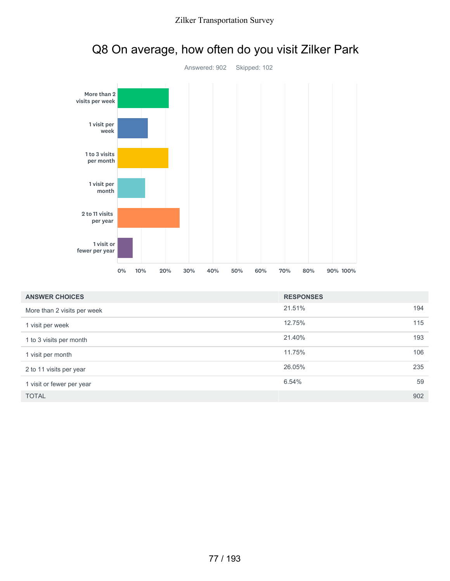

# Q8 On average, how often do you visit Zilker Park

| <b>ANSWER CHOICES</b>       | <b>RESPONSES</b> |     |
|-----------------------------|------------------|-----|
| More than 2 visits per week | 21.51%           | 194 |
| 1 visit per week            | 12.75%           | 115 |
| 1 to 3 visits per month     | 21.40%           | 193 |
| 1 visit per month           | 11.75%           | 106 |
| 2 to 11 visits per year     | 26.05%           | 235 |
| 1 visit or fewer per year   | 6.54%            | 59  |
| <b>TOTAL</b>                |                  | 902 |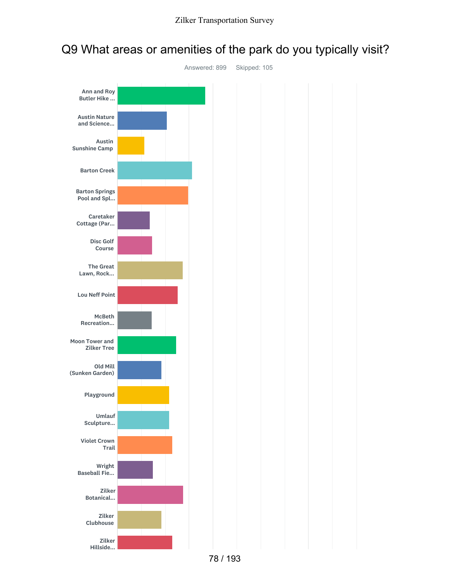

## Q9 What areas or amenities of the park do you typically visit?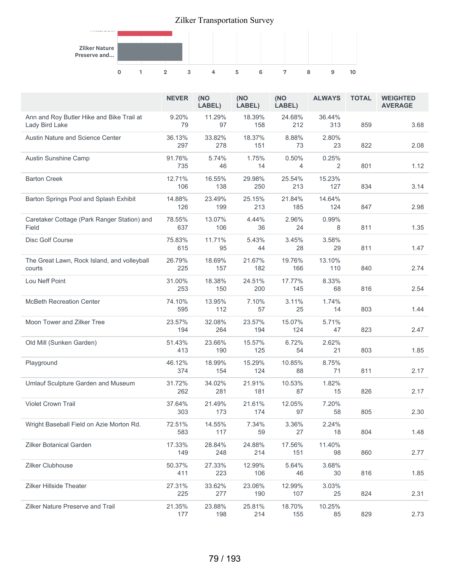

|                                                             | <b>NEVER</b>  | (NO<br>LABEL) | (NO<br>LABEL) | (NO<br>LABEL)           | <b>ALWAYS</b> | <b>TOTAL</b> | <b>WEIGHTED</b><br><b>AVERAGE</b> |
|-------------------------------------------------------------|---------------|---------------|---------------|-------------------------|---------------|--------------|-----------------------------------|
| Ann and Roy Butler Hike and Bike Trail at<br>Lady Bird Lake | 9.20%<br>79   | 11.29%<br>97  | 18.39%<br>158 | 24.68%<br>212           | 36.44%<br>313 | 859          | 3.68                              |
| Austin Nature and Science Center                            | 36.13%<br>297 | 33.82%<br>278 | 18.37%<br>151 | 8.88%<br>73             | 2.80%<br>23   | 822          | 2.08                              |
| Austin Sunshine Camp                                        | 91.76%<br>735 | 5.74%<br>46   | 1.75%<br>14   | 0.50%<br>$\overline{4}$ | 0.25%<br>2    | 801          | 1.12                              |
| <b>Barton Creek</b>                                         | 12.71%<br>106 | 16.55%<br>138 | 29.98%<br>250 | 25.54%<br>213           | 15.23%<br>127 | 834          | 3.14                              |
| Barton Springs Pool and Splash Exhibit                      | 14.88%<br>126 | 23.49%<br>199 | 25.15%<br>213 | 21.84%<br>185           | 14.64%<br>124 | 847          | 2.98                              |
| Caretaker Cottage (Park Ranger Station) and<br>Field        | 78.55%<br>637 | 13.07%<br>106 | 4.44%<br>36   | 2.96%<br>24             | 0.99%<br>8    | 811          | 1.35                              |
| Disc Golf Course                                            | 75.83%<br>615 | 11.71%<br>95  | 5.43%<br>44   | 3.45%<br>28             | 3.58%<br>29   | 811          | 1.47                              |
| The Great Lawn, Rock Island, and volleyball<br>courts       | 26.79%<br>225 | 18.69%<br>157 | 21.67%<br>182 | 19.76%<br>166           | 13.10%<br>110 | 840          | 2.74                              |
| Lou Neff Point                                              | 31.00%<br>253 | 18.38%<br>150 | 24.51%<br>200 | 17.77%<br>145           | 8.33%<br>68   | 816          | 2.54                              |
| <b>McBeth Recreation Center</b>                             | 74.10%<br>595 | 13.95%<br>112 | 7.10%<br>57   | 3.11%<br>25             | 1.74%<br>14   | 803          | 1.44                              |
| Moon Tower and Zilker Tree                                  | 23.57%<br>194 | 32.08%<br>264 | 23.57%<br>194 | 15.07%<br>124           | 5.71%<br>47   | 823          | 2.47                              |
| Old Mill (Sunken Garden)                                    | 51.43%<br>413 | 23.66%<br>190 | 15.57%<br>125 | 6.72%<br>54             | 2.62%<br>21   | 803          | 1.85                              |
| Playground                                                  | 46.12%<br>374 | 18.99%<br>154 | 15.29%<br>124 | 10.85%<br>88            | 8.75%<br>71   | 811          | 2.17                              |
| Umlauf Sculpture Garden and Museum                          | 31.72%<br>262 | 34.02%<br>281 | 21.91%<br>181 | 10.53%<br>87            | 1.82%<br>15   | 826          | 2.17                              |
| <b>Violet Crown Trail</b>                                   | 37.64%<br>303 | 21.49%<br>173 | 21.61%<br>174 | 12.05%<br>97            | 7.20%<br>58   | 805          | 2.30                              |
| Wright Baseball Field on Azie Morton Rd.                    | 72.51%<br>583 | 14.55%<br>117 | 7.34%<br>59   | 3.36%<br>27             | 2.24%<br>18   | 804          | 1.48                              |
| <b>Zilker Botanical Garden</b>                              | 17.33%<br>149 | 28.84%<br>248 | 24.88%<br>214 | 17.56%<br>151           | 11.40%<br>98  | 860          | 2.77                              |
| Zilker Clubhouse                                            | 50.37%<br>411 | 27.33%<br>223 | 12.99%<br>106 | 5.64%<br>46             | 3.68%<br>30   | 816          | 1.85                              |
| Zilker Hillside Theater                                     | 27.31%<br>225 | 33.62%<br>277 | 23.06%<br>190 | 12.99%<br>107           | 3.03%<br>25   | 824          | 2.31                              |
| Zilker Nature Preserve and Trail                            | 21.35%<br>177 | 23.88%<br>198 | 25.81%<br>214 | 18.70%<br>155           | 10.25%<br>85  | 829          | 2.73                              |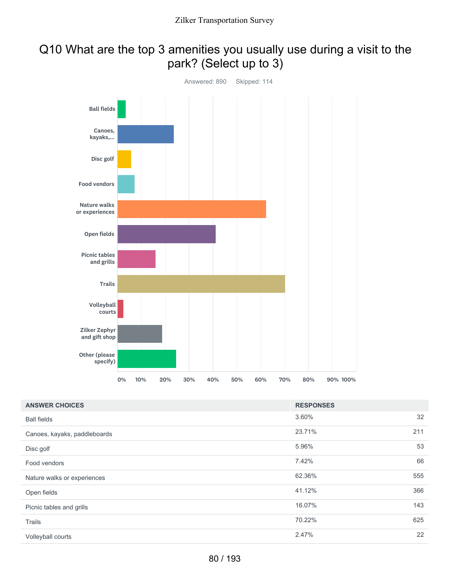# Q10 What are the top 3 amenities you usually use during a visit to the park? (Select up to 3)



| <b>ANSWER CHOICES</b>        | <b>RESPONSES</b> |     |
|------------------------------|------------------|-----|
| <b>Ball fields</b>           | 3.60%            | 32  |
| Canoes, kayaks, paddleboards | 23.71%           | 211 |
| Disc golf                    | 5.96%            | 53  |
| Food vendors                 | 7.42%            | 66  |
| Nature walks or experiences  | 62.36%           | 555 |
| Open fields                  | 41.12%           | 366 |
| Picnic tables and grills     | 16.07%           | 143 |
| Trails                       | 70.22%           | 625 |
| Volleyball courts            | 2.47%            | 22  |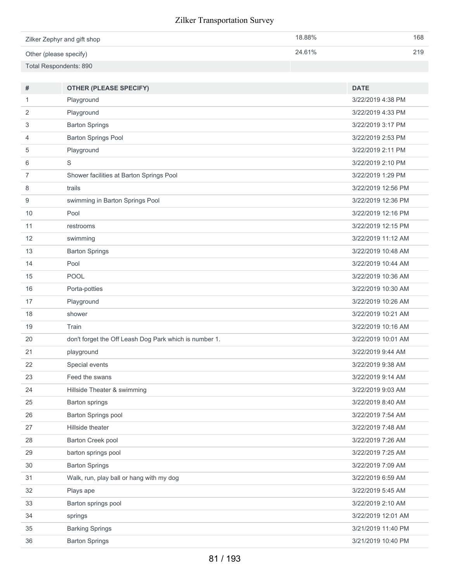| Zilker Zephyr and gift shop | 18.88% | 168 |
|-----------------------------|--------|-----|
| Other (please specify)      | 24.61% | 219 |
| Total Respondents: 890      |        |     |

| #              | <b>OTHER (PLEASE SPECIFY)</b>                          | <b>DATE</b>        |
|----------------|--------------------------------------------------------|--------------------|
| 1              | Playground                                             | 3/22/2019 4:38 PM  |
| 2              | Playground                                             | 3/22/2019 4:33 PM  |
| 3              | <b>Barton Springs</b>                                  | 3/22/2019 3:17 PM  |
| 4              | <b>Barton Springs Pool</b>                             | 3/22/2019 2:53 PM  |
| 5              | Playground                                             | 3/22/2019 2:11 PM  |
| 6              | $\mathsf S$                                            | 3/22/2019 2:10 PM  |
| $\overline{7}$ | Shower facilities at Barton Springs Pool               | 3/22/2019 1:29 PM  |
| 8              | trails                                                 | 3/22/2019 12:56 PM |
| 9              | swimming in Barton Springs Pool                        | 3/22/2019 12:36 PM |
| 10             | Pool                                                   | 3/22/2019 12:16 PM |
| 11             | restrooms                                              | 3/22/2019 12:15 PM |
| 12             | swimming                                               | 3/22/2019 11:12 AM |
| 13             | <b>Barton Springs</b>                                  | 3/22/2019 10:48 AM |
| 14             | Pool                                                   | 3/22/2019 10:44 AM |
| 15             | POOL                                                   | 3/22/2019 10:36 AM |
| 16             | Porta-potties                                          | 3/22/2019 10:30 AM |
| 17             | Playground                                             | 3/22/2019 10:26 AM |
| 18             | shower                                                 | 3/22/2019 10:21 AM |
| 19             | Train                                                  | 3/22/2019 10:16 AM |
| 20             | don't forget the Off Leash Dog Park which is number 1. | 3/22/2019 10:01 AM |
| 21             | playground                                             | 3/22/2019 9:44 AM  |
| 22             | Special events                                         | 3/22/2019 9:38 AM  |
| 23             | Feed the swans                                         | 3/22/2019 9:14 AM  |
| 24             | Hillside Theater & swimming                            | 3/22/2019 9:03 AM  |
| 25             | <b>Barton springs</b>                                  | 3/22/2019 8:40 AM  |
| 26             | Barton Springs pool                                    | 3/22/2019 7:54 AM  |
| 27             | Hillside theater                                       | 3/22/2019 7:48 AM  |
| 28             | Barton Creek pool                                      | 3/22/2019 7:26 AM  |
| 29             | barton springs pool                                    | 3/22/2019 7:25 AM  |
| 30             | <b>Barton Springs</b>                                  | 3/22/2019 7:09 AM  |
| 31             | Walk, run, play ball or hang with my dog               | 3/22/2019 6:59 AM  |
| 32             | Plays ape                                              | 3/22/2019 5:45 AM  |
| 33             | Barton springs pool                                    | 3/22/2019 2:10 AM  |
| 34             | springs                                                | 3/22/2019 12:01 AM |
| 35             | <b>Barking Springs</b>                                 | 3/21/2019 11:40 PM |
| 36             | <b>Barton Springs</b>                                  | 3/21/2019 10:40 PM |
|                |                                                        |                    |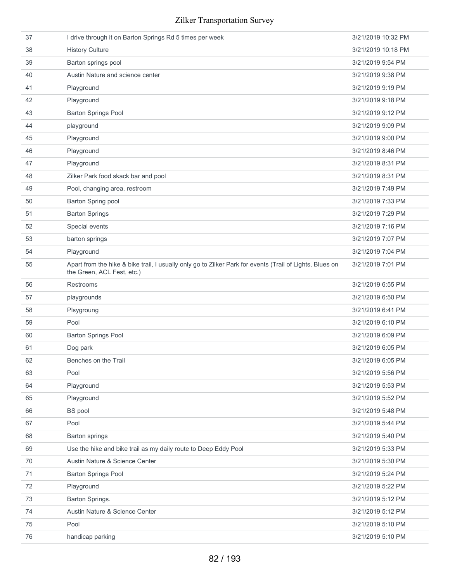| 37 | I drive through it on Barton Springs Rd 5 times per week                                                                               | 3/21/2019 10:32 PM |
|----|----------------------------------------------------------------------------------------------------------------------------------------|--------------------|
| 38 | <b>History Culture</b>                                                                                                                 | 3/21/2019 10:18 PM |
| 39 | Barton springs pool                                                                                                                    | 3/21/2019 9:54 PM  |
| 40 | Austin Nature and science center                                                                                                       | 3/21/2019 9:38 PM  |
| 41 | Playground                                                                                                                             | 3/21/2019 9:19 PM  |
| 42 | Playground                                                                                                                             | 3/21/2019 9:18 PM  |
| 43 | <b>Barton Springs Pool</b>                                                                                                             | 3/21/2019 9:12 PM  |
| 44 | playground                                                                                                                             | 3/21/2019 9:09 PM  |
| 45 | Playground                                                                                                                             | 3/21/2019 9:00 PM  |
| 46 | Playground                                                                                                                             | 3/21/2019 8:46 PM  |
| 47 | Playground                                                                                                                             | 3/21/2019 8:31 PM  |
| 48 | Zilker Park food skack bar and pool                                                                                                    | 3/21/2019 8:31 PM  |
| 49 | Pool, changing area, restroom                                                                                                          | 3/21/2019 7:49 PM  |
| 50 | Barton Spring pool                                                                                                                     | 3/21/2019 7:33 PM  |
| 51 | <b>Barton Springs</b>                                                                                                                  | 3/21/2019 7:29 PM  |
| 52 | Special events                                                                                                                         | 3/21/2019 7:16 PM  |
| 53 | barton springs                                                                                                                         | 3/21/2019 7:07 PM  |
| 54 | Playground                                                                                                                             | 3/21/2019 7:04 PM  |
| 55 | Apart from the hike & bike trail, I usually only go to Zilker Park for events (Trail of Lights, Blues on<br>the Green, ACL Fest, etc.) | 3/21/2019 7:01 PM  |
| 56 | Restrooms                                                                                                                              | 3/21/2019 6:55 PM  |
| 57 | playgrounds                                                                                                                            | 3/21/2019 6:50 PM  |
| 58 | Plsygroung                                                                                                                             | 3/21/2019 6:41 PM  |
| 59 | Pool                                                                                                                                   | 3/21/2019 6:10 PM  |
| 60 | <b>Barton Springs Pool</b>                                                                                                             | 3/21/2019 6:09 PM  |
| 61 | Dog park                                                                                                                               | 3/21/2019 6:05 PM  |
| 62 | Benches on the Trail                                                                                                                   | 3/21/2019 6:05 PM  |
| 63 | Pool                                                                                                                                   | 3/21/2019 5:56 PM  |
| 64 | Playground                                                                                                                             | 3/21/2019 5:53 PM  |
| 65 | Playground                                                                                                                             | 3/21/2019 5:52 PM  |
| 66 | <b>BS</b> pool                                                                                                                         | 3/21/2019 5:48 PM  |
| 67 | Pool                                                                                                                                   | 3/21/2019 5:44 PM  |
| 68 | <b>Barton springs</b>                                                                                                                  | 3/21/2019 5:40 PM  |
| 69 | Use the hike and bike trail as my daily route to Deep Eddy Pool                                                                        | 3/21/2019 5:33 PM  |
| 70 | Austin Nature & Science Center                                                                                                         | 3/21/2019 5:30 PM  |
| 71 | <b>Barton Springs Pool</b>                                                                                                             | 3/21/2019 5:24 PM  |
| 72 | Playground                                                                                                                             | 3/21/2019 5:22 PM  |
| 73 | Barton Springs.                                                                                                                        | 3/21/2019 5:12 PM  |
| 74 | Austin Nature & Science Center                                                                                                         | 3/21/2019 5:12 PM  |
| 75 | Pool                                                                                                                                   | 3/21/2019 5:10 PM  |
| 76 | handicap parking                                                                                                                       | 3/21/2019 5:10 PM  |
|    |                                                                                                                                        |                    |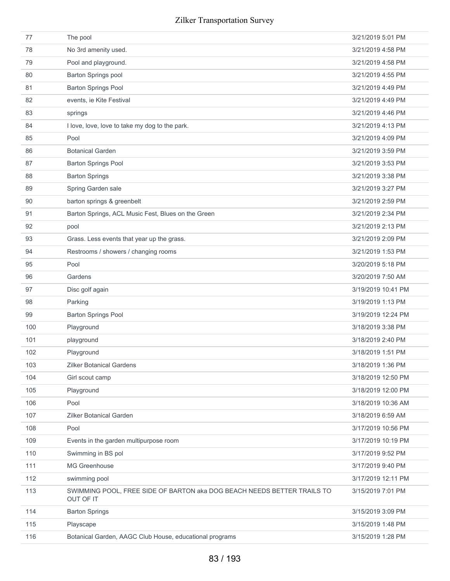| 77  | The pool                                                                             | 3/21/2019 5:01 PM  |
|-----|--------------------------------------------------------------------------------------|--------------------|
| 78  | No 3rd amenity used.                                                                 | 3/21/2019 4:58 PM  |
| 79  | Pool and playground.                                                                 | 3/21/2019 4:58 PM  |
| 80  | Barton Springs pool                                                                  | 3/21/2019 4:55 PM  |
| 81  | <b>Barton Springs Pool</b>                                                           | 3/21/2019 4:49 PM  |
| 82  | events, ie Kite Festival                                                             | 3/21/2019 4:49 PM  |
| 83  | springs                                                                              | 3/21/2019 4:46 PM  |
| 84  | I love, love, love to take my dog to the park.                                       | 3/21/2019 4:13 PM  |
| 85  | Pool                                                                                 | 3/21/2019 4:09 PM  |
| 86  | <b>Botanical Garden</b>                                                              | 3/21/2019 3:59 PM  |
| 87  | <b>Barton Springs Pool</b>                                                           | 3/21/2019 3:53 PM  |
| 88  | <b>Barton Springs</b>                                                                | 3/21/2019 3:38 PM  |
| 89  | Spring Garden sale                                                                   | 3/21/2019 3:27 PM  |
| 90  | barton springs & greenbelt                                                           | 3/21/2019 2:59 PM  |
| 91  | Barton Springs, ACL Music Fest, Blues on the Green                                   | 3/21/2019 2:34 PM  |
| 92  | pool                                                                                 | 3/21/2019 2:13 PM  |
| 93  | Grass. Less events that year up the grass.                                           | 3/21/2019 2:09 PM  |
| 94  | Restrooms / showers / changing rooms                                                 | 3/21/2019 1:53 PM  |
| 95  | Pool                                                                                 | 3/20/2019 5:18 PM  |
| 96  | Gardens                                                                              | 3/20/2019 7:50 AM  |
| 97  | Disc golf again                                                                      | 3/19/2019 10:41 PM |
| 98  | Parking                                                                              | 3/19/2019 1:13 PM  |
| 99  | <b>Barton Springs Pool</b>                                                           | 3/19/2019 12:24 PM |
| 100 | Playground                                                                           | 3/18/2019 3:38 PM  |
| 101 | playground                                                                           | 3/18/2019 2:40 PM  |
| 102 | Playground                                                                           | 3/18/2019 1:51 PM  |
| 103 | <b>Zilker Botanical Gardens</b>                                                      | 3/18/2019 1:36 PM  |
| 104 | Girl scout camp                                                                      | 3/18/2019 12:50 PM |
| 105 | Playground                                                                           | 3/18/2019 12:00 PM |
| 106 | Pool                                                                                 | 3/18/2019 10:36 AM |
| 107 | <b>Zilker Botanical Garden</b>                                                       | 3/18/2019 6:59 AM  |
| 108 | Pool                                                                                 | 3/17/2019 10:56 PM |
| 109 | Events in the garden multipurpose room                                               | 3/17/2019 10:19 PM |
| 110 | Swimming in BS pol                                                                   | 3/17/2019 9:52 PM  |
| 111 | MG Greenhouse                                                                        | 3/17/2019 9:40 PM  |
| 112 | swimming pool                                                                        | 3/17/2019 12:11 PM |
| 113 | SWIMMING POOL, FREE SIDE OF BARTON aka DOG BEACH NEEDS BETTER TRAILS TO<br>OUT OF IT | 3/15/2019 7:01 PM  |
| 114 | <b>Barton Springs</b>                                                                | 3/15/2019 3:09 PM  |
| 115 | Playscape                                                                            | 3/15/2019 1:48 PM  |
| 116 | Botanical Garden, AAGC Club House, educational programs                              | 3/15/2019 1:28 PM  |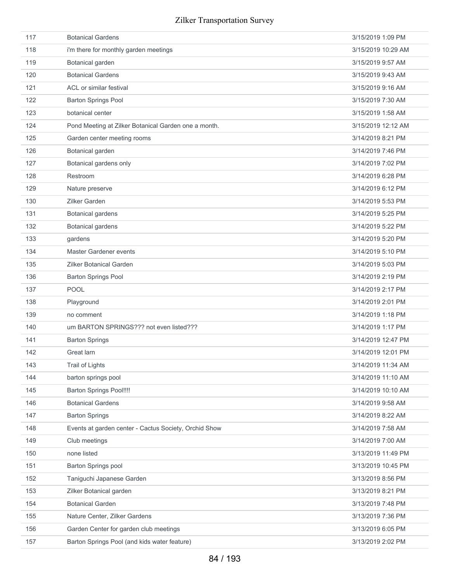| 117 | <b>Botanical Gardens</b>                              | 3/15/2019 1:09 PM  |
|-----|-------------------------------------------------------|--------------------|
| 118 | i'm there for monthly garden meetings                 | 3/15/2019 10:29 AM |
| 119 | Botanical garden                                      | 3/15/2019 9:57 AM  |
| 120 | <b>Botanical Gardens</b>                              | 3/15/2019 9:43 AM  |
| 121 | ACL or similar festival                               | 3/15/2019 9:16 AM  |
| 122 | <b>Barton Springs Pool</b>                            | 3/15/2019 7:30 AM  |
| 123 | botanical center                                      | 3/15/2019 1:58 AM  |
| 124 | Pond Meeting at Zilker Botanical Garden one a month.  | 3/15/2019 12:12 AM |
| 125 | Garden center meeting rooms                           | 3/14/2019 8:21 PM  |
| 126 | Botanical garden                                      | 3/14/2019 7:46 PM  |
| 127 | Botanical gardens only                                | 3/14/2019 7:02 PM  |
| 128 | Restroom                                              | 3/14/2019 6:28 PM  |
| 129 | Nature preserve                                       | 3/14/2019 6:12 PM  |
| 130 | <b>Zilker Garden</b>                                  | 3/14/2019 5:53 PM  |
| 131 | <b>Botanical gardens</b>                              | 3/14/2019 5:25 PM  |
| 132 | <b>Botanical gardens</b>                              | 3/14/2019 5:22 PM  |
| 133 | gardens                                               | 3/14/2019 5:20 PM  |
| 134 | <b>Master Gardener events</b>                         | 3/14/2019 5:10 PM  |
| 135 | <b>Zilker Botanical Garden</b>                        | 3/14/2019 5:03 PM  |
| 136 | <b>Barton Springs Pool</b>                            | 3/14/2019 2:19 PM  |
| 137 | <b>POOL</b>                                           | 3/14/2019 2:17 PM  |
| 138 | Playground                                            | 3/14/2019 2:01 PM  |
| 139 | no comment                                            | 3/14/2019 1:18 PM  |
| 140 | um BARTON SPRINGS??? not even listed???               | 3/14/2019 1:17 PM  |
| 141 | <b>Barton Springs</b>                                 | 3/14/2019 12:47 PM |
| 142 | Great larn                                            | 3/14/2019 12:01 PM |
| 143 | <b>Trail of Lights</b>                                | 3/14/2019 11:34 AM |
| 144 | barton springs pool                                   | 3/14/2019 11:10 AM |
| 145 | <b>Barton Springs Pool!!!!</b>                        | 3/14/2019 10:10 AM |
| 146 | <b>Botanical Gardens</b>                              | 3/14/2019 9:58 AM  |
| 147 | <b>Barton Springs</b>                                 | 3/14/2019 8:22 AM  |
| 148 | Events at garden center - Cactus Society, Orchid Show | 3/14/2019 7:58 AM  |
| 149 | Club meetings                                         | 3/14/2019 7:00 AM  |
| 150 | none listed                                           | 3/13/2019 11:49 PM |
| 151 | <b>Barton Springs pool</b>                            | 3/13/2019 10:45 PM |
| 152 | Taniguchi Japanese Garden                             | 3/13/2019 8:56 PM  |
| 153 | Zilker Botanical garden                               | 3/13/2019 8:21 PM  |
| 154 | <b>Botanical Garden</b>                               | 3/13/2019 7:48 PM  |
| 155 | Nature Center, Zilker Gardens                         | 3/13/2019 7:36 PM  |
| 156 | Garden Center for garden club meetings                | 3/13/2019 6:05 PM  |
| 157 | Barton Springs Pool (and kids water feature)          | 3/13/2019 2:02 PM  |
|     |                                                       |                    |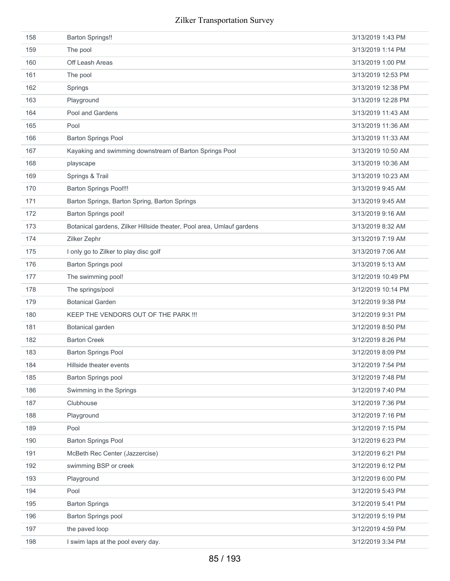| 158 | <b>Barton Springs!!</b>                                               | 3/13/2019 1:43 PM  |
|-----|-----------------------------------------------------------------------|--------------------|
| 159 | The pool                                                              | 3/13/2019 1:14 PM  |
| 160 | Off Leash Areas                                                       | 3/13/2019 1:00 PM  |
| 161 | The pool                                                              | 3/13/2019 12:53 PM |
| 162 | Springs                                                               | 3/13/2019 12:38 PM |
| 163 | Playground                                                            | 3/13/2019 12:28 PM |
| 164 | Pool and Gardens                                                      | 3/13/2019 11:43 AM |
| 165 | Pool                                                                  | 3/13/2019 11:36 AM |
| 166 | <b>Barton Springs Pool</b>                                            | 3/13/2019 11:33 AM |
| 167 | Kayaking and swimming downstream of Barton Springs Pool               | 3/13/2019 10:50 AM |
| 168 | playscape                                                             | 3/13/2019 10:36 AM |
| 169 | Springs & Trail                                                       | 3/13/2019 10:23 AM |
| 170 | <b>Barton Springs Pool!!!</b>                                         | 3/13/2019 9:45 AM  |
| 171 | Barton Springs, Barton Spring, Barton Springs                         | 3/13/2019 9:45 AM  |
| 172 | <b>Barton Springs pool!</b>                                           | 3/13/2019 9:16 AM  |
| 173 | Botanical gardens, Zilker Hillside theater, Pool area, Umlauf gardens | 3/13/2019 8:32 AM  |
| 174 | Zilker Zephr                                                          | 3/13/2019 7:19 AM  |
| 175 | I only go to Zilker to play disc golf                                 | 3/13/2019 7:06 AM  |
| 176 | Barton Springs pool                                                   | 3/13/2019 5:13 AM  |
| 177 | The swimming pool!                                                    | 3/12/2019 10:49 PM |
| 178 | The springs/pool                                                      | 3/12/2019 10:14 PM |
| 179 | <b>Botanical Garden</b>                                               | 3/12/2019 9:38 PM  |
| 180 | KEEP THE VENDORS OUT OF THE PARK !!!                                  | 3/12/2019 9:31 PM  |
| 181 | Botanical garden                                                      | 3/12/2019 8:50 PM  |
| 182 | <b>Barton Creek</b>                                                   | 3/12/2019 8:26 PM  |
| 183 | <b>Barton Springs Pool</b>                                            | 3/12/2019 8:09 PM  |
| 184 | Hillside theater events                                               | 3/12/2019 7:54 PM  |
| 185 | Barton Springs pool                                                   | 3/12/2019 7:48 PM  |
| 186 | Swimming in the Springs                                               | 3/12/2019 7:40 PM  |
| 187 | Clubhouse                                                             | 3/12/2019 7:36 PM  |
| 188 | Playground                                                            | 3/12/2019 7:16 PM  |
| 189 | Pool                                                                  | 3/12/2019 7:15 PM  |
| 190 | <b>Barton Springs Pool</b>                                            | 3/12/2019 6:23 PM  |
| 191 | McBeth Rec Center (Jazzercise)                                        | 3/12/2019 6:21 PM  |
| 192 | swimming BSP or creek                                                 | 3/12/2019 6:12 PM  |
| 193 | Playground                                                            | 3/12/2019 6:00 PM  |
| 194 | Pool                                                                  | 3/12/2019 5:43 PM  |
| 195 | <b>Barton Springs</b>                                                 | 3/12/2019 5:41 PM  |
| 196 | <b>Barton Springs pool</b>                                            | 3/12/2019 5:19 PM  |
| 197 | the paved loop                                                        | 3/12/2019 4:59 PM  |
| 198 | I swim laps at the pool every day.                                    | 3/12/2019 3:34 PM  |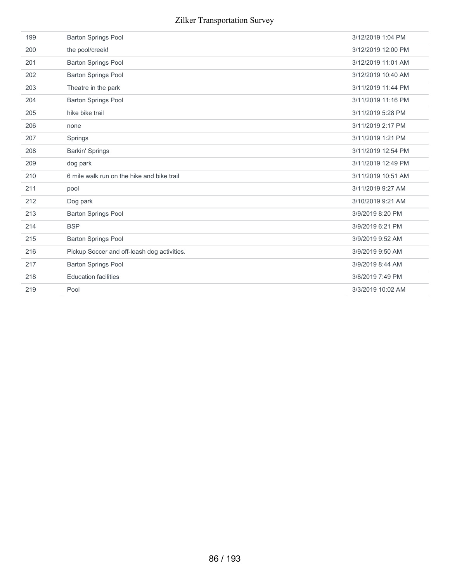| 199 | <b>Barton Springs Pool</b>                  | 3/12/2019 1:04 PM  |
|-----|---------------------------------------------|--------------------|
| 200 | the pool/creek!                             | 3/12/2019 12:00 PM |
| 201 | <b>Barton Springs Pool</b>                  | 3/12/2019 11:01 AM |
| 202 | <b>Barton Springs Pool</b>                  | 3/12/2019 10:40 AM |
| 203 | Theatre in the park                         | 3/11/2019 11:44 PM |
| 204 | <b>Barton Springs Pool</b>                  | 3/11/2019 11:16 PM |
| 205 | hike bike trail                             | 3/11/2019 5:28 PM  |
| 206 | none                                        | 3/11/2019 2:17 PM  |
| 207 | Springs                                     | 3/11/2019 1:21 PM  |
| 208 | <b>Barkin' Springs</b>                      | 3/11/2019 12:54 PM |
| 209 | dog park                                    | 3/11/2019 12:49 PM |
| 210 | 6 mile walk run on the hike and bike trail  | 3/11/2019 10:51 AM |
| 211 | pool                                        | 3/11/2019 9:27 AM  |
| 212 | Dog park                                    | 3/10/2019 9:21 AM  |
| 213 | <b>Barton Springs Pool</b>                  | 3/9/2019 8:20 PM   |
| 214 | <b>BSP</b>                                  | 3/9/2019 6:21 PM   |
| 215 | <b>Barton Springs Pool</b>                  | 3/9/2019 9:52 AM   |
| 216 | Pickup Soccer and off-leash dog activities. | 3/9/2019 9:50 AM   |
| 217 | <b>Barton Springs Pool</b>                  | 3/9/2019 8:44 AM   |
| 218 | <b>Education facilities</b>                 | 3/8/2019 7:49 PM   |
| 219 | Pool                                        | 3/3/2019 10:02 AM  |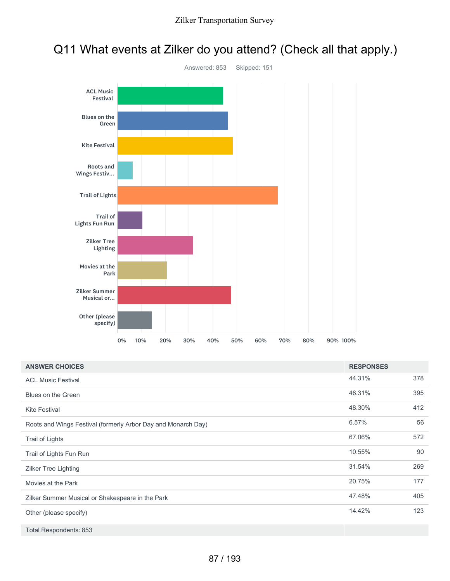## Q11 What events at Zilker do you attend? (Check all that apply.)



| <b>ANSWER CHOICES</b>                                         | <b>RESPONSES</b> |     |
|---------------------------------------------------------------|------------------|-----|
| <b>ACL Music Festival</b>                                     | 44.31%           | 378 |
| Blues on the Green                                            | 46.31%           | 395 |
| <b>Kite Festival</b>                                          | 48.30%           | 412 |
| Roots and Wings Festival (formerly Arbor Day and Monarch Day) | 6.57%            | 56  |
| Trail of Lights                                               | 67.06%           | 572 |
| Trail of Lights Fun Run                                       | 10.55%           | 90  |
| Zilker Tree Lighting                                          | 31.54%           | 269 |
| Movies at the Park                                            | 20.75%           | 177 |
| Zilker Summer Musical or Shakespeare in the Park              | 47.48%           | 405 |
| Other (please specify)                                        | 14.42%           | 123 |
| Total Respondents: 853                                        |                  |     |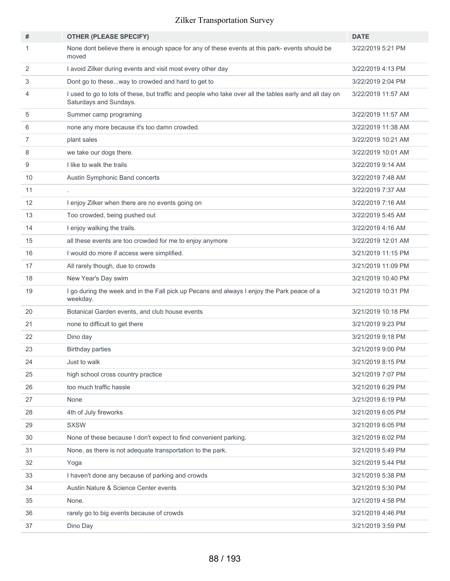| #              | <b>OTHER (PLEASE SPECIFY)</b>                                                                                                     | <b>DATE</b>        |
|----------------|-----------------------------------------------------------------------------------------------------------------------------------|--------------------|
| 1              | None dont believe there is enough space for any of these events at this park- events should be<br>moved                           | 3/22/2019 5:21 PM  |
| 2              | I avoid Zilker during events and visit most every other day                                                                       | 3/22/2019 4:13 PM  |
| 3              | Dont go to theseway to crowded and hard to get to                                                                                 | 3/22/2019 2:04 PM  |
| 4              | I used to go to lots of these, but traffic and people who take over all the tables early and all day on<br>Saturdays and Sundays. | 3/22/2019 11:57 AM |
| 5              | Summer camp programing                                                                                                            | 3/22/2019 11:57 AM |
| 6              | none any more because it's too damn crowded.                                                                                      | 3/22/2019 11:38 AM |
| $\overline{7}$ | plant sales                                                                                                                       | 3/22/2019 10:21 AM |
| 8              | we take our dogs there.                                                                                                           | 3/22/2019 10:01 AM |
| 9              | I like to walk the trails                                                                                                         | 3/22/2019 9:14 AM  |
| 10             | Austin Symphonic Band concerts                                                                                                    | 3/22/2019 7:48 AM  |
| 11             | ٠                                                                                                                                 | 3/22/2019 7:37 AM  |
| 12             | I enjoy Zilker when there are no events going on                                                                                  | 3/22/2019 7:16 AM  |
| 13             | Too crowded, being pushed out                                                                                                     | 3/22/2019 5:45 AM  |
| 14             | I enjoy walking the trails.                                                                                                       | 3/22/2019 4:16 AM  |
| 15             | all these events are too crowded for me to enjoy anymore                                                                          | 3/22/2019 12:01 AM |
| 16             | I would do more if access were simplified.                                                                                        | 3/21/2019 11:15 PM |
| 17             | All rarely though, due to crowds                                                                                                  | 3/21/2019 11:09 PM |
| 18             | New Year's Day swim                                                                                                               | 3/21/2019 10:40 PM |
| 19             | I go during the week and in the Fall pick up Pecans and always I enjoy the Park peace of a<br>weekday.                            | 3/21/2019 10:31 PM |
| 20             | Botanical Garden events, and club house events                                                                                    | 3/21/2019 10:18 PM |
| 21             | none to difficult to get there                                                                                                    | 3/21/2019 9:23 PM  |
| 22             | Dino day                                                                                                                          | 3/21/2019 9:18 PM  |
| 23             | <b>Birthday parties</b>                                                                                                           | 3/21/2019 9:00 PM  |
| 24             | Just to walk                                                                                                                      | 3/21/2019 8:15 PM  |
| 25             | high school cross country practice                                                                                                | 3/21/2019 7:07 PM  |
| 26             | too much traffic hassle                                                                                                           | 3/21/2019 6:29 PM  |
| 27             | None                                                                                                                              | 3/21/2019 6:19 PM  |
| 28             | 4th of July fireworks                                                                                                             | 3/21/2019 6:05 PM  |
| 29             | <b>SXSW</b>                                                                                                                       | 3/21/2019 6:05 PM  |
| 30             | None of these because I don't expect to find convenient parking.                                                                  | 3/21/2019 6:02 PM  |
| 31             | None, as there is not adequate transportation to the park.                                                                        | 3/21/2019 5:49 PM  |
| 32             | Yoga                                                                                                                              | 3/21/2019 5:44 PM  |
| 33             | I haven't done any because of parking and crowds                                                                                  | 3/21/2019 5:38 PM  |
| 34             | Austin Nature & Science Center events                                                                                             | 3/21/2019 5:30 PM  |
| 35             | None.                                                                                                                             | 3/21/2019 4:58 PM  |
| 36             | rarely go to big events because of crowds                                                                                         | 3/21/2019 4:46 PM  |
| 37             | Dino Day                                                                                                                          | 3/21/2019 3:59 PM  |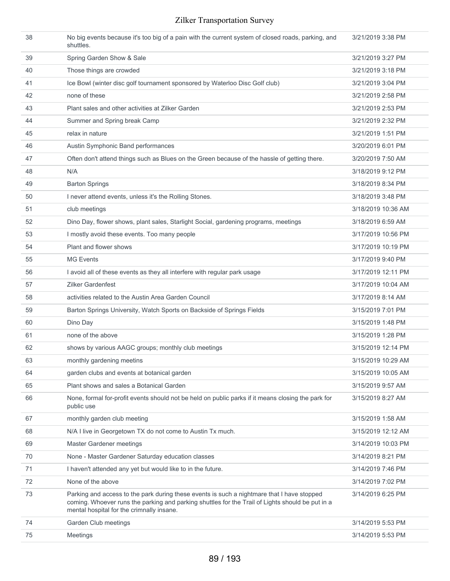| 38 | No big events because it's too big of a pain with the current system of closed roads, parking, and<br>shuttles.                                                                                                                             | 3/21/2019 3:38 PM  |
|----|---------------------------------------------------------------------------------------------------------------------------------------------------------------------------------------------------------------------------------------------|--------------------|
| 39 | Spring Garden Show & Sale                                                                                                                                                                                                                   | 3/21/2019 3:27 PM  |
| 40 | Those things are crowded                                                                                                                                                                                                                    | 3/21/2019 3:18 PM  |
| 41 | Ice Bowl (winter disc golf tournament sponsored by Waterloo Disc Golf club)                                                                                                                                                                 | 3/21/2019 3:04 PM  |
| 42 | none of these                                                                                                                                                                                                                               | 3/21/2019 2:58 PM  |
| 43 | Plant sales and other activities at Zilker Garden                                                                                                                                                                                           | 3/21/2019 2:53 PM  |
| 44 | Summer and Spring break Camp                                                                                                                                                                                                                | 3/21/2019 2:32 PM  |
| 45 | relax in nature                                                                                                                                                                                                                             | 3/21/2019 1:51 PM  |
| 46 | Austin Symphonic Band performances                                                                                                                                                                                                          | 3/20/2019 6:01 PM  |
| 47 | Often don't attend things such as Blues on the Green because of the hassle of getting there.                                                                                                                                                | 3/20/2019 7:50 AM  |
| 48 | N/A                                                                                                                                                                                                                                         | 3/18/2019 9:12 PM  |
| 49 | <b>Barton Springs</b>                                                                                                                                                                                                                       | 3/18/2019 8:34 PM  |
| 50 | I never attend events, unless it's the Rolling Stones.                                                                                                                                                                                      | 3/18/2019 3:48 PM  |
| 51 | club meetings                                                                                                                                                                                                                               | 3/18/2019 10:36 AM |
| 52 | Dino Day, flower shows, plant sales, Starlight Social, gardening programs, meetings                                                                                                                                                         | 3/18/2019 6:59 AM  |
| 53 | I mostly avoid these events. Too many people                                                                                                                                                                                                | 3/17/2019 10:56 PM |
| 54 | Plant and flower shows                                                                                                                                                                                                                      | 3/17/2019 10:19 PM |
| 55 | <b>MG Events</b>                                                                                                                                                                                                                            | 3/17/2019 9:40 PM  |
| 56 | I avoid all of these events as they all interfere with regular park usage                                                                                                                                                                   | 3/17/2019 12:11 PM |
| 57 | <b>Zilker Gardenfest</b>                                                                                                                                                                                                                    | 3/17/2019 10:04 AM |
| 58 | activities related to the Austin Area Garden Council                                                                                                                                                                                        | 3/17/2019 8:14 AM  |
| 59 | Barton Springs University, Watch Sports on Backside of Springs Fields                                                                                                                                                                       | 3/15/2019 7:01 PM  |
| 60 | Dino Day                                                                                                                                                                                                                                    | 3/15/2019 1:48 PM  |
| 61 | none of the above                                                                                                                                                                                                                           | 3/15/2019 1:28 PM  |
| 62 | shows by various AAGC groups; monthly club meetings                                                                                                                                                                                         | 3/15/2019 12:14 PM |
| 63 | monthly gardening meetins                                                                                                                                                                                                                   | 3/15/2019 10:29 AM |
| 64 | garden clubs and events at botanical garden                                                                                                                                                                                                 | 3/15/2019 10:05 AM |
| 65 | Plant shows and sales a Botanical Garden                                                                                                                                                                                                    | 3/15/2019 9:57 AM  |
| 66 | None, formal for-profit events should not be held on public parks if it means closing the park for<br>public use                                                                                                                            | 3/15/2019 8:27 AM  |
| 67 | monthly garden club meeting                                                                                                                                                                                                                 | 3/15/2019 1:58 AM  |
| 68 | N/A I live in Georgetown TX do not come to Austin Tx much.                                                                                                                                                                                  | 3/15/2019 12:12 AM |
| 69 | Master Gardener meetings                                                                                                                                                                                                                    | 3/14/2019 10:03 PM |
| 70 | None - Master Gardener Saturday education classes                                                                                                                                                                                           | 3/14/2019 8:21 PM  |
| 71 | I haven't attended any yet but would like to in the future.                                                                                                                                                                                 | 3/14/2019 7:46 PM  |
| 72 | None of the above                                                                                                                                                                                                                           | 3/14/2019 7:02 PM  |
| 73 | Parking and access to the park during these events is such a nightmare that I have stopped<br>coming. Whoever runs the parking and parking shuttles for the Trail of Lights should be put in a<br>mental hospital for the crimnally insane. | 3/14/2019 6:25 PM  |
| 74 | Garden Club meetings                                                                                                                                                                                                                        | 3/14/2019 5:53 PM  |
| 75 | Meetings                                                                                                                                                                                                                                    | 3/14/2019 5:53 PM  |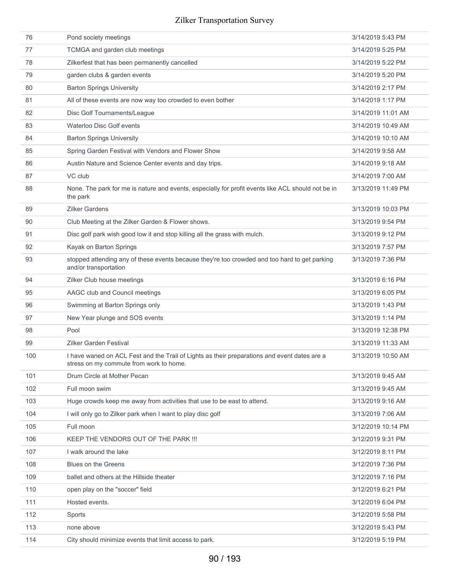| 76  | Pond society meetings                                                                                                                   | 3/14/2019 5:43 PM  |
|-----|-----------------------------------------------------------------------------------------------------------------------------------------|--------------------|
| 77  | TCMGA and garden club meetings                                                                                                          | 3/14/2019 5:25 PM  |
| 78  | Zilkerfest that has been permanently cancelled                                                                                          | 3/14/2019 5:22 PM  |
| 79  | garden clubs & garden events                                                                                                            | 3/14/2019 5:20 PM  |
| 80  | <b>Barton Springs University</b>                                                                                                        | 3/14/2019 2:17 PM  |
| 81  | All of these events are now way too crowded to even bother                                                                              | 3/14/2019 1:17 PM  |
| 82  | Disc Golf Tournaments/League                                                                                                            | 3/14/2019 11:01 AM |
| 83  | Waterloo Disc Golf events                                                                                                               | 3/14/2019 10:49 AM |
| 84  | <b>Barton Springs University</b>                                                                                                        | 3/14/2019 10:10 AM |
| 85  | Spring Garden Festival with Vendors and Flower Show                                                                                     | 3/14/2019 9:58 AM  |
| 86  | Austin Nature and Science Center events and day trips.                                                                                  | 3/14/2019 9:18 AM  |
| 87  | VC club                                                                                                                                 | 3/14/2019 7:00 AM  |
| 88  | None. The park for me is nature and events, especially for profit events like ACL should not be in<br>the park                          | 3/13/2019 11:49 PM |
| 89  | <b>Zilker Gardens</b>                                                                                                                   | 3/13/2019 10:03 PM |
| 90  | Club Meeting at the Zilker Garden & Flower shows.                                                                                       | 3/13/2019 9:54 PM  |
| 91  | Disc golf park wish good low it and stop killing all the grass with mulch.                                                              | 3/13/2019 9:12 PM  |
| 92  | Kayak on Barton Springs                                                                                                                 | 3/13/2019 7:57 PM  |
| 93  | stopped attending any of these events because they're too crowded and too hard to get parking<br>and/or transportation                  | 3/13/2019 7:36 PM  |
| 94  | Zilker Club house meetings                                                                                                              | 3/13/2019 6:16 PM  |
| 95  | AAGC club and Council meetings                                                                                                          | 3/13/2019 6:05 PM  |
| 96  | Swimming at Barton Springs only                                                                                                         | 3/13/2019 1:43 PM  |
| 97  | New Year plunge and SOS events                                                                                                          | 3/13/2019 1:14 PM  |
| 98  | Pool                                                                                                                                    | 3/13/2019 12:38 PM |
| 99  | <b>Zilker Garden Festival</b>                                                                                                           | 3/13/2019 11:33 AM |
| 100 | I have waned on ACL Fest and the Trail of Lights as their preparations and event dates are a<br>stress on my commute from work to home. | 3/13/2019 10:50 AM |
| 101 | Drum Circle at Mother Pecan                                                                                                             | 3/13/2019 9:45 AM  |
| 102 | Full moon swim                                                                                                                          | 3/13/2019 9:45 AM  |
| 103 | Huge crowds keep me away from activities that use to be east to attend.                                                                 | 3/13/2019 9:16 AM  |
| 104 | I will only go to Zilker park when I want to play disc golf                                                                             | 3/13/2019 7:06 AM  |
| 105 | Full moon                                                                                                                               | 3/12/2019 10:14 PM |
| 106 | KEEP THE VENDORS OUT OF THE PARK !!!                                                                                                    | 3/12/2019 9:31 PM  |
| 107 | I walk around the lake                                                                                                                  | 3/12/2019 8:11 PM  |
| 108 | <b>Blues on the Greens</b>                                                                                                              | 3/12/2019 7:36 PM  |
| 109 | ballet and others at the Hillside theater                                                                                               | 3/12/2019 7:16 PM  |
| 110 | open play on the "soccer" field                                                                                                         | 3/12/2019 6:21 PM  |
| 111 | Hosted events.                                                                                                                          | 3/12/2019 6:04 PM  |
| 112 | Sports                                                                                                                                  | 3/12/2019 5:58 PM  |
| 113 | none above                                                                                                                              | 3/12/2019 5:43 PM  |
| 114 | City should minimize events that limit access to park.                                                                                  | 3/12/2019 5:19 PM  |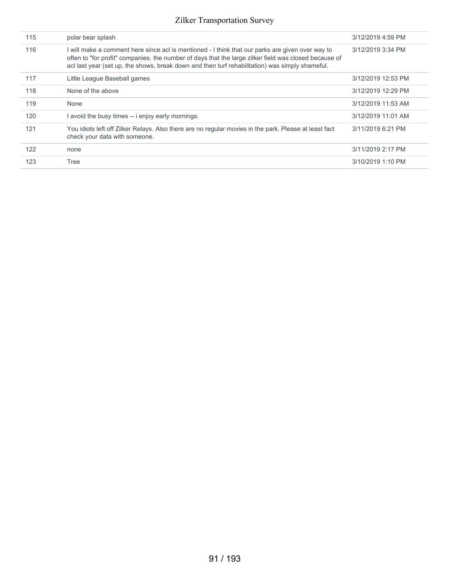| 115 | polar bear splash                                                                                                                                                                                                                                                                                            | 3/12/2019 4:59 PM  |
|-----|--------------------------------------------------------------------------------------------------------------------------------------------------------------------------------------------------------------------------------------------------------------------------------------------------------------|--------------------|
| 116 | I will make a comment here since acl is mentioned - I think that our parks are given over way to<br>often to "for profit" companies, the number of days that the large zilker field was closed because of<br>acl last year (set up, the shows, break down and then turf rehabilitation) was simply shameful. | 3/12/2019 3:34 PM  |
| 117 | Little League Baseball games                                                                                                                                                                                                                                                                                 | 3/12/2019 12:53 PM |
| 118 | None of the above                                                                                                                                                                                                                                                                                            | 3/12/2019 12:29 PM |
| 119 | None                                                                                                                                                                                                                                                                                                         | 3/12/2019 11:53 AM |
| 120 | avoid the busy times -- i enjoy early mornings.                                                                                                                                                                                                                                                              | 3/12/2019 11:01 AM |
| 121 | You idiots left off Zilker Relays. Also there are no regular movies in the park. Please at least fact<br>check your data with someone.                                                                                                                                                                       | 3/11/2019 6:21 PM  |
| 122 | none                                                                                                                                                                                                                                                                                                         | 3/11/2019 2:17 PM  |
| 123 | Tree                                                                                                                                                                                                                                                                                                         | 3/10/2019 1:10 PM  |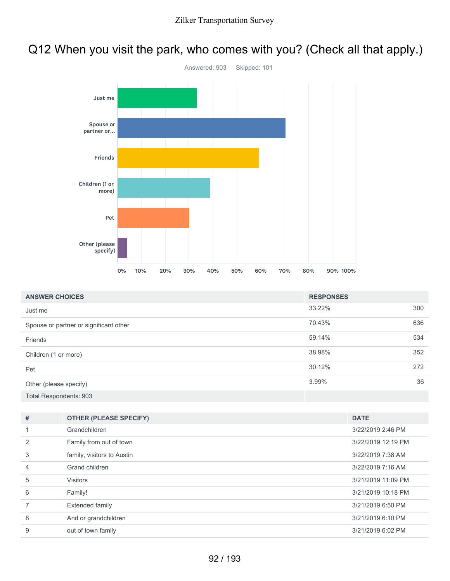# Q12 When you visit the park, who comes with you? (Check all that apply.)



| <b>ANSWER CHOICES</b>                  | <b>RESPONSES</b> |     |
|----------------------------------------|------------------|-----|
| Just me                                | 33.22%           | 300 |
| Spouse or partner or significant other | 70.43%           | 636 |
| Friends                                | 59.14%           | 534 |
| Children (1 or more)                   | 38.98%           | 352 |
| Pet                                    | 30.12%           | 272 |
| Other (please specify)                 | 3.99%            | 36  |
| Total Respondents: 903                 |                  |     |

| #              | <b>OTHER (PLEASE SPECIFY)</b> | <b>DATE</b>        |
|----------------|-------------------------------|--------------------|
|                | Grandchildren                 | 3/22/2019 2:46 PM  |
| $\mathcal{P}$  | Family from out of town       | 3/22/2019 12:19 PM |
| 3              | family, visitors to Austin    | 3/22/2019 7:38 AM  |
| $\overline{4}$ | Grand children                | 3/22/2019 7:16 AM  |
| 5              | <b>Visitors</b>               | 3/21/2019 11:09 PM |
| 6              | Family!                       | 3/21/2019 10:18 PM |
|                | <b>Extended family</b>        | 3/21/2019 6:50 PM  |
| 8              | And or grandchildren          | 3/21/2019 6:10 PM  |
| 9              | out of town family            | 3/21/2019 6:02 PM  |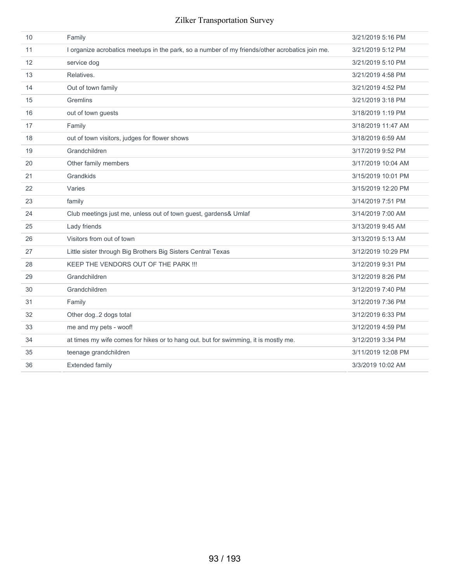| 10 | Family                                                                                         | 3/21/2019 5:16 PM  |
|----|------------------------------------------------------------------------------------------------|--------------------|
| 11 | I organize acrobatics meetups in the park, so a number of my friends/other acrobatics join me. | 3/21/2019 5:12 PM  |
| 12 | service dog                                                                                    | 3/21/2019 5:10 PM  |
| 13 | Relatives.                                                                                     | 3/21/2019 4:58 PM  |
| 14 | Out of town family                                                                             | 3/21/2019 4:52 PM  |
| 15 | Gremlins                                                                                       | 3/21/2019 3:18 PM  |
| 16 | out of town guests                                                                             | 3/18/2019 1:19 PM  |
| 17 | Family                                                                                         | 3/18/2019 11:47 AM |
| 18 | out of town visitors, judges for flower shows                                                  | 3/18/2019 6:59 AM  |
| 19 | Grandchildren                                                                                  | 3/17/2019 9:52 PM  |
| 20 | Other family members                                                                           | 3/17/2019 10:04 AM |
| 21 | Grandkids                                                                                      | 3/15/2019 10:01 PM |
| 22 | Varies                                                                                         | 3/15/2019 12:20 PM |
| 23 | family                                                                                         | 3/14/2019 7:51 PM  |
| 24 | Club meetings just me, unless out of town guest, gardens& Umlaf                                | 3/14/2019 7:00 AM  |
| 25 | Lady friends                                                                                   | 3/13/2019 9:45 AM  |
| 26 | Visitors from out of town                                                                      | 3/13/2019 5:13 AM  |
| 27 | Little sister through Big Brothers Big Sisters Central Texas                                   | 3/12/2019 10:29 PM |
| 28 | KEEP THE VENDORS OUT OF THE PARK !!!                                                           | 3/12/2019 9:31 PM  |
| 29 | Grandchildren                                                                                  | 3/12/2019 8:26 PM  |
| 30 | Grandchildren                                                                                  | 3/12/2019 7:40 PM  |
| 31 | Family                                                                                         | 3/12/2019 7:36 PM  |
| 32 | Other dog2 dogs total                                                                          | 3/12/2019 6:33 PM  |
| 33 | me and my pets - woof!                                                                         | 3/12/2019 4:59 PM  |
| 34 | at times my wife comes for hikes or to hang out. but for swimming, it is mostly me.            | 3/12/2019 3:34 PM  |
| 35 | teenage grandchildren                                                                          | 3/11/2019 12:08 PM |
| 36 | <b>Extended family</b>                                                                         | 3/3/2019 10:02 AM  |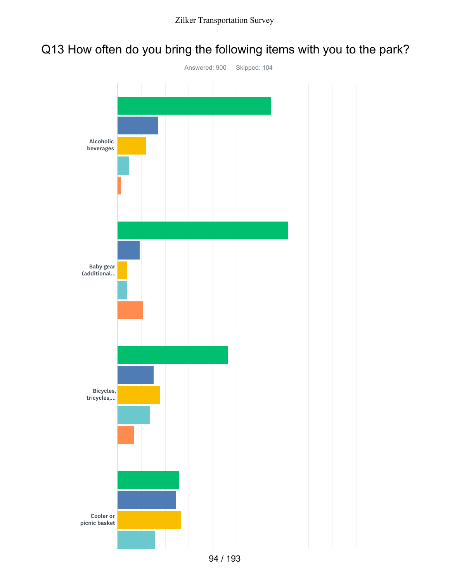# Q13 How often do you bring the following items with you to the park?

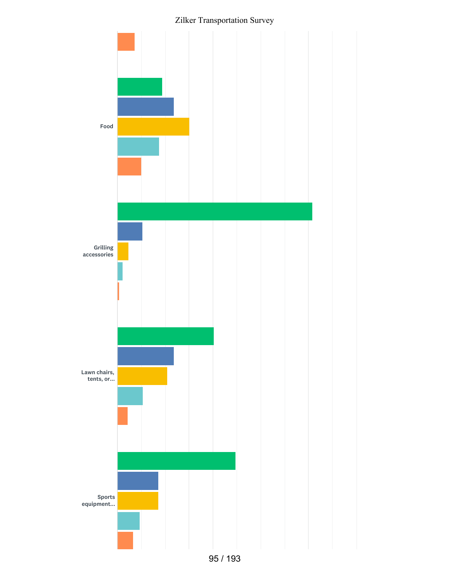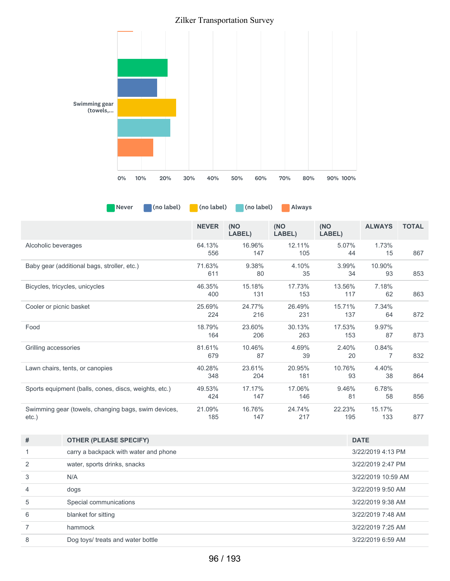

Never (no label) (no label) (no label) Always

|                                                       | <b>NEVER</b>  | (NO<br>LABEL) | (NO<br>LABEL) | (NO<br>LABEL) | <b>ALWAYS</b> | <b>TOTAL</b> |
|-------------------------------------------------------|---------------|---------------|---------------|---------------|---------------|--------------|
| Alcoholic beverages                                   | 64.13%<br>556 | 16.96%<br>147 | 12.11%<br>105 | 5.07%<br>44   | 1.73%<br>15   | 867          |
| Baby gear (additional bags, stroller, etc.)           | 71.63%        | 9.38%         | 4.10%         | 3.99%         | 10.90%        |              |
|                                                       | 611           | 80            | 35            | 34            | 93            | 853          |
| Bicycles, tricycles, unicycles                        | 46.35%        | 15.18%        | 17.73%        | 13.56%        | 7.18%         |              |
|                                                       | 400           | 131           | 153           | 117           | 62            | 863          |
| Cooler or picnic basket                               | 25.69%        | 24.77%        | 26.49%        | 15.71%        | 7.34%         |              |
|                                                       | 224           | 216           | 231           | 137           | 64            | 872          |
| Food                                                  | 18.79%        | 23.60%        | 30.13%        | 17.53%        | 9.97%         |              |
|                                                       | 164           | 206           | 263           | 153           | 87            | 873          |
| Grilling accessories                                  | 81.61%        | 10.46%        | 4.69%         | 2.40%         | 0.84%         |              |
|                                                       | 679           | 87            | 39            | 20            | 7             | 832          |
| Lawn chairs, tents, or canopies                       | 40.28%        | 23.61%        | 20.95%        | 10.76%        | 4.40%         |              |
|                                                       | 348           | 204           | 181           | 93            | 38            | 864          |
| Sports equipment (balls, cones, discs, weights, etc.) | 49.53%        | 17.17%        | 17.06%        | 9.46%         | 6.78%         |              |
|                                                       | 424           | 147           | 146           | 81            | 58            | 856          |
| Swimming gear (towels, changing bags, swim devices,   | 21.09%        | 16.76%        | 24.74%        | 22.23%        | 15.17%        |              |
| $etc.$ )                                              | 185           | 147           | 217           | 195           | 133           | 877          |

| # | <b>OTHER (PLEASE SPECIFY)</b>         | <b>DATE</b>        |
|---|---------------------------------------|--------------------|
|   | carry a backpack with water and phone | 3/22/2019 4:13 PM  |
|   | water, sports drinks, snacks          | 3/22/2019 2:47 PM  |
| 3 | N/A                                   | 3/22/2019 10:59 AM |
| 4 | dogs                                  | 3/22/2019 9:50 AM  |
| 5 | Special communications                | 3/22/2019 9:38 AM  |
| 6 | blanket for sitting                   | 3/22/2019 7:48 AM  |
|   | hammock                               | 3/22/2019 7:25 AM  |
| 8 | Dog toys/ treats and water bottle     | 3/22/2019 6:59 AM  |
|   |                                       |                    |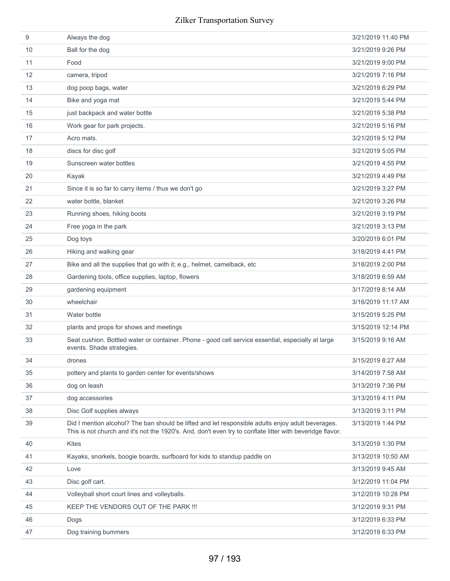| 9  | Always the dog                                                                                                                                                                                                 | 3/21/2019 11:40 PM |
|----|----------------------------------------------------------------------------------------------------------------------------------------------------------------------------------------------------------------|--------------------|
| 10 | Ball for the dog                                                                                                                                                                                               | 3/21/2019 9:26 PM  |
| 11 | Food                                                                                                                                                                                                           | 3/21/2019 9:00 PM  |
| 12 | camera, tripod                                                                                                                                                                                                 | 3/21/2019 7:16 PM  |
| 13 | dog poop bags, water                                                                                                                                                                                           | 3/21/2019 6:29 PM  |
| 14 | Bike and yoga mat                                                                                                                                                                                              | 3/21/2019 5:44 PM  |
| 15 | just backpack and water bottle                                                                                                                                                                                 | 3/21/2019 5:38 PM  |
| 16 | Work gear for park projects.                                                                                                                                                                                   | 3/21/2019 5:16 PM  |
| 17 | Acro mats.                                                                                                                                                                                                     | 3/21/2019 5:12 PM  |
| 18 | discs for disc golf                                                                                                                                                                                            | 3/21/2019 5:05 PM  |
| 19 | Sunscreen water bottles                                                                                                                                                                                        | 3/21/2019 4:55 PM  |
| 20 | Kayak                                                                                                                                                                                                          | 3/21/2019 4:49 PM  |
| 21 | Since it is so far to carry items / thus we don't go                                                                                                                                                           | 3/21/2019 3:27 PM  |
| 22 | water bottle, blanket                                                                                                                                                                                          | 3/21/2019 3:26 PM  |
| 23 | Running shoes, hiking boots                                                                                                                                                                                    | 3/21/2019 3:19 PM  |
| 24 | Free yoga in the park                                                                                                                                                                                          | 3/21/2019 3:13 PM  |
| 25 | Dog toys                                                                                                                                                                                                       | 3/20/2019 6:01 PM  |
| 26 | Hiking and walking gear                                                                                                                                                                                        | 3/18/2019 4:41 PM  |
| 27 | Bike and all the supplies that go with it; e.g., helmet, camelback, etc                                                                                                                                        | 3/18/2019 2:00 PM  |
| 28 | Gardening tools, office supplies, laptop, flowers                                                                                                                                                              | 3/18/2019 6:59 AM  |
| 29 | gardening equipment                                                                                                                                                                                            | 3/17/2019 8:14 AM  |
| 30 | wheelchair                                                                                                                                                                                                     | 3/16/2019 11:17 AM |
| 31 | Water bottle                                                                                                                                                                                                   | 3/15/2019 5:25 PM  |
| 32 | plants and props for shows and meetings                                                                                                                                                                        | 3/15/2019 12:14 PM |
| 33 | Seat cushion. Bottled water or container. Phone - good cell service essential, especially at large<br>events. Shade strategies.                                                                                | 3/15/2019 9:16 AM  |
| 34 | drones                                                                                                                                                                                                         | 3/15/2019 8:27 AM  |
| 35 | pottery and plants to garden center for events/shows                                                                                                                                                           | 3/14/2019 7:58 AM  |
| 36 | dog on leash                                                                                                                                                                                                   | 3/13/2019 7:36 PM  |
| 37 | dog accessories                                                                                                                                                                                                | 3/13/2019 4:11 PM  |
| 38 | Disc Golf supplies always                                                                                                                                                                                      | 3/13/2019 3:11 PM  |
| 39 | Did I mention alcohol? The ban should be lifted and let responsible adults enjoy adult beverages.<br>This is not church and it's not the 1920's. And, don't even try to conflate litter with beveridge flavor. | 3/13/2019 1:44 PM  |
| 40 | <b>Kites</b>                                                                                                                                                                                                   | 3/13/2019 1:30 PM  |
| 41 | Kayaks, snorkels, boogie boards, surfboard for kids to standup paddle on                                                                                                                                       | 3/13/2019 10:50 AM |
| 42 | Love                                                                                                                                                                                                           | 3/13/2019 9:45 AM  |
| 43 | Disc golf cart.                                                                                                                                                                                                | 3/12/2019 11:04 PM |
| 44 | Volleyball short court lines and volleyballs.                                                                                                                                                                  | 3/12/2019 10:28 PM |
| 45 | KEEP THE VENDORS OUT OF THE PARK !!!                                                                                                                                                                           | 3/12/2019 9:31 PM  |
| 46 | Dogs                                                                                                                                                                                                           | 3/12/2019 6:33 PM  |
| 47 | Dog training bummers                                                                                                                                                                                           | 3/12/2019 6:33 PM  |
|    |                                                                                                                                                                                                                |                    |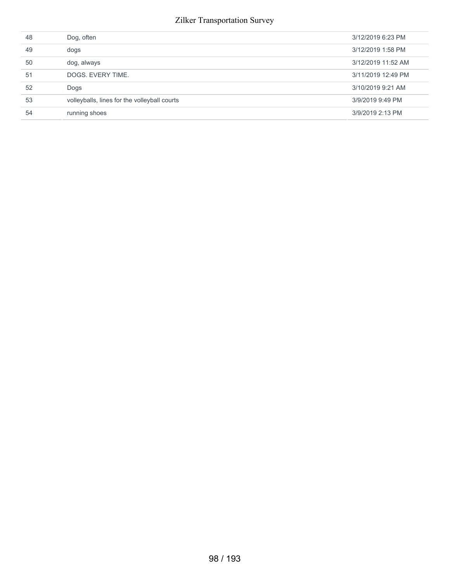| 48 | Dog, often                                   | 3/12/2019 6:23 PM  |
|----|----------------------------------------------|--------------------|
| 49 | dogs                                         | 3/12/2019 1:58 PM  |
| 50 | dog, always                                  | 3/12/2019 11:52 AM |
| 51 | DOGS, EVERY TIME.                            | 3/11/2019 12:49 PM |
| 52 | Dogs                                         | 3/10/2019 9:21 AM  |
| 53 | volleyballs, lines for the volleyball courts | 3/9/2019 9:49 PM   |
| 54 | running shoes                                | 3/9/2019 2:13 PM   |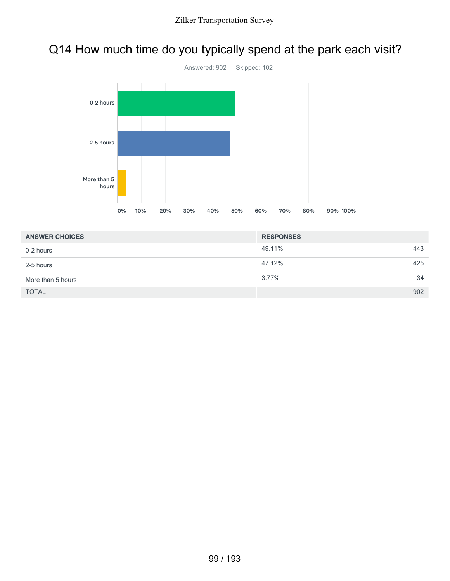# Q14 How much time do you typically spend at the park each visit?



| <b>ANSWER CHOICES</b> | <b>RESPONSES</b> |     |
|-----------------------|------------------|-----|
| 0-2 hours             | 49.11%           | 443 |
| 2-5 hours             | 47.12%           | 425 |
| More than 5 hours     | $3.77\%$         | 34  |
| <b>TOTAL</b>          |                  | 902 |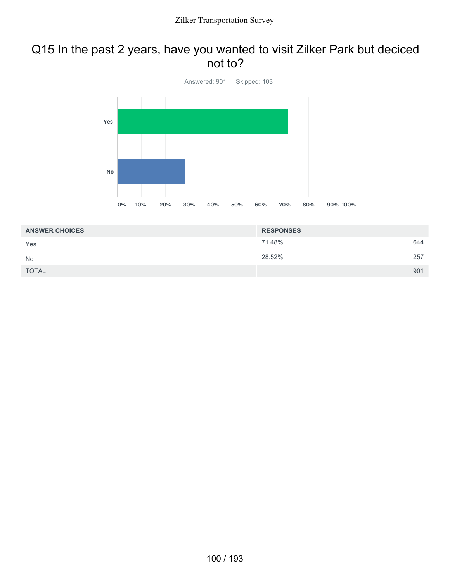## Q15 In the past 2 years, have you wanted to visit Zilker Park but deciced not to?



| <b>ANSWER CHOICES</b> | <b>RESPONSES</b> |     |
|-----------------------|------------------|-----|
| Yes                   | 71.48%           | 644 |
| <b>No</b>             | 28.52%           | 257 |
| <b>TOTAL</b>          |                  | 901 |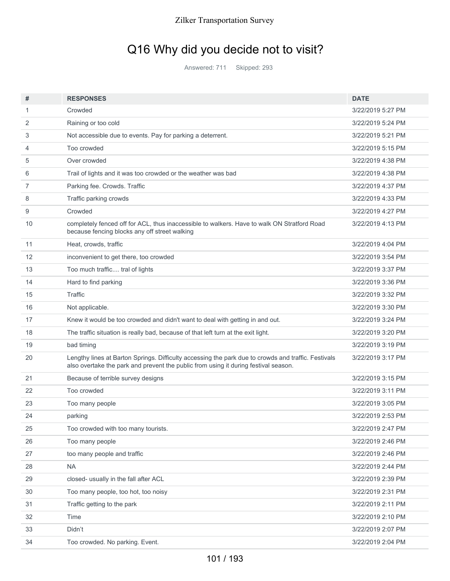# Q16 Why did you decide not to visit?

Answered: 711 Skipped: 293

| #                 | <b>RESPONSES</b>                                                                                                                                                                           | <b>DATE</b>       |
|-------------------|--------------------------------------------------------------------------------------------------------------------------------------------------------------------------------------------|-------------------|
| 1                 | Crowded                                                                                                                                                                                    | 3/22/2019 5:27 PM |
| 2                 | Raining or too cold                                                                                                                                                                        | 3/22/2019 5:24 PM |
| 3                 | Not accessible due to events. Pay for parking a deterrent.                                                                                                                                 | 3/22/2019 5:21 PM |
| 4                 | Too crowded                                                                                                                                                                                | 3/22/2019 5:15 PM |
| 5                 | Over crowded                                                                                                                                                                               | 3/22/2019 4:38 PM |
| 6                 | Trail of lights and it was too crowded or the weather was bad                                                                                                                              | 3/22/2019 4:38 PM |
| 7                 | Parking fee. Crowds. Traffic                                                                                                                                                               | 3/22/2019 4:37 PM |
| 8                 | Traffic parking crowds                                                                                                                                                                     | 3/22/2019 4:33 PM |
| 9                 | Crowded                                                                                                                                                                                    | 3/22/2019 4:27 PM |
| 10                | completely fenced off for ACL, thus inaccessible to walkers. Have to walk ON Stratford Road<br>because fencing blocks any off street walking                                               | 3/22/2019 4:13 PM |
| 11                | Heat, crowds, traffic                                                                                                                                                                      | 3/22/2019 4:04 PM |
| $12 \overline{ }$ | inconvenient to get there, too crowded                                                                                                                                                     | 3/22/2019 3:54 PM |
| 13                | Too much traffic tral of lights                                                                                                                                                            | 3/22/2019 3:37 PM |
| 14                | Hard to find parking                                                                                                                                                                       | 3/22/2019 3:36 PM |
| 15                | Traffic                                                                                                                                                                                    | 3/22/2019 3:32 PM |
| 16                | Not applicable.                                                                                                                                                                            | 3/22/2019 3:30 PM |
| 17                | Knew it would be too crowded and didn't want to deal with getting in and out.                                                                                                              | 3/22/2019 3:24 PM |
| 18                | The traffic situation is really bad, because of that left turn at the exit light.                                                                                                          | 3/22/2019 3:20 PM |
| 19                | bad timing                                                                                                                                                                                 | 3/22/2019 3:19 PM |
| 20                | Lengthy lines at Barton Springs. Difficulty accessing the park due to crowds and traffic. Festivals<br>also overtake the park and prevent the public from using it during festival season. | 3/22/2019 3:17 PM |
| 21                | Because of terrible survey designs                                                                                                                                                         | 3/22/2019 3:15 PM |
| 22                | Too crowded                                                                                                                                                                                | 3/22/2019 3:11 PM |
| 23                | Too many people                                                                                                                                                                            | 3/22/2019 3:05 PM |
| 24                | parking                                                                                                                                                                                    | 3/22/2019 2:53 PM |
| 25                | Too crowded with too many tourists.                                                                                                                                                        | 3/22/2019 2:47 PM |
| 26                | Too many people                                                                                                                                                                            | 3/22/2019 2:46 PM |
| 27                | too many people and traffic                                                                                                                                                                | 3/22/2019 2:46 PM |
| 28                | <b>NA</b>                                                                                                                                                                                  | 3/22/2019 2:44 PM |
| 29                | closed- usually in the fall after ACL                                                                                                                                                      | 3/22/2019 2:39 PM |
| 30                | Too many people, too hot, too noisy                                                                                                                                                        | 3/22/2019 2:31 PM |
| 31                | Traffic getting to the park                                                                                                                                                                | 3/22/2019 2:11 PM |
| 32                | Time                                                                                                                                                                                       | 3/22/2019 2:10 PM |
| 33                | Didn't                                                                                                                                                                                     | 3/22/2019 2:07 PM |
| 34                | Too crowded. No parking. Event.                                                                                                                                                            | 3/22/2019 2:04 PM |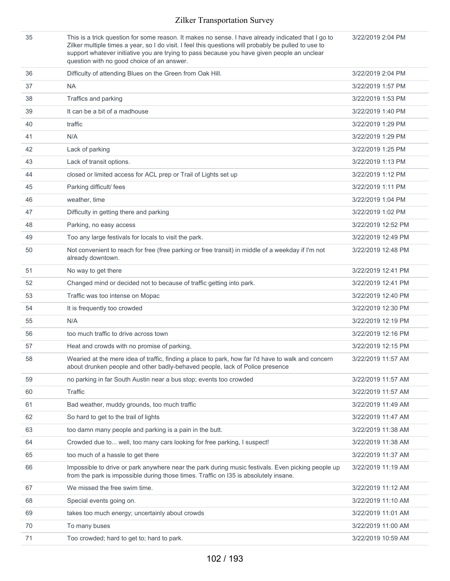| 35 | This is a trick question for some reason. It makes no sense. I have already indicated that I go to<br>Zilker multiple times a year, so I do visit. I feel this questions will probably be pulled to use to<br>support whatever initiative you are trying to pass because you have given people an unclear<br>question with no good choice of an answer. | 3/22/2019 2:04 PM  |
|----|---------------------------------------------------------------------------------------------------------------------------------------------------------------------------------------------------------------------------------------------------------------------------------------------------------------------------------------------------------|--------------------|
| 36 | Difficulty of attending Blues on the Green from Oak Hill.                                                                                                                                                                                                                                                                                               | 3/22/2019 2:04 PM  |
| 37 | <b>NA</b>                                                                                                                                                                                                                                                                                                                                               | 3/22/2019 1:57 PM  |
| 38 | Traffics and parking                                                                                                                                                                                                                                                                                                                                    | 3/22/2019 1:53 PM  |
| 39 | It can be a bit of a madhouse                                                                                                                                                                                                                                                                                                                           | 3/22/2019 1:40 PM  |
| 40 | traffic                                                                                                                                                                                                                                                                                                                                                 | 3/22/2019 1:29 PM  |
| 41 | N/A                                                                                                                                                                                                                                                                                                                                                     | 3/22/2019 1:29 PM  |
| 42 | Lack of parking                                                                                                                                                                                                                                                                                                                                         | 3/22/2019 1:25 PM  |
| 43 | Lack of transit options.                                                                                                                                                                                                                                                                                                                                | 3/22/2019 1:13 PM  |
| 44 | closed or limited access for ACL prep or Trail of Lights set up                                                                                                                                                                                                                                                                                         | 3/22/2019 1:12 PM  |
| 45 | Parking difficult/ fees                                                                                                                                                                                                                                                                                                                                 | 3/22/2019 1:11 PM  |
| 46 | weather, time                                                                                                                                                                                                                                                                                                                                           | 3/22/2019 1:04 PM  |
| 47 | Difficulty in getting there and parking                                                                                                                                                                                                                                                                                                                 | 3/22/2019 1:02 PM  |
| 48 | Parking, no easy access                                                                                                                                                                                                                                                                                                                                 | 3/22/2019 12:52 PM |
| 49 | Too any large festivals for locals to visit the park.                                                                                                                                                                                                                                                                                                   | 3/22/2019 12:49 PM |
| 50 | Not convenient to reach for free (free parking or free transit) in middle of a weekday if I'm not<br>already downtown.                                                                                                                                                                                                                                  | 3/22/2019 12:48 PM |
| 51 | No way to get there                                                                                                                                                                                                                                                                                                                                     | 3/22/2019 12:41 PM |
| 52 | Changed mind or decided not to because of traffic getting into park.                                                                                                                                                                                                                                                                                    | 3/22/2019 12:41 PM |
| 53 | Traffic was too intense on Mopac                                                                                                                                                                                                                                                                                                                        | 3/22/2019 12:40 PM |
| 54 | It is frequently too crowded                                                                                                                                                                                                                                                                                                                            | 3/22/2019 12:30 PM |
| 55 | N/A                                                                                                                                                                                                                                                                                                                                                     | 3/22/2019 12:19 PM |
| 56 | too much traffic to drive across town                                                                                                                                                                                                                                                                                                                   | 3/22/2019 12:16 PM |
| 57 | Heat and crowds with no promise of parking.                                                                                                                                                                                                                                                                                                             | 3/22/2019 12:15 PM |
| 58 | Wearied at the mere idea of traffic, finding a place to park, how far I'd have to walk and concern<br>about drunken people and other badly-behaved people, lack of Police presence                                                                                                                                                                      | 3/22/2019 11:57 AM |
| 59 | no parking in far South Austin near a bus stop; events too crowded                                                                                                                                                                                                                                                                                      | 3/22/2019 11:57 AM |
| 60 | Traffic                                                                                                                                                                                                                                                                                                                                                 | 3/22/2019 11:57 AM |
| 61 | Bad weather, muddy grounds, too much traffic                                                                                                                                                                                                                                                                                                            | 3/22/2019 11:49 AM |
| 62 | So hard to get to the trail of lights                                                                                                                                                                                                                                                                                                                   | 3/22/2019 11:47 AM |
| 63 | too damn many people and parking is a pain in the butt.                                                                                                                                                                                                                                                                                                 | 3/22/2019 11:38 AM |
| 64 | Crowded due to well, too many cars looking for free parking, I suspect!                                                                                                                                                                                                                                                                                 | 3/22/2019 11:38 AM |
| 65 | too much of a hassle to get there                                                                                                                                                                                                                                                                                                                       | 3/22/2019 11:37 AM |
| 66 | Impossible to drive or park anywhere near the park during music festivals. Even picking people up<br>from the park is impossible during those times. Traffic on I35 is absolutely insane.                                                                                                                                                               | 3/22/2019 11:19 AM |
| 67 | We missed the free swim time.                                                                                                                                                                                                                                                                                                                           | 3/22/2019 11:12 AM |
| 68 | Special events going on.                                                                                                                                                                                                                                                                                                                                | 3/22/2019 11:10 AM |
| 69 | takes too much energy; uncertainly about crowds                                                                                                                                                                                                                                                                                                         | 3/22/2019 11:01 AM |
| 70 | To many buses                                                                                                                                                                                                                                                                                                                                           | 3/22/2019 11:00 AM |
| 71 | Too crowded; hard to get to; hard to park.                                                                                                                                                                                                                                                                                                              | 3/22/2019 10:59 AM |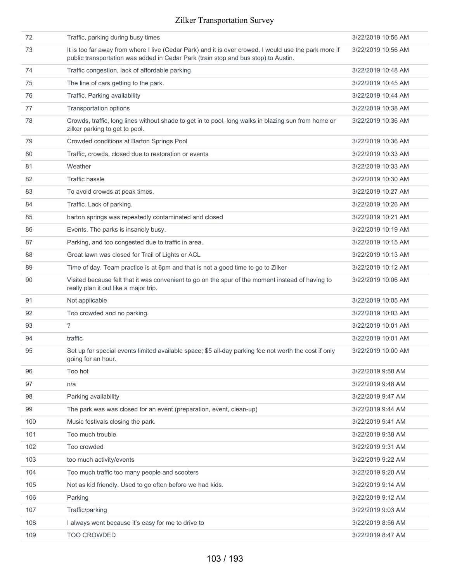| 72  | Traffic, parking during busy times                                                                                                                                                          | 3/22/2019 10:56 AM |
|-----|---------------------------------------------------------------------------------------------------------------------------------------------------------------------------------------------|--------------------|
| 73  | It is too far away from where I live (Cedar Park) and it is over crowed. I would use the park more if<br>public transportation was added in Cedar Park (train stop and bus stop) to Austin. | 3/22/2019 10:56 AM |
| 74  | Traffic congestion, lack of affordable parking                                                                                                                                              | 3/22/2019 10:48 AM |
| 75  | The line of cars getting to the park.                                                                                                                                                       | 3/22/2019 10:45 AM |
| 76  | Traffic. Parking availability                                                                                                                                                               | 3/22/2019 10:44 AM |
| 77  | Transportation options                                                                                                                                                                      | 3/22/2019 10:38 AM |
| 78  | Crowds, traffic, long lines without shade to get in to pool, long walks in blazing sun from home or<br>zilker parking to get to pool.                                                       | 3/22/2019 10:36 AM |
| 79  | Crowded conditions at Barton Springs Pool                                                                                                                                                   | 3/22/2019 10:36 AM |
| 80  | Traffic, crowds, closed due to restoration or events                                                                                                                                        | 3/22/2019 10:33 AM |
| 81  | Weather                                                                                                                                                                                     | 3/22/2019 10:33 AM |
| 82  | <b>Traffic hassle</b>                                                                                                                                                                       | 3/22/2019 10:30 AM |
| 83  | To avoid crowds at peak times.                                                                                                                                                              | 3/22/2019 10:27 AM |
| 84  | Traffic. Lack of parking.                                                                                                                                                                   | 3/22/2019 10:26 AM |
| 85  | barton springs was repeatedly contaminated and closed                                                                                                                                       | 3/22/2019 10:21 AM |
| 86  | Events. The parks is insanely busy.                                                                                                                                                         | 3/22/2019 10:19 AM |
| 87  | Parking, and too congested due to traffic in area.                                                                                                                                          | 3/22/2019 10:15 AM |
| 88  | Great lawn was closed for Trail of Lights or ACL                                                                                                                                            | 3/22/2019 10:13 AM |
| 89  | Time of day. Team practice is at 6pm and that is not a good time to go to Zilker                                                                                                            | 3/22/2019 10:12 AM |
| 90  | Visited because felt that it was convenient to go on the spur of the moment instead of having to<br>really plan it out like a major trip.                                                   | 3/22/2019 10:06 AM |
| 91  | Not applicable                                                                                                                                                                              | 3/22/2019 10:05 AM |
| 92  | Too crowded and no parking.                                                                                                                                                                 | 3/22/2019 10:03 AM |
| 93  | ?                                                                                                                                                                                           | 3/22/2019 10:01 AM |
| 94  | traffic                                                                                                                                                                                     | 3/22/2019 10:01 AM |
| 95  | Set up for special events limited available space; \$5 all-day parking fee not worth the cost if only<br>going for an hour.                                                                 | 3/22/2019 10:00 AM |
| 96  | Too hot                                                                                                                                                                                     | 3/22/2019 9:58 AM  |
| 97  | n/a                                                                                                                                                                                         | 3/22/2019 9:48 AM  |
| 98  | Parking availability                                                                                                                                                                        | 3/22/2019 9:47 AM  |
| 99  | The park was was closed for an event (preparation, event, clean-up)                                                                                                                         | 3/22/2019 9:44 AM  |
| 100 | Music festivals closing the park.                                                                                                                                                           | 3/22/2019 9:41 AM  |
| 101 | Too much trouble                                                                                                                                                                            | 3/22/2019 9:38 AM  |
| 102 | Too crowded                                                                                                                                                                                 | 3/22/2019 9:31 AM  |
| 103 | too much activity/events                                                                                                                                                                    | 3/22/2019 9:22 AM  |
| 104 | Too much traffic too many people and scooters                                                                                                                                               | 3/22/2019 9:20 AM  |
| 105 | Not as kid friendly. Used to go often before we had kids.                                                                                                                                   | 3/22/2019 9:14 AM  |
| 106 | Parking                                                                                                                                                                                     | 3/22/2019 9:12 AM  |
| 107 | Traffic/parking                                                                                                                                                                             | 3/22/2019 9:03 AM  |
| 108 | I always went because it's easy for me to drive to                                                                                                                                          | 3/22/2019 8:56 AM  |
| 109 | TOO CROWDED                                                                                                                                                                                 | 3/22/2019 8:47 AM  |
|     |                                                                                                                                                                                             |                    |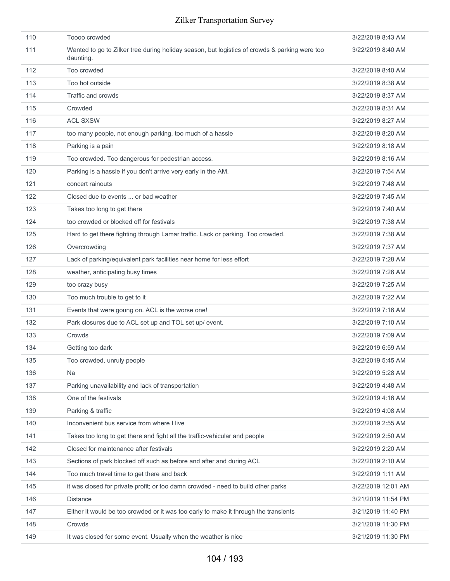| 110 | Toooo crowded                                                                                              | 3/22/2019 8:43 AM  |
|-----|------------------------------------------------------------------------------------------------------------|--------------------|
| 111 | Wanted to go to Zilker tree during holiday season, but logistics of crowds & parking were too<br>daunting. | 3/22/2019 8:40 AM  |
| 112 | Too crowded                                                                                                | 3/22/2019 8:40 AM  |
| 113 | Too hot outside                                                                                            | 3/22/2019 8:38 AM  |
| 114 | Traffic and crowds                                                                                         | 3/22/2019 8:37 AM  |
| 115 | Crowded                                                                                                    | 3/22/2019 8:31 AM  |
| 116 | <b>ACL SXSW</b>                                                                                            | 3/22/2019 8:27 AM  |
| 117 | too many people, not enough parking, too much of a hassle                                                  | 3/22/2019 8:20 AM  |
| 118 | Parking is a pain                                                                                          | 3/22/2019 8:18 AM  |
| 119 | Too crowded. Too dangerous for pedestrian access.                                                          | 3/22/2019 8:16 AM  |
| 120 | Parking is a hassle if you don't arrive very early in the AM.                                              | 3/22/2019 7:54 AM  |
| 121 | concert rainouts                                                                                           | 3/22/2019 7:48 AM  |
| 122 | Closed due to events  or bad weather                                                                       | 3/22/2019 7:45 AM  |
| 123 | Takes too long to get there                                                                                | 3/22/2019 7:40 AM  |
| 124 | too crowded or blocked off for festivals                                                                   | 3/22/2019 7:38 AM  |
| 125 | Hard to get there fighting through Lamar traffic. Lack or parking. Too crowded.                            | 3/22/2019 7:38 AM  |
| 126 | Overcrowding                                                                                               | 3/22/2019 7:37 AM  |
| 127 | Lack of parking/equivalent park facilities near home for less effort                                       | 3/22/2019 7:28 AM  |
| 128 | weather, anticipating busy times                                                                           | 3/22/2019 7:26 AM  |
| 129 | too crazy busy                                                                                             | 3/22/2019 7:25 AM  |
| 130 | Too much trouble to get to it                                                                              | 3/22/2019 7:22 AM  |
| 131 | Events that were goung on. ACL is the worse one!                                                           | 3/22/2019 7:16 AM  |
| 132 | Park closures due to ACL set up and TOL set up/ event.                                                     | 3/22/2019 7:10 AM  |
| 133 | Crowds                                                                                                     | 3/22/2019 7:09 AM  |
| 134 | Getting too dark                                                                                           | 3/22/2019 6:59 AM  |
| 135 | Too crowded, unruly people                                                                                 | 3/22/2019 5:45 AM  |
| 136 | <b>Na</b>                                                                                                  | 3/22/2019 5:28 AM  |
| 137 | Parking unavailability and lack of transportation                                                          | 3/22/2019 4:48 AM  |
| 138 | One of the festivals                                                                                       | 3/22/2019 4:16 AM  |
| 139 | Parking & traffic                                                                                          | 3/22/2019 4:08 AM  |
| 140 | Inconvenient bus service from where I live                                                                 | 3/22/2019 2:55 AM  |
| 141 | Takes too long to get there and fight all the traffic-vehicular and people                                 | 3/22/2019 2:50 AM  |
| 142 | Closed for maintenance after festivals                                                                     | 3/22/2019 2:20 AM  |
| 143 | Sections of park blocked off such as before and after and during ACL                                       | 3/22/2019 2:10 AM  |
| 144 | Too much travel time to get there and back                                                                 | 3/22/2019 1:11 AM  |
| 145 | it was closed for private profit; or too damn crowded - need to build other parks                          | 3/22/2019 12:01 AM |
| 146 | <b>Distance</b>                                                                                            | 3/21/2019 11:54 PM |
| 147 | Either it would be too crowded or it was too early to make it through the transients                       | 3/21/2019 11:40 PM |
| 148 | Crowds                                                                                                     | 3/21/2019 11:30 PM |
| 149 | It was closed for some event. Usually when the weather is nice                                             | 3/21/2019 11:30 PM |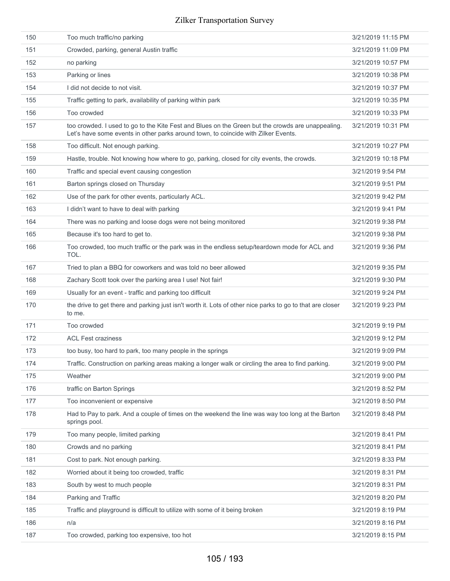| 150 | Too much traffic/no parking                                                                                                                                                             | 3/21/2019 11:15 PM |
|-----|-----------------------------------------------------------------------------------------------------------------------------------------------------------------------------------------|--------------------|
| 151 | Crowded, parking, general Austin traffic                                                                                                                                                | 3/21/2019 11:09 PM |
| 152 | no parking                                                                                                                                                                              | 3/21/2019 10:57 PM |
| 153 | Parking or lines                                                                                                                                                                        | 3/21/2019 10:38 PM |
| 154 | I did not decide to not visit.                                                                                                                                                          | 3/21/2019 10:37 PM |
| 155 | Traffic getting to park, availability of parking within park                                                                                                                            | 3/21/2019 10:35 PM |
| 156 | Too crowded                                                                                                                                                                             | 3/21/2019 10:33 PM |
| 157 | too crowded. I used to go to the Kite Fest and Blues on the Green but the crowds are unappealing.<br>Let's have some events in other parks around town, to coincide with Zilker Events. | 3/21/2019 10:31 PM |
| 158 | Too difficult. Not enough parking.                                                                                                                                                      | 3/21/2019 10:27 PM |
| 159 | Hastle, trouble. Not knowing how where to go, parking, closed for city events, the crowds.                                                                                              | 3/21/2019 10:18 PM |
| 160 | Traffic and special event causing congestion                                                                                                                                            | 3/21/2019 9:54 PM  |
| 161 | Barton springs closed on Thursday                                                                                                                                                       | 3/21/2019 9:51 PM  |
| 162 | Use of the park for other events, particularly ACL.                                                                                                                                     | 3/21/2019 9:42 PM  |
| 163 | I didn't want to have to deal with parking                                                                                                                                              | 3/21/2019 9:41 PM  |
| 164 | There was no parking and loose dogs were not being monitored                                                                                                                            | 3/21/2019 9:38 PM  |
| 165 | Because it's too hard to get to.                                                                                                                                                        | 3/21/2019 9:38 PM  |
| 166 | Too crowded, too much traffic or the park was in the endless setup/teardown mode for ACL and<br>TOL.                                                                                    | 3/21/2019 9:36 PM  |
| 167 | Tried to plan a BBQ for coworkers and was told no beer allowed                                                                                                                          | 3/21/2019 9:35 PM  |
| 168 | Zachary Scott took over the parking area I use! Not fair!                                                                                                                               | 3/21/2019 9:30 PM  |
| 169 | Usually for an event - traffic and parking too difficult                                                                                                                                | 3/21/2019 9:24 PM  |
| 170 | the drive to get there and parking just isn't worth it. Lots of other nice parks to go to that are closer<br>to me.                                                                     | 3/21/2019 9:23 PM  |
| 171 | Too crowded                                                                                                                                                                             | 3/21/2019 9:19 PM  |
| 172 | <b>ACL Fest craziness</b>                                                                                                                                                               | 3/21/2019 9:12 PM  |
| 173 | too busy, too hard to park, too many people in the springs                                                                                                                              | 3/21/2019 9:09 PM  |
| 174 | Traffic. Construction on parking areas making a longer walk or circling the area to find parking.                                                                                       | 3/21/2019 9:00 PM  |
| 175 | Weather                                                                                                                                                                                 | 3/21/2019 9:00 PM  |
| 176 | traffic on Barton Springs                                                                                                                                                               | 3/21/2019 8:52 PM  |
| 177 | Too inconvenient or expensive                                                                                                                                                           | 3/21/2019 8:50 PM  |
| 178 | Had to Pay to park. And a couple of times on the weekend the line was way too long at the Barton<br>springs pool.                                                                       | 3/21/2019 8:48 PM  |
| 179 | Too many people, limited parking                                                                                                                                                        | 3/21/2019 8:41 PM  |
| 180 | Crowds and no parking                                                                                                                                                                   | 3/21/2019 8:41 PM  |
| 181 | Cost to park. Not enough parking.                                                                                                                                                       | 3/21/2019 8:33 PM  |
| 182 | Worried about it being too crowded, traffic                                                                                                                                             | 3/21/2019 8:31 PM  |
| 183 | South by west to much people                                                                                                                                                            | 3/21/2019 8:31 PM  |
| 184 | Parking and Traffic                                                                                                                                                                     | 3/21/2019 8:20 PM  |
| 185 | Traffic and playground is difficult to utilize with some of it being broken                                                                                                             | 3/21/2019 8:19 PM  |
| 186 | n/a                                                                                                                                                                                     | 3/21/2019 8:16 PM  |
| 187 | Too crowded, parking too expensive, too hot                                                                                                                                             | 3/21/2019 8:15 PM  |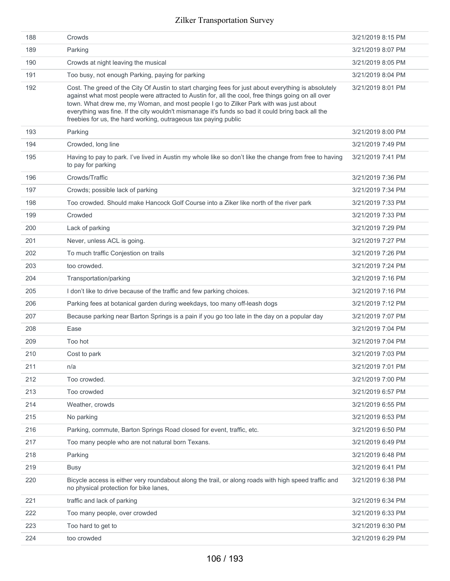| 188 | Crowds                                                                                                                                                                                                                                                                                                                                                                                                                                                                      | 3/21/2019 8:15 PM |
|-----|-----------------------------------------------------------------------------------------------------------------------------------------------------------------------------------------------------------------------------------------------------------------------------------------------------------------------------------------------------------------------------------------------------------------------------------------------------------------------------|-------------------|
| 189 | Parking                                                                                                                                                                                                                                                                                                                                                                                                                                                                     | 3/21/2019 8:07 PM |
| 190 | Crowds at night leaving the musical                                                                                                                                                                                                                                                                                                                                                                                                                                         | 3/21/2019 8:05 PM |
| 191 | Too busy, not enough Parking, paying for parking                                                                                                                                                                                                                                                                                                                                                                                                                            | 3/21/2019 8:04 PM |
| 192 | Cost. The greed of the City Of Austin to start charging fees for just about everything is absolutely<br>against what most people were attracted to Austin for, all the cool, free things going on all over<br>town. What drew me, my Woman, and most people I go to Zilker Park with was just about<br>everything was fine. If the city wouldn't mismanage it's funds so bad it could bring back all the<br>freebies for us, the hard working, outrageous tax paying public | 3/21/2019 8:01 PM |
| 193 | Parking                                                                                                                                                                                                                                                                                                                                                                                                                                                                     | 3/21/2019 8:00 PM |
| 194 | Crowded, long line                                                                                                                                                                                                                                                                                                                                                                                                                                                          | 3/21/2019 7:49 PM |
| 195 | Having to pay to park. I've lived in Austin my whole like so don't like the change from free to having<br>to pay for parking                                                                                                                                                                                                                                                                                                                                                | 3/21/2019 7:41 PM |
| 196 | Crowds/Traffic                                                                                                                                                                                                                                                                                                                                                                                                                                                              | 3/21/2019 7:36 PM |
| 197 | Crowds; possible lack of parking                                                                                                                                                                                                                                                                                                                                                                                                                                            | 3/21/2019 7:34 PM |
| 198 | Too crowded. Should make Hancock Golf Course into a Ziker like north of the river park                                                                                                                                                                                                                                                                                                                                                                                      | 3/21/2019 7:33 PM |
| 199 | Crowded                                                                                                                                                                                                                                                                                                                                                                                                                                                                     | 3/21/2019 7:33 PM |
| 200 | Lack of parking                                                                                                                                                                                                                                                                                                                                                                                                                                                             | 3/21/2019 7:29 PM |
| 201 | Never, unless ACL is going.                                                                                                                                                                                                                                                                                                                                                                                                                                                 | 3/21/2019 7:27 PM |
| 202 | To much traffic Conjestion on trails                                                                                                                                                                                                                                                                                                                                                                                                                                        | 3/21/2019 7:26 PM |
| 203 | too crowded.                                                                                                                                                                                                                                                                                                                                                                                                                                                                | 3/21/2019 7:24 PM |
| 204 | Transportation/parking                                                                                                                                                                                                                                                                                                                                                                                                                                                      | 3/21/2019 7:16 PM |
| 205 | I don't like to drive because of the traffic and few parking choices.                                                                                                                                                                                                                                                                                                                                                                                                       | 3/21/2019 7:16 PM |
| 206 | Parking fees at botanical garden during weekdays, too many off-leash dogs                                                                                                                                                                                                                                                                                                                                                                                                   | 3/21/2019 7:12 PM |
| 207 | Because parking near Barton Springs is a pain if you go too late in the day on a popular day                                                                                                                                                                                                                                                                                                                                                                                | 3/21/2019 7:07 PM |
| 208 | Ease                                                                                                                                                                                                                                                                                                                                                                                                                                                                        | 3/21/2019 7:04 PM |
| 209 | Too hot                                                                                                                                                                                                                                                                                                                                                                                                                                                                     | 3/21/2019 7:04 PM |
| 210 | Cost to park                                                                                                                                                                                                                                                                                                                                                                                                                                                                | 3/21/2019 7:03 PM |
| 211 | n/a                                                                                                                                                                                                                                                                                                                                                                                                                                                                         | 3/21/2019 7:01 PM |
| 212 | Too crowded.                                                                                                                                                                                                                                                                                                                                                                                                                                                                | 3/21/2019 7:00 PM |
| 213 | Too crowded                                                                                                                                                                                                                                                                                                                                                                                                                                                                 | 3/21/2019 6:57 PM |
| 214 | Weather, crowds                                                                                                                                                                                                                                                                                                                                                                                                                                                             | 3/21/2019 6:55 PM |
| 215 | No parking                                                                                                                                                                                                                                                                                                                                                                                                                                                                  | 3/21/2019 6:53 PM |
| 216 | Parking, commute, Barton Springs Road closed for event, traffic, etc.                                                                                                                                                                                                                                                                                                                                                                                                       | 3/21/2019 6:50 PM |
| 217 | Too many people who are not natural born Texans.                                                                                                                                                                                                                                                                                                                                                                                                                            | 3/21/2019 6:49 PM |
| 218 | Parking                                                                                                                                                                                                                                                                                                                                                                                                                                                                     | 3/21/2019 6:48 PM |
| 219 | <b>Busy</b>                                                                                                                                                                                                                                                                                                                                                                                                                                                                 | 3/21/2019 6:41 PM |
| 220 | Bicycle access is either very roundabout along the trail, or along roads with high speed traffic and<br>no physical protection for bike lanes,                                                                                                                                                                                                                                                                                                                              | 3/21/2019 6:38 PM |
| 221 | traffic and lack of parking                                                                                                                                                                                                                                                                                                                                                                                                                                                 | 3/21/2019 6:34 PM |
| 222 | Too many people, over crowded                                                                                                                                                                                                                                                                                                                                                                                                                                               | 3/21/2019 6:33 PM |
| 223 | Too hard to get to                                                                                                                                                                                                                                                                                                                                                                                                                                                          | 3/21/2019 6:30 PM |
| 224 | too crowded                                                                                                                                                                                                                                                                                                                                                                                                                                                                 | 3/21/2019 6:29 PM |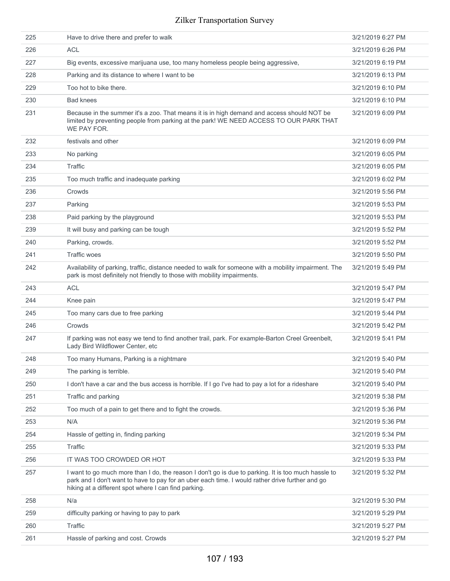| 225 | Have to drive there and prefer to walk                                                                                                                                                                                                                         | 3/21/2019 6:27 PM |
|-----|----------------------------------------------------------------------------------------------------------------------------------------------------------------------------------------------------------------------------------------------------------------|-------------------|
| 226 | <b>ACL</b>                                                                                                                                                                                                                                                     | 3/21/2019 6:26 PM |
| 227 | Big events, excessive marijuana use, too many homeless people being aggressive,                                                                                                                                                                                | 3/21/2019 6:19 PM |
| 228 | Parking and its distance to where I want to be                                                                                                                                                                                                                 | 3/21/2019 6:13 PM |
| 229 | Too hot to bike there.                                                                                                                                                                                                                                         | 3/21/2019 6:10 PM |
| 230 | <b>Bad knees</b>                                                                                                                                                                                                                                               | 3/21/2019 6:10 PM |
| 231 | Because in the summer it's a zoo. That means it is in high demand and access should NOT be<br>limited by preventing people from parking at the park! WE NEED ACCESS TO OUR PARK THAT<br>WE PAY FOR.                                                            | 3/21/2019 6:09 PM |
| 232 | festivals and other                                                                                                                                                                                                                                            | 3/21/2019 6:09 PM |
| 233 | No parking                                                                                                                                                                                                                                                     | 3/21/2019 6:05 PM |
| 234 | Traffic                                                                                                                                                                                                                                                        | 3/21/2019 6:05 PM |
| 235 | Too much traffic and inadequate parking                                                                                                                                                                                                                        | 3/21/2019 6:02 PM |
| 236 | Crowds                                                                                                                                                                                                                                                         | 3/21/2019 5:56 PM |
| 237 | Parking                                                                                                                                                                                                                                                        | 3/21/2019 5:53 PM |
| 238 | Paid parking by the playground                                                                                                                                                                                                                                 | 3/21/2019 5:53 PM |
| 239 | It will busy and parking can be tough                                                                                                                                                                                                                          | 3/21/2019 5:52 PM |
| 240 | Parking, crowds.                                                                                                                                                                                                                                               | 3/21/2019 5:52 PM |
| 241 | <b>Traffic woes</b>                                                                                                                                                                                                                                            | 3/21/2019 5:50 PM |
| 242 | Availability of parking, traffic, distance needed to walk for someone with a mobility impairment. The<br>park is most definitely not friendly to those with mobility impairments.                                                                              | 3/21/2019 5:49 PM |
| 243 | <b>ACL</b>                                                                                                                                                                                                                                                     | 3/21/2019 5:47 PM |
| 244 | Knee pain                                                                                                                                                                                                                                                      | 3/21/2019 5:47 PM |
| 245 | Too many cars due to free parking                                                                                                                                                                                                                              | 3/21/2019 5:44 PM |
| 246 | Crowds                                                                                                                                                                                                                                                         | 3/21/2019 5:42 PM |
| 247 | If parking was not easy we tend to find another trail, park. For example-Barton Creel Greenbelt,<br>Lady Bird Wildflower Center, etc                                                                                                                           | 3/21/2019 5:41 PM |
| 248 | Too many Humans, Parking is a nightmare                                                                                                                                                                                                                        | 3/21/2019 5:40 PM |
| 249 | The parking is terrible.                                                                                                                                                                                                                                       | 3/21/2019 5:40 PM |
| 250 | I don't have a car and the bus access is horrible. If I go I've had to pay a lot for a rideshare                                                                                                                                                               | 3/21/2019 5:40 PM |
| 251 | Traffic and parking                                                                                                                                                                                                                                            | 3/21/2019 5:38 PM |
| 252 | Too much of a pain to get there and to fight the crowds.                                                                                                                                                                                                       | 3/21/2019 5:36 PM |
| 253 | N/A                                                                                                                                                                                                                                                            | 3/21/2019 5:36 PM |
| 254 | Hassle of getting in, finding parking                                                                                                                                                                                                                          | 3/21/2019 5:34 PM |
| 255 | <b>Traffic</b>                                                                                                                                                                                                                                                 | 3/21/2019 5:33 PM |
| 256 | IT WAS TOO CROWDED OR HOT                                                                                                                                                                                                                                      | 3/21/2019 5:33 PM |
| 257 | I want to go much more than I do, the reason I don't go is due to parking. It is too much hassle to<br>park and I don't want to have to pay for an uber each time. I would rather drive further and go<br>hiking at a different spot where I can find parking. | 3/21/2019 5:32 PM |
| 258 | N/a                                                                                                                                                                                                                                                            | 3/21/2019 5:30 PM |
| 259 | difficulty parking or having to pay to park                                                                                                                                                                                                                    | 3/21/2019 5:29 PM |
| 260 | <b>Traffic</b>                                                                                                                                                                                                                                                 | 3/21/2019 5:27 PM |
| 261 | Hassle of parking and cost. Crowds                                                                                                                                                                                                                             | 3/21/2019 5:27 PM |
|     |                                                                                                                                                                                                                                                                |                   |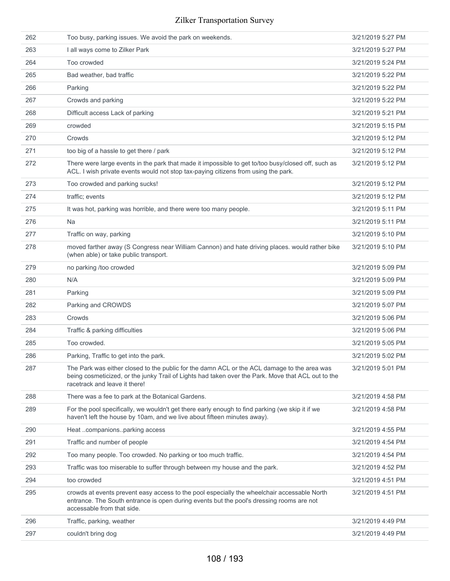| 262 | Too busy, parking issues. We avoid the park on weekends.                                                                                                                                                                           | 3/21/2019 5:27 PM |
|-----|------------------------------------------------------------------------------------------------------------------------------------------------------------------------------------------------------------------------------------|-------------------|
| 263 | I all ways come to Zilker Park                                                                                                                                                                                                     | 3/21/2019 5:27 PM |
| 264 | Too crowded                                                                                                                                                                                                                        | 3/21/2019 5:24 PM |
| 265 | Bad weather, bad traffic                                                                                                                                                                                                           | 3/21/2019 5:22 PM |
| 266 | Parking                                                                                                                                                                                                                            | 3/21/2019 5:22 PM |
| 267 | Crowds and parking                                                                                                                                                                                                                 | 3/21/2019 5:22 PM |
| 268 | Difficult access Lack of parking                                                                                                                                                                                                   | 3/21/2019 5:21 PM |
| 269 | crowded                                                                                                                                                                                                                            | 3/21/2019 5:15 PM |
| 270 | Crowds                                                                                                                                                                                                                             | 3/21/2019 5:12 PM |
| 271 | too big of a hassle to get there / park                                                                                                                                                                                            | 3/21/2019 5:12 PM |
| 272 | There were large events in the park that made it impossible to get to/too busy/closed off, such as<br>ACL. I wish private events would not stop tax-paying citizens from using the park.                                           | 3/21/2019 5:12 PM |
| 273 | Too crowded and parking sucks!                                                                                                                                                                                                     | 3/21/2019 5:12 PM |
| 274 | traffic; events                                                                                                                                                                                                                    | 3/21/2019 5:12 PM |
| 275 | It was hot, parking was horrible, and there were too many people.                                                                                                                                                                  | 3/21/2019 5:11 PM |
| 276 | <b>Na</b>                                                                                                                                                                                                                          | 3/21/2019 5:11 PM |
| 277 | Traffic on way, parking                                                                                                                                                                                                            | 3/21/2019 5:10 PM |
| 278 | moved farther away (S Congress near William Cannon) and hate driving places. would rather bike<br>(when able) or take public transport.                                                                                            | 3/21/2019 5:10 PM |
| 279 | no parking /too crowded                                                                                                                                                                                                            | 3/21/2019 5:09 PM |
| 280 | N/A                                                                                                                                                                                                                                | 3/21/2019 5:09 PM |
| 281 | Parking                                                                                                                                                                                                                            | 3/21/2019 5:09 PM |
| 282 | Parking and CROWDS                                                                                                                                                                                                                 | 3/21/2019 5:07 PM |
| 283 | Crowds                                                                                                                                                                                                                             | 3/21/2019 5:06 PM |
| 284 | Traffic & parking difficulties                                                                                                                                                                                                     | 3/21/2019 5:06 PM |
| 285 | Too crowded.                                                                                                                                                                                                                       | 3/21/2019 5:05 PM |
| 286 | Parking, Traffic to get into the park.                                                                                                                                                                                             | 3/21/2019 5:02 PM |
| 287 | The Park was either closed to the public for the damn ACL or the ACL damage to the area was<br>being cosmeticized, or the junky Trail of Lights had taken over the Park. Move that ACL out to the<br>racetrack and leave it there! | 3/21/2019 5:01 PM |
| 288 | There was a fee to park at the Botanical Gardens.                                                                                                                                                                                  | 3/21/2019 4:58 PM |
| 289 | For the pool specifically, we wouldn't get there early enough to find parking (we skip it if we<br>haven't left the house by 10am, and we live about fifteen minutes away).                                                        | 3/21/2019 4:58 PM |
| 290 | Heat companionsparking access                                                                                                                                                                                                      | 3/21/2019 4:55 PM |
| 291 | Traffic and number of people                                                                                                                                                                                                       | 3/21/2019 4:54 PM |
| 292 | Too many people. Too crowded. No parking or too much traffic.                                                                                                                                                                      | 3/21/2019 4:54 PM |
| 293 | Traffic was too miserable to suffer through between my house and the park.                                                                                                                                                         | 3/21/2019 4:52 PM |
| 294 | too crowded                                                                                                                                                                                                                        | 3/21/2019 4:51 PM |
| 295 | crowds at events prevent easy access to the pool especially the wheelchair accessable North<br>entrance. The South entrance is open during events but the pool's dressing rooms are not<br>accessable from that side.              | 3/21/2019 4:51 PM |
| 296 | Traffic, parking, weather                                                                                                                                                                                                          | 3/21/2019 4:49 PM |
| 297 | couldn't bring dog                                                                                                                                                                                                                 | 3/21/2019 4:49 PM |
|     |                                                                                                                                                                                                                                    |                   |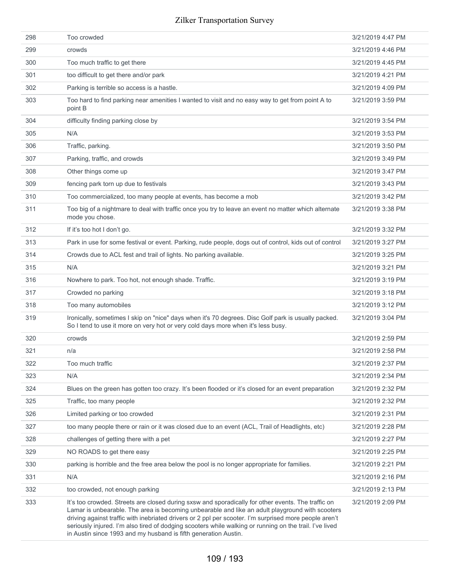| 298 | Too crowded                                                                                                                                                                                                                                                                                                                                                                                                                                                                                   | 3/21/2019 4:47 PM |
|-----|-----------------------------------------------------------------------------------------------------------------------------------------------------------------------------------------------------------------------------------------------------------------------------------------------------------------------------------------------------------------------------------------------------------------------------------------------------------------------------------------------|-------------------|
| 299 | crowds                                                                                                                                                                                                                                                                                                                                                                                                                                                                                        | 3/21/2019 4:46 PM |
| 300 | Too much traffic to get there                                                                                                                                                                                                                                                                                                                                                                                                                                                                 | 3/21/2019 4:45 PM |
| 301 | too difficult to get there and/or park                                                                                                                                                                                                                                                                                                                                                                                                                                                        | 3/21/2019 4:21 PM |
| 302 | Parking is terrible so access is a hastle.                                                                                                                                                                                                                                                                                                                                                                                                                                                    | 3/21/2019 4:09 PM |
| 303 | Too hard to find parking near amenities I wanted to visit and no easy way to get from point A to<br>point B                                                                                                                                                                                                                                                                                                                                                                                   | 3/21/2019 3:59 PM |
| 304 | difficulty finding parking close by                                                                                                                                                                                                                                                                                                                                                                                                                                                           | 3/21/2019 3:54 PM |
| 305 | N/A                                                                                                                                                                                                                                                                                                                                                                                                                                                                                           | 3/21/2019 3:53 PM |
| 306 | Traffic, parking.                                                                                                                                                                                                                                                                                                                                                                                                                                                                             | 3/21/2019 3:50 PM |
| 307 | Parking, traffic, and crowds                                                                                                                                                                                                                                                                                                                                                                                                                                                                  | 3/21/2019 3:49 PM |
| 308 | Other things come up                                                                                                                                                                                                                                                                                                                                                                                                                                                                          | 3/21/2019 3:47 PM |
| 309 | fencing park torn up due to festivals                                                                                                                                                                                                                                                                                                                                                                                                                                                         | 3/21/2019 3:43 PM |
| 310 | Too commercialized, too many people at events, has become a mob                                                                                                                                                                                                                                                                                                                                                                                                                               | 3/21/2019 3:42 PM |
| 311 | Too big of a nightmare to deal with traffic once you try to leave an event no matter which alternate<br>mode you chose.                                                                                                                                                                                                                                                                                                                                                                       | 3/21/2019 3:38 PM |
| 312 | If it's too hot I don't go.                                                                                                                                                                                                                                                                                                                                                                                                                                                                   | 3/21/2019 3:32 PM |
| 313 | Park in use for some festival or event. Parking, rude people, dogs out of control, kids out of control                                                                                                                                                                                                                                                                                                                                                                                        | 3/21/2019 3:27 PM |
| 314 | Crowds due to ACL fest and trail of lights. No parking available.                                                                                                                                                                                                                                                                                                                                                                                                                             | 3/21/2019 3:25 PM |
| 315 | N/A                                                                                                                                                                                                                                                                                                                                                                                                                                                                                           | 3/21/2019 3:21 PM |
| 316 | Nowhere to park. Too hot, not enough shade. Traffic.                                                                                                                                                                                                                                                                                                                                                                                                                                          | 3/21/2019 3:19 PM |
| 317 | Crowded no parking                                                                                                                                                                                                                                                                                                                                                                                                                                                                            | 3/21/2019 3:18 PM |
| 318 | Too many automobiles                                                                                                                                                                                                                                                                                                                                                                                                                                                                          | 3/21/2019 3:12 PM |
| 319 | Ironically, sometimes I skip on "nice" days when it's 70 degrees. Disc Golf park is usually packed.<br>So I tend to use it more on very hot or very cold days more when it's less busy.                                                                                                                                                                                                                                                                                                       | 3/21/2019 3:04 PM |
| 320 | crowds                                                                                                                                                                                                                                                                                                                                                                                                                                                                                        | 3/21/2019 2:59 PM |
| 321 | n/a                                                                                                                                                                                                                                                                                                                                                                                                                                                                                           | 3/21/2019 2:58 PM |
| 322 | Too much traffic                                                                                                                                                                                                                                                                                                                                                                                                                                                                              | 3/21/2019 2:37 PM |
| 323 | N/A                                                                                                                                                                                                                                                                                                                                                                                                                                                                                           | 3/21/2019 2:34 PM |
| 324 | Blues on the green has gotten too crazy. It's been flooded or it's closed for an event preparation                                                                                                                                                                                                                                                                                                                                                                                            | 3/21/2019 2:32 PM |
| 325 | Traffic, too many people                                                                                                                                                                                                                                                                                                                                                                                                                                                                      | 3/21/2019 2:32 PM |
| 326 | Limited parking or too crowded                                                                                                                                                                                                                                                                                                                                                                                                                                                                | 3/21/2019 2:31 PM |
| 327 | too many people there or rain or it was closed due to an event (ACL, Trail of Headlights, etc)                                                                                                                                                                                                                                                                                                                                                                                                | 3/21/2019 2:28 PM |
| 328 | challenges of getting there with a pet                                                                                                                                                                                                                                                                                                                                                                                                                                                        | 3/21/2019 2:27 PM |
| 329 | NO ROADS to get there easy                                                                                                                                                                                                                                                                                                                                                                                                                                                                    | 3/21/2019 2:25 PM |
| 330 | parking is horrible and the free area below the pool is no longer appropriate for families.                                                                                                                                                                                                                                                                                                                                                                                                   | 3/21/2019 2:21 PM |
| 331 | N/A                                                                                                                                                                                                                                                                                                                                                                                                                                                                                           | 3/21/2019 2:16 PM |
| 332 | too crowded, not enough parking                                                                                                                                                                                                                                                                                                                                                                                                                                                               | 3/21/2019 2:13 PM |
| 333 | It's too crowded. Streets are closed during sxsw and sporadically for other events. The traffic on<br>Lamar is unbearable. The area is becoming unbearable and like an adult playground with scooters<br>driving against traffic with inebriated drivers or 2 ppl per scooter. I'm surprised more people aren't<br>seriously injured. I'm also tired of dodging scooters while walking or running on the trail. I've lived<br>in Austin since 1993 and my husband is fifth generation Austin. | 3/21/2019 2:09 PM |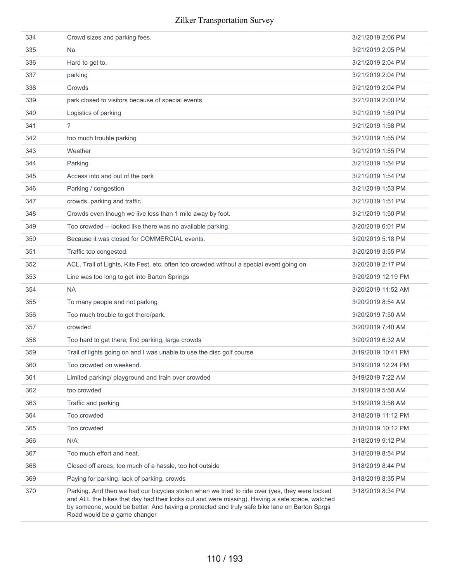| 334 | Crowd sizes and parking fees.                                                                                                                                                                                                                                                                                                    | 3/21/2019 2:06 PM  |
|-----|----------------------------------------------------------------------------------------------------------------------------------------------------------------------------------------------------------------------------------------------------------------------------------------------------------------------------------|--------------------|
| 335 | <b>Na</b>                                                                                                                                                                                                                                                                                                                        | 3/21/2019 2:05 PM  |
| 336 | Hard to get to.                                                                                                                                                                                                                                                                                                                  | 3/21/2019 2:04 PM  |
| 337 | parking                                                                                                                                                                                                                                                                                                                          | 3/21/2019 2:04 PM  |
| 338 | Crowds                                                                                                                                                                                                                                                                                                                           | 3/21/2019 2:04 PM  |
| 339 | park closed to visitors because of special events                                                                                                                                                                                                                                                                                | 3/21/2019 2:00 PM  |
| 340 | Logistics of parking                                                                                                                                                                                                                                                                                                             | 3/21/2019 1:59 PM  |
| 341 | ?                                                                                                                                                                                                                                                                                                                                | 3/21/2019 1:58 PM  |
| 342 | too much trouble parking                                                                                                                                                                                                                                                                                                         | 3/21/2019 1:55 PM  |
| 343 | Weather                                                                                                                                                                                                                                                                                                                          | 3/21/2019 1:55 PM  |
| 344 | Parking                                                                                                                                                                                                                                                                                                                          | 3/21/2019 1:54 PM  |
| 345 | Access into and out of the park                                                                                                                                                                                                                                                                                                  | 3/21/2019 1:54 PM  |
| 346 | Parking / congestion                                                                                                                                                                                                                                                                                                             | 3/21/2019 1:53 PM  |
| 347 | crowds, parking and traffic                                                                                                                                                                                                                                                                                                      | 3/21/2019 1:51 PM  |
| 348 | Crowds even though we live less than 1 mile away by foot.                                                                                                                                                                                                                                                                        | 3/21/2019 1:50 PM  |
| 349 | Too crowded -- looked like there was no available parking.                                                                                                                                                                                                                                                                       | 3/20/2019 6:01 PM  |
| 350 | Because it was closed for COMMERCIAL events.                                                                                                                                                                                                                                                                                     | 3/20/2019 5:18 PM  |
| 351 | Traffic too congested.                                                                                                                                                                                                                                                                                                           | 3/20/2019 3:55 PM  |
| 352 | ACL, Trail of Lights, Kite Fest, etc. often too crowded without a special event going on                                                                                                                                                                                                                                         | 3/20/2019 2:17 PM  |
| 353 | Line was too long to get into Barton Springs                                                                                                                                                                                                                                                                                     | 3/20/2019 12:19 PM |
| 354 | <b>NA</b>                                                                                                                                                                                                                                                                                                                        | 3/20/2019 11:52 AM |
| 355 | To many people and not parking                                                                                                                                                                                                                                                                                                   | 3/20/2019 8:54 AM  |
| 356 | Too much trouble to get there/park.                                                                                                                                                                                                                                                                                              | 3/20/2019 7:50 AM  |
| 357 | crowded                                                                                                                                                                                                                                                                                                                          | 3/20/2019 7:40 AM  |
| 358 | Too hard to get there, find parking, large crowds                                                                                                                                                                                                                                                                                | 3/20/2019 6:32 AM  |
| 359 | Trail of lights going on and I was unable to use the disc golf course                                                                                                                                                                                                                                                            | 3/19/2019 10:41 PM |
| 360 | Too crowded on weekend.                                                                                                                                                                                                                                                                                                          | 3/19/2019 12:24 PM |
| 361 | Limited parking/ playground and train over crowded                                                                                                                                                                                                                                                                               | 3/19/2019 7:22 AM  |
| 362 | too crowded                                                                                                                                                                                                                                                                                                                      | 3/19/2019 5:50 AM  |
| 363 | Traffic and parking                                                                                                                                                                                                                                                                                                              | 3/19/2019 3:56 AM  |
| 364 | Too crowded                                                                                                                                                                                                                                                                                                                      | 3/18/2019 11:12 PM |
| 365 | Too crowded                                                                                                                                                                                                                                                                                                                      | 3/18/2019 10:12 PM |
| 366 | N/A                                                                                                                                                                                                                                                                                                                              | 3/18/2019 9:12 PM  |
| 367 | Too much effort and heat.                                                                                                                                                                                                                                                                                                        | 3/18/2019 8:54 PM  |
| 368 | Closed off areas, too much of a hassle, too hot outside                                                                                                                                                                                                                                                                          | 3/18/2019 8:44 PM  |
| 369 | Paying for parking, lack of parking, crowds                                                                                                                                                                                                                                                                                      | 3/18/2019 8:35 PM  |
| 370 | Parking. And then we had our bicycles stolen when we tried to ride over (yes, they were locked<br>and ALL the bikes that day had their locks cut and were missing). Having a safe space, watched<br>by someone, would be better. And having a protected and truly safe bike lane on Barton Sprgs<br>Road would be a game changer | 3/18/2019 8:34 PM  |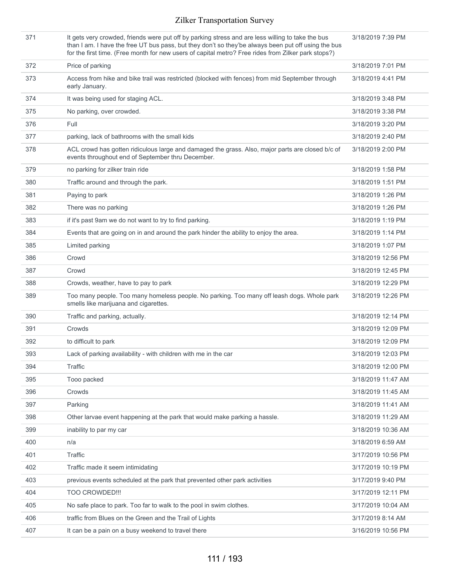| 371 | It gets very crowded, friends were put off by parking stress and are less willing to take the bus<br>than I am. I have the free UT bus pass, but they don't so they'be always been put off using the bus<br>for the first time. (Free month for new users of capital metro? Free rides from Zilker park stops?) | 3/18/2019 7:39 PM  |
|-----|-----------------------------------------------------------------------------------------------------------------------------------------------------------------------------------------------------------------------------------------------------------------------------------------------------------------|--------------------|
| 372 | Price of parking                                                                                                                                                                                                                                                                                                | 3/18/2019 7:01 PM  |
| 373 | Access from hike and bike trail was restricted (blocked with fences) from mid September through<br>early January.                                                                                                                                                                                               | 3/18/2019 4:41 PM  |
| 374 | It was being used for staging ACL.                                                                                                                                                                                                                                                                              | 3/18/2019 3:48 PM  |
| 375 | No parking, over crowded.                                                                                                                                                                                                                                                                                       | 3/18/2019 3:38 PM  |
| 376 | Full                                                                                                                                                                                                                                                                                                            | 3/18/2019 3:20 PM  |
| 377 | parking, lack of bathrooms with the small kids                                                                                                                                                                                                                                                                  | 3/18/2019 2:40 PM  |
| 378 | ACL crowd has gotten ridiculous large and damaged the grass. Also, major parts are closed b/c of<br>events throughout end of September thru December.                                                                                                                                                           | 3/18/2019 2:00 PM  |
| 379 | no parking for zilker train ride                                                                                                                                                                                                                                                                                | 3/18/2019 1:58 PM  |
| 380 | Traffic around and through the park.                                                                                                                                                                                                                                                                            | 3/18/2019 1:51 PM  |
| 381 | Paying to park                                                                                                                                                                                                                                                                                                  | 3/18/2019 1:26 PM  |
| 382 | There was no parking                                                                                                                                                                                                                                                                                            | 3/18/2019 1:26 PM  |
| 383 | if it's past 9am we do not want to try to find parking.                                                                                                                                                                                                                                                         | 3/18/2019 1:19 PM  |
| 384 | Events that are going on in and around the park hinder the ability to enjoy the area.                                                                                                                                                                                                                           | 3/18/2019 1:14 PM  |
| 385 | Limited parking                                                                                                                                                                                                                                                                                                 | 3/18/2019 1:07 PM  |
| 386 | Crowd                                                                                                                                                                                                                                                                                                           | 3/18/2019 12:56 PM |
| 387 | Crowd                                                                                                                                                                                                                                                                                                           | 3/18/2019 12:45 PM |
| 388 | Crowds, weather, have to pay to park                                                                                                                                                                                                                                                                            | 3/18/2019 12:29 PM |
| 389 | Too many people. Too many homeless people. No parking. Too many off leash dogs. Whole park<br>smells like marijuana and cigarettes.                                                                                                                                                                             | 3/18/2019 12:26 PM |
| 390 | Traffic and parking, actually.                                                                                                                                                                                                                                                                                  | 3/18/2019 12:14 PM |
| 391 | Crowds                                                                                                                                                                                                                                                                                                          | 3/18/2019 12:09 PM |
| 392 | to difficult to park                                                                                                                                                                                                                                                                                            | 3/18/2019 12:09 PM |
| 393 | Lack of parking availability - with children with me in the car                                                                                                                                                                                                                                                 | 3/18/2019 12:03 PM |
| 394 | Traffic                                                                                                                                                                                                                                                                                                         | 3/18/2019 12:00 PM |
| 395 | Tooo packed                                                                                                                                                                                                                                                                                                     | 3/18/2019 11:47 AM |
| 396 | Crowds                                                                                                                                                                                                                                                                                                          | 3/18/2019 11:45 AM |
| 397 | Parking                                                                                                                                                                                                                                                                                                         | 3/18/2019 11:41 AM |
| 398 | Other larvae event happening at the park that would make parking a hassle.                                                                                                                                                                                                                                      | 3/18/2019 11:29 AM |
| 399 | inability to par my car                                                                                                                                                                                                                                                                                         | 3/18/2019 10:36 AM |
| 400 | n/a                                                                                                                                                                                                                                                                                                             | 3/18/2019 6:59 AM  |
| 401 | Traffic                                                                                                                                                                                                                                                                                                         | 3/17/2019 10:56 PM |
| 402 | Traffic made it seem intimidating                                                                                                                                                                                                                                                                               | 3/17/2019 10:19 PM |
| 403 | previous events scheduled at the park that prevented other park activities                                                                                                                                                                                                                                      | 3/17/2019 9:40 PM  |
| 404 | TOO CROWDED !!!                                                                                                                                                                                                                                                                                                 | 3/17/2019 12:11 PM |
| 405 | No safe place to park. Too far to walk to the pool in swim clothes.                                                                                                                                                                                                                                             | 3/17/2019 10:04 AM |
| 406 | traffic from Blues on the Green and the Trail of Lights                                                                                                                                                                                                                                                         | 3/17/2019 8:14 AM  |
| 407 | It can be a pain on a busy weekend to travel there                                                                                                                                                                                                                                                              | 3/16/2019 10:56 PM |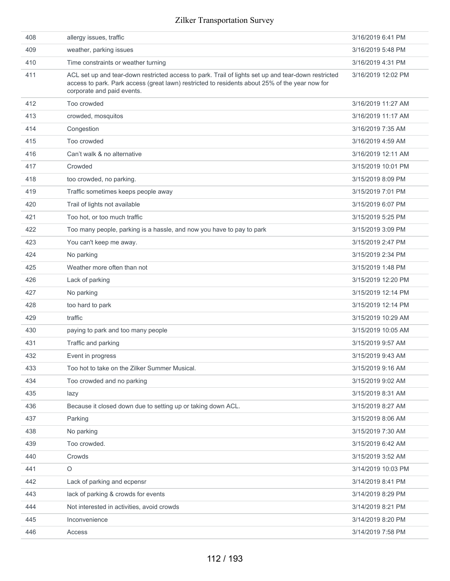| 408 | allergy issues, traffic                                                                                                                                                                                                             | 3/16/2019 6:41 PM  |
|-----|-------------------------------------------------------------------------------------------------------------------------------------------------------------------------------------------------------------------------------------|--------------------|
| 409 | weather, parking issues                                                                                                                                                                                                             | 3/16/2019 5:48 PM  |
| 410 | Time constraints or weather turning                                                                                                                                                                                                 | 3/16/2019 4:31 PM  |
| 411 | ACL set up and tear-down restricted access to park. Trail of lights set up and tear-down restricted<br>access to park. Park access (great lawn) restricted to residents about 25% of the year now for<br>corporate and paid events. | 3/16/2019 12:02 PM |
| 412 | Too crowded                                                                                                                                                                                                                         | 3/16/2019 11:27 AM |
| 413 | crowded, mosquitos                                                                                                                                                                                                                  | 3/16/2019 11:17 AM |
| 414 | Congestion                                                                                                                                                                                                                          | 3/16/2019 7:35 AM  |
| 415 | Too crowded                                                                                                                                                                                                                         | 3/16/2019 4:59 AM  |
| 416 | Can't walk & no alternative                                                                                                                                                                                                         | 3/16/2019 12:11 AM |
| 417 | Crowded                                                                                                                                                                                                                             | 3/15/2019 10:01 PM |
| 418 | too crowded, no parking.                                                                                                                                                                                                            | 3/15/2019 8:09 PM  |
| 419 | Traffic sometimes keeps people away                                                                                                                                                                                                 | 3/15/2019 7:01 PM  |
| 420 | Trail of lights not available                                                                                                                                                                                                       | 3/15/2019 6:07 PM  |
| 421 | Too hot, or too much traffic                                                                                                                                                                                                        | 3/15/2019 5:25 PM  |
| 422 | Too many people, parking is a hassle, and now you have to pay to park                                                                                                                                                               | 3/15/2019 3:09 PM  |
| 423 | You can't keep me away.                                                                                                                                                                                                             | 3/15/2019 2:47 PM  |
| 424 | No parking                                                                                                                                                                                                                          | 3/15/2019 2:34 PM  |
| 425 | Weather more often than not                                                                                                                                                                                                         | 3/15/2019 1:48 PM  |
| 426 | Lack of parking                                                                                                                                                                                                                     | 3/15/2019 12:20 PM |
| 427 | No parking                                                                                                                                                                                                                          | 3/15/2019 12:14 PM |
| 428 | too hard to park                                                                                                                                                                                                                    | 3/15/2019 12:14 PM |
| 429 | traffic                                                                                                                                                                                                                             | 3/15/2019 10:29 AM |
| 430 | paying to park and too many people                                                                                                                                                                                                  | 3/15/2019 10:05 AM |
| 431 | Traffic and parking                                                                                                                                                                                                                 | 3/15/2019 9:57 AM  |
| 432 | Event in progress                                                                                                                                                                                                                   | 3/15/2019 9:43 AM  |
| 433 | Too hot to take on the Zilker Summer Musical.                                                                                                                                                                                       | 3/15/2019 9:16 AM  |
| 434 | Too crowded and no parking                                                                                                                                                                                                          | 3/15/2019 9:02 AM  |
| 435 | lazy                                                                                                                                                                                                                                | 3/15/2019 8:31 AM  |
| 436 | Because it closed down due to setting up or taking down ACL.                                                                                                                                                                        | 3/15/2019 8:27 AM  |
| 437 | Parking                                                                                                                                                                                                                             | 3/15/2019 8:06 AM  |
| 438 | No parking                                                                                                                                                                                                                          | 3/15/2019 7:30 AM  |
| 439 | Too crowded.                                                                                                                                                                                                                        | 3/15/2019 6:42 AM  |
| 440 | Crowds                                                                                                                                                                                                                              | 3/15/2019 3:52 AM  |
| 441 | $\circ$                                                                                                                                                                                                                             | 3/14/2019 10:03 PM |
| 442 | Lack of parking and ecpensr                                                                                                                                                                                                         | 3/14/2019 8:41 PM  |
| 443 | lack of parking & crowds for events                                                                                                                                                                                                 | 3/14/2019 8:29 PM  |
| 444 | Not interested in activities, avoid crowds                                                                                                                                                                                          | 3/14/2019 8:21 PM  |
| 445 | Inconvenience                                                                                                                                                                                                                       | 3/14/2019 8:20 PM  |
| 446 | Access                                                                                                                                                                                                                              | 3/14/2019 7:58 PM  |
|     |                                                                                                                                                                                                                                     |                    |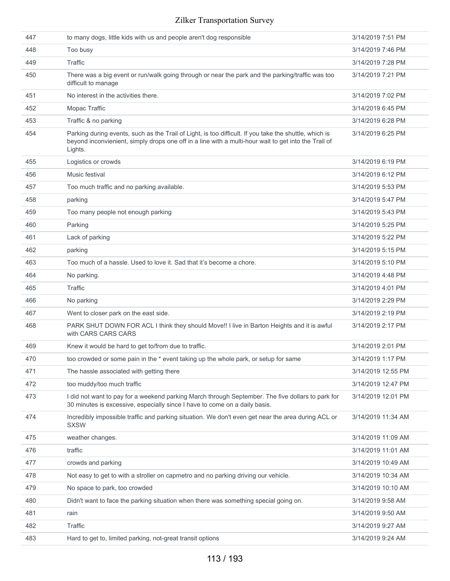| 447 | to many dogs, little kids with us and people aren't dog responsible                                                                                                                                                       | 3/14/2019 7:51 PM  |
|-----|---------------------------------------------------------------------------------------------------------------------------------------------------------------------------------------------------------------------------|--------------------|
| 448 | Too busy                                                                                                                                                                                                                  | 3/14/2019 7:46 PM  |
| 449 | Traffic                                                                                                                                                                                                                   | 3/14/2019 7:28 PM  |
| 450 | There was a big event or run/walk going through or near the park and the parking/traffic was too<br>difficult to manage                                                                                                   | 3/14/2019 7:21 PM  |
| 451 | No interest in the activities there.                                                                                                                                                                                      | 3/14/2019 7:02 PM  |
| 452 | Mopac Traffic                                                                                                                                                                                                             | 3/14/2019 6:45 PM  |
| 453 | Traffic & no parking                                                                                                                                                                                                      | 3/14/2019 6:28 PM  |
| 454 | Parking during events, such as the Trail of Light, is too difficult. If you take the shuttle, which is<br>beyond inconvienient, simply drops one off in a line with a multi-hour wait to get into the Trail of<br>Lights. | 3/14/2019 6:25 PM  |
| 455 | Logistics or crowds                                                                                                                                                                                                       | 3/14/2019 6:19 PM  |
| 456 | Music festival                                                                                                                                                                                                            | 3/14/2019 6:12 PM  |
| 457 | Too much traffic and no parking available.                                                                                                                                                                                | 3/14/2019 5:53 PM  |
| 458 | parking                                                                                                                                                                                                                   | 3/14/2019 5:47 PM  |
| 459 | Too many people not enough parking                                                                                                                                                                                        | 3/14/2019 5:43 PM  |
| 460 | Parking                                                                                                                                                                                                                   | 3/14/2019 5:25 PM  |
| 461 | Lack of parking                                                                                                                                                                                                           | 3/14/2019 5:22 PM  |
| 462 | parking                                                                                                                                                                                                                   | 3/14/2019 5:15 PM  |
| 463 | Too much of a hassle. Used to love it. Sad that it's become a chore.                                                                                                                                                      | 3/14/2019 5:10 PM  |
| 464 | No parking.                                                                                                                                                                                                               | 3/14/2019 4:48 PM  |
| 465 | Traffic                                                                                                                                                                                                                   | 3/14/2019 4:01 PM  |
| 466 | No parking                                                                                                                                                                                                                | 3/14/2019 2:29 PM  |
| 467 | Went to closer park on the east side.                                                                                                                                                                                     | 3/14/2019 2:19 PM  |
| 468 | PARK SHUT DOWN FOR ACL I think they should Move!! I live in Barton Heights and it is awful<br>with CARS CARS CARS                                                                                                         | 3/14/2019 2:17 PM  |
| 469 | Knew it would be hard to get to/from due to traffic.                                                                                                                                                                      | 3/14/2019 2:01 PM  |
| 470 | too crowded or some pain in the * event taking up the whole park, or setup for same                                                                                                                                       | 3/14/2019 1:17 PM  |
| 471 | The hassle associated with getting there                                                                                                                                                                                  | 3/14/2019 12:55 PM |
| 472 | too muddy/too much traffic                                                                                                                                                                                                | 3/14/2019 12:47 PM |
| 473 | I did not want to pay for a weekend parking March through September. The five dollars to park for<br>30 minutes is excessive, especially since I have to come on a daily basis.                                           | 3/14/2019 12:01 PM |
| 474 | Incredibly impossible traffic and parking situation. We don't even get near the area during ACL or<br><b>SXSW</b>                                                                                                         | 3/14/2019 11:34 AM |
| 475 | weather changes.                                                                                                                                                                                                          | 3/14/2019 11:09 AM |
| 476 | traffic                                                                                                                                                                                                                   | 3/14/2019 11:01 AM |
| 477 | crowds and parking                                                                                                                                                                                                        | 3/14/2019 10:49 AM |
| 478 | Not easy to get to with a stroller on capmetro and no parking driving our vehicle.                                                                                                                                        | 3/14/2019 10:34 AM |
| 479 | No space to park, too crowded                                                                                                                                                                                             | 3/14/2019 10:10 AM |
| 480 | Didn't want to face the parking situation when there was something special going on.                                                                                                                                      | 3/14/2019 9:58 AM  |
| 481 | rain                                                                                                                                                                                                                      | 3/14/2019 9:50 AM  |
| 482 | Traffic                                                                                                                                                                                                                   | 3/14/2019 9:27 AM  |
| 483 | Hard to get to, limited parking, not-great transit options                                                                                                                                                                | 3/14/2019 9:24 AM  |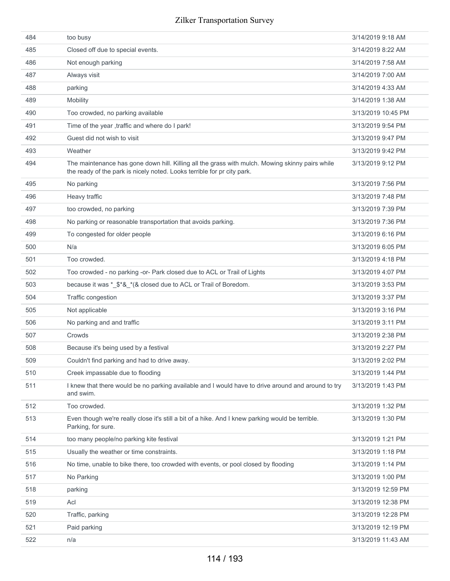| 484 | too busy                                                                                                                                                                   | 3/14/2019 9:18 AM  |
|-----|----------------------------------------------------------------------------------------------------------------------------------------------------------------------------|--------------------|
| 485 | Closed off due to special events.                                                                                                                                          | 3/14/2019 8:22 AM  |
| 486 | Not enough parking                                                                                                                                                         | 3/14/2019 7:58 AM  |
| 487 | Always visit                                                                                                                                                               | 3/14/2019 7:00 AM  |
| 488 | parking                                                                                                                                                                    | 3/14/2019 4:33 AM  |
| 489 | <b>Mobility</b>                                                                                                                                                            | 3/14/2019 1:38 AM  |
| 490 | Too crowded, no parking available                                                                                                                                          | 3/13/2019 10:45 PM |
| 491 | Time of the year , traffic and where do I park!                                                                                                                            | 3/13/2019 9:54 PM  |
| 492 | Guest did not wish to visit                                                                                                                                                | 3/13/2019 9:47 PM  |
| 493 | Weather                                                                                                                                                                    | 3/13/2019 9:42 PM  |
| 494 | The maintenance has gone down hill. Killing all the grass with mulch. Mowing skinny pairs while<br>the ready of the park is nicely noted. Looks terrible for pr city park. | 3/13/2019 9:12 PM  |
| 495 | No parking                                                                                                                                                                 | 3/13/2019 7:56 PM  |
| 496 | Heavy traffic                                                                                                                                                              | 3/13/2019 7:48 PM  |
| 497 | too crowded, no parking                                                                                                                                                    | 3/13/2019 7:39 PM  |
| 498 | No parking or reasonable transportation that avoids parking.                                                                                                               | 3/13/2019 7:36 PM  |
| 499 | To congested for older people                                                                                                                                              | 3/13/2019 6:16 PM  |
| 500 | N/a                                                                                                                                                                        | 3/13/2019 6:05 PM  |
| 501 | Too crowded.                                                                                                                                                               | 3/13/2019 4:18 PM  |
| 502 | Too crowded - no parking -or- Park closed due to ACL or Trail of Lights                                                                                                    | 3/13/2019 4:07 PM  |
| 503 | because it was *_\$*&_*(& closed due to ACL or Trail of Boredom.                                                                                                           | 3/13/2019 3:53 PM  |
| 504 | Traffic congestion                                                                                                                                                         | 3/13/2019 3:37 PM  |
| 505 | Not applicable                                                                                                                                                             | 3/13/2019 3:16 PM  |
| 506 | No parking and and traffic                                                                                                                                                 | 3/13/2019 3:11 PM  |
| 507 | Crowds                                                                                                                                                                     | 3/13/2019 2:38 PM  |
| 508 | Because it's being used by a festival                                                                                                                                      | 3/13/2019 2:27 PM  |
| 509 | Couldn't find parking and had to drive away.                                                                                                                               | 3/13/2019 2:02 PM  |
| 510 | Creek impassable due to flooding                                                                                                                                           | 3/13/2019 1:44 PM  |
| 511 | I knew that there would be no parking available and I would have to drive around and around to try<br>and swim.                                                            | 3/13/2019 1:43 PM  |
| 512 | Too crowded.                                                                                                                                                               | 3/13/2019 1:32 PM  |
| 513 | Even though we're really close it's still a bit of a hike. And I knew parking would be terrible.<br>Parking, for sure.                                                     | 3/13/2019 1:30 PM  |
| 514 | too many people/no parking kite festival                                                                                                                                   | 3/13/2019 1:21 PM  |
| 515 | Usually the weather or time constraints.                                                                                                                                   | 3/13/2019 1:18 PM  |
| 516 | No time, unable to bike there, too crowded with events, or pool closed by flooding                                                                                         | 3/13/2019 1:14 PM  |
| 517 | No Parking                                                                                                                                                                 | 3/13/2019 1:00 PM  |
| 518 | parking                                                                                                                                                                    | 3/13/2019 12:59 PM |
| 519 | Acl                                                                                                                                                                        | 3/13/2019 12:38 PM |
| 520 | Traffic, parking                                                                                                                                                           | 3/13/2019 12:28 PM |
| 521 | Paid parking                                                                                                                                                               | 3/13/2019 12:19 PM |
| 522 | n/a                                                                                                                                                                        | 3/13/2019 11:43 AM |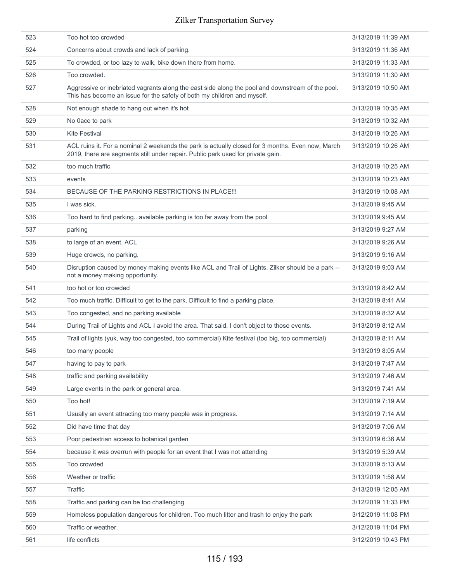| 523 | Too hot too crowded                                                                                                                                                                 | 3/13/2019 11:39 AM |
|-----|-------------------------------------------------------------------------------------------------------------------------------------------------------------------------------------|--------------------|
| 524 | Concerns about crowds and lack of parking.                                                                                                                                          | 3/13/2019 11:36 AM |
| 525 | To crowded, or too lazy to walk, bike down there from home.                                                                                                                         | 3/13/2019 11:33 AM |
| 526 | Too crowded.                                                                                                                                                                        | 3/13/2019 11:30 AM |
| 527 | Aggressive or inebriated vagrants along the east side along the pool and downstream of the pool.<br>This has become an issue for the safety of both my children and myself.         | 3/13/2019 10:50 AM |
| 528 | Not enough shade to hang out when it's hot                                                                                                                                          | 3/13/2019 10:35 AM |
| 529 | No 0ace to park                                                                                                                                                                     | 3/13/2019 10:32 AM |
| 530 | <b>Kite Festival</b>                                                                                                                                                                | 3/13/2019 10:26 AM |
| 531 | ACL ruins it. For a nominal 2 weekends the park is actually closed for 3 months. Even now, March<br>2019, there are segments still under repair. Public park used for private gain. | 3/13/2019 10:26 AM |
| 532 | too much traffic                                                                                                                                                                    | 3/13/2019 10:25 AM |
| 533 | events                                                                                                                                                                              | 3/13/2019 10:23 AM |
| 534 | BECAUSE OF THE PARKING RESTRICTIONS IN PLACE !!!                                                                                                                                    | 3/13/2019 10:08 AM |
| 535 | I was sick.                                                                                                                                                                         | 3/13/2019 9:45 AM  |
| 536 | Too hard to find parkingavailable parking is too far away from the pool                                                                                                             | 3/13/2019 9:45 AM  |
| 537 | parking                                                                                                                                                                             | 3/13/2019 9:27 AM  |
| 538 | to large of an event, ACL                                                                                                                                                           | 3/13/2019 9:26 AM  |
| 539 | Huge crowds, no parking.                                                                                                                                                            | 3/13/2019 9:16 AM  |
| 540 | Disruption caused by money making events like ACL and Trail of Lights. Zilker should be a park --<br>not a money making opportunity.                                                | 3/13/2019 9:03 AM  |
| 541 | too hot or too crowded                                                                                                                                                              | 3/13/2019 8:42 AM  |
| 542 | Too much traffic. Difficult to get to the park. Difficult to find a parking place.                                                                                                  | 3/13/2019 8:41 AM  |
| 543 | Too congested, and no parking available                                                                                                                                             | 3/13/2019 8:32 AM  |
| 544 | During Trail of Lights and ACL I avoid the area. That said, I don't object to those events.                                                                                         | 3/13/2019 8:12 AM  |
| 545 | Trail of lights (yuk, way too congested, too commercial) Kite festival (too big, too commercial)                                                                                    | 3/13/2019 8:11 AM  |
| 546 | too many people                                                                                                                                                                     | 3/13/2019 8:05 AM  |
| 547 | having to pay to park                                                                                                                                                               | 3/13/2019 7:47 AM  |
| 548 | traffic and parking availability                                                                                                                                                    | 3/13/2019 7:46 AM  |
| 549 | Large events in the park or general area.                                                                                                                                           | 3/13/2019 7:41 AM  |
| 550 | Too hot!                                                                                                                                                                            | 3/13/2019 7:19 AM  |
| 551 | Usually an event attracting too many people was in progress.                                                                                                                        | 3/13/2019 7:14 AM  |
| 552 | Did have time that day                                                                                                                                                              | 3/13/2019 7:06 AM  |
| 553 | Poor pedestrian access to botanical garden                                                                                                                                          | 3/13/2019 6:36 AM  |
| 554 | because it was overrun with people for an event that I was not attending                                                                                                            | 3/13/2019 5:39 AM  |
| 555 | Too crowded                                                                                                                                                                         | 3/13/2019 5:13 AM  |
| 556 | Weather or traffic                                                                                                                                                                  | 3/13/2019 1:58 AM  |
| 557 | Traffic                                                                                                                                                                             | 3/13/2019 12:05 AM |
| 558 | Traffic and parking can be too challenging                                                                                                                                          | 3/12/2019 11:33 PM |
| 559 | Homeless population dangerous for children. Too much litter and trash to enjoy the park                                                                                             | 3/12/2019 11:08 PM |
| 560 | Traffic or weather.                                                                                                                                                                 | 3/12/2019 11:04 PM |
| 561 | life conflicts                                                                                                                                                                      | 3/12/2019 10:43 PM |
|     |                                                                                                                                                                                     |                    |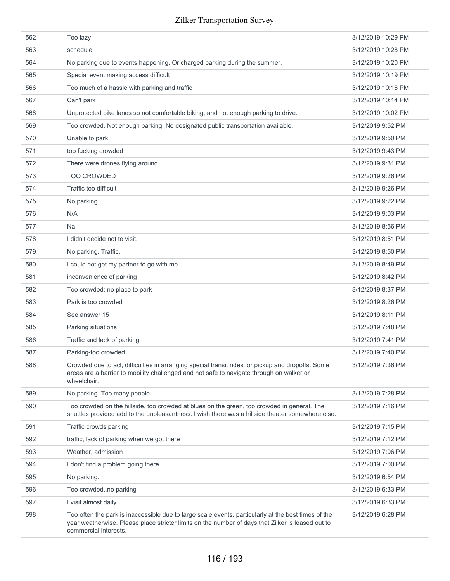| 562 | Too lazy                                                                                                                                                                                                                          | 3/12/2019 10:29 PM |
|-----|-----------------------------------------------------------------------------------------------------------------------------------------------------------------------------------------------------------------------------------|--------------------|
| 563 | schedule                                                                                                                                                                                                                          | 3/12/2019 10:28 PM |
| 564 | No parking due to events happening. Or charged parking during the summer.                                                                                                                                                         | 3/12/2019 10:20 PM |
| 565 | Special event making access difficult                                                                                                                                                                                             | 3/12/2019 10:19 PM |
| 566 | Too much of a hassle with parking and traffic                                                                                                                                                                                     | 3/12/2019 10:16 PM |
| 567 | Can't park                                                                                                                                                                                                                        | 3/12/2019 10:14 PM |
| 568 | Unprotected bike lanes so not comfortable biking, and not enough parking to drive.                                                                                                                                                | 3/12/2019 10:02 PM |
| 569 | Too crowded. Not enough parking. No designated public transportation available.                                                                                                                                                   | 3/12/2019 9:52 PM  |
| 570 | Unable to park                                                                                                                                                                                                                    | 3/12/2019 9:50 PM  |
| 571 | too fucking crowded                                                                                                                                                                                                               | 3/12/2019 9:43 PM  |
| 572 | There were drones flying around                                                                                                                                                                                                   | 3/12/2019 9:31 PM  |
| 573 | <b>TOO CROWDED</b>                                                                                                                                                                                                                | 3/12/2019 9:26 PM  |
| 574 | Traffic too difficult                                                                                                                                                                                                             | 3/12/2019 9:26 PM  |
| 575 | No parking                                                                                                                                                                                                                        | 3/12/2019 9:22 PM  |
| 576 | N/A                                                                                                                                                                                                                               | 3/12/2019 9:03 PM  |
| 577 | <b>Na</b>                                                                                                                                                                                                                         | 3/12/2019 8:56 PM  |
| 578 | I didn't decide not to visit.                                                                                                                                                                                                     | 3/12/2019 8:51 PM  |
| 579 | No parking. Traffic.                                                                                                                                                                                                              | 3/12/2019 8:50 PM  |
| 580 | I could not get my partner to go with me                                                                                                                                                                                          | 3/12/2019 8:49 PM  |
| 581 | inconvenience of parking                                                                                                                                                                                                          | 3/12/2019 8:42 PM  |
| 582 | Too crowded; no place to park                                                                                                                                                                                                     | 3/12/2019 8:37 PM  |
| 583 | Park is too crowded                                                                                                                                                                                                               | 3/12/2019 8:26 PM  |
| 584 | See answer 15                                                                                                                                                                                                                     | 3/12/2019 8:11 PM  |
| 585 | Parking situations                                                                                                                                                                                                                | 3/12/2019 7:48 PM  |
| 586 | Traffic and lack of parking                                                                                                                                                                                                       | 3/12/2019 7:41 PM  |
| 587 | Parking-too crowded                                                                                                                                                                                                               | 3/12/2019 7:40 PM  |
| 588 | Crowded due to acl, difficulties in arranging special transit rides for pickup and dropoffs. Some<br>areas are a barrier to mobility challenged and not safe to navigate through on walker or<br>wheelchair.                      | 3/12/2019 7:36 PM  |
| 589 | No parking. Too many people.                                                                                                                                                                                                      | 3/12/2019 7:28 PM  |
| 590 | Too crowded on the hillside, too crowded at blues on the green, too crowded in general. The<br>shuttles provided add to the unpleasantness. I wish there was a hillside theater somewhere else.                                   | 3/12/2019 7:16 PM  |
| 591 | Traffic crowds parking                                                                                                                                                                                                            | 3/12/2019 7:15 PM  |
| 592 | traffic, lack of parking when we got there                                                                                                                                                                                        | 3/12/2019 7:12 PM  |
| 593 | Weather, admission                                                                                                                                                                                                                | 3/12/2019 7:06 PM  |
| 594 | I don't find a problem going there                                                                                                                                                                                                | 3/12/2019 7:00 PM  |
| 595 | No parking.                                                                                                                                                                                                                       | 3/12/2019 6:54 PM  |
| 596 | Too crowdedno parking                                                                                                                                                                                                             | 3/12/2019 6:33 PM  |
| 597 | I visit almost daily                                                                                                                                                                                                              | 3/12/2019 6:33 PM  |
| 598 | Too often the park is inaccessible due to large scale events, particularly at the best times of the<br>year weatherwise. Please place stricter limits on the number of days that Zilker is leased out to<br>commercial interests. | 3/12/2019 6:28 PM  |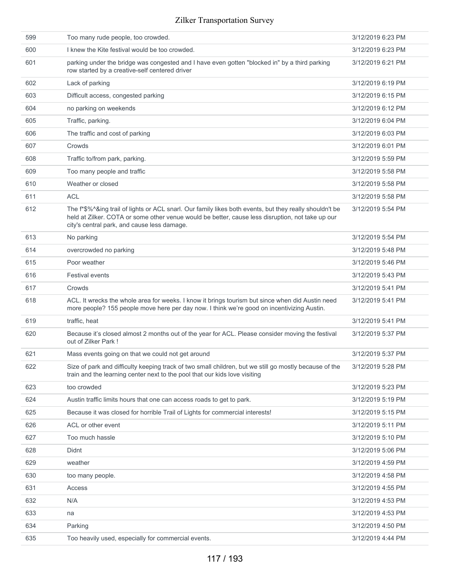| 599 | Too many rude people, too crowded.                                                                                                                                                                                                                         | 3/12/2019 6:23 PM |
|-----|------------------------------------------------------------------------------------------------------------------------------------------------------------------------------------------------------------------------------------------------------------|-------------------|
| 600 | I knew the Kite festival would be too crowded.                                                                                                                                                                                                             | 3/12/2019 6:23 PM |
| 601 | parking under the bridge was congested and I have even gotten "blocked in" by a third parking<br>row started by a creative-self centered driver                                                                                                            | 3/12/2019 6:21 PM |
| 602 | Lack of parking                                                                                                                                                                                                                                            | 3/12/2019 6:19 PM |
| 603 | Difficult access, congested parking                                                                                                                                                                                                                        | 3/12/2019 6:15 PM |
| 604 | no parking on weekends                                                                                                                                                                                                                                     | 3/12/2019 6:12 PM |
| 605 | Traffic, parking.                                                                                                                                                                                                                                          | 3/12/2019 6:04 PM |
| 606 | The traffic and cost of parking                                                                                                                                                                                                                            | 3/12/2019 6:03 PM |
| 607 | Crowds                                                                                                                                                                                                                                                     | 3/12/2019 6:01 PM |
| 608 | Traffic to/from park, parking.                                                                                                                                                                                                                             | 3/12/2019 5:59 PM |
| 609 | Too many people and traffic                                                                                                                                                                                                                                | 3/12/2019 5:58 PM |
| 610 | Weather or closed                                                                                                                                                                                                                                          | 3/12/2019 5:58 PM |
| 611 | <b>ACL</b>                                                                                                                                                                                                                                                 | 3/12/2019 5:58 PM |
| 612 | The f*\$%^&ing trail of lights or ACL snarl. Our family likes both events, but they really shouldn't be<br>held at Zilker. COTA or some other venue would be better, cause less disruption, not take up our<br>city's central park, and cause less damage. | 3/12/2019 5:54 PM |
| 613 | No parking                                                                                                                                                                                                                                                 | 3/12/2019 5:54 PM |
| 614 | overcrowded no parking                                                                                                                                                                                                                                     | 3/12/2019 5:48 PM |
| 615 | Poor weather                                                                                                                                                                                                                                               | 3/12/2019 5:46 PM |
| 616 | <b>Festival events</b>                                                                                                                                                                                                                                     | 3/12/2019 5:43 PM |
| 617 | Crowds                                                                                                                                                                                                                                                     | 3/12/2019 5:41 PM |
| 618 | ACL. It wrecks the whole area for weeks. I know it brings tourism but since when did Austin need<br>more people? 155 people move here per day now. I think we're good on incentivizing Austin.                                                             | 3/12/2019 5:41 PM |
| 619 | traffic, heat                                                                                                                                                                                                                                              | 3/12/2019 5:41 PM |
| 620 | Because it's closed almost 2 months out of the year for ACL. Please consider moving the festival<br>out of Zilker Park!                                                                                                                                    | 3/12/2019 5:37 PM |
| 621 | Mass events going on that we could not get around                                                                                                                                                                                                          | 3/12/2019 5:37 PM |
| 622 | Size of park and difficulty keeping track of two small children, but we still go mostly because of the<br>train and the learning center next to the pool that our kids love visiting                                                                       | 3/12/2019 5:28 PM |
| 623 | too crowded                                                                                                                                                                                                                                                | 3/12/2019 5:23 PM |
| 624 | Austin traffic limits hours that one can access roads to get to park.                                                                                                                                                                                      | 3/12/2019 5:19 PM |
| 625 | Because it was closed for horrible Trail of Lights for commercial interests!                                                                                                                                                                               | 3/12/2019 5:15 PM |
| 626 | ACL or other event                                                                                                                                                                                                                                         | 3/12/2019 5:11 PM |
| 627 | Too much hassle                                                                                                                                                                                                                                            | 3/12/2019 5:10 PM |
| 628 | Didnt                                                                                                                                                                                                                                                      | 3/12/2019 5:06 PM |
| 629 | weather                                                                                                                                                                                                                                                    | 3/12/2019 4:59 PM |
| 630 | too many people.                                                                                                                                                                                                                                           | 3/12/2019 4:58 PM |
| 631 | Access                                                                                                                                                                                                                                                     | 3/12/2019 4:55 PM |
| 632 | N/A                                                                                                                                                                                                                                                        | 3/12/2019 4:53 PM |
| 633 | na                                                                                                                                                                                                                                                         | 3/12/2019 4:53 PM |
| 634 | Parking                                                                                                                                                                                                                                                    | 3/12/2019 4:50 PM |
| 635 | Too heavily used, especially for commercial events.                                                                                                                                                                                                        | 3/12/2019 4:44 PM |
|     |                                                                                                                                                                                                                                                            |                   |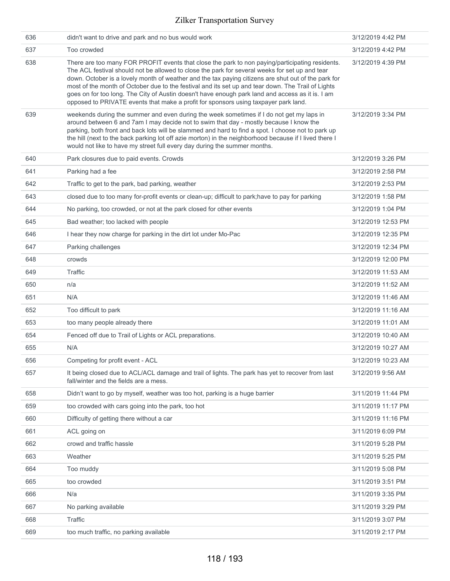| 636 | didn't want to drive and park and no bus would work                                                                                                                                                                                                                                                                                                                                                                                                                                                                                                                                                       | 3/12/2019 4:42 PM  |
|-----|-----------------------------------------------------------------------------------------------------------------------------------------------------------------------------------------------------------------------------------------------------------------------------------------------------------------------------------------------------------------------------------------------------------------------------------------------------------------------------------------------------------------------------------------------------------------------------------------------------------|--------------------|
| 637 | Too crowded                                                                                                                                                                                                                                                                                                                                                                                                                                                                                                                                                                                               | 3/12/2019 4:42 PM  |
| 638 | There are too many FOR PROFIT events that close the park to non paying/participating residents.<br>The ACL festival should not be allowed to close the park for several weeks for set up and tear<br>down. October is a lovely month of weather and the tax paying citizens are shut out of the park for<br>most of the month of October due to the festival and its set up and tear down. The Trail of Lights<br>goes on for too long. The City of Austin doesn't have enough park land and access as it is. I am<br>opposed to PRIVATE events that make a profit for sponsors using taxpayer park land. | 3/12/2019 4:39 PM  |
| 639 | weekends during the summer and even during the week sometimes if I do not get my laps in<br>around between 6 and 7am I may decide not to swim that day - mostly because I know the<br>parking, both front and back lots will be slammed and hard to find a spot. I choose not to park up<br>the hill (next to the back parking lot off azie morton) in the neighborhood because if I lived there I<br>would not like to have my street full every day during the summer months.                                                                                                                           | 3/12/2019 3:34 PM  |
| 640 | Park closures due to paid events. Crowds                                                                                                                                                                                                                                                                                                                                                                                                                                                                                                                                                                  | 3/12/2019 3:26 PM  |
| 641 | Parking had a fee                                                                                                                                                                                                                                                                                                                                                                                                                                                                                                                                                                                         | 3/12/2019 2:58 PM  |
| 642 | Traffic to get to the park, bad parking, weather                                                                                                                                                                                                                                                                                                                                                                                                                                                                                                                                                          | 3/12/2019 2:53 PM  |
| 643 | closed due to too many for-profit events or clean-up; difficult to park; have to pay for parking                                                                                                                                                                                                                                                                                                                                                                                                                                                                                                          | 3/12/2019 1:58 PM  |
| 644 | No parking, too crowded, or not at the park closed for other events                                                                                                                                                                                                                                                                                                                                                                                                                                                                                                                                       | 3/12/2019 1:04 PM  |
| 645 | Bad weather; too lacked with people                                                                                                                                                                                                                                                                                                                                                                                                                                                                                                                                                                       | 3/12/2019 12:53 PM |
| 646 | I hear they now charge for parking in the dirt lot under Mo-Pac                                                                                                                                                                                                                                                                                                                                                                                                                                                                                                                                           | 3/12/2019 12:35 PM |
| 647 | Parking challenges                                                                                                                                                                                                                                                                                                                                                                                                                                                                                                                                                                                        | 3/12/2019 12:34 PM |
| 648 | crowds                                                                                                                                                                                                                                                                                                                                                                                                                                                                                                                                                                                                    | 3/12/2019 12:00 PM |
| 649 | Traffic                                                                                                                                                                                                                                                                                                                                                                                                                                                                                                                                                                                                   | 3/12/2019 11:53 AM |
| 650 | n/a                                                                                                                                                                                                                                                                                                                                                                                                                                                                                                                                                                                                       | 3/12/2019 11:52 AM |
| 651 | N/A                                                                                                                                                                                                                                                                                                                                                                                                                                                                                                                                                                                                       | 3/12/2019 11:46 AM |
| 652 | Too difficult to park                                                                                                                                                                                                                                                                                                                                                                                                                                                                                                                                                                                     | 3/12/2019 11:16 AM |
| 653 | too many people already there                                                                                                                                                                                                                                                                                                                                                                                                                                                                                                                                                                             | 3/12/2019 11:01 AM |
| 654 | Fenced off due to Trail of Lights or ACL preparations.                                                                                                                                                                                                                                                                                                                                                                                                                                                                                                                                                    | 3/12/2019 10:40 AM |
| 655 | N/A                                                                                                                                                                                                                                                                                                                                                                                                                                                                                                                                                                                                       | 3/12/2019 10:27 AM |
| 656 | Competing for profit event - ACL                                                                                                                                                                                                                                                                                                                                                                                                                                                                                                                                                                          | 3/12/2019 10:23 AM |
| 657 | It being closed due to ACL/ACL damage and trail of lights. The park has yet to recover from last<br>fall/winter and the fields are a mess.                                                                                                                                                                                                                                                                                                                                                                                                                                                                | 3/12/2019 9:56 AM  |
| 658 | Didn't want to go by myself, weather was too hot, parking is a huge barrier                                                                                                                                                                                                                                                                                                                                                                                                                                                                                                                               | 3/11/2019 11:44 PM |
| 659 | too crowded with cars going into the park, too hot                                                                                                                                                                                                                                                                                                                                                                                                                                                                                                                                                        | 3/11/2019 11:17 PM |
| 660 | Difficulty of getting there without a car                                                                                                                                                                                                                                                                                                                                                                                                                                                                                                                                                                 | 3/11/2019 11:16 PM |
| 661 | ACL going on                                                                                                                                                                                                                                                                                                                                                                                                                                                                                                                                                                                              | 3/11/2019 6:09 PM  |
| 662 | crowd and traffic hassle                                                                                                                                                                                                                                                                                                                                                                                                                                                                                                                                                                                  | 3/11/2019 5:28 PM  |
| 663 | Weather                                                                                                                                                                                                                                                                                                                                                                                                                                                                                                                                                                                                   | 3/11/2019 5:25 PM  |
| 664 | Too muddy                                                                                                                                                                                                                                                                                                                                                                                                                                                                                                                                                                                                 | 3/11/2019 5:08 PM  |
| 665 | too crowded                                                                                                                                                                                                                                                                                                                                                                                                                                                                                                                                                                                               | 3/11/2019 3:51 PM  |
| 666 | N/a                                                                                                                                                                                                                                                                                                                                                                                                                                                                                                                                                                                                       | 3/11/2019 3:35 PM  |
|     |                                                                                                                                                                                                                                                                                                                                                                                                                                                                                                                                                                                                           |                    |
| 667 | No parking available                                                                                                                                                                                                                                                                                                                                                                                                                                                                                                                                                                                      | 3/11/2019 3:29 PM  |
| 668 | Traffic                                                                                                                                                                                                                                                                                                                                                                                                                                                                                                                                                                                                   | 3/11/2019 3:07 PM  |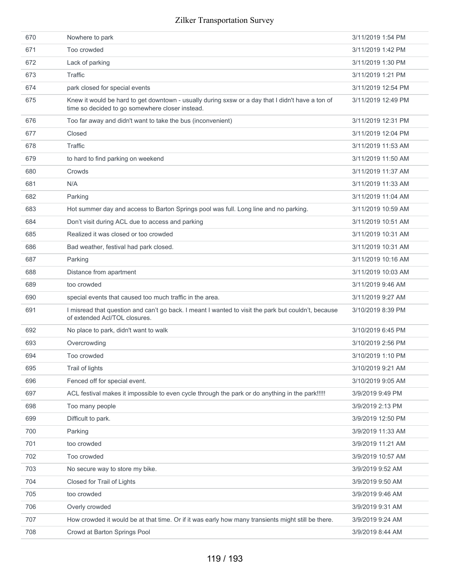| 670 | Nowhere to park                                                                                                                                     | 3/11/2019 1:54 PM  |
|-----|-----------------------------------------------------------------------------------------------------------------------------------------------------|--------------------|
| 671 | Too crowded                                                                                                                                         | 3/11/2019 1:42 PM  |
| 672 | Lack of parking                                                                                                                                     | 3/11/2019 1:30 PM  |
| 673 | Traffic                                                                                                                                             | 3/11/2019 1:21 PM  |
| 674 | park closed for special events                                                                                                                      | 3/11/2019 12:54 PM |
| 675 | Knew it would be hard to get downtown - usually during sxsw or a day that I didn't have a ton of<br>time so decided to go somewhere closer instead. | 3/11/2019 12:49 PM |
| 676 | Too far away and didn't want to take the bus (inconvenient)                                                                                         | 3/11/2019 12:31 PM |
| 677 | Closed                                                                                                                                              | 3/11/2019 12:04 PM |
| 678 | Traffic                                                                                                                                             | 3/11/2019 11:53 AM |
| 679 | to hard to find parking on weekend                                                                                                                  | 3/11/2019 11:50 AM |
| 680 | Crowds                                                                                                                                              | 3/11/2019 11:37 AM |
| 681 | N/A                                                                                                                                                 | 3/11/2019 11:33 AM |
| 682 | Parking                                                                                                                                             | 3/11/2019 11:04 AM |
| 683 | Hot summer day and access to Barton Springs pool was full. Long line and no parking.                                                                | 3/11/2019 10:59 AM |
| 684 | Don't visit during ACL due to access and parking                                                                                                    | 3/11/2019 10:51 AM |
| 685 | Realized it was closed or too crowded                                                                                                               | 3/11/2019 10:31 AM |
| 686 | Bad weather, festival had park closed.                                                                                                              | 3/11/2019 10:31 AM |
| 687 | Parking                                                                                                                                             | 3/11/2019 10:16 AM |
| 688 | Distance from apartment                                                                                                                             | 3/11/2019 10:03 AM |
| 689 | too crowded                                                                                                                                         | 3/11/2019 9:46 AM  |
| 690 | special events that caused too much traffic in the area.                                                                                            | 3/11/2019 9:27 AM  |
| 691 | I misread that question and can't go back. I meant I wanted to visit the park but couldn't, because<br>of extended Acl/TOL closures.                | 3/10/2019 8:39 PM  |
| 692 | No place to park, didn't want to walk                                                                                                               | 3/10/2019 6:45 PM  |
| 693 | Overcrowding                                                                                                                                        | 3/10/2019 2:56 PM  |
| 694 | Too crowded                                                                                                                                         | 3/10/2019 1:10 PM  |
| 695 | Trail of lights                                                                                                                                     | 3/10/2019 9:21 AM  |
| 696 | Fenced off for special event.                                                                                                                       | 3/10/2019 9:05 AM  |
| 697 | ACL festival makes it impossible to even cycle through the park or do anything in the park!!!!!                                                     | 3/9/2019 9:49 PM   |
| 698 | Too many people                                                                                                                                     | 3/9/2019 2:13 PM   |
| 699 | Difficult to park.                                                                                                                                  | 3/9/2019 12:50 PM  |
| 700 | Parking                                                                                                                                             | 3/9/2019 11:33 AM  |
| 701 | too crowded                                                                                                                                         | 3/9/2019 11:21 AM  |
| 702 | Too crowded                                                                                                                                         | 3/9/2019 10:57 AM  |
| 703 | No secure way to store my bike.                                                                                                                     | 3/9/2019 9:52 AM   |
| 704 | Closed for Trail of Lights                                                                                                                          | 3/9/2019 9:50 AM   |
| 705 | too crowded                                                                                                                                         | 3/9/2019 9:46 AM   |
| 706 | Overly crowded                                                                                                                                      | 3/9/2019 9:31 AM   |
| 707 | How crowded it would be at that time. Or if it was early how many transients might still be there.                                                  | 3/9/2019 9:24 AM   |
| 708 | Crowd at Barton Springs Pool                                                                                                                        | 3/9/2019 8:44 AM   |
|     |                                                                                                                                                     |                    |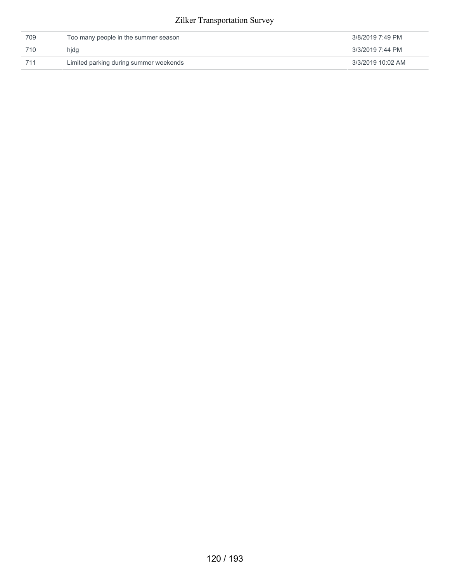| 709 | Too many people in the summer season   | 3/8/2019 7:49 PM  |
|-----|----------------------------------------|-------------------|
| 710 | hidg                                   | 3/3/2019 7:44 PM  |
| 711 | Limited parking during summer weekends | 3/3/2019 10:02 AM |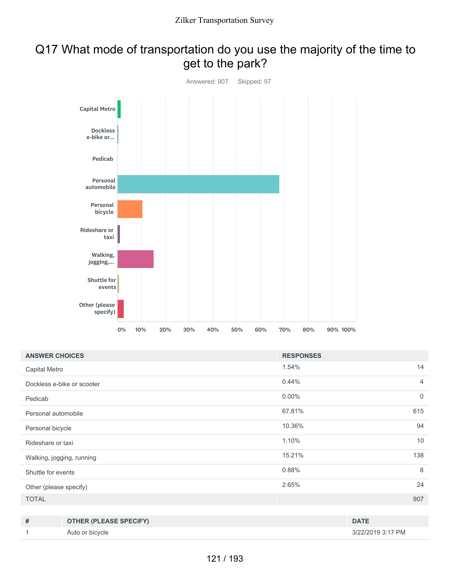## Q17 What mode of transportation do you use the majority of the time to get to the park?



| <b>ANSWER CHOICES</b>      | <b>RESPONSES</b> |                |
|----------------------------|------------------|----------------|
| Capital Metro              | 1.54%            | 14             |
| Dockless e-bike or scooter | 0.44%            | $\overline{4}$ |
| Pedicab                    | $0.00\%$         | $\mathbf 0$    |
| Personal automobile        | 67.81%           | 615            |
| Personal bicycle           | 10.36%           | 94             |
| Rideshare or taxi          | 1.10%            | 10             |
| Walking, jogging, running  | 15.21%           | 138            |
| Shuttle for events         | 0.88%            | 8              |
| Other (please specify)     | 2.65%            | 24             |
| <b>TOTAL</b>               |                  | 907            |
|                            |                  |                |

| # | <b>OTHER (PLEASE SPECIFY)</b> | <b>DATE</b>       |
|---|-------------------------------|-------------------|
|   | Auto or bicycle               | 3/22/2019 3:17 PM |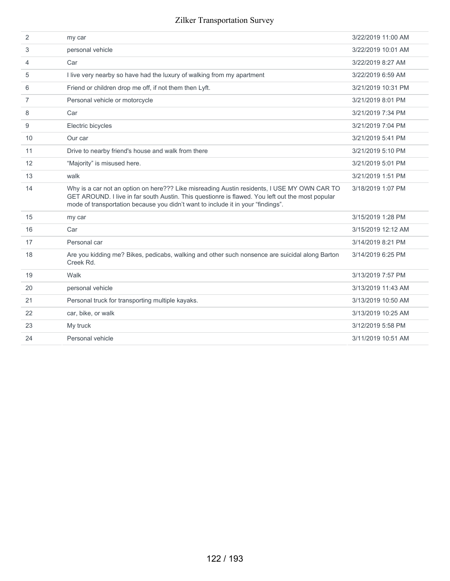| 2              | my car                                                                                                                                                                                                                                                                              | 3/22/2019 11:00 AM |
|----------------|-------------------------------------------------------------------------------------------------------------------------------------------------------------------------------------------------------------------------------------------------------------------------------------|--------------------|
| 3              | personal vehicle                                                                                                                                                                                                                                                                    | 3/22/2019 10:01 AM |
| 4              | Car                                                                                                                                                                                                                                                                                 | 3/22/2019 8:27 AM  |
| 5              | I live very nearby so have had the luxury of walking from my apartment                                                                                                                                                                                                              | 3/22/2019 6:59 AM  |
| 6              | Friend or children drop me off, if not them then Lyft.                                                                                                                                                                                                                              | 3/21/2019 10:31 PM |
| $\overline{7}$ | Personal vehicle or motorcycle                                                                                                                                                                                                                                                      | 3/21/2019 8:01 PM  |
| 8              | Car                                                                                                                                                                                                                                                                                 | 3/21/2019 7:34 PM  |
| 9              | Electric bicycles                                                                                                                                                                                                                                                                   | 3/21/2019 7:04 PM  |
| 10             | Our car                                                                                                                                                                                                                                                                             | 3/21/2019 5:41 PM  |
| 11             | Drive to nearby friend's house and walk from there                                                                                                                                                                                                                                  | 3/21/2019 5:10 PM  |
| 12             | "Majority" is misused here.                                                                                                                                                                                                                                                         | 3/21/2019 5:01 PM  |
| 13             | walk                                                                                                                                                                                                                                                                                | 3/21/2019 1:51 PM  |
| 14             | Why is a car not an option on here??? Like misreading Austin residents, I USE MY OWN CAR TO<br>GET AROUND. I live in far south Austin. This questionre is flawed. You left out the most popular<br>mode of transportation because you didn't want to include it in your "findings". | 3/18/2019 1:07 PM  |
| 15             | my car                                                                                                                                                                                                                                                                              | 3/15/2019 1:28 PM  |
| 16             | Car                                                                                                                                                                                                                                                                                 | 3/15/2019 12:12 AM |
| 17             | Personal car                                                                                                                                                                                                                                                                        | 3/14/2019 8:21 PM  |
| 18             | Are you kidding me? Bikes, pedicabs, walking and other such nonsence are suicidal along Barton<br>Creek Rd.                                                                                                                                                                         | 3/14/2019 6:25 PM  |
| 19             | Walk                                                                                                                                                                                                                                                                                | 3/13/2019 7:57 PM  |
| 20             | personal vehicle                                                                                                                                                                                                                                                                    | 3/13/2019 11:43 AM |
| 21             | Personal truck for transporting multiple kayaks.                                                                                                                                                                                                                                    | 3/13/2019 10:50 AM |
| 22             | car, bike, or walk                                                                                                                                                                                                                                                                  | 3/13/2019 10:25 AM |
| 23             | My truck                                                                                                                                                                                                                                                                            | 3/12/2019 5:58 PM  |
| 24             | Personal vehicle                                                                                                                                                                                                                                                                    | 3/11/2019 10:51 AM |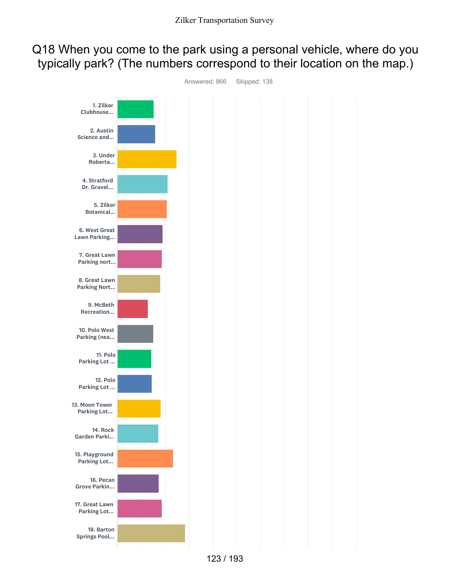## Q18 When you come to the park using a personal vehicle, where do you typically park? (The numbers correspond to their location on the map.)



123 / 193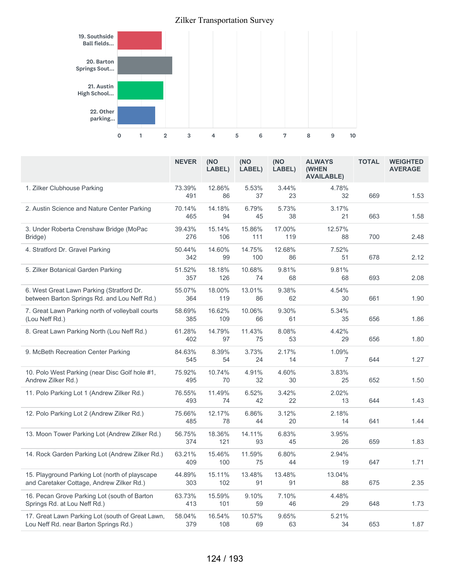

|                                                                                             | <b>NEVER</b>  | (NO<br>LABEL) | (NO<br>LABEL) | (NO<br>LABEL) | <b>ALWAYS</b><br>(WHEN<br><b>AVAILABLE)</b> | <b>TOTAL</b> | <b>WEIGHTED</b><br><b>AVERAGE</b> |
|---------------------------------------------------------------------------------------------|---------------|---------------|---------------|---------------|---------------------------------------------|--------------|-----------------------------------|
| 1. Zilker Clubhouse Parking                                                                 | 73.39%<br>491 | 12.86%<br>86  | 5.53%<br>37   | 3.44%<br>23   | 4.78%<br>32                                 | 669          | 1.53                              |
| 2. Austin Science and Nature Center Parking                                                 | 70.14%<br>465 | 14.18%<br>94  | 6.79%<br>45   | 5.73%<br>38   | 3.17%<br>21                                 | 663          | 1.58                              |
| 3. Under Roberta Crenshaw Bridge (MoPac<br>Bridge)                                          | 39.43%<br>276 | 15.14%<br>106 | 15.86%<br>111 | 17.00%<br>119 | 12.57%<br>88                                | 700          | 2.48                              |
| 4. Stratford Dr. Gravel Parking                                                             | 50.44%<br>342 | 14.60%<br>99  | 14.75%<br>100 | 12.68%<br>86  | 7.52%<br>51                                 | 678          | 2.12                              |
| 5. Zilker Botanical Garden Parking                                                          | 51.52%<br>357 | 18.18%<br>126 | 10.68%<br>74  | 9.81%<br>68   | 9.81%<br>68                                 | 693          | 2.08                              |
| 6. West Great Lawn Parking (Stratford Dr.<br>between Barton Springs Rd. and Lou Neff Rd.)   | 55.07%<br>364 | 18.00%<br>119 | 13.01%<br>86  | 9.38%<br>62   | 4.54%<br>30                                 | 661          | 1.90                              |
| 7. Great Lawn Parking north of volleyball courts<br>(Lou Neff Rd.)                          | 58.69%<br>385 | 16.62%<br>109 | 10.06%<br>66  | 9.30%<br>61   | 5.34%<br>35                                 | 656          | 1.86                              |
| 8. Great Lawn Parking North (Lou Neff Rd.)                                                  | 61.28%<br>402 | 14.79%<br>97  | 11.43%<br>75  | 8.08%<br>53   | 4.42%<br>29                                 | 656          | 1.80                              |
| 9. McBeth Recreation Center Parking                                                         | 84.63%<br>545 | 8.39%<br>54   | 3.73%<br>24   | 2.17%<br>14   | 1.09%<br>7                                  | 644          | 1.27                              |
| 10. Polo West Parking (near Disc Golf hole #1,<br>Andrew Zilker Rd.)                        | 75.92%<br>495 | 10.74%<br>70  | 4.91%<br>32   | 4.60%<br>30   | 3.83%<br>25                                 | 652          | 1.50                              |
| 11. Polo Parking Lot 1 (Andrew Zilker Rd.)                                                  | 76.55%<br>493 | 11.49%<br>74  | 6.52%<br>42   | 3.42%<br>22   | 2.02%<br>13                                 | 644          | 1.43                              |
| 12. Polo Parking Lot 2 (Andrew Zilker Rd.)                                                  | 75.66%<br>485 | 12.17%<br>78  | 6.86%<br>44   | 3.12%<br>20   | 2.18%<br>14                                 | 641          | 1.44                              |
| 13. Moon Tower Parking Lot (Andrew Zilker Rd.)                                              | 56.75%<br>374 | 18.36%<br>121 | 14.11%<br>93  | 6.83%<br>45   | 3.95%<br>26                                 | 659          | 1.83                              |
| 14. Rock Garden Parking Lot (Andrew Zilker Rd.)                                             | 63.21%<br>409 | 15.46%<br>100 | 11.59%<br>75  | 6.80%<br>44   | 2.94%<br>19                                 | 647          | 1.71                              |
| 15. Playground Parking Lot (north of playscape<br>and Caretaker Cottage, Andrew Zilker Rd.) | 44.89%<br>303 | 15.11%<br>102 | 13.48%<br>91  | 13.48%<br>91  | 13.04%<br>88                                | 675          | 2.35                              |
| 16. Pecan Grove Parking Lot (south of Barton<br>Springs Rd. at Lou Neff Rd.)                | 63.73%<br>413 | 15.59%<br>101 | 9.10%<br>59   | 7.10%<br>46   | 4.48%<br>29                                 | 648          | 1.73                              |
| 17. Great Lawn Parking Lot (south of Great Lawn,<br>Lou Neff Rd. near Barton Springs Rd.)   | 58.04%<br>379 | 16.54%<br>108 | 10.57%<br>69  | 9.65%<br>63   | 5.21%<br>34                                 | 653          | 1.87                              |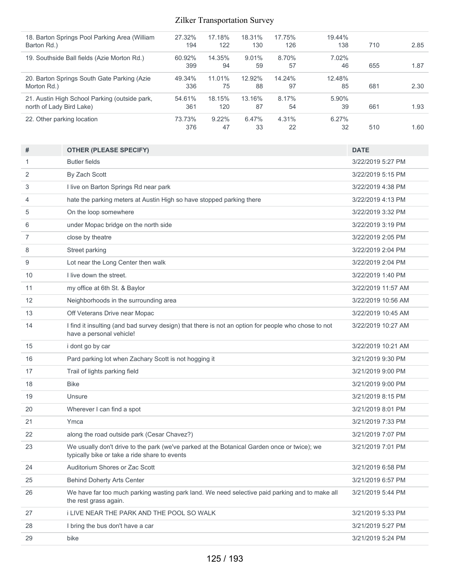| 18. Barton Springs Pool Parking Area (William<br>Barton Rd.)              | 27.32%<br>194 | 17.18%<br>122  | 18.31%<br>130  | 17.75%<br>126 | 19.44%<br>138  | 710 | 2.85 |
|---------------------------------------------------------------------------|---------------|----------------|----------------|---------------|----------------|-----|------|
| 19. Southside Ball fields (Azie Morton Rd.)                               | 60.92%<br>399 | 14.35%<br>94   | $9.01\%$<br>59 | 8.70%<br>57   | 7.02%<br>46    | 655 | 1.87 |
| 20. Barton Springs South Gate Parking (Azie<br>Morton Rd.)                | 49.34%<br>336 | 11.01%<br>75   | 12.92%<br>88   | 14.24%<br>97  | 12.48%<br>85   | 681 | 2.30 |
| 21. Austin High School Parking (outside park,<br>north of Lady Bird Lake) | 54.61%<br>361 | 18.15%<br>120  | 13.16%<br>87   | 8.17%<br>54   | $5.90\%$<br>39 | 661 | 1.93 |
| 22. Other parking location                                                | 73.73%<br>376 | $9.22\%$<br>47 | 6.47%<br>33    | 4.31%<br>22   | 6.27%<br>32    | 510 | 1.60 |

| #              | <b>OTHER (PLEASE SPECIFY)</b>                                                                                                                | <b>DATE</b>        |
|----------------|----------------------------------------------------------------------------------------------------------------------------------------------|--------------------|
| 1              | <b>Butler fields</b>                                                                                                                         | 3/22/2019 5:27 PM  |
| 2              | By Zach Scott                                                                                                                                | 3/22/2019 5:15 PM  |
| 3              | I live on Barton Springs Rd near park                                                                                                        | 3/22/2019 4:38 PM  |
| 4              | hate the parking meters at Austin High so have stopped parking there                                                                         | 3/22/2019 4:13 PM  |
| 5              | On the loop somewhere                                                                                                                        | 3/22/2019 3:32 PM  |
| 6              | under Mopac bridge on the north side                                                                                                         | 3/22/2019 3:19 PM  |
| $\overline{7}$ | close by theatre                                                                                                                             | 3/22/2019 2:05 PM  |
| 8              | Street parking                                                                                                                               | 3/22/2019 2:04 PM  |
| 9              | Lot near the Long Center then walk                                                                                                           | 3/22/2019 2:04 PM  |
| 10             | I live down the street.                                                                                                                      | 3/22/2019 1:40 PM  |
| 11             | my office at 6th St. & Baylor                                                                                                                | 3/22/2019 11:57 AM |
| 12             | Neighborhoods in the surrounding area                                                                                                        | 3/22/2019 10:56 AM |
| 13             | Off Veterans Drive near Mopac                                                                                                                | 3/22/2019 10:45 AM |
| 14             | I find it insulting (and bad survey design) that there is not an option for people who chose to not<br>have a personal vehicle!              | 3/22/2019 10:27 AM |
| 15             | i dont go by car                                                                                                                             | 3/22/2019 10:21 AM |
| 16             | Pard parking lot when Zachary Scott is not hogging it                                                                                        | 3/21/2019 9:30 PM  |
| 17             | Trail of lights parking field                                                                                                                | 3/21/2019 9:00 PM  |
| 18             | <b>Bike</b>                                                                                                                                  | 3/21/2019 9:00 PM  |
| 19             | Unsure                                                                                                                                       | 3/21/2019 8:15 PM  |
| 20             | Wherever I can find a spot                                                                                                                   | 3/21/2019 8:01 PM  |
| 21             | Ymca                                                                                                                                         | 3/21/2019 7:33 PM  |
| 22             | along the road outside park (Cesar Chavez?)                                                                                                  | 3/21/2019 7:07 PM  |
| 23             | We usually don't drive to the park (we've parked at the Botanical Garden once or twice); we<br>typically bike or take a ride share to events | 3/21/2019 7:01 PM  |
| 24             | Auditorium Shores or Zac Scott                                                                                                               | 3/21/2019 6:58 PM  |
| 25             | <b>Behind Doherty Arts Center</b>                                                                                                            | 3/21/2019 6:57 PM  |
| 26             | We have far too much parking wasting park land. We need selective paid parking and to make all<br>the rest grass again.                      | 3/21/2019 5:44 PM  |
| 27             | <b>I LIVE NEAR THE PARK AND THE POOL SO WALK</b>                                                                                             | 3/21/2019 5:33 PM  |
| 28             | I bring the bus don't have a car                                                                                                             | 3/21/2019 5:27 PM  |
| 29             | bike                                                                                                                                         | 3/21/2019 5:24 PM  |
|                |                                                                                                                                              |                    |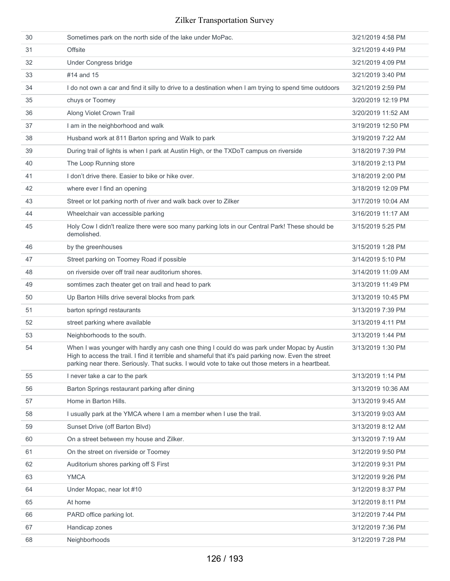| 30 | Sometimes park on the north side of the lake under MoPac.                                                                                                                                                                                                                                                | 3/21/2019 4:58 PM  |
|----|----------------------------------------------------------------------------------------------------------------------------------------------------------------------------------------------------------------------------------------------------------------------------------------------------------|--------------------|
| 31 | Offsite                                                                                                                                                                                                                                                                                                  | 3/21/2019 4:49 PM  |
| 32 | <b>Under Congress bridge</b>                                                                                                                                                                                                                                                                             | 3/21/2019 4:09 PM  |
| 33 | #14 and 15                                                                                                                                                                                                                                                                                               | 3/21/2019 3:40 PM  |
| 34 | I do not own a car and find it silly to drive to a destination when I am trying to spend time outdoors                                                                                                                                                                                                   | 3/21/2019 2:59 PM  |
| 35 | chuys or Toomey                                                                                                                                                                                                                                                                                          | 3/20/2019 12:19 PM |
| 36 | Along Violet Crown Trail                                                                                                                                                                                                                                                                                 | 3/20/2019 11:52 AM |
| 37 | I am in the neighborhood and walk                                                                                                                                                                                                                                                                        | 3/19/2019 12:50 PM |
| 38 | Husband work at 811 Barton spring and Walk to park                                                                                                                                                                                                                                                       | 3/19/2019 7:22 AM  |
| 39 | During trail of lights is when I park at Austin High, or the TXDoT campus on riverside                                                                                                                                                                                                                   | 3/18/2019 7:39 PM  |
| 40 | The Loop Running store                                                                                                                                                                                                                                                                                   | 3/18/2019 2:13 PM  |
| 41 | I don't drive there. Easier to bike or hike over.                                                                                                                                                                                                                                                        | 3/18/2019 2:00 PM  |
| 42 | where ever I find an opening                                                                                                                                                                                                                                                                             | 3/18/2019 12:09 PM |
| 43 | Street or lot parking north of river and walk back over to Zilker                                                                                                                                                                                                                                        | 3/17/2019 10:04 AM |
| 44 | Wheelchair van accessible parking                                                                                                                                                                                                                                                                        | 3/16/2019 11:17 AM |
| 45 | Holy Cow I didn't realize there were soo many parking lots in our Central Park! These should be<br>demolished.                                                                                                                                                                                           | 3/15/2019 5:25 PM  |
| 46 | by the greenhouses                                                                                                                                                                                                                                                                                       | 3/15/2019 1:28 PM  |
| 47 | Street parking on Toomey Road if possible                                                                                                                                                                                                                                                                | 3/14/2019 5:10 PM  |
| 48 | on riverside over off trail near auditorium shores.                                                                                                                                                                                                                                                      | 3/14/2019 11:09 AM |
| 49 | somtimes zach theater get on trail and head to park                                                                                                                                                                                                                                                      | 3/13/2019 11:49 PM |
| 50 | Up Barton Hills drive several blocks from park                                                                                                                                                                                                                                                           | 3/13/2019 10:45 PM |
| 51 | barton springd restaurants                                                                                                                                                                                                                                                                               | 3/13/2019 7:39 PM  |
| 52 | street parking where available                                                                                                                                                                                                                                                                           | 3/13/2019 4:11 PM  |
| 53 | Neighborhoods to the south.                                                                                                                                                                                                                                                                              | 3/13/2019 1:44 PM  |
| 54 | When I was younger with hardly any cash one thing I could do was park under Mopac by Austin<br>High to access the trail. I find it terrible and shameful that it's paid parking now. Even the street<br>parking near there. Seriously. That sucks. I would vote to take out those meters in a heartbeat. | 3/13/2019 1:30 PM  |
| 55 | I never take a car to the park                                                                                                                                                                                                                                                                           | 3/13/2019 1:14 PM  |
| 56 | Barton Springs restaurant parking after dining                                                                                                                                                                                                                                                           | 3/13/2019 10:36 AM |
| 57 | Home in Barton Hills.                                                                                                                                                                                                                                                                                    | 3/13/2019 9:45 AM  |
| 58 | I usually park at the YMCA where I am a member when I use the trail.                                                                                                                                                                                                                                     | 3/13/2019 9:03 AM  |
| 59 | Sunset Drive (off Barton Blvd)                                                                                                                                                                                                                                                                           | 3/13/2019 8:12 AM  |
| 60 | On a street between my house and Zilker.                                                                                                                                                                                                                                                                 | 3/13/2019 7:19 AM  |
| 61 | On the street on riverside or Toomey                                                                                                                                                                                                                                                                     | 3/12/2019 9:50 PM  |
| 62 | Auditorium shores parking off S First                                                                                                                                                                                                                                                                    | 3/12/2019 9:31 PM  |
| 63 | <b>YMCA</b>                                                                                                                                                                                                                                                                                              | 3/12/2019 9:26 PM  |
| 64 | Under Mopac, near lot #10                                                                                                                                                                                                                                                                                | 3/12/2019 8:37 PM  |
| 65 | At home                                                                                                                                                                                                                                                                                                  | 3/12/2019 8:11 PM  |
| 66 | PARD office parking lot.                                                                                                                                                                                                                                                                                 | 3/12/2019 7:44 PM  |
| 67 | Handicap zones                                                                                                                                                                                                                                                                                           | 3/12/2019 7:36 PM  |
| 68 | Neighborhoods                                                                                                                                                                                                                                                                                            | 3/12/2019 7:28 PM  |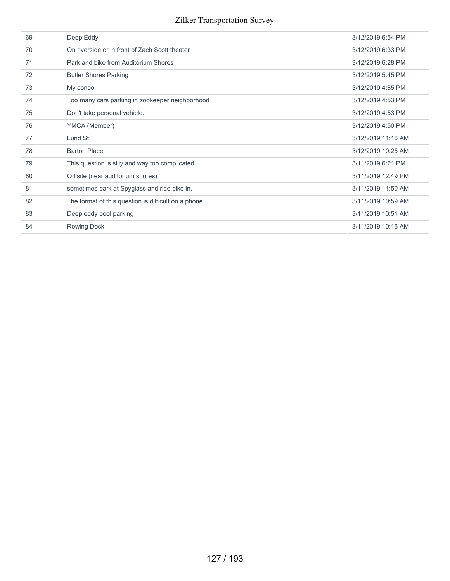| 69 | Deep Eddy                                            | 3/12/2019 6:54 PM  |
|----|------------------------------------------------------|--------------------|
| 70 | On riverside or in front of Zach Scott theater       | 3/12/2019 6:33 PM  |
| 71 | Park and bike from Auditorium Shores                 | 3/12/2019 6:28 PM  |
| 72 | <b>Butler Shores Parking</b>                         | 3/12/2019 5:45 PM  |
| 73 | My condo                                             | 3/12/2019 4:55 PM  |
| 74 | Too many cars parking in zookeeper neighborhood      | 3/12/2019 4:53 PM  |
| 75 | Don't take personal vehicle.                         | 3/12/2019 4:53 PM  |
| 76 | YMCA (Member)                                        | 3/12/2019 4:50 PM  |
| 77 | Lund St                                              | 3/12/2019 11:16 AM |
| 78 | <b>Barton Place</b>                                  | 3/12/2019 10:25 AM |
| 79 | This question is silly and way too complicated.      | 3/11/2019 6:21 PM  |
| 80 | Offisite (near auditorium shores)                    | 3/11/2019 12:49 PM |
| 81 | sometimes park at Spyglass and ride bike in.         | 3/11/2019 11:50 AM |
| 82 | The format of this question is difficult on a phone. | 3/11/2019 10:59 AM |
| 83 | Deep eddy pool parking                               | 3/11/2019 10:51 AM |
| 84 | Rowing Dock                                          | 3/11/2019 10:16 AM |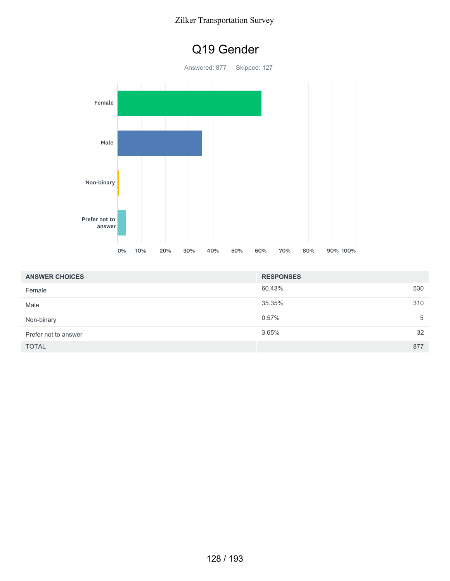

| <b>ANSWER CHOICES</b> | <b>RESPONSES</b> |     |
|-----------------------|------------------|-----|
| Female                | 60.43%           | 530 |
| Male                  | 35.35%           | 310 |
| Non-binary            | 0.57%            | 5   |
| Prefer not to answer  | 3.65%            | 32  |
| <b>TOTAL</b>          |                  | 877 |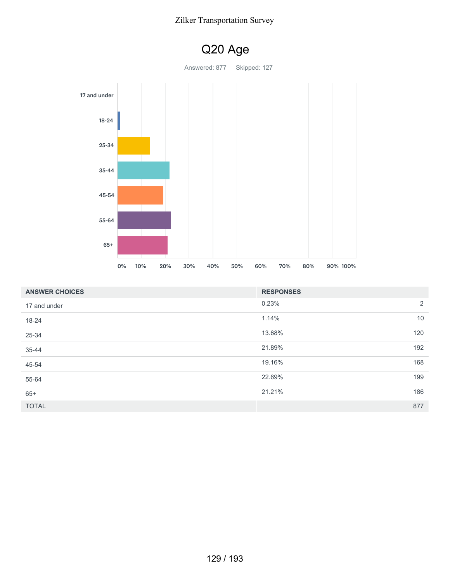

| <b>ANSWER CHOICES</b> | <b>RESPONSES</b> |                |
|-----------------------|------------------|----------------|
| 17 and under          | 0.23%            | $\overline{2}$ |
| 18-24                 | 1.14%            | 10             |
| 25-34                 | 13.68%           | 120            |
| 35-44                 | 21.89%           | 192            |
| 45-54                 | 19.16%           | 168            |
| 55-64                 | 22.69%           | 199            |
| $65+$                 | 21.21%           | 186            |
| <b>TOTAL</b>          |                  | 877            |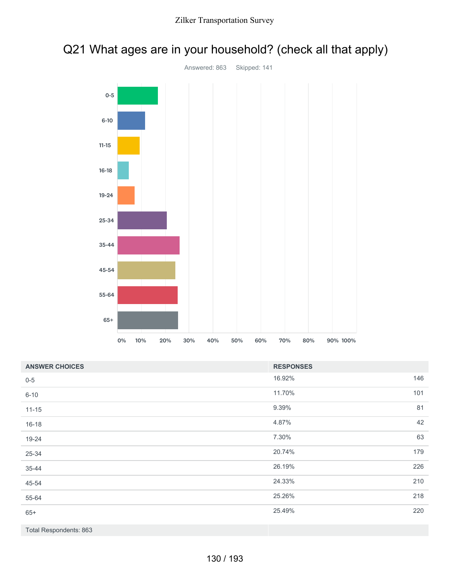



| <b>ANSWER CHOICES</b>  | <b>RESPONSES</b> |     |
|------------------------|------------------|-----|
| $0 - 5$                | 16.92%           | 146 |
| $6 - 10$               | 11.70%           | 101 |
| $11 - 15$              | 9.39%            | 81  |
| $16 - 18$              | 4.87%            | 42  |
| 19-24                  | 7.30%            | 63  |
| 25-34                  | 20.74%           | 179 |
| $35 - 44$              | 26.19%           | 226 |
| 45-54                  | 24.33%           | 210 |
| 55-64                  | 25.26%           | 218 |
| $65+$                  | 25.49%           | 220 |
| Total Respondents: 863 |                  |     |

130 / 193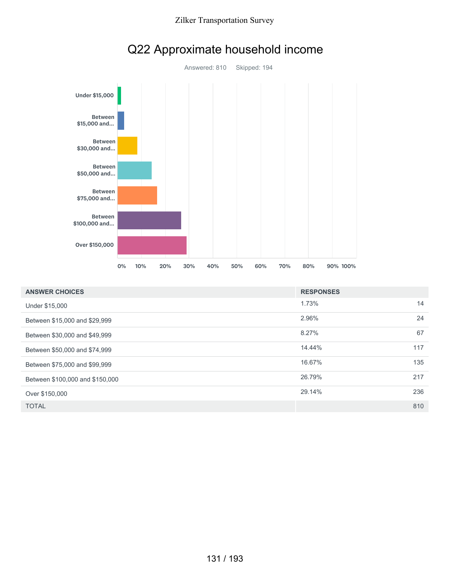



## Q22 Approximate household income

| <b>ANSWER CHOICES</b>           | <b>RESPONSES</b> |     |
|---------------------------------|------------------|-----|
| Under \$15,000                  | 1.73%            | 14  |
| Between \$15,000 and \$29,999   | 2.96%            | 24  |
| Between \$30,000 and \$49,999   | 8.27%            | 67  |
| Between \$50,000 and \$74,999   | 14.44%           | 117 |
| Between \$75,000 and \$99,999   | 16.67%           | 135 |
| Between \$100,000 and \$150,000 | 26.79%           | 217 |
| Over \$150,000                  | 29.14%           | 236 |
| <b>TOTAL</b>                    |                  | 810 |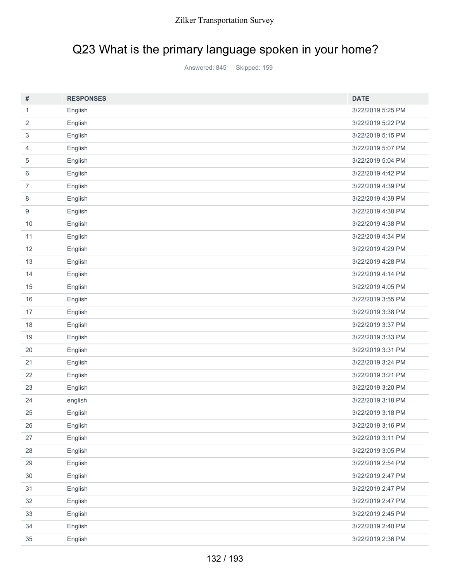# Q23 What is the primary language spoken in your home?

Answered: 845 Skipped: 159

| #              | <b>RESPONSES</b> | <b>DATE</b>       |
|----------------|------------------|-------------------|
| $\mathbf{1}$   | English          | 3/22/2019 5:25 PM |
| 2              | English          | 3/22/2019 5:22 PM |
| 3              | English          | 3/22/2019 5:15 PM |
| $\overline{4}$ | English          | 3/22/2019 5:07 PM |
| 5              | English          | 3/22/2019 5:04 PM |
| 6              | English          | 3/22/2019 4:42 PM |
| $\overline{7}$ | English          | 3/22/2019 4:39 PM |
| 8              | English          | 3/22/2019 4:39 PM |
| 9              | English          | 3/22/2019 4:38 PM |
| $10$           | English          | 3/22/2019 4:38 PM |
| 11             | English          | 3/22/2019 4:34 PM |
| 12             | English          | 3/22/2019 4:29 PM |
| 13             | English          | 3/22/2019 4:28 PM |
| 14             | English          | 3/22/2019 4:14 PM |
| 15             | English          | 3/22/2019 4:05 PM |
| 16             | English          | 3/22/2019 3:55 PM |
| 17             | English          | 3/22/2019 3:38 PM |
| 18             | English          | 3/22/2019 3:37 PM |
| 19             | English          | 3/22/2019 3:33 PM |
| 20             | English          | 3/22/2019 3:31 PM |
| 21             | English          | 3/22/2019 3:24 PM |
| 22             | English          | 3/22/2019 3:21 PM |
| 23             | English          | 3/22/2019 3:20 PM |
| 24             | english          | 3/22/2019 3:18 PM |
| 25             | English          | 3/22/2019 3:18 PM |
| 26             | English          | 3/22/2019 3:16 PM |
| 27             | English          | 3/22/2019 3:11 PM |
| 28             | English          | 3/22/2019 3:05 PM |
| 29             | English          | 3/22/2019 2:54 PM |
| $30\,$         | English          | 3/22/2019 2:47 PM |
| 31             | English          | 3/22/2019 2:47 PM |
| 32             | English          | 3/22/2019 2:47 PM |
| 33             | English          | 3/22/2019 2:45 PM |
| 34             | English          | 3/22/2019 2:40 PM |
| $35\,$         | English          | 3/22/2019 2:36 PM |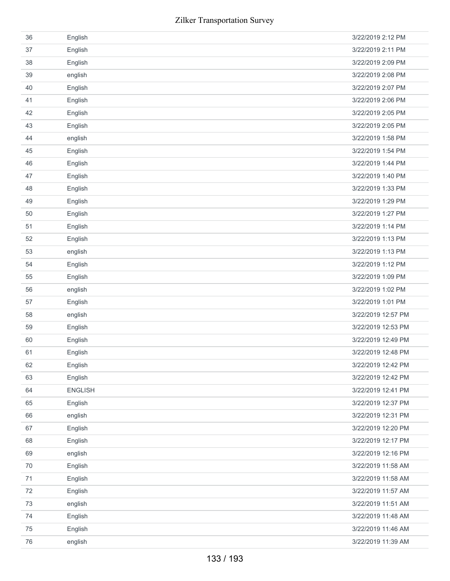| 36     | English        | 3/22/2019 2:12 PM  |
|--------|----------------|--------------------|
| 37     | English        | 3/22/2019 2:11 PM  |
| 38     | English        | 3/22/2019 2:09 PM  |
| 39     | english        | 3/22/2019 2:08 PM  |
| 40     | English        | 3/22/2019 2:07 PM  |
| 41     | English        | 3/22/2019 2:06 PM  |
| 42     | English        | 3/22/2019 2:05 PM  |
| 43     | English        | 3/22/2019 2:05 PM  |
| 44     | english        | 3/22/2019 1:58 PM  |
| 45     | English        | 3/22/2019 1:54 PM  |
| 46     | English        | 3/22/2019 1:44 PM  |
| 47     | English        | 3/22/2019 1:40 PM  |
| 48     | English        | 3/22/2019 1:33 PM  |
| 49     | English        | 3/22/2019 1:29 PM  |
| 50     | English        | 3/22/2019 1:27 PM  |
| 51     | English        | 3/22/2019 1:14 PM  |
| 52     | English        | 3/22/2019 1:13 PM  |
| 53     | english        | 3/22/2019 1:13 PM  |
| 54     | English        | 3/22/2019 1:12 PM  |
| 55     | English        | 3/22/2019 1:09 PM  |
| 56     | english        | 3/22/2019 1:02 PM  |
| 57     | English        | 3/22/2019 1:01 PM  |
| 58     | english        | 3/22/2019 12:57 PM |
| 59     | English        | 3/22/2019 12:53 PM |
| 60     | English        | 3/22/2019 12:49 PM |
| 61     | English        | 3/22/2019 12:48 PM |
| 62     | English        | 3/22/2019 12:42 PM |
| 63     | English        | 3/22/2019 12:42 PM |
| 64     | <b>ENGLISH</b> | 3/22/2019 12:41 PM |
| 65     | English        | 3/22/2019 12:37 PM |
| 66     | english        | 3/22/2019 12:31 PM |
| 67     | English        | 3/22/2019 12:20 PM |
| 68     | English        | 3/22/2019 12:17 PM |
| 69     | english        | 3/22/2019 12:16 PM |
| 70     | English        | 3/22/2019 11:58 AM |
| 71     | English        | 3/22/2019 11:58 AM |
| 72     | English        | 3/22/2019 11:57 AM |
| 73     | english        | 3/22/2019 11:51 AM |
| 74     | English        | 3/22/2019 11:48 AM |
| 75     | English        | 3/22/2019 11:46 AM |
| $76\,$ | english        | 3/22/2019 11:39 AM |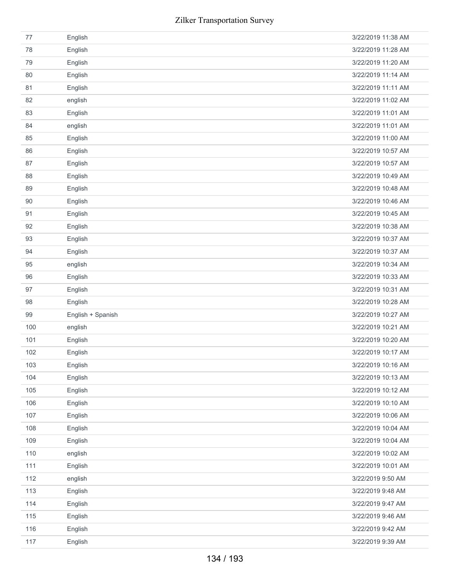| 77  | English           | 3/22/2019 11:38 AM |
|-----|-------------------|--------------------|
| 78  | English           | 3/22/2019 11:28 AM |
| 79  | English           | 3/22/2019 11:20 AM |
| 80  | English           | 3/22/2019 11:14 AM |
| 81  | English           | 3/22/2019 11:11 AM |
| 82  | english           | 3/22/2019 11:02 AM |
| 83  | English           | 3/22/2019 11:01 AM |
| 84  | english           | 3/22/2019 11:01 AM |
| 85  | English           | 3/22/2019 11:00 AM |
| 86  | English           | 3/22/2019 10:57 AM |
| 87  | English           | 3/22/2019 10:57 AM |
| 88  | English           | 3/22/2019 10:49 AM |
| 89  | English           | 3/22/2019 10:48 AM |
| 90  | English           | 3/22/2019 10:46 AM |
| 91  | English           | 3/22/2019 10:45 AM |
| 92  | English           | 3/22/2019 10:38 AM |
| 93  | English           | 3/22/2019 10:37 AM |
| 94  | English           | 3/22/2019 10:37 AM |
| 95  | english           | 3/22/2019 10:34 AM |
| 96  | English           | 3/22/2019 10:33 AM |
| 97  | English           | 3/22/2019 10:31 AM |
| 98  | English           | 3/22/2019 10:28 AM |
|     |                   |                    |
| 99  | English + Spanish | 3/22/2019 10:27 AM |
| 100 | english           | 3/22/2019 10:21 AM |
| 101 | English           | 3/22/2019 10:20 AM |
| 102 | English           | 3/22/2019 10:17 AM |
| 103 | English           | 3/22/2019 10:16 AM |
| 104 | English           | 3/22/2019 10:13 AM |
| 105 | English           | 3/22/2019 10:12 AM |
| 106 | English           | 3/22/2019 10:10 AM |
| 107 | English           | 3/22/2019 10:06 AM |
| 108 | English           | 3/22/2019 10:04 AM |
| 109 | English           | 3/22/2019 10:04 AM |
| 110 | english           | 3/22/2019 10:02 AM |
| 111 | English           | 3/22/2019 10:01 AM |
| 112 | english           | 3/22/2019 9:50 AM  |
| 113 | English           | 3/22/2019 9:48 AM  |
| 114 | English           | 3/22/2019 9:47 AM  |
| 115 | English           | 3/22/2019 9:46 AM  |
| 116 | English           | 3/22/2019 9:42 AM  |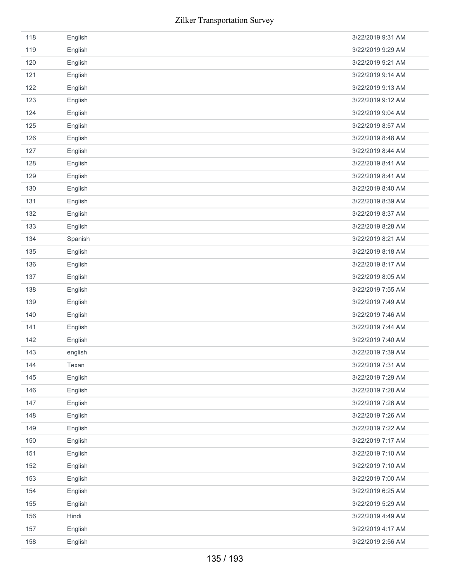| 118 | English | 3/22/2019 9:31 AM |
|-----|---------|-------------------|
| 119 | English | 3/22/2019 9:29 AM |
| 120 | English | 3/22/2019 9:21 AM |
| 121 | English | 3/22/2019 9:14 AM |
| 122 | English | 3/22/2019 9:13 AM |
| 123 | English | 3/22/2019 9:12 AM |
| 124 | English | 3/22/2019 9:04 AM |
| 125 | English | 3/22/2019 8:57 AM |
| 126 | English | 3/22/2019 8:48 AM |
| 127 | English | 3/22/2019 8:44 AM |
| 128 | English | 3/22/2019 8:41 AM |
| 129 | English | 3/22/2019 8:41 AM |
| 130 | English | 3/22/2019 8:40 AM |
| 131 | English | 3/22/2019 8:39 AM |
| 132 | English | 3/22/2019 8:37 AM |
| 133 | English | 3/22/2019 8:28 AM |
| 134 | Spanish | 3/22/2019 8:21 AM |
| 135 | English | 3/22/2019 8:18 AM |
| 136 | English | 3/22/2019 8:17 AM |
| 137 | English | 3/22/2019 8:05 AM |
| 138 | English | 3/22/2019 7:55 AM |
| 139 | English | 3/22/2019 7:49 AM |
| 140 | English | 3/22/2019 7:46 AM |
| 141 | English | 3/22/2019 7:44 AM |
| 142 | English | 3/22/2019 7:40 AM |
| 143 | english | 3/22/2019 7:39 AM |
| 144 | Texan   | 3/22/2019 7:31 AM |
| 145 | English | 3/22/2019 7:29 AM |
| 146 | English | 3/22/2019 7:28 AM |
| 147 | English | 3/22/2019 7:26 AM |
| 148 | English | 3/22/2019 7:26 AM |
| 149 | English | 3/22/2019 7:22 AM |
| 150 | English | 3/22/2019 7:17 AM |
| 151 | English | 3/22/2019 7:10 AM |
| 152 | English | 3/22/2019 7:10 AM |
| 153 | English | 3/22/2019 7:00 AM |
| 154 | English | 3/22/2019 6:25 AM |
| 155 | English | 3/22/2019 5:29 AM |
| 156 | Hindi   | 3/22/2019 4:49 AM |
| 157 | English | 3/22/2019 4:17 AM |
| 158 | English | 3/22/2019 2:56 AM |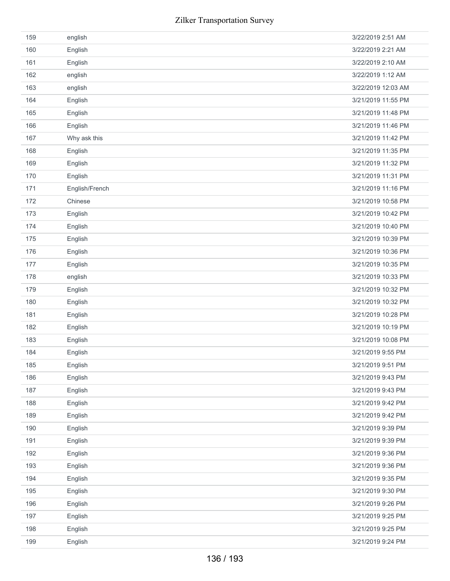| 159 | english        | 3/22/2019 2:51 AM  |
|-----|----------------|--------------------|
| 160 | English        | 3/22/2019 2:21 AM  |
| 161 | English        | 3/22/2019 2:10 AM  |
| 162 | english        | 3/22/2019 1:12 AM  |
| 163 | english        | 3/22/2019 12:03 AM |
| 164 | English        | 3/21/2019 11:55 PM |
| 165 | English        | 3/21/2019 11:48 PM |
| 166 | English        | 3/21/2019 11:46 PM |
| 167 | Why ask this   | 3/21/2019 11:42 PM |
| 168 | English        | 3/21/2019 11:35 PM |
| 169 | English        | 3/21/2019 11:32 PM |
| 170 | English        | 3/21/2019 11:31 PM |
| 171 | English/French | 3/21/2019 11:16 PM |
| 172 | Chinese        | 3/21/2019 10:58 PM |
| 173 | English        | 3/21/2019 10:42 PM |
| 174 | English        | 3/21/2019 10:40 PM |
| 175 | English        | 3/21/2019 10:39 PM |
| 176 | English        | 3/21/2019 10:36 PM |
| 177 | English        | 3/21/2019 10:35 PM |
| 178 | english        | 3/21/2019 10:33 PM |
| 179 | English        | 3/21/2019 10:32 PM |
| 180 | English        | 3/21/2019 10:32 PM |
| 181 | English        | 3/21/2019 10:28 PM |
| 182 | English        | 3/21/2019 10:19 PM |
| 183 | English        | 3/21/2019 10:08 PM |
| 184 | English        | 3/21/2019 9:55 PM  |
| 185 | English        | 3/21/2019 9:51 PM  |
| 186 | English        | 3/21/2019 9:43 PM  |
| 187 | English        | 3/21/2019 9:43 PM  |
| 188 | English        | 3/21/2019 9:42 PM  |
| 189 | English        | 3/21/2019 9:42 PM  |
| 190 | English        | 3/21/2019 9:39 PM  |
| 191 | English        | 3/21/2019 9:39 PM  |
| 192 | English        | 3/21/2019 9:36 PM  |
| 193 | English        | 3/21/2019 9:36 PM  |
| 194 | English        | 3/21/2019 9:35 PM  |
| 195 | English        | 3/21/2019 9:30 PM  |
| 196 | English        | 3/21/2019 9:26 PM  |
| 197 | English        | 3/21/2019 9:25 PM  |
| 198 | English        | 3/21/2019 9:25 PM  |
| 199 | English        | 3/21/2019 9:24 PM  |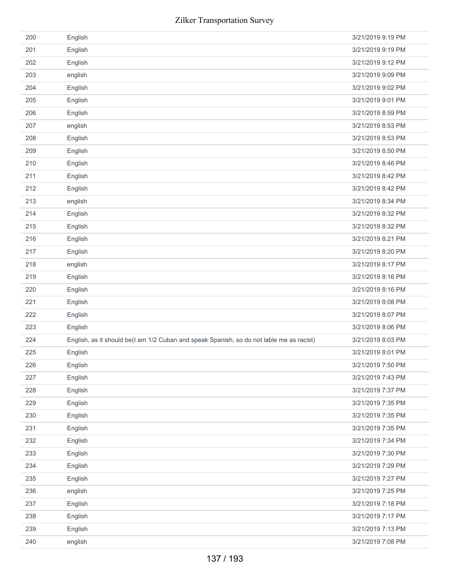| 200 | English                                                                                  | 3/21/2019 9:19 PM |
|-----|------------------------------------------------------------------------------------------|-------------------|
| 201 | English                                                                                  | 3/21/2019 9:19 PM |
| 202 | English                                                                                  | 3/21/2019 9:12 PM |
| 203 | english                                                                                  | 3/21/2019 9:09 PM |
| 204 | English                                                                                  | 3/21/2019 9:02 PM |
| 205 | English                                                                                  | 3/21/2019 9:01 PM |
| 206 | English                                                                                  | 3/21/2019 8:59 PM |
| 207 | english                                                                                  | 3/21/2019 8:53 PM |
| 208 | English                                                                                  | 3/21/2019 8:53 PM |
| 209 | English                                                                                  | 3/21/2019 8:50 PM |
| 210 | English                                                                                  | 3/21/2019 8:46 PM |
| 211 | English                                                                                  | 3/21/2019 8:42 PM |
| 212 | English                                                                                  | 3/21/2019 8:42 PM |
| 213 | english                                                                                  | 3/21/2019 8:34 PM |
| 214 | English                                                                                  | 3/21/2019 8:32 PM |
| 215 | English                                                                                  | 3/21/2019 8:32 PM |
| 216 | English                                                                                  | 3/21/2019 8:21 PM |
| 217 | English                                                                                  | 3/21/2019 8:20 PM |
| 218 | english                                                                                  | 3/21/2019 8:17 PM |
| 219 | English                                                                                  | 3/21/2019 8:16 PM |
| 220 | English                                                                                  | 3/21/2019 8:16 PM |
| 221 | English                                                                                  | 3/21/2019 8:08 PM |
| 222 | English                                                                                  | 3/21/2019 8:07 PM |
| 223 | English                                                                                  | 3/21/2019 8:06 PM |
| 224 | English, as it should be(I am 1/2 Cuban and speak Spanish, so do not lable me as racist) | 3/21/2019 8:03 PM |
| 225 | English                                                                                  | 3/21/2019 8:01 PM |
| 226 | English                                                                                  | 3/21/2019 7:50 PM |
| 227 | English                                                                                  | 3/21/2019 7:43 PM |
| 228 | English                                                                                  | 3/21/2019 7:37 PM |
| 229 | English                                                                                  | 3/21/2019 7:35 PM |
| 230 | English                                                                                  | 3/21/2019 7:35 PM |
| 231 | English                                                                                  | 3/21/2019 7:35 PM |
| 232 | English                                                                                  | 3/21/2019 7:34 PM |
| 233 | English                                                                                  | 3/21/2019 7:30 PM |
| 234 | English                                                                                  | 3/21/2019 7:29 PM |
| 235 | English                                                                                  | 3/21/2019 7:27 PM |
| 236 | english                                                                                  | 3/21/2019 7:25 PM |
| 237 | English                                                                                  | 3/21/2019 7:18 PM |
| 238 | English                                                                                  | 3/21/2019 7:17 PM |
| 239 | English                                                                                  | 3/21/2019 7:13 PM |
| 240 | english                                                                                  | 3/21/2019 7:08 PM |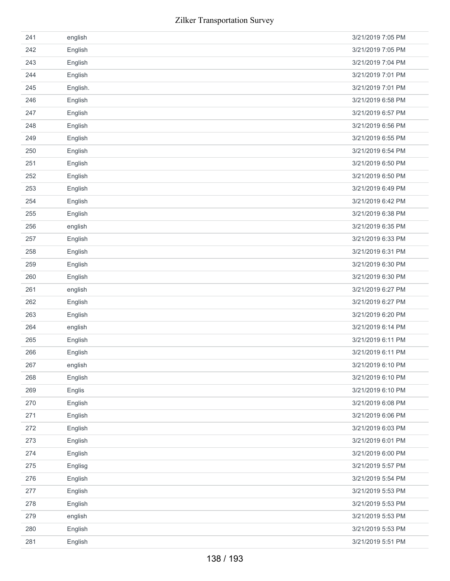| 241 | english  | 3/21/2019 7:05 PM |
|-----|----------|-------------------|
| 242 | English  | 3/21/2019 7:05 PM |
| 243 | English  | 3/21/2019 7:04 PM |
| 244 | English  | 3/21/2019 7:01 PM |
| 245 | English. | 3/21/2019 7:01 PM |
| 246 | English  | 3/21/2019 6:58 PM |
| 247 | English  | 3/21/2019 6:57 PM |
| 248 | English  | 3/21/2019 6:56 PM |
| 249 | English  | 3/21/2019 6:55 PM |
| 250 | English  | 3/21/2019 6:54 PM |
| 251 | English  | 3/21/2019 6:50 PM |
| 252 | English  | 3/21/2019 6:50 PM |
| 253 | English  | 3/21/2019 6:49 PM |
| 254 | English  | 3/21/2019 6:42 PM |
| 255 | English  | 3/21/2019 6:38 PM |
| 256 | english  | 3/21/2019 6:35 PM |
| 257 | English  | 3/21/2019 6:33 PM |
| 258 | English  | 3/21/2019 6:31 PM |
| 259 | English  | 3/21/2019 6:30 PM |
| 260 | English  | 3/21/2019 6:30 PM |
| 261 | english  | 3/21/2019 6:27 PM |
| 262 | English  | 3/21/2019 6:27 PM |
| 263 | English  | 3/21/2019 6:20 PM |
| 264 | english  | 3/21/2019 6:14 PM |
| 265 | English  | 3/21/2019 6:11 PM |
| 266 | English  | 3/21/2019 6:11 PM |
| 267 | english  | 3/21/2019 6:10 PM |
| 268 | English  | 3/21/2019 6:10 PM |
| 269 | Englis   | 3/21/2019 6:10 PM |
| 270 | English  | 3/21/2019 6:08 PM |
| 271 | English  | 3/21/2019 6:06 PM |
| 272 | English  | 3/21/2019 6:03 PM |
| 273 | English  | 3/21/2019 6:01 PM |
| 274 | English  | 3/21/2019 6:00 PM |
| 275 | Englisg  | 3/21/2019 5:57 PM |
| 276 | English  | 3/21/2019 5:54 PM |
| 277 | English  | 3/21/2019 5:53 PM |
| 278 | English  | 3/21/2019 5:53 PM |
| 279 | english  | 3/21/2019 5:53 PM |
| 280 | English  | 3/21/2019 5:53 PM |
| 281 | English  | 3/21/2019 5:51 PM |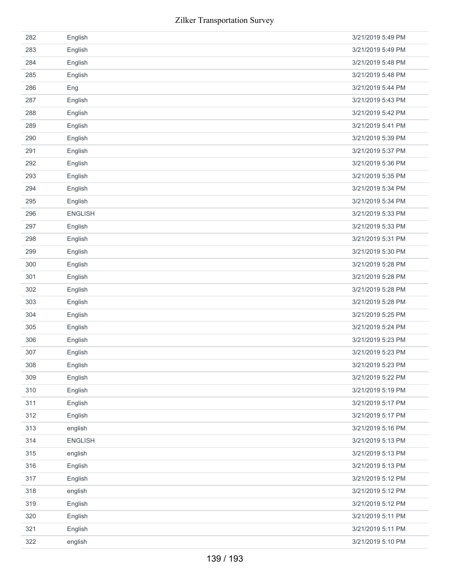| 282 | English        | 3/21/2019 5:49 PM |
|-----|----------------|-------------------|
| 283 | English        | 3/21/2019 5:49 PM |
| 284 | English        | 3/21/2019 5:48 PM |
| 285 | English        | 3/21/2019 5:48 PM |
| 286 | Eng            | 3/21/2019 5:44 PM |
| 287 | English        | 3/21/2019 5:43 PM |
| 288 | English        | 3/21/2019 5:42 PM |
| 289 | English        | 3/21/2019 5:41 PM |
| 290 | English        | 3/21/2019 5:39 PM |
| 291 | English        | 3/21/2019 5:37 PM |
| 292 | English        | 3/21/2019 5:36 PM |
| 293 | English        | 3/21/2019 5:35 PM |
| 294 | English        | 3/21/2019 5:34 PM |
| 295 | English        | 3/21/2019 5:34 PM |
| 296 | <b>ENGLISH</b> | 3/21/2019 5:33 PM |
| 297 | English        | 3/21/2019 5:33 PM |
| 298 | English        | 3/21/2019 5:31 PM |
| 299 | English        | 3/21/2019 5:30 PM |
| 300 | English        | 3/21/2019 5:28 PM |
| 301 | English        | 3/21/2019 5:28 PM |
| 302 | English        | 3/21/2019 5:28 PM |
| 303 | English        | 3/21/2019 5:28 PM |
| 304 | English        | 3/21/2019 5:25 PM |
| 305 | English        | 3/21/2019 5:24 PM |
| 306 | English        | 3/21/2019 5:23 PM |
| 307 | English        | 3/21/2019 5:23 PM |
| 308 | English        | 3/21/2019 5:23 PM |
| 309 | English        | 3/21/2019 5:22 PM |
| 310 | English        | 3/21/2019 5:19 PM |
| 311 | English        | 3/21/2019 5:17 PM |
| 312 | English        | 3/21/2019 5:17 PM |
| 313 | english        | 3/21/2019 5:16 PM |
| 314 | <b>ENGLISH</b> | 3/21/2019 5:13 PM |
| 315 | english        | 3/21/2019 5:13 PM |
| 316 | English        | 3/21/2019 5:13 PM |
| 317 | English        | 3/21/2019 5:12 PM |
| 318 | english        | 3/21/2019 5:12 PM |
| 319 | English        | 3/21/2019 5:12 PM |
| 320 | English        | 3/21/2019 5:11 PM |
| 321 | English        | 3/21/2019 5:11 PM |
| 322 | english        | 3/21/2019 5:10 PM |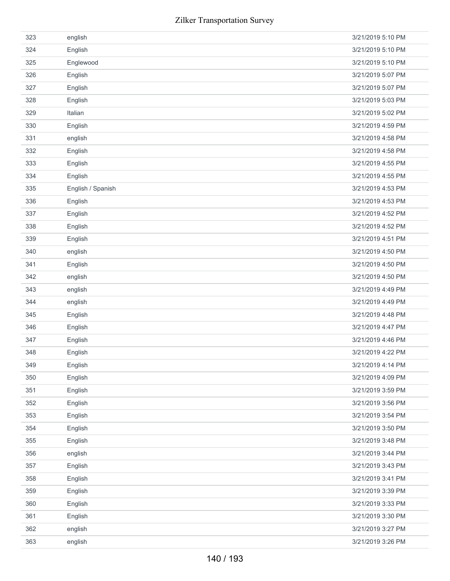| 323 | english           | 3/21/2019 5:10 PM |
|-----|-------------------|-------------------|
| 324 | English           | 3/21/2019 5:10 PM |
| 325 | Englewood         | 3/21/2019 5:10 PM |
| 326 | English           | 3/21/2019 5:07 PM |
| 327 | English           | 3/21/2019 5:07 PM |
| 328 | English           | 3/21/2019 5:03 PM |
| 329 | Italian           | 3/21/2019 5:02 PM |
| 330 | English           | 3/21/2019 4:59 PM |
| 331 | english           | 3/21/2019 4:58 PM |
| 332 | English           | 3/21/2019 4:58 PM |
| 333 | English           | 3/21/2019 4:55 PM |
| 334 | English           | 3/21/2019 4:55 PM |
| 335 | English / Spanish | 3/21/2019 4:53 PM |
| 336 | English           | 3/21/2019 4:53 PM |
| 337 | English           | 3/21/2019 4:52 PM |
| 338 | English           | 3/21/2019 4:52 PM |
| 339 | English           | 3/21/2019 4:51 PM |
| 340 | english           | 3/21/2019 4:50 PM |
| 341 | English           | 3/21/2019 4:50 PM |
| 342 | english           | 3/21/2019 4:50 PM |
| 343 | english           | 3/21/2019 4:49 PM |
| 344 | english           | 3/21/2019 4:49 PM |
| 345 | English           | 3/21/2019 4:48 PM |
| 346 | English           | 3/21/2019 4:47 PM |
| 347 | English           | 3/21/2019 4:46 PM |
| 348 | English           | 3/21/2019 4:22 PM |
| 349 | English           | 3/21/2019 4:14 PM |
| 350 | English           | 3/21/2019 4:09 PM |
| 351 | English           | 3/21/2019 3:59 PM |
| 352 | English           | 3/21/2019 3:56 PM |
| 353 | English           | 3/21/2019 3:54 PM |
| 354 | English           | 3/21/2019 3:50 PM |
| 355 | English           | 3/21/2019 3:48 PM |
| 356 | english           | 3/21/2019 3:44 PM |
| 357 | English           | 3/21/2019 3:43 PM |
| 358 | English           | 3/21/2019 3:41 PM |
| 359 | English           | 3/21/2019 3:39 PM |
| 360 | English           | 3/21/2019 3:33 PM |
| 361 | English           | 3/21/2019 3:30 PM |
| 362 |                   |                   |
|     | english           | 3/21/2019 3:27 PM |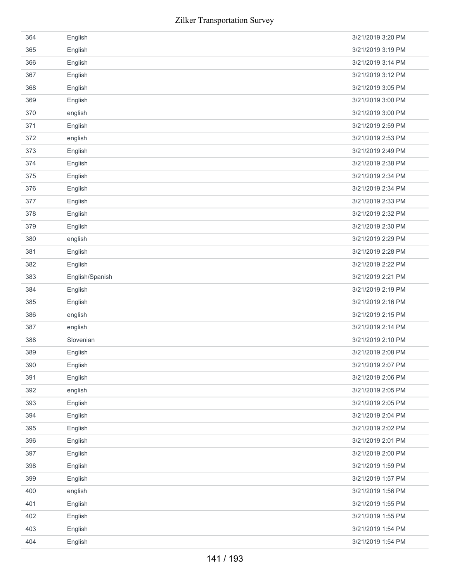| 364 | English         | 3/21/2019 3:20 PM |
|-----|-----------------|-------------------|
| 365 | English         | 3/21/2019 3:19 PM |
| 366 | English         | 3/21/2019 3:14 PM |
| 367 | English         | 3/21/2019 3:12 PM |
| 368 | English         | 3/21/2019 3:05 PM |
| 369 | English         | 3/21/2019 3:00 PM |
| 370 | english         | 3/21/2019 3:00 PM |
| 371 | English         | 3/21/2019 2:59 PM |
| 372 | english         | 3/21/2019 2:53 PM |
| 373 | English         | 3/21/2019 2:49 PM |
| 374 | English         | 3/21/2019 2:38 PM |
| 375 | English         | 3/21/2019 2:34 PM |
| 376 | English         | 3/21/2019 2:34 PM |
| 377 | English         | 3/21/2019 2:33 PM |
| 378 | English         | 3/21/2019 2:32 PM |
| 379 | English         | 3/21/2019 2:30 PM |
| 380 | english         | 3/21/2019 2:29 PM |
| 381 | English         | 3/21/2019 2:28 PM |
| 382 | English         | 3/21/2019 2:22 PM |
| 383 | English/Spanish | 3/21/2019 2:21 PM |
| 384 | English         | 3/21/2019 2:19 PM |
|     |                 |                   |
| 385 | English         | 3/21/2019 2:16 PM |
| 386 | english         | 3/21/2019 2:15 PM |
| 387 | english         | 3/21/2019 2:14 PM |
| 388 | Slovenian       | 3/21/2019 2:10 PM |
| 389 | English         | 3/21/2019 2:08 PM |
| 390 | English         | 3/21/2019 2:07 PM |
| 391 | English         | 3/21/2019 2:06 PM |
| 392 | english         | 3/21/2019 2:05 PM |
| 393 | English         | 3/21/2019 2:05 PM |
| 394 | English         | 3/21/2019 2:04 PM |
| 395 | English         | 3/21/2019 2:02 PM |
| 396 | English         | 3/21/2019 2:01 PM |
| 397 | English         | 3/21/2019 2:00 PM |
| 398 | English         | 3/21/2019 1:59 PM |
| 399 | English         | 3/21/2019 1:57 PM |
| 400 | english         | 3/21/2019 1:56 PM |
| 401 | English         | 3/21/2019 1:55 PM |
| 402 | English         | 3/21/2019 1:55 PM |
| 403 | English         | 3/21/2019 1:54 PM |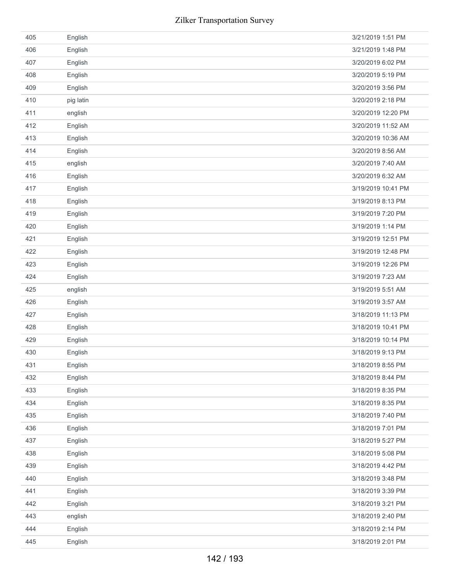| 405 | English   | 3/21/2019 1:51 PM  |
|-----|-----------|--------------------|
| 406 | English   | 3/21/2019 1:48 PM  |
| 407 | English   | 3/20/2019 6:02 PM  |
| 408 | English   | 3/20/2019 5:19 PM  |
| 409 | English   | 3/20/2019 3:56 PM  |
| 410 | pig latin | 3/20/2019 2:18 PM  |
| 411 | english   | 3/20/2019 12:20 PM |
| 412 | English   | 3/20/2019 11:52 AM |
| 413 | English   | 3/20/2019 10:36 AM |
| 414 | English   | 3/20/2019 8:56 AM  |
| 415 | english   | 3/20/2019 7:40 AM  |
| 416 | English   | 3/20/2019 6:32 AM  |
| 417 | English   | 3/19/2019 10:41 PM |
| 418 | English   | 3/19/2019 8:13 PM  |
| 419 | English   | 3/19/2019 7:20 PM  |
| 420 | English   | 3/19/2019 1:14 PM  |
| 421 | English   | 3/19/2019 12:51 PM |
| 422 | English   | 3/19/2019 12:48 PM |
| 423 | English   | 3/19/2019 12:26 PM |
| 424 | English   | 3/19/2019 7:23 AM  |
| 425 | english   | 3/19/2019 5:51 AM  |
| 426 | English   | 3/19/2019 3:57 AM  |
| 427 | English   | 3/18/2019 11:13 PM |
| 428 | English   | 3/18/2019 10:41 PM |
| 429 | English   | 3/18/2019 10:14 PM |
| 430 | English   | 3/18/2019 9:13 PM  |
| 431 | English   | 3/18/2019 8:55 PM  |
| 432 | English   | 3/18/2019 8:44 PM  |
| 433 | English   | 3/18/2019 8:35 PM  |
| 434 | English   | 3/18/2019 8:35 PM  |
| 435 | English   | 3/18/2019 7:40 PM  |
| 436 | English   | 3/18/2019 7:01 PM  |
| 437 | English   | 3/18/2019 5:27 PM  |
| 438 | English   | 3/18/2019 5:08 PM  |
| 439 | English   | 3/18/2019 4:42 PM  |
| 440 | English   | 3/18/2019 3:48 PM  |
| 441 | English   | 3/18/2019 3:39 PM  |
| 442 | English   | 3/18/2019 3:21 PM  |
| 443 | english   | 3/18/2019 2:40 PM  |
|     |           |                    |
| 444 | English   | 3/18/2019 2:14 PM  |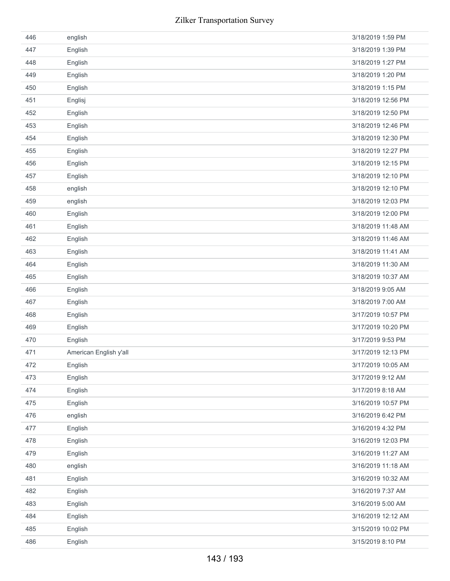| 446 | english                | 3/18/2019 1:59 PM  |
|-----|------------------------|--------------------|
| 447 | English                | 3/18/2019 1:39 PM  |
| 448 | English                | 3/18/2019 1:27 PM  |
| 449 | English                | 3/18/2019 1:20 PM  |
| 450 | English                | 3/18/2019 1:15 PM  |
| 451 | Englisj                | 3/18/2019 12:56 PM |
| 452 | English                | 3/18/2019 12:50 PM |
| 453 | English                | 3/18/2019 12:46 PM |
| 454 | English                | 3/18/2019 12:30 PM |
| 455 | English                | 3/18/2019 12:27 PM |
| 456 | English                | 3/18/2019 12:15 PM |
| 457 | English                | 3/18/2019 12:10 PM |
| 458 | english                | 3/18/2019 12:10 PM |
| 459 | english                | 3/18/2019 12:03 PM |
| 460 | English                | 3/18/2019 12:00 PM |
| 461 | English                | 3/18/2019 11:48 AM |
| 462 | English                | 3/18/2019 11:46 AM |
| 463 | English                | 3/18/2019 11:41 AM |
| 464 | English                | 3/18/2019 11:30 AM |
| 465 | English                | 3/18/2019 10:37 AM |
| 466 | English                | 3/18/2019 9:05 AM  |
| 467 | English                | 3/18/2019 7:00 AM  |
| 468 | English                | 3/17/2019 10:57 PM |
| 469 | English                | 3/17/2019 10:20 PM |
| 470 | English                | 3/17/2019 9:53 PM  |
| 471 | American English y'all | 3/17/2019 12:13 PM |
| 472 | English                | 3/17/2019 10:05 AM |
| 473 | English                | 3/17/2019 9:12 AM  |
| 474 | English                | 3/17/2019 8:18 AM  |
| 475 | English                | 3/16/2019 10:57 PM |
| 476 | english                | 3/16/2019 6:42 PM  |
| 477 | English                | 3/16/2019 4:32 PM  |
| 478 | English                | 3/16/2019 12:03 PM |
| 479 | English                | 3/16/2019 11:27 AM |
| 480 | english                | 3/16/2019 11:18 AM |
| 481 | English                | 3/16/2019 10:32 AM |
| 482 | English                | 3/16/2019 7:37 AM  |
| 483 | English                | 3/16/2019 5:00 AM  |
| 484 | English                | 3/16/2019 12:12 AM |
| 485 | English                | 3/15/2019 10:02 PM |
| 486 | English                | 3/15/2019 8:10 PM  |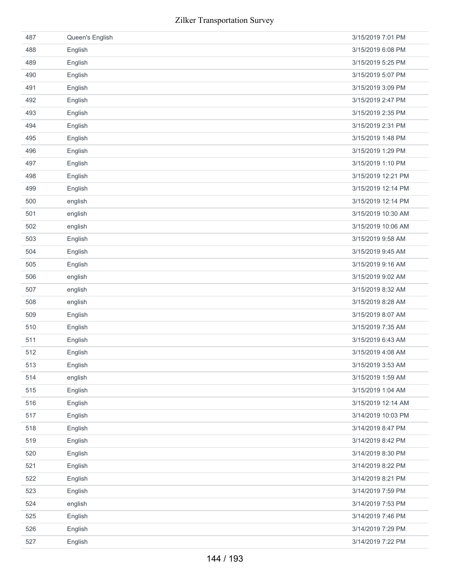| 487 | Queen's English | 3/15/2019 7:01 PM  |
|-----|-----------------|--------------------|
| 488 | English         | 3/15/2019 6:08 PM  |
| 489 | English         | 3/15/2019 5:25 PM  |
| 490 | English         | 3/15/2019 5:07 PM  |
| 491 | English         | 3/15/2019 3:09 PM  |
| 492 | English         | 3/15/2019 2:47 PM  |
| 493 | English         | 3/15/2019 2:35 PM  |
| 494 | English         | 3/15/2019 2:31 PM  |
| 495 | English         | 3/15/2019 1:48 PM  |
| 496 | English         | 3/15/2019 1:29 PM  |
| 497 | English         | 3/15/2019 1:10 PM  |
| 498 | English         | 3/15/2019 12:21 PM |
| 499 | English         | 3/15/2019 12:14 PM |
| 500 | english         | 3/15/2019 12:14 PM |
| 501 | english         | 3/15/2019 10:30 AM |
| 502 | english         | 3/15/2019 10:06 AM |
| 503 | English         | 3/15/2019 9:58 AM  |
| 504 | English         | 3/15/2019 9:45 AM  |
| 505 | English         | 3/15/2019 9:16 AM  |
| 506 | english         | 3/15/2019 9:02 AM  |
| 507 | english         | 3/15/2019 8:32 AM  |
| 508 | english         | 3/15/2019 8:28 AM  |
| 509 | English         | 3/15/2019 8:07 AM  |
| 510 | English         | 3/15/2019 7:35 AM  |
| 511 | English         | 3/15/2019 6:43 AM  |
| 512 | English         | 3/15/2019 4:08 AM  |
| 513 | English         | 3/15/2019 3:53 AM  |
| 514 | english         | 3/15/2019 1:59 AM  |
| 515 | English         | 3/15/2019 1:04 AM  |
| 516 | English         | 3/15/2019 12:14 AM |
| 517 | English         | 3/14/2019 10:03 PM |
| 518 | English         | 3/14/2019 8:47 PM  |
| 519 | English         | 3/14/2019 8:42 PM  |
| 520 | English         | 3/14/2019 8:30 PM  |
| 521 | English         | 3/14/2019 8:22 PM  |
| 522 | English         | 3/14/2019 8:21 PM  |
| 523 | English         | 3/14/2019 7:59 PM  |
| 524 | english         | 3/14/2019 7:53 PM  |
| 525 | English         | 3/14/2019 7:46 PM  |
| 526 | English         | 3/14/2019 7:29 PM  |
| 527 | English         | 3/14/2019 7:22 PM  |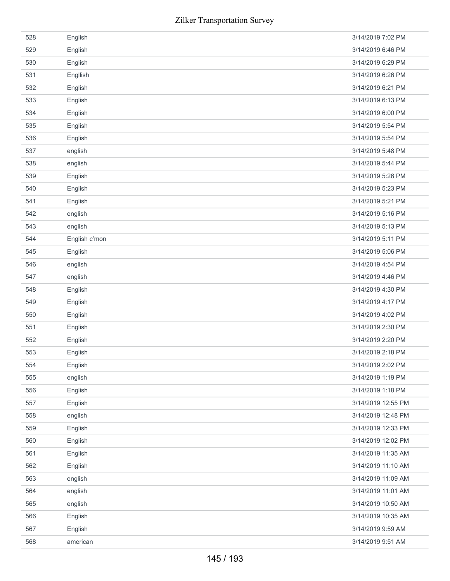| 528 | English       | 3/14/2019 7:02 PM  |
|-----|---------------|--------------------|
| 529 | English       | 3/14/2019 6:46 PM  |
| 530 | English       | 3/14/2019 6:29 PM  |
| 531 | Engllish      | 3/14/2019 6:26 PM  |
| 532 | English       | 3/14/2019 6:21 PM  |
| 533 | English       | 3/14/2019 6:13 PM  |
| 534 | English       | 3/14/2019 6:00 PM  |
| 535 | English       | 3/14/2019 5:54 PM  |
| 536 | English       | 3/14/2019 5:54 PM  |
| 537 | english       | 3/14/2019 5:48 PM  |
| 538 | english       | 3/14/2019 5:44 PM  |
| 539 | English       | 3/14/2019 5:26 PM  |
| 540 | English       | 3/14/2019 5:23 PM  |
| 541 | English       | 3/14/2019 5:21 PM  |
| 542 | english       | 3/14/2019 5:16 PM  |
| 543 | english       | 3/14/2019 5:13 PM  |
| 544 | English c'mon | 3/14/2019 5:11 PM  |
| 545 | English       | 3/14/2019 5:06 PM  |
| 546 | english       | 3/14/2019 4:54 PM  |
| 547 | english       | 3/14/2019 4:46 PM  |
| 548 | English       | 3/14/2019 4:30 PM  |
| 549 | English       | 3/14/2019 4:17 PM  |
| 550 | English       | 3/14/2019 4:02 PM  |
| 551 | English       | 3/14/2019 2:30 PM  |
| 552 | English       | 3/14/2019 2:20 PM  |
| 553 | English       | 3/14/2019 2:18 PM  |
| 554 | English       | 3/14/2019 2:02 PM  |
| 555 | english       | 3/14/2019 1:19 PM  |
| 556 | English       | 3/14/2019 1:18 PM  |
| 557 | English       | 3/14/2019 12:55 PM |
| 558 | english       | 3/14/2019 12:48 PM |
| 559 | English       | 3/14/2019 12:33 PM |
| 560 | English       | 3/14/2019 12:02 PM |
| 561 | English       | 3/14/2019 11:35 AM |
| 562 | English       | 3/14/2019 11:10 AM |
| 563 | english       | 3/14/2019 11:09 AM |
| 564 | english       | 3/14/2019 11:01 AM |
| 565 | english       | 3/14/2019 10:50 AM |
| 566 | English       | 3/14/2019 10:35 AM |
| 567 | English       | 3/14/2019 9:59 AM  |
| 568 | american      | 3/14/2019 9:51 AM  |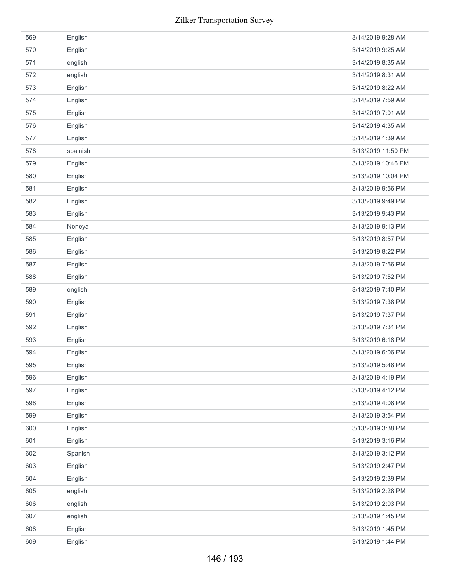|     | Zilker Transportation Survey |                    |
|-----|------------------------------|--------------------|
| 569 | English                      | 3/14/2019 9:28 AM  |
| 570 | English                      | 3/14/2019 9:25 AM  |
| 571 | english                      | 3/14/2019 8:35 AM  |
| 572 | english                      | 3/14/2019 8:31 AM  |
| 573 | English                      | 3/14/2019 8:22 AM  |
| 574 | English                      | 3/14/2019 7:59 AM  |
| 575 | English                      | 3/14/2019 7:01 AM  |
| 576 | English                      | 3/14/2019 4:35 AM  |
| 577 | English                      | 3/14/2019 1:39 AM  |
| 578 | spainish                     | 3/13/2019 11:50 PM |
| 579 | English                      | 3/13/2019 10:46 PM |
| 580 | English                      | 3/13/2019 10:04 PM |
| 581 | English                      | 3/13/2019 9:56 PM  |
| 582 | English                      | 3/13/2019 9:49 PM  |
| 583 | English                      | 3/13/2019 9:43 PM  |
| 584 | Noneya                       | 3/13/2019 9:13 PM  |
| 585 | English                      | 3/13/2019 8:57 PM  |
| 586 | English                      | 3/13/2019 8:22 PM  |
| 587 | English                      | 3/13/2019 7:56 PM  |
| 588 | English                      | 3/13/2019 7:52 PM  |
| 589 | english                      | 3/13/2019 7:40 PM  |
| 590 | English                      | 3/13/2019 7:38 PM  |
| 591 | English                      | 3/13/2019 7:37 PM  |
| 592 | English                      | 3/13/2019 7:31 PM  |
| 593 | English                      | 3/13/2019 6:18 PM  |
| 594 | English                      | 3/13/2019 6:06 PM  |
| 595 | English                      | 3/13/2019 5:48 PM  |
| 596 | English                      | 3/13/2019 4:19 PM  |
| 597 | English                      | 3/13/2019 4:12 PM  |
| 598 | English                      | 3/13/2019 4:08 PM  |
| 599 | English                      | 3/13/2019 3:54 PM  |
| 600 | English                      | 3/13/2019 3:38 PM  |
| 601 | English                      | 3/13/2019 3:16 PM  |
| 602 | Spanish                      | 3/13/2019 3:12 PM  |
| 603 | English                      | 3/13/2019 2:47 PM  |
| 604 | English                      | 3/13/2019 2:39 PM  |
| 605 | english                      | 3/13/2019 2:28 PM  |
| 606 | english                      | 3/13/2019 2:03 PM  |
| 607 | english                      | 3/13/2019 1:45 PM  |
| 608 | English                      | 3/13/2019 1:45 PM  |
| 609 | English                      | 3/13/2019 1:44 PM  |
|     | 146 / 193                    |                    |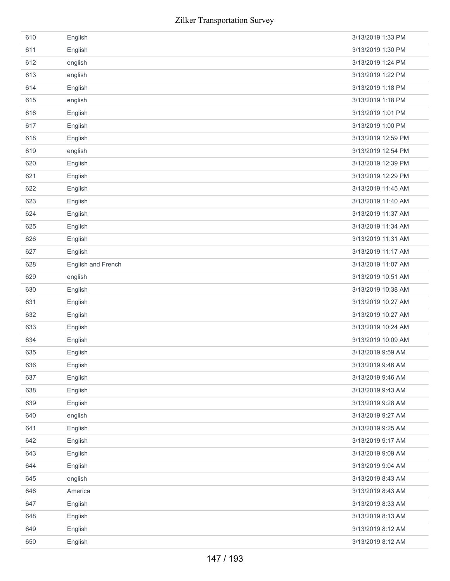| 610 | English            | 3/13/2019 1:33 PM  |
|-----|--------------------|--------------------|
| 611 | English            | 3/13/2019 1:30 PM  |
| 612 | english            | 3/13/2019 1:24 PM  |
| 613 | english            | 3/13/2019 1:22 PM  |
| 614 | English            | 3/13/2019 1:18 PM  |
| 615 | english            | 3/13/2019 1:18 PM  |
| 616 | English            | 3/13/2019 1:01 PM  |
| 617 | English            | 3/13/2019 1:00 PM  |
| 618 | English            | 3/13/2019 12:59 PM |
| 619 | english            | 3/13/2019 12:54 PM |
| 620 | English            | 3/13/2019 12:39 PM |
| 621 | English            | 3/13/2019 12:29 PM |
| 622 | English            | 3/13/2019 11:45 AM |
| 623 | English            | 3/13/2019 11:40 AM |
| 624 | English            | 3/13/2019 11:37 AM |
| 625 | English            | 3/13/2019 11:34 AM |
| 626 | English            | 3/13/2019 11:31 AM |
| 627 | English            | 3/13/2019 11:17 AM |
| 628 | English and French | 3/13/2019 11:07 AM |
| 629 | english            | 3/13/2019 10:51 AM |
| 630 | English            | 3/13/2019 10:38 AM |
| 631 | English            | 3/13/2019 10:27 AM |
| 632 | English            | 3/13/2019 10:27 AM |
| 633 | English            | 3/13/2019 10:24 AM |
| 634 | English            | 3/13/2019 10:09 AM |
| 635 | English            | 3/13/2019 9:59 AM  |
| 636 | English            | 3/13/2019 9:46 AM  |
| 637 | English            | 3/13/2019 9:46 AM  |
| 638 | English            | 3/13/2019 9:43 AM  |
| 639 | English            | 3/13/2019 9:28 AM  |
| 640 | english            | 3/13/2019 9:27 AM  |
| 641 | English            | 3/13/2019 9:25 AM  |
| 642 | English            | 3/13/2019 9:17 AM  |
| 643 | English            | 3/13/2019 9:09 AM  |
| 644 | English            | 3/13/2019 9:04 AM  |
| 645 | english            | 3/13/2019 8:43 AM  |
| 646 | America            | 3/13/2019 8:43 AM  |
| 647 | English            | 3/13/2019 8:33 AM  |
| 648 | English            | 3/13/2019 8:13 AM  |
| 649 | English            | 3/13/2019 8:12 AM  |
| 650 | English            | 3/13/2019 8:12 AM  |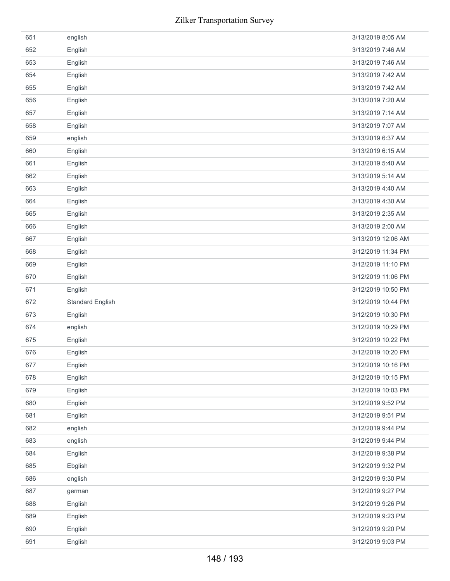| 651 | english                 | 3/13/2019 8:05 AM  |
|-----|-------------------------|--------------------|
| 652 | English                 | 3/13/2019 7:46 AM  |
| 653 | English                 | 3/13/2019 7:46 AM  |
| 654 | English                 | 3/13/2019 7:42 AM  |
| 655 | English                 | 3/13/2019 7:42 AM  |
| 656 | English                 | 3/13/2019 7:20 AM  |
| 657 | English                 | 3/13/2019 7:14 AM  |
| 658 | English                 | 3/13/2019 7:07 AM  |
| 659 | english                 | 3/13/2019 6:37 AM  |
| 660 | English                 | 3/13/2019 6:15 AM  |
| 661 | English                 | 3/13/2019 5:40 AM  |
| 662 | English                 | 3/13/2019 5:14 AM  |
| 663 | English                 | 3/13/2019 4:40 AM  |
| 664 | English                 | 3/13/2019 4:30 AM  |
| 665 | English                 | 3/13/2019 2:35 AM  |
| 666 | English                 | 3/13/2019 2:00 AM  |
| 667 | English                 | 3/13/2019 12:06 AM |
| 668 | English                 | 3/12/2019 11:34 PM |
| 669 | English                 | 3/12/2019 11:10 PM |
| 670 | English                 | 3/12/2019 11:06 PM |
|     |                         | 3/12/2019 10:50 PM |
| 671 | English                 |                    |
| 672 | <b>Standard English</b> | 3/12/2019 10:44 PM |
| 673 | English                 | 3/12/2019 10:30 PM |
| 674 | english                 | 3/12/2019 10:29 PM |
| 675 | English                 | 3/12/2019 10:22 PM |
| 676 | English                 | 3/12/2019 10:20 PM |
| 677 | English                 | 3/12/2019 10:16 PM |
| 678 | English                 | 3/12/2019 10:15 PM |
| 679 | English                 | 3/12/2019 10:03 PM |
| 680 | English                 | 3/12/2019 9:52 PM  |
| 681 | English                 | 3/12/2019 9:51 PM  |
| 682 | english                 | 3/12/2019 9:44 PM  |
| 683 | english                 | 3/12/2019 9:44 PM  |
| 684 | English                 | 3/12/2019 9:38 PM  |
| 685 | Ebglish                 | 3/12/2019 9:32 PM  |
| 686 | english                 | 3/12/2019 9:30 PM  |
| 687 | german                  | 3/12/2019 9:27 PM  |
| 688 | English                 | 3/12/2019 9:26 PM  |
| 689 | English                 | 3/12/2019 9:23 PM  |
| 690 | English                 | 3/12/2019 9:20 PM  |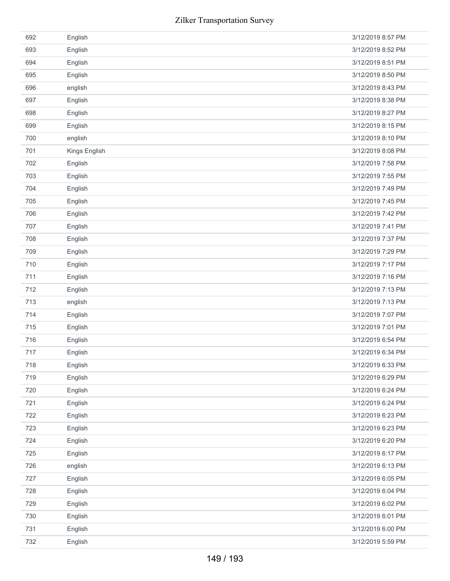|     | <b>Zilker Transportation Survey</b> |                   |
|-----|-------------------------------------|-------------------|
| 692 | English                             | 3/12/2019 8:57 PM |
| 693 | English                             | 3/12/2019 8:52 PM |
| 694 | English                             | 3/12/2019 8:51 PM |
| 695 | English                             | 3/12/2019 8:50 PM |
| 696 | english                             | 3/12/2019 8:43 PM |
| 697 | English                             | 3/12/2019 8:38 PM |
| 698 | English                             | 3/12/2019 8:27 PM |
| 699 | English                             | 3/12/2019 8:15 PM |
| 700 | english                             | 3/12/2019 8:10 PM |
| 701 | Kings English                       | 3/12/2019 8:08 PM |
| 702 | English                             | 3/12/2019 7:58 PM |
| 703 | English                             | 3/12/2019 7:55 PM |
| 704 | English                             | 3/12/2019 7:49 PM |
| 705 | English                             | 3/12/2019 7:45 PM |
| 706 | English                             | 3/12/2019 7:42 PM |
| 707 | English                             | 3/12/2019 7:41 PM |
| 708 | English                             | 3/12/2019 7:37 PM |
| 709 | English                             | 3/12/2019 7:29 PM |
| 710 | English                             | 3/12/2019 7:17 PM |
| 711 | English                             | 3/12/2019 7:16 PM |
| 712 | English                             | 3/12/2019 7:13 PM |
| 713 | english                             | 3/12/2019 7:13 PM |
| 714 | English                             | 3/12/2019 7:07 PM |
| 715 | English                             | 3/12/2019 7:01 PM |
| 716 | English                             | 3/12/2019 6:54 PM |
| 717 | English                             | 3/12/2019 6:34 PM |
| 718 | English                             | 3/12/2019 6:33 PM |
| 719 | English                             | 3/12/2019 6:29 PM |
| 720 | English                             | 3/12/2019 6:24 PM |
| 721 | English                             | 3/12/2019 6:24 PM |
| 722 | English                             | 3/12/2019 6:23 PM |
| 723 | English                             | 3/12/2019 6:23 PM |
| 724 | English                             | 3/12/2019 6:20 PM |
| 725 | English                             | 3/12/2019 6:17 PM |
| 726 | english                             | 3/12/2019 6:13 PM |
| 727 | English                             | 3/12/2019 6:05 PM |
| 728 | English                             | 3/12/2019 6:04 PM |
| 729 | English                             | 3/12/2019 6:02 PM |
| 730 | English                             | 3/12/2019 6:01 PM |
| 731 | English                             | 3/12/2019 6:00 PM |
| 732 | English                             | 3/12/2019 5:59 PM |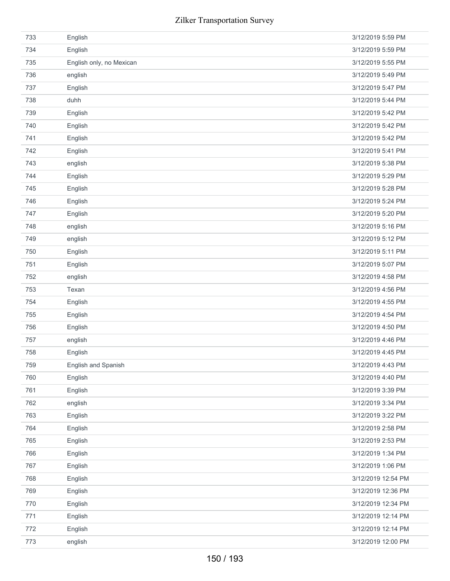| 733 | English                  | 3/12/2019 5:59 PM  |
|-----|--------------------------|--------------------|
| 734 | English                  | 3/12/2019 5:59 PM  |
| 735 | English only, no Mexican | 3/12/2019 5:55 PM  |
| 736 | english                  | 3/12/2019 5:49 PM  |
| 737 | English                  | 3/12/2019 5:47 PM  |
| 738 | duhh                     | 3/12/2019 5:44 PM  |
| 739 | English                  | 3/12/2019 5:42 PM  |
| 740 | English                  | 3/12/2019 5:42 PM  |
| 741 | English                  | 3/12/2019 5:42 PM  |
| 742 | English                  | 3/12/2019 5:41 PM  |
| 743 | english                  | 3/12/2019 5:38 PM  |
| 744 | English                  | 3/12/2019 5:29 PM  |
| 745 | English                  | 3/12/2019 5:28 PM  |
| 746 | English                  | 3/12/2019 5:24 PM  |
| 747 | English                  | 3/12/2019 5:20 PM  |
| 748 | english                  | 3/12/2019 5:16 PM  |
| 749 | english                  | 3/12/2019 5:12 PM  |
| 750 | English                  | 3/12/2019 5:11 PM  |
| 751 | English                  | 3/12/2019 5:07 PM  |
| 752 | english                  | 3/12/2019 4:58 PM  |
| 753 | Texan                    | 3/12/2019 4:56 PM  |
| 754 | English                  | 3/12/2019 4:55 PM  |
| 755 | English                  | 3/12/2019 4:54 PM  |
| 756 | English                  | 3/12/2019 4:50 PM  |
| 757 | english                  | 3/12/2019 4:46 PM  |
| 758 | English                  | 3/12/2019 4:45 PM  |
| 759 | English and Spanish      | 3/12/2019 4:43 PM  |
| 760 | English                  | 3/12/2019 4:40 PM  |
| 761 | English                  | 3/12/2019 3:39 PM  |
| 762 | english                  | 3/12/2019 3:34 PM  |
| 763 | English                  | 3/12/2019 3:22 PM  |
| 764 | English                  | 3/12/2019 2:58 PM  |
| 765 | English                  | 3/12/2019 2:53 PM  |
| 766 | English                  | 3/12/2019 1:34 PM  |
| 767 | English                  | 3/12/2019 1:06 PM  |
| 768 | English                  | 3/12/2019 12:54 PM |
| 769 | English                  | 3/12/2019 12:36 PM |
| 770 | English                  | 3/12/2019 12:34 PM |
| 771 | English                  | 3/12/2019 12:14 PM |
| 772 | English                  | 3/12/2019 12:14 PM |
| 773 | english                  | 3/12/2019 12:00 PM |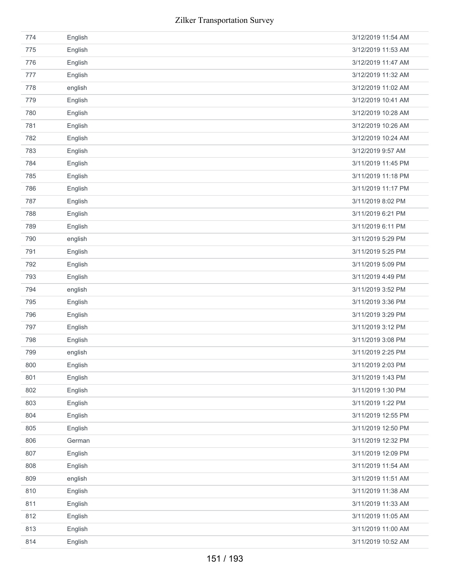|     | Zilker Transportation Survey |                    |
|-----|------------------------------|--------------------|
| 774 | English                      | 3/12/2019 11:54 AM |
| 775 | English                      | 3/12/2019 11:53 AM |
| 776 | English                      | 3/12/2019 11:47 AM |
| 777 | English                      | 3/12/2019 11:32 AM |
| 778 | english                      | 3/12/2019 11:02 AM |
| 779 | English                      | 3/12/2019 10:41 AM |
| 780 | English                      | 3/12/2019 10:28 AM |
| 781 | English                      | 3/12/2019 10:26 AM |
| 782 | English                      | 3/12/2019 10:24 AM |
| 783 | English                      | 3/12/2019 9:57 AM  |
| 784 | English                      | 3/11/2019 11:45 PM |
| 785 | English                      | 3/11/2019 11:18 PM |
| 786 | English                      | 3/11/2019 11:17 PM |
| 787 | English                      | 3/11/2019 8:02 PM  |
| 788 | English                      | 3/11/2019 6:21 PM  |
| 789 | English                      | 3/11/2019 6:11 PM  |
| 790 | english                      | 3/11/2019 5:29 PM  |
| 791 | English                      | 3/11/2019 5:25 PM  |
| 792 | English                      | 3/11/2019 5:09 PM  |
| 793 | English                      | 3/11/2019 4:49 PM  |
| 794 | english                      | 3/11/2019 3:52 PM  |
| 795 | English                      | 3/11/2019 3:36 PM  |
| 796 | English                      | 3/11/2019 3:29 PM  |
| 797 | English                      | 3/11/2019 3:12 PM  |
| 798 | English                      | 3/11/2019 3:08 PM  |
| 799 | english                      | 3/11/2019 2:25 PM  |
| 800 | English                      | 3/11/2019 2:03 PM  |
| 801 | English                      | 3/11/2019 1:43 PM  |
| 802 | English                      | 3/11/2019 1:30 PM  |
| 803 | English                      | 3/11/2019 1:22 PM  |
| 804 | English                      | 3/11/2019 12:55 PM |
| 805 | English                      | 3/11/2019 12:50 PM |
| 806 | German                       | 3/11/2019 12:32 PM |
| 807 | English                      | 3/11/2019 12:09 PM |
| 808 | English                      | 3/11/2019 11:54 AM |
| 809 | english                      | 3/11/2019 11:51 AM |
| 810 | English                      | 3/11/2019 11:38 AM |
| 811 | English                      | 3/11/2019 11:33 AM |
| 812 | English                      | 3/11/2019 11:05 AM |
| 813 | English                      | 3/11/2019 11:00 AM |
| 814 | English                      | 3/11/2019 10:52 AM |
|     | 151 / 193                    |                    |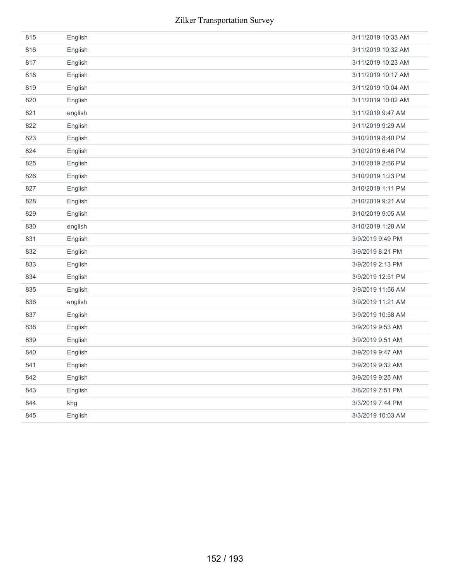| 815 | English | 3/11/2019 10:33 AM |
|-----|---------|--------------------|
| 816 | English | 3/11/2019 10:32 AM |
| 817 | English | 3/11/2019 10:23 AM |
| 818 | English | 3/11/2019 10:17 AM |
| 819 | English | 3/11/2019 10:04 AM |
| 820 | English | 3/11/2019 10:02 AM |
| 821 | english | 3/11/2019 9:47 AM  |
| 822 | English | 3/11/2019 9:29 AM  |
| 823 | English | 3/10/2019 8:40 PM  |
| 824 | English | 3/10/2019 6:46 PM  |
| 825 | English | 3/10/2019 2:56 PM  |
| 826 | English | 3/10/2019 1:23 PM  |
| 827 | English | 3/10/2019 1:11 PM  |
| 828 | English | 3/10/2019 9:21 AM  |
| 829 | English | 3/10/2019 9:05 AM  |
| 830 | english | 3/10/2019 1:28 AM  |
| 831 | English | 3/9/2019 9:49 PM   |
| 832 | English | 3/9/2019 8:21 PM   |
| 833 | English | 3/9/2019 2:13 PM   |
| 834 | English | 3/9/2019 12:51 PM  |
| 835 | English | 3/9/2019 11:56 AM  |
| 836 | english | 3/9/2019 11:21 AM  |
| 837 | English | 3/9/2019 10:58 AM  |
| 838 | English | 3/9/2019 9:53 AM   |
| 839 | English | 3/9/2019 9:51 AM   |
| 840 | English | 3/9/2019 9:47 AM   |
| 841 | English | 3/9/2019 9:32 AM   |
| 842 | English | 3/9/2019 9:25 AM   |
| 843 | English | 3/8/2019 7:51 PM   |
| 844 | khg     | 3/3/2019 7:44 PM   |
| 845 | English | 3/3/2019 10:03 AM  |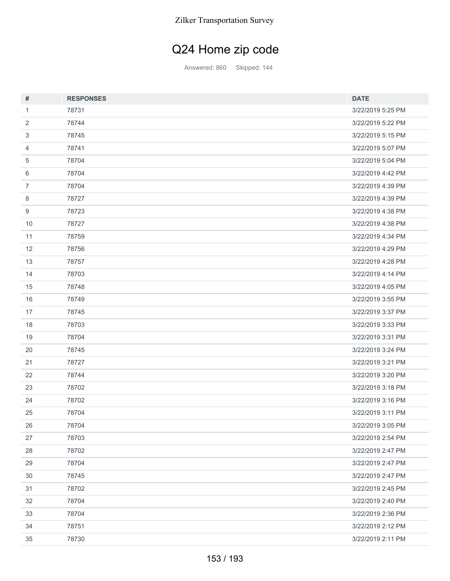## Q24 Home zip code

Answered: 860 Skipped: 144

| #              | <b>RESPONSES</b> | <b>DATE</b>       |
|----------------|------------------|-------------------|
| 1              | 78731            | 3/22/2019 5:25 PM |
| 2              | 78744            | 3/22/2019 5:22 PM |
| 3              | 78745            | 3/22/2019 5:15 PM |
| 4              | 78741            | 3/22/2019 5:07 PM |
| 5              | 78704            | 3/22/2019 5:04 PM |
| 6              | 78704            | 3/22/2019 4:42 PM |
| $\overline{7}$ | 78704            | 3/22/2019 4:39 PM |
| 8              | 78727            | 3/22/2019 4:39 PM |
| 9              | 78723            | 3/22/2019 4:38 PM |
| 10             | 78727            | 3/22/2019 4:38 PM |
| 11             | 78759            | 3/22/2019 4:34 PM |
| 12             | 78756            | 3/22/2019 4:29 PM |
| 13             | 78757            | 3/22/2019 4:28 PM |
| 14             | 78703            | 3/22/2019 4:14 PM |
| 15             | 78748            | 3/22/2019 4:05 PM |
| 16             | 78749            | 3/22/2019 3:55 PM |
| 17             | 78745            | 3/22/2019 3:37 PM |
| 18             | 78703            | 3/22/2019 3:33 PM |
| 19             | 78704            | 3/22/2019 3:31 PM |
| 20             | 78745            | 3/22/2019 3:24 PM |
| 21             | 78727            | 3/22/2019 3:21 PM |
| 22             | 78744            | 3/22/2019 3:20 PM |
| 23             | 78702            | 3/22/2019 3:18 PM |
| 24             | 78702            | 3/22/2019 3:16 PM |
| 25             | 78704            | 3/22/2019 3:11 PM |
| 26             | 78704            | 3/22/2019 3:05 PM |
| 27             | 78703            | 3/22/2019 2:54 PM |
| 28             | 78702            | 3/22/2019 2:47 PM |
| 29             | 78704            | 3/22/2019 2:47 PM |
| $30\,$         | 78745            | 3/22/2019 2:47 PM |
| 31             | 78702            | 3/22/2019 2:45 PM |
| 32             | 78704            | 3/22/2019 2:40 PM |
| 33             | 78704            | 3/22/2019 2:36 PM |
| 34             | 78751            | 3/22/2019 2:12 PM |
| 35             | 78730            | 3/22/2019 2:11 PM |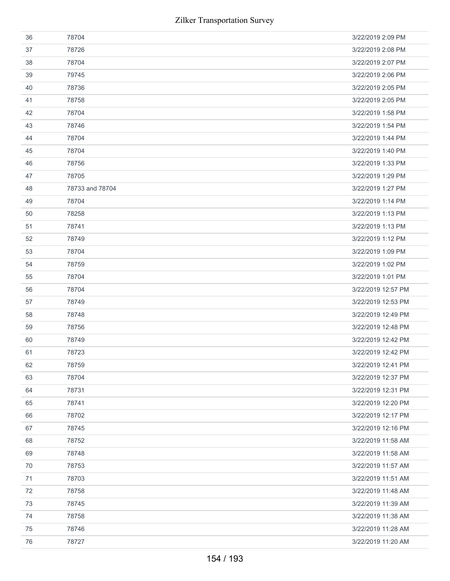| 36 | 78704           | 3/22/2019 2:09 PM  |
|----|-----------------|--------------------|
| 37 | 78726           | 3/22/2019 2:08 PM  |
| 38 | 78704           | 3/22/2019 2:07 PM  |
| 39 | 79745           | 3/22/2019 2:06 PM  |
| 40 | 78736           | 3/22/2019 2:05 PM  |
| 41 | 78758           | 3/22/2019 2:05 PM  |
| 42 | 78704           | 3/22/2019 1:58 PM  |
| 43 | 78746           | 3/22/2019 1:54 PM  |
| 44 | 78704           | 3/22/2019 1:44 PM  |
| 45 | 78704           | 3/22/2019 1:40 PM  |
| 46 | 78756           | 3/22/2019 1:33 PM  |
| 47 | 78705           | 3/22/2019 1:29 PM  |
| 48 | 78733 and 78704 | 3/22/2019 1:27 PM  |
| 49 | 78704           | 3/22/2019 1:14 PM  |
| 50 | 78258           | 3/22/2019 1:13 PM  |
| 51 | 78741           | 3/22/2019 1:13 PM  |
| 52 | 78749           | 3/22/2019 1:12 PM  |
| 53 | 78704           | 3/22/2019 1:09 PM  |
| 54 | 78759           | 3/22/2019 1:02 PM  |
| 55 | 78704           | 3/22/2019 1:01 PM  |
| 56 | 78704           | 3/22/2019 12:57 PM |
| 57 | 78749           | 3/22/2019 12:53 PM |
| 58 | 78748           | 3/22/2019 12:49 PM |
| 59 | 78756           | 3/22/2019 12:48 PM |
| 60 | 78749           | 3/22/2019 12:42 PM |
| 61 | 78723           | 3/22/2019 12:42 PM |
| 62 | 78759           | 3/22/2019 12:41 PM |
| 63 | 78704           | 3/22/2019 12:37 PM |
| 64 | 78731           | 3/22/2019 12:31 PM |
| 65 | 78741           | 3/22/2019 12:20 PM |
| 66 | 78702           | 3/22/2019 12:17 PM |
| 67 | 78745           | 3/22/2019 12:16 PM |
| 68 | 78752           | 3/22/2019 11:58 AM |
| 69 | 78748           | 3/22/2019 11:58 AM |
| 70 | 78753           | 3/22/2019 11:57 AM |
| 71 | 78703           | 3/22/2019 11:51 AM |
| 72 | 78758           | 3/22/2019 11:48 AM |
| 73 | 78745           | 3/22/2019 11:39 AM |
| 74 | 78758           | 3/22/2019 11:38 AM |
| 75 | 78746           | 3/22/2019 11:28 AM |
| 76 | 78727           | 3/22/2019 11:20 AM |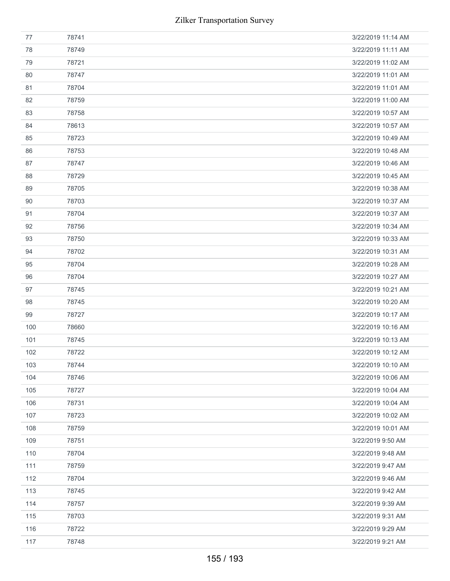| 77  | 78741 | 3/22/2019 11:14 AM |
|-----|-------|--------------------|
| 78  | 78749 | 3/22/2019 11:11 AM |
| 79  | 78721 | 3/22/2019 11:02 AM |
| 80  | 78747 | 3/22/2019 11:01 AM |
| 81  | 78704 | 3/22/2019 11:01 AM |
| 82  | 78759 | 3/22/2019 11:00 AM |
| 83  | 78758 | 3/22/2019 10:57 AM |
| 84  | 78613 | 3/22/2019 10:57 AM |
| 85  | 78723 | 3/22/2019 10:49 AM |
| 86  | 78753 | 3/22/2019 10:48 AM |
| 87  | 78747 | 3/22/2019 10:46 AM |
| 88  | 78729 | 3/22/2019 10:45 AM |
| 89  | 78705 | 3/22/2019 10:38 AM |
| 90  | 78703 | 3/22/2019 10:37 AM |
| 91  | 78704 | 3/22/2019 10:37 AM |
| 92  | 78756 | 3/22/2019 10:34 AM |
| 93  | 78750 | 3/22/2019 10:33 AM |
| 94  | 78702 | 3/22/2019 10:31 AM |
| 95  | 78704 | 3/22/2019 10:28 AM |
| 96  | 78704 | 3/22/2019 10:27 AM |
| 97  | 78745 | 3/22/2019 10:21 AM |
| 98  | 78745 | 3/22/2019 10:20 AM |
| 99  | 78727 | 3/22/2019 10:17 AM |
| 100 | 78660 | 3/22/2019 10:16 AM |
| 101 | 78745 | 3/22/2019 10:13 AM |
| 102 | 78722 | 3/22/2019 10:12 AM |
| 103 | 78744 | 3/22/2019 10:10 AM |
| 104 | 78746 | 3/22/2019 10:06 AM |
| 105 | 78727 | 3/22/2019 10:04 AM |
| 106 | 78731 | 3/22/2019 10:04 AM |
| 107 | 78723 | 3/22/2019 10:02 AM |
| 108 | 78759 | 3/22/2019 10:01 AM |
| 109 | 78751 | 3/22/2019 9:50 AM  |
| 110 | 78704 | 3/22/2019 9:48 AM  |
| 111 | 78759 | 3/22/2019 9:47 AM  |
| 112 | 78704 | 3/22/2019 9:46 AM  |
| 113 | 78745 | 3/22/2019 9:42 AM  |
| 114 | 78757 | 3/22/2019 9:39 AM  |
| 115 | 78703 | 3/22/2019 9:31 AM  |
| 116 | 78722 | 3/22/2019 9:29 AM  |
| 117 | 78748 | 3/22/2019 9:21 AM  |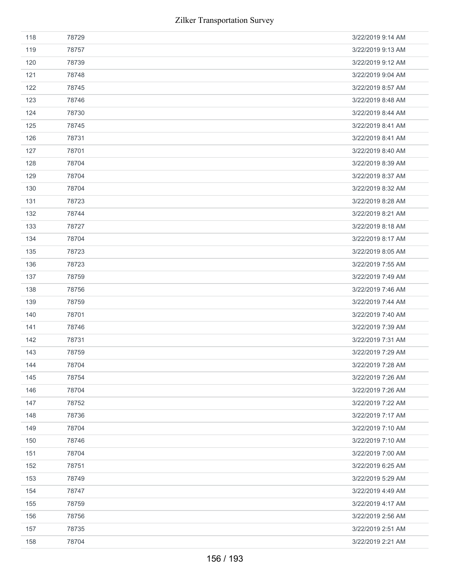| 118 | 78729 | 3/22/2019 9:14 AM |
|-----|-------|-------------------|
| 119 | 78757 | 3/22/2019 9:13 AM |
| 120 | 78739 | 3/22/2019 9:12 AM |
| 121 | 78748 | 3/22/2019 9:04 AM |
| 122 | 78745 | 3/22/2019 8:57 AM |
| 123 | 78746 | 3/22/2019 8:48 AM |
| 124 | 78730 | 3/22/2019 8:44 AM |
| 125 | 78745 | 3/22/2019 8:41 AM |
| 126 | 78731 | 3/22/2019 8:41 AM |
| 127 | 78701 | 3/22/2019 8:40 AM |
| 128 | 78704 | 3/22/2019 8:39 AM |
| 129 | 78704 | 3/22/2019 8:37 AM |
| 130 | 78704 | 3/22/2019 8:32 AM |
| 131 | 78723 | 3/22/2019 8:28 AM |
| 132 | 78744 | 3/22/2019 8:21 AM |
| 133 | 78727 | 3/22/2019 8:18 AM |
| 134 | 78704 | 3/22/2019 8:17 AM |
| 135 | 78723 | 3/22/2019 8:05 AM |
| 136 | 78723 | 3/22/2019 7:55 AM |
| 137 | 78759 | 3/22/2019 7:49 AM |
| 138 | 78756 | 3/22/2019 7:46 AM |
| 139 | 78759 | 3/22/2019 7:44 AM |
| 140 | 78701 | 3/22/2019 7:40 AM |
| 141 | 78746 | 3/22/2019 7:39 AM |
| 142 | 78731 | 3/22/2019 7:31 AM |
| 143 | 78759 | 3/22/2019 7:29 AM |
| 144 | 78704 | 3/22/2019 7:28 AM |
| 145 | 78754 | 3/22/2019 7:26 AM |
| 146 | 78704 | 3/22/2019 7:26 AM |
| 147 | 78752 | 3/22/2019 7:22 AM |
| 148 | 78736 | 3/22/2019 7:17 AM |
| 149 | 78704 | 3/22/2019 7:10 AM |
| 150 | 78746 | 3/22/2019 7:10 AM |
| 151 | 78704 | 3/22/2019 7:00 AM |
| 152 | 78751 | 3/22/2019 6:25 AM |
| 153 | 78749 | 3/22/2019 5:29 AM |
| 154 | 78747 | 3/22/2019 4:49 AM |
| 155 | 78759 | 3/22/2019 4:17 AM |
| 156 | 78756 | 3/22/2019 2:56 AM |
| 157 | 78735 | 3/22/2019 2:51 AM |
| 158 | 78704 | 3/22/2019 2:21 AM |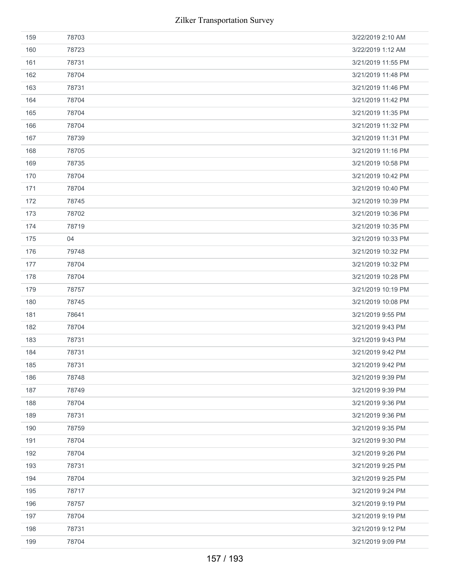| 159 | 78703 | 3/22/2019 2:10 AM  |
|-----|-------|--------------------|
| 160 | 78723 | 3/22/2019 1:12 AM  |
| 161 | 78731 | 3/21/2019 11:55 PM |
| 162 | 78704 | 3/21/2019 11:48 PM |
| 163 | 78731 | 3/21/2019 11:46 PM |
| 164 | 78704 | 3/21/2019 11:42 PM |
| 165 | 78704 | 3/21/2019 11:35 PM |
| 166 | 78704 | 3/21/2019 11:32 PM |
| 167 | 78739 | 3/21/2019 11:31 PM |
| 168 | 78705 | 3/21/2019 11:16 PM |
| 169 | 78735 | 3/21/2019 10:58 PM |
| 170 | 78704 | 3/21/2019 10:42 PM |
| 171 | 78704 | 3/21/2019 10:40 PM |
| 172 | 78745 | 3/21/2019 10:39 PM |
| 173 | 78702 | 3/21/2019 10:36 PM |
| 174 | 78719 | 3/21/2019 10:35 PM |
| 175 | 04    | 3/21/2019 10:33 PM |
| 176 | 79748 | 3/21/2019 10:32 PM |
| 177 | 78704 | 3/21/2019 10:32 PM |
| 178 | 78704 | 3/21/2019 10:28 PM |
| 179 | 78757 | 3/21/2019 10:19 PM |
| 180 | 78745 | 3/21/2019 10:08 PM |
| 181 | 78641 | 3/21/2019 9:55 PM  |
| 182 | 78704 | 3/21/2019 9:43 PM  |
| 183 | 78731 | 3/21/2019 9:43 PM  |
| 184 | 78731 | 3/21/2019 9:42 PM  |
| 185 | 78731 | 3/21/2019 9:42 PM  |
| 186 | 78748 | 3/21/2019 9:39 PM  |
| 187 | 78749 | 3/21/2019 9:39 PM  |
| 188 | 78704 | 3/21/2019 9:36 PM  |
| 189 | 78731 | 3/21/2019 9:36 PM  |
| 190 | 78759 | 3/21/2019 9:35 PM  |
| 191 | 78704 | 3/21/2019 9:30 PM  |
| 192 | 78704 | 3/21/2019 9:26 PM  |
| 193 | 78731 | 3/21/2019 9:25 PM  |
| 194 | 78704 | 3/21/2019 9:25 PM  |
| 195 | 78717 | 3/21/2019 9:24 PM  |
| 196 |       |                    |
|     | 78757 | 3/21/2019 9:19 PM  |
| 197 | 78704 | 3/21/2019 9:19 PM  |
| 198 | 78731 | 3/21/2019 9:12 PM  |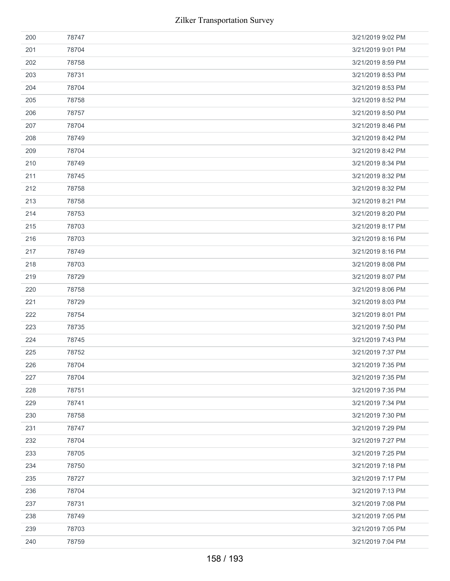| 200 | 78747 | 3/21/2019 9:02 PM |
|-----|-------|-------------------|
| 201 | 78704 | 3/21/2019 9:01 PM |
| 202 | 78758 | 3/21/2019 8:59 PM |
| 203 | 78731 | 3/21/2019 8:53 PM |
| 204 | 78704 | 3/21/2019 8:53 PM |
| 205 | 78758 | 3/21/2019 8:52 PM |
| 206 | 78757 | 3/21/2019 8:50 PM |
| 207 | 78704 | 3/21/2019 8:46 PM |
| 208 | 78749 | 3/21/2019 8:42 PM |
| 209 | 78704 | 3/21/2019 8:42 PM |
| 210 | 78749 | 3/21/2019 8:34 PM |
| 211 | 78745 | 3/21/2019 8:32 PM |
| 212 | 78758 | 3/21/2019 8:32 PM |
| 213 | 78758 | 3/21/2019 8:21 PM |
| 214 | 78753 | 3/21/2019 8:20 PM |
| 215 | 78703 | 3/21/2019 8:17 PM |
| 216 | 78703 | 3/21/2019 8:16 PM |
| 217 | 78749 | 3/21/2019 8:16 PM |
| 218 | 78703 | 3/21/2019 8:08 PM |
| 219 | 78729 | 3/21/2019 8:07 PM |
| 220 | 78758 | 3/21/2019 8:06 PM |
| 221 | 78729 | 3/21/2019 8:03 PM |
| 222 | 78754 | 3/21/2019 8:01 PM |
| 223 | 78735 | 3/21/2019 7:50 PM |
| 224 | 78745 | 3/21/2019 7:43 PM |
| 225 | 78752 | 3/21/2019 7:37 PM |
| 226 | 78704 | 3/21/2019 7:35 PM |
| 227 | 78704 | 3/21/2019 7:35 PM |
| 228 | 78751 | 3/21/2019 7:35 PM |
| 229 | 78741 | 3/21/2019 7:34 PM |
| 230 | 78758 | 3/21/2019 7:30 PM |
| 231 | 78747 | 3/21/2019 7:29 PM |
| 232 | 78704 | 3/21/2019 7:27 PM |
| 233 | 78705 | 3/21/2019 7:25 PM |
| 234 | 78750 | 3/21/2019 7:18 PM |
| 235 | 78727 | 3/21/2019 7:17 PM |
| 236 | 78704 | 3/21/2019 7:13 PM |
| 237 | 78731 | 3/21/2019 7:08 PM |
| 238 | 78749 | 3/21/2019 7:05 PM |
| 239 | 78703 | 3/21/2019 7:05 PM |
| 240 | 78759 | 3/21/2019 7:04 PM |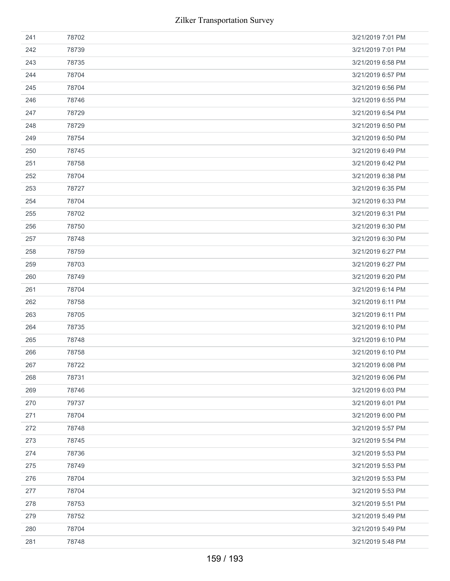| 241 | 78702 | 3/21/2019 7:01 PM |
|-----|-------|-------------------|
| 242 | 78739 | 3/21/2019 7:01 PM |
| 243 | 78735 | 3/21/2019 6:58 PM |
| 244 | 78704 | 3/21/2019 6:57 PM |
| 245 | 78704 | 3/21/2019 6:56 PM |
| 246 | 78746 | 3/21/2019 6:55 PM |
| 247 | 78729 | 3/21/2019 6:54 PM |
| 248 | 78729 | 3/21/2019 6:50 PM |
| 249 | 78754 | 3/21/2019 6:50 PM |
| 250 | 78745 | 3/21/2019 6:49 PM |
| 251 | 78758 | 3/21/2019 6:42 PM |
| 252 | 78704 | 3/21/2019 6:38 PM |
| 253 | 78727 | 3/21/2019 6:35 PM |
| 254 | 78704 | 3/21/2019 6:33 PM |
| 255 | 78702 | 3/21/2019 6:31 PM |
| 256 | 78750 | 3/21/2019 6:30 PM |
| 257 | 78748 | 3/21/2019 6:30 PM |
| 258 | 78759 | 3/21/2019 6:27 PM |
| 259 | 78703 | 3/21/2019 6:27 PM |
| 260 | 78749 | 3/21/2019 6:20 PM |
| 261 | 78704 | 3/21/2019 6:14 PM |
| 262 | 78758 | 3/21/2019 6:11 PM |
| 263 | 78705 | 3/21/2019 6:11 PM |
| 264 | 78735 | 3/21/2019 6:10 PM |
| 265 | 78748 | 3/21/2019 6:10 PM |
| 266 | 78758 | 3/21/2019 6:10 PM |
| 267 | 78722 | 3/21/2019 6:08 PM |
| 268 | 78731 | 3/21/2019 6:06 PM |
| 269 | 78746 | 3/21/2019 6:03 PM |
| 270 | 79737 | 3/21/2019 6:01 PM |
| 271 | 78704 | 3/21/2019 6:00 PM |
| 272 | 78748 | 3/21/2019 5:57 PM |
| 273 | 78745 | 3/21/2019 5:54 PM |
| 274 | 78736 | 3/21/2019 5:53 PM |
| 275 | 78749 | 3/21/2019 5:53 PM |
| 276 | 78704 | 3/21/2019 5:53 PM |
| 277 | 78704 | 3/21/2019 5:53 PM |
| 278 | 78753 | 3/21/2019 5:51 PM |
| 279 |       |                   |
|     | 78752 | 3/21/2019 5:49 PM |
| 280 | 78704 | 3/21/2019 5:49 PM |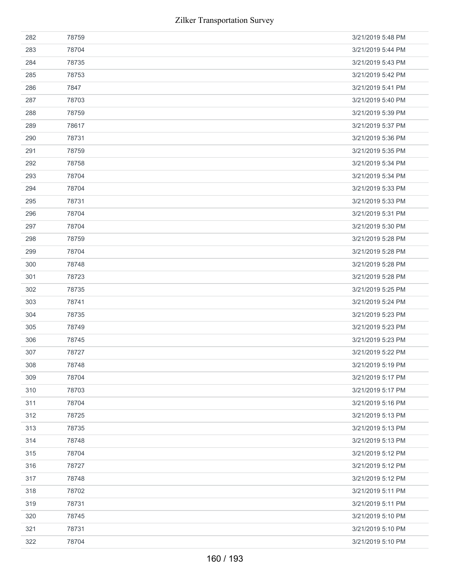| 282 | 78759 | 3/21/2019 5:48 PM |
|-----|-------|-------------------|
| 283 | 78704 | 3/21/2019 5:44 PM |
| 284 | 78735 | 3/21/2019 5:43 PM |
| 285 | 78753 | 3/21/2019 5:42 PM |
| 286 | 7847  | 3/21/2019 5:41 PM |
| 287 | 78703 | 3/21/2019 5:40 PM |
| 288 | 78759 | 3/21/2019 5:39 PM |
| 289 | 78617 | 3/21/2019 5:37 PM |
| 290 | 78731 | 3/21/2019 5:36 PM |
| 291 | 78759 | 3/21/2019 5:35 PM |
| 292 | 78758 | 3/21/2019 5:34 PM |
| 293 | 78704 | 3/21/2019 5:34 PM |
| 294 | 78704 | 3/21/2019 5:33 PM |
| 295 | 78731 | 3/21/2019 5:33 PM |
| 296 | 78704 | 3/21/2019 5:31 PM |
| 297 | 78704 | 3/21/2019 5:30 PM |
| 298 | 78759 | 3/21/2019 5:28 PM |
| 299 | 78704 | 3/21/2019 5:28 PM |
| 300 | 78748 | 3/21/2019 5:28 PM |
| 301 | 78723 | 3/21/2019 5:28 PM |
| 302 | 78735 | 3/21/2019 5:25 PM |
| 303 | 78741 | 3/21/2019 5:24 PM |
| 304 | 78735 | 3/21/2019 5:23 PM |
| 305 | 78749 | 3/21/2019 5:23 PM |
| 306 | 78745 | 3/21/2019 5:23 PM |
| 307 | 78727 | 3/21/2019 5:22 PM |
| 308 | 78748 | 3/21/2019 5:19 PM |
| 309 | 78704 | 3/21/2019 5:17 PM |
| 310 | 78703 | 3/21/2019 5:17 PM |
| 311 | 78704 | 3/21/2019 5:16 PM |
| 312 | 78725 | 3/21/2019 5:13 PM |
| 313 | 78735 | 3/21/2019 5:13 PM |
| 314 | 78748 | 3/21/2019 5:13 PM |
| 315 | 78704 | 3/21/2019 5:12 PM |
| 316 | 78727 | 3/21/2019 5:12 PM |
| 317 | 78748 | 3/21/2019 5:12 PM |
| 318 | 78702 | 3/21/2019 5:11 PM |
| 319 | 78731 | 3/21/2019 5:11 PM |
| 320 | 78745 | 3/21/2019 5:10 PM |
| 321 | 78731 | 3/21/2019 5:10 PM |
| 322 | 78704 | 3/21/2019 5:10 PM |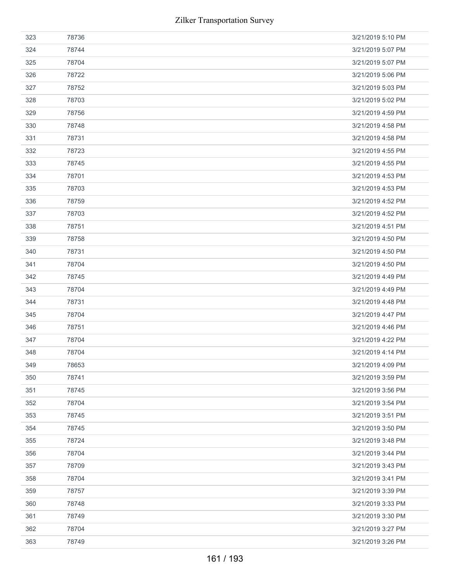| 323 | 78736 | 3/21/2019 5:10 PM |
|-----|-------|-------------------|
| 324 | 78744 | 3/21/2019 5:07 PM |
| 325 | 78704 | 3/21/2019 5:07 PM |
| 326 | 78722 | 3/21/2019 5:06 PM |
| 327 | 78752 | 3/21/2019 5:03 PM |
| 328 | 78703 | 3/21/2019 5:02 PM |
| 329 | 78756 | 3/21/2019 4:59 PM |
| 330 | 78748 | 3/21/2019 4:58 PM |
| 331 | 78731 | 3/21/2019 4:58 PM |
| 332 | 78723 | 3/21/2019 4:55 PM |
| 333 | 78745 | 3/21/2019 4:55 PM |
| 334 | 78701 | 3/21/2019 4:53 PM |
| 335 | 78703 | 3/21/2019 4:53 PM |
| 336 | 78759 | 3/21/2019 4:52 PM |
| 337 | 78703 | 3/21/2019 4:52 PM |
| 338 | 78751 | 3/21/2019 4:51 PM |
| 339 | 78758 | 3/21/2019 4:50 PM |
| 340 | 78731 | 3/21/2019 4:50 PM |
| 341 | 78704 | 3/21/2019 4:50 PM |
| 342 | 78745 | 3/21/2019 4:49 PM |
| 343 | 78704 | 3/21/2019 4:49 PM |
| 344 | 78731 | 3/21/2019 4:48 PM |
| 345 | 78704 | 3/21/2019 4:47 PM |
| 346 | 78751 | 3/21/2019 4:46 PM |
| 347 | 78704 | 3/21/2019 4:22 PM |
| 348 | 78704 | 3/21/2019 4:14 PM |
| 349 | 78653 | 3/21/2019 4:09 PM |
| 350 | 78741 | 3/21/2019 3:59 PM |
| 351 | 78745 | 3/21/2019 3:56 PM |
| 352 | 78704 | 3/21/2019 3:54 PM |
| 353 | 78745 | 3/21/2019 3:51 PM |
| 354 | 78745 | 3/21/2019 3:50 PM |
| 355 | 78724 | 3/21/2019 3:48 PM |
| 356 | 78704 | 3/21/2019 3:44 PM |
| 357 | 78709 | 3/21/2019 3:43 PM |
| 358 | 78704 | 3/21/2019 3:41 PM |
| 359 | 78757 | 3/21/2019 3:39 PM |
| 360 |       |                   |
|     | 78748 | 3/21/2019 3:33 PM |
| 361 | 78749 | 3/21/2019 3:30 PM |
| 362 | 78704 | 3/21/2019 3:27 PM |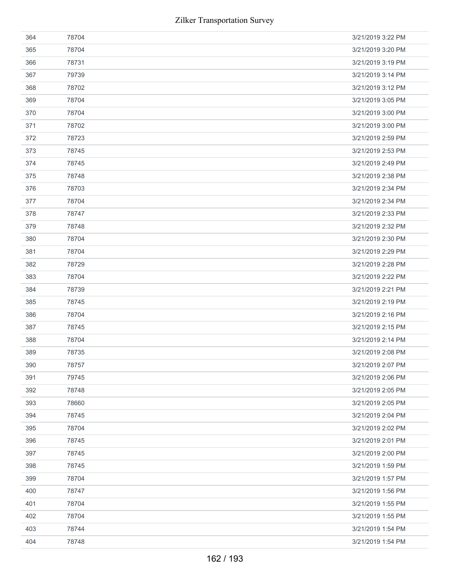| 364 | 78704 | 3/21/2019 3:22 PM |
|-----|-------|-------------------|
| 365 | 78704 | 3/21/2019 3:20 PM |
| 366 | 78731 | 3/21/2019 3:19 PM |
| 367 | 79739 | 3/21/2019 3:14 PM |
| 368 | 78702 | 3/21/2019 3:12 PM |
| 369 | 78704 | 3/21/2019 3:05 PM |
| 370 | 78704 | 3/21/2019 3:00 PM |
| 371 | 78702 | 3/21/2019 3:00 PM |
| 372 | 78723 | 3/21/2019 2:59 PM |
| 373 | 78745 | 3/21/2019 2:53 PM |
| 374 | 78745 | 3/21/2019 2:49 PM |
| 375 | 78748 | 3/21/2019 2:38 PM |
| 376 | 78703 | 3/21/2019 2:34 PM |
| 377 | 78704 | 3/21/2019 2:34 PM |
| 378 | 78747 | 3/21/2019 2:33 PM |
| 379 | 78748 | 3/21/2019 2:32 PM |
| 380 | 78704 | 3/21/2019 2:30 PM |
| 381 | 78704 | 3/21/2019 2:29 PM |
| 382 | 78729 | 3/21/2019 2:28 PM |
| 383 | 78704 | 3/21/2019 2:22 PM |
| 384 | 78739 | 3/21/2019 2:21 PM |
| 385 | 78745 | 3/21/2019 2:19 PM |
| 386 | 78704 | 3/21/2019 2:16 PM |
| 387 | 78745 | 3/21/2019 2:15 PM |
| 388 | 78704 | 3/21/2019 2:14 PM |
| 389 | 78735 | 3/21/2019 2:08 PM |
| 390 | 78757 | 3/21/2019 2:07 PM |
| 391 | 79745 | 3/21/2019 2:06 PM |
| 392 | 78748 | 3/21/2019 2:05 PM |
| 393 | 78660 | 3/21/2019 2:05 PM |
| 394 | 78745 | 3/21/2019 2:04 PM |
| 395 | 78704 | 3/21/2019 2:02 PM |
| 396 | 78745 | 3/21/2019 2:01 PM |
| 397 | 78745 | 3/21/2019 2:00 PM |
| 398 | 78745 | 3/21/2019 1:59 PM |
| 399 | 78704 | 3/21/2019 1:57 PM |
| 400 | 78747 | 3/21/2019 1:56 PM |
| 401 | 78704 | 3/21/2019 1:55 PM |
| 402 | 78704 | 3/21/2019 1:55 PM |
| 403 | 78744 | 3/21/2019 1:54 PM |
| 404 | 78748 | 3/21/2019 1:54 PM |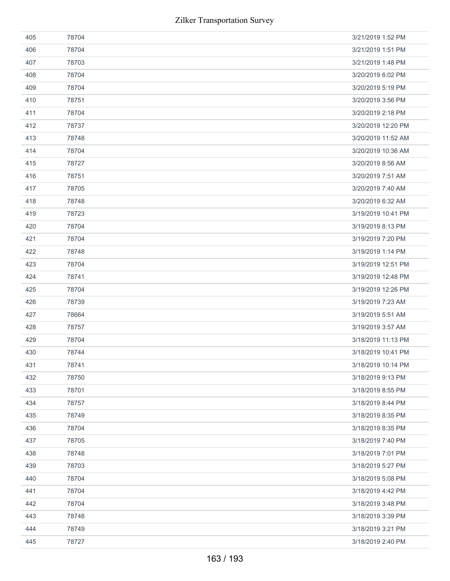| 405 | 78704 | 3/21/2019 1:52 PM  |
|-----|-------|--------------------|
| 406 | 78704 | 3/21/2019 1:51 PM  |
| 407 | 78703 | 3/21/2019 1:48 PM  |
| 408 | 78704 | 3/20/2019 6:02 PM  |
| 409 | 78704 | 3/20/2019 5:19 PM  |
| 410 | 78751 | 3/20/2019 3:56 PM  |
| 411 | 78704 | 3/20/2019 2:18 PM  |
| 412 | 78737 | 3/20/2019 12:20 PM |
| 413 | 78748 | 3/20/2019 11:52 AM |
| 414 | 78704 | 3/20/2019 10:36 AM |
| 415 | 78727 | 3/20/2019 8:56 AM  |
| 416 | 78751 | 3/20/2019 7:51 AM  |
| 417 | 78705 | 3/20/2019 7:40 AM  |
| 418 | 78748 | 3/20/2019 6:32 AM  |
| 419 | 78723 | 3/19/2019 10:41 PM |
| 420 | 78704 | 3/19/2019 8:13 PM  |
| 421 | 78704 | 3/19/2019 7:20 PM  |
| 422 | 78748 | 3/19/2019 1:14 PM  |
| 423 | 78704 | 3/19/2019 12:51 PM |
| 424 | 78741 | 3/19/2019 12:48 PM |
| 425 | 78704 | 3/19/2019 12:26 PM |
| 426 | 78739 | 3/19/2019 7:23 AM  |
| 427 | 78664 | 3/19/2019 5:51 AM  |
| 428 | 78757 | 3/19/2019 3:57 AM  |
| 429 | 78704 | 3/18/2019 11:13 PM |
| 430 | 78744 | 3/18/2019 10:41 PM |
| 431 | 78741 | 3/18/2019 10:14 PM |
| 432 | 78750 | 3/18/2019 9:13 PM  |
| 433 | 78701 | 3/18/2019 8:55 PM  |
| 434 | 78757 | 3/18/2019 8:44 PM  |
| 435 | 78749 | 3/18/2019 8:35 PM  |
| 436 | 78704 | 3/18/2019 8:35 PM  |
| 437 | 78705 | 3/18/2019 7:40 PM  |
| 438 | 78748 | 3/18/2019 7:01 PM  |
| 439 | 78703 | 3/18/2019 5:27 PM  |
| 440 | 78704 | 3/18/2019 5:08 PM  |
| 441 | 78704 | 3/18/2019 4:42 PM  |
| 442 | 78704 | 3/18/2019 3:48 PM  |
| 443 | 78748 | 3/18/2019 3:39 PM  |
| 444 | 78749 | 3/18/2019 3:21 PM  |
| 445 | 78727 | 3/18/2019 2:40 PM  |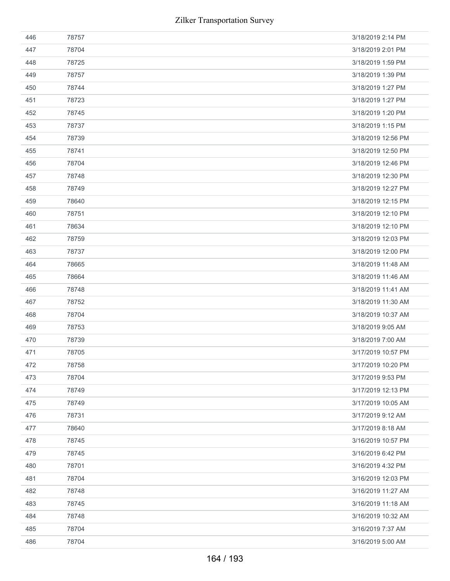| 446 | 78757 | 3/18/2019 2:14 PM  |
|-----|-------|--------------------|
| 447 | 78704 | 3/18/2019 2:01 PM  |
| 448 | 78725 | 3/18/2019 1:59 PM  |
| 449 | 78757 | 3/18/2019 1:39 PM  |
| 450 | 78744 | 3/18/2019 1:27 PM  |
| 451 | 78723 | 3/18/2019 1:27 PM  |
| 452 | 78745 | 3/18/2019 1:20 PM  |
| 453 | 78737 | 3/18/2019 1:15 PM  |
| 454 | 78739 | 3/18/2019 12:56 PM |
| 455 | 78741 | 3/18/2019 12:50 PM |
| 456 | 78704 | 3/18/2019 12:46 PM |
| 457 | 78748 | 3/18/2019 12:30 PM |
| 458 | 78749 | 3/18/2019 12:27 PM |
| 459 | 78640 | 3/18/2019 12:15 PM |
| 460 | 78751 | 3/18/2019 12:10 PM |
| 461 | 78634 | 3/18/2019 12:10 PM |
| 462 | 78759 | 3/18/2019 12:03 PM |
| 463 | 78737 | 3/18/2019 12:00 PM |
| 464 | 78665 | 3/18/2019 11:48 AM |
| 465 | 78664 | 3/18/2019 11:46 AM |
| 466 | 78748 | 3/18/2019 11:41 AM |
| 467 | 78752 | 3/18/2019 11:30 AM |
| 468 | 78704 | 3/18/2019 10:37 AM |
| 469 | 78753 | 3/18/2019 9:05 AM  |
| 470 | 78739 | 3/18/2019 7:00 AM  |
| 471 | 78705 | 3/17/2019 10:57 PM |
| 472 | 78758 | 3/17/2019 10:20 PM |
| 473 | 78704 | 3/17/2019 9:53 PM  |
| 474 | 78749 | 3/17/2019 12:13 PM |
| 475 | 78749 | 3/17/2019 10:05 AM |
| 476 | 78731 | 3/17/2019 9:12 AM  |
| 477 | 78640 | 3/17/2019 8:18 AM  |
| 478 | 78745 | 3/16/2019 10:57 PM |
| 479 | 78745 | 3/16/2019 6:42 PM  |
| 480 | 78701 | 3/16/2019 4:32 PM  |
| 481 | 78704 | 3/16/2019 12:03 PM |
| 482 | 78748 | 3/16/2019 11:27 AM |
| 483 | 78745 | 3/16/2019 11:18 AM |
| 484 | 78748 | 3/16/2019 10:32 AM |
| 485 | 78704 | 3/16/2019 7:37 AM  |
|     |       |                    |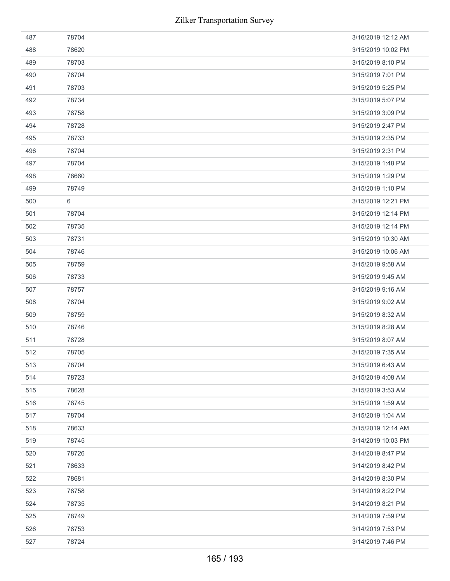| 487 | 78704 | 3/16/2019 12:12 AM |
|-----|-------|--------------------|
| 488 | 78620 | 3/15/2019 10:02 PM |
| 489 | 78703 | 3/15/2019 8:10 PM  |
| 490 | 78704 | 3/15/2019 7:01 PM  |
| 491 | 78703 | 3/15/2019 5:25 PM  |
| 492 | 78734 | 3/15/2019 5:07 PM  |
| 493 | 78758 | 3/15/2019 3:09 PM  |
| 494 | 78728 | 3/15/2019 2:47 PM  |
| 495 | 78733 | 3/15/2019 2:35 PM  |
| 496 | 78704 | 3/15/2019 2:31 PM  |
| 497 | 78704 | 3/15/2019 1:48 PM  |
| 498 | 78660 | 3/15/2019 1:29 PM  |
| 499 | 78749 | 3/15/2019 1:10 PM  |
| 500 | 6     | 3/15/2019 12:21 PM |
| 501 | 78704 | 3/15/2019 12:14 PM |
| 502 | 78735 | 3/15/2019 12:14 PM |
| 503 | 78731 | 3/15/2019 10:30 AM |
| 504 | 78746 | 3/15/2019 10:06 AM |
| 505 | 78759 | 3/15/2019 9:58 AM  |
| 506 | 78733 | 3/15/2019 9:45 AM  |
| 507 | 78757 | 3/15/2019 9:16 AM  |
| 508 | 78704 | 3/15/2019 9:02 AM  |
| 509 | 78759 | 3/15/2019 8:32 AM  |
| 510 | 78746 | 3/15/2019 8:28 AM  |
| 511 | 78728 | 3/15/2019 8:07 AM  |
| 512 | 78705 | 3/15/2019 7:35 AM  |
| 513 | 78704 | 3/15/2019 6:43 AM  |
| 514 | 78723 | 3/15/2019 4:08 AM  |
| 515 | 78628 | 3/15/2019 3:53 AM  |
| 516 | 78745 | 3/15/2019 1:59 AM  |
| 517 | 78704 | 3/15/2019 1:04 AM  |
| 518 | 78633 | 3/15/2019 12:14 AM |
| 519 | 78745 | 3/14/2019 10:03 PM |
| 520 | 78726 | 3/14/2019 8:47 PM  |
| 521 | 78633 | 3/14/2019 8:42 PM  |
| 522 | 78681 | 3/14/2019 8:30 PM  |
| 523 | 78758 | 3/14/2019 8:22 PM  |
| 524 | 78735 | 3/14/2019 8:21 PM  |
| 525 | 78749 | 3/14/2019 7:59 PM  |
| 526 | 78753 | 3/14/2019 7:53 PM  |
| 527 | 78724 | 3/14/2019 7:46 PM  |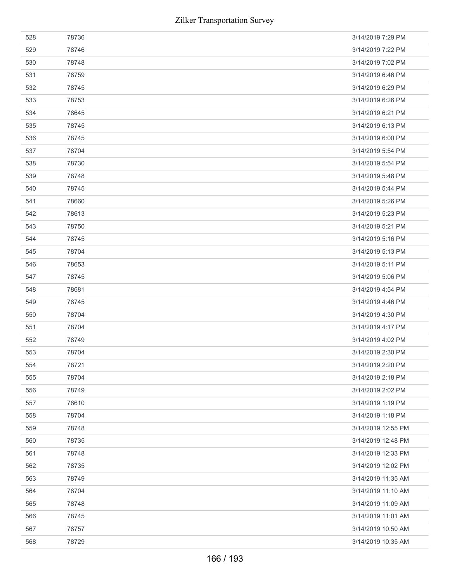| 528 | 78736 | 3/14/2019 7:29 PM  |
|-----|-------|--------------------|
| 529 | 78746 | 3/14/2019 7:22 PM  |
| 530 | 78748 | 3/14/2019 7:02 PM  |
| 531 | 78759 | 3/14/2019 6:46 PM  |
| 532 | 78745 | 3/14/2019 6:29 PM  |
| 533 | 78753 | 3/14/2019 6:26 PM  |
| 534 | 78645 | 3/14/2019 6:21 PM  |
| 535 | 78745 | 3/14/2019 6:13 PM  |
| 536 | 78745 | 3/14/2019 6:00 PM  |
| 537 | 78704 | 3/14/2019 5:54 PM  |
| 538 | 78730 | 3/14/2019 5:54 PM  |
| 539 | 78748 | 3/14/2019 5:48 PM  |
| 540 | 78745 | 3/14/2019 5:44 PM  |
| 541 | 78660 | 3/14/2019 5:26 PM  |
| 542 | 78613 | 3/14/2019 5:23 PM  |
| 543 | 78750 | 3/14/2019 5:21 PM  |
| 544 | 78745 | 3/14/2019 5:16 PM  |
| 545 | 78704 | 3/14/2019 5:13 PM  |
| 546 | 78653 | 3/14/2019 5:11 PM  |
| 547 | 78745 | 3/14/2019 5:06 PM  |
| 548 | 78681 | 3/14/2019 4:54 PM  |
| 549 | 78745 | 3/14/2019 4:46 PM  |
| 550 | 78704 | 3/14/2019 4:30 PM  |
| 551 | 78704 | 3/14/2019 4:17 PM  |
| 552 | 78749 | 3/14/2019 4:02 PM  |
| 553 | 78704 | 3/14/2019 2:30 PM  |
| 554 | 78721 | 3/14/2019 2:20 PM  |
| 555 | 78704 | 3/14/2019 2:18 PM  |
| 556 | 78749 | 3/14/2019 2:02 PM  |
| 557 | 78610 | 3/14/2019 1:19 PM  |
| 558 | 78704 | 3/14/2019 1:18 PM  |
| 559 | 78748 | 3/14/2019 12:55 PM |
| 560 | 78735 | 3/14/2019 12:48 PM |
| 561 | 78748 | 3/14/2019 12:33 PM |
| 562 | 78735 | 3/14/2019 12:02 PM |
| 563 | 78749 | 3/14/2019 11:35 AM |
| 564 | 78704 | 3/14/2019 11:10 AM |
| 565 | 78748 | 3/14/2019 11:09 AM |
| 566 | 78745 | 3/14/2019 11:01 AM |
| 567 | 78757 | 3/14/2019 10:50 AM |
| 568 | 78729 | 3/14/2019 10:35 AM |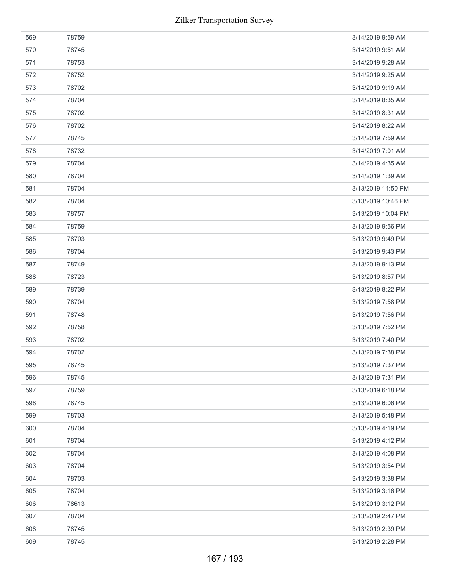| 569 | 78759 | 3/14/2019 9:59 AM  |
|-----|-------|--------------------|
| 570 | 78745 | 3/14/2019 9:51 AM  |
| 571 | 78753 | 3/14/2019 9:28 AM  |
| 572 | 78752 | 3/14/2019 9:25 AM  |
| 573 | 78702 | 3/14/2019 9:19 AM  |
| 574 | 78704 | 3/14/2019 8:35 AM  |
| 575 | 78702 | 3/14/2019 8:31 AM  |
| 576 | 78702 | 3/14/2019 8:22 AM  |
| 577 | 78745 | 3/14/2019 7:59 AM  |
| 578 | 78732 | 3/14/2019 7:01 AM  |
| 579 | 78704 | 3/14/2019 4:35 AM  |
| 580 | 78704 | 3/14/2019 1:39 AM  |
| 581 | 78704 | 3/13/2019 11:50 PM |
| 582 | 78704 | 3/13/2019 10:46 PM |
| 583 | 78757 | 3/13/2019 10:04 PM |
| 584 | 78759 | 3/13/2019 9:56 PM  |
| 585 | 78703 | 3/13/2019 9:49 PM  |
| 586 | 78704 | 3/13/2019 9:43 PM  |
| 587 | 78749 | 3/13/2019 9:13 PM  |
| 588 | 78723 | 3/13/2019 8:57 PM  |
| 589 | 78739 | 3/13/2019 8:22 PM  |
| 590 | 78704 | 3/13/2019 7:58 PM  |
| 591 | 78748 | 3/13/2019 7:56 PM  |
| 592 | 78758 | 3/13/2019 7:52 PM  |
| 593 | 78702 | 3/13/2019 7:40 PM  |
| 594 | 78702 | 3/13/2019 7:38 PM  |
| 595 | 78745 | 3/13/2019 7:37 PM  |
| 596 | 78745 | 3/13/2019 7:31 PM  |
| 597 | 78759 | 3/13/2019 6:18 PM  |
| 598 | 78745 | 3/13/2019 6:06 PM  |
| 599 | 78703 | 3/13/2019 5:48 PM  |
| 600 | 78704 | 3/13/2019 4:19 PM  |
| 601 | 78704 | 3/13/2019 4:12 PM  |
| 602 | 78704 | 3/13/2019 4:08 PM  |
| 603 | 78704 | 3/13/2019 3:54 PM  |
| 604 | 78703 | 3/13/2019 3:38 PM  |
| 605 | 78704 | 3/13/2019 3:16 PM  |
| 606 | 78613 | 3/13/2019 3:12 PM  |
| 607 | 78704 | 3/13/2019 2:47 PM  |
| 608 | 78745 | 3/13/2019 2:39 PM  |
|     | 78745 | 3/13/2019 2:28 PM  |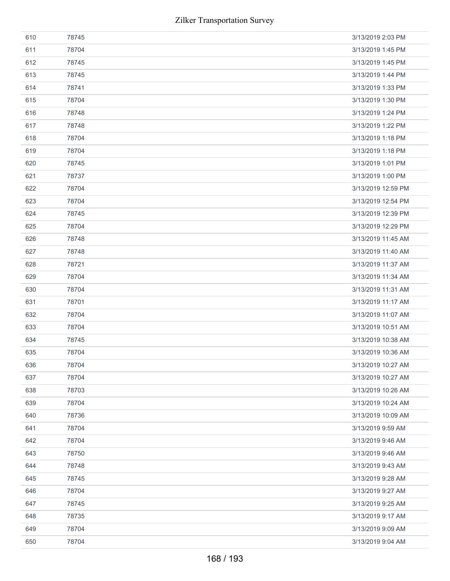| 610 | 78745 | 3/13/2019 2:03 PM  |
|-----|-------|--------------------|
| 611 | 78704 | 3/13/2019 1:45 PM  |
| 612 | 78745 | 3/13/2019 1:45 PM  |
| 613 | 78745 | 3/13/2019 1:44 PM  |
| 614 | 78741 | 3/13/2019 1:33 PM  |
| 615 | 78704 | 3/13/2019 1:30 PM  |
| 616 | 78748 | 3/13/2019 1:24 PM  |
| 617 | 78748 | 3/13/2019 1:22 PM  |
| 618 | 78704 | 3/13/2019 1:18 PM  |
| 619 | 78704 | 3/13/2019 1:18 PM  |
| 620 | 78745 | 3/13/2019 1:01 PM  |
| 621 | 78737 | 3/13/2019 1:00 PM  |
| 622 | 78704 | 3/13/2019 12:59 PM |
| 623 | 78704 | 3/13/2019 12:54 PM |
| 624 | 78745 | 3/13/2019 12:39 PM |
| 625 | 78704 | 3/13/2019 12:29 PM |
| 626 | 78748 | 3/13/2019 11:45 AM |
| 627 | 78748 | 3/13/2019 11:40 AM |
| 628 | 78721 | 3/13/2019 11:37 AM |
| 629 | 78704 | 3/13/2019 11:34 AM |
| 630 | 78704 | 3/13/2019 11:31 AM |
| 631 | 78701 | 3/13/2019 11:17 AM |
| 632 | 78704 | 3/13/2019 11:07 AM |
| 633 | 78704 | 3/13/2019 10:51 AM |
| 634 | 78745 | 3/13/2019 10:38 AM |
| 635 | 78704 | 3/13/2019 10:36 AM |
| 636 | 78704 | 3/13/2019 10:27 AM |
| 637 | 78704 | 3/13/2019 10:27 AM |
| 638 | 78703 | 3/13/2019 10:26 AM |
| 639 | 78704 | 3/13/2019 10:24 AM |
| 640 | 78736 | 3/13/2019 10:09 AM |
| 641 | 78704 | 3/13/2019 9:59 AM  |
| 642 | 78704 | 3/13/2019 9:46 AM  |
| 643 | 78750 | 3/13/2019 9:46 AM  |
| 644 | 78748 | 3/13/2019 9:43 AM  |
| 645 | 78745 | 3/13/2019 9:28 AM  |
| 646 | 78704 | 3/13/2019 9:27 AM  |
| 647 | 78745 | 3/13/2019 9:25 AM  |
| 648 | 78735 | 3/13/2019 9:17 AM  |
| 649 | 78704 | 3/13/2019 9:09 AM  |
| 650 | 78704 | 3/13/2019 9:04 AM  |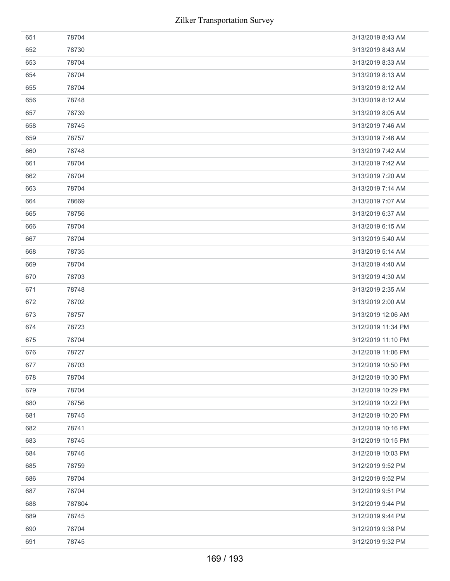| 651 | 78704  | 3/13/2019 8:43 AM  |
|-----|--------|--------------------|
| 652 | 78730  | 3/13/2019 8:43 AM  |
| 653 | 78704  | 3/13/2019 8:33 AM  |
| 654 | 78704  | 3/13/2019 8:13 AM  |
| 655 | 78704  | 3/13/2019 8:12 AM  |
| 656 | 78748  | 3/13/2019 8:12 AM  |
| 657 | 78739  | 3/13/2019 8:05 AM  |
| 658 | 78745  | 3/13/2019 7:46 AM  |
| 659 | 78757  | 3/13/2019 7:46 AM  |
| 660 | 78748  | 3/13/2019 7:42 AM  |
| 661 | 78704  | 3/13/2019 7:42 AM  |
| 662 | 78704  | 3/13/2019 7:20 AM  |
| 663 | 78704  | 3/13/2019 7:14 AM  |
| 664 | 78669  | 3/13/2019 7:07 AM  |
| 665 | 78756  | 3/13/2019 6:37 AM  |
| 666 | 78704  | 3/13/2019 6:15 AM  |
| 667 | 78704  | 3/13/2019 5:40 AM  |
| 668 | 78735  | 3/13/2019 5:14 AM  |
| 669 | 78704  | 3/13/2019 4:40 AM  |
| 670 | 78703  | 3/13/2019 4:30 AM  |
| 671 | 78748  | 3/13/2019 2:35 AM  |
| 672 | 78702  | 3/13/2019 2:00 AM  |
| 673 | 78757  | 3/13/2019 12:06 AM |
| 674 | 78723  | 3/12/2019 11:34 PM |
| 675 | 78704  | 3/12/2019 11:10 PM |
| 676 | 78727  | 3/12/2019 11:06 PM |
| 677 | 78703  | 3/12/2019 10:50 PM |
| 678 | 78704  | 3/12/2019 10:30 PM |
| 679 | 78704  | 3/12/2019 10:29 PM |
| 680 | 78756  | 3/12/2019 10:22 PM |
| 681 | 78745  | 3/12/2019 10:20 PM |
| 682 | 78741  | 3/12/2019 10:16 PM |
| 683 | 78745  | 3/12/2019 10:15 PM |
| 684 | 78746  | 3/12/2019 10:03 PM |
| 685 | 78759  | 3/12/2019 9:52 PM  |
| 686 | 78704  | 3/12/2019 9:52 PM  |
| 687 | 78704  | 3/12/2019 9:51 PM  |
| 688 | 787804 | 3/12/2019 9:44 PM  |
| 689 | 78745  | 3/12/2019 9:44 PM  |
| 690 | 78704  | 3/12/2019 9:38 PM  |
| 691 | 78745  | 3/12/2019 9:32 PM  |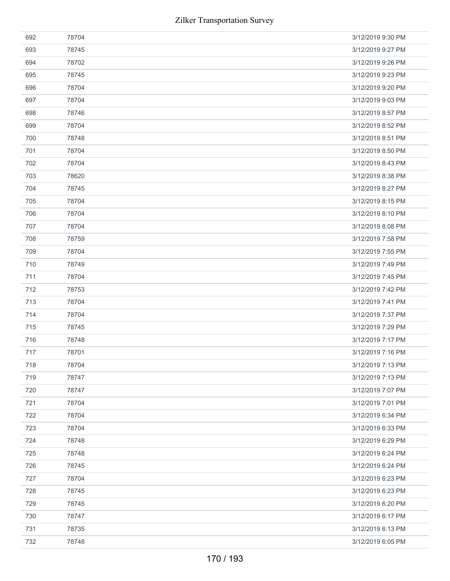| 692 | 78704 | 3/12/2019 9:30 PM |
|-----|-------|-------------------|
| 693 | 78745 | 3/12/2019 9:27 PM |
| 694 | 78702 | 3/12/2019 9:26 PM |
| 695 | 78745 | 3/12/2019 9:23 PM |
| 696 | 78704 | 3/12/2019 9:20 PM |
| 697 | 78704 | 3/12/2019 9:03 PM |
| 698 | 78746 | 3/12/2019 8:57 PM |
| 699 | 78704 | 3/12/2019 8:52 PM |
| 700 | 78748 | 3/12/2019 8:51 PM |
| 701 | 78704 | 3/12/2019 8:50 PM |
| 702 | 78704 | 3/12/2019 8:43 PM |
| 703 | 78620 | 3/12/2019 8:38 PM |
| 704 | 78745 | 3/12/2019 8:27 PM |
| 705 | 78704 | 3/12/2019 8:15 PM |
| 706 | 78704 | 3/12/2019 8:10 PM |
| 707 | 78704 | 3/12/2019 8:08 PM |
| 708 | 78759 | 3/12/2019 7:58 PM |
| 709 | 78704 | 3/12/2019 7:55 PM |
| 710 | 78749 | 3/12/2019 7:49 PM |
| 711 | 78704 | 3/12/2019 7:45 PM |
| 712 | 78753 | 3/12/2019 7:42 PM |
| 713 | 78704 | 3/12/2019 7:41 PM |
| 714 | 78704 | 3/12/2019 7:37 PM |
| 715 | 78745 | 3/12/2019 7:29 PM |
| 716 | 78748 | 3/12/2019 7:17 PM |
| 717 | 78701 | 3/12/2019 7:16 PM |
| 718 | 78704 | 3/12/2019 7:13 PM |
| 719 | 78747 | 3/12/2019 7:13 PM |
| 720 | 78747 | 3/12/2019 7:07 PM |
| 721 | 78704 | 3/12/2019 7:01 PM |
| 722 | 78704 | 3/12/2019 6:34 PM |
| 723 | 78704 | 3/12/2019 6:33 PM |
| 724 | 78748 | 3/12/2019 6:29 PM |
| 725 | 78748 | 3/12/2019 6:24 PM |
| 726 | 78745 | 3/12/2019 6:24 PM |
| 727 | 78704 | 3/12/2019 6:23 PM |
| 728 | 78745 | 3/12/2019 6:23 PM |
| 729 | 78745 | 3/12/2019 6:20 PM |
| 730 | 78747 | 3/12/2019 6:17 PM |
| 731 | 78735 | 3/12/2019 6:13 PM |
| 732 | 78748 | 3/12/2019 6:05 PM |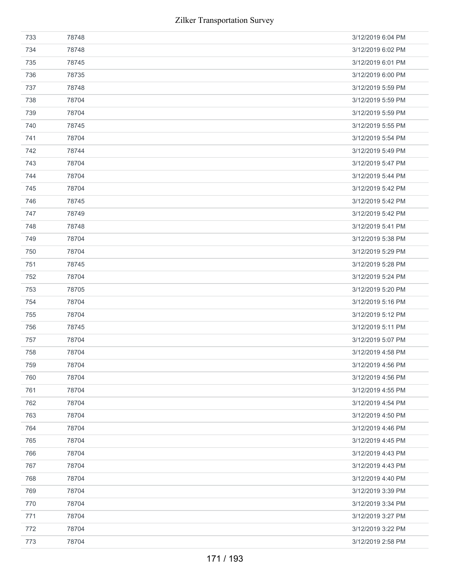| 733 | 78748 | 3/12/2019 6:04 PM |
|-----|-------|-------------------|
| 734 | 78748 | 3/12/2019 6:02 PM |
| 735 | 78745 | 3/12/2019 6:01 PM |
| 736 | 78735 | 3/12/2019 6:00 PM |
| 737 | 78748 | 3/12/2019 5:59 PM |
| 738 | 78704 | 3/12/2019 5:59 PM |
| 739 | 78704 | 3/12/2019 5:59 PM |
| 740 | 78745 | 3/12/2019 5:55 PM |
| 741 | 78704 | 3/12/2019 5:54 PM |
| 742 | 78744 | 3/12/2019 5:49 PM |
| 743 | 78704 | 3/12/2019 5:47 PM |
| 744 | 78704 | 3/12/2019 5:44 PM |
| 745 | 78704 | 3/12/2019 5:42 PM |
| 746 | 78745 | 3/12/2019 5:42 PM |
| 747 | 78749 | 3/12/2019 5:42 PM |
| 748 | 78748 | 3/12/2019 5:41 PM |
| 749 | 78704 | 3/12/2019 5:38 PM |
| 750 | 78704 | 3/12/2019 5:29 PM |
| 751 | 78745 | 3/12/2019 5:28 PM |
| 752 | 78704 | 3/12/2019 5:24 PM |
| 753 | 78705 | 3/12/2019 5:20 PM |
| 754 | 78704 | 3/12/2019 5:16 PM |
| 755 | 78704 | 3/12/2019 5:12 PM |
| 756 | 78745 | 3/12/2019 5:11 PM |
| 757 | 78704 | 3/12/2019 5:07 PM |
| 758 | 78704 | 3/12/2019 4:58 PM |
| 759 | 78704 | 3/12/2019 4:56 PM |
| 760 | 78704 | 3/12/2019 4:56 PM |
| 761 | 78704 | 3/12/2019 4:55 PM |
| 762 | 78704 | 3/12/2019 4:54 PM |
| 763 | 78704 | 3/12/2019 4:50 PM |
| 764 | 78704 | 3/12/2019 4:46 PM |
| 765 | 78704 | 3/12/2019 4:45 PM |
| 766 | 78704 | 3/12/2019 4:43 PM |
| 767 | 78704 | 3/12/2019 4:43 PM |
| 768 | 78704 | 3/12/2019 4:40 PM |
| 769 | 78704 | 3/12/2019 3:39 PM |
| 770 | 78704 | 3/12/2019 3:34 PM |
| 771 | 78704 | 3/12/2019 3:27 PM |
| 772 | 78704 | 3/12/2019 3:22 PM |
| 773 | 78704 | 3/12/2019 2:58 PM |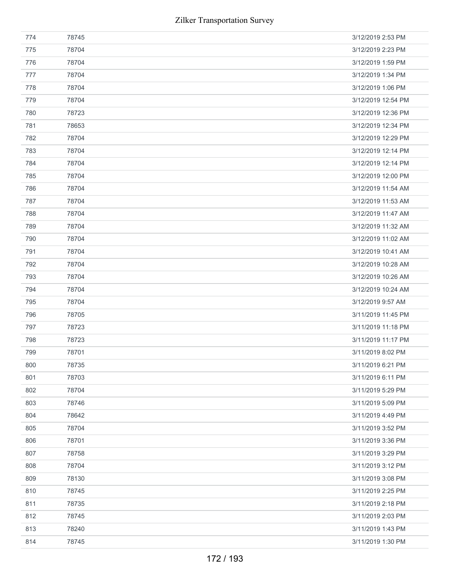| 774 | 78745 | 3/12/2019 2:53 PM  |
|-----|-------|--------------------|
| 775 | 78704 | 3/12/2019 2:23 PM  |
| 776 | 78704 | 3/12/2019 1:59 PM  |
| 777 | 78704 | 3/12/2019 1:34 PM  |
| 778 | 78704 | 3/12/2019 1:06 PM  |
| 779 | 78704 | 3/12/2019 12:54 PM |
| 780 | 78723 | 3/12/2019 12:36 PM |
| 781 | 78653 | 3/12/2019 12:34 PM |
| 782 | 78704 | 3/12/2019 12:29 PM |
| 783 | 78704 | 3/12/2019 12:14 PM |
| 784 | 78704 | 3/12/2019 12:14 PM |
| 785 | 78704 | 3/12/2019 12:00 PM |
| 786 | 78704 | 3/12/2019 11:54 AM |
| 787 | 78704 | 3/12/2019 11:53 AM |
| 788 | 78704 | 3/12/2019 11:47 AM |
| 789 | 78704 | 3/12/2019 11:32 AM |
| 790 | 78704 | 3/12/2019 11:02 AM |
| 791 | 78704 | 3/12/2019 10:41 AM |
| 792 | 78704 | 3/12/2019 10:28 AM |
| 793 | 78704 | 3/12/2019 10:26 AM |
| 794 | 78704 | 3/12/2019 10:24 AM |
| 795 | 78704 | 3/12/2019 9:57 AM  |
| 796 | 78705 | 3/11/2019 11:45 PM |
| 797 | 78723 | 3/11/2019 11:18 PM |
| 798 | 78723 | 3/11/2019 11:17 PM |
| 799 | 78701 | 3/11/2019 8:02 PM  |
| 800 | 78735 | 3/11/2019 6:21 PM  |
| 801 | 78703 | 3/11/2019 6:11 PM  |
| 802 | 78704 | 3/11/2019 5:29 PM  |
| 803 | 78746 | 3/11/2019 5:09 PM  |
| 804 | 78642 | 3/11/2019 4:49 PM  |
| 805 | 78704 | 3/11/2019 3:52 PM  |
| 806 | 78701 | 3/11/2019 3:36 PM  |
| 807 | 78758 | 3/11/2019 3:29 PM  |
| 808 | 78704 | 3/11/2019 3:12 PM  |
| 809 | 78130 | 3/11/2019 3:08 PM  |
| 810 | 78745 | 3/11/2019 2:25 PM  |
| 811 | 78735 | 3/11/2019 2:18 PM  |
| 812 | 78745 | 3/11/2019 2:03 PM  |
| 813 | 78240 | 3/11/2019 1:43 PM  |
| 814 | 78745 | 3/11/2019 1:30 PM  |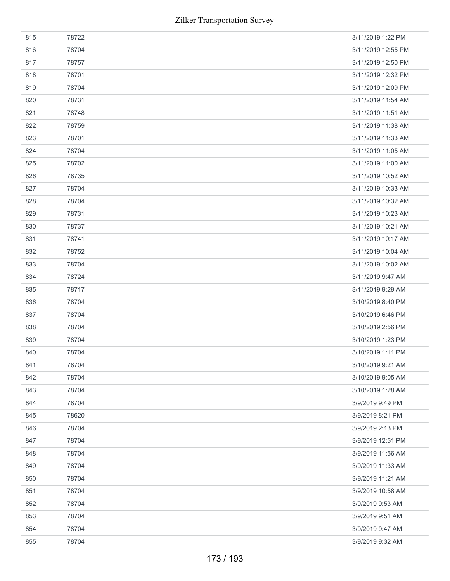| 815 | 78722 | 3/11/2019 1:22 PM  |
|-----|-------|--------------------|
| 816 | 78704 | 3/11/2019 12:55 PM |
| 817 | 78757 | 3/11/2019 12:50 PM |
| 818 | 78701 | 3/11/2019 12:32 PM |
| 819 | 78704 | 3/11/2019 12:09 PM |
| 820 | 78731 | 3/11/2019 11:54 AM |
| 821 | 78748 | 3/11/2019 11:51 AM |
| 822 | 78759 | 3/11/2019 11:38 AM |
| 823 | 78701 | 3/11/2019 11:33 AM |
| 824 | 78704 | 3/11/2019 11:05 AM |
| 825 | 78702 | 3/11/2019 11:00 AM |
| 826 | 78735 | 3/11/2019 10:52 AM |
| 827 | 78704 | 3/11/2019 10:33 AM |
| 828 | 78704 | 3/11/2019 10:32 AM |
| 829 | 78731 | 3/11/2019 10:23 AM |
| 830 | 78737 | 3/11/2019 10:21 AM |
| 831 | 78741 | 3/11/2019 10:17 AM |
| 832 | 78752 | 3/11/2019 10:04 AM |
| 833 | 78704 | 3/11/2019 10:02 AM |
| 834 | 78724 | 3/11/2019 9:47 AM  |
| 835 | 78717 | 3/11/2019 9:29 AM  |
| 836 | 78704 | 3/10/2019 8:40 PM  |
| 837 | 78704 | 3/10/2019 6:46 PM  |
| 838 | 78704 | 3/10/2019 2:56 PM  |
| 839 | 78704 | 3/10/2019 1:23 PM  |
| 840 | 78704 | 3/10/2019 1:11 PM  |
| 841 | 78704 | 3/10/2019 9:21 AM  |
| 842 | 78704 | 3/10/2019 9:05 AM  |
| 843 | 78704 | 3/10/2019 1:28 AM  |
| 844 | 78704 | 3/9/2019 9:49 PM   |
| 845 | 78620 | 3/9/2019 8:21 PM   |
| 846 | 78704 | 3/9/2019 2:13 PM   |
| 847 |       |                    |
| 848 | 78704 | 3/9/2019 12:51 PM  |
|     | 78704 | 3/9/2019 11:56 AM  |
| 849 | 78704 | 3/9/2019 11:33 AM  |
| 850 | 78704 | 3/9/2019 11:21 AM  |
| 851 | 78704 | 3/9/2019 10:58 AM  |
| 852 | 78704 | 3/9/2019 9:53 AM   |
| 853 | 78704 | 3/9/2019 9:51 AM   |
| 854 | 78704 | 3/9/2019 9:47 AM   |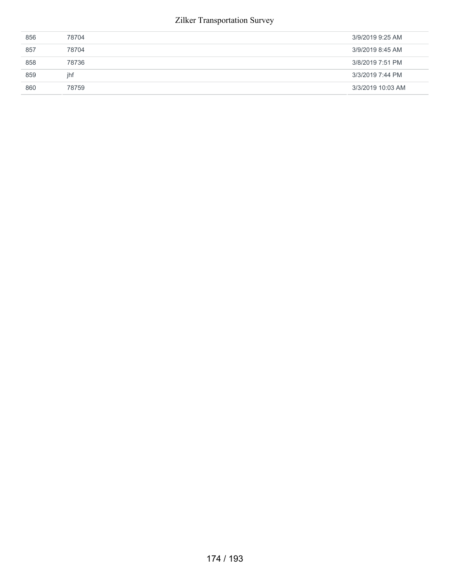## Zilker Transportation Survey

| 856 | 78704 | 3/9/2019 9:25 AM  |
|-----|-------|-------------------|
| 857 | 78704 | 3/9/2019 8:45 AM  |
| 858 | 78736 | 3/8/2019 7:51 PM  |
| 859 | ihf   | 3/3/2019 7:44 PM  |
| 860 | 78759 | 3/3/2019 10:03 AM |
|     |       |                   |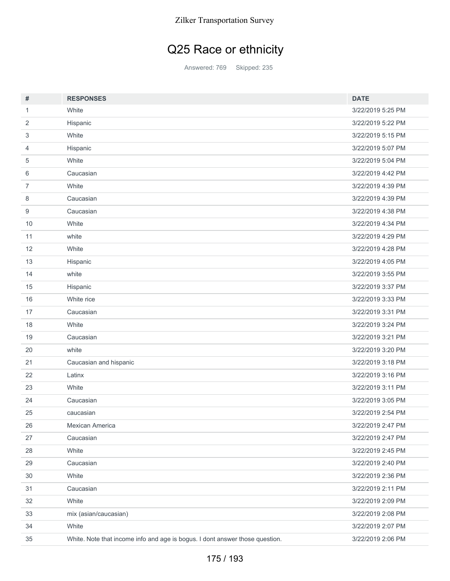## Q25 Race or ethnicity

Answered: 769 Skipped: 235

| #              | <b>RESPONSES</b>                                                             | <b>DATE</b>       |
|----------------|------------------------------------------------------------------------------|-------------------|
| $\mathbf{1}$   | White                                                                        | 3/22/2019 5:25 PM |
| 2              | Hispanic                                                                     | 3/22/2019 5:22 PM |
| 3              | White                                                                        | 3/22/2019 5:15 PM |
| $\overline{4}$ | Hispanic                                                                     | 3/22/2019 5:07 PM |
| 5              | White                                                                        | 3/22/2019 5:04 PM |
| 6              | Caucasian                                                                    | 3/22/2019 4:42 PM |
| $\overline{7}$ | White                                                                        | 3/22/2019 4:39 PM |
| 8              | Caucasian                                                                    | 3/22/2019 4:39 PM |
| 9              | Caucasian                                                                    | 3/22/2019 4:38 PM |
| 10             | White                                                                        | 3/22/2019 4:34 PM |
| 11             | white                                                                        | 3/22/2019 4:29 PM |
| 12             | White                                                                        | 3/22/2019 4:28 PM |
| 13             | Hispanic                                                                     | 3/22/2019 4:05 PM |
| 14             | white                                                                        | 3/22/2019 3:55 PM |
| 15             | Hispanic                                                                     | 3/22/2019 3:37 PM |
| 16             | White rice                                                                   | 3/22/2019 3:33 PM |
| 17             | Caucasian                                                                    | 3/22/2019 3:31 PM |
| 18             | White                                                                        | 3/22/2019 3:24 PM |
| 19             | Caucasian                                                                    | 3/22/2019 3:21 PM |
| 20             | white                                                                        | 3/22/2019 3:20 PM |
| 21             | Caucasian and hispanic                                                       | 3/22/2019 3:18 PM |
| 22             | Latinx                                                                       | 3/22/2019 3:16 PM |
| 23             | White                                                                        | 3/22/2019 3:11 PM |
| 24             | Caucasian                                                                    | 3/22/2019 3:05 PM |
| 25             | caucasian                                                                    | 3/22/2019 2:54 PM |
| 26             | Mexican America                                                              | 3/22/2019 2:47 PM |
| 27             | Caucasian                                                                    | 3/22/2019 2:47 PM |
| 28             | White                                                                        | 3/22/2019 2:45 PM |
| 29             | Caucasian                                                                    | 3/22/2019 2:40 PM |
| 30             | White                                                                        | 3/22/2019 2:36 PM |
| 31             | Caucasian                                                                    | 3/22/2019 2:11 PM |
| 32             | White                                                                        | 3/22/2019 2:09 PM |
| 33             | mix (asian/caucasian)                                                        | 3/22/2019 2:08 PM |
| 34             | White                                                                        | 3/22/2019 2:07 PM |
| 35             | White. Note that income info and age is bogus. I dont answer those question. | 3/22/2019 2:06 PM |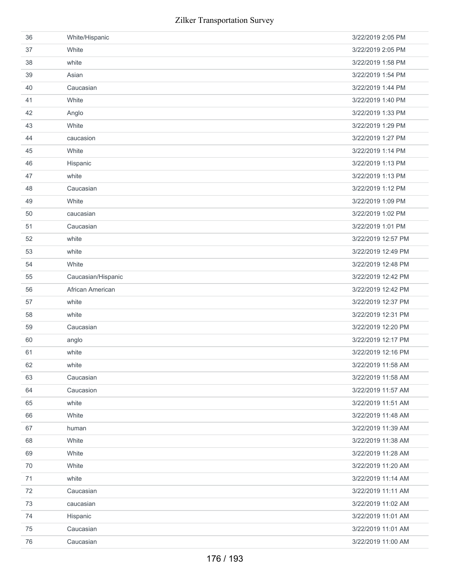| 36     | White/Hispanic     | 3/22/2019 2:05 PM  |
|--------|--------------------|--------------------|
| 37     | White              | 3/22/2019 2:05 PM  |
| 38     | white              | 3/22/2019 1:58 PM  |
| 39     | Asian              | 3/22/2019 1:54 PM  |
| 40     | Caucasian          | 3/22/2019 1:44 PM  |
| 41     | White              | 3/22/2019 1:40 PM  |
| 42     | Anglo              | 3/22/2019 1:33 PM  |
| 43     | White              | 3/22/2019 1:29 PM  |
| 44     | caucasion          | 3/22/2019 1:27 PM  |
| 45     | White              | 3/22/2019 1:14 PM  |
| 46     | Hispanic           | 3/22/2019 1:13 PM  |
| 47     | white              | 3/22/2019 1:13 PM  |
| 48     | Caucasian          | 3/22/2019 1:12 PM  |
| 49     | White              | 3/22/2019 1:09 PM  |
| 50     | caucasian          | 3/22/2019 1:02 PM  |
| 51     | Caucasian          | 3/22/2019 1:01 PM  |
| 52     | white              | 3/22/2019 12:57 PM |
| 53     | white              | 3/22/2019 12:49 PM |
| 54     | White              | 3/22/2019 12:48 PM |
| 55     | Caucasian/Hispanic | 3/22/2019 12:42 PM |
| 56     | African American   | 3/22/2019 12:42 PM |
| 57     | white              | 3/22/2019 12:37 PM |
| 58     | white              | 3/22/2019 12:31 PM |
| 59     | Caucasian          | 3/22/2019 12:20 PM |
| 60     | anglo              | 3/22/2019 12:17 PM |
| 61     | white              | 3/22/2019 12:16 PM |
| 62     | white              | 3/22/2019 11:58 AM |
| 63     | Caucasian          | 3/22/2019 11:58 AM |
| 64     | Caucasion          | 3/22/2019 11:57 AM |
| 65     | white              | 3/22/2019 11:51 AM |
| 66     | White              | 3/22/2019 11:48 AM |
| 67     | human              | 3/22/2019 11:39 AM |
| 68     | White              | 3/22/2019 11:38 AM |
| 69     | White              | 3/22/2019 11:28 AM |
| 70     | White              | 3/22/2019 11:20 AM |
| 71     | white              | 3/22/2019 11:14 AM |
| 72     | Caucasian          | 3/22/2019 11:11 AM |
| 73     | caucasian          | 3/22/2019 11:02 AM |
| 74     | Hispanic           | 3/22/2019 11:01 AM |
| 75     | Caucasian          | 3/22/2019 11:01 AM |
| $76\,$ | Caucasian          | 3/22/2019 11:00 AM |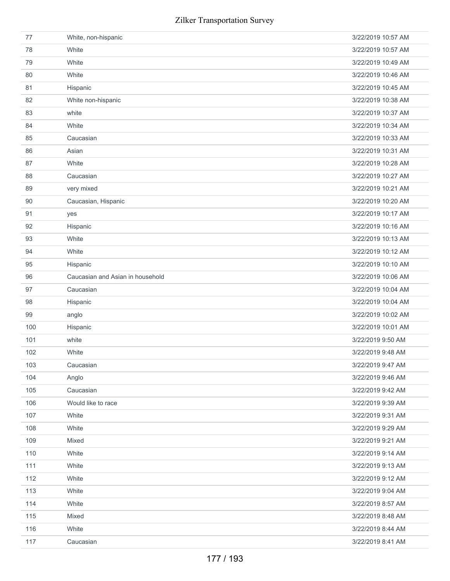| 77  | White, non-hispanic              | 3/22/2019 10:57 AM |
|-----|----------------------------------|--------------------|
| 78  | White                            | 3/22/2019 10:57 AM |
| 79  | White                            | 3/22/2019 10:49 AM |
| 80  | White                            | 3/22/2019 10:46 AM |
| 81  | Hispanic                         | 3/22/2019 10:45 AM |
| 82  | White non-hispanic               | 3/22/2019 10:38 AM |
| 83  | white                            | 3/22/2019 10:37 AM |
| 84  | White                            | 3/22/2019 10:34 AM |
| 85  | Caucasian                        | 3/22/2019 10:33 AM |
| 86  | Asian                            | 3/22/2019 10:31 AM |
| 87  | White                            | 3/22/2019 10:28 AM |
| 88  | Caucasian                        | 3/22/2019 10:27 AM |
| 89  | very mixed                       | 3/22/2019 10:21 AM |
| 90  | Caucasian, Hispanic              | 3/22/2019 10:20 AM |
| 91  | yes                              | 3/22/2019 10:17 AM |
| 92  | Hispanic                         | 3/22/2019 10:16 AM |
| 93  | White                            | 3/22/2019 10:13 AM |
| 94  | White                            | 3/22/2019 10:12 AM |
| 95  | Hispanic                         | 3/22/2019 10:10 AM |
| 96  | Caucasian and Asian in household | 3/22/2019 10:06 AM |
| 97  | Caucasian                        | 3/22/2019 10:04 AM |
| 98  | Hispanic                         | 3/22/2019 10:04 AM |
| 99  | anglo                            | 3/22/2019 10:02 AM |
| 100 | Hispanic                         | 3/22/2019 10:01 AM |
| 101 | white                            | 3/22/2019 9:50 AM  |
| 102 | White                            | 3/22/2019 9:48 AM  |
| 103 | Caucasian                        | 3/22/2019 9:47 AM  |
| 104 | Anglo                            | 3/22/2019 9:46 AM  |
| 105 | Caucasian                        | 3/22/2019 9:42 AM  |
| 106 | Would like to race               | 3/22/2019 9:39 AM  |
| 107 | White                            | 3/22/2019 9:31 AM  |
| 108 | White                            | 3/22/2019 9:29 AM  |
| 109 | Mixed                            | 3/22/2019 9:21 AM  |
| 110 | White                            | 3/22/2019 9:14 AM  |
| 111 | White                            | 3/22/2019 9:13 AM  |
| 112 | White                            | 3/22/2019 9:12 AM  |
| 113 | White                            | 3/22/2019 9:04 AM  |
| 114 | White                            | 3/22/2019 8:57 AM  |
| 115 | Mixed                            | 3/22/2019 8:48 AM  |
| 116 |                                  |                    |
|     | White                            | 3/22/2019 8:44 AM  |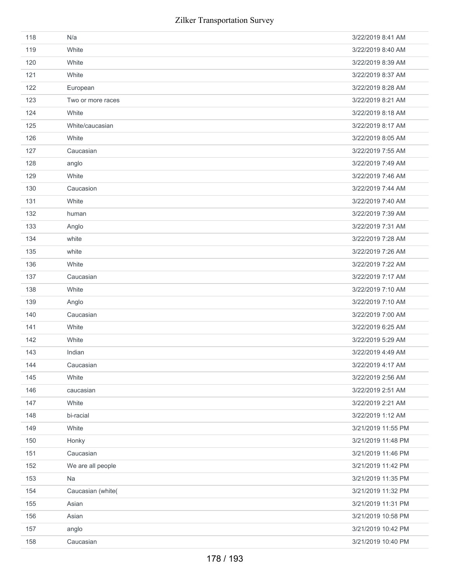| 118 | N/a               | 3/22/2019 8:41 AM  |
|-----|-------------------|--------------------|
| 119 | White             | 3/22/2019 8:40 AM  |
| 120 | White             | 3/22/2019 8:39 AM  |
| 121 | White             | 3/22/2019 8:37 AM  |
| 122 | European          | 3/22/2019 8:28 AM  |
| 123 | Two or more races | 3/22/2019 8:21 AM  |
| 124 | White             | 3/22/2019 8:18 AM  |
| 125 | White/caucasian   | 3/22/2019 8:17 AM  |
| 126 | White             | 3/22/2019 8:05 AM  |
| 127 | Caucasian         | 3/22/2019 7:55 AM  |
| 128 | anglo             | 3/22/2019 7:49 AM  |
| 129 | White             | 3/22/2019 7:46 AM  |
| 130 | Caucasion         | 3/22/2019 7:44 AM  |
| 131 | White             | 3/22/2019 7:40 AM  |
| 132 | human             | 3/22/2019 7:39 AM  |
| 133 | Anglo             | 3/22/2019 7:31 AM  |
| 134 | white             | 3/22/2019 7:28 AM  |
| 135 | white             | 3/22/2019 7:26 AM  |
| 136 | White             | 3/22/2019 7:22 AM  |
| 137 | Caucasian         | 3/22/2019 7:17 AM  |
| 138 | White             | 3/22/2019 7:10 AM  |
| 139 | Anglo             | 3/22/2019 7:10 AM  |
| 140 | Caucasian         | 3/22/2019 7:00 AM  |
| 141 | White             | 3/22/2019 6:25 AM  |
| 142 | White             | 3/22/2019 5:29 AM  |
| 143 | Indian            | 3/22/2019 4:49 AM  |
| 144 | Caucasian         | 3/22/2019 4:17 AM  |
| 145 | White             | 3/22/2019 2:56 AM  |
| 146 | caucasian         | 3/22/2019 2:51 AM  |
| 147 | White             | 3/22/2019 2:21 AM  |
| 148 | bi-racial         | 3/22/2019 1:12 AM  |
| 149 | White             | 3/21/2019 11:55 PM |
| 150 | Honky             | 3/21/2019 11:48 PM |
| 151 | Caucasian         | 3/21/2019 11:46 PM |
| 152 | We are all people | 3/21/2019 11:42 PM |
| 153 | Na                | 3/21/2019 11:35 PM |
| 154 | Caucasian (white( | 3/21/2019 11:32 PM |
| 155 | Asian             | 3/21/2019 11:31 PM |
| 156 | Asian             | 3/21/2019 10:58 PM |
| 157 | anglo             | 3/21/2019 10:42 PM |
| 158 | Caucasian         | 3/21/2019 10:40 PM |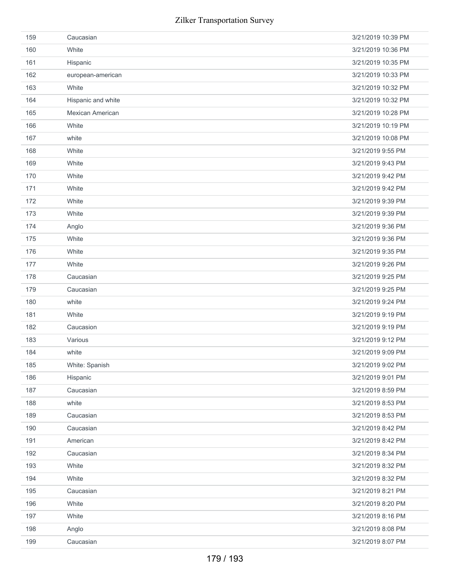| 159 | Caucasian          | 3/21/2019 10:39 PM |
|-----|--------------------|--------------------|
| 160 | White              | 3/21/2019 10:36 PM |
| 161 | Hispanic           | 3/21/2019 10:35 PM |
| 162 | european-american  | 3/21/2019 10:33 PM |
| 163 | White              | 3/21/2019 10:32 PM |
| 164 | Hispanic and white | 3/21/2019 10:32 PM |
| 165 | Mexican American   | 3/21/2019 10:28 PM |
| 166 | White              | 3/21/2019 10:19 PM |
| 167 | white              | 3/21/2019 10:08 PM |
| 168 | White              | 3/21/2019 9:55 PM  |
| 169 | White              | 3/21/2019 9:43 PM  |
| 170 | White              | 3/21/2019 9:42 PM  |
| 171 | White              | 3/21/2019 9:42 PM  |
| 172 | White              | 3/21/2019 9:39 PM  |
| 173 | White              | 3/21/2019 9:39 PM  |
| 174 | Anglo              | 3/21/2019 9:36 PM  |
| 175 | White              | 3/21/2019 9:36 PM  |
| 176 | White              | 3/21/2019 9:35 PM  |
| 177 | White              | 3/21/2019 9:26 PM  |
| 178 | Caucasian          | 3/21/2019 9:25 PM  |
| 179 | Caucasian          | 3/21/2019 9:25 PM  |
| 180 | white              | 3/21/2019 9:24 PM  |
| 181 | White              | 3/21/2019 9:19 PM  |
| 182 | Caucasion          | 3/21/2019 9:19 PM  |
| 183 | Various            | 3/21/2019 9:12 PM  |
| 184 | white              | 3/21/2019 9:09 PM  |
| 185 | White: Spanish     | 3/21/2019 9:02 PM  |
| 186 | Hispanic           | 3/21/2019 9:01 PM  |
| 187 | Caucasian          | 3/21/2019 8:59 PM  |
| 188 | white              | 3/21/2019 8:53 PM  |
| 189 | Caucasian          | 3/21/2019 8:53 PM  |
| 190 | Caucasian          | 3/21/2019 8:42 PM  |
| 191 | American           | 3/21/2019 8:42 PM  |
| 192 | Caucasian          | 3/21/2019 8:34 PM  |
| 193 | White              | 3/21/2019 8:32 PM  |
| 194 | White              | 3/21/2019 8:32 PM  |
| 195 | Caucasian          | 3/21/2019 8:21 PM  |
| 196 | White              | 3/21/2019 8:20 PM  |
| 197 | White              | 3/21/2019 8:16 PM  |
| 198 | Anglo              | 3/21/2019 8:08 PM  |
| 199 | Caucasian          | 3/21/2019 8:07 PM  |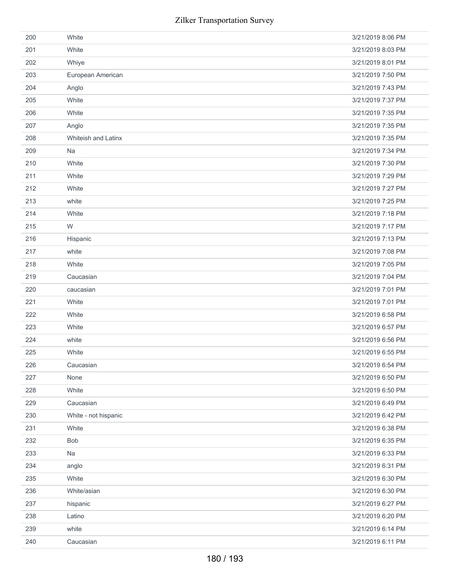| 200 | White                | 3/21/2019 8:06 PM |
|-----|----------------------|-------------------|
| 201 | White                | 3/21/2019 8:03 PM |
| 202 | Whiye                | 3/21/2019 8:01 PM |
| 203 | European American    | 3/21/2019 7:50 PM |
| 204 | Anglo                | 3/21/2019 7:43 PM |
| 205 | White                | 3/21/2019 7:37 PM |
| 206 | White                | 3/21/2019 7:35 PM |
| 207 | Anglo                | 3/21/2019 7:35 PM |
| 208 | Whiteish and Latinx  | 3/21/2019 7:35 PM |
| 209 | Na                   | 3/21/2019 7:34 PM |
| 210 | White                | 3/21/2019 7:30 PM |
| 211 | White                | 3/21/2019 7:29 PM |
| 212 | White                | 3/21/2019 7:27 PM |
| 213 | white                | 3/21/2019 7:25 PM |
| 214 | White                | 3/21/2019 7:18 PM |
| 215 | W                    | 3/21/2019 7:17 PM |
| 216 | Hispanic             | 3/21/2019 7:13 PM |
| 217 | white                | 3/21/2019 7:08 PM |
| 218 | White                | 3/21/2019 7:05 PM |
| 219 | Caucasian            | 3/21/2019 7:04 PM |
| 220 | caucasian            | 3/21/2019 7:01 PM |
| 221 | White                | 3/21/2019 7:01 PM |
| 222 | White                | 3/21/2019 6:58 PM |
| 223 | White                | 3/21/2019 6:57 PM |
| 224 | white                | 3/21/2019 6:56 PM |
| 225 | White                | 3/21/2019 6:55 PM |
| 226 | Caucasian            | 3/21/2019 6:54 PM |
| 227 | None                 | 3/21/2019 6:50 PM |
| 228 | White                | 3/21/2019 6:50 PM |
| 229 | Caucasian            | 3/21/2019 6:49 PM |
| 230 | White - not hispanic | 3/21/2019 6:42 PM |
| 231 | White                | 3/21/2019 6:38 PM |
| 232 | Bob                  | 3/21/2019 6:35 PM |
| 233 | Na                   | 3/21/2019 6:33 PM |
| 234 | anglo                | 3/21/2019 6:31 PM |
| 235 | White                | 3/21/2019 6:30 PM |
| 236 | White/asian          | 3/21/2019 6:30 PM |
| 237 | hispanic             | 3/21/2019 6:27 PM |
| 238 | Latino               | 3/21/2019 6:20 PM |
| 239 | white                | 3/21/2019 6:14 PM |
| 240 | Caucasian            | 3/21/2019 6:11 PM |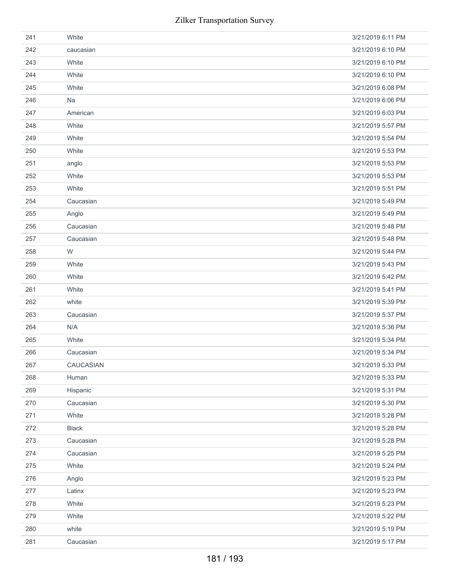| 241 | White        | 3/21/2019 6:11 PM |
|-----|--------------|-------------------|
| 242 | caucasian    | 3/21/2019 6:10 PM |
| 243 | White        | 3/21/2019 6:10 PM |
| 244 | White        | 3/21/2019 6:10 PM |
| 245 | White        | 3/21/2019 6:08 PM |
| 246 | Na           | 3/21/2019 6:06 PM |
| 247 | American     | 3/21/2019 6:03 PM |
| 248 | White        | 3/21/2019 5:57 PM |
| 249 | White        | 3/21/2019 5:54 PM |
| 250 | White        | 3/21/2019 5:53 PM |
| 251 | anglo        | 3/21/2019 5:53 PM |
| 252 | White        | 3/21/2019 5:53 PM |
| 253 | White        | 3/21/2019 5:51 PM |
| 254 | Caucasian    | 3/21/2019 5:49 PM |
| 255 | Anglo        | 3/21/2019 5:49 PM |
| 256 | Caucasian    | 3/21/2019 5:48 PM |
| 257 | Caucasian    | 3/21/2019 5:48 PM |
| 258 | W            | 3/21/2019 5:44 PM |
| 259 | White        | 3/21/2019 5:43 PM |
| 260 | White        | 3/21/2019 5:42 PM |
| 261 | White        | 3/21/2019 5:41 PM |
| 262 | white        | 3/21/2019 5:39 PM |
| 263 | Caucasian    | 3/21/2019 5:37 PM |
| 264 | N/A          | 3/21/2019 5:36 PM |
| 265 | White        | 3/21/2019 5:34 PM |
| 266 | Caucasian    | 3/21/2019 5:34 PM |
| 267 | CAUCASIAN    | 3/21/2019 5:33 PM |
| 268 | Human        | 3/21/2019 5:33 PM |
| 269 | Hispanic     | 3/21/2019 5:31 PM |
| 270 | Caucasian    | 3/21/2019 5:30 PM |
| 271 | White        | 3/21/2019 5:28 PM |
| 272 | <b>Black</b> | 3/21/2019 5:28 PM |
| 273 | Caucasian    | 3/21/2019 5:28 PM |
| 274 | Caucasian    | 3/21/2019 5:25 PM |
| 275 | White        | 3/21/2019 5:24 PM |
| 276 | Anglo        | 3/21/2019 5:23 PM |
| 277 | Latinx       | 3/21/2019 5:23 PM |
| 278 | White        | 3/21/2019 5:23 PM |
| 279 | White        | 3/21/2019 5:22 PM |
| 280 | white        | 3/21/2019 5:19 PM |
| 281 | Caucasian    | 3/21/2019 5:17 PM |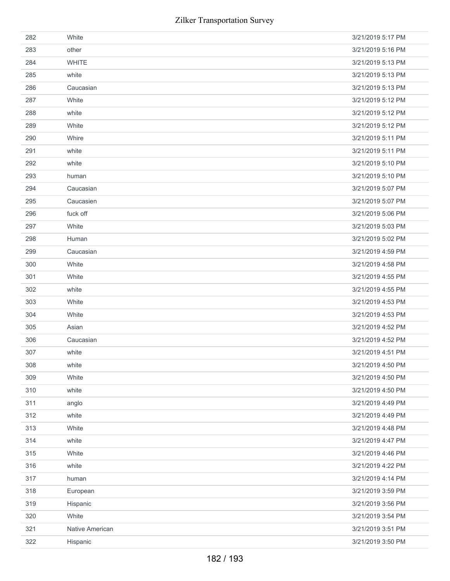| 282 | White           | 3/21/2019 5:17 PM |
|-----|-----------------|-------------------|
| 283 | other           | 3/21/2019 5:16 PM |
| 284 | <b>WHITE</b>    | 3/21/2019 5:13 PM |
| 285 | white           | 3/21/2019 5:13 PM |
| 286 | Caucasian       | 3/21/2019 5:13 PM |
| 287 | White           | 3/21/2019 5:12 PM |
| 288 | white           | 3/21/2019 5:12 PM |
| 289 | White           | 3/21/2019 5:12 PM |
| 290 | Whire           | 3/21/2019 5:11 PM |
| 291 | white           | 3/21/2019 5:11 PM |
| 292 | white           | 3/21/2019 5:10 PM |
| 293 | human           | 3/21/2019 5:10 PM |
| 294 | Caucasian       | 3/21/2019 5:07 PM |
| 295 | Caucasien       | 3/21/2019 5:07 PM |
| 296 | fuck off        | 3/21/2019 5:06 PM |
| 297 | White           | 3/21/2019 5:03 PM |
| 298 | Human           | 3/21/2019 5:02 PM |
| 299 | Caucasian       | 3/21/2019 4:59 PM |
| 300 | White           | 3/21/2019 4:58 PM |
| 301 | White           | 3/21/2019 4:55 PM |
| 302 | white           | 3/21/2019 4:55 PM |
| 303 | White           | 3/21/2019 4:53 PM |
| 304 | White           | 3/21/2019 4:53 PM |
| 305 | Asian           | 3/21/2019 4:52 PM |
| 306 | Caucasian       | 3/21/2019 4:52 PM |
| 307 | white           | 3/21/2019 4:51 PM |
| 308 | white           | 3/21/2019 4:50 PM |
| 309 | White           | 3/21/2019 4:50 PM |
| 310 | white           | 3/21/2019 4:50 PM |
| 311 | anglo           | 3/21/2019 4:49 PM |
| 312 | white           | 3/21/2019 4:49 PM |
| 313 | White           | 3/21/2019 4:48 PM |
| 314 | white           | 3/21/2019 4:47 PM |
| 315 | White           | 3/21/2019 4:46 PM |
| 316 | white           | 3/21/2019 4:22 PM |
| 317 | human           | 3/21/2019 4:14 PM |
| 318 | European        | 3/21/2019 3:59 PM |
| 319 | Hispanic        | 3/21/2019 3:56 PM |
| 320 | White           | 3/21/2019 3:54 PM |
| 321 | Native American | 3/21/2019 3:51 PM |
| 322 | Hispanic        | 3/21/2019 3:50 PM |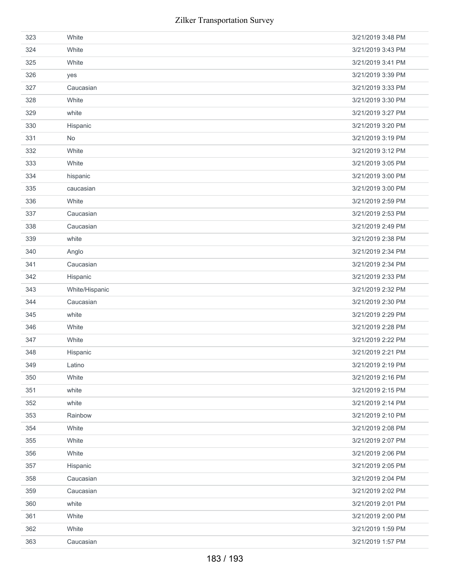| 323 | White          | 3/21/2019 3:48 PM |
|-----|----------------|-------------------|
| 324 | White          | 3/21/2019 3:43 PM |
| 325 | White          | 3/21/2019 3:41 PM |
| 326 | yes            | 3/21/2019 3:39 PM |
| 327 | Caucasian      | 3/21/2019 3:33 PM |
| 328 | White          | 3/21/2019 3:30 PM |
| 329 | white          | 3/21/2019 3:27 PM |
| 330 | Hispanic       | 3/21/2019 3:20 PM |
| 331 | No             | 3/21/2019 3:19 PM |
| 332 | White          | 3/21/2019 3:12 PM |
| 333 | White          | 3/21/2019 3:05 PM |
| 334 | hispanic       | 3/21/2019 3:00 PM |
| 335 | caucasian      | 3/21/2019 3:00 PM |
| 336 | White          | 3/21/2019 2:59 PM |
| 337 | Caucasian      | 3/21/2019 2:53 PM |
| 338 | Caucasian      | 3/21/2019 2:49 PM |
| 339 | white          | 3/21/2019 2:38 PM |
| 340 | Anglo          | 3/21/2019 2:34 PM |
| 341 | Caucasian      | 3/21/2019 2:34 PM |
| 342 | Hispanic       | 3/21/2019 2:33 PM |
| 343 | White/Hispanic | 3/21/2019 2:32 PM |
|     |                |                   |
| 344 | Caucasian      | 3/21/2019 2:30 PM |
| 345 | white          | 3/21/2019 2:29 PM |
| 346 | White          | 3/21/2019 2:28 PM |
| 347 | White          | 3/21/2019 2:22 PM |
| 348 | Hispanic       | 3/21/2019 2:21 PM |
| 349 | Latino         | 3/21/2019 2:19 PM |
| 350 | White          | 3/21/2019 2:16 PM |
| 351 | white          | 3/21/2019 2:15 PM |
| 352 | white          | 3/21/2019 2:14 PM |
| 353 | Rainbow        | 3/21/2019 2:10 PM |
| 354 | White          | 3/21/2019 2:08 PM |
| 355 | White          | 3/21/2019 2:07 PM |
| 356 | White          | 3/21/2019 2:06 PM |
| 357 | Hispanic       | 3/21/2019 2:05 PM |
| 358 | Caucasian      | 3/21/2019 2:04 PM |
| 359 | Caucasian      | 3/21/2019 2:02 PM |
| 360 | white          | 3/21/2019 2:01 PM |
| 361 | White          | 3/21/2019 2:00 PM |
| 362 | White          | 3/21/2019 1:59 PM |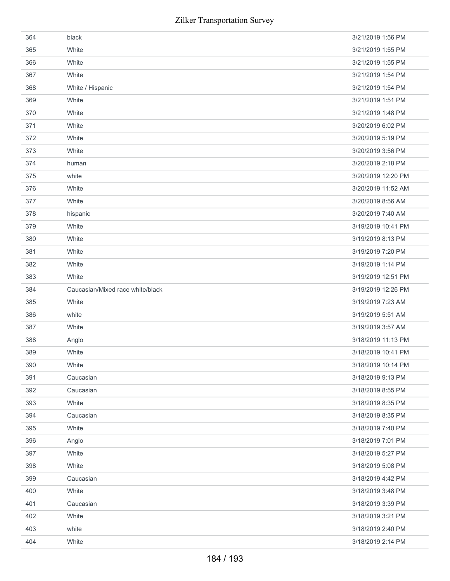| 364 | black                            | 3/21/2019 1:56 PM  |
|-----|----------------------------------|--------------------|
| 365 | White                            | 3/21/2019 1:55 PM  |
| 366 | White                            | 3/21/2019 1:55 PM  |
| 367 | White                            | 3/21/2019 1:54 PM  |
| 368 | White / Hispanic                 | 3/21/2019 1:54 PM  |
| 369 | White                            | 3/21/2019 1:51 PM  |
| 370 | White                            | 3/21/2019 1:48 PM  |
| 371 | White                            | 3/20/2019 6:02 PM  |
| 372 | White                            | 3/20/2019 5:19 PM  |
| 373 | White                            | 3/20/2019 3:56 PM  |
| 374 | human                            | 3/20/2019 2:18 PM  |
| 375 | white                            | 3/20/2019 12:20 PM |
| 376 | White                            | 3/20/2019 11:52 AM |
| 377 | White                            | 3/20/2019 8:56 AM  |
| 378 | hispanic                         | 3/20/2019 7:40 AM  |
| 379 | White                            | 3/19/2019 10:41 PM |
| 380 | White                            | 3/19/2019 8:13 PM  |
| 381 | White                            | 3/19/2019 7:20 PM  |
| 382 | White                            | 3/19/2019 1:14 PM  |
| 383 | White                            | 3/19/2019 12:51 PM |
| 384 |                                  |                    |
|     | Caucasian/Mixed race white/black | 3/19/2019 12:26 PM |
| 385 | White                            | 3/19/2019 7:23 AM  |
| 386 | white                            | 3/19/2019 5:51 AM  |
| 387 | White                            | 3/19/2019 3:57 AM  |
| 388 | Anglo                            | 3/18/2019 11:13 PM |
| 389 | White                            | 3/18/2019 10:41 PM |
| 390 | White                            | 3/18/2019 10:14 PM |
| 391 | Caucasian                        | 3/18/2019 9:13 PM  |
| 392 | Caucasian                        | 3/18/2019 8:55 PM  |
| 393 | White                            | 3/18/2019 8:35 PM  |
| 394 | Caucasian                        | 3/18/2019 8:35 PM  |
| 395 | White                            | 3/18/2019 7:40 PM  |
| 396 | Anglo                            | 3/18/2019 7:01 PM  |
| 397 | White                            | 3/18/2019 5:27 PM  |
| 398 | White                            | 3/18/2019 5:08 PM  |
| 399 | Caucasian                        | 3/18/2019 4:42 PM  |
| 400 | White                            | 3/18/2019 3:48 PM  |
| 401 | Caucasian                        | 3/18/2019 3:39 PM  |
| 402 | White                            | 3/18/2019 3:21 PM  |
| 403 | white                            | 3/18/2019 2:40 PM  |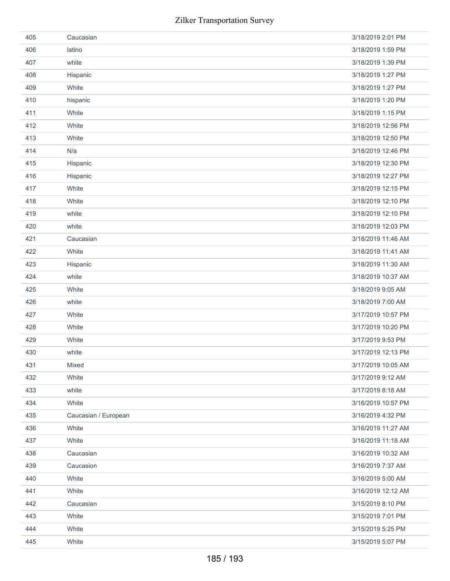| 405 | Caucasian            | 3/18/2019 2:01 PM  |
|-----|----------------------|--------------------|
| 406 | latino               | 3/18/2019 1:59 PM  |
| 407 | white                | 3/18/2019 1:39 PM  |
| 408 | Hispanic             | 3/18/2019 1:27 PM  |
| 409 | White                | 3/18/2019 1:27 PM  |
| 410 | hispanic             | 3/18/2019 1:20 PM  |
| 411 | White                | 3/18/2019 1:15 PM  |
| 412 | White                | 3/18/2019 12:56 PM |
| 413 | White                | 3/18/2019 12:50 PM |
| 414 | N/a                  | 3/18/2019 12:46 PM |
| 415 | Hispanic             | 3/18/2019 12:30 PM |
| 416 | Hispanic             | 3/18/2019 12:27 PM |
| 417 | White                | 3/18/2019 12:15 PM |
| 418 | White                | 3/18/2019 12:10 PM |
| 419 | white                | 3/18/2019 12:10 PM |
| 420 | white                | 3/18/2019 12:03 PM |
| 421 | Caucasian            | 3/18/2019 11:46 AM |
| 422 | White                | 3/18/2019 11:41 AM |
| 423 | Hispanic             | 3/18/2019 11:30 AM |
| 424 | white                | 3/18/2019 10:37 AM |
| 425 | White                | 3/18/2019 9:05 AM  |
| 426 | white                | 3/18/2019 7:00 AM  |
| 427 | White                | 3/17/2019 10:57 PM |
| 428 | White                | 3/17/2019 10:20 PM |
| 429 | White                | 3/17/2019 9:53 PM  |
| 430 | white                | 3/17/2019 12:13 PM |
| 431 | Mixed                | 3/17/2019 10:05 AM |
| 432 | White                | 3/17/2019 9:12 AM  |
| 433 | white                | 3/17/2019 8:18 AM  |
| 434 | White                | 3/16/2019 10:57 PM |
| 435 | Caucasian / European | 3/16/2019 4:32 PM  |
| 436 | White                | 3/16/2019 11:27 AM |
| 437 | White                | 3/16/2019 11:18 AM |
| 438 | Caucasian            | 3/16/2019 10:32 AM |
| 439 | Caucasion            | 3/16/2019 7:37 AM  |
| 440 | White                | 3/16/2019 5:00 AM  |
| 441 | White                | 3/16/2019 12:12 AM |
| 442 | Caucasian            | 3/15/2019 8:10 PM  |
| 443 | White                | 3/15/2019 7:01 PM  |
| 444 | White                | 3/15/2019 5:25 PM  |
| 445 | White                | 3/15/2019 5:07 PM  |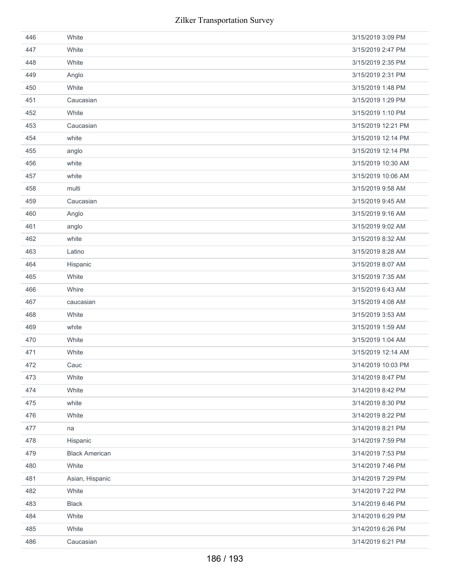| 446 | White                 | 3/15/2019 3:09 PM  |
|-----|-----------------------|--------------------|
| 447 | White                 | 3/15/2019 2:47 PM  |
| 448 | White                 | 3/15/2019 2:35 PM  |
| 449 | Anglo                 | 3/15/2019 2:31 PM  |
| 450 | White                 | 3/15/2019 1:48 PM  |
| 451 | Caucasian             | 3/15/2019 1:29 PM  |
| 452 | White                 | 3/15/2019 1:10 PM  |
| 453 | Caucasian             | 3/15/2019 12:21 PM |
| 454 | white                 | 3/15/2019 12:14 PM |
| 455 | anglo                 | 3/15/2019 12:14 PM |
| 456 | white                 | 3/15/2019 10:30 AM |
| 457 | white                 | 3/15/2019 10:06 AM |
| 458 | multi                 | 3/15/2019 9:58 AM  |
| 459 | Caucasian             | 3/15/2019 9:45 AM  |
| 460 | Anglo                 | 3/15/2019 9:16 AM  |
| 461 | anglo                 | 3/15/2019 9:02 AM  |
| 462 | white                 | 3/15/2019 8:32 AM  |
| 463 | Latino                | 3/15/2019 8:28 AM  |
| 464 | Hispanic              | 3/15/2019 8:07 AM  |
| 465 | White                 | 3/15/2019 7:35 AM  |
| 466 | Whire                 | 3/15/2019 6:43 AM  |
| 467 | caucasian             | 3/15/2019 4:08 AM  |
| 468 | White                 | 3/15/2019 3:53 AM  |
| 469 | white                 | 3/15/2019 1:59 AM  |
| 470 | White                 | 3/15/2019 1:04 AM  |
| 471 | White                 | 3/15/2019 12:14 AM |
| 472 | Cauc                  | 3/14/2019 10:03 PM |
| 473 | White                 | 3/14/2019 8:47 PM  |
| 474 | White                 | 3/14/2019 8:42 PM  |
| 475 | white                 | 3/14/2019 8:30 PM  |
| 476 | White                 | 3/14/2019 8:22 PM  |
| 477 | na                    | 3/14/2019 8:21 PM  |
| 478 | Hispanic              | 3/14/2019 7:59 PM  |
| 479 | <b>Black American</b> | 3/14/2019 7:53 PM  |
| 480 | White                 | 3/14/2019 7:46 PM  |
| 481 | Asian, Hispanic       | 3/14/2019 7:29 PM  |
| 482 | White                 | 3/14/2019 7:22 PM  |
| 483 | <b>Black</b>          | 3/14/2019 6:46 PM  |
| 484 | White                 | 3/14/2019 6:29 PM  |
| 485 | White                 | 3/14/2019 6:26 PM  |
| 486 | Caucasian             | 3/14/2019 6:21 PM  |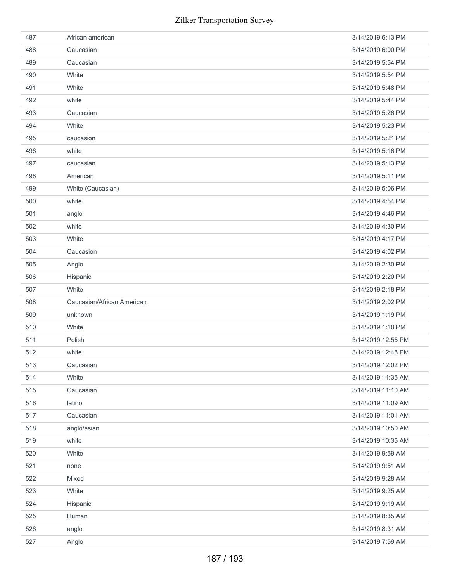| 487 | African american           | 3/14/2019 6:13 PM  |
|-----|----------------------------|--------------------|
| 488 | Caucasian                  | 3/14/2019 6:00 PM  |
| 489 | Caucasian                  | 3/14/2019 5:54 PM  |
| 490 | White                      | 3/14/2019 5:54 PM  |
| 491 | White                      | 3/14/2019 5:48 PM  |
| 492 | white                      | 3/14/2019 5:44 PM  |
| 493 | Caucasian                  | 3/14/2019 5:26 PM  |
| 494 | White                      | 3/14/2019 5:23 PM  |
| 495 | caucasion                  | 3/14/2019 5:21 PM  |
| 496 | white                      | 3/14/2019 5:16 PM  |
| 497 | caucasian                  | 3/14/2019 5:13 PM  |
| 498 | American                   | 3/14/2019 5:11 PM  |
| 499 | White (Caucasian)          | 3/14/2019 5:06 PM  |
| 500 | white                      | 3/14/2019 4:54 PM  |
| 501 | anglo                      | 3/14/2019 4:46 PM  |
| 502 | white                      | 3/14/2019 4:30 PM  |
| 503 | White                      | 3/14/2019 4:17 PM  |
| 504 | Caucasion                  | 3/14/2019 4:02 PM  |
| 505 | Anglo                      | 3/14/2019 2:30 PM  |
| 506 | Hispanic                   | 3/14/2019 2:20 PM  |
| 507 | White                      | 3/14/2019 2:18 PM  |
| 508 | Caucasian/African American | 3/14/2019 2:02 PM  |
| 509 | unknown                    | 3/14/2019 1:19 PM  |
| 510 | White                      | 3/14/2019 1:18 PM  |
| 511 | Polish                     | 3/14/2019 12:55 PM |
| 512 | white                      | 3/14/2019 12:48 PM |
| 513 | Caucasian                  | 3/14/2019 12:02 PM |
| 514 | White                      | 3/14/2019 11:35 AM |
| 515 | Caucasian                  | 3/14/2019 11:10 AM |
| 516 | latino                     | 3/14/2019 11:09 AM |
| 517 | Caucasian                  | 3/14/2019 11:01 AM |
| 518 | anglo/asian                | 3/14/2019 10:50 AM |
| 519 | white                      | 3/14/2019 10:35 AM |
| 520 | White                      | 3/14/2019 9:59 AM  |
| 521 | none                       | 3/14/2019 9:51 AM  |
| 522 | Mixed                      | 3/14/2019 9:28 AM  |
|     |                            |                    |
| 523 | White                      | 3/14/2019 9:25 AM  |
| 524 | Hispanic                   | 3/14/2019 9:19 AM  |
| 525 | Human                      | 3/14/2019 8:35 AM  |
| 526 | anglo                      | 3/14/2019 8:31 AM  |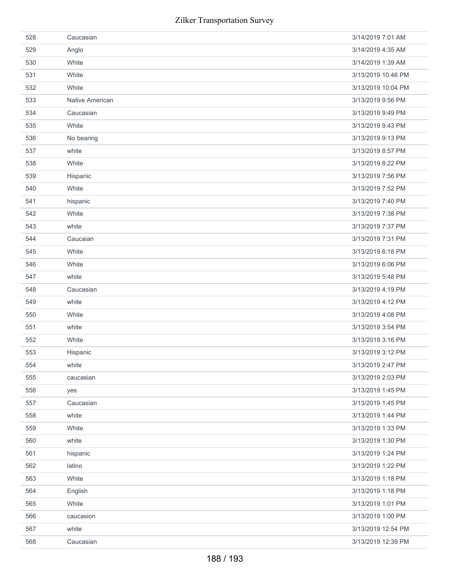| 528 | Caucasian       | 3/14/2019 7:01 AM  |
|-----|-----------------|--------------------|
| 529 | Anglo           | 3/14/2019 4:35 AM  |
| 530 | White           | 3/14/2019 1:39 AM  |
| 531 | White           | 3/13/2019 10:46 PM |
| 532 | White           | 3/13/2019 10:04 PM |
| 533 | Native American | 3/13/2019 9:56 PM  |
| 534 | Caucasian       | 3/13/2019 9:49 PM  |
| 535 | White           | 3/13/2019 9:43 PM  |
| 536 | No bearing      | 3/13/2019 9:13 PM  |
| 537 | white           | 3/13/2019 8:57 PM  |
| 538 | White           | 3/13/2019 8:22 PM  |
| 539 | Hispanic        | 3/13/2019 7:56 PM  |
| 540 | White           | 3/13/2019 7:52 PM  |
| 541 | hispanic        | 3/13/2019 7:40 PM  |
| 542 | White           | 3/13/2019 7:38 PM  |
| 543 | white           | 3/13/2019 7:37 PM  |
| 544 | Caucaian        | 3/13/2019 7:31 PM  |
| 545 | White           | 3/13/2019 6:18 PM  |
| 546 | White           | 3/13/2019 6:06 PM  |
| 547 | white           | 3/13/2019 5:48 PM  |
| 548 | Caucasian       | 3/13/2019 4:19 PM  |
| 549 | white           | 3/13/2019 4:12 PM  |
| 550 | White           | 3/13/2019 4:08 PM  |
| 551 | white           | 3/13/2019 3:54 PM  |
| 552 | White           | 3/13/2019 3:16 PM  |
| 553 | Hispanic        | 3/13/2019 3:12 PM  |
| 554 | white           | 3/13/2019 2:47 PM  |
| 555 | caucasian       | 3/13/2019 2:03 PM  |
| 556 | yes             | 3/13/2019 1:45 PM  |
| 557 | Caucasian       | 3/13/2019 1:45 PM  |
| 558 | white           | 3/13/2019 1:44 PM  |
| 559 | White           | 3/13/2019 1:33 PM  |
| 560 | white           | 3/13/2019 1:30 PM  |
| 561 | hispanic        | 3/13/2019 1:24 PM  |
| 562 | latino          | 3/13/2019 1:22 PM  |
| 563 | White           | 3/13/2019 1:18 PM  |
| 564 | English         | 3/13/2019 1:18 PM  |
| 565 | White           | 3/13/2019 1:01 PM  |
| 566 | caucasion       | 3/13/2019 1:00 PM  |
| 567 | white           | 3/13/2019 12:54 PM |
| 568 | Caucasian       | 3/13/2019 12:39 PM |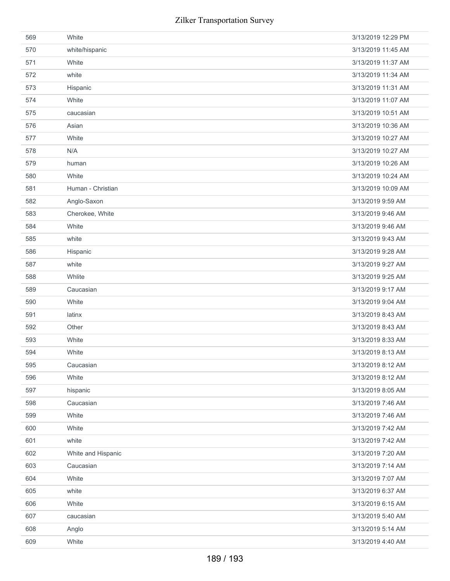| 569 | White              | 3/13/2019 12:29 PM |
|-----|--------------------|--------------------|
| 570 | white/hispanic     | 3/13/2019 11:45 AM |
| 571 | White              | 3/13/2019 11:37 AM |
| 572 | white              | 3/13/2019 11:34 AM |
| 573 | Hispanic           | 3/13/2019 11:31 AM |
| 574 | White              | 3/13/2019 11:07 AM |
| 575 | caucasian          | 3/13/2019 10:51 AM |
| 576 | Asian              | 3/13/2019 10:36 AM |
| 577 | White              | 3/13/2019 10:27 AM |
| 578 | N/A                | 3/13/2019 10:27 AM |
| 579 | human              | 3/13/2019 10:26 AM |
| 580 | White              | 3/13/2019 10:24 AM |
| 581 | Human - Christian  | 3/13/2019 10:09 AM |
| 582 | Anglo-Saxon        | 3/13/2019 9:59 AM  |
| 583 | Cherokee, White    | 3/13/2019 9:46 AM  |
| 584 | White              | 3/13/2019 9:46 AM  |
| 585 | white              | 3/13/2019 9:43 AM  |
| 586 | Hispanic           | 3/13/2019 9:28 AM  |
| 587 | white              | 3/13/2019 9:27 AM  |
| 588 | Whlite             | 3/13/2019 9:25 AM  |
| 589 | Caucasian          | 3/13/2019 9:17 AM  |
| 590 | White              | 3/13/2019 9:04 AM  |
| 591 | latinx             | 3/13/2019 8:43 AM  |
| 592 | Other              | 3/13/2019 8:43 AM  |
| 593 | White              | 3/13/2019 8:33 AM  |
| 594 | White              | 3/13/2019 8:13 AM  |
| 595 | Caucasian          | 3/13/2019 8:12 AM  |
| 596 | White              | 3/13/2019 8:12 AM  |
| 597 | hispanic           | 3/13/2019 8:05 AM  |
| 598 | Caucasian          | 3/13/2019 7:46 AM  |
| 599 | White              | 3/13/2019 7:46 AM  |
| 600 | White              | 3/13/2019 7:42 AM  |
| 601 | white              | 3/13/2019 7:42 AM  |
| 602 | White and Hispanic | 3/13/2019 7:20 AM  |
| 603 | Caucasian          | 3/13/2019 7:14 AM  |
| 604 | White              | 3/13/2019 7:07 AM  |
| 605 | white              | 3/13/2019 6:37 AM  |
| 606 | White              | 3/13/2019 6:15 AM  |
| 607 | caucasian          | 3/13/2019 5:40 AM  |
| 608 | Anglo              | 3/13/2019 5:14 AM  |
| 609 | White              | 3/13/2019 4:40 AM  |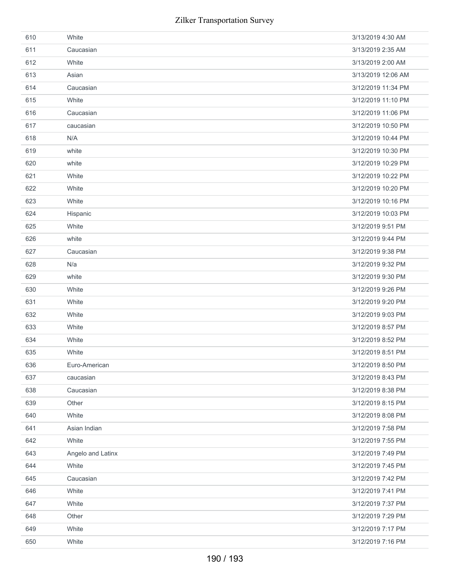| 610 | White             | 3/13/2019 4:30 AM  |
|-----|-------------------|--------------------|
| 611 | Caucasian         | 3/13/2019 2:35 AM  |
| 612 | White             | 3/13/2019 2:00 AM  |
| 613 | Asian             | 3/13/2019 12:06 AM |
| 614 | Caucasian         | 3/12/2019 11:34 PM |
| 615 | White             | 3/12/2019 11:10 PM |
| 616 | Caucasian         | 3/12/2019 11:06 PM |
| 617 | caucasian         | 3/12/2019 10:50 PM |
| 618 | N/A               | 3/12/2019 10:44 PM |
| 619 | white             | 3/12/2019 10:30 PM |
| 620 | white             | 3/12/2019 10:29 PM |
| 621 | White             | 3/12/2019 10:22 PM |
| 622 | White             | 3/12/2019 10:20 PM |
| 623 | White             | 3/12/2019 10:16 PM |
| 624 | Hispanic          | 3/12/2019 10:03 PM |
| 625 | White             | 3/12/2019 9:51 PM  |
| 626 | white             | 3/12/2019 9:44 PM  |
| 627 | Caucasian         | 3/12/2019 9:38 PM  |
| 628 | N/a               | 3/12/2019 9:32 PM  |
| 629 | white             | 3/12/2019 9:30 PM  |
| 630 | White             | 3/12/2019 9:26 PM  |
| 631 | White             | 3/12/2019 9:20 PM  |
| 632 | White             | 3/12/2019 9:03 PM  |
| 633 | White             | 3/12/2019 8:57 PM  |
| 634 | White             | 3/12/2019 8:52 PM  |
| 635 | White             | 3/12/2019 8:51 PM  |
| 636 | Euro-American     | 3/12/2019 8:50 PM  |
| 637 | caucasian         | 3/12/2019 8:43 PM  |
| 638 | Caucasian         | 3/12/2019 8:38 PM  |
| 639 | Other             | 3/12/2019 8:15 PM  |
| 640 | White             | 3/12/2019 8:08 PM  |
| 641 | Asian Indian      | 3/12/2019 7:58 PM  |
| 642 | White             | 3/12/2019 7:55 PM  |
| 643 | Angelo and Latinx | 3/12/2019 7:49 PM  |
| 644 | White             | 3/12/2019 7:45 PM  |
| 645 | Caucasian         | 3/12/2019 7:42 PM  |
| 646 | White             | 3/12/2019 7:41 PM  |
| 647 | White             | 3/12/2019 7:37 PM  |
| 648 | Other             | 3/12/2019 7:29 PM  |
| 649 | White             | 3/12/2019 7:17 PM  |
| 650 | White             | 3/12/2019 7:16 PM  |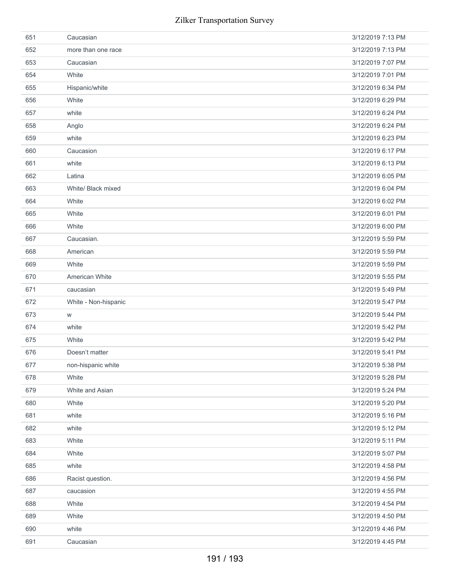| 651 | Caucasian            | 3/12/2019 7:13 PM |
|-----|----------------------|-------------------|
| 652 | more than one race   | 3/12/2019 7:13 PM |
| 653 | Caucasian            | 3/12/2019 7:07 PM |
| 654 | White                | 3/12/2019 7:01 PM |
| 655 | Hispanic/white       | 3/12/2019 6:34 PM |
| 656 | White                | 3/12/2019 6:29 PM |
| 657 | white                | 3/12/2019 6:24 PM |
| 658 | Anglo                | 3/12/2019 6:24 PM |
| 659 | white                | 3/12/2019 6:23 PM |
| 660 | Caucasion            | 3/12/2019 6:17 PM |
| 661 | white                | 3/12/2019 6:13 PM |
| 662 | Latina               | 3/12/2019 6:05 PM |
| 663 | White/ Black mixed   | 3/12/2019 6:04 PM |
| 664 | White                | 3/12/2019 6:02 PM |
| 665 | White                | 3/12/2019 6:01 PM |
| 666 | White                | 3/12/2019 6:00 PM |
| 667 | Caucasian.           | 3/12/2019 5:59 PM |
| 668 | American             | 3/12/2019 5:59 PM |
| 669 | White                | 3/12/2019 5:59 PM |
| 670 | American White       | 3/12/2019 5:55 PM |
| 671 | caucasian            | 3/12/2019 5:49 PM |
|     |                      |                   |
| 672 | White - Non-hispanic | 3/12/2019 5:47 PM |
| 673 | W                    | 3/12/2019 5:44 PM |
| 674 | white                | 3/12/2019 5:42 PM |
| 675 | White                | 3/12/2019 5:42 PM |
| 676 | Doesn't matter       | 3/12/2019 5:41 PM |
| 677 | non-hispanic white   | 3/12/2019 5:38 PM |
| 678 | White                | 3/12/2019 5:28 PM |
| 679 | White and Asian      | 3/12/2019 5:24 PM |
| 680 | White                | 3/12/2019 5:20 PM |
| 681 | white                | 3/12/2019 5:16 PM |
| 682 | white                | 3/12/2019 5:12 PM |
| 683 | White                | 3/12/2019 5:11 PM |
| 684 | White                | 3/12/2019 5:07 PM |
| 685 | white                | 3/12/2019 4:58 PM |
| 686 | Racist question.     | 3/12/2019 4:56 PM |
| 687 | caucasion            | 3/12/2019 4:55 PM |
| 688 | White                | 3/12/2019 4:54 PM |
| 689 | White                | 3/12/2019 4:50 PM |
| 690 | white                | 3/12/2019 4:46 PM |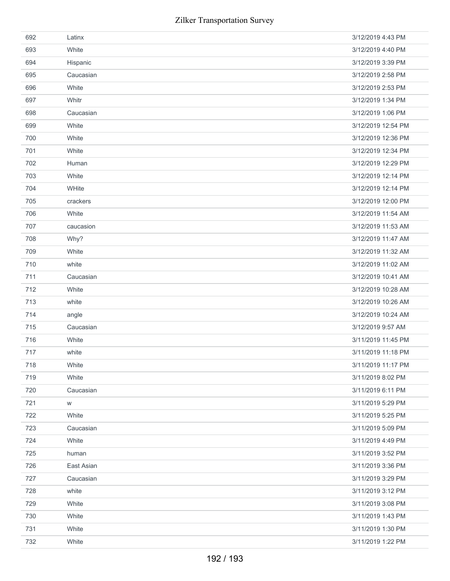| 692 | Latinx     | 3/12/2019 4:43 PM  |
|-----|------------|--------------------|
| 693 | White      | 3/12/2019 4:40 PM  |
| 694 | Hispanic   | 3/12/2019 3:39 PM  |
| 695 | Caucasian  | 3/12/2019 2:58 PM  |
| 696 | White      | 3/12/2019 2:53 PM  |
| 697 | Whitr      | 3/12/2019 1:34 PM  |
| 698 | Caucasian  | 3/12/2019 1:06 PM  |
| 699 | White      | 3/12/2019 12:54 PM |
| 700 | White      | 3/12/2019 12:36 PM |
| 701 | White      | 3/12/2019 12:34 PM |
| 702 | Human      | 3/12/2019 12:29 PM |
| 703 | White      | 3/12/2019 12:14 PM |
| 704 | WHite      | 3/12/2019 12:14 PM |
| 705 | crackers   | 3/12/2019 12:00 PM |
| 706 | White      | 3/12/2019 11:54 AM |
| 707 | caucasion  | 3/12/2019 11:53 AM |
| 708 | Why?       | 3/12/2019 11:47 AM |
| 709 | White      | 3/12/2019 11:32 AM |
| 710 | white      | 3/12/2019 11:02 AM |
| 711 | Caucasian  | 3/12/2019 10:41 AM |
| 712 | White      | 3/12/2019 10:28 AM |
| 713 | white      | 3/12/2019 10:26 AM |
| 714 | angle      | 3/12/2019 10:24 AM |
| 715 | Caucasian  | 3/12/2019 9:57 AM  |
| 716 | White      | 3/11/2019 11:45 PM |
| 717 | white      | 3/11/2019 11:18 PM |
| 718 | White      | 3/11/2019 11:17 PM |
| 719 | White      | 3/11/2019 8:02 PM  |
| 720 | Caucasian  | 3/11/2019 6:11 PM  |
| 721 | W          | 3/11/2019 5:29 PM  |
| 722 | White      | 3/11/2019 5:25 PM  |
| 723 | Caucasian  | 3/11/2019 5:09 PM  |
| 724 | White      | 3/11/2019 4:49 PM  |
| 725 | human      | 3/11/2019 3:52 PM  |
| 726 | East Asian | 3/11/2019 3:36 PM  |
| 727 | Caucasian  | 3/11/2019 3:29 PM  |
| 728 | white      | 3/11/2019 3:12 PM  |
| 729 | White      | 3/11/2019 3:08 PM  |
| 730 | White      | 3/11/2019 1:43 PM  |
| 731 | White      | 3/11/2019 1:30 PM  |
| 732 | White      | 3/11/2019 1:22 PM  |